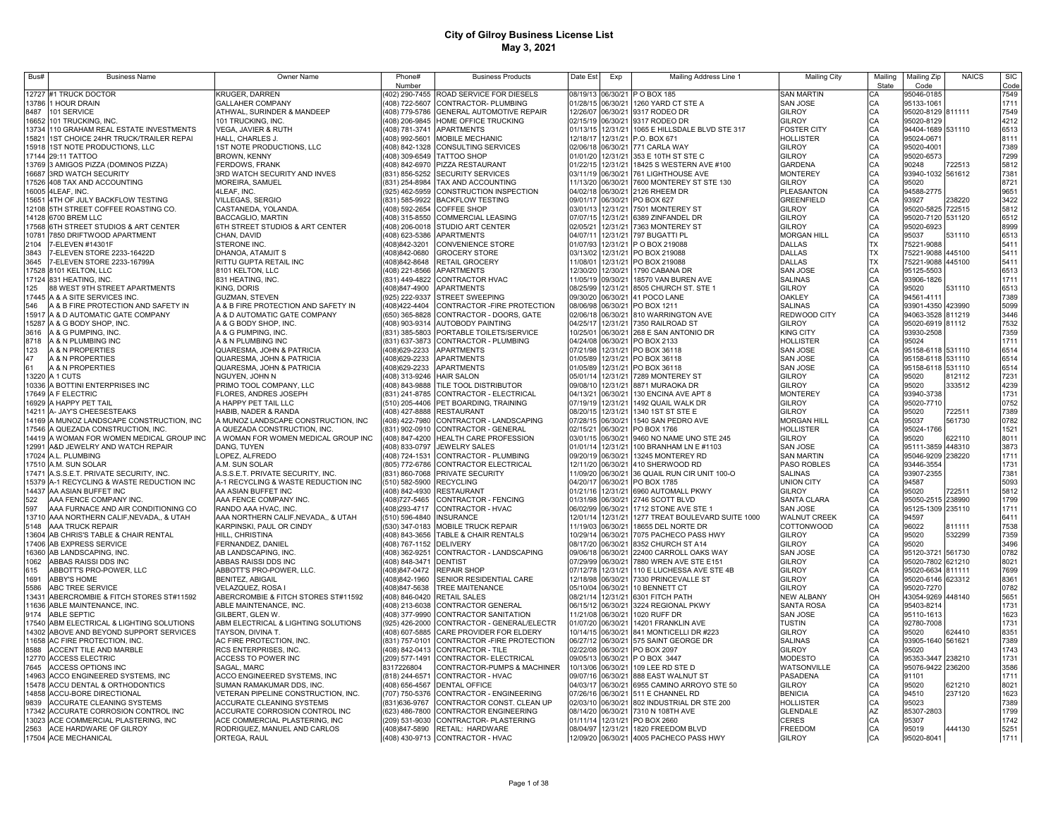| Bus#           | <b>Business Name</b>                                                     | Owner Name                                                               | Phone#                                     | <b>Business Products</b>                                                       | Date Est             | Exp                  | Mailing Address Line 1                         | <b>Mailing City</b>                 | Mailinc   | Mailing Zip                            | <b>NAICS</b> | <b>SIC</b>   |
|----------------|--------------------------------------------------------------------------|--------------------------------------------------------------------------|--------------------------------------------|--------------------------------------------------------------------------------|----------------------|----------------------|------------------------------------------------|-------------------------------------|-----------|----------------------------------------|--------------|--------------|
|                |                                                                          |                                                                          | Number                                     |                                                                                |                      |                      |                                                |                                     | State     | Code                                   |              | Code         |
| 13786          | 12727 #1 TRUCK DOCTOR<br>1 HOUR DRAIN                                    | KRUGER, DARREN<br><b>GALLAHER COMPANY</b>                                |                                            | (402) 290-7455 ROAD SERVICE FOR DIESELS<br>(408) 722-5607 CONTRACTOR- PLUMBING | 08/19/13<br>01/28/15 | 06/30/21             | P O BOX 185<br>06/30/21 1260 YARD CT STE A     | SAN MARTIN<br>SAN JOSE              | СA        | 95046-0185<br>95133-1061               |              | 7549<br>1711 |
| 8487           | 101 SERVICE                                                              | ATHWAL, SURINDER & MANDEEP                                               |                                            | (408) 779-5786 GENERAL AUTOMOTIVE REPAIR                                       | 12/26/07             |                      | 06/30/21 9317 RODEO DR                         | <b>GILROY</b>                       | СA        | 95020-8129 811111                      |              | 7549         |
| 16652          | 101 TRUCKING, INC.                                                       | 101 TRUCKING, INC.                                                       |                                            | (408) 206-9845 HOME OFFICE TRUCKING                                            | 02/15/19             | 06/30/21             | 9317 RODEO DR                                  | <b>GILROY</b>                       | CA<br>CA  | 95020-8129                             |              | 4212         |
| 13734          | 110 GRAHAM REAL ESTATE INVESTMENTS                                       | VEGA, JAVIER & RUTH                                                      |                                            | (408) 781-3741 APARTMENTS                                                      | 01/13/15             | 12/31/21             | 1065 E HILLSDALE BLVD STE 317                  | <b>FOSTER CITY</b>                  | CA        | 94404-1689 531110                      |              | 6513         |
| 15821          | <b>IST CHOICE 24HR TRUCK/TRAILER REPAI</b>                               | HALL, CHARLES J.                                                         |                                            | (408) 992-5601 MOBILE MECHANIC                                                 | 12/18/17             | 12/31/21             | P.O. BOX 671                                   | HOLLISTER                           | CA        | 95024-0671                             |              | 8111         |
| 15918          | 1ST NOTE PRODUCTIONS, LLC                                                | 1ST NOTE PRODUCTIONS, LLC                                                |                                            | (408) 842-1328 CONSULTING SERVICES                                             | 02/06/18             | 06/30/21             | 771 CARLA WAY                                  | GILROY                              | CA        | 95020-4001                             |              | 7389         |
| 17144          | 29:11 TATTOO                                                             | <b>BROWN, KENNY</b>                                                      |                                            | (408) 309-6549 TATTOO SHOP                                                     | 01/01/20             | 12/31/21             | 353 E 10TH ST STE C                            | GILROY                              | CA        | 95020-6573                             |              | 7299         |
| 13769          | 3 AMIGOS PIZZA (DOMINOS PIZZA)                                           | FERDOWS, FRANK                                                           |                                            | (408) 842-6970 PIZZA RESTAURANT                                                | 01/22/15             | 12/31/21             | 18425 S WESTERN AVE #100                       | GARDENA                             | CA        | 90248                                  | 722513       | 5812         |
| 16687          | <b>3RD WATCH SECURITY</b>                                                | 3RD WATCH SECURITY AND INVES                                             |                                            | (831) 856-5252 SECURITY SERVICES                                               | 03/11/19             | 06/30/21             | 761 LIGHTHOUSE AVE                             | <b>MONTEREY</b>                     | CA        | 93940-1032 561612                      |              | 7381         |
| 17526          | 408 TAX AND ACCOUNTING                                                   | MOREIRA, SAMUEL                                                          | (831) 254-8984                             | TAX AND ACCOUNTING                                                             | 11/13/20             | 06/30/21             | 7600 MONTEREY ST STE 130                       | <b>GILROY</b>                       | CA        | 95020                                  |              | 8721         |
| 16005          | 4LEAF. INC.                                                              | 4LEAF, INC.                                                              | (925) 462-5959                             | CONSTRUCTION INSPECTION                                                        | 04/02/18             | 06/30/21             | 2126 RHEEM DR                                  | <b>PLEASANTON</b>                   | CA        | 94588-2775                             |              | 9651         |
| 15651          | 4TH OF JULY BACKFLOW TESTING                                             | VILLEGAS, SERGIO                                                         |                                            | (831) 585-9922 BACKFLOW TESTING                                                | 09/01/17             | 06/30/21             | PO BOX 627                                     | GREENFIELD                          |           | 93927                                  | 38220        | 3422         |
| 12108          | 5TH STREET COFFEE ROASTING CO.                                           | CASTANEDA, YOLANDA.                                                      | (408) 592-2654                             | <b>COFFEE SHOP</b>                                                             | 03/01/13             | 12/31/21             | 7501 MONTEREY ST                               | <b>GILROY</b>                       |           | 95020-5825                             | 722515       | 5812         |
| 14128          | 6700 BREM LLC                                                            | BACCAGLIO, MARTIN                                                        | (408) 315-8550                             | <b>COMMERCIAL LEASING</b><br>(408) 206-0018 STUDIO ART CENTER                  | 07/07/15<br>02/05/21 | 12/31/21<br>12/31/21 | 6389 ZINFANDEL DR<br>7363 MONTEREY ST          | <b>GILROY</b><br><b>GILROY</b>      | CA        | 95020-7120<br>95020-6923               | 531120       | 6512         |
| 17568<br>10781 | TH STREET STUDIOS & ART CENTER<br>7850 DRIFTWOOD APARTMENT               | 6TH STREET STUDIOS & ART CENTER<br>CHAN, DAVID                           |                                            | (408) 623-5386 APARTMENTS                                                      | 04/07/11             | 12/31/21             | 797 BUGATTI PL                                 | <b>MORGAN HILL</b>                  |           | 95037                                  | 531110       | 8999<br>6513 |
| 2104           | -ELEVEN #14301F                                                          | STERONE INC.                                                             | (408)842-3201                              | <b>CONVENIENCE STORE</b>                                                       | 01/07/93             | 12/31/21             | P O BOX 219088                                 | DALLAS                              | TX        | 75221-9088                             |              | 5411         |
| 3843           | -ELEVEN STORE 2233-16422D                                                | DHANOA, ATAMJIT S                                                        | (408)842-0680                              | <b>GROCERY STORE</b>                                                           | 03/13/02             | 12/31/21             | PO BOX 219088                                  | <b>DALLAS</b>                       | <b>TX</b> | 75221-9088                             | 445100       | 5411         |
| 3645           | -ELEVEN STORE 2233-16799A                                                | RITTU GUPTA RETAIL INC                                                   | (408)842-8648                              | <b>RETAIL GROCERY</b>                                                          | 11/08/01             | 12/31/21             | PO BOX 219088                                  | DALLAS                              | <b>TX</b> | 75221-9088                             | 445100       | 5411         |
| 17528          | 8101 KELTON, LLC                                                         | 8101 KELTON, LLC                                                         | 408) 221-8566                              | <b>APARTMENTS</b>                                                              | 12/30/20             | 12/30/21             | 1790 CABANA DR                                 | SAN JOSE                            | CA        | 95125-5503                             |              | 6513         |
| 17124          | 831 HEATING, INC.                                                        | 831 HEATING, INC.                                                        | (831) 449-4822                             | <b>CONTRACTOR HVAC</b>                                                         | 11/05/19             | 09/30/21             | 18570 VAN BUREN AVE                            | <b>SALINAS</b>                      | CA        | 93906-1826                             |              | 1711         |
| 125            | <b>88 WEST 9TH STREET APARTMENTS</b>                                     | KING, DORIS                                                              | (408)847-4900                              | <b>APARTMENTS</b>                                                              | 08/25/99             | 12/31/21             | 8505 CHURCH ST. STE 1                          | GILROY                              | CA        | 95020                                  | 531110       | 6513         |
|                | 17445 A & A SITE SERVICES INC.                                           | <b>GUZMAN, STEVEN</b>                                                    | (925) 222-9337                             | <b>STREET SWEEPING</b>                                                         | 09/30/20             | 06/30/21             | 41 POCO LANE                                   | <b>OAKLEY</b>                       | CA        | 94561-4111                             |              | 7389         |
| 546            | A & B FIRE PROTECTION AND SAFETY IN                                      | A & B FIRE PROTECTION AND SAFETY IN                                      | (408)422-4404                              | CONTRACTOR - FIRE PROTECTION                                                   | 08/06/98             | 06/30/21             | PO BOX 1211                                    | <b>SALINAS</b>                      | CA        | 93901-4350                             | 423990       | 5099         |
|                | 15917 A & D AUTOMATIC GATE COMPANY                                       | A & D AUTOMATIC GATE COMPANY                                             |                                            | (650) 365-8828 CONTRACTOR - DOORS. GATE                                        | 02/06/18             | 06/30/21             | 810 WARRINGTON AVE                             | REDWOOD CITY                        | CA        | 94063-3528 811219                      |              | 3446         |
|                | 15287 A & G BODY SHOP, INC.                                              | A & G BODY SHOP, INC.                                                    |                                            | (408) 903-9314 AUTOBODY PAINTING                                               | 04/25/17             | 12/31/21             | 7350 RAILROAD ST                               | GILROY                              | CA        | 95020-6919 81112                       |              | 7532         |
| 3616           | A & G PUMPING, INC.                                                      | A & G PUMPING, INC.                                                      |                                            | (831) 385-5803 PORTABLE TOILETS/SERVICE                                        | 10/25/01             | 06/30/21             | 268 E SAN ANTONIO DR                           | <b>KING CITY</b>                    | CA        | 93930-2508                             |              | 7359         |
| 8718           | A & N PLUMBING INC                                                       | A & N PLUMBING INC                                                       |                                            | (831) 637-3873 CONTRACTOR - PLUMBING                                           | 04/24/08<br>07/21/98 |                      | 06/30/21 PO BOX 2133                           | <b>HOLLISTER</b>                    | CA        | 95024                                  |              | 1711         |
| 123<br>47      | A & N PROPERTIES<br>A & N PROPERTIES                                     | QUARESMA, JOHN & PATRICIA                                                |                                            | (408)629-2233 APARTMENTS                                                       | 01/05/89             |                      | 12/31/21 PO BOX 36118<br>12/31/21 PO BOX 36118 | SAN JOSE<br>SAN JOSE                | CA        | 95158-6118 531110                      |              | 6514<br>6514 |
| 61             | A & N PROPERTIES                                                         | QUARESMA, JOHN & PATRICIA<br>QUARESMA, JOHN & PATRICIA                   |                                            | 408)629-2233 APARTMENTS<br>(408)629-2233 APARTMENTS                            | 01/05/89             |                      | 12/31/21 PO BOX 36118                          | SAN JOSE                            | CA<br>CA  | 95158-6118 531110<br>95158-6118 531110 |              | 6514         |
|                | 13220 A 1 CUTS                                                           | NGUYEN, JOHN N                                                           | (408) 313-9246 HAIR SALON                  |                                                                                | 05/01/14             |                      | 12/31/21 7289 MONTEREY ST                      | <b>GILROY</b>                       | CA        | 95020                                  | 812112       | 7231         |
|                | 10336 A BOTTINI ENTERPRISES INC                                          | PRIMO TOOL COMPANY, LLC                                                  |                                            | (408) 843-9888 TILE TOOL DISTRIBUTOR                                           | 09/08/10             |                      | 12/31/21 8871 MURAOKA DR                       | GILROY                              | CA        | 95020                                  | 333512       | 4239         |
|                | 17649 A F ELECTRIC                                                       | FLORES, ANDRES JOSEPH                                                    |                                            | (831) 241-8785 CONTRACTOR - ELECTRICAL                                         | 04/13/21             |                      | 06/30/21 130 ENCINA AVE APT 8                  | <b>MONTEREY</b>                     |           | 93940-3738                             |              | 1731         |
|                | 16929 A HAPPY PET TAIL                                                   | A HAPPY PET TAIL LLC                                                     |                                            | (510) 205-4406 PET BOARDING, TRAINING                                          | 07/19/19             |                      | 12/31/21 1492 QUAIL WALK DR                    | <b>GILROY</b>                       |           | 95020-7710                             |              | 0752         |
| 14211          | A- JAY'S CHEESESTEAKS                                                    | HABIB, NADER & RANDA                                                     |                                            | (408) 427-8888 RESTAURANT                                                      | 08/20/15             | 12/31/21             | 1340 1ST ST STE E                              | GILROY                              |           | 95020                                  | 722511       | 7389         |
|                | 4169 A MUNOZ LANDSCAPE CONSTRUCTION, INC                                 | A MUNOZ LANDSCAPE CONSTRUCTION, INC                                      |                                            | (408) 422-7980 CONTRACTOR - LANDSCAPING                                        | 07/28/15             | 06/30/21             | 1540 SAN PEDRO AVE                             | <b>MORGAN HILL</b>                  |           | 95037                                  | 561730       | 0782         |
| 17546          | A QUEZADA CONSTRUCTION. INC.                                             | A QUEZADA CONSTRUCTION. INC.                                             |                                            | 831) 902-0910 CONTRACTOR - GENERAL                                             | 02/15/21             | 06/30/21             | PO BOX 1766                                    | <b>HOLLISTER</b>                    | CA        | 95024-1766                             |              | 1521         |
| 14419          | A WOMAN FOR WOMEN MEDICAL GROUP INC                                      | A WOMAN FOR WOMEN MEDICAL GROUP INC                                      |                                            | (408) 847-4200 HEALTH CARE PROFESSION                                          | 03/01/15             | 06/30/21             | 9460 NO NAME UNO STE 245                       | GILROY                              | CA        | 95020                                  | 322110       | 8011         |
| 12991          | A&D JEWELRY AND WATCH REPAIR                                             | DANG. TUYEN                                                              |                                            | (408) 833-0797 JEWELRY SALES                                                   | 01/01/14             | 12/31/21             | 100 BRANHAM LN E #1103                         | SAN JOSE                            | CA        | 95111-3859                             | 448310       | 3873         |
| 17024          | A.L. PLUMBING                                                            | LOPEZ, ALFREDO                                                           |                                            | (408) 724-1531 CONTRACTOR - PLUMBING                                           | 09/20/19             | 06/30/21             | 13245 MONTEREY RD                              | <b>SAN MARTIN</b>                   | CA        | 95046-9209                             | 238220       | 1711         |
| 17510          | A.M. SUN SOLAR                                                           | A.M. SUN SOLAR                                                           |                                            | (805) 772-6786 CONTRACTOR ELECTRICAL                                           | 12/11/20             | 06/30/21             | 410 SHERWOOD RD                                | PASO ROBLES                         | CA        | 93446-3554                             |              | 1731         |
| 17471<br>15379 | A.S.S.E.T. PRIVATE SECURITY, INC.<br>A-1 RECYCLING & WASTE REDUCTION INC | A.S.S.E.T. PRIVATE SECURITY, INC.<br>A-1 RECYCLING & WASTE REDUCTION INC | (831) 860-7068<br>(510) 582-5900 RECYCLING | PRIVATE SECURITY                                                               | 11/09/20<br>04/20/17 | 06/30/21<br>06/30/21 | 36 QUAIL RUN CIR UNIT 100-O<br>PO BOX 1785     | <b>SALINAS</b><br>UNION CITY        | CA        | 93907-2355<br>94587                    |              | 7381<br>5093 |
| 14437          | AA ASIAN BUFFET INC                                                      | AA ASIAN BUFFET INC                                                      | (408) 842-4930                             | <b>RESTAURANT</b>                                                              | 01/21/16             | 12/31/21             | 6960 AUTOMALL PKWY                             | GILROY                              |           | 95020                                  | 722511       | 5812         |
| 522            | AAA FENCE COMPANY INC                                                    | AAA FENCE COMPANY INC                                                    | (408) 727-5465                             | CONTRACTOR - FENCING                                                           | 01/31/98             | 06/30/21             | 2746 SCOTT BLVD                                | SANTA CLARA                         | CA        | 95050-2515 238990                      |              | 1799         |
| 597            | AAA FURNACE AND AIR CONDITIONING CO                                      | RANDO AAA HVAC, INC                                                      | (408)293-4717                              | CONTRACTOR - HVAC                                                              | 06/02/99             | 06/30/21             | 1712 STONE AVE STE 1                           | SAN JOSE                            | CA        | 95125-1309 235110                      |              | 1711         |
| 13710          | AAA NORTHERN CALIF,NEVADA,, & UTAH                                       | AAA NORTHERN CALIF, NEVADA,, & UTAH                                      | (510) 596-4840                             | <b>INSURANCE</b>                                                               | 12/01/14             | 12/31/21             | 1277 TREAT BOULEVARD SUITE 1000                | <b>WALNUT CREEK</b>                 | CA        | 94597                                  |              | 6411         |
| 5148           | AAA TRUCK REPAIR                                                         | KARPINSKI, PAUL OR CINDY                                                 | (530) 347-0183                             | <b>MOBILE TRUCK REPAIR</b>                                                     | 11/19/03             | 06/30/21             | 18655 DEL NORTE DR                             | <b>COTTONWOOD</b>                   | CA        | 96022                                  | 811111       | 7538         |
| 13604          | AB CHRIS'S TABLE & CHAIR RENTAL                                          | HILL, CHRISTINA                                                          | (408) 843-3656                             | TABLE & CHAIR RENTALS                                                          | 10/29/14             | 06/30/21             | 7075 PACHECO PASS HWY                          | <b>GILROY</b>                       | CA        | 95020                                  | 532299       | 7359         |
| 17406          | AB EXPRESS SERVICE                                                       | FERNANDEZ, DANIEL                                                        | (408) 767-1152                             | <b>DELIVERY</b>                                                                | 08/17/20             | 06/30/21             | 8352 CHURCH ST A14                             | <b>GILROY</b>                       | CA        | 95020                                  |              | 3496         |
| 16360          | AB LANDSCAPING. INC                                                      | AB LANDSCAPING, INC.                                                     | (408) 362-9251                             | CONTRACTOR - LANDSCAPING                                                       | 09/06/18             | 06/30/21             | 22400 CARROLL OAKS WAY                         | <b>SAN JOSE</b>                     | CA        | 95120-3721 561730                      |              | 0782         |
| 1062           | ABBAS RAISSI DDS INC                                                     | ABBAS RAISSI DDS INC                                                     | (408) 848-3471 DENTIST                     |                                                                                | 07/29/99             | 06/30/21             | 7880 WREN AVE STE E151                         | <b>GILROY</b>                       | CA        | 95020-7802 621210                      |              | 8021         |
| 615            | ABBOTT'S PRO-POWER, LLC                                                  | ABBOTT'S PRO-POWER, LLC.                                                 | (408) 847-0472                             | <b>REPAIR SHOP</b>                                                             | 07/12/78             | 12/31/21             | 110 E LUCHESSA AVE STE 4B                      | <b>GILROY</b>                       | CA        | 95020-6634 811111                      |              | 7699         |
| 1691<br>5586   | <b>ABBY'S HOME</b><br>ABC TREE SERVICE                                   | <b>BENITEZ, ABIGAIL</b><br>VELAZQUEZ, ROSA I                             | (408)842-1960<br>(408)847-5638             | SENIOR RESIDENTIAL CARE<br>TREE MAITENANCE                                     | 12/18/98<br>05/10/04 | 06/30/21<br>06/30/21 | 7330 PRINCEVALLE ST<br>10 BENNETT CT           | <b>GILROY</b><br>GILROY             | CA<br>CA  | 95020-6146 623312<br>95020-7270        |              | 8361<br>0782 |
| 13431          | ABERCROMBIE & FITCH STORES ST#11592                                      | ABERCROMBIE & FITCH STORES ST#11592                                      |                                            | (408) 846-0420 RETAIL SALES                                                    | 08/21/14             |                      | 12/31/21 6301 FITCH PATH                       | <b>NEW ALBANY</b>                   | OH        | 43054-9269 448140                      |              | 5651         |
| 11636          | ABLE MAINTENANCE, INC.                                                   | ABLE MAINTENANCE, INC.                                                   | (408) 213-6038                             | CONTRACTOR GENERAL                                                             | 06/15/12             | 06/30/21             | 3224 REGIONAL PKWY                             | SANTA ROSA                          | CA        | 95403-8214                             |              | 1731         |
| 9174           | ABLE SEPTIC                                                              | GILBERT, GLEN W.                                                         | (408) 377-9990                             | CONTRACTOR SANITATION                                                          | 11/21/08             | 06/30/21             | 1020 RUFF DR                                   | SAN JOSE                            | CA        | 95110-1613                             |              | 1623         |
| 17540          | ABM ELECTRICAL & LIGHTING SOLUTIONS                                      | ABM ELECTRICAL & LIGHTING SOLUTIONS                                      |                                            | (925) 426-2000 CONTRACTOR - GENERAL/ELECTR                                     | 01/07/20             |                      | 06/30/21 14201 FRANKLIN AVE                    | <b>TUSTIN</b>                       | CA        | 92780-7008                             |              | 1731         |
| 14302          | ABOVE AND BEYOND SUPPORT SERVICES                                        | TAYSON, DIVINA T.                                                        |                                            | (408) 607-5885 CARE PROVIDER FOR ELDERY                                        | 10/14/15             | 06/30/21             | 841 MONTICELLI DR #223                         | <b>GILROY</b>                       | CA        | 95020                                  | 624410       | 8351         |
|                | 1658 AC FIRE PROTECTION, INC.                                            | AC FIRE PROTECTION, INC.                                                 |                                            | (831) 757-0101 CONTRACTOR - FIRE PROTECTION                                    | 06/27/12             | 06/30/21             | 575 SAINT GEORGE DR                            | <b>SALINAS</b>                      | CA        | 93905-1640 561621                      |              | 7389         |
| 8588           | ACCENT TILE AND MARBLE                                                   | RCS ENTERPRISES, INC.                                                    |                                            | (408) 842-0413 CONTRACTOR - TILE                                               | 02/22/08             | 06/30/21             | PO BOX 2097                                    | <b>GILROY</b>                       | CA        | 95020                                  |              | 1743         |
|                | 12770 ACCESS ELECTRIC                                                    | ACCESS TO POWER INC                                                      |                                            | (209) 577-1491 CONTRACTOR- ELECTRICAL                                          | 09/05/13             | 06/30/21             | P O BOX 3447                                   | <b>MODESTO</b>                      | CA        | 95353-3447                             | 238210       | 1731         |
| 7645           | <b>ACCESS OPTIONS INC</b>                                                | SAGAL, MARC                                                              | 8317226804                                 | CONTRACTOR-PUMPS & MACHINER                                                    | 10/13/06             | 06/30/21             | 109 LEE RD STE D                               | WATSONVILLE                         | CA        | 95076-9422 236200                      |              | 3586         |
| 14963          | ACCO ENGINEERED SYSTEMS, INC                                             | ACCO ENGINEERED SYSTEMS, INC                                             |                                            | (818) 244-6571 CONTRACTOR - HVAC                                               | 09/07/16             | 06/30/21             | 888 EAST WALNUT ST                             | PASADENA                            | CA        | 91101                                  |              | 1711         |
| 15478          | ACCU DENTAL & ORTHODONTICS                                               | SUMAN RAMAKUMAR DDS, INC                                                 |                                            | (408) 656-4567 DENTAL OFFICE                                                   | 04/03/17             | 06/30/21             | 6955 CAMINO ARROYO STE 50                      | <b>GILROY</b>                       | CA        | 95020                                  | 621210       | 8021         |
| 14858<br>9839  | ACCU-BORE DIRECTIONAL                                                    | VETERAN PIPELINE CONSTRUCTION, INC.                                      | (707) 750-5376                             | CONTRACTOR - ENGINEERING                                                       | 07/26/16<br>02/03/10 | 06/30/21             | 511 E CHANNEL RD                               | <b>BENICIA</b>                      |           | 94510                                  | 237120       | 1623         |
| 17342          | ACCURATE CLEANING SYSTEMS<br>ACCURATE CORROSION CONTROL INC              | ACCURATE CLEANING SYSTEMS<br>ACCURATE CORROSION CONTROL INC              | (831) 636-9767<br>(623) 486-7800           | CONTRACTOR CONST. CLEAN UP<br><b>CONTRACTOR ENGINEERING</b>                    | 08/14/20             | 06/30/21<br>06/30/21 | 802 INDUSTRIAL DR STE 200<br>7310 N 108TH AVE  | <b>HOLLISTER</b><br><b>GLENDALE</b> |           | 95023<br>85307-2803                    |              | 7389<br>1799 |
| 13023          | ACE COMMERCIAL PLASTERING, INC                                           | ACE COMMERCIAL PLASTERING, INC                                           |                                            | (209) 531-9030 CONTRACTOR- PLASTERING                                          | 01/11/14             | 12/31/21             | PO BOX 2660                                    | CERES                               | AZ<br>CA  | 95307                                  |              | 1742         |
| 2563           | ACE HARDWARE OF GILROY                                                   | RODRIGUEZ, MANUEL AND CARLOS                                             |                                            | (408)847-5890 RETAIL: HARDWARE                                                 | 08/04/97             |                      | 12/31/21 1820 FREEDOM BLVD                     | <b>FREEDOM</b>                      | CA        | 95019                                  | 444130       | 5251         |
|                | 17504 ACE MECHANICAL                                                     | ORTEGA, RAUL                                                             |                                            | (408) 430-9713 CONTRACTOR - HVAC                                               |                      |                      | 12/09/20 06/30/21 4005 PACHECO PASS HWY        | <b>GILROY</b>                       | CA        | 95020-8041                             |              | 1711         |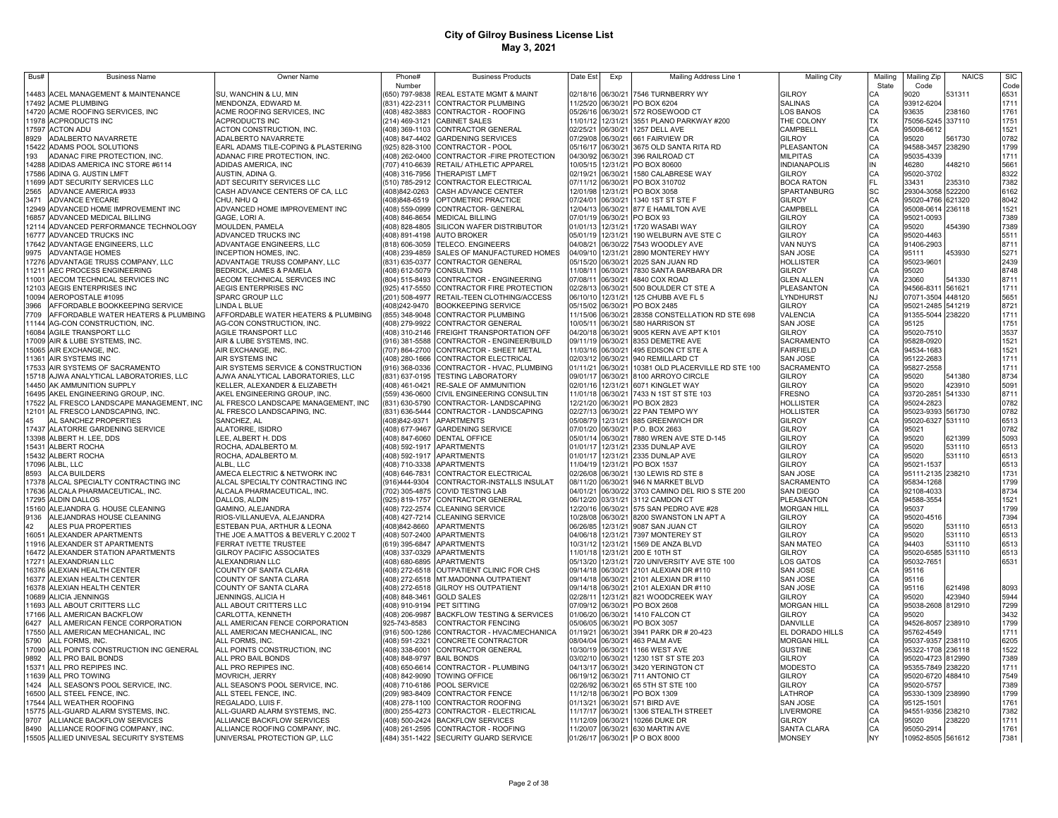| Bus#           | <b>Business Name</b>                                                       | Owner Name                                                              | Phone#                          | <b>Business Products</b>                                                       | Date Est             | Exp                  | Mailing Address Line 1                                                            | <b>Mailing City</b>                | Mailing   | Mailing Zip                     | <b>NAICS</b>     | SIC                          |
|----------------|----------------------------------------------------------------------------|-------------------------------------------------------------------------|---------------------------------|--------------------------------------------------------------------------------|----------------------|----------------------|-----------------------------------------------------------------------------------|------------------------------------|-----------|---------------------------------|------------------|------------------------------|
|                |                                                                            |                                                                         | Number                          |                                                                                |                      |                      |                                                                                   |                                    | State     | Code                            |                  | Code                         |
|                | 14483 ACEL MANAGEMENT & MAINTENANCE                                        | SU, WANCHIN & LU, MIN                                                   |                                 | 650) 797-9838 REAL ESTATE MGMT & MAINT                                         |                      |                      | 02/18/16 06/30/21 7546 TURNBERRY WY                                               | <b>GILROY</b>                      | CА        | 9020                            | 531311           | 6531                         |
|                | 17492 ACME PLUMBING                                                        | MENDONZA, EDWARD M                                                      |                                 | (831) 422-2311 CONTRACTOR PLUMBING                                             |                      |                      | 11/25/20 06/30/21 PO BOX 6204                                                     | <b>SALINAS</b>                     | CA        | 93912-6204                      |                  | 1711                         |
|                | 14720 ACME ROOFING SERVICES, INC                                           | ACME ROOFING SERVICES, INC                                              |                                 | (408) 482-3883 CONTRACTOR - ROOFING                                            |                      |                      | 05/26/16 06/30/21 572 ROSEWOOD CT                                                 | <b>LOS BANOS</b>                   | CA        | 93635                           | 238160           | 1761                         |
|                | 11978 ACPRODUCTS INC                                                       | ACPRODUCTS INC                                                          |                                 | (214) 469-3121 CABINET SALES                                                   | 11/01/12             |                      | 12/31/21 3551 PLANO PARKWAY #200                                                  | THE COLONY<br>CAMPBELL             | <b>TX</b> | 75056-5245 337110               |                  | 1751                         |
| 8929           | 17597 ACTON ADU<br>ADALBERTO NAVARRETE                                     | ACTON CONSTRUCTION, INC.<br>ADALBERTO NAVARRETE                         |                                 | (408) 369-1103 CONTRACTOR GENERAL<br>(408) 847-4402 GARDENING SERVICES         | 02/25/21<br>07/29/08 |                      | 06/30/21 1257 DELL AVE<br>06/30/21 661 FAIRVIEW DR                                | <b>GILROY</b>                      | CA<br>CA  | 95008-6612<br>95020             | 561730           | 1521<br>0782                 |
| 15422          | ADAMS POOL SOLUTIONS                                                       | EARL ADAMS TILE-COPING & PLASTERING                                     |                                 | (925) 828-3100 CONTRACTOR - POOL                                               | 05/16/17             |                      | 06/30/21 3675 OLD SANTA RITA RD                                                   | PLEASANTON                         | CA        | 94588-3457 238290               |                  | 1799                         |
| 193            | ADANAC FIRE PROTECTION, INC.                                               | ADANAC FIRE PROTECTION, INC.                                            |                                 | (408) 262-0400 CONTRACTOR - FIRE PROTECTION                                    | 04/30/92             |                      | 06/30/21 396 RAILROAD CT                                                          | <b>MILPITAS</b>                    | CA        | 95035-4339                      |                  | 1711                         |
| 14288          | ADIDAS AMERICA INC STORE #6114                                             | ADIDAS AMERICA, INC                                                     |                                 | (707) 410-6639 RETAIL/ ATHLETIC APPAREL                                        | 10/05/15             |                      | 12/31/21 PO BOX 80600                                                             | <b>INDIANAPOLIS</b>                | IN        | 46280                           | 448210           | 5661                         |
| 17586          | ADINA G. AUSTIN LMFT                                                       | AUSTIN, ADINA G.                                                        |                                 | (408) 316-7956 THERAPIST LMFT                                                  | 02/19/21             | 06/30/21             | 1580 CALABRESE WAY                                                                | <b>GILROY</b>                      | CA        | 95020-3702                      |                  | 8322                         |
| 11699          | ADT SECURITY SERVICES LLC                                                  | ADT SECURITY SERVICES LLC                                               | (510) 785-2912                  | CONTRACTOR ELECTRICAL                                                          | 07/11/12             | 06/30/21             | PO BOX 310702                                                                     | <b>BOCA RATON</b>                  | FL        | 33431                           | 235310           | 7382                         |
| 2565           | ADVANCE AMERICA #933                                                       | CASH ADVANCE CENTERS OF CA, LLC                                         | (408)842-0263                   | CASH ADVANCE CENTER                                                            | 12/01/98             | 12/31/21             | PO BOX 3058                                                                       | SPARTANBURG                        | SC        | 29304-3058 522200               |                  | 6162                         |
| 3471           | <b>ADVANCE EYECARE</b>                                                     | CHU, NHU Q                                                              | 408)848-6519                    | OPTOMETRIC PRACTICE                                                            | 07/24/01             | 06/30/21             | 1340 1ST ST STE F                                                                 | GILROY                             | CA        | 95020-4766 621320               |                  | 8042                         |
| 12949          | ADVANCED HOME IMPROVEMENT INC                                              | ADVANCED HOME IMPROVEMENT INC                                           | (408) 559-0999                  | CONTRACTOR- GENERAL                                                            | 12/04/13             | 06/30/21             | 877 E HAMILTON AVE                                                                | CAMPBELL                           | CA        | 95008-0614 236118               |                  | 1521                         |
| 16857          | ADVANCED MEDICAL BILLING                                                   | GAGE, LORI A.                                                           |                                 | (408) 846-8654 MEDICAL BILLING                                                 | 07/01/19             | 06/30/21             | PO BOX 93                                                                         | GILROY                             | CA        | 95021-0093                      |                  | 7389                         |
| 12114          | ADVANCED PERFORMANCE TECHNOLOGY                                            | MOULDEN, PAMELA                                                         |                                 | (408) 828-4805 SILICON WAFER DISTRIBUTOR                                       | 01/01/13             | 12/31/21             | 1720 WASABI WAY                                                                   | GILROY                             | CA        | 95020                           | 454390           | 7389                         |
| 16777          | ADVANCED TRUCKS INC                                                        | ADVANCED TRUCKS INC                                                     |                                 | (408) 891-4198 AUTO BROKER                                                     | 05/01/19             | 12/31/21             | 190 WELBURN AVE STE C                                                             | GILROY                             | CA        | 95020-4463                      |                  | 5511                         |
| 17642<br>9975  | ADVANTAGE ENGINEERS, LLC<br><b>ADVANTAGE HOMES</b>                         | ADVANTAGE ENGINEERS, LLC<br>INCEPTION HOMES, INC.                       |                                 | (818) 606-3059 TELECO. ENGINEERS<br>(408) 239-4859 SALES OF MANUFACTURED HOMES | 04/08/21<br>04/09/10 | 06/30/22<br>12/31/21 | 7543 WOODLEY AVE<br>2890 MONTEREY HWY                                             | VAN NUYS<br><b>SAN JOSE</b>        | CA<br>CA  | 91406-2903<br>95111             | 453930           | 8711<br>5271                 |
|                | 17276 ADVANTAGE TRUSS COMPANY, LLC                                         | ADVANTAGE TRUSS COMPANY, LLC                                            |                                 | (831) 635-0377 CONTRACTOR GENERAL                                              | 05/15/20             | 06/30/21             | 2025 SAN JUAN RD                                                                  | HOLLISTER                          | CA        | 95023-9601                      |                  | 2439                         |
| 11211          | AEC PROCESS ENGINEERING                                                    | BEDRICK, JAMES & PAMELA                                                 |                                 | (408) 612-5079 CONSULTING                                                      | 11/08/11             | 06/30/21             | 7830 SANTA BARBARA DR                                                             | <b>GILROY</b>                      | CA        | 95020                           |                  | 8748                         |
| 11001          | AECOM TECHNICAL SERVICES INC                                               | AECOM TECHNICAL SERVICES INC                                            |                                 | (804) 515-8493 CONTRACTOR - ENGINEERING                                        | 07/08/11             | 06/30/21             | 4840 COX ROAD                                                                     | <b>GLEN ALLEN</b>                  | VA        | 23060                           | 541330           | 8711                         |
|                | 12103 AEGIS ENTERPRISES INC                                                | AEGIS ENTERPRISES INC                                                   |                                 | (925) 417-5550 CONTRACTOR FIRE PROTECTION                                      | 02/28/13             | 06/30/21             | 500 BOULDER CT STE A                                                              | PLEASANTON                         | CA        | 94566-8311 561621               |                  | 1711                         |
| 10094          | AEROPOSTALE #1095                                                          | <b>SPARC GROUP LLC</b>                                                  |                                 | (201) 508-4977 RETAIL-TEEN CLOTHING/ACCESS                                     | 06/10/10             | 12/31/21             | 125 CHUBB AVE FL 5                                                                | LYNDHURST                          | <b>NJ</b> | 07071-3504 448120               |                  | 5651                         |
| 3966           | AFFORDABLE BOOKKEEPING SERVICE                                             | LINDA L BLUE                                                            |                                 | (408)242-9470 BOOKKEEPING SERVICE                                              | 05/15/02 06/30/21    |                      | PO BOX 2485                                                                       | <b>GILROY</b>                      | CA        | 95021-2485 541219               |                  | 8721                         |
| 7709           | AFFORDABLE WATER HEATERS & PLUMBING                                        | AFFORDABLE WATER HEATERS & PLUMBING                                     |                                 | 855) 348-9048 CONTRACTOR PLUMBING                                              |                      | 11/15/06 06/30/21    | 28358 CONSTELLATION RD STE 698                                                    | VALENCIA                           | CA        | 91355-5044 238220               |                  | 1711<br>1751<br>3537<br>1521 |
|                | 11144 AG-CON CONSTRUCTION, INC.                                            | AG-CON CONSTRUCTION, INC.                                               |                                 | (408) 279-9922 CONTRACTOR GENERAL                                              | 10/05/11             | 06/30/21             | 580 HARRISON ST                                                                   | <b>SAN JOSE</b>                    | CA        | 95125                           |                  |                              |
|                | 16084 AGILE TRANSPORT LLC                                                  | AGILE TRANSPORT LLC                                                     |                                 | (408) 310-2146 FREIGHT TRANSPORTATION OFF                                      | 04/20/18 06/30/21    |                      | 9005 KERN AVE APT K101                                                            | <b>GILROY</b>                      | CA        | 95020-7510                      |                  |                              |
|                | 17009 AIR & LUBE SYSTEMS, INC.                                             | AIR & LUBE SYSTEMS, INC                                                 |                                 | (916) 381-5588 CONTRACTOR - ENGINEER/BUILD                                     | 09/11/19 06/30/21    |                      | 8353 DEMETRE AVE                                                                  | SACRAMENTO                         | CA        | 95828-0920                      |                  |                              |
|                | 15065 AIR EXCHANGE, INC.                                                   | AIR EXCHANGE, INC.                                                      |                                 | (707) 864-2700 CONTRACTOR - SHEET METAL                                        |                      |                      | 11/03/16 06/30/21 495 EDISON CT STE A                                             | <b>FAIRFIELD</b>                   | CA        | 94534-1683                      |                  | 1521                         |
| 11361          | <b>AIR SYSTEMS INC</b>                                                     | AIR SYSTEMS INC                                                         |                                 | (408) 280-1666 CONTRACTOR ELECTRICAL                                           |                      |                      | 02/03/12 06/30/21 940 REMILLARD CT                                                | SAN JOSE                           | CA        | 95122-2683                      |                  | 1711                         |
|                | 17533 AIR SYSTEMS OF SACRAMENTO<br>15718 AJWA ANALYTICAL LABORATORIES, LLC | AIR SYSTEMS SERVICE & CONSTRUCTION<br>AJWA ANALYTICAL LABORATORIES, LLC |                                 | (916) 368-0336 CONTRACTOR - HVAC, PLUMBING                                     | 01/11/21             |                      | 06/30/21 10381 OLD PLACERVILLE RD STE 100<br>09/01/17 06/30/21 8100 ARROYO CIRCLE | SACRAMENTO<br><b>GILROY</b>        | CA<br>CA  | 95827-2558                      |                  | 1711<br>8734                 |
|                | 14450 AK AMMUNITION SUPPLY                                                 | KELLER, ALEXANDER & ELIZABETH                                           |                                 | (831) 637-0195 TESTING LABORATORY<br>(408) 461-0421 RE-SALE OF AMMUNITION      |                      |                      | 02/01/16 12/31/21 6071 KINGLET WAY                                                | <b>GILROY</b>                      | CA        | 95020<br>95020                  | 541380<br>423910 | 5091                         |
|                | 16495 AKEL ENGINEERING GROUP, INC.                                         | AKEL ENGINEERING GROUP, INC.                                            |                                 | (559) 436-0600 CIVIL ENGINEERING CONSULTIN                                     |                      |                      | 11/01/18 06/30/21 7433 N 1ST ST STE 103                                           | <b>FRESNO</b>                      | CA        | 93720-2851 541330               |                  | 8711                         |
|                | 17522 AL FRESCO LANDSCAPE MANAGEMENT, INC                                  | AL FRESCO LANDSCAPE MANAGEMENT, INC                                     |                                 | (831) 630-5790 CONTRACTOR-LANDSCAPING                                          |                      |                      | 12/21/20 06/30/21 PO BOX 2823                                                     | <b>HOLLISTER</b>                   | CA        | 95024-2823                      |                  | 0782                         |
|                | 12101 AL FRESCO LANDSCAPING, INC.                                          | AL FRESCO LANDSCAPING, INC.                                             |                                 | (831) 636-5444 CONTRACTOR - LANDSCAPING                                        |                      |                      | 02/27/13 06/30/21 22 PAN TEMPO WY                                                 | HOLLISTER                          | CA        | 95023-9393 561730               |                  | 0782                         |
| 45             | AL SANCHEZ PROPERTIES                                                      | SANCHEZ, AL                                                             |                                 | (408)842-9371 APARTMENTS                                                       |                      |                      | 05/08/79 12/31/21 885 GREENWICH DR                                                | GILROY                             | CA        | 95020-6327 531110               |                  | 6513                         |
| 17437          | ALATORRE GARDENING SERVICE                                                 | ALATORRE, ISIDRO                                                        |                                 | 408) 677-9467 GARDENING SERVICE                                                |                      |                      | 07/01/20 06/30/21 P.O. BOX 2663                                                   | GILROY                             | CA        | 95021                           |                  | 0782                         |
|                | 13398 ALBERT H. LEE, DDS                                                   | LEE, ALBERT H. DDS                                                      |                                 | (408) 847-6060 DENTAL OFFICE                                                   |                      |                      | 05/01/14 06/30/21 7880 WREN AVE STE D-145                                         | GILROY                             | CA        | 95020                           | 621399           | 5093                         |
| 15431          | ALBERT ROCHA                                                               | ROCHA, ADALBERTO M.                                                     |                                 | 408) 592-1917 APARTMENTS                                                       | 01/01/17             | 12/31/21             | 2335 DUNLAP AVE                                                                   | GILROY                             | CA        | 95020                           | 531110           | 6513                         |
| 15432          | <b>ALBERT ROCHA</b>                                                        | ROCHA, ADALBERTO M.                                                     |                                 | 408) 592-1917 APARTMENTS                                                       | 01/01/17             |                      | 12/31/21 2335 DUNLAP AVE                                                          | <b>GILROY</b>                      | CA        | 95020                           | 531110           | 6513                         |
|                | 17096 ALBL. LLC                                                            | ALBL. LLC                                                               |                                 | (408) 710-3338 APARTMENTS                                                      | 11/04/19             |                      | 12/31/21 PO BOX 1537                                                              | GILROY                             | CA        | 95021-1537                      |                  | 6513                         |
| 8593           | ALCA BUILDERS                                                              | AMECA ELECTRIC & NETWORK INC                                            | 408) 646-7831                   | CONTRACTOR ELECTRICAL                                                          | 02/26/08             | 06/30/21             | 130 LEWIS RD STE 8                                                                | <b>SAN JOSE</b>                    | CA<br>CA  | 95111-2135 238210               |                  | 1731<br>1799                 |
| 17378          | ALCAL SPECIALTY CONTRACTING INC<br>ALCALA PHARMACEUTICAL, INC.             | ALCAL SPECIALTY CONTRACTING INC<br>ALCALA PHARMACEUTICAL, INC.          | (916)444-9304<br>(702) 305-4875 | CONTRACTOR-INSTALLS INSULAT<br><b>COVID TESTING LAB</b>                        | 08/11/20<br>04/01/21 | 06/30/21<br>06/30/22 | 946 N MARKET BLVD<br>3703 CAMINO DEL RIO S STE 200                                | SACRAMENTO<br><b>SAN DIEGO</b>     | CA        | 95834-1268<br>92108-4033        |                  | 8734                         |
| 17636<br>17295 | ALDIN DALLOS                                                               | DALLOS, ALDIN                                                           | (925) 819-1757                  | CONTRACTOR GENERAL                                                             | 06/12/20             | 03/31/21             | 3112 CAMDON CT                                                                    | PLEASANTON                         | CA        | 94588-3554                      |                  | 1521                         |
| 15160          | ALEJANDRA G. HOUSE CLEANING                                                | GAMINO, ALEJANDRA                                                       | (408) 722-2574                  | <b>CLEANING SERVICE</b>                                                        | 12/20/16             | 06/30/21             | 575 SAN PEDRO AVE #28                                                             | <b>MORGAN HILL</b>                 | CA        | 95037                           |                  | 1799                         |
| 9136           | ALEJANDRAS HOUSE CLEANING                                                  | RIOS-VILLANUEVA, ALEJANDRA                                              | (408) 427-7214                  | <b>CLEANING SERVICE</b>                                                        | 10/28/08             | 06/30/21             | 8200 SWANSTON LN APT A                                                            | <b>GILROY</b>                      | CA        | 95020-4516                      |                  | 7394                         |
| 42             | ALES PUA PROPERTIES                                                        | ESTEBAN PUA, ARTHUR & LEONA                                             | (408)842-8660                   | <b>APARTMENTS</b>                                                              | 06/26/85             | 12/31/21             | 9087 SAN JUAN CT                                                                  | <b>GILROY</b>                      | CA        | 95020                           | 531110           | 6513                         |
| 16051          | ALEXANDER APARTMENTS                                                       | THE JOE A.MATTOS & BEVERLY C.2002 T                                     |                                 | (408) 507-2400 APARTMENTS                                                      | 04/06/18             | 12/31/21             | 7397 MONTEREY ST                                                                  | <b>GILROY</b>                      | CA        | 95020                           | 531110           | 6513                         |
| 11916          | ALEXANDER ST APARTMENTS                                                    | FERRAT IVETTE TRUSTEE                                                   |                                 | (619) 395-6847 APARTMENTS                                                      | 10/31/12             | 12/31/21             | 1569 DE ANZA BLVD                                                                 | <b>SAN MATEO</b>                   | CA        | 94403                           | 531110           | 6513                         |
| 16472          | ALEXANDER STATION APARTMENTS                                               | GILROY PACIFIC ASSOCIATES                                               |                                 | (408) 337-0329 APARTMENTS                                                      | 11/01/18             | 12/31/21             | 200 E 10TH ST                                                                     | <b>GILROY</b>                      | CA        | 95020-6585 531110               |                  | 6513                         |
| 17271          | ALEXANDRIAN LLC                                                            | ALEXANDRIAN LLC                                                         |                                 | (408) 680-6895 APARTMENTS                                                      | 05/13/20             | 12/31/21             | 720 UNIVERSITY AVE STE 100                                                        | LOS GATOS                          | CA        | 95032-7651                      |                  | 6531                         |
|                | 16376 ALEXIAN HEALTH CENTER                                                | COUNTY OF SANTA CLARA                                                   |                                 | (408) 272-6518 OUTPATIENT CLINIC FOR CHS                                       | 09/14/18             | 06/30/21             | 2101 ALEXIAN DR #110                                                              | SAN JOSE                           | CA        | 95116                           |                  |                              |
| 16377          | ALEXIAN HEALTH CENTER<br>16378 ALEXIAN HEALTH CENTER                       | COUNTY OF SANTA CLARA<br>COUNTY OF SANTA CLARA                          |                                 | (408) 272-6518 MT.MADONNA OUTPATIENT<br>(408) 272-6518 GILROY HS OUTPATIENT    | 09/14/18             | 09/14/18 06/30/21    | 06/30/21 2101 ALEXIAN DR #110<br>2101 ALEXIAN DR #110                             | <b>SAN JOSE</b><br><b>SAN JOSE</b> | CA<br>CA  | 95116<br>95116                  | 621498           | 8093                         |
|                | 10689 ALICIA JENNINGS                                                      | JENNINGS, ALICIA H                                                      | (408) 848-3461 GOLD SALES       |                                                                                | 02/28/11             |                      | 12/31/21 821 WOODCREEK WAY                                                        | <b>GILROY</b>                      | CA        | 95020                           | 423940           | 5944                         |
|                | 11693 ALL ABOUT CRITTERS LLC                                               | ALL ABOUT CRITTERS LLC                                                  | (408) 910-9194 PET SITTING      |                                                                                |                      |                      | 07/09/12 06/30/21 PO BOX 2608                                                     | <b>MORGAN HILL</b>                 | CA        | 95038-2608 812910               |                  | 7299                         |
|                | 17166 ALL AMERICAN BACKFLOW                                                | CARLOTTA, KENNETH                                                       |                                 | (408) 206-9987 BACKFLOW TESTING & SERVICES                                     |                      |                      | 01/06/20 06/30/21 1410 FALCON CT                                                  | <b>GILROY</b>                      | CA        | 95020                           |                  | 3432                         |
| 6427           | ALL AMERICAN FENCE CORPORATION                                             | ALL AMERICAN FENCE CORPORATION                                          | 925-743-8583                    | <b>CONTRACTOR FENCING</b>                                                      |                      |                      | 05/06/05 06/30/21 PO BOX 3057                                                     | DANVILLE                           | CA        | 94526-8057 238910               |                  | 1799                         |
|                | 17550 ALL AMERICAN MECHANICAL, INC                                         | ALL AMERICAN MECHANICAL, INC                                            |                                 | (916) 500-1286 CONTRACTOR - HVAC/MECHANICA                                     | 01/19/21             |                      | 06/30/21 3941 PARK DR # 20-423                                                    | EL DORADO HILLS                    | CA        | 95762-4549                      |                  | 1711                         |
| 5790           | ALL FORMS, INC.                                                            | ALL FORMS, INC.                                                         |                                 | (408) 591-2321 CONCRETE CONTRACTOR                                             | 08/04/04             |                      | 06/30/21 463 PALM AVE                                                             | <b>MORGAN HILL</b>                 | CA        | 95037-9357 238110               |                  | 6205                         |
|                | 17090 ALL POINTS CONSTRUCTION INC GENERAL                                  | ALL POINTS CONSTRUCTION, INC                                            |                                 | (408) 338-6001 CONTRACTOR GENERAL                                              |                      |                      | 10/30/19 06/30/21 1166 WEST AVE                                                   | <b>GUSTINE</b>                     | CA        | 95322-1708 236118               |                  | 1522                         |
| 9892           | ALL PRO BAIL BONDS                                                         | ALL PRO BAIL BONDS                                                      | (408) 848-9797 BAIL BONDS       |                                                                                |                      |                      | 03/02/10 06/30/21 1230 1ST ST STE 203                                             | <b>GILROY</b>                      | CA        | 95020-4723 812990               |                  | 7389                         |
|                | 15371 ALL PRO REPIPES INC.                                                 | ALL PRO REPIPES INC                                                     |                                 | (408) 650-6614 CONTRACTOR - PLUMBING                                           | 04/13/17             |                      | 06/30/21 3420 YERINGTON CT                                                        | MODESTO                            | CA        | 95355-7849 238220               |                  | 1711                         |
|                | 11639 ALL PRO TOWING                                                       | MOVRICH, JERRY                                                          |                                 | (408) 842-9090 TOWING OFFICE                                                   |                      |                      | 06/19/12 06/30/21 711 ANTONIO CT                                                  | <b>GILROY</b>                      | CA        | 95020-6720 488410               |                  | 7549                         |
| 1424           | ALL SEASON'S POOL SERVICE, INC.                                            | ALL SEASON'S POOL SERVICE, INC.                                         |                                 | (408) 710-6186 POOL SERVICE                                                    |                      |                      | 02/26/92 06/30/21 65 5TH ST STE 100<br>11/12/18 06/30/21 PO BOX 1309              | <b>GILROY</b><br>LATHROP           | CA        | 95020-5757                      |                  | 7389<br>1799                 |
|                | 16500 ALL STEEL FENCE, INC.<br>17544 ALL WEATHER ROOFING                   | ALL STEEL FENCE, INC.<br>REGALADO, LUIS F.                              |                                 | (209) 983-8409 CONTRACTOR FENCE<br>(408) 278-1100 CONTRACTOR ROOFING           | 01/13/21             |                      | 06/30/21 571 BIRD AVE                                                             | <b>SAN JOSE</b>                    | CA<br>CA  | 95330-1309 238990<br>95125-1501 |                  | 1761                         |
|                | 15775 ALL-GUARD ALARM SYSTEMS, INC.                                        | ALL-GUARD ALARM SYSTEMS, INC.                                           |                                 | (800) 255-4273 CONTRACTOR - ELECTRICAL                                         |                      |                      | 11/17/17 06/30/21 1306 STEALTH STREET                                             | LIVERMORE                          | CA        | 94551-9356 238210               |                  | 7382                         |
| 9707           | ALLIANCE BACKFLOW SERVICES                                                 | ALLIANCE BACKFLOW SERVICES                                              |                                 | (408) 500-2424 BACKFLOW SERVICES                                               |                      |                      | 11/12/09 06/30/21 10266 DUKE DR                                                   | <b>GILROY</b>                      | CA        | 95020                           | 238220           | 1711                         |
| 8490           | ALLIANCE ROOFING COMPANY, INC                                              | ALLIANCE ROOFING COMPANY, INC.                                          |                                 | (408) 261-2595 CONTRACTOR - ROOFING                                            |                      |                      | 11/20/07 06/30/21 630 MARTIN AVE                                                  | SANTA CLARA                        | CA        | 95050-2914                      |                  | 1761                         |
|                | 15505 ALLIED UNIVESAL SECURITY SYSTEMS                                     | UNIVERSAL PROTECTION GP, LLC                                            |                                 | (484) 351-1422 SECURITY GUARD SERVICE                                          |                      |                      | 01/26/17 06/30/21 P O BOX 8000                                                    | <b>MONSEY</b>                      | <b>NY</b> | 10952-8505 561612               |                  | 7381                         |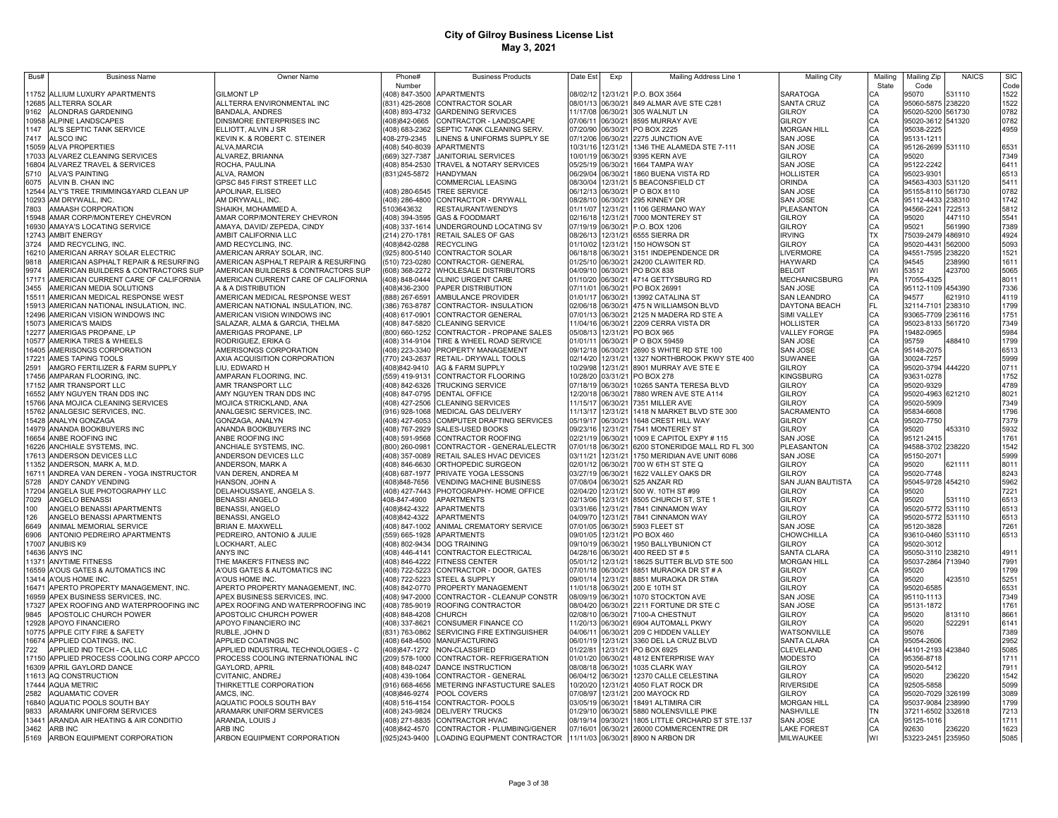| Bus#           | <b>Business Name</b>                                                 | Owner Name                                                                 | Phone#                           | <b>Business Products</b>                                                    | Date Est                               | Exp      | Mailing Address Line 1                                       | <b>Mailing City</b>                  | Mailing   | Mailing Zip                     | <b>NAICS</b>     | <b>SIC</b>   |
|----------------|----------------------------------------------------------------------|----------------------------------------------------------------------------|----------------------------------|-----------------------------------------------------------------------------|----------------------------------------|----------|--------------------------------------------------------------|--------------------------------------|-----------|---------------------------------|------------------|--------------|
|                |                                                                      |                                                                            | Number                           |                                                                             |                                        |          |                                                              |                                      | State     | Code                            |                  | Code         |
| 1752<br>12685  | ALLIUM LUXURY APARTMENTS<br>ALLTERRA SOLAR                           | <b>GILMONT LP</b><br>ALLTERRA ENVIRONMENTAL INC                            | 408) 847-3500<br>(831) 425-2608  | <b>APARTMENTS</b><br>CONTRACTOR SOLAR                                       | 08/01/13 06/30/21                      |          | 08/02/12 12/31/21 P.O. BOX 3564<br>849 ALMAR AVE STE C281    | <b>SARATOGA</b><br><b>SANTA CRUZ</b> | СA<br>CA  | 95070<br>95060-5875             | 531110<br>238220 | 1522<br>1522 |
| 9162           | ALONDRAS GARDENING                                                   | <b>BANDALA, ANDRES</b>                                                     | 408) 893-4732                    | <b>GARDENING SERVICES</b>                                                   | 11/17/08 06/30/21                      |          | 305 WALNUT LN                                                | <b>GILROY</b>                        | CA        | 95020-5200 561730               |                  | 0782         |
| 10958          | ALPINE LANDSCAPES                                                    | DINSMORE ENTERPRISES INC                                                   | 408)842-0665                     | CONTRACTOR - LANDSCAPE                                                      | 07/06/11                               | 06/30/21 | 8595 MURRAY AVE                                              | GILROY                               | CA        | 95020-3612 541320               |                  | 0782         |
| 1147           | AL'S SEPTIC TANK SERVICE                                             | ELLIOTT, ALVIN J SR                                                        | (408) 683-2362                   | SEPTIC TANK CLEANING SERV.                                                  | 07/20/90 06/30/21                      |          | PO BOX 2225                                                  | <b>MORGAN HILL</b>                   | CA        | 95038-2225                      |                  | 4959         |
| 7417           | ALSCO INC                                                            | KEVIN K. & ROBERT C. STEINER                                               | 408-279-2345                     | LINENS & UNIFORMS SUPPLY SE                                                 | 07/12/06 06/30/21                      |          | 2275 JUNCTION AVE                                            | <b>SAN JOSE</b>                      | CA        | 95131-1211                      |                  |              |
| 15059          | <b>ALVA PROPERTIES</b>                                               | ALVA, MARCIA                                                               | (408) 540-8039                   | <b>APARTMENTS</b>                                                           | 10/31/16 12/31/21                      |          | 1346 THE ALAMEDA STE 7-111                                   | <b>SAN JOSE</b>                      | CA        | 95126-2699 531110               |                  | 6531         |
| 17033          | ALVAREZ CLEANING SERVICES                                            | ALVAREZ, BRIANNA                                                           | (669) 327-7387                   | <b>JANITORIAL SERVICES</b>                                                  | 10/01/19 06/30/21                      |          | 9395 KERN AVE                                                | <b>GILROY</b>                        | CA        | 95020                           |                  | 7349         |
| 16804          | ALVAREZ TRAVEL & SERVICES                                            | ROCHA, PAULINA                                                             | (408) 854-2530                   | TRAVEL & NOTARY SERVICES                                                    | 05/25/19 06/30/21                      |          | 1664 TAMPA WAY                                               | SAN JOSE                             | CA        | 95122-2242                      |                  | 6411         |
| 5710           | <b>ALVA'S PAINTING</b>                                               | ALVA, RAMON                                                                | (831) 245-5872                   | HANDYMAN                                                                    | 06/29/04 06/30/21                      |          | 1860 BUENA VISTA RD                                          | <b>HOLLISTER</b>                     | CA        | 95023-9301                      |                  | 6513         |
| 6075           | ALVIN B. CHAN INC                                                    | GPSC 845 FIRST STREET LLC                                                  |                                  | COMMERCIAL LEASING                                                          | 08/30/04                               | 12/31/21 | 5 BEACONSFIELD CT                                            | ORINDA                               | CA        | 94563-4303 531120               |                  | 5411         |
| 12544          | ALY'S TREE TRIMMING&YARD CLEAN UP                                    | APOLINAR, ELISEO                                                           | (408) 280-6545                   | TREE SERVICE                                                                | 06/12/13 06/30/21                      |          | P O BOX 8110                                                 | <b>SAN JOSE</b>                      | CA        | 95155-8110 561730               |                  | 0782         |
| 10293          | AM DRYWALL, INC.                                                     | AM DRYWALL, INC.                                                           | (408) 286-4800                   | CONTRACTOR - DRYWALL                                                        | 08/28/10 06/30/21                      |          | 295 KINNEY DR                                                | <b>SAN JOSE</b>                      | CA        | 95112-4433 238310               |                  | 1742         |
| 7803           | <b>AMAASH CORPORATION</b>                                            | SHAIKH, MOHAMMED A.                                                        | 5103643632                       | RESTAURANT/WENDYS                                                           | 01/11/07 12/31/21                      |          | 1106 GERMANO WAY                                             | PLEASANTON                           | CA        | 94566-2241 722513               |                  | 5812         |
| 15948          | AMAR CORP/MONTEREY CHEVRON                                           | AMAR CORP/MONTEREY CHEVRON                                                 |                                  | (408) 394-3595 GAS & FOODMART                                               | 02/16/18 12/31/21                      |          | 7000 MONTEREY ST                                             | <b>GILROY</b>                        | CA        | 95020                           | 447110           | 5541         |
| 16930          | AMAYA'S LOCATING SERVICE                                             | AMAYA, DAVID/ ZEPEDA, CINDY                                                | (408) 337-1614                   | UNDERGROUND LOCATING SV                                                     | 07/19/19 06/30/21                      |          | P.O. BOX 1206                                                | <b>GILROY</b>                        | CA        | 95021                           | 561990           | 7389         |
| 12743          | <b>AMBIT ENERGY</b>                                                  | AMBIT CALIFORNIA LLC                                                       | (214) 270-1781                   | RETAIL SALES OF GAS                                                         |                                        |          | 08/26/13 12/31/21 6555 SIERRA DR                             | <b>IRVING</b>                        | <b>TX</b> | 75039-2479 486910               |                  | 4924         |
| 3724           | AMD RECYCLING, INC.                                                  | AMD RECYCLING, INC.                                                        | (408)842-0288                    | <b>RECYCLING</b>                                                            |                                        |          | 01/10/02 12/31/21 150 HOWSON ST                              | GILROY                               | CA        | 95020-4431 562000               |                  | 5093         |
| 16210          | AMERICAN ARRAY SOLAR ELECTRIC<br>AMERICAN ASPHALT REPAIR & RESURFING | AMERICAN ARRAY SOLAR, INC.                                                 | (510) 723-0280                   | (925) 800-5140 CONTRACTOR SOLAR                                             | 01/25/10 06/30/21                      |          | 06/18/18 06/30/21 3151 INDEPENDENCE DR<br>24200 CLAWITER RD. | LIVERMORE<br><b>HAYWARD</b>          | CA        | 94551-7595 238220<br>94545      | 238990           | 1521<br>1611 |
| 9818<br>9974   | AMERICAN BUILDERS & CONTRACTORS SUP                                  | AMERICAN ASPHALT REPAIR & RESURFING<br>AMERICAN BUILDERS & CONTRACTORS SUP | (608) 368-2272                   | CONTRACTOR- GENERAL<br>WHOLESALE DISTRIBUTORS                               | 04/09/10 06/30/21                      |          | PO BOX 838                                                   | <b>BELOIT</b>                        | CA<br>WI  | 53512                           | 423700           | 5065         |
| 17171          | AMERICAN CURRENT CARE OF CALIFORNIA                                  | AMERICAN CURRENT CARE OF CALIFORNIA                                        | (408) 848-0444                   | CLINIC URGENT CARE                                                          | 01/10/20 06/30/21                      |          | 4714 GETTYSBURG RD                                           | <b>MECHANICSBURG</b>                 | PA        | 17055-4325                      |                  | 8011         |
| 3455           | AMERICAN MEDIA SOLUTIONS                                             | A & A DISTRIBUTION                                                         | (408)436-2300                    | PAPER DISTRIBUTION                                                          | 07/11/01 06/30/21                      |          | PO BOX 26991                                                 | SAN JOSE                             | CA        | 95112-1109 454390               |                  | 7336         |
| 15511          | AMERICAN MEDICAL RESPONSE WEST                                       | AMERICAN MEDICAL RESPONSE WEST                                             | (888) 267-6591                   | AMBULANCE PROVIDER                                                          | 01/01/17 06/30/21                      |          | 13992 CATALINA ST                                            | SAN LEANDRO                          | CA        | 94577                           | 621910           | 4119         |
| 15913          | AMERICAN NATIONAL INSULATION, INC.                                   | AMERICAN NATIONAL INSULATION, INC.                                         | (386) 763-8787                   | CONTRACTOR- INSULATION                                                      | 02/06/18 06/30/21                      |          | 475 N WILLIAMSON BLVD                                        | DAYTONA BEACH                        | FL.       | 32114-7101                      | 238310           | 1799         |
| 12496          | AMERICAN VISION WINDOWS INC                                          | AMERICAN VISION WINDOWS INC                                                | (408) 617-0901                   | CONTRACTOR GENERAL                                                          | 07/01/13 06/30/21                      |          | 2125 N MADERA RD STE A                                       | <b>SIMI VALLEY</b>                   | CA        | 93065-7709 236116               |                  | 1751         |
| 15073          | AMERICA'S MAIDS                                                      | SALAZAR, ALMA & GARCIA, THELMA                                             | (408) 847-5820                   | <b>CLEANING SERVICE</b>                                                     | 11/04/16 06/30/21                      |          | 2209 CERRA VISTA DR                                          | <b>HOLLISTER</b>                     | CA        | 95023-8133 561720               |                  | 7349         |
| 12277          | AMERIGAS PROPANE. LP                                                 | AMERIGAS PROPANE, LP                                                       | (800) 660-1252                   | CONTRACTOR - PROPANE SALES                                                  | 05/08/13 12/31/21                      |          | PO BOX 965                                                   | <b>VALLEY FORGE</b>                  | PA        | 19482-0965                      |                  | 5984         |
| 10577          | AMERIKA TIRES & WHEELS                                               | RODRIGUEZ, ERIKA G                                                         | (408) 314-9104                   | TIRE & WHEEL ROAD SERVICE                                                   | 01/01/11                               | 06/30/21 | P O BOX 59459                                                | <b>SAN JOSE</b>                      | CA        | 95759                           | 488410           | 1799         |
| 16405          | AMERISONGS CORPORATION                                               | AMERISONGS CORPORATION                                                     | (408) 223-3340                   | PROPERTY MANAGEMENT                                                         | 09/12/18 06/30/21                      |          | 2690 S WHITE RD STE 100                                      | <b>SAN JOSE</b>                      | CA        | 95148-2075                      |                  | 6513         |
| 17221          | AMES TAPING TOOLS                                                    | AXIA ACQUISITION CORPORATION                                               | 770) 243-2637                    | RETAIL- DRYWALL TOOLS                                                       | 02/14/20                               | 12/31/21 | 1327 NORTHBROOK PKWY STE 400                                 | SUWANEE                              | GA        | 30024-7257                      |                  | 5999         |
| 2591           | AMGRO FERTILIZER & FARM SUPPLY                                       | LIU, EDWARD H                                                              | 408)842-9410                     | AG & FARM SUPPLY                                                            | 10/29/98                               | 12/31/21 | 8901 MURRAY AVE STE E                                        | <b>GILROY</b>                        | CA        | 95020-3794                      | 444220           | 0711         |
| 17456          | AMPARAN FLOORING, INC                                                | AMPARAN FLOORING, INC                                                      | 559) 419-9131                    | CONTRACTOR FLOORING                                                         | 10/28/20                               | 03/31/21 | <b>PO BOX 278</b>                                            | <b>KINGSBURG</b>                     | CA        | 93631-0278                      |                  | 1752         |
| 17152          | AMR TRANSPORT LLC                                                    | AMR TRANSPORT LLC                                                          | (408) 842-6326                   | TRUCKING SERVICE                                                            | 07/18/19                               | 06/30/21 | 10265 SANTA TERESA BLVD                                      | <b>GILROY</b>                        | CA        | 95020-9329                      |                  | 4789         |
| 16552          | AMY NGUYEN TRAN DDS INC                                              | AMY NGUYEN TRAN DDS INC                                                    | (408) 847-0795                   | <b>DENTAL OFFICE</b>                                                        | 12/20/18                               | 06/30/21 | 7880 WREN AVE STE A114                                       | <b>GILROY</b>                        | CA        | 95020-4963 621210               |                  | 8021         |
| 15766          | ANA MOJICA CLEANING SERVICES                                         | MOJICA STRICKLAND, ANA                                                     | (408) 427-2506                   | <b>CLEANING SERVICES</b>                                                    | 11/15/17                               | 06/30/21 | 7351 MILLER AVE                                              | <b>GILROY</b>                        | CA        | 95020-5909                      |                  | 7349         |
| 15762          | ANALGESIC SERVICES, INC.                                             | ANALGESIC SERVICES, INC.                                                   | (916) 928-1068                   | MEDICAL GAS DELIVERY                                                        | 11/13/17                               | 12/31/21 | 1418 N MARKET BLVD STE 300                                   | SACRAMENTO                           | CA        | 95834-6608                      |                  | 1796         |
| 15428          | ANALYN GONZAGA                                                       | GONZAGA, ANALYN                                                            | (408) 427-6053                   | COMPUTER DRAFTING SERVICES                                                  | 05/19/17<br>09/23/16                   | 06/30/21 | 1648 CREST HILL WAY                                          | <b>GILROY</b><br><b>GILROY</b>       | CA<br>CA  | 95020-7750                      |                  | 7379         |
| 14979          | ANANDA BOOKBUYERS INC                                                | ANANDA BOOKBUYERS INC                                                      | 408) 767-2929                    | SALES-USED BOOKS                                                            |                                        | 12/31/21 | 7541 MONTEREY ST                                             |                                      | CA        | 95020                           | 453310           | 5932         |
| 16654<br>16226 | ANBE ROOFING INC<br>ANCHIALE SYSTEMS, INC                            | ANBE ROOFING INC<br>ANCHIALE SYSTEMS, INC.                                 | (408) 591-9568                   | CONTRACTOR ROOFING<br>CONTRACTOR - GENERAL/ELECTR                           | 02/21/19 06/30/21<br>07/01/18          | 06/30/21 | 1009 E CAPITOL EXPY #115<br>6200 STONERIDGE MALL RD FL 300   | <b>SAN JOSE</b><br><b>PLEASANTON</b> | CA        | 95121-2415<br>94588-3702 238220 |                  | 1761<br>1542 |
| 17613          | ANDERSON DEVICES LLC                                                 | ANDERSON DEVICES LLC                                                       | (800) 260-0981<br>(408) 357-0089 | RETAIL SALES HVAC DEVICES                                                   | 03/11/21                               | 12/31/21 | 1750 MERIDIAN AVE UNIT 6086                                  | <b>SAN JOSE</b>                      | CA        | 95150-2071                      |                  | 5999         |
| 1352           | ANDERSON, MARK A, M.D.                                               | ANDERSON, MARK A                                                           | (408) 846-6630                   | ORTHOPEDIC SURGEON                                                          | 02/01/12 06/30/21                      |          | 700 W 6TH ST STE Q                                           | <b>GILROY</b>                        | CA        | 95020                           | 621111           | 8011         |
| 16711          | ANDREA VAN DEREN - YOGA INSTRUCTOR                                   | VAN DEREN, ANDREA M                                                        | (408) 687-1977                   | PRIVATE YOGA LESSONS                                                        | 03/27/19                               | 06/30/21 | 1622 VALLEY OAKS DR                                          | <b>GILROY</b>                        | CA        | 95020-7748                      |                  | 8243         |
| 5728           | ANDY CANDY VENDING                                                   | HANSON, JOHN A                                                             | 408)848-7656                     | <b>VENDING MACHINE BUSINESS</b>                                             | 07/08/04 06/30/21                      |          | 525 ANZAR RD                                                 | <b>SAN JUAN BAUTISTA</b>             | CA        | 95045-9728 454210               |                  | 5962         |
| 17204          | ANGELA SUE PHOTOGRAPHY LLC                                           | DELAHOUSSAYE, ANGELA S.                                                    | (408) 427-7443                   | PHOTOGRAPHY- HOME OFFICE                                                    |                                        |          | 02/04/20 12/31/21 500 W. 10TH ST #99                         | <b>GILROY</b>                        | CA        | 95020                           |                  | 7221         |
| 7029           | ANGELO BENASSI                                                       | <b>BENASSI ANGELO</b>                                                      | 408-847-4900                     | <b>APARTMENTS</b>                                                           |                                        |          | 02/13/06 12/31/21 8505 CHURCH ST, STE 1                      | <b>GILROY</b>                        | CA        | 95020                           | 531110           | 6513         |
| 100            | ANGELO BENASSI APARTMENTS                                            | BENASSI, ANGELO                                                            | (408) 842-4322                   | <b>APARTMENTS</b>                                                           |                                        |          | 03/31/66 12/31/21 7841 CINNAMON WAY                          | <b>GILROY</b>                        | CA        | 95020-5772 531110               |                  | 6513         |
| 126            | ANGELO BENASSI APARTMENTS                                            | BENASSI, ANGELO                                                            | (408) 842-4322                   | APARTMENTS                                                                  |                                        |          | 04/09/70 12/31/21 7841 CINNAMON WAY                          | <b>GILROY</b>                        | CA        | 95020-5772 531110               |                  | 6513         |
| 6649           | ANIMAL MEMORIAL SERVICE                                              | BRIAN E. MAXWELL                                                           | (408) 847-1002                   | ANIMAL CREMATORY SERVICE                                                    | 07/01/05 06/30/21                      |          | 5903 FLEET ST                                                | SAN JOSE                             | CA        | 95120-3828                      |                  | 7261         |
| 6906           | ANTONIO PEDREIRO APARTMENTS                                          | PEDREIRO, ANTONIO & JULIE                                                  | (559) 665-1928                   | <b>APARTMENTS</b>                                                           | 09/01/05 12/31/21                      |          | PO BOX 460                                                   | CHOWCHILLA                           | CA        | 93610-0460 531110               |                  | 6513         |
| 17007          | <b>ANUBIS K9</b>                                                     | LOCKHART, ALEC                                                             | (408) 802-9434                   | <b>DOG TRAINING</b>                                                         | 09/10/19 06/30/21                      |          | 1950 BALLYBUNION CT                                          | <b>GILROY</b>                        | CA        | 95020-3012                      |                  |              |
| 14636          | ANYS INC                                                             | <b>ANYS INC</b>                                                            | (408) 446-4141                   | CONTRACTOR ELECTRICAL                                                       | 04/28/16 06/30/21                      |          | 400 REED ST #5                                               | <b>SANTA CLARA</b>                   | CA        | 95050-3110 238210               |                  | 4911         |
| 1371           | ANYTIME FITNESS                                                      | THE MAKER'S FITNESS INC                                                    | (408) 846-4222                   | <b>FITNESS CENTER</b>                                                       | 05/01/12 12/31/21                      |          | 18625 SUTTER BLVD STE 500                                    | <b>MORGAN HILL</b>                   | CA        | 95037-2864 713940               |                  | 7991         |
| 16559          | A'OUS GATES & AUTOMATICS INC                                         | A'OUS GATES & AUTOMATICS INC                                               | (408) 722-5223                   | CONTRACTOR - DOOR, GATES                                                    | 07/01/18 06/30/21                      |          | 8851 MURAOKA DR ST # A                                       | <b>GILROY</b>                        | CA        | 95020                           |                  | 1799         |
| 13414<br>16471 | <b>A'OUS HOME INC.</b>                                               | A'OUS HOME INC.<br>APERTO PROPERTY MANAGEMENT, INC.                        | (408) 722-5223                   | STEEL & SUPPLY                                                              | 09/01/14 12/31/21<br>11/01/18 06/30/21 |          | 8851 MURAOKA DR ST#A<br>200 E 10TH ST                        | <b>GILROY</b><br><b>GILROY</b>       | CA<br>C.A | 95020<br>95020-6585             | 423510           | 5251         |
| 16959          | APERTO PROPERTY MANAGEMENT, INC.<br>APEX BUSINESS SERVICES, INC.     | APEX BUSINESS SERVICES, INC.                                               | (408) 842-0770<br>(408) 947-2000 | PROPERTY MANAGEMENT<br>CONTRACTOR - CLEANUP CONSTR                          | 08/09/19 06/30/21                      |          | 1070 STOCKTON AVE                                            | <b>SAN JOSE</b>                      | C.A       | 95110-1113                      |                  | 6531<br>7349 |
| 17327          | APEX ROOFING AND WATERPROOFING INC                                   | APEX ROOFING AND WATERPROOFING INC                                         | (408) 785-9019                   | ROOFING CONTRACTOR                                                          | 08/04/20 06/30/21                      |          | 2211 FORTUNE DR STE C                                        | <b>SAN JOSE</b>                      | CA        | 95131-1872                      |                  | 1761         |
| 9845           | APOSTOLIC CHURCH POWER                                               | APOSTOLIC CHURCH POWER                                                     | (408) 848-4208                   | CHURCH                                                                      | 02/08/10 06/30/21                      |          | 7100-A CHESTNUT                                              | <b>GILROY</b>                        | CA        | 95020                           | 813110           | 8661         |
| 12928          | <b>APOYO FINANCIERO</b>                                              | APOYO FINANCIERO INC                                                       | (408) 337-8621                   | CONSUMER FINANCE CO                                                         | 11/20/13 06/30/21                      |          | 6904 AUTOMALL PKWY                                           | <b>GILROY</b>                        | CA        | 95020                           | 522291           | 6141         |
| 10775          | APPLE CITY FIRE & SAFETY                                             | RUBLE, JOHN D                                                              | (831) 763-0862                   | SERVICING FIRE EXTINGUISHER                                                 | 04/06/11                               | 06/30/21 | 209 C HIDDEN VALLEY                                          | WATSONVILLE                          | CA        | 95076                           |                  | 7389         |
| 16674          | APPLIED COATINGS, INC.                                               | APPLIED COATINGS INC                                                       | (408) 648-4500                   | <b>MANUFACTURING</b>                                                        | 06/01/19 12/31/21                      |          | 3360 DEL LA CRUZ BLVD                                        | <b>SANTA CLARA</b>                   | CA        | 95054-2606                      |                  | 2952         |
| 722            | APPLIED IND TECH - CA, LLC                                           | APPLIED INDUSTRIAL TECHNOLOGIES - C                                        | (408) 847-1272                   | NON-CLASSIFIED                                                              | 01/22/81                               | 12/31/21 | PO BOX 6925                                                  | CLEVELAND                            | OH        | 44101-2193 423840               |                  | 5085         |
| 17150          | APPLIED PROCESS COOLING CORP APCCO                                   | PROCESS COOLING INTERNATIONAL INC                                          | (209) 578-1000                   | CONTRACTOR-REFRIGERATION                                                    | 01/01/20 06/30/21                      |          | 4812 ENTERPRISE WAY                                          | <b>MODESTO</b>                       | CA        | 95356-8718                      |                  | 1711         |
| 16309          | APRIL GAYLORD DANCE                                                  | GAYLORD, APRIL                                                             | (408) 848-0247                   | DANCE INSTRUCTION                                                           | 08/08/18                               | 06/30/21 | 1035 CLARK WAY                                               | <b>GILROY</b>                        | CA        | 95020-5412                      |                  | 7911         |
| 11613          | AQ CONSTRUCTION                                                      | CVITANIC, ANDREJ                                                           | (408) 439-1064                   | CONTRACTOR - GENERAL                                                        | 06/04/12 06/30/21                      |          | 12370 CALLE CELESTINA                                        | <b>GILROY</b>                        | CA        | 95020                           | 236220           | 1542         |
| 17444          | <b>AQUA METRIC</b>                                                   | THIRKETTLE CORPORATION                                                     | (916) 668-4656                   | METERING INFASTUCTURE SALES                                                 | 10/20/20 12/31/21                      |          | 4050 FLAT ROCK DR                                            | <b>RIVERSIDE</b>                     | C.A       | 92505-5858                      |                  | 5099         |
| 2582           | <b>AQUAMATIC COVER</b>                                               | AMCS. INC.                                                                 | 408)846-9274                     | POOL COVERS                                                                 | 07/08/97                               | 12/31/21 | 200 MAYOCK RD                                                | <b>GILROY</b>                        | CA        | 95020-7029                      | 326199           | 3089         |
| 16840          | <b>AQUATIC POOLS SOUTH BAY</b>                                       | AQUATIC POOLS SOUTH BAY                                                    | 408) 516-4154                    | CONTRACTOR- POOLS                                                           | 03/05/19 06/30/21                      |          | 18491 ALTIMIRA CIR                                           | <b>MORGAN HILL</b>                   | CA        | 95037-9084                      | 238990           | 1799         |
| 9833           | ARAMARK UNIFORM SERVICES                                             | ARAMARK UNIFORM SERVICES                                                   | (408) 243-9824                   | <b>DELIVERY TRUCKS</b>                                                      | 01/29/10 06/30/21                      |          | 5880 NOLENSVILLE PIKE                                        | <b>NASHVILLE</b>                     | <b>TN</b> | 37211-6502                      | 332618           | 7213         |
| 13441          | ARANDA AIR HEATING & AIR CONDITIO                                    | ARANDA, LOUIS J                                                            | (408) 271-8835                   | <b>CONTRACTOR HVAC</b>                                                      | 08/19/14 09/30/21                      |          | 1805 LITTLE ORCHARD ST STE.137                               | <b>SAN JOSE</b>                      | CA        | 95125-1016                      |                  | 1711         |
| 3462           | ARB INC                                                              | ARB INC                                                                    |                                  | (408)842-4570 CONTRACTOR - PLUMBING/GENER                                   |                                        |          | 07/16/01 06/30/21 26000 COMMERCENTRE DR                      | <b>LAKE FOREST</b>                   | CA        | 92630                           | 236220           | 1623         |
|                | 5169 ARBON EQUIPMENT CORPORATION                                     | ARBON EQUIPMENT CORPORATION                                                |                                  | (925)243-9400 LOADING EQUPMENT CONTRACTOR 11/11/03 06/30/21 8900 N ARBON DR |                                        |          |                                                              | MILWAUKEE                            | WI        | 53223-2451 235950               |                  | 5085         |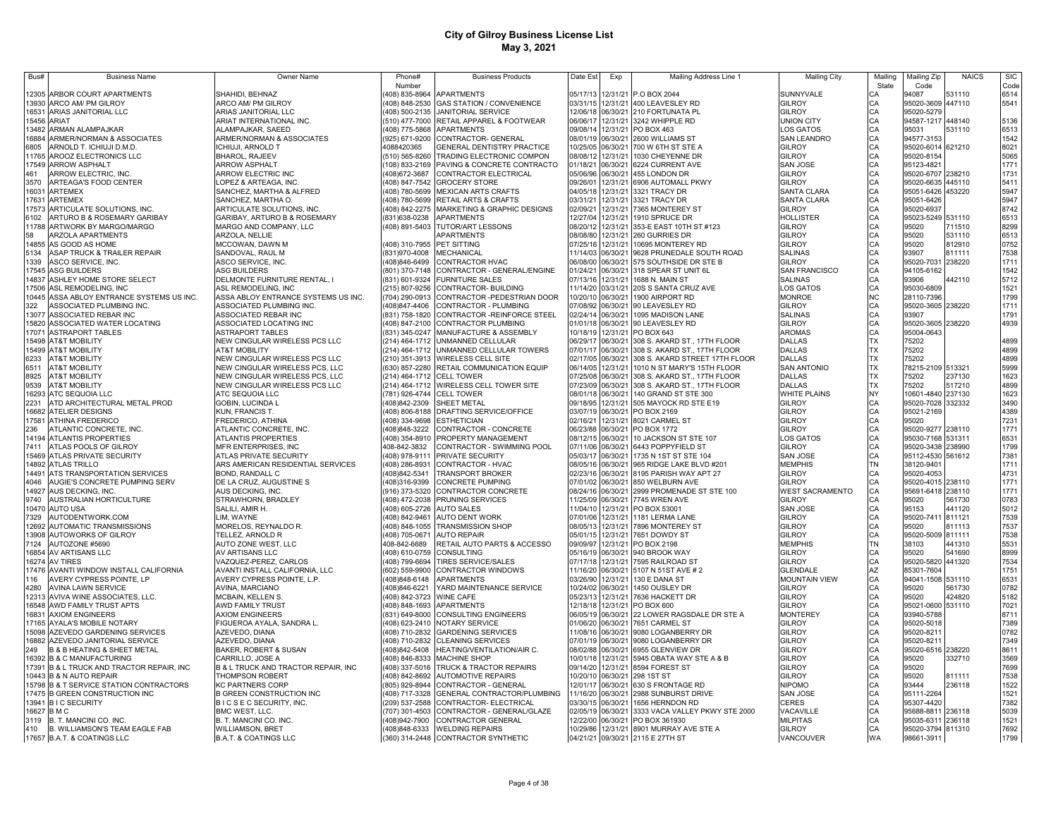| Bus#           | <b>Business Name</b>                           | Owner Name                               | Phone#                         | <b>Business Products</b>                               | Date Est             | Exp                  | Mailing Address Line 1                           | <b>Mailing City</b>    | Mailing        | Mailing Zip                | <b>NAICS</b> | <b>SIC</b>   |
|----------------|------------------------------------------------|------------------------------------------|--------------------------------|--------------------------------------------------------|----------------------|----------------------|--------------------------------------------------|------------------------|----------------|----------------------------|--------------|--------------|
|                |                                                |                                          | Number                         |                                                        |                      |                      |                                                  |                        | State          | Code                       |              | Code         |
| 12305          | ARBOR COURT APARTMENTS                         | SHAHIDI, BEHNAZ                          | 408) 835-8964                  | <b>APARTMENTS</b>                                      | 05/17/13             |                      | 12/31/21 P.O BOX 2044                            | SUNNYVALE              | СA             | 94087                      | 531110       | 6514         |
|                | 13930 ARCO AM/ PM GILROY                       | ARCO AM/ PM GILROY                       |                                | (408) 848-2530 GAS STATION / CONVENIENCE               |                      |                      | 03/31/15 12/31/21 400 LEAVESLEY RD               | <b>GILROY</b>          | CA             | 95020-3609 447110          |              | 5541         |
| 16531          | ARIAS JANITORIAL LLC                           | ARIAS JANITORIAL LLC                     |                                | 408) 500-2135 JANITORIAL SERVICE                       |                      |                      | 12/06/18 06/30/21 210 FORTUNATA PL               | GILROY                 | CA             | 95020-5279                 |              |              |
|                | 15456 ARIAT                                    | ARIAT INTERNATIONAL INC.                 |                                | (510) 477-7000 RETAIL APPAREL & FOOTWEAR               | 06/06/17             |                      | 12/31/21 3242 WHIPPLE RD                         | UNION CITY             | CA             | 94587-1217                 | 448140       | 5136         |
| 3482           | ARMAN ALAMPAJKAR                               | ALAMPAJKAR, SAEED                        |                                | (408) 775-5868 APARTMENTS                              | 09/08/14             |                      | 12/31/21 PO BOX 463                              | <b>LOS GATOS</b>       | CA             | 95031                      | 531110       | 6513         |
| 16884          | ARMER/NORMAN & ASSOCIATES                      | ARMER/NORMAN & ASSOCIATES                |                                | (925) 671-9200 CONTRACTOR- GENERAL                     | 08/01/19             |                      | 06/30/21 2600 WILLIAMS ST                        | SAN LEANDRO            | CA             | 94577-3153                 |              | 1542         |
| 6805           | ARNOLD T. ICHIUJI D.M.D.                       | <b>ICHIUJI, ARNOLD T</b>                 | 4088420365                     | GENERAL DENTISTRY PRACTICE                             | 10/25/05             | 06/30/21             | 700 W 6TH ST STE A                               | GILROY                 | CA             | 95020-6014 621210          |              | 8021         |
|                | 11765 AROOZ ELECTRONICS LLC                    | <b>BHAROL, RAJEEV</b>                    |                                | (510) 565-8260 TRADING ELECTRONIC COMPON               | 08/08/12             | 12/31/21             | 1030 CHEYENNE DR                                 | GILROY                 | CA             | 95020-8154                 |              | 5065         |
| 17549          | <b>ARROW ASPHALT</b>                           | <b>ARROW ASPHALT</b>                     |                                | 108) 833-2169 PAVING & CONCRETE CONTRACTO              | 01/18/21             | 06/30/21             | 6224 CURRENT AVE                                 | SAN JOSE               | CA             | 95123-4821                 |              | 1771         |
| 461            | ARROW ELECTRIC, INC.                           | ARROW ELECTRIC INC                       | 408)672-3687                   | CONTRACTOR ELECTRICAL                                  | 05/06/96             | 06/30/21             | 455 LONDON DR                                    | GILROY                 | CA             | 95020-6707                 | 238210       | 1731         |
| 3570           | ARTEAGA'S FOOD CENTER                          | LOPEZ & ARTEAGA, INC.                    |                                | 408) 847-7542 GROCERY STORE                            | 09/26/01             | 12/31/21             | 6906 AUTOMALL PKWY                               | GILROY                 | CA             | 95020-6635 445110          |              | 5411         |
| 16031          | <b>ARTEMEX</b>                                 | SANCHEZ, MARTHA & ALFRED                 |                                | (408) 780-5699 MEXICAN ARTS CRAFTS                     | 04/05/18             | 12/31/21             | 3321 TRACY DR                                    | SANTA CLARA            | CA             | 95051-6426 453220          |              | 5947         |
| 17631          | ARTEMEX                                        | SANCHEZ, MARTHA O                        |                                | (408) 780-5699 RETAIL ARTS & CRAFTS                    | 03/31/21             | 2/31/21              | 3321 TRACY DR                                    | SANTA CLARA            | CA             | 95051-6426                 |              | 5947         |
| 17573          | ARTICULATE SOLUTIONS, INC.                     | ARTICULATE SOLUTIONS, INC                |                                | (408) 842-2275 MARKETING & GRAPHIC DESIGNS             | 02/09/21             | 12/31/21             | 7365 MONTEREY ST                                 | GILROY                 | CA             | 95020-6937                 |              | 8742         |
| 6102           | ARTURO B & ROSEMARY GARIBAY                    | GARIBAY, ARTURO B & ROSEMARY             | (831) 638-0238                 | <b>APARTMENTS</b>                                      | 12/27/04             | 12/31/21             | 1910 SPRUCE DR                                   | <b>HOLLISTER</b>       | CA             | 95023-5249 531110          |              | 6513         |
| 11788          | ARTWORK BY MARGO/MARGO                         | MARGO AND COMPANY, LLC                   | (408) 891-5403                 | <b>TUTOR/ART LESSONS</b>                               | 08/20/12             | 12/31/21             | 353-E EAST 10TH ST #123                          | GILROY                 | CA             | 95020                      | 711510       | 8299         |
| 58             | ARZOLA APARTMENTS                              | ARZOLA, NELLIE                           |                                | APARTMENTS                                             | 08/08/80             | 12/31/21             | 260 GURRIES DR                                   | GILROY                 | CA             | 95020                      | 531110       | 6513         |
| 14855          | AS GOOD AS HOME                                | MCCOWAN, DAWN M                          | (408) 310-7955                 | PET SITTING                                            | 07/25/16             | 12/31/21             | 10695 MONTEREY RD                                | GILROY                 | CA             | 95020                      | 812910       | 0752         |
| 5134           | ASAP TRUCK & TRAILER REPAIR                    | SANDOVAL, RAUL M                         | (831) 970-4008                 | <b>MECHANICAL</b>                                      | 11/14/03             | 06/30/21             | 9628 PRUNEDALE SOUTH ROAD                        | <b>SALINAS</b>         | CA             | 93907                      | 811111       | 7538         |
| 1339           | ASCO SERVICE, INC.                             | ASCO SERVICE, INC.                       | 408)846-6499                   | CONTRACTOR HVAC                                        | 06/08/00             | 06/30/21             | 575 SOUTHSIDE DR STE B                           | GILROY                 | CA             | 95020-7031 238220          |              | 1711         |
|                | 17545 ASG BUILDERS                             | ASG BUILDERS                             |                                | (801) 370-7148 CONTRACTOR - GENERAL/ENGINE             | 01/24/21             | 06/30/21             | 318 SPEAR ST UNIT 6L                             | <b>SAN FRANCISCO</b>   | CA             | 94105-6162                 |              | 1542         |
| 14837          | ASHLEY HOME STORE SELECT                       | DELMONTE FURNITURE RENTAL, I             |                                | (831) 601-9324 FURNITURE SALES                         | 07/13/16             | 12/31/21             | 1688 N. MAIN ST                                  | SALINAS                | CA             | 93906                      | 442110       | 5712         |
|                | 17506 ASL REMODELING, INC                      | ASL REMODELING, INC                      |                                | (215) 807-9256 CONTRACTOR- BUILDING                    | 11/14/20             | 03/31/21             | 20S S SANTA CRUZ AVE                             | LOS GATOS              | CA             | 95030-6809                 |              | 1521         |
|                | 10445 ASSA ABLOY ENTRANCE SYSTEMS US INC.      | ASSA ABLOY ENTRANCE SYSTEMS US INC.      |                                | (704) 290-0913 CONTRACTOR - PEDESTRIAN DOOR            | 10/20/10             | 06/30/21             | 1900 AIRPORT RD                                  | <b>MONROE</b>          | N <sub>C</sub> | 28110-7396                 |              | 1799         |
| 322            | ASSOCIATED PLUMBING INC.                       | ASSOCIATED PLUMBING INC.                 | (408)847-4406                  | CONTRACTOR - PLUMBING                                  | 07/08/92             |                      | 06/30/21 90 LEAVESLEY RD                         | GILROY                 | CA             | 95020-3605 238220          |              | 1711         |
| 13077          | ASSOCIATED REBAR INC                           | ASSOCIATED REBAR INC                     |                                | (831) 758-1820 CONTRACTOR - REINFORCE STEEL            | 02/24/14             | 06/30/21             | 1095 MADISON LANE                                | <b>SALINAS</b>         | CA             | 93907                      |              | 1791         |
|                | 15820 ASSOCIATED WATER LOCATING                | ASSOCIATED LOCATING INC                  |                                | (408) 847-2100 CONTRACTOR PLUMBING                     |                      |                      | 01/01/18 06/30/21 90 LEAVESLEY RD                | GILROY                 | CA             | 95020-3605 238220          |              | 4939         |
| 17071          | <b>ASTRAPORT TABLES</b>                        | <b>ASTRAPORT TABLES</b>                  |                                | (831) 345-0247 MANUFACTURE & ASSEMBLY                  | 10/18/19             |                      | 12/31/21 PO BOX 643                              | AROMAS                 | CA             | 95004-0643                 |              |              |
|                | 15498 AT&T MOBILITY                            | NEW CINGULAR WIRELESS PCS LLC            |                                | (214) 464-1712 UNMANNED CELLULAR                       | 06/29/17             |                      | 06/30/21 308 S. AKARD ST., 17TH FLOOR            | <b>DALLAS</b>          | <b>TX</b>      | 75202                      |              | 4899         |
|                | 15499 AT&T MOBILITY                            | AT&T MOBILITY                            |                                | (214) 464-1712 UNMANNED CELLULAR TOWERS                | 07/01/17             |                      | 06/30/21 308 S. AKARD ST., 17TH FLOOR            | <b>DALLAS</b>          | TX             | 75202                      |              | 4899         |
| 6233           | <b>AT&amp;T MOBILITY</b>                       | NEW CINGULAR WIRELESS PCS LLC            |                                | (210) 351-3913 WIRELESS CELL SITE                      | 02/17/05             |                      | 06/30/21 308 S. AKARD STREET 17TH FLOOR          | <b>DALLAS</b>          | <b>TX</b>      | 75202                      |              | 4899         |
| 6511           | <b>AT&amp;T MOBILITY</b>                       | NEW CINGULAR WIRELESS PCS, LLC           |                                | (630) 857-2280 RETAIL COMMUNICATION EQUIP              |                      |                      | 06/14/05 12/31/21 1010 N ST MARY'S 15TH FLOOR    | <b>SAN ANTONIO</b>     | TX             | 78215-2109 513321          |              | 5999         |
| 8925           | <b>AT&amp;T MOBILITY</b>                       | NEW CINGULAR WIRELESS PCS, LLC           | (214) 464-1712 CELL TOWER      |                                                        |                      |                      | 07/25/08 06/30/21 308 S. AKARD ST., 17TH FLOOR   | <b>DALLAS</b>          | TX             | 75202                      | 237130       | 1623         |
| 9539           | <b>AT&amp;T MOBILITY</b>                       | NEW CINGULAR WIRELESS PCS LLC            |                                | (214) 464-1712 WIRELESS CELL TOWER SITE                |                      |                      | 07/23/09 06/30/21 308 S. AKARD ST., 17TH FLOOR   | <b>DALLAS</b>          | TX             | 75202                      | 517210       | 4899         |
| 16293          | ATC SEQUOIA LLC                                | ATC SEQUOIA LLC                          | (781) 926-4744 CELL TOWER      |                                                        |                      |                      | 08/01/18 06/30/21 140 GRAND ST STE 300           | WHITE PLAINS           | NY             | 10601-4840 237130          |              | 1623         |
| 2231           | ATD ARCHITECTURAL METAL PROD                   | GOBIN, LUCINDA L                         | (408)842-2309                  | SHEET METAL                                            | 09/18/95             |                      | 12/31/21 505 MAYOCK RD STE E19                   | <b>GILROY</b>          | CA             | 95020-7028 332332          |              | 3490         |
|                | 16682 ATELIER DESIGNS                          | KUN, FRANCIS T.                          |                                | (408) 806-8188 DRAFTING SERVICE/OFFICE                 |                      |                      | 03/07/19 06/30/21 PO BOX 2169                    | GILROY                 | CA             | 95021-2169                 |              | 4389         |
| 17581          | <b>ATHINA FREDERICO</b>                        | FREDERICO, ATHINA                        |                                | 408) 334-9698 ESTHETICIAN                              | 02/16/21             |                      | 12/31/21 8021 CARMEL ST                          | GILROY                 | CA             | 95020                      |              | 7231         |
| 236            | ATLANTIC CONCRETE, INC.                        | ATLANTIC CONCRETE, INC.                  | 408)848-3222                   | CONTRACTOR - CONCRETE                                  | 06/23/88             | 06/30/21             | PO BOX 1772                                      | GILROY                 | CA             | 95020-9277 238110          |              | 1771         |
|                | 14194 ATLANTIS PROPERTIES                      | <b>ATLANTIS PROPERTIES</b>               |                                | 408) 354-8910 PROPERTY MANAGEMENT                      | 08/12/15             | 06/30/21             | 10 JACKSON ST STE 107                            | LOS GATOS              | CA             | 95030-7168 531311          |              | 6531         |
| 7411           | ATLAS POOLS OF GILROY                          | MFR ENTERPRISES, INC                     | 408-842-3832                   | CONTRACTOR - SWIMMING POOL                             | 07/11/06             | 06/30/21             | 6443 POPPYFIELD ST                               | GILROY                 | CA             | 95020-3438 238990          |              | 1799         |
| 15469          | ATLAS PRIVATE SECURITY                         | ATLAS PRIVATE SECURITY                   | 408) 978-9111                  | PRIVATE SECURITY                                       | 05/03/17             | 06/30/21             | 1735 N 1ST ST STE 104                            | <b>SAN JOSE</b>        | CA             | 95112-4530 561612          |              | 7381         |
| 4892           | <b>ATLAS TRILLO</b>                            | ARS AMERICAN RESIDENTIAL SERVICES        | 408) 286-8931                  | CONTRACTOR - HVAC                                      | 08/05/16             | 06/30/21             | 965 RIDGE LAKE BLVD #201                         | <b>MEMPHIS</b>         | <b>TN</b>      | 38120-9401                 |              | 1711         |
| 14491          | ATS TRANSPORTATION SERVICES                    | BOND, RANDALL C                          | 408)842-5341                   | <b>TRANSPORT BROKER</b>                                | 02/23/16             | 06/30/21             | 8195 PARISH WAY APT 27                           | GILROY                 | CA             | 95020-4053                 |              | 4731         |
| 4046           | AUGIE'S CONCRETE PUMPING SERV                  | DE LA CRUZ, AUGUSTINE S                  | 408)316-9399                   | <b>CONCRETE PUMPING</b>                                | 07/01/02             | 06/30/21             | 850 WELBURN AVE                                  | GILROY                 | CA             | 95020-4015                 | 238110       | 1771         |
| 14927          | AUS DECKING, INC.                              | AUS DECKING, INC.                        |                                | (916) 373-5320 CONTRACTOR CONCRETE                     | 08/24/16             | 06/30/21             | 2999 PROMENADE ST STE 100                        | <b>WEST SACRAMENTO</b> | CA             | 95691-6418 238110          |              | 1771         |
| 9740           | AUSTRALIAN HORTICULTURE                        | STRAWHORN, BRADLEY                       |                                | (408) 472-2038 PRUNING SERVICES                        | 11/25/09             | 06/30/21             | 7745 WREN AVE                                    | <b>GILROY</b>          | CA             | 95020                      | 561730       | 0783         |
| 10470          | <b>AUTO USA</b>                                | SALILI, AMIR H.                          | (408) 605-2726 AUTO SALES      |                                                        | 11/04/10             | 12/31/21             | PO BOX 53001                                     | SAN JOSE               | CA<br>CA       | 95153<br>95020-7411 811121 | 441120       | 5012<br>7539 |
| 7329           | AUTODENTWORK.COM                               | LIM, WAYNE                               | 408) 842-9461                  | <b>AUTO DENT WORK</b>                                  | 07/01/06             | 12/31/21             | 1181 LERMA LANE                                  | GILROY                 |                |                            | 811113       | 7537         |
| 12692<br>13908 | AUTOMATIC TRANSMISSIONS<br>AUTOWORKS OF GILROY | MORELOS, REYNALDO R.<br>TELLEZ, ARNOLD R | (408) 705-0671                 | (408) 848-1055 TRANSMISSION SHOP<br><b>AUTO REPAIR</b> | 08/05/13<br>05/01/15 | 12/31/21<br>12/31/21 | 7896 MONTEREY ST<br>7651 DOWDY ST                | GILROY<br>GILROY       | CA<br>CA       | 95020<br>95020-5009 811111 |              | 7538         |
|                |                                                |                                          |                                |                                                        | 09/09/97             | 12/31/21             | PO BOX 2198                                      | <b>MEMPHIS</b>         | TN             |                            | 441310       | 5531         |
| 7124           | AUTOZONE #5690<br>16854 AV ARTISANS LLC        | AUTO ZONE WEST, LLC<br>AV ARTISANS LLC   | 408-842-6689<br>(408) 610-0759 | RETAIL AUTO PARTS & ACCESSO<br><b>CONSULTING</b>       | 05/16/19             | 06/30/21             | 940 BROOK WAY                                    | <b>GILROY</b>          | CA             | 38103<br>95020             | 541690       | 8999         |
|                | 16274 AV TIRES                                 | VAZQUEZ-PEREZ, CARLOS                    | (408) 799-6694                 | <b>TIRES SERVICE/SALES</b>                             | 07/17/18             | 12/31/21             | 7595 RAILROAD ST                                 | <b>GILROY</b>          | CA             | 95020-5820 441320          |              | 7534         |
|                | 17476 AVANTI WINDOW INSTALL CALIFORNIA         | AVANTI INSTALL CALIFORNIA, LLC           |                                | (602) 559-9900 CONTRACTOR WINDOWS                      | 11/16/20             | 06/30/21             | 5107 N 51ST AVE # 2                              | <b>GLENDALE</b>        | AZ             | 85301-7604                 |              | 1751         |
| 116            | AVERY CYPRESS POINTE, LP                       | AVERY CYPRESS POINTE, L.P.               | (408)848-6148                  | <b>APARTMENTS</b>                                      | 03/26/90             | 12/31/21             | 130 E DANA ST                                    | <b>MOUNTAIN VIEW</b>   | CA             | 94041-1508 531110          |              | 6531         |
| 4280           | <b>AVINA LAWN SERVICE</b>                      | AVINA, MARCIANO                          | (408)846-6221                  | YARD MAINTENANCE SERVICE                               | 10/24/02             | 06/30/21             | 1450 OUSLEY DR                                   | GILROY                 | CA             | 95020                      | 561730       | 0782         |
|                | 12313 AVIVA WINE ASSOCIATES, LLC.              | <b>MCBAIN, KELLEN S</b>                  | (408) 842-3723 WINE CAFE       |                                                        | 05/23/13             |                      | 12/31/21 7636 HACKETT DR                         | GILROY                 | CA             | 95020                      | 424820       | 5182         |
|                | 16548 AWD FAMILY TRUST APTS                    | AWD FAMILY TRUST                         |                                | (408) 848-1693 APARTMENTS                              | 12/18/18             |                      | 12/31/21 PO BOX 600                              | GILROY                 | CA             | 95021-0600 531110          |              | 7021         |
| 16831          | <b>AXIOM ENGINEERS</b>                         | <b>AXIOM ENGINEERS</b>                   |                                | (831) 649-8000 CONSULTING ENGINEERS                    | 06/05/19             |                      | 06/30/21 22 LOWER RAGSDALE DR STE A              | <b>MONTEREY</b>        | CA             | 93940-5788                 |              | 8711         |
|                | 17165 AYALA'S MOBILE NOTARY                    | FIGUEROA AYALA, SANDRA L.                |                                | (408) 623-2410 NOTARY SERVICE                          | 01/06/20             |                      | 06/30/21 7651 CARMEL ST                          | GILROY                 | CA             | 95020-5018                 |              | 7389         |
|                | 15098 AZEVEDO GARDENING SERVICES               | AZEVEDO, DIANA                           |                                | (408) 710-2832 GARDENING SERVICES                      | 11/08/16             |                      | 06/30/21 9080 LOGANBERRY DR                      | GILROY                 | CA             | 95020-8211                 |              | 0782         |
|                | 16882 AZEVEDO JANITORIAL SERVICE               | AZEVEDO, DIANA                           |                                | (408) 710-2832 CLEANING SERVICES                       |                      |                      | 07/01/19 06/30/21 9080 LOGANBERRY DR             | GILROY                 |                | 95020-8211                 |              | 7349         |
| 249            | B & B HEATING & SHEET METAL                    | BAKER, ROBERT & SUSAN                    | (408)842-5408                  | HEATING/VENTILATION/AIR C.                             |                      |                      | 08/02/88 06/30/21 6955 GLENVIEW DR               | GILROY                 | CA<br>CA       | 95020-6516 238220          |              | 8611         |
|                | 16392 B & C MANUFACTURING                      | CARRILLO, JOSE A                         |                                | (408) 846-8333 MACHINE SHOP                            | 10/01/18             |                      | 12/31/21 5945 OBATA WAY STE A & B                | <b>GILROY</b>          | CA             | 95020                      | 332710       | 3569         |
|                | 17391 B & L TRUCK AND TRACTOR REPAIR, INC      | B & L TRUCK AND TRACTOR REPAIR, INC      |                                | (408) 337-5016 TRUCK & TRACTOR REPAIRS                 |                      |                      | 09/14/20 12/31/21 8594 FOREST ST                 | GILROY                 | CA             | 95020                      |              | 7699         |
|                | 10443 B & N AUTO REPAIR                        | <b>THOMPSON ROBERT</b>                   |                                | (408) 842-8692 AUTOMOTIVE REPAIRS                      |                      |                      | 10/20/10 06/30/21 298 1ST ST                     | GILROY                 | CA             | 95020                      | 811111       | 7538         |
|                | 15798 B & T SERVICE STATION CONTRACTORS        | <b>KC PARTNERS CORP</b>                  | (805) 929-8944                 | CONTRACTOR - GENERAL                                   |                      |                      | 12/01/17 06/30/21 630 S FRONTAGE RD              | NIPOMO                 | CA             | 93444                      | 236118       | 1522         |
|                | 17475 B GREEN CONSTRUCTION INC                 | <b>B GREEN CONSTRUCTION INC</b>          |                                | (408) 717-3328 GENERAL CONTRACTOR/PLUMBING             |                      |                      | 11/16/20 06/30/21 2988 SUNBURST DRIVE            | <b>SAN JOSE</b>        | CA             | 95111-2264                 |              | 1521         |
|                | 13941 B I C SECURITY                           | BICSECSECURITY, INC.                     |                                | (209) 537-2588 CONTRACTOR- ELECTRICAL                  |                      |                      | 03/30/15 06/30/21 1656 HERNDON RD                | CERES                  | CA             | 95307-4420                 |              | 7382         |
|                | 16627 B M C                                    | BMC WEST, LLC.                           |                                | (707) 301-4503 CONTRACTOR - GENERAL/GLAZE              |                      |                      | 02/05/19 06/30/21 3333 VACA VALLEY PKWY STE 2000 | VACAVILLE              | CA             | 95688-8811 236118          |              | 5039         |
|                | 3119 B. T. MANCINI CO. INC.                    | B. T. MANCINI CO. INC.                   | (408)942-7900                  | CONTRACTOR GENERAL                                     |                      |                      | 12/22/00 06/30/21 PO BOX 361930                  | <b>MILPITAS</b>        | CA             | 95035-6311 236118          |              | 1521         |
| 410            | B. WILLIAMSON'S TEAM EAGLE FAB                 | <b>WILLIAMSON, BRET</b>                  |                                | (408)848-6333 WELDING REPAIRS                          |                      |                      | 10/29/86 12/31/21 8901 MURRAY AVE STE A          | GILROY                 | CA             | 95020-3794 811310          |              | 7692         |
|                | 17657 B.A.T. & COATINGS LLC                    | <b>B.A.T. &amp; COATINGS LLC</b>         |                                | (360) 314-2448 CONTRACTOR SYNTHETIC                    |                      |                      | 04/21/21 09/30/21 2115 E 27TH ST                 | VANCOUVER              | <b>WA</b>      | 98661-3911                 |              | 1799         |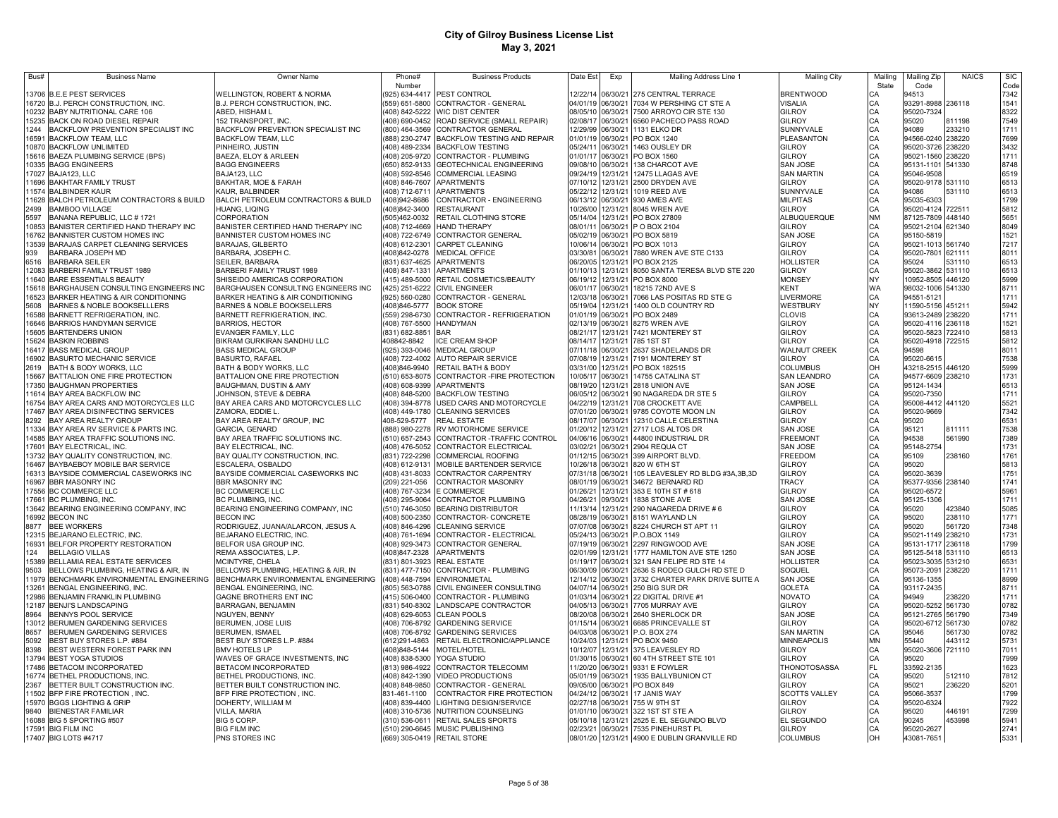| Bus#  | <b>Business Name</b>                                                          | Owner Name                                                        | Phone#                           | <b>Business Products</b>                                                        | Date Est             | Exp                           | Mailing Address Line 1                            | <b>Mailing City</b>              | Mailing   | Mailing Zip                            | <b>NAICS</b>     | <b>SIC</b>   |
|-------|-------------------------------------------------------------------------------|-------------------------------------------------------------------|----------------------------------|---------------------------------------------------------------------------------|----------------------|-------------------------------|---------------------------------------------------|----------------------------------|-----------|----------------------------------------|------------------|--------------|
|       | 13706 B.E.E PEST SERVICES                                                     | WELLINGTON, ROBERT & NORMA                                        | Number                           | 925) 634-4417 PEST CONTROL                                                      | 12/22/14             | 06/30/21                      | 275 CENTRAL TERRACE                               | <b>BRENTWOOD</b>                 | State     | Code<br>94513                          |                  | Code<br>7342 |
|       | 16720 B.J. PERCH CONSTRUCTION, INC.                                           | B.J. PERCH CONSTRUCTION, INC.                                     |                                  | 559) 651-5800 CONTRACTOR - GENERAL                                              | 04/01/19             | 06/30/21                      | 7034 W PERSHING CT STE A                          | VISALIA                          | СA<br>CA  | 93291-8988 236118                      |                  | 1541         |
|       | 10232 BABY NUTRITIONAL CARE 106                                               | ABED. HISHAM L                                                    |                                  | (408) 842-5222 WIC DIST CENTER                                                  | 08/05/10             | 06/30/21                      | 7500 ARROYO CIR STE 130                           | <b>GILROY</b>                    |           | 95020-7324                             |                  | 8322         |
|       | 15235 BACK ON ROAD DIESEL REPAIR                                              | 152 TRANSPORT, INC.                                               |                                  | (408) 690-0452 ROAD SERVICE (SMALL REPAIR)                                      | 02/08/17             | 06/30/21                      | 6560 PACHECO PASS ROAD                            | <b>GILROY</b>                    | CA<br>CA  | 95020                                  | 811198           | 7549         |
| 1244  | BACKFLOW PREVENTION SPECIALIST INC                                            | BACKFLOW PREVENTION SPECIALIST INC                                |                                  | (800) 464-3569 CONTRACTOR GENERAL                                               | 12/29/99             | 06/30/21                      | 1131 ELKO DR                                      | SUNNYVALE                        | CA        | 94089                                  | 233210           | 1711         |
| 16591 | <b>BACKFLOW TEAM, LLC</b>                                                     | <b>BACKFLOW TEAM, LLC</b>                                         | (888) 230-2747                   | <b>BACKFLOW TESTING AND REPAIR</b>                                              | 01/01/19             | 06/30/2                       | PO BOX 1240                                       | PLEASANTON                       | CA        | 94566-0240 238220                      |                  | 7699         |
|       | 10870 BACKFLOW UNLIMITED                                                      | PINHEIRO, JUSTIN                                                  | (408) 489-2334                   | <b>BACKFLOW TESTING</b>                                                         | 05/24/11             | 06/30/2                       | 1463 OUSLEY DR                                    | GILROY                           | CA        | 95020-3726                             | 238220           | 3432         |
|       | 15616 BAEZA PLUMBING SERVICE (BPS)<br>10335 BAGG ENGINEERS                    | BAEZA, ELOY & ARLEEN<br><b>BAGG ENGINEERS</b>                     |                                  | (408) 205-9720 CONTRACTOR - PLUMBING<br>(650) 852-9133 GEOTECHNICAL ENGINEERING | 01/01/17<br>09/08/10 | 06/30/2<br>06/30/2            | PO BOX 1560<br>138 CHARCOT AVE                    | GILROY<br>SAN JOSE               | CA<br>CA  | 95021-1560 238220<br>95131-1101 541330 |                  | 1711<br>8748 |
|       | 17027 BAJA123, LLC                                                            | BAJA123, LLC                                                      |                                  | (408) 592-8546 COMMERCIAL LEASING                                               | 09/24/19             | 12/31/21                      | 12475 LLAGAS AVE                                  | <b>SAN MARTIN</b>                | CA        | 95046-9508                             |                  | 6519         |
|       | 11696 BAKHTAR FAMILY TRUST                                                    | BAKHTAR, MOE & FARAH                                              | (408) 846-7607                   | <b>APARTMENTS</b>                                                               | 07/10/12             | 12/31/21                      | 2500 DRYDEN AVE                                   | GILROY                           | CA        | 95020-9178 531110                      |                  | 6513         |
|       | 11574 BALBINDER KAUR                                                          | KAUR, BALBINDER                                                   | (408) 712-6711                   | <b>APARTMENTS</b>                                                               | 05/22/12             | 12/31/21                      | 1019 REED AVE                                     | SUNNYVALE                        | CA        | 94086                                  | 531110           | 6513         |
|       | 11628 BALCH PETROLEUM CONTRACTORS & BUILD                                     | BALCH PETROLEUM CONTRACTORS & BUILD                               | (408)942-8686                    | CONTRACTOR - ENGINEERING                                                        | 06/13/12             | 06/30/21                      | 930 AMES AVE                                      | <b>MILPITAS</b>                  | CA        | 95035-6303                             |                  | 1799         |
| 2499  | <b>BAMBOO VILLAGE</b>                                                         | HUANG, LIQING                                                     | (408)842-3400                    | <b>RESTAURANT</b>                                                               | 10/26/00             | 12/31/21                      | 8045 WREN AVE                                     | <b>GILROY</b>                    | CA        | 95020-4124 722511                      |                  | 5812         |
| 5597  | BANANA REPUBLIC, LLC # 1721                                                   | CORPORATION                                                       | (505)462-0032                    | RETAIL CLOTHING STORE                                                           | 05/14/04             | 12/31/21                      | PO BOX 27809                                      | <b>ILBUQUERQUE</b>               | <b>NM</b> | 87125-7809 448140                      |                  | 5651         |
|       | 10853 BANISTER CERTIFIED HAND THERAPY INC<br>16762 BANNISTER CUSTOM HOMES INC | BANISTER CERTIFIED HAND THERAPY INC<br>BANNISTER CUSTOM HOMES INC | (408) 712-4669                   | <b>HAND THERAPY</b>                                                             | 08/01/11<br>05/02/19 | 06/30/21<br>06/30/21          | P O BOX 2104<br>PO BOX 5819                       | GILROY<br><b>SAN JOSE</b>        | CA<br>CA  | 95021-2104 621340<br>95150-5819        |                  | 8049<br>1521 |
|       | 13539 BARAJAS CARPET CLEANING SERVICES                                        | BARAJAS, GILBERTO                                                 | (408) 612-2301                   | (408) 722-6749 CONTRACTOR GENERAL<br><b>CARPET CLEANING</b>                     | 10/06/14             | 06/30/21                      | PO BOX 1013                                       | GILROY                           | CA        | 95021-1013 561740                      |                  | 7217         |
| 939   | BARBARA JOSEPH MD                                                             | BARBARA, JOSEPH C.                                                | (408)842-0278                    | <b>MEDICAL OFFICE</b>                                                           | 03/30/81             | 06/30/21                      | 7880 WREN AVE STE C133                            | <b>GILROY</b>                    | CA        | 95020-7801 621111                      |                  | 8011         |
| 6516  | <b>BARBARA SEILER</b>                                                         | SEILER, BARBARA                                                   | (831) 637-4625 APARTMENTS        |                                                                                 | 06/20/05             | 12/31/21                      | PO BOX 2125                                       | HOLLISTER                        | CA        | 95024                                  | 531110           | 6513         |
|       | 12083 BARBERI FAMILY TRUST 1989                                               | BARBERI FAMILY TRUST 1989                                         | (408) 847-1331                   | <b>APARTMENTS</b>                                                               | 01/10/13             | 12/31/21                      | 8050 SANTA TERESA BLVD STE 220                    | <b>GILROY</b>                    | CA        | 95020-3862 531110                      |                  | 6513         |
|       | 11640 BARE ESSENTIALS BEAUTY                                                  | SHISEIDO AMERICAS CORPORATION                                     |                                  | (415) 489-5000 RETAIL COSMETICS/BEAUTY                                          | 06/19/12             | 12/31/21                      | PO BOX 8000                                       | <b>MONSEY</b>                    | NY        | 10952-8505 446120                      |                  | 5999         |
|       | 15618 BARGHAUSEN CONSULTING ENGINEERS INC                                     | BARGHAUSEN CONSULTING ENGINEERS INC                               |                                  | (425) 251-6222 CIVIL ENGINEER                                                   | 06/01/17             | 06/30/21                      | 18215 72ND AVE S                                  | <b>KENT</b>                      | <b>WA</b> | 98032-1006 541330                      |                  | 8711         |
|       | 16523 BARKER HEATING & AIR CONDITIONING                                       | BARKER HEATING & AIR CONDITIONING                                 |                                  | (925) 560-0280 CONTRACTOR - GENERAL                                             | 12/03/18             | 06/30/21                      | 7066 LAS POSITAS RD STE G                         | <b>IVERMORE</b>                  | CA        | 94551-5121                             |                  | 1711         |
| 5608  | BARNES & NOBLE BOOKSELLLERS<br>16588 BARNETT REFRIGERATION, INC.              | BARNES & NOBLE BOOKSELLERS<br>BARNETT REFRIGERATION, INC.         | (408)846-5777                    | <b>BOOK STORE</b><br>(559) 298-6730 CONTRACTOR - REFRIGERATION                  | 05/19/04<br>01/01/19 | 12/31/21<br>06/30/21          | 1400 OLD COUNTRY RD<br>PO BOX 2489                | WESTBURY<br><b>CLOVIS</b>        | <b>NY</b> | 11590-5156 451211<br>93613-2489 238220 |                  | 5942<br>1711 |
|       | 16646 BARRIOS HANDYMAN SERVICE                                                | <b>BARRIOS, HECTOR</b>                                            | (408) 767-5500 HANDYMAN          |                                                                                 | 02/13/19             | 06/30/21                      | 8275 WREN AVE                                     | GILROY                           | CA<br>CA  | 95020-4116 236118                      |                  | 1521         |
|       | 15605 BARTENDERS UNION                                                        | EVANGER FAMILY, LLC                                               | (831) 682-8851                   | <b>BAR</b>                                                                      | 08/21/17             | 12/31/21                      | 7421 MONTEREY ST                                  | GILROY                           | CA        | 95020-5823 722410                      |                  | 5813         |
|       | 15624 BASKIN ROBBINS                                                          | BIKRAM GURKIRAN SANDHU LLC                                        | 408842-8842                      | ICE CREAM SHOP                                                                  | 08/14/17             | 12/31/21                      | 785 1ST ST                                        | GILROY                           | CA        | 95020-4918 722515                      |                  | 5812         |
|       | 16417 BASS MEDICAL GROUP                                                      | <b>BASS MEDICAL GROUP</b>                                         |                                  | (925) 393-0046 MEDICAL GROUP                                                    | 07/11/18             | 06/30/21                      | 2637 SHADELANDS DR                                | <b>WALNUT CREEK</b>              | CA        | 94598                                  |                  | 8011         |
|       | 16902 BASURTO MECHANIC SERVICE                                                | <b>BASURTO, RAFAEL</b>                                            |                                  | (408) 722-4002 AUTO REPAIR SERVICE                                              | 07/08/19             | 12/31/21                      | 7191 MONTEREY ST                                  | <b>GILROY</b>                    | CA        | 95020-6615                             |                  | 7538         |
|       | 2619 BATH & BODY WORKS, LLC                                                   | BATH & BODY WORKS, LLC                                            | (408)846-9940                    | <b>RETAIL BATH &amp; BODY</b>                                                   | 03/31/00             | 12/31/21                      | PO BOX 182515                                     | COLUMBUS                         | OH        | 43218-2515 446120                      |                  | 5999         |
|       | 15667 BATTALION ONE FIRE PROTECTION<br>17350 BAUGHMAN PROPERTIES              | BATTALION ONE FIRE PROTECTION<br>BAUGHMAN, DUSTIN & AMY           |                                  | (510) 653-8075 CONTRACTOR - FIRE PROTECTION<br>(408) 608-9399 APARTMENTS        | 10/05/17<br>08/19/20 | 06/30/21<br>12/31/21          | 14755 CATALINA ST<br>2818 UNION AVE               | <b>SAN LEANDRO</b><br>SAN JOSE   | CA<br>CA  | 94577-6609 238210<br>95124-1434        |                  | 1731<br>6513 |
|       | 11614 BAY AREA BACKFLOW INC                                                   | JOHNSON, STEVE & DEBRA                                            |                                  | (408) 848-5200 BACKFLOW TESTING                                                 | 06/05/12             | 06/30/21                      | 90 NAGAREDA DR STE 5                              | GILROY                           | CA        | 95020-7350                             |                  | 1711         |
|       | 16754 BAY AREA CARS AND MOTORCYCLES LLC                                       | BAY AREA CARS AND MOTORCYCLES LLC                                 |                                  | (408) 394-8778 USED CARS AND MOTORCYCLE                                         | 04/22/19             | 12/31/21                      | 708 CROCKETT AVE                                  | CAMPBELL                         |           | 95008-4412 441120                      |                  | 5521         |
|       | 17467 BAY AREA DISINFECTING SERVICES                                          | ZAMORA, EDDIE L.                                                  |                                  | (408) 449-1780 CLEANING SERVICES                                                | 07/01/20             | 06/30/21                      | 9785 COYOTE MOON LN                               | GILROY                           |           | 95020-9669                             |                  | 7342         |
|       | 8292 BAY AREA REALTY GROUP                                                    | BAY AREA REALTY GROUP, INC                                        | 408-529-5777                     | <b>REAL ESTATE</b>                                                              | 08/17/07             | 06/30/21                      | 12310 CALLE CELESTINA                             | GILROY                           |           | 95020                                  |                  | 6531         |
|       | 11334 BAY AREA RV SERVICE & PARTS INC.                                        | GARCIA, GENARD                                                    | (888) 980-2278                   | RV MOTORHOME SERVICE                                                            | 01/20/12             | 12/31/21                      | 2717 LOS ALTOS DR                                 | <b>SAN JOSE</b>                  |           | 95121                                  | 811111           | 7538         |
|       | 14585 BAY AREA TRAFFIC SOLUTIONS INC.                                         | BAY AREA TRAFFIC SOLUTIONS INC.                                   | (510) 657-2543                   | CONTRACTOR - TRAFFIC CONTROL                                                    | 04/06/16             | 06/30/21                      | 44800 INDUSTRIAL DR                               | <b>FREEMONT</b>                  |           | 94538                                  | 561990           | 7389         |
|       | 17601 BAY ELECTRICAL, INC.<br>13732 BAY QUALITY CONSTRUCTION, INC.            | BAY ELECTRICAL. INC<br>BAY QUALITY CONSTRUCTION, INC.             | (408) 476-5052<br>(831) 722-2298 | CONTRACTOR ELECTRICAL<br><b>COMMERCIAL ROOFING</b>                              | 03/02/21<br>01/12/15 | 06/30/21<br>06/30/21          | 2904 REQUA CT<br>399 AIRPORT BLVD                 | SAN JOSE<br>FREEDOM              |           | 95148-2754<br>95109                    | 238160           | 1731<br>1761 |
|       | 16467 BAYBAEBOY MOBILE BAR SERVICE                                            | ESCALERA, OSBALDO                                                 | (408) 612-9131                   | MOBILE BARTENDER SERVICE                                                        | 10/26/18             | 06/30/21                      | 820 W 6TH ST                                      | <b>GILROY</b>                    |           | 95020                                  |                  | 5813         |
|       | 16313 BAYSIDE COMMERCIAL CASEWORKS INC                                        | BAYSIDE COMMERCIAL CASEWORKS INC                                  | (408) 431-8033                   | CONTRACTOR CARPENTRY                                                            | 07/31/18             | 06/30/21                      | 105 LEAVESLEY RD BLDG #3A,3B,3D                   | GILROY                           |           | 95020-3639                             |                  | 1751         |
|       | 16967 BBR MASONRY INC                                                         | <b>BBR MASONRY INC</b>                                            | (209) 221-056                    | CONTRACTOR MASONRY                                                              | 08/01/19             | 06/30/21                      | 34672 BERNARD RD                                  | <b>TRACY</b>                     |           | 95377-9356 238140                      |                  | 1741         |
|       | 17556 BC COMMERCE LLC                                                         | BC COMMERCE LLC                                                   | (408) 767-3234                   | <b>E COMMERCE</b>                                                               | 01/26/21             | 2/31/21                       | 353 E 10TH ST # 618                               | GILROY                           |           | 95020-6572                             |                  | 5961         |
|       | 17661 BC PLUMBING, INC.                                                       | BC PLUMBING, INC.                                                 | (408) 295-9064                   | <b>CONTRACTOR PLUMBING</b>                                                      | 04/26/21             | 09/30/21                      | 1838 STONE AVE                                    | <b>SAN JOSE</b>                  |           | 95125-1306                             |                  | 1711         |
|       | 13642 BEARING ENGINEERING COMPANY, INC                                        | BEARING ENGINEERING COMPANY, INC                                  | (510) 746-3050                   | <b>BEARING DISTRIBUTOR</b>                                                      | 11/13/14             | 12/31/21                      | 290 NAGAREDA DRIVE #6                             | <b>GILROY</b>                    |           | 95020                                  | 423840<br>238110 | 5085<br>1771 |
| 8877  | 16992 BECON INC<br><b>BEE WORKERS</b>                                         | <b>BECON INC</b><br>RODRIGUEZ, JUANA/ALARCON, JESUS A.            |                                  | (408) 500-2350 CONTRACTOR- CONCRETE<br>(408) 846-4296 CLEANING SERVICE          | 08/28/19<br>07/07/08 | 06/30/21<br>06/30/21          | 8151 WAYLAND LN<br>8224 CHURCH ST APT 11          | <b>GILROY</b><br>GILROY          |           | 95020<br>95020                         | 561720           | 7348         |
|       | 12315 BEJARANO ELECTRIC, INC.                                                 | BEJARANO ELECTRIC, INC.                                           | (408) 761-1694                   | CONTRACTOR - ELECTRICAL                                                         | 05/24/13             | 06/30/21                      | P.O.BOX 1149                                      | GILROY                           |           | 95021-1149 238210                      |                  | 1731         |
|       | 16931 BELFOR PROPERTY RESTORATION                                             | BELFOR USA GROUP INC.                                             |                                  | (408) 929-3473 CONTRACTOR GENERAL                                               | 07/19/19             | 06/30/21                      | 2297 RINGWOOD AVE                                 | <b>SAN JOSE</b>                  |           | 95131-1717 236118                      |                  | 1799         |
| 124   | <b>BELLAGIO VILLAS</b>                                                        | REMA ASSOCIATES, L.P.                                             | (408)847-2328                    | <b>APARTMENTS</b>                                                               | 02/01/99             | 12/31/21                      | 1777 HAMILTON AVE STE 1250                        | <b>SAN JOSE</b>                  |           | 95125-5418 531110                      |                  | 6513         |
|       | 15389 BELLAMIA REAL ESTATE SERVICES                                           | MCINTYRE, CHELA                                                   | (831) 801-3923                   | <b>REAL ESTATE</b>                                                              | 01/19/17             | 06/30/21                      | 321 SAN FELIPE RD STE 14                          | HOLLISTER                        |           | 95023-3035 531210                      |                  | 6531         |
| 9503  | BELLOWS PLUMBING, HEATING & AIR, IN                                           | BELLOWS PLUMBING, HEATING & AIR, IN                               |                                  | (831) 477-7150 CONTRACTOR - PLUMBING                                            | 06/30/09             | 06/30/21                      | 2636 S RODEO GULCH RD STE D                       | SOQUEL                           |           | 95073-2091 238220                      |                  | 1711         |
|       | 11979 BENCHMARK ENVIRONMENTAL ENGINEERING<br>13261 BENGAL ENGINEERING, INC.   | BENCHMARK ENVIRONMENTAL ENGINEERING<br>BENGAL ENGINEERING, INC.   | (408) 448-7594                   | <b>ENVIRONMETAL</b><br>(805) 563-0788 CIVIL ENGINEER CONSULTING                 | 12/14/12<br>04/07/14 | 06/30/21<br>06/30/21          | 3732 CHARTER PARK DRIVE SUITE A<br>250 BIG SUR DR | <b>SAN JOSE</b><br><b>GOLETA</b> |           | 95136-1355<br>93117-2435               |                  | 8999<br>8711 |
|       | 12986 BENJAMIN FRANKLIN PLUMBING                                              | GAGNE BROTHERS ENT INC                                            |                                  | (415) 506-0400 CONTRACTOR - PLUMBING                                            | 01/03/14             | 06/30/21                      | 22 DIGITAL DRIVE #1                               | <b>NOVATO</b>                    |           | 94949                                  | 238220           | 1711         |
|       | 12187 BENJI'S LANDSCAPING                                                     | BARRAGAN, BENJAMIN                                                |                                  | (831) 540-8302 LANDSCAPE CONTRACTOR                                             | 04/05/13             | 06/30/21                      | 7705 MURRAY AVE                                   | <b>GILROY</b>                    |           | 95020-5252 561730                      |                  | 0782         |
| 8964  | BENNYS POOL SERVICE                                                           | NGUYEN, BENNY                                                     |                                  | (408) 629-6053 CLEAN POOLS                                                      | 08/20/08             | 06/30/21                      | 2640 SHERLOCK DR                                  | <b>SAN JOSE</b>                  |           | 95121-2765 561790                      |                  | 7349         |
|       | 13012 BERUMEN GARDENING SERVICES                                              | BERUMEN, JOSE LUIS                                                |                                  | (408) 706-8792 GARDENING SERVICE                                                | 01/15/14             | 06/30/21                      | 6685 PRINCEVALLE ST                               | <b>GILROY</b>                    |           | 95020-6712 561730                      |                  | 0782         |
| 8657  | BERUMEN GARDENING SERVICES                                                    | BERUMEN, ISMAEL                                                   |                                  | (408) 706-8792 GARDENING SERVICES                                               | 04/03/08             | 06/30/21                      | P.O. BOX 274                                      | SAN MARTIN                       |           | 95046                                  | 561730           | 0782         |
| 5092  | BEST BUY STORES L.P. #884                                                     | BEST BUY STORES L.P. #884                                         | (612)291-4863                    | RETAIL ELECTRONIC/APPLIANCE                                                     | 10/24/03             | 12/31/21                      | PO BOX 9450                                       | <b>MINNEAPOLIS</b>               | MN        | 55440                                  | 443112           | 5731         |
| 8398  | BEST WESTERN FOREST PARK INN                                                  | <b>BMV HOTELS LP</b>                                              | (408)848-5144                    | MOTEL/HOTEL                                                                     | 10/12/07             | 12/31/21                      | 375 LEAVESLEY RD                                  | <b>GILROY</b>                    | CA<br>CA  | 95020-3606 721110                      |                  | 7011<br>7999 |
|       | 13794 BEST YOGA STUDIOS<br>17486 BETACOM INCORPORATED                         | WAVES OF GRACE INVESTMENTS, INC<br>BETACOM INCORPORATED           |                                  | (408) 838-5300 YOGA STUDIO<br>(813) 986-4922 CONTRACTOR TELECOMM                | 01/30/15<br>11/20/20 | 06/30/21<br>06/30/21          | 60 4TH STREET STE 101<br>9331 E FOWLER            | GILROY<br>THONOTOSASSA           | FL        | 95020<br>33592-2135                    |                  | 1623         |
|       | 16774 BETHEL PRODUCTIONS, INC                                                 | BETHEL PRODUCTIONS, INC                                           |                                  | (408) 842-1390 VIDEO PRODUCTIONS                                                | 05/01/19             | 06/30/21                      | 1935 BALLYBUNION CT                               | <b>GILROY</b>                    | CA        | 95020                                  | 512110           | 7812         |
|       | 2367 BETTER BUILT CONSTRUCTION INC.                                           | BETTER BUILT CONSTRUCTION INC.                                    |                                  | (408) 848-9850 CONTRACTOR - GENERAL                                             | 09/05/00             | 06/30/21                      | PO BOX 849                                        | GILROY                           |           | 95021                                  | 236220           | 5201         |
|       | 11502 BFP FIRE PROTECTION, INC.                                               | BFP FIRE PROTECTION, INC.                                         | 831-461-1100                     | CONTRACTOR FIRE PROTECTION                                                      |                      | 04/24/12 06/30/21             | 17 JANIS WAY                                      | <b>SCOTTS VALLEY</b>             | CA<br>CA  | 95066-3537                             |                  | 1799         |
|       | 15970 BGGS LIGHTING & GRIP                                                    | DOHERTY, WILLIAM M                                                |                                  | (408) 839-4400 LIGHTING DESIGN/SERVICE                                          |                      | 02/27/18 06/30/21             | 755 W 9TH ST                                      | GILROY                           | CA        | 95020-6324                             |                  | 7922         |
|       | 9840 BIENESTAR FAMILIAR                                                       | VILLA, MARIA                                                      |                                  | (408) 310-5736 NUTRITION COUNSELING                                             |                      | 01/01/10 06/30/21             | 322 1ST ST STE A                                  | GILROY                           | CA        | 95020                                  | 446191           | 7299         |
|       | 16088 BIG 5 SPORTING #507<br>17591 BIG FILM INC                               | BIG 5 CORP.<br><b>BIG FILM INC</b>                                |                                  | (310) 536-0611 RETAIL SALES SPORTS                                              | 02/23/21             | 05/10/18 12/31/21<br>06/30/21 | 2525 E. EL SEGUNDO BLVD<br>7535 PINEHURST PL      | EL SEGUNDO<br>GILROY             | CA        | 90245<br>95020-2627                    | 453998           | 5941<br>2741 |
|       | 17407 BIG LOTS #4717                                                          | PNS STORES INC                                                    |                                  | (510) 290-6645 MUSIC PUBLISHING<br>(669) 305-0419 RETAIL STORE                  |                      |                               | 08/01/20 12/31/21 4900 E DUBLIN GRANVILLE RD      | <b>COLUMBUS</b>                  | CA<br>OH  | 43081-7651                             |                  | 5331         |
|       |                                                                               |                                                                   |                                  |                                                                                 |                      |                               |                                                   |                                  |           |                                        |                  |              |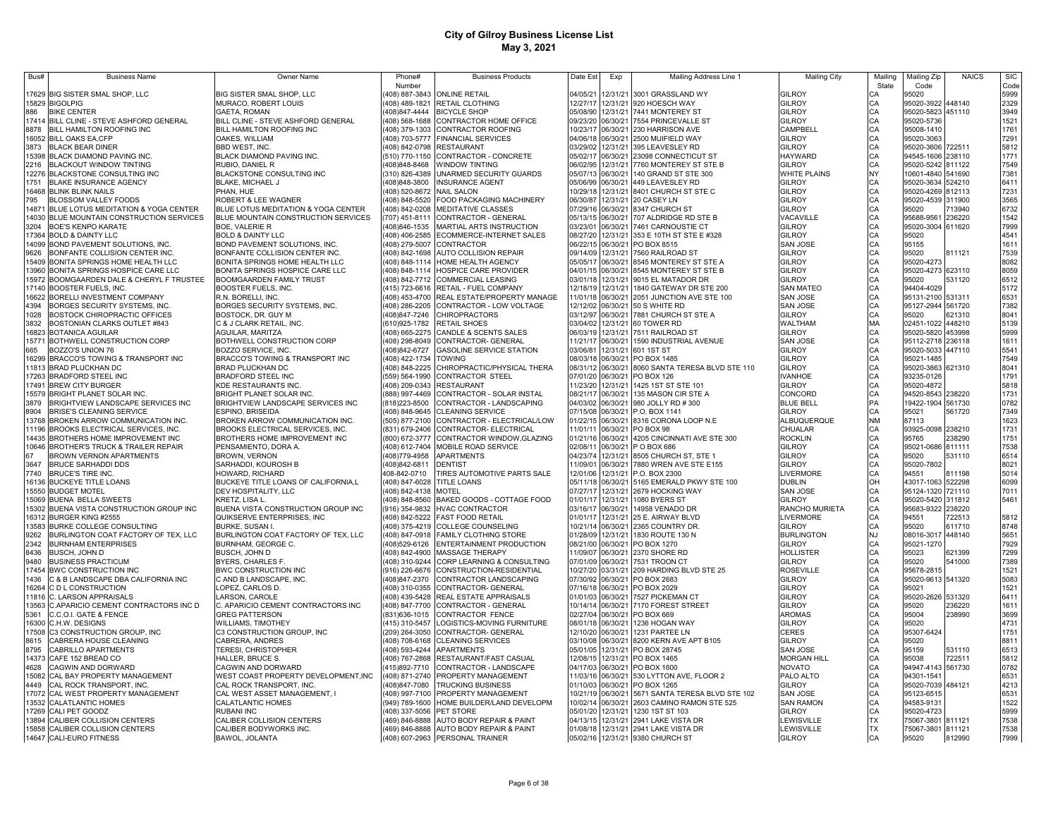| Bus#           | <b>Business Name</b>                                                | Owner Name                                                          | Phone#                          | <b>Business Products</b>                                                             | Date Est             | Exp                  | Mailing Address Line 1                               | <b>Mailing City</b>           | Mailing         | Mailing Zip                            | <b>NAICS</b> | <b>SIC</b>   |
|----------------|---------------------------------------------------------------------|---------------------------------------------------------------------|---------------------------------|--------------------------------------------------------------------------------------|----------------------|----------------------|------------------------------------------------------|-------------------------------|-----------------|----------------------------------------|--------------|--------------|
|                |                                                                     |                                                                     | Number                          |                                                                                      |                      |                      |                                                      |                               | State           | Code                                   |              | Code         |
|                | 17629 BIG SISTER SMAL SHOP, LLC                                     | BIG SISTER SMAL SHOP, LLC                                           |                                 | (408) 887-3843 ONLINE RETAIL                                                         | 04/05/21             |                      | 12/31/21 3001 GRASSLAND WY                           | GILROY                        |                 | 95020                                  |              | 5999         |
| 886            | 15829 BIGOLPIG<br><b>BIKE CENTER</b>                                | MURACO, ROBERT LOUIS<br><b>GAETA, ROMAN</b>                         | (408)847-4444                   | (408) 489-1821 RETAIL CLOTHING<br><b>BICYCLE SHOP</b>                                | 12/27/17<br>05/08/90 |                      | 12/31/21 920 HOESCH WAY<br>12/31/21 7441 MONTEREY ST | GILROY<br>GILROY              | CA              | 95020-3922 448140<br>95020-5823 451110 |              | 2329<br>3949 |
|                | 17414 BILL CLINE - STEVE ASHFORD GENERAL                            | BILL CLINE - STEVE ASHFORD GENERAL                                  |                                 | (408) 568-1688 CONTRACTOR HOME OFFICE                                                | 09/23/20             | 06/30/21             | 7554 PRINCEVALLE ST                                  | GILROY                        | CA<br>CA        | 95020-5736                             |              | 1521         |
| 8878           | BILL HAMILTON ROOFING INC                                           | BILL HAMILTON ROOFING INC                                           |                                 | (408) 379-1303 CONTRACTOR ROOFING                                                    | 10/23/17             | 06/30/21             | 230 HARRISON AVE                                     | CAMPBELL                      | CA              | 95008-1410                             |              | 1761         |
| 16052          | <b>BILL OAKS EA, CFP</b>                                            | OAKES, WILLIAM                                                      |                                 | (408) 703-5777 FINANCIAL SERVICES                                                    | 04/06/18             | 06/30/21             | 2500 MUIFIELD WAY                                    | GILROY                        | CA              | 95020-3063                             |              | 7291         |
| 3873           | <b>BLACK BEAR DINER</b>                                             | <b>BBD WEST, INC.</b>                                               |                                 | (408) 842-0798 RESTAURANT                                                            | 03/29/02             | 12/31/21             | 395 LEAVESLEY RD                                     | GILROY                        | CA              | 95020-3606                             | 722511       | 5812         |
| 15398          | BLACK DIAMOND PAVING INC.                                           | <b>BLACK DIAMOND PAVING INC.</b>                                    |                                 | (510) 770-1150 CONTRACTOR - CONCRETE                                                 | 05/02/17             | 06/30/21             | 23098 CONNECTICUT ST                                 | <b>HAYWARD</b>                | CA              | 94545-1606 238110                      |              | 1771         |
| 2216           | <b>BLACKOUT WINDOW TINTING</b>                                      | RUBIO, DANIEL R                                                     | 408)848-8468                    | <b>WINDOW TINTING</b>                                                                | 06/02/95             | 12/31/21             | 7760 MONTEREY ST STE B                               | GILROY                        | CA              | 95020-5242                             | 811122       | 7549         |
| 12276          | BLACKSTONE CONSULTING INC                                           | BLACKSTONE CONSULTING INC                                           | 310) 826-4389                   | UNARMED SECURITY GUARDS                                                              | 05/07/13             | 06/30/21             | 140 GRAND ST STE 300                                 | WHITE PLAINS                  | NY              | 10601-4840                             | 541690       | 7381         |
| 1751           | BLAKE INSURANCE AGENCY                                              | <b>BLAKE, MICHAEL J</b>                                             | 408)848-3800                    | <b>INSURANCE AGENT</b>                                                               | 05/06/99             | 06/30/21             | 449 LEAVESLEY RD                                     | GILROY                        | CA              | 95020-3634                             | 524210       | 6411         |
| 16468          | <b>BLINK BLINK NAILS</b>                                            | PHAN, HUE                                                           | (408) 520-8672 NAIL SALON       |                                                                                      | 10/29/18             | 12/31/21             | 8401 CHURCH ST STE C                                 | GILROY                        | CA              | 95020-4269                             | 812113       | 7231         |
| 795            | BLOSSOM VALLEY FOODS                                                | ROBERT & LEE WAGNER                                                 |                                 | (408) 848-5520 FOOD PACKAGING MACHINERY                                              | 06/30/87             | 12/31/21             | 20 CASEY LN                                          | GILROY                        | CA              | 95020-4539                             | 311900       | 3565         |
| 14871          | BLUE LOTUS MEDITATION & YOGA CENTER                                 | BLUE LOTUS MEDITATION & YOGA CENTER                                 |                                 | (408) 842-0208 MEDITATIVE CLASSES                                                    | 07/29/16             | 06/30/21             | 8347 CHURCH ST                                       | <b>GILROY</b>                 | CA              | 95020                                  | 713940       | 6732         |
| 14030          | BLUE MOUNTAIN CONSTRUCTION SERVICES                                 | BLUE MOUNTAIN CONSTRUCTION SERVICES                                 | (707) 451-8111                  | CONTRACTOR - GENERAL                                                                 | 05/13/15             | 06/30/21             | 707 ALDRIDGE RD STE B                                | VACAVILLE                     | CA              | 95688-956                              | 236220       | 1542         |
| 3204           | <b>BOE'S KENPO KARATE</b>                                           | <b>BOE, VALERIE R</b>                                               | (408)846-1535                   | MARTIAL ARTS INSTRUCTION                                                             | 03/23/01             | 06/30/21             | 7461 CARNOUSTIE CT                                   | <b>GILROY</b>                 | CA              | 95020-3004 611620                      |              | 7999         |
| 17364          | <b>BOLD &amp; DAINTY LLC</b>                                        | <b>BOLD &amp; DAINTY LLC</b>                                        | (408) 406-2585                  | ECOMMERCE-INTERNET SALES                                                             | 08/27/20             | 12/31/21             | 353 E 10TH ST STE E #328                             | GILROY                        | CA              | 95020                                  |              | 4541         |
| 14099<br>9626  | BOND PAVEMENT SOLUTIONS, INC.<br>BONFANTE COLLISION CENTER INC.     | BOND PAVEMENT SOLUTIONS, INC.<br>BONFANTE COLLISION CENTER INC.     | (408) 279-5007                  | <b>CONTRACTOR</b><br>(408) 842-1698 AUTO COLLISION REPAIR                            | 06/22/15<br>09/14/09 | 06/30/21<br>12/31/21 | PO BOX 8515<br>7560 RAILROAD ST                      | SAN JOSE<br>GILROY            | CA<br>CA        | 95155<br>95020                         | 811121       | 1611<br>7539 |
| 15409          | BONITA SPRINGS HOME HEALTH LLC                                      | BONITA SPRINGS HOME HEALTH LLC                                      |                                 | (408) 848-1114 HOME HEALTH AGENCY                                                    | 05/05/17             | 06/30/21             | 8545 MONTEREY ST STE A                               | GILROY                        | CA              | 95020-4273                             |              | 8082         |
| 13960          | BONITA SPRINGS HOSPICE CARE LLC                                     | BONITA SPRINGS HOSPICE CARE LLC                                     |                                 | (408) 848-1114 HOSPICE CARE PROVIDER                                                 | 04/01/15             | 06/30/21             | 8545 MONTEREY ST STE B                               | <b>GILROY</b>                 | CA              | 95020-4273 623110                      |              | 8059         |
| 15972          | BOOMGAARDEN DALE & CHERYL F TRUSTEE                                 | BOOMGAARDEN FAMILY TRUST                                            |                                 | (408) 842-7712 COMMERCIAL LEASING                                                    | 03/01/18             | 12/31/21             | 9015 EL MATADOR DR                                   | GILROY                        | CA              | 95020                                  | 531120       | 6512         |
| 17140          | <b>BOOSTER FUELS, INC.</b>                                          | BOOSTER FUELS, INC.                                                 |                                 | (415) 723-6616 RETAIL - FUEL COMPANY                                                 | 12/18/19             | 12/31/21             | 1840 GATEWAY DR STE 200                              | <b>SAN MATEO</b>              | CA              | 94404-4029                             |              | 5172         |
| 16622          | BORELLI INVESTMENT COMPANY                                          | R.N. BORELLI, INC.                                                  |                                 | (408) 453-4700 REAL ESTATE/PROPERTY MANAGE                                           | 11/01/18             | 06/30/21             | 2051 JUNCTION AVE STE 100                            | SAN JOSE                      | CA              | 95131-2100 531311                      |              | 6531         |
| 4394           | BORGES SECURITY SYSTEMS, INC.                                       | BORGES SECURITY SYSTEMS, INC.                                       |                                 | (408) 286-2205 CONTRACTOR - LOW VOLTAGE                                              | 12/12/02             | 06/30/21             | 50 S WHITE RD                                        | SAN JOSE                      | CA              | 95127-2944 561720                      |              | 7382         |
| 1028           | BOSTOCK CHIROPRACTIC OFFICES                                        | BOSTOCK, DR. GUY M                                                  | 408)847-7246                    | <b>CHIROPRACTORS</b>                                                                 | 03/12/97             | 06/30/21             | 7881 CHURCH ST STE A                                 | GILROY                        | CA              | 95020                                  | 621310       | 8041         |
| 3832           | BOSTONIAN CLARKS OUTLET #843                                        | C & J CLARK RETAIL, INC                                             |                                 | (610)925-1782 RETAIL SHOES                                                           | 03/04/02             |                      | 12/31/21 60 TOWER RD                                 | WALTHAM                       | MA              | 02451-1022 448210                      |              | 5139         |
| 16823          | <b>BOTANICA AGUILAR</b>                                             | <b>AGUILAR, MARITZA</b>                                             |                                 | 408) 665-2275 CANDLE & SCENTS SALES                                                  | 06/03/19             | 12/31/21             | 7511 RAILROAD ST                                     | <b>GILROY</b>                 | CA              | 95020-5820                             | 453998       | 5999         |
| 15771          | BOTHWELL CONSTRUCTION CORP                                          | BOTHWELL CONSTRUCTION CORP                                          |                                 | (408) 298-8049 CONTRACTOR- GENERAL                                                   | 11/21/17             | 06/30/21             | 1590 INDUSTRIAL AVENUE                               | <b>SAN JOSE</b>               | CA              | 95112-2718 236118                      |              | 1611         |
| 665            | <b>BOZZO'S UNION 76</b>                                             | BOZZO SERVICE, INC.                                                 | (408)842-6727                   | <b>GASOLINE SERVICE STATION</b>                                                      | 03/06/81             | 12/31/21             | 601 1ST ST                                           | <b>GILROY</b>                 | CA              | 95020-5033                             | 447110       | 5541         |
| 16299          | BRACCO'S TOWING & TRANSPORT INC                                     | BRACCO'S TOWING & TRANSPORT INC                                     | (408) 422-1734                  | <b>TOWING</b>                                                                        | 08/03/18             | 06/30/21             | PO BOX 1485                                          | GILROY                        | CA              | 95021-1485                             |              | 7549         |
|                | 11813 BRAD PLUCKHAN DC                                              | BRAD PLUCKHAN DC                                                    | (408) 848-2225                  | CHIROPRACTIC/PHYSICAL THERA                                                          | 08/31/12             | 06/30/21             | 8060 SANTA TERESA BLVD STE 110                       | GILROY                        | CA              | 95020-3863                             | 621310       | 8041         |
|                | 17263 BRADFORD STEEL INC                                            | <b>BRADFORD STEEL INC</b>                                           | (559) 564-1990                  | CONTRACTOR STEEL                                                                     |                      | 07/01/20 06/30/21    | PO BOX 126                                           | <b>IVANHOE</b>                | CA<br>CA        | 93235-0126                             |              | 1791         |
| 17491          | <b>BREW CITY BURGER</b>                                             | KDE RESTAURANTS INC.                                                | (408) 209-0343                  | <b>RESTAURANT</b>                                                                    | 11/23/20             | 12/31/21             | 1425 1ST ST STE 101                                  | <b>GILROY</b>                 |                 | 95020-4872                             |              | 5818         |
| 15579          | BRIGHT PLANET SOLAR INC.                                            | BRIGHT PLANET SOLAR INC.                                            | 888) 997-4469                   | CONTRACTOR - SOLAR INSTAL                                                            | 08/21/17             | 06/30/21             | 135 MASON CIR STE A                                  | CONCORD                       | CA              | 94520-8543 238220                      |              | 1731         |
| 3879           | BRIGHTVIEW LANDSCAPE SERVICES INC                                   | BRIGHTVIEW LANDSCAPE SERVICES INC                                   | (818) 223-8500                  | CONTRACTOR - LANDSCAPING                                                             | 04/03/02             | 06/30/21             | 980 JOLLY RD # 300                                   | <b>BLUE BELL</b>              | PA              | 19422-1904 561730                      |              | 0782         |
| 8904           | BRISE'S CLEANING SERVICE                                            | ESPINO, BRISEIDA                                                    | (408) 848-9645                  | <b>CLEANING SERVICE</b>                                                              | 07/15/08             | 06/30/21             | P.O. BOX 1141                                        | <b>GILROY</b>                 | CA              | 95021                                  | 561720       | 7349         |
| 13768<br>11196 | BROKEN ARROW COMMUNICATION INC.<br>BROOKS ELECTRICAL SERVICES, INC. | BROKEN ARROW COMMUNICATION INC.<br>BROOKS ELECTRICAL SERVICES, INC. | (505) 877-2100<br>831) 679-2406 | CONTRACTOR - ELECTRICAL/LOW<br>CONTRACTOR- ELECTRICAL                                | 01/22/15<br>11/01/11 | 06/30/21<br>06/30/21 | 8316 CORONA LOOP N.E<br>PO BOX 98                    | <b>ALBUQUERQUE</b><br>CHUALAR | <b>NM</b><br>CA | 87113<br>93925-0098 238210             |              | 1623<br>1731 |
| 14435          | BROTHERS HOME IMPROVEMENT INC                                       | BROTHERS HOME IMPROVEMENT INC                                       | (800) 672-3777                  | CONTRACTOR WINDOW, GLAZING                                                           | 01/21/16             | 06/30/21             | 4205 CINCINNATI AVE STE 300                          | ROCKLIN                       | CA              | 95765                                  | 238290       | 1751         |
| 10646          | BROTHER'S TRUCK & TRAILER REPAIR                                    | PENSAMIENTO, DORA A.                                                |                                 | (408) 612-7404 MOBILE ROAD SERVICE                                                   | 02/08/11             | 06/30/21             | P O BOX 686                                          | GILROY                        | CA              | 95021-0686                             | 811111       | 7538         |
|                | BROWN VERNON APARTMENTS                                             | BROWN, VERNON                                                       | (408)779-4958                   | <b>APARTMENTS</b>                                                                    | 04/23/74             | 12/31/21             | 8505 CHURCH ST, STE 1                                | GILROY                        | CA              | 95020                                  | 531110       | 6514         |
| 3647           | <b>BRUCE SARHADDI DDS</b>                                           | SARHADDI, KOUROSH B                                                 | (408)842-6811                   | <b>DENTIST</b>                                                                       | 11/09/01             | 06/30/21             | 7880 WREN AVE STE E155                               | GILROY                        | CA              | 95020-7802                             |              | 8021         |
| 7740           | BRUCE'S TIRE INC.                                                   | HOWARD, RICHARD                                                     | 408-842-0710                    | TIRES AUTOMOTIVE PARTS SALE                                                          | 12/01/06             | 12/31/21             | P.O. BOX 2300                                        | LIVERMORE                     | CA              | 94551                                  | 811198       | 5014         |
| 16136          | <b>BUCKEYE TITLE LOANS</b>                                          | BUCKEYE TITLE LOANS OF CALIFORNIA,L                                 | (408) 847-6028                  | TITLE LOANS                                                                          | 05/11/18             | 06/30/21             | 5165 EMERALD PKWY STE 100                            | <b>DUBLIN</b>                 | OH              | 43017-1063 522298                      |              | 6099         |
| 15550          | <b>BUDGET MOTEL</b>                                                 | DEV HOSPITALITY, LLC                                                | (408) 842-4138                  | MOTEL                                                                                | 07/27/17             | 12/31/21             | 2679 HOCKING WAY                                     | SAN JOSE                      | CA              | 95124-1320                             | 721110       | 7011         |
| 15069          | <b>BUENA BELLA SWEETS</b>                                           | KRETZ, LISA L.                                                      | (408) 848-8560                  | BAKED GOODS - COTTAGE FOOD                                                           | 01/01/17             | 12/31/21             | 1080 BYERS ST                                        | GILROY                        | CA              | 95020-5420                             | 311812       | 5461         |
| 15302          | BUENA VISTA CONSTRUCTION GROUP INC                                  | BUENA VISTA CONSTRUCTION GROUP INC                                  | (916) 354-9832                  | <b>HVAC CONTRACTOR</b>                                                               | 03/16/17             | 06/30/21             | 14958 VENADO DR                                      | RANCHO MURIETA                | CA              | 95683-9322 238220                      |              |              |
| 16312          | BURGER KING #2555                                                   | QUIKSERVE ENTERPRISES, INC                                          | (408) 842-5222                  | <b>FAST FOOD RETAIL</b>                                                              | 01/01/17             | 12/31/21             | 25 E. AIRWAY BLVD                                    | LIVERMORE                     | CA              | 94551                                  | 722513       | 5812         |
| 13583          | <b>BURKE COLLEGE CONSULTING</b>                                     | <b>BURKE, SUSAN I</b>                                               |                                 | (408) 375-4219 COLLEGE COUNSELING                                                    | 10/21/14             | 06/30/21             | 2365 COUNTRY DR.                                     | GILROY                        | CA              | 95020                                  | 611710       | 8748         |
| 9262           | BURLINGTON COAT FACTORY OF TEX, LLC                                 | BURLINGTON COAT FACTORY OF TEX, LLC                                 |                                 | (408) 847-0918 FAMILY CLOTHING STORE                                                 | 01/28/09             | 12/31/21             | 1830 ROUTE 130 N                                     | <b>BURLINGTON</b>             | <b>NJ</b>       | 08016-3017                             | 448140       | 5651         |
| 2342           | <b>BURNHAM ENTERPRISES</b>                                          | BURNHAM, GEORGE C.                                                  | (408)529-6126                   | ENTERTAINMENT PRODUCTION                                                             | 08/21/00             | 06/30/21             | PO BOX 1270                                          | <b>GILROY</b>                 | CA              | 95021-1270                             |              | 7929         |
| 8436           | BUSCH, JOHN D                                                       | BUSCH, JOHN D                                                       |                                 | (408) 842-4900 MASSAGE THERAPY                                                       | 11/09/07             | 06/30/21             | 2370 SHORE RD                                        | HOLLISTER                     | CA              | 95023                                  | 621399       | 7299         |
| 9480<br>17454  | <b>BUSINESS PRACTICUM</b><br><b>BWC CONSTRUCTION INC</b>            | BYERS, CHARLES F<br>BWC CONSTRUCTION INC                            |                                 | (408) 310-9244 CORP LEARNING & CONSULTING<br>(916) 226-6676 CONSTRUCTION-RESIDENTIAL | 07/01/09<br>10/27/20 | 06/30/21<br>03/31/21 | 7531 TROON CT<br>209 HARDING BLVD STE 25             | GILROY<br>ROSEVILLE           | CA              | 95020<br>95678-2815                    | 541000       | 7389<br>1521 |
| 1436           | C & B LANDSCAPE DBA CALIFORNIA INC                                  | C AND B LANDSCAPE, INC.                                             | (408)847-2370                   | CONTRACTOR LANDSCAPING                                                               | 07/30/92             | 06/30/21             | PO BOX 2683                                          | GILROY                        | CA              | 95020-9613 541320                      |              | 5083         |
| 16264          | C D L CONSTRUCTION                                                  | LOPEZ, CARLOS D.                                                    | (408) 310-0355                  | CONTRACTOR- GENERAL                                                                  | 07/16/18             | 06/30/21             | PO BOX 2029                                          | GILROY                        | CA<br>CA        | 95021                                  |              | 1521         |
|                | 11816 C. LARSON APPRAISALS                                          | LARSON, CAROLE                                                      | (408) 439-5428                  | REAL ESTATE APPRAISALS                                                               | 01/01/03             | 06/30/21             | <b>7527 PICKEMAN CT</b>                              | GILROY                        |                 | 95020-2626 531320                      |              | 6411         |
|                | 13563 C.APARICIO CEMENT CONTRACTORS INC D                           | C. APARICIO CEMENT CONTRACTORS INC                                  |                                 | (408) 847-7700 CONTRACTOR - GENERAL                                                  | 10/14/14             | 06/30/21             | 7170 FOREST STREET                                   | GILROY                        | CA<br>CA        | 95020                                  | 236220       | 1611         |
| 5361           | C.C.O.I. GATE & FENCE                                               | <b>GREG PATTERSON</b>                                               |                                 | (831)636-1015 CONTRACTOR FENCE                                                       | 02/27/04             | 06/30/21             | PO BOX 669                                           | <b>AROMAS</b>                 | CA              | 95004                                  | 238990       | 3699         |
| 16300          | C.H.W. DESIGNS                                                      | <b>WILLIAMS, TIMOTHEY</b>                                           |                                 | (415) 310-5457 LOGISTICS-MOVING FURNITURE                                            |                      | 08/01/18 06/30/21    | 1236 HOGAN WAY                                       | GILROY                        |                 | 95020                                  |              | 4731         |
| 17508          | C3 CONSTRUCTION GROUP, INC                                          | C3 CONSTRUCTION GROUP, INC                                          |                                 | (209) 264-3050 CONTRACTOR- GENERAL                                                   |                      | 12/10/20 06/30/21    | 1231 PARTEE LN                                       | CERES                         | CA<br>CA        | 95307-6424                             |              | 1751         |
| 8615           | CABRERA HOUSE CLEANING                                              | CABRERA, ANDRES                                                     |                                 | (408) 708-6168 CLEANING SERVICES                                                     |                      | 03/10/08 06/30/21    | 8200 KERN AVE APT B105                               | GILROY                        |                 | 95020                                  |              | 8811         |
| 8795           | CABRILLO APARTMENTS                                                 | <b>TERESI, CHRISTOPHER</b>                                          | (408) 593-4244 APARTMENTS       |                                                                                      | 05/01/05             | 12/31/21             | PO BOX 28745                                         | SAN JOSE                      | CA<br>CA        | 95159                                  | 531110       | 6513         |
| 14373          | CAFE 152 BREAD CO                                                   | HALLER, BRUCE S.                                                    | (408) 767-2868                  | RESTAURANT/FAST CASUAL                                                               | 12/08/15             | 12/31/21             | PO BOX 1465                                          | <b>MORGAN HILL</b>            | CA              | 95038                                  | 722511       | 5812         |
| 4628           | CAGWIN AND DORWARD                                                  | CAGWIN AND DORWARD                                                  | (415)892-7710                   | CONTRACTOR - LANDSCAPE                                                               | 04/17/03             | 06/30/21             | PO BOX 1600                                          | NOVATO                        | CA              | 94947-4143 561730                      |              | 0782         |
| 15082          | CAL BAY PROPERTY MANAGEMENT                                         | WEST COAST PROPERTY DEVELOPMENT, INC                                |                                 | (408) 871-2740 PROPERTY MANAGEMENT                                                   | 11/03/16             | 06/30/21             | 530 LYTTON AVE, FLOOR 2                              | PALO ALTO                     | CA              | 94301-1541                             |              | 6531         |
| 4449           | CAL ROCK TRANSPORT, INC.                                            | CAL ROCK TRANSPORT, INC.                                            |                                 | (408)847-7080 TRUCKING BUSINESS                                                      | 01/10/03             | 06/30/21             | PO BOX 1265                                          | GILROY                        | CA              | 95020-7039 484121                      |              | 4213         |
| 17072          | CAL WEST PROPERTY MANAGEMENT                                        | CAL WEST ASSET MANAGEMENT, I                                        | (408) 997-7100                  | PROPERTY MANAGEMENT                                                                  | 10/21/19             | 06/30/21             | 5671 SANTA TERESA BLVD STE 102                       | SAN JOSE                      | CA              | 95123-6515                             |              | 6531         |
| 13532          | <b>CALATLANTIC HOMES</b>                                            | CALATLANTIC HOMES                                                   | (949) 789-1600                  | HOME BUILDER/LAND DEVELOPM                                                           | 10/02/14             | 06/30/21             | 2603 CAMINO RAMON STE 525                            | <b>SAN RAMON</b>              |                 | 94583-9131                             |              | 1522         |
| 17269<br>13894 | CALI PET GOODZ<br>CALIBER COLLISION CENTERS                         | RUBANI INC<br>CALIBER COLLISION CENTERS                             | (408) 337-5056<br>469) 846-8888 | PET STORE<br>AUTO BODY REPAIR & PAINT                                                | 05/01/20<br>04/13/15 | 12/31/21<br>12/31/21 | 1230 1ST ST 103<br>2941 LAKE VISTA DR                | GILROY<br>LEWISVILLE          |                 | 95020-4723<br>75067-3801               | 811121       | 5999<br>7538 |
| 15858          | CALIBER COLLISION CENTERS                                           | CALIBER BODYWORKS INC.                                              |                                 | (469) 846-8888 AUTO BODY REPAIR & PAINT                                              | 01/08/18             | 12/31/21             | 2941 LAKE VISTA DR                                   | LEWISVILLE                    |                 | 75067-3801                             | 811121       | 7538         |
|                | 14647 CALI-EURO FITNESS                                             | BAWOL, JOLANTA                                                      |                                 | (408) 607-2963 PERSONAL TRAINER                                                      | 05/02/16             |                      | 12/31/21 9380 CHURCH ST                              | <b>GILROY</b>                 | CA              | 95020                                  | 812990       | 7999         |
|                |                                                                     |                                                                     |                                 |                                                                                      |                      |                      |                                                      |                               |                 |                                        |              |              |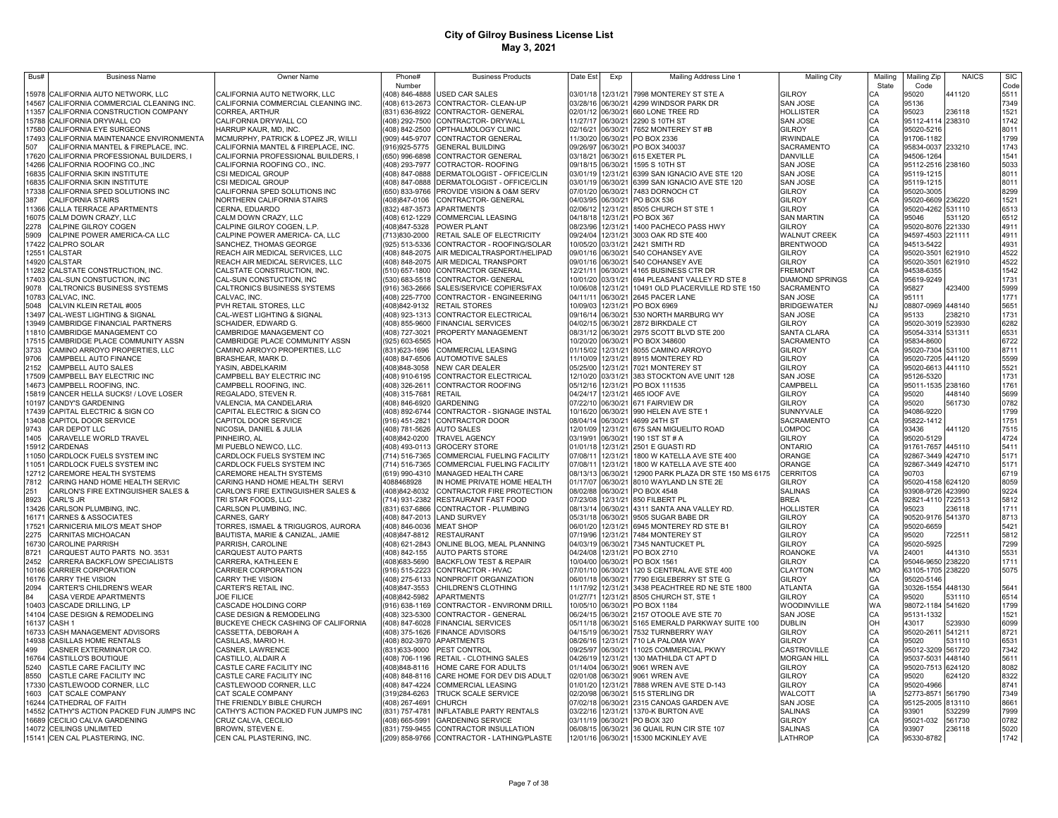| Bus#  | <b>Business Name</b>                                       | <b>Owner Name</b>                            | Phone#                   | <b>Business Products</b>                                                            | Date Est          | Exp      | Mailing Address Line 1                                                             | <b>Mailing City</b>         | Mailing                    | Mailing Zip        | <b>NAICS</b>     | <b>SIC</b>   |
|-------|------------------------------------------------------------|----------------------------------------------|--------------------------|-------------------------------------------------------------------------------------|-------------------|----------|------------------------------------------------------------------------------------|-----------------------------|----------------------------|--------------------|------------------|--------------|
|       |                                                            |                                              | Number                   |                                                                                     |                   |          |                                                                                    |                             | State                      | Code               |                  | Code         |
| 15978 | CALIFORNIA AUTO NETWORK, LLC                               | CALIFORNIA AUTO NETWORK, LLC                 | 408) 846-4888            | USED CAR SALES                                                                      | 03/01/18          |          | 12/31/21 7998 MONTEREY ST STE A                                                    | <b>GILROY</b>               | СA                         | 95020              | 441120           | 5511         |
| 14567 | CALIFORNIA COMMERCIAL CLEANING INC.                        | CALIFORNIA COMMERCIAL CLEANING INC.          |                          | 408) 613-2673 CONTRACTOR- CLEAN-UP                                                  | 03/28/16 06/30/21 |          | 4299 WINDSOR PARK DR                                                               | <b>SAN JOSE</b>             | CA                         | 95136              |                  | 7349         |
| 11357 | CALIFORNIA CONSTRUCTION COMPANY                            | CORREA, ARTHUR                               | (831) 636-8922           | CONTRACTOR- GENERAL                                                                 | 02/01/12          | 06/30/21 | 660 LONE TREE RD                                                                   | HOLLISTER                   | CA                         | 95023              | 236118           | 1521         |
| 15788 | CALIFORNIA DRYWALL CO                                      | CALIFORNIA DRYWALL CO                        | (408) 292-7500           | CONTRACTOR- DRYWALL                                                                 | 11/27/17          | 06/30/21 | 2290 S 10TH ST                                                                     | <b>SAN JOSE</b>             | CA                         | 95112-4114 238310  |                  | 1742         |
| 17580 | CALIFORNIA EYE SURGEONS                                    | HARRUP KAUR, MD, INC.                        | (408) 842-2500           | OPTHALMOLOGY CLINIC                                                                 | 02/16/21          | 06/30/21 | 7652 MONTEREY ST #B                                                                | GILROY                      | CA                         | 95020-5216         |                  | 8011         |
| 17493 | CALIFORNIA MAINTENANCE ENVIRONMENTA                        | MCMURPHY, PATRICK & LOPEZ JR, WILLI          | (909) 445-9707           | <b>CONTRACTOR GENERAL</b>                                                           | 11/30/20          | 06/30/21 | PO BOX 2336                                                                        | <b>IRWINDALE</b>            | CA<br>CA                   | 91706-1182         |                  | 1799         |
| 507   | CALIFORNIA MANTEL & FIREPLACE, INC.                        | CALIFORNIA MANTEL & FIREPLACE, INC.          | (916) 925-5775           | <b>GENERAL BUILDING</b>                                                             | 09/26/97          | 06/30/21 | PO BOX 340037                                                                      | SACRAMENTO                  |                            | 95834-0037 233210  |                  | 1743         |
| 17620 | CALIFORNIA PROFESSIONAL BUILDERS, I                        | CALIFORNIA PROFESSIONAL BUILDERS, I          | (650) 996-6898           | CONTRACTOR GENERAL                                                                  | 03/18/21          | 06/30/21 | 615 EXETER PL                                                                      | DANVILLE                    | CA                         | 94506-1264         |                  | 1541         |
| 14266 | CALIFORNIA ROOFING CO., INC                                | CALIFORNIA ROOFING CO., INC.                 | (408) 293-7977           | COTRACTOR-ROOFING                                                                   | 09/18/15          | 06/30/21 | 1595 S 10TH ST                                                                     | <b>SAN JOSE</b>             | CA                         | 95112-2516 238160  |                  | 5033         |
| 16835 | CALIFORNIA SKIN INSTITUTE                                  | CSI MEDICAL GROUP                            | (408) 847-0888           | DERMATOLOGIST - OFFICE/CLIN                                                         | 03/01/19          | 12/31/21 | 6399 SAN IGNACIO AVE STE 120                                                       | <b>SAN JOSE</b>             | CA                         | 95119-1215         |                  | 8011         |
| 16835 | CALIFORNIA SKIN INSTITUTE                                  | CSI MEDICAL GROUP                            | (408) 847-0888           | DERMATOLOGIST - OFFICE/CLIN                                                         | 03/01/19          | 06/30/21 | 6399 SAN IGNACIO AVE STE 120                                                       | <b>SAN JOSE</b>             | CA                         | 95119-1215         |                  | 8011         |
| 17338 | CALIFORNIA SPED SOLUTIONS INC                              | CALIFORNIA SPED SOLUTIONS INC                | (650) 833-9766           | PROVIDE VISION & O&M SERV                                                           | 07/01/20          | 06/30/21 | 7483 DORNOCH CT                                                                    | <b>GILROY</b>               | CA                         | 95020-3005         |                  | 8299         |
| 387   | <b>CALIFORNIA STAIRS</b>                                   | NORTHERN CALIFORNIA STAIRS                   | (408)847-0106            | CONTRACTOR- GENERAL                                                                 | 04/03/95          | 06/30/21 | PO BOX 536                                                                         | <b>GILROY</b>               | CA                         | 95020-6609 236220  |                  | 1521         |
| 11366 | CALLA TERRACE APARTMENTS                                   | CERNA, EDUARDO                               |                          | (832) 487-3573 APARTMENTS                                                           | 02/06/12          | 12/31/21 | 8505 CHURCH ST STE 1                                                               | <b>GILROY</b>               | CA                         | 95020-4262 531110  |                  | 6513         |
| 16075 | CALM DOWN CRAZY, LLC                                       | CALM DOWN CRAZY, LLC                         | (408) 612-1229           | COMMERCIAL LEASING                                                                  | 04/18/18          | 12/31/21 | PO BOX 367                                                                         | <b>SAN MARTIN</b>           | CA                         | 95046              | 531120           | 6512         |
| 2278  | CALPINE GILROY COGEN                                       | CALPINE GILROY COGEN, L.P                    | (408) 847-5328           | POWER PLANT                                                                         | 08/23/96          | 12/31/21 | 1400 PACHECO PASS HWY                                                              | <b>GILROY</b>               | CA                         | 95020-8076 221330  |                  | 4911         |
| 5909  | CALPINE POWER AMERICA-CA LLC                               | CALPINE POWER AMERICA- CA, LLC               | (713)830-2000            | RETAIL SALE OF ELECTRICITY                                                          | 09/24/04          | 12/31/21 | 3003 OAK RD STE 400                                                                | <b>WALNUT CREEK</b>         | CA                         | 94597-4503 221111  |                  | 4911         |
| 17422 | CALPRO SOLAR                                               | SANCHEZ, THOMAS GEORGE                       | (925) 513-5336           | CONTRACTOR - ROOFING/SOLAR                                                          | 10/05/20          | 03/31/21 | 2421 SMITH RD                                                                      | <b>BRENTWOOD</b>            | CA                         | 94513-5422         |                  | 4931         |
| 12551 | <b>CALSTAR</b>                                             | REACH AIR MEDICAL SERVICES, LLC              |                          | (408) 848-2075 AIR MEDICALTRASPORT/HELIPAD                                          |                   |          | 09/01/16 06/30/21 540 COHANSEY AVE                                                 | <b>GILROY</b>               | CA                         | 95020-3501 621910  |                  | 4522         |
| 14920 | <b>CALSTAR</b>                                             | REACH AIR MEDICAL SERVICES, LLC              |                          | (408) 848-2075 AIR MEDICAL TRANSPORT                                                |                   |          | 09/01/16 06/30/21 540 COHANSEY AVE                                                 | <b>GILROY</b>               | CA                         | 95020-3501 621910  |                  | 4522         |
| 11282 | CALSTATE CONSTRUCTION. INC.                                | CALSTATE CONSTRUCTION, INC.                  | (510) 657-1800           | <b>CONTRACTOR GENERAL</b>                                                           | 12/21/11          | 06/30/21 | 4165 BUSINESS CTR DR                                                               | <b>FREMONT</b>              | CA                         | 94538-6355         |                  | 1542         |
| 17403 | CAL-SUN CONSTUCTION, INC                                   | CAL-SUN CONSTUCTION, INC                     |                          | (530) 683-5518 CONTRACTOR- GENERAL                                                  |                   |          | 10/01/20 03/31/21 694 PLEASANT VALLEY RD STE 8                                     | <b>DIAMOND SPRINGS</b>      | CA                         | 95619-9249         |                  | 1731         |
| 9078  | <b>CALTRONICS BUSINESS SYSTEMS</b>                         | CALTRONICS BUSINESS SYSTEMS                  |                          | (916) 363-2666 SALES/SERVICE COPIERS/FAX                                            | 10/06/08          |          | 12/31/21 10491 OLD PLACERVILLE RD STE 150                                          | <b>SACRAMENTO</b>           | CA                         | 95827              | 423400           | 5999         |
| 10783 | CALVAC, INC.                                               | CALVAC, INC.                                 |                          | (408) 225-7700 CONTRACTOR - ENGINEERING                                             | 04/11/11          |          | 06/30/21 2645 PACER LANE                                                           | <b>SAN JOSE</b>             | CA                         | 95111              |                  | 1771         |
| 5048  | CALVIN KLEIN RETAIL #005                                   | PVH RETAIL STORES, LLC                       | (408)842-9132            | <b>RETAIL STORES</b>                                                                |                   |          | 10/09/03 12/31/21 PO BOX 6969                                                      | <b>BRIDGEWATER</b>          | <b>NJ</b>                  | 08807-0969 448140  |                  | 5651         |
| 13497 | CAL-WEST LIGHTING & SIGNAL                                 | CAL-WEST LIGHTING & SIGNAL                   |                          | (408) 923-1313 CONTRACTOR ELECTRICAL                                                |                   |          | 09/16/14 06/30/21 530 NORTH MARBURG WY                                             | <b>SAN JOSE</b>             | CA                         | 95133              | 238210           | 1731         |
| 13949 | CAMBRIDGE FINANCIAL PARTNERS                               | SCHAIDER, EDWARD G                           |                          | (408) 855-9600 FINANCIAL SERVICES                                                   |                   |          | 04/02/15 06/30/21 2872 BIRKDALE CT                                                 | <b>GILROY</b>               | CA                         | 95020-3019 523930  |                  | 6282         |
| 11810 | CAMBRIDGE MANAGEMENT CO                                    | CAMBRIDGE MANAGEMENT CO                      |                          | (408) 727-3021 PROPERTY MANAGEMENT                                                  |                   |          | 08/31/12 06/30/21 2975 SCOTT BLVD STE 200                                          | SANTA CLARA                 |                            | 95054-3314 531311  |                  | 6531         |
| 17515 | CAMBRIDGE PLACE COMMUNITY ASSN                             | CAMBRIDGE PLACE COMMUNITY ASSN               | (925) 603-6565           | <b>HOA</b>                                                                          |                   |          | 10/20/20 06/30/21 PO BOX 348600                                                    | SACRAMENTO                  | CA<br>CA                   | 95834-8600         |                  | 6722         |
| 3733  | CAMINO ARROYO PROPERTIES, LLC                              | CAMINO ARROYO PROPERTIES, LLC                | (831)623-1696            | COMMERCIAL LEASING                                                                  | 01/15/02          |          | 12/31/21 8055 CAMINO ARROYO                                                        | <b>GILROY</b>               | CA                         | 95020-7304 531100  |                  | 8711         |
| 9706  | CAMPBELL AUTO FINANCE                                      | BRASHEAR, MARK D.                            | (408) 847-6506           | <b>AUTOMOTIVE SALES</b>                                                             | 11/10/09          |          | 12/31/21 8915 MONTEREY RD                                                          | <b>GILROY</b>               |                            | 95020-7205 441120  |                  | 5599         |
| 2152  |                                                            | YASIN, ABDELKARIM                            | (408) 848-3058           | <b>NEW CAR DEALER</b>                                                               | 05/25/00          |          | 12/31/21 7021 MONTEREY ST                                                          | <b>GILROY</b>               | CA<br>CA                   | 95020-6613 441110  |                  | 5521         |
| 17509 | CAMPBELL AUTO SALES                                        |                                              |                          |                                                                                     |                   |          |                                                                                    |                             | CA                         |                    |                  | 1731         |
| 14673 | CAMPBELL BAY ELECTRIC INC                                  | CAMPBELL BAY ELECTRIC INC                    |                          | (408) 910-6195 CONTRACTOR ELECTRICAL                                                | 05/12/16          |          | 12/10/20 03/31/21 383 STOCKTON AVE UNIT 128                                        | <b>SAN JOSE</b><br>CAMPBELL |                            | 95126-5320         |                  |              |
| 15819 | CAMPBELL ROOFING, INC.                                     | CAMPBELL ROOFING, INC.                       |                          | 408) 326-2611 CONTRACTOR ROOFING                                                    |                   |          | 12/31/21 PO BOX 111535                                                             | GILROY                      | CA                         | 95011-1535 238160  |                  | 1761         |
|       | CANCER HELLA SUCKS! / LOVE LOSER                           | REGALADO, STEVEN R.                          | 408) 315-7681            | <b>RETAIL</b>                                                                       | 04/24/17          |          | 12/31/21 465 IOOF AVE                                                              |                             | CA                         | 95020              | 448140           | 5699         |
| 10197 | <b>CANDY'S GARDENING</b>                                   | VALENCIA, MA CANDELARIA                      | 408) 846-6920 GARDENING  |                                                                                     |                   |          | 07/22/10 06/30/21 671 FAIRVIEW DR                                                  | GILROY                      | CA                         | 95020              | 561730           | 0782         |
| 17439 | CAPITAL ELECTRIC & SIGN CO                                 | CAPITAL ELECTRIC & SIGN CO                   | 408) 892-6744            | CONTRACTOR - SIGNAGE INSTAL                                                         | 10/16/20          | 06/30/21 | 990 HELEN AVE STE 1                                                                | SUNNYVALE                   | CA                         | 94086-9220         |                  | 1799         |
| 13408 | <b>CAPITOL DOOR SERVICE</b>                                | CAPITOL DOOR SERVICE                         |                          | 916) 451-2821 CONTRACTOR DOOR                                                       | 08/04/14          | 06/30/21 | 4699 24TH ST                                                                       | <b>SACRAMENTO</b>           | CA                         | 95822-1412         |                  | 1751         |
| 9743  | CAR DEPOT LLC                                              | NICOSIA, DANIEL & JULIA                      | 408) 781-5626 AUTO SALES |                                                                                     | 12/01/09          | 12/31/21 | 675 SAN MIGUELITO ROAD                                                             | LOMPOC                      | CA                         | 93436              | 441120           | 7515         |
| 1405  | CARAVELLE WORLD TRAVEL                                     | PINHEIRO, AL                                 | 408)842-0200             | <b>TRAVEL AGENCY</b>                                                                | 03/19/91          | 06/30/21 | 190 1ST ST # A                                                                     | GILROY                      |                            | 95020-5129         |                  | 4724         |
| 15912 | CARDENAS                                                   | MI PUEBLO NEWCO, LLC.                        |                          | 408) 493-0113 GROCERY STORE                                                         | 01/01/18          | 12/31/21 | 2501 E GUASTI RD                                                                   | ONTARIO                     | CA<br>CA<br>CA<br>CA<br>CA | 91761-7657         | 445110           | 5411         |
| 11050 | CARDLOCK FUELS SYSTEM INC                                  | CARDLOCK FUELS SYSTEM INC                    | 714) 516-7365            | COMMERCIAL FUELING FACILITY                                                         | 07/08/11          | 12/31/21 | 1800 W KATELLA AVE STE 400                                                         | ORANGE                      |                            | 92867-3449 424710  |                  | 5171         |
| 11051 | CARDLOCK FUELS SYSTEM INC                                  | CARDLOCK FUELS SYSTEM INC                    | 714) 516-7365            | COMMERCIAL FUELING FACILITY                                                         | 07/08/11          | 12/31/21 | 1800 W KATELLA AVE STE 400                                                         | ORANGE                      |                            | 92867-3449 424710  |                  | 5171         |
| 12712 | AREMORE HEALTH SYSTEMS:                                    | CAREMORE HEALTH SYSTEMS                      |                          | (619) 990-4310 MANAGED HEALTH CARE                                                  | 08/13/13          | 06/30/21 | 12900 PARK PLAZA DR STE 150 MS 6175                                                | <b>CERRITOS</b>             |                            | 90703              |                  | 6719         |
| 7812  | <b>CARING HAND HOME HEALTH SERVIC</b>                      | CARING HAND HOME HEALTH SERVI                | 4088468928               | IN HOME PRIVATE HOME HEALTH                                                         | 01/17/07          | 06/30/21 | 8010 WAYLAND LN STE 2E                                                             | <b>GILROY</b>               | CA                         | 95020-4158 624120  |                  | 8059         |
| 251   | CARLON'S FIRE EXTINGUISHER SALES &                         | CARLON'S FIRE EXTINGUISHER SALES &           | (408) 842-8032           | CONTRACTOR FIRE PROTECTION                                                          | 08/02/88          | 06/30/21 | PO BOX 4548                                                                        | <b>SALINAS</b>              | CA<br>CA                   | 93908-9726         | 423990           | 9224         |
| 8923  | CARL'S JR                                                  | TRI STAR FOODS, LLC                          | (714) 931-2382           | RESTAURANT FAST FOOD                                                                | 07/23/08          | 12/31/21 | 850 FILBERT PL                                                                     | <b>BREA</b>                 |                            | 92821-4110 722513  |                  | 5812         |
| 13426 | CARLSON PLUMBING, INC                                      | CARLSON PLUMBING, INC.                       | (831) 637-6866           | CONTRACTOR - PLUMBING                                                               | 08/13/14          | 06/30/21 | 4311 SANTA ANA VALLEY RD.                                                          | <b>HOLLISTER</b>            | CA                         | 95023              | 236118           | 1711         |
| 16171 | CARNES & ASSOCIATES                                        | CARNES, GARY                                 | (408) 847-2013           | <b>LAND SURVEY</b>                                                                  | 05/31/18          | 06/30/21 | 9505 SUGAR BABE DR                                                                 | <b>GILROY</b>               | CA                         | 90520-9176 541370  |                  | 8713         |
| 17521 | CARNICERIA MILO'S MEAT SHOP                                | TORRES, ISMAEL & TRIGUGROS, AURORA           | (408) 846-0036           | <b>MEAT SHOP</b>                                                                    | 06/01/20          | 12/31/21 | 6945 MONTEREY RD STE B1                                                            | <b>GILROY</b>               | CA                         | 95020-6659         |                  | 5421         |
| 2275  | CARNITAS MICHOACAN                                         | BAUTISTA, MARIE & CANIZAL, JAMIE             | (408) 847-8812           | <b>RESTAURANT</b>                                                                   | 07/19/96          | 12/31/21 | 7484 MONTEREY ST                                                                   | <b>GILROY</b>               | CA                         | 95020              | 722511           | 5812         |
| 16730 | <b>CAROLINE PARRISH</b>                                    | PARRISH, CAROLINE                            | (408) 621-2843           | ONLINE BLOG, MEAL PLANNING                                                          | 04/03/19          | 06/30/21 | 7345 NANTUCKET PL                                                                  | <b>GILROY</b>               | CA                         | 95020-5925         |                  | 7299         |
| 8721  | CARQUEST AUTO PARTS NO. 3531                               | CARQUEST AUTO PARTS                          | (408) 842-155            | <b>AUTO PARTS STORE</b>                                                             | 04/24/08          | 12/31/21 | PO BOX 2710                                                                        | <b>ROANOKE</b>              | VA                         | 24001              | 441310           | 5531         |
| 2452  | CARRERA BACKFLOW SPECIALISTS                               | CARRERA, KATHLEEN E                          | (408) 683-5690           | <b>BACKFLOW TEST &amp; REPAIR</b>                                                   | 10/04/00          | 06/30/21 | PO BOX 1561                                                                        | <b>GILROY</b>               | CA                         | 95046-9650 238220  |                  | 1711         |
| 10166 | <b>CARRIER CORPORATION</b>                                 | <b>CARRIER CORPORATION</b>                   | (916) 515-2223           | CONTRACTOR - HVAC                                                                   | 07/01/10          | 06/30/21 | 120 S CENTRAL AVE STE 400                                                          | <b>CLAYTON</b>              | <b>MO</b>                  | 63105-1705 238220  |                  | 5075         |
| 16176 | <b>CARRY THE VISION</b>                                    | <b>CARRY THE VISION</b>                      | (408) 275-6133           | NONPROFIT ORGANIZATION                                                              | 06/01/18          | 06/30/21 | 7790 EIGLEBERRY ST STE G                                                           | <b>GILROY</b>               | CA                         | 95020-5146         |                  |              |
| 2094  | CARTER'S CHILDREN'S WEAR                                   | CARTER'S RETAIL INC.                         | (408) 847-3553           | CHILDREN'S CLOTHING                                                                 | 11/17/92          |          | 12/31/21 3438 PEACHTREE RD NE STE 1800                                             | <b>ATLANTA</b>              | GA                         | 30326-1554 448130  |                  | 5641         |
| 84    | CASA VERDE APARTMENTS                                      | <b>JOE FILICE</b>                            | (408)842-5982            | <b>APARTMENTS</b>                                                                   | 01/27/71          |          | 12/31/21 8505 CHURCH ST. STE 1                                                     | <b>GILROY</b>               | CA                         | 95020              | 531110           | 6514         |
| 10403 | CASCADE DRILLING, LP                                       | CASCADE HOLDING CORP                         | (916) 638-1169           | CONTRACTOR - ENVIRONM DRILL                                                         | 10/05/10          |          | 06/30/21 PO BOX 1184                                                               | WOODINVILLE                 | <b>WA</b>                  | 98072-1184 541620  |                  | 1799         |
| 14104 | CASE DESIGN & REMODELING                                   | CASE DESIGN & REMODELING                     |                          | (408) 323-5300 CONTRACTOR - GENERAL                                                 | 06/24/15          |          | 06/30/21 2157 OTOOLE AVE STE 70                                                    | <b>SAN JOSE</b>             | CA                         | 95131-1332         |                  | 1521         |
| 16137 | CASH <sub>1</sub>                                          | BUCKEYE CHECK CASHING OF CALIFORNIA          |                          | (408) 847-6028 FINANCIAL SERVICES                                                   | 05/11/18 06/30/21 |          | 5165 EMERALD PARKWAY SUITE 100                                                     | <b>DUBLIN</b>               |                            | 43017              | 523930           | 6099         |
| 16733 | CASH MANAGEMENT ADVISORS                                   | CASSETTA, DEBORAH A                          |                          | (408) 375-1626 FINANCE ADVISORS                                                     | 04/15/19 06/30/21 |          | 7532 TURNBERRY WAY                                                                 | <b>GILROY</b>               | OH<br>CA                   | 95020-2611 541211  |                  | 8721         |
| 14938 | <b>CASILLAS HOME RENTALS</b>                               | CASILLAS, MARIO H.                           |                          | (408) 802-3970 APARTMENTS                                                           | 08/26/16          |          | 12/31/21 710 LA PALOMA WAY                                                         | <b>GILROY</b>               |                            | 95020              | 531110           | 6531         |
| 499   | CASNER EXTERMINATOR CO                                     | CASNER, LAWRENCE                             | (831)633-9000            | PEST CONTROL                                                                        | 09/25/97          |          | 06/30/21 11025 COMMERCIAL PKWY                                                     | CASTROVILLE                 | CA<br>CA                   | 95012-3209 561720  |                  | 7342         |
| 16764 | CASTILLO'S BOUTIQUE                                        | CASTILLO, ALDAIR A                           |                          | (408) 706-1196 RETAIL - CLOTHING SALES                                              | 04/26/19          |          | 12/31/21 130 MATHILDA CT APT D                                                     | <b>MORGAN HILL</b>          | CA                         | 95037-5031 448140  |                  | 5611         |
| 5240  | CASTLE CARE FACILITY INC                                   | CASTLE CARE FACILITY INC                     | (408) 848-8116           | HOME CARE FOR ADULTS                                                                |                   |          | 01/14/04 06/30/21 9061 WREN AVE                                                    | <b>GILROY</b>               | CA                         | 95020-7513 624120  |                  | 8082         |
| 8550  | CASTLE CARE FACILITY INC                                   | CASTLE CARE FACILITY INC                     |                          | (408) 848-8116 CARE HOME FOR DEV DIS ADULT                                          |                   |          | 02/01/08 06/30/21 9061 WREN AVE                                                    | <b>GILROY</b>               | CA                         | 95020              | 624120           | 8322         |
| 17330 | CASTLEWOOD CORNER, LLC                                     | CASTLEWOOD CORNER, LLC                       |                          | (408) 847-4224 COMMERCIAL LEASING                                                   |                   |          | 01/01/20 12/31/21 7888 WREN AVE STE D-143                                          | <b>GILROY</b>               | CA                         | 95020-4966         |                  | 8741         |
| 1603  | CAT SCALE COMPANY                                          | CAT SCALE COMPANY                            | (319)284-6263            | <b>TRUCK SCALE SERVICE</b>                                                          |                   |          | 02/20/98 06/30/21 515 STERLING DR                                                  | <b>WALCOTT</b>              |                            | 52773-8571 561790  |                  | 7349         |
|       | 16244 CATHEDRAL OF FAITH                                   |                                              | (408) 267-4691           | <b>CHURCH</b>                                                                       |                   |          | 07/02/18 06/30/21 2315 CANOAS GARDEN AVE                                           | <b>SAN JOSE</b>             | CA                         | 95125-2005 813110  |                  | 8661         |
| 14552 |                                                            | THE FRIENDLY BIBLE CHURCH                    |                          |                                                                                     |                   |          | 03/22/16 12/31/21 1370-K BURTON AVE                                                | <b>SALINAS</b>              |                            |                    |                  | 7999         |
|       | CATHY'S ACTION PACKED FUN JUMPS INC                        | CATHY'S ACTION PACKED FUN JUMPS INC          | (831) 757-4781           | <b>INFLATABLE PARTY RENTALS</b><br><b>GARDENING SERVICE</b>                         |                   |          |                                                                                    | <b>GILROY</b>               | CA<br>CA                   | 93901<br>95021-032 | 532299<br>561730 | 0782         |
|       | 16689 CECILIO CALVA GARDENING                              | CRUZ CALVA, CECILIO                          | (408) 665-5991           |                                                                                     |                   |          | 03/11/19 06/30/21 PO BOX 320                                                       | <b>SALINAS</b>              |                            | 93907              | 236118           |              |
|       | 14072 CEILINGS UNLIMITED<br>15141 CEN CAL PLASTERING, INC. | BROWN, STEVEN E.<br>CEN CAL PLASTERING, INC. |                          | (831) 759-9455 CONTRACTOR INSULLATION<br>(209) 858-9766 CONTRACTOR - LATHING/PLASTE |                   |          | 06/08/15 06/30/21 36 QUAIL RUN CIR STE 107<br>12/01/16 06/30/21 15300 MCKINLEY AVE | LATHROP                     | CA<br>CA                   | 95330-8782         |                  | 5020<br>1742 |
|       |                                                            |                                              |                          |                                                                                     |                   |          |                                                                                    |                             |                            |                    |                  |              |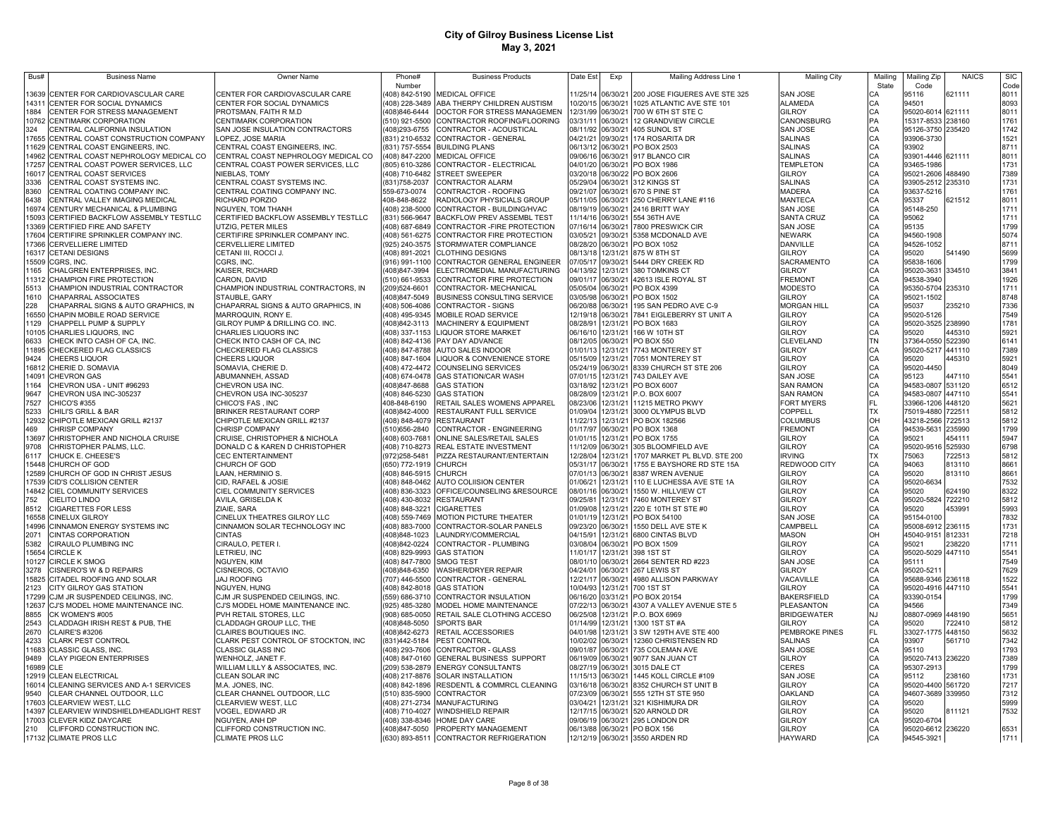| Bus#           | <b>Business Name</b>                                                | Owner Name                                                    | Phone#                           | <b>Business Products</b>                                                 | Date Est             | Exp                                    | Mailing Address Line 1                           | <b>Mailing City</b>              | Mailing                    | Mailing Zip                            | <b>NAICS</b>     | <b>SIC</b>   |
|----------------|---------------------------------------------------------------------|---------------------------------------------------------------|----------------------------------|--------------------------------------------------------------------------|----------------------|----------------------------------------|--------------------------------------------------|----------------------------------|----------------------------|----------------------------------------|------------------|--------------|
| 3639           | CENTER FOR CARDIOVASCULAR CARE                                      | CENTER FOR CARDIOVASCULAR CARE                                | Number<br>408) 842-5190          | <b>MEDICAL OFFICE</b>                                                    | 11/25/14             | 06/30/21                               | 200 JOSE FIGUERES AVE STE 325                    | SAN JOSE                         | State<br>СA                | Code<br>95116                          | 621111           | Code<br>8011 |
| 14311          | CENTER FOR SOCIAL DYNAMICS                                          | CENTER FOR SOCIAL DYNAMICS                                    | (408) 228-3489                   | ABA THERPY CHILDREN AUSTISM                                              |                      | 10/20/15 06/30/21                      | 1025 ATLANTIC AVE STE 101                        | <b>ALAMEDA</b>                   | CA                         | 94501                                  |                  | 8093         |
| 1884           | CENTER FOR STRESS MANAGEMENT                                        | PROTSMAN, FAITH R M.D                                         | 408)846-6444                     | DOCTOR FOR STRESS MANAGEMEN                                              |                      | 12/31/99 06/30/21                      | 700 W 6TH ST STE C                               | GILROY                           | CA<br>PA                   | 95020-6014 621111                      |                  | 8011         |
| 10762          | CENTIMARK CORPORATION                                               | CENTIMARK CORPORATION                                         | (510) 921-5500                   | CONTRACTOR ROOFING/FLOORING                                              |                      | 03/31/11 06/30/21                      | 12 GRANDVIEW CIRCLE                              | CANONSBURG                       |                            | 15317-8533 238160                      |                  | 1761         |
| 324            | CENTRAL CALIFORNIA INSULATION                                       | SAN JOSE INSULATION CONTRACTORS                               | 408)293-6755                     | CONTRACTOR - ACOUSTICAL                                                  |                      | 08/11/92 06/30/21                      | 405 SUNOL ST                                     | <b>SAN JOSE</b>                  | CA                         | 95126-3750 235420                      |                  | 1742         |
| 17655<br>11629 | CENTRAL COAST CONSTRUCTION COMPANY<br>CENTRAL COAST ENGINEERS, INC. | OPEZ, JOSE MARIA<br>CENTRAL COAST ENGINEERS, INC              | 831) 210-6532<br>(831) 757-5554  | CONTRACTOR - GENERAL<br><b>BUILDING PLANS</b>                            | 04/21/21<br>06/13/12 | 09/30/21<br>06/30/21                   | 174 ROSARITA DR<br>PO BOX 2503                   | <b>SALINAS</b><br><b>SALINAS</b> | CA<br>CA                   | 93906-3730<br>93902                    |                  | 1521<br>8711 |
| 14962          | CENTRAL COAST NEPHROLOGY MEDICAL CO                                 | CENTRAL COAST NEPHROLOGY MEDICAL CO                           |                                  | (408) 847-2200 MEDICAL OFFICE                                            | 09/06/16             | 06/30/21                               | 917 BLANCO CIR                                   | <b>SALINAS</b>                   |                            | 93901-4446 621111                      |                  | 8011         |
| 17257          | CENTRAL COAST POWER SERVICES, LLC                                   | CENTRAL COAST POWER SERVICES, LLC                             | (805) 610-3286                   | CONTRACTOR - ELECTRICAL                                                  | 04/01/20 06/30/21    |                                        | PO BOX 1986                                      | <b>TEMPLETON</b>                 | CA<br>CA                   | 93465-1986                             |                  | 1731         |
| 16017          | CENTRAL COAST SERVICES                                              | NIEBLAS, TOMY                                                 | (408) 710-6482                   | <b>STREET SWEEPER</b>                                                    | 03/20/18             | 06/30/22                               | PO BOX 2606                                      | GILROY                           | CA                         | 95021-2606 488490                      |                  | 7389         |
| 3336           | CENTRAL COAST SYSTEMS INC.                                          | CENTRAL COAST SYSTEMS INC.                                    | (831) 758-2037                   | CONTRACTOR ALARM                                                         | 05/29/04             | 06/30/21                               | 312 KINGS ST                                     | <b>SALINAS</b>                   | CA                         | 93905-2512 235310                      |                  | 1731         |
| 8360           | CENTRAL COATING COMPANY INC.                                        | CENTRAL COATING COMPANY INC.                                  | 559-673-0074                     | CONTRACTOR - ROOFING                                                     | 09/21/07             | 06/30/21                               | 670 S PINE ST                                    | MADERA                           | CA                         | 93637-5216                             |                  | 1761         |
| 6438<br>16974  | CENTRAL VALLEY IMAGING MEDICAL<br>CENTURY MECHANICAL & PLUMBING     | RICHARD PORZIO<br>NGUYEN, TOM THANH                           | 408-848-8622                     | RADIOLOGY PHYSICIALS GROUP<br>(408) 238-5000 CONTRACTOR - BUILDING/HVAC  |                      | 05/11/05 06/30/21<br>08/19/19 06/30/21 | 250 CHERRY LANE #116<br>2416 BRITT WAY           | MANTECA<br>SAN JOSE              | CA<br>CA                   | 95337<br>95148-250                     | 621512           | 8011<br>1711 |
| 15093          | CERTIFIED BACKFLOW ASSEMBLY TESTLLC                                 | CERTIFIED BACKFLOW ASSEMBLY TESTLLC                           | (831) 566-9647                   | BACKFLOW PREV ASSEMBL TEST                                               |                      | 11/14/16 06/30/21                      | 554 36TH AVE                                     | <b>SANTA CRUZ</b>                | CA                         | 95062                                  |                  | 1711         |
| 3369           | CERTIFIED FIRE AND SAFETY                                           | UTZIG, PETER MILES                                            | (408) 687-6849                   | CONTRACTOR - FIRE PROTECTION                                             |                      | 07/16/14 06/30/21                      | 7800 PRESWICK CIR                                | SAN JOSE                         | CA                         | 95135                                  |                  | 1799         |
| 17604          | CERTIFIRE SPRINKLER COMPANY INC.                                    | CERTIFIRE SPRINKLER COMPANY INC.                              |                                  | (408) 561-6275 CONTRACTOR FIRE PROTECTION                                | 03/05/21             | 09/30/21                               | 5358 MCDONALD AVE                                | <b>NEWARK</b>                    | CA                         | 94560-1908                             |                  | 5074         |
| 17366          | <b>CERVELLIERE LIMITED</b>                                          | CERVELLIERE LIMITED                                           |                                  | (925) 240-3575 STORMWATER COMPLIANCE                                     |                      | 08/28/20 06/30/21                      | PO BOX 1052                                      | DANVILLE                         | CA                         | 94526-1052                             |                  | 8711         |
| 15509          | 16317 CETANI DESIGNS<br>CGRS, INC.                                  | CETANI III, ROCCI J.<br>CGRS, INC.                            | (408) 891-2021<br>(916) 991-1100 | <b>CLOTHING DESIGNS</b><br>CONTRACTOR GENERAL ENGINEER                   |                      | 08/13/18 12/31/21<br>07/05/17 09/30/21 | 875 W 8TH ST<br>5444 DRY CREEK RD                | GILROY<br><b>SACRAMENTO</b>      | CA<br>CA                   | 95020<br>95838-1606                    | 541490           | 5699<br>1799 |
| 165            | CHALGREN ENTERPRISES. INC                                           | KAISER, RICHARD                                               | (408)847-3994                    | ELECTROMEDIAL MANUFACTURING                                              | 04/13/92             | 12/31/21                               | 380 TOMKINS CT                                   | <b>GILROY</b>                    | CA                         | 95020-3631 334510                      |                  | 3841         |
| 11312          | CHAMPION FIRE PROTECTION                                            | CARON, DAVID                                                  | (510) 661-9533                   | CONTRACTOR FIRE PROTECTION                                               |                      | 09/01/17 06/30/21                      | 42613 ISLE ROYAL ST                              | <b>FREMONT</b>                   | CA                         | 94538-3940                             |                  | 1926         |
| 5513           | CHAMPION INDUSTRIAL CONTRACTOR                                      | CHAMPION INDUSTRIAL CONTRACTORS, IN                           | (209)524-6601                    | CONTRACTOR- MECHANICAL                                                   | 05/05/04             | 06/30/21                               | PO BOX 4399                                      | <b>MODESTO</b>                   | CA<br>CA                   | 95350-5704 235310                      |                  | 1711         |
| 1610           | CHAPARRAL ASSOCIATES                                                | STAUBLE, GARY                                                 | 408)847-5049                     | BUSINESS CONSULTING SERVICE                                              | 03/05/98             | 06/30/21                               | PO BOX 1502                                      | GILROY                           |                            | 95021-1502                             |                  | 8748         |
| 228            | CHAPARRAL SIGNS & AUTO GRAPHICS, IN                                 | CHAPARRAL SIGNS & AUTO GRAPHICS, IN                           | (408) 506-4086                   | <b>CONTRACTOR - SIGNS</b>                                                | 06/20/88             | 06/30/21                               | 195 SAN PEDRO AVE C-9                            | <b>MORGAN HILL</b>               | CA                         | 95037                                  | 235210           | 7336         |
| 16550<br>129   | CHAPIN MOBILE ROAD SERVICE<br>CHAPPELL PUMP & SUPPLY                | MARROQUIN, RONY E.<br>GILROY PUMP & DRILLING CO. INC.         | 408) 495-9345<br>408)842-3113    | MOBILE ROAD SERVICE<br><b>MACHINERY &amp; EQUIPMENT</b>                  | 08/28/91             | 12/19/18 06/30/21<br>12/31/21          | 7841 EIGLEBERRY ST UNIT A<br>PO BOX 1683         | <b>GILROY</b><br>GILROY          | CA<br>CA                   | 95020-5126<br>95020-3525               | 238990           | 7549<br>1781 |
| 10105          | CHARLIES LIQUORS, INC                                               | CHARLIES LIQUORS INC                                          | 408) 337-1153                    | <b>LIQUOR STORE MARKET</b>                                               |                      | 06/16/10 12/31/21                      | 166 W 10TH ST                                    | GILROY                           | CA                         | 95020                                  | 445310           | 5921         |
| 6633           | CHECK INTO CASH OF CA, INC                                          | CHECK INTO CASH OF CA, INC                                    |                                  | (408) 842-4136 PAY DAY ADVANCE                                           |                      | 08/12/05 06/30/21                      | PO BOX 550                                       | CLEVELAND                        | <b>TN</b>                  | 37364-0550 522390                      |                  | 6141         |
| 11895          | CHECKERED FLAG CLASSICS                                             | CHECKERED FLAG CLASSICS                                       |                                  | (408) 847-8788 AUTO SALES INDOOR                                         |                      | 01/01/13 12/31/21                      | 7743 MONTEREY ST                                 | GILROY                           | CA                         | 95020-5217 441110                      |                  | 7389         |
| 9424           | <b>CHEERS LIQUOR</b>                                                | CHEERS LIQUOR                                                 |                                  | 408) 847-1604 LIQUOR & CONVENIENCE STORE                                 |                      | 05/15/09 12/31/21                      | 7051 MONTEREY ST                                 | <b>GILROY</b>                    |                            | 95020                                  | 445310           | 5921         |
| 16812<br>14091 | CHERIE D. SOMAVIA<br>CHEVRON GAS                                    | SOMAVIA, CHERIE D.<br>ABUMANNEH, ASSAD                        |                                  | 408) 472-4472 COUNSELING SERVICES<br>(408) 674-0478 GAS STATION/CAR WASH |                      | 05/24/19 06/30/21<br>07/01/15 12/31/21 | 8339 CHURCH ST STE 206<br>743 DAILEY AVE         | GILROY<br>SAN JOSE               |                            | 95020-4450<br>95123                    | 447110           | 8049<br>5541 |
| 164            | CHEVRON USA - UNIT #96293                                           | CHEVRON USA INC.                                              | 408)847-8688                     | <b>GAS STATION</b>                                                       | 03/18/92             | 12/31/21                               | PO BOX 6007                                      | <b>SAN RAMON</b>                 |                            | 94583-0807 531120                      |                  | 6512         |
| 9647           | CHEVRON USA INC-305237                                              | CHEVRON USA INC-305237                                        | (408) 846-5230                   | <b>GAS STATION</b>                                                       | 08/28/09             | 12/31/21                               | P.O. BOX 6007                                    | <b>SAN RAMON</b>                 | CA<br>CA<br>CA<br>CA<br>CA | 94583-0807                             | 447110           | 5541         |
| 7527           | CHICO'S #355                                                        | CHICO'S FAS . INC                                             | 408-848-6190                     | RETAIL SALES WOMENS APPAREL                                              | 08/23/06             | 12/31/21                               | 11215 METRO PKWY                                 | <b>FORT MYERS</b>                | FL                         | 33966-1206                             | 448120           | 5621         |
| 5233           | CHILI'S GRILL & BAR                                                 | <b>BRINKER RESTAURANT CORP</b>                                | 408)842-4000                     | RESTAURANT FULL SERVICE                                                  | 01/09/04             | 12/31/21                               | 3000 OLYMPUS BLVD                                | COPPELL                          | TX                         | 75019-4880                             | 722511           | 5812         |
| 12932<br>469   | CHIPOTLE MEXICAN GRILL #2137                                        | CHIPOTLE MEXICAN GRILL #2137                                  | (408) 848-4079<br>510)656-2840   | <b>RESTAURANT</b>                                                        | 01/17/97             | 11/22/13 12/31/21                      | PO BOX 182566<br>PO BOX 1368                     | COLUMBUS                         |                            | 43218-2566                             | 722513           | 5812<br>1799 |
| 13697          | CHRISP COMPANY<br>CHRISTOPHER AND NICHOLA CRUISE                    | CHRISP COMPANY<br>CRUISE, CHRISTOPHER & NICHOLA               | 408) 603-7681                    | CONTRACTOR - ENGINEERING<br>ONLINE SALES/RETAIL SALES                    | 01/01/15             | 06/30/21<br>12/31/21                   | PO BOX 1755                                      | FREMONT<br>GILROY                |                            | 94539-5631<br>95021                    | 235990<br>454111 | 5947         |
| 9708           | CHRISTOPHER PALMS, LLC.                                             | DONALD C & KAREN D CHRISTOPHER                                | 408) 710-8273                    | REAL ESTATE INVESTMENT                                                   | 11/12/09             | 06/30/21                               | 305 BLOOMFIELD AVE                               | GILROY                           | H<br>2332                  | 95020-9516 525930                      |                  | 6798         |
| 6117           | CHUCK E. CHEESE'S                                                   | <b>CEC ENTERTAINMENT</b>                                      | (972)258-5481                    | PIZZA RESTAURANT/ENTERTAIN                                               | 12/28/04             | 12/31/21                               | 1707 MARKET PL BLVD. STE 200                     | <b>IRVING</b>                    |                            | 75063                                  | 722513           | 5812         |
| 15448          | CHURCH OF GOD                                                       | CHURCH OF GOD                                                 | (650) 772-1919                   | <b>CHURCH</b>                                                            | 05/31/17             | 06/30/21                               | 1755 E BAYSHORE RD STE 15A                       | REDWOOD CITY                     | CA<br>CA                   | 94063                                  | 813110           | 8661         |
| 12589          | CHURCH OF GOD IN CHRIST JESUS                                       | .AAN, HERMINIO S.                                             | 408) 846-5915                    | <b>CHURCH</b>                                                            | 07/01/13<br>01/06/21 | 06/30/21                               | 8387 WREN AVENUE                                 | <b>GILROY</b><br><b>GILROY</b>   | CA                         | 95020                                  | 813110           | 8661         |
| 17539<br>14842 | CID'S COLLISION CENTER<br>CIEL COMMUNITY SERVICES                   | CID, RAFAEL & JOSIE<br>CIEL COMMUNITY SERVICES                | (408) 848-0462<br>(408) 836-3323 | AUTO COLIISION CENTER<br>OFFICE/COUNSELING &RESOURCE                     | 08/01/16             | 12/31/21<br>06/30/21                   | 110 E LUCHESSA AVE STE 1A<br>1550 W. HILLVIEW CT | GILROY                           |                            | 95020-6634<br>95020                    | 624190           | 7532<br>8322 |
| 752            | CIELITO LINDO                                                       | AVILA, GRISELDA K                                             | (408) 430-8032                   | <b>RESTAURANT</b>                                                        | 09/25/81             | 12/31/21                               | 7460 MONTEREY ST                                 | GILROY                           | CA<br>CA<br>CA<br>CA       | 95020-5824 722210                      |                  | 5812         |
| 8512           | <b>CIGARETTES FOR LESS</b>                                          | ZIAIE, SARA                                                   | 408) 848-3221                    | <b>CIGARETTES</b>                                                        | 01/09/08             | 12/31/21                               | 220 E 10TH ST STE #0                             | GILROY                           |                            | 95020                                  | 453991           | 5993         |
| 16558          | CINELUX GILROY                                                      | CINELUX THEATRES GILROY LLC                                   | (408) 559-7469                   | MOTION PICTURE THEATER                                                   | 01/01/19             | 12/31/21                               | PO BOX 54100                                     | SAN JOSE                         |                            | 95154-0100                             |                  | 7832         |
| 14996          | CINNAMON ENERGY SYSTEMS INC                                         | CINNAMON SOLAR TECHNOLOGY INC                                 | (408) 883-7000                   | CONTRACTOR-SOLAR PANELS                                                  | 09/23/20             | 06/30/21<br>12/31/21                   | 1550 DELL AVE STE K                              | CAMPBELI<br><b>MASON</b>         | CA<br>OH                   | 95008-6912 236115                      |                  | 1731<br>7218 |
| 2071<br>5382   | CINTAS CORPORATION<br>CIRAULO PLUMBING INC                          | <b>CINTAS</b><br>CIRAULO, PETER I.                            | (408)848-1023<br>408)842-0224    | LAUNDRY/COMMERCIAL<br>CONTRACTOR - PLUMBING                              | 04/15/91<br>03/08/04 | 06/30/21                               | 6800 CINTAS BLVD<br>PO BOX 1509                  | <b>GILROY</b>                    | CA                         | 45040-9151 812331<br>95021             | 238220           | 1711         |
| 15654          | <b>CIRCLE K</b>                                                     | LETRIEU, INC                                                  | (408) 829-9993                   | <b>GAS STATION</b>                                                       | 11/01/17             | 12/31/21                               | 398 1ST ST                                       | GILROY                           |                            | 95020-5029 447110                      |                  | 5541         |
| 10127          | CIRCLE K SMOG                                                       | NGUYEN, KIM                                                   | (408) 847-7800                   | SMOG TEST                                                                |                      | 08/01/10 06/30/21                      | 2664 SENTER RD #223                              | <b>SAN JOSE</b>                  | CA<br>CA                   | 95111                                  |                  | 7549         |
| 3278           | CISNERO'S W & D REPAIRS                                             | CISNEROS, OCTAVIO                                             | (408)848-6350                    | <b>NASHER/DRYER REPAIR</b>                                               | 04/24/01             | 06/30/21                               | 267 LEWIS ST                                     | <b>GILROY</b>                    | CA                         | 95020-5211                             |                  | 7629         |
| 5825<br>2123   | CITADEL ROOFING AND SOLAR<br>CITY GILROY GAS STATION                | <b>JAJ ROOFING</b><br>NGUYEN, HUNG                            | (707) 446-5500<br>(408) 842-8018 | CONTRACTOR - GENERAL<br><b>GAS STATION</b>                               | 12/21/17<br>10/04/93 | 06/30/21<br>12/31/21                   | 4980 ALLISON PARKWAY<br>700 1ST ST               | VACAVILLE<br><b>GILROY</b>       | CA<br>CA                   | 95688-9346 236118<br>95020-4916 447110 |                  | 1522<br>5541 |
| 17299          | CJM JR SUSPENDED CEILINGS. INC.                                     | CJM JR SUSPENDED CEILINGS, INC.                               | (559) 686-3710                   | CONTRACTOR INSULATION                                                    | 06/16/20             | 03/31/21                               | PO BOX 20154                                     | <b>BAKERSFIELD</b>               |                            | 93390-0154                             |                  | 1799         |
| 12637          | CJ'S MODEL HOME MAINTENANCE INC.                                    | CJ'S MODEL HOME MAINTENANCE INC.                              | (925) 485-3280                   | MODEL HOME MAINTENANCE                                                   |                      | 07/22/13 06/30/21                      | 4307 A VALLEY AVENUE STE 5                       | PLEASANTON                       | CA<br>CA                   | 94566                                  |                  | 7349         |
| 8855           | CK WOMEN'S #005                                                     | PVH RETAIL STORES, LLC                                        | (908) 685-0050                   | RETAIL SALE CLOTHING ACCESO                                              | 06/25/08             | 12/31/21                               | P.O. BOX 6969                                    | <b>BRIDGEWATER</b>               | <b>NJ</b>                  | 08807-0969 448190                      |                  | 5651         |
| 2543           | CLADDAGH IRISH REST & PUB, THE                                      | CLADDAGH GROUP LLC, THE                                       | (408)848-5050                    | <b>SPORTS BAR</b>                                                        | 01/14/99             | 12/31/21                               | 1300 1ST ST #A                                   | <b>GILROY</b>                    | CA<br>FL                   | 95020                                  | 722410           | 5812         |
| 2670<br>4233   | <b>CLAIRE'S #3206</b><br><b>CLARK PEST CONTROL</b>                  | CLAIRES BOUTIQUES INC.<br>CLARK PEST CONTROL OF STOCKTON, INC | 408)842-6273<br>(831)442-5184    | RETAIL ACCESSORIES<br>PEST CONTROL                                       | 04/01/98<br>10/02/02 | 12/31/21<br>06/30/21                   | 3 SW 129TH AVE STE 400<br>12360 CHRISTENSEN RD   | PEMBROKE PINES<br><b>SALINAS</b> |                            | 33027-1775 448150<br>93907             | 561710           | 5632<br>7342 |
|                | 11683 CLASSIC GLASS, INC.                                           | CLASSIC GLASS INC                                             | (408) 293-7606                   | CONTRACTOR - GLASS                                                       | 09/01/87             | 06/30/21                               | 735 COLEMAN AVE                                  | <b>SAN JOSE</b>                  | CA CA CA CA CA CA CA       | 95110                                  |                  | 1793         |
| 9489           | <b>CLAY PIGEON ENTERPRISES</b>                                      | WENHOLZ, JANET F.                                             | (408) 847-0160                   | GENERAL BUSINESS SUPPORT                                                 |                      | 06/19/09 06/30/21                      | 9077 SAN JUAN CT                                 | GILROY                           |                            | 95020-7413 236220                      |                  | 7389         |
|                | 16989 CLE                                                           | WILLIAM LILLY & ASSOCIATES, INC.                              | (209) 538-2879                   | ENERGY CONSULTANTS                                                       |                      | 08/27/19 06/30/21                      | 3015 DALE CT                                     | CERES                            |                            | 95307-2913                             |                  | 1799         |
|                | 12919 CLEAN ELECTRICAL                                              | CLEAN SOLAR INC                                               | (408) 217-8876                   | SOLAR INSTALLATION                                                       |                      | 11/15/13 06/30/21                      | 1445 KOLL CIRCLE #109                            | <b>SAN JOSE</b>                  |                            | 95112                                  | 238160           | 1731         |
| 9540           | 16014 CLEANING SERVICES AND A-1 SERVICES                            | M.A. JONES, INC.                                              | (408) 842-1896                   | RESDENTL & COMMRCL CLEANING                                              |                      | 03/16/18 06/30/21                      | 8352 CHURCH ST UNIT B<br>555 12TH ST STE 950     | <b>GILROY</b>                    |                            | 95020-4400 561720<br>94607-3689 339950 |                  | 7217         |
|                | CLEAR CHANNEL OUTDOOR, LLC<br>17603 CLEARVIEW WEST, LLC             | CLEAR CHANNEL OUTDOOR, LLC<br>CLEARVIEW WEST, LLC             | (510) 835-5900<br>408) 271-2734  | CONTRACTOR<br>MANUFACTURING                                              | 03/04/21             | 07/23/09 06/30/21                      | 12/31/21 321 KISHIMURA DR                        | OAKLAND<br>GILROY                | CA                         | 95020                                  |                  | 7312<br>5999 |
| 14397          | CLEARVIEW WINDSHIELD/HEADLIGHT REST                                 | VOGEL, EDWARD JR                                              | (408) 710-4027                   | <b>WINDSHIELD REPAIR</b>                                                 |                      | 12/17/15 06/30/21                      | 520 ARNOLD DR                                    | GILROY                           |                            | 95020                                  | 811121           | 7532         |
|                | 17003 CLEVER KIDZ DAYCARE                                           | NGUYEN, ANH DP                                                | 408) 338-8346                    | HOME DAY CARE                                                            |                      | 09/06/19 06/30/21                      | 295 LONDON DR                                    | <b>GILROY</b>                    | CA<br>CA<br>CA<br>CA       | 95020-6704                             |                  |              |
| 210            | CLIFFORD CONSTRUCTION INC.                                          | CLIFFORD CONSTRUCTION INC.                                    | (408)847-5050                    | PROPERTY MANAGEMENT                                                      |                      |                                        | 06/13/88 06/30/21 PO BOX 156                     | <b>GILROY</b>                    |                            | 95020-6612 236220                      |                  | 6531         |
|                | 17132 CLIMATE PROS LLC                                              | <b>CLIMATE PROS LLC</b>                                       |                                  | (630) 893-8511 CONTRACTOR REFRIGERATION                                  |                      |                                        | 12/12/19 06/30/21 3550 ARDEN RD                  | <b>HAYWARD</b>                   |                            | 94545-3921                             |                  | 1711         |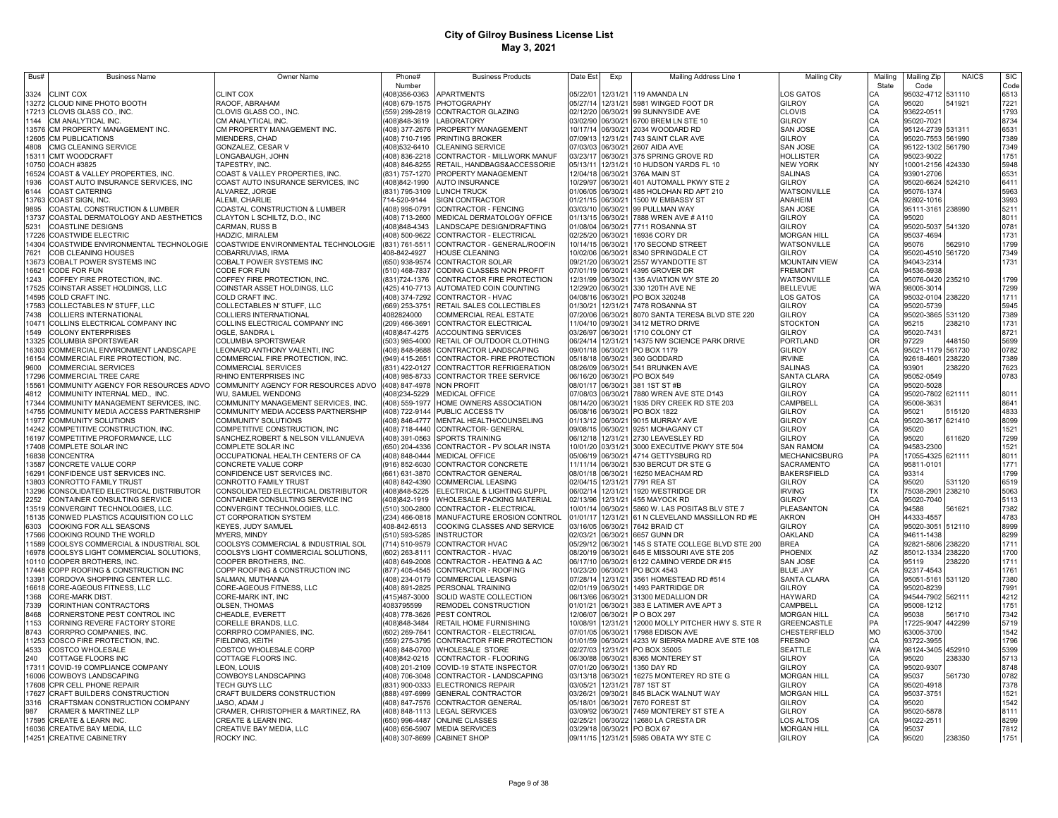| Bus#           | <b>Business Name</b>                                                      | Owner Name                                                                 | Phone#                           | <b>Business Products</b>                                                        | Date Est             | Exp                                    | Mailing Address Line 1                                          | <b>Mailing City</b>                      | Mailing   | Mailing Zip                     | <b>NAICS</b>     | SIC          |
|----------------|---------------------------------------------------------------------------|----------------------------------------------------------------------------|----------------------------------|---------------------------------------------------------------------------------|----------------------|----------------------------------------|-----------------------------------------------------------------|------------------------------------------|-----------|---------------------------------|------------------|--------------|
|                |                                                                           |                                                                            | Number                           |                                                                                 |                      |                                        |                                                                 |                                          | State     | Code                            |                  | Code<br>6513 |
| 3324           | CLINT COX<br>13272 CLOUD NINE PHOTO BOOTH                                 | <b>CLINT COX</b><br>RAOOF, ABRAHAM                                         | 408)356-0363                     | <b>APARTMENTS</b><br>408) 679-1575 PHOTOGRAPHY                                  | 05/22/01             |                                        | 12/31/21 119 AMANDA LN<br>05/27/14 12/31/21 5981 WINGED FOOT DR | LOS GATOS<br>GILROY                      | CА<br>CА  | 95032-4712 531110<br>95020      | 541921           | 7221         |
|                | 17213 CLOVIS GLASS CO., INC.                                              | CLOVIS GLASS CO., INC                                                      |                                  | (559) 299-2819 CONTRACTOR GLAZING                                               |                      |                                        | 02/12/20 06/30/21 99 SUNNYSIDE AVE                              | CLOVIS                                   | CA        | 93622-051                       |                  | 1793         |
| 1144           | CM ANALYTICAL INC.                                                        | CM ANALYTICAL INC.                                                         | 408)848-3619                     | <b>LABORATORY</b>                                                               |                      |                                        | 03/02/90 06/30/21 6700 BREM LN STE 10                           | GILROY                                   | CA        | 95020-7021                      |                  | 8734         |
| 13576          | CM PROPERTY MANAGEMENT INC.                                               | CM PROPERTY MANAGEMENT INC.                                                |                                  | 408) 377-2676 PROPERTY MANAGEMENT                                               |                      | 10/17/14 06/30/21                      | 2034 WOODARD RD                                                 | SAN JOSE                                 | CA        | 95124-2739 531311               |                  | 6531         |
| 12605          | CM PUBLICATIONS                                                           | MIENDERS, CHAD                                                             |                                  | 408) 710-7195 PRINTING BROKER                                                   | 07/09/13             | 12/31/21                               | 743 SAINT CLAR AVE                                              | <b>GILROY</b>                            | CA        | 95020-7553                      | 561990           | 7389         |
| 4808           | CMG CLEANING SERVICE                                                      | GONZALEZ, CESAR V                                                          | (408) 532-6410                   | <b>CLEANING SERVICE</b>                                                         |                      | 07/03/03 06/30/21                      | 2607 AIDA AVE                                                   | SAN JOSE                                 | CA        | 95122-1302 561790               |                  | 7349         |
| 15311<br>10750 | CMT WOODCRAFT<br>COACH #3825                                              | ONGABAUGH, JOHN                                                            | 408) 836-2218                    | CONTRACTOR - MILLWORK MANUF                                                     | 03/23/17<br>05/13/11 | 06/30/21                               | 375 SPRING GROVE RD                                             | HOLLISTER<br>NEW YORK                    | CA<br>NY  | 95023-9022                      | 424330           | 1751<br>5948 |
| 16524          | COAST & VALLEY PROPERTIES, INC.                                           | TAPESTRY, INC<br>COAST & VALLEY PROPERTIES, INC.                           |                                  | 408) 846-8255 RETAIL, HANDBAGS&ACCESSORIE<br>(831) 757-1270 PROPERTY MANAGEMENT |                      | 12/31/21<br>12/04/18 06/30/21          | 10 HUDSON YARDS FL 10<br>376A MAIN ST                           | <b>SALINAS</b>                           | CA        | 10001-2156<br>93901-2706        |                  | 6531         |
| 1936           | COAST AUTO INSURANCE SERVICES, INC                                        | COAST AUTO INSURANCE SERVICES, INC                                         | (408)842-1990                    | <b>AUTO INSURANCE</b>                                                           | 10/29/97             | 06/30/21                               | 401 AUTOMALL PKWY STE 2                                         | GILROY                                   | CA        | 95020-6624                      | 524210           | 6411         |
| 6144           | COAST CATERING                                                            | ALVAREZ, JORGE                                                             |                                  | (831) 795-3109 LUNCH TRUCK                                                      | 01/06/05 06/30/21    |                                        | 485 HOLOHAN RD APT 210                                          | WATSONVILLE                              | CA        | 95076-1374                      |                  | 5963         |
| 13763          | COAST SIGN. INC                                                           | ALEMI, CHARLIE                                                             | 714-520-9144                     | <b>SIGN CONTRACTOR</b>                                                          | 01/21/15             | 06/30/21                               | 1500 W EMBASSY ST                                               | ANAHEIM                                  | CA        | 92802-1016                      |                  | 3993         |
| 9895           | COASTAL CONSTRUCTION & LUMBER                                             | COASTAL CONSTRUCTION & LUMBER                                              | (408) 995-0791                   | CONTRACTOR - FENCING                                                            |                      | 03/03/10 06/30/21                      | 99 PULLMAN WAY                                                  | SAN JOSE                                 | CA        | 95111-3161 238990               |                  | 5211         |
| 13737          | COASTAL DERMATOLOGY AND AESTHETICS                                        | CLAYTON L SCHILTZ, D.O., INC                                               |                                  | (408) 713-2600 MEDICAL DERMATOLOGY OFFICE                                       | 01/13/15 06/30/21    |                                        | 7888 WREN AVE # A110                                            | GILROY                                   | CA        | 95020                           |                  | 8011         |
| 5231           | COASTLINE DESIGNS                                                         | CARMAN, RUSS B                                                             | (408) 848-4343                   | LANDSCAPE DESIGN/DRAFTING                                                       |                      | 01/08/04 06/30/21                      | 7711 ROSANNA ST                                                 | GILROY<br><b>MORGAN HILL</b>             | CA        | 95020-5037                      | 541320           | 0781         |
| 17226<br>14304 | COASTWIDE ELECTRIC<br>COASTWIDE ENVIRONMENTAL TECHNOLOGIE                 | HADZIC, MIRALEM<br>COASTWIDE ENVIRONMENTAL TECHNOLOGIE                     | (408) 500-9622<br>(831) 761-5511 | CONTRACTOR - ELECTRICAL<br>CONTRACTOR - GENERAL/ROOFIN                          |                      | 02/25/20 06/30/21<br>10/14/15 06/30/21 | 16936 CORY DR<br>170 SECOND STREET                              | <b><i>NATSONVILLE</i></b>                | CA<br>CA  | 95037-4694<br>95076             | 562910           | 1731<br>1799 |
| 7621           | COB CLEANING HOUSES                                                       | COBARRUVIAS, IRMA                                                          | 408-842-4927                     | HOUSE CLEANING                                                                  |                      | 10/02/06 06/30/21                      | 8340 SPRINGDALE CT                                              | GILROY                                   | CA        | 95020-4510                      | 561720           | 7349         |
| 13673          | COBALT POWER SYSTEMS INC                                                  | COBALT POWER SYSTEMS INC                                                   |                                  | (650) 938-9574 CONTRACTOR SOLAR                                                 |                      | 09/21/20 06/30/21                      | 2557 WYANDOTTE ST                                               | MOUNTAIN VIEW                            | CA        | 94043-2314                      |                  | 1731         |
| 16621          | CODE FOR FUN                                                              | CODE FOR FUN                                                               | (510) 468-7837                   | CODING CLASSES NON PROFIT                                                       |                      | 07/01/19 06/30/21                      | 4395 GROVER DR                                                  | <b>FREMONT</b>                           | CA        | 94536-5938                      |                  |              |
| 1243           | COFFEY FIRE PROTECTION, INC.                                              | COFFEY FIRE PROTECTION, INC.                                               |                                  | (831)724-1376 CONTRACTOR FIRE PROTECTION                                        |                      | 12/31/99 06/30/21                      | 135 AVIATION WY STE 20                                          | <b>NATSONVILLE</b>                       | CA        | 95076-0420 235210               |                  | 1799         |
| 17525          | COINSTAR ASSET HOLDINGS, LLC                                              | COINSTAR ASSET HOLDINGS, LLC                                               |                                  | (425) 410-7713 AUTOMATED COIN COUNTING                                          |                      |                                        | 12/29/20 06/30/21 330 120TH AVE NE                              | <b>BELLEVUE</b>                          | WA        | 98005-3014                      |                  | 7299         |
| 14595          | COLD CRAFT INC.                                                           | COLD CRAFT INC.                                                            |                                  | (408) 374-7292 CONTRACTOR - HVAC                                                |                      |                                        | 04/08/16 06/30/21 PO BOX 320248                                 | <b>_OS GATOS</b>                         | CA        | 95032-0104                      | 238220           | 1711         |
| 17583          | COLLECTABLES N' STUFF, LLC                                                | COLLECTABLES N' STUFF, LLC                                                 | (669) 253-3751                   | RETAIL SALES COLLECTIBLES                                                       | 01/30/21             |                                        | 12/31/21 7478 ROSANNA ST                                        | GILROY                                   | CA        | 95020-5739                      |                  | 5945         |
| 7438<br>10471  | COLLIERS INTERNATIONAL<br>COLLINS ELECTRICAL COMPANY INC                  | COLLIERS INTERNATIONAL<br>COLLINS ELECTRICAL COMPANY INC                   | 4082824000<br>(209) 466-3691     | COMMERCIAL REAL ESTATE<br>CONTRACTOR ELECTRICAL                                 |                      | 07/20/06 06/30/21<br>11/04/10 09/30/21 | 8070 SANTA TERESA BLVD STE 220<br>3412 METRO DRIVE              | GILROY<br><b>STOCKTON</b>                | CA<br>CA  | 95020-3865 531120<br>95215      | 238210           | 7389<br>1731 |
| 1549           | <b>COLONY ENTERPRISES</b>                                                 | OGLE, SANDRA L                                                             | (408) 847-4275                   | <b>ACCOUNTING SERVICES</b>                                                      | 03/26/97             | 06/30/21                               | 1710 COLONY CT                                                  | GILROY                                   | CA        | 95020-7431                      |                  | 8721         |
| 13325          | COLUMBIA SPORTSWEAR                                                       | COLUMBIA SPORTSWEAR                                                        | (503) 985-4000                   | RETAIL OF OUTDOOR CLOTHING                                                      |                      | 06/24/14 12/31/21                      | 14375 NW SCIENCE PARK DRIVE                                     | PORTLAND                                 | OR        | 97229                           | 448150           | 5699         |
| 16303          | COMMERCIAL ENVIRONMENT LANDSCAPE                                          | LEONARD ANTHONY VALENTI, INC                                               |                                  | (408) 848-9688 CONTRACTOR LANDSCAPING                                           |                      | 09/01/18 06/30/21                      | PO BOX 1179                                                     | <b>GILROY</b>                            | CA        | 95021-1179 561730               |                  | 0782         |
| 16154          | COMMERCIAL FIRE PROTECTION, INC.                                          | COMMERCIAL FIRE PROTECTION. INC.                                           | 949) 415-2651                    | CONTRACTOR-FIRE PROTECTION                                                      | 05/18/18 06/30/21    |                                        | 360 GODDARD                                                     | <b>RVINE</b>                             | CA        | 92618-4601                      | 238220           | 7389         |
| 9600           | COMMERCIAL SERVICES                                                       | <b>COMMERCIAL SERVICES</b>                                                 | (831) 422-0127                   | CONTRACTTOR REFRIGERATION                                                       |                      | 08/26/09 06/30/21                      | 541 BRUNKEN AVE                                                 | SALINAS                                  | CA        | 93901                           | 238220           | 7623         |
| 17296          | COMMERCIAL TREE CARE                                                      | RHINO ENTERPRISES INC                                                      | (408) 985-8733                   | CONTRACTOR TREE SERVICE                                                         |                      | 06/16/20 06/30/21                      | PO BOX 549                                                      | SANTA CLARA                              | CA        | 95052-0549                      |                  | 0783         |
| 15561          | COMMUNITY AGENCY FOR RESOURCES ADVO                                       | COMMUNITY AGENCY FOR RESOURCES ADVO                                        | (408) 847-4978                   | <b>NON PROFIT</b>                                                               | 08/01/17             | 06/30/21                               | 381 1ST ST #B                                                   | GILROY                                   | CA        | 95020-5028                      |                  |              |
| 4812<br>17344  | COMMUNITY INTERNAL MED., INC.<br>COMMUNITY MANAGEMENT SERVICES, INC       | WU, SAMUEL WENDONG<br>COMMUNITY MANAGEMENT SERVICES, INC.                  | 408)234-5229<br>(408) 559-1977   | <b>MEDICAL OFFICE</b><br>HOME OWNERS ASSOCIATION                                | 07/08/03<br>08/14/20 | 06/30/21<br>06/30/21                   | 7880 WREN AVE STE D143<br>1935 DRY CREEK RD STE 203             | GILROY<br>CAMPBELL                       | CA<br>CA  | 95020-7802<br>95008-3631        | 621111           | 8011<br>8641 |
| 14755          | COMMUNITY MEDIA ACCESS PARTNERSHIP                                        | COMMUNITY MEDIA ACCESS PARTNERSHIP                                         | (408) 722-9144                   | PUBLIC ACCESS TV                                                                | 06/08/16             | 06/30/21                               | PO BOX 1822                                                     | GILROY                                   | CA        | 95021                           | 515120           | 4833         |
| 11977          | COMMUNITY SOLUTIONS                                                       | COMMUNITY SOLUTIONS                                                        |                                  | (408) 846-4777 MENTAL HEALTH/COUNSELING                                         | 01/13/12             | 06/30/21                               | 9015 MURRAY AVE                                                 | GILROY                                   | CA        | 95020-3617 621410               |                  | 8099         |
| 14242          | COMPETITIVE CONSTRUCTION, INC.                                            | COMPETITIVE CONSTRUCTION, INC                                              |                                  | (408) 718-4440 CONTRACTOR- GENERAL                                              | 09/08/15             | 06/30/21                               | 9251 MOHAGANY CT                                                | GILROY                                   | CA        | 95020                           |                  | 1521         |
| 16197          | COMPETITIVE PROFORMANCE, LLC                                              | SANCHEZ, ROBERT & NELSON VILLANUEVA                                        | (408) 391-0563                   | <b>SPORTS TRAINING</b>                                                          | 06/12/18             | 12/31/21                               | 2730 LEAVESLEY RD                                               | GILROY                                   | CA        | 95020                           | 611620           | 7299         |
| 17408          | COMPLETE SOLAR INC                                                        | COMPLETE SOLAR INC                                                         |                                  | (650) 204-4336 CONTRACTOR - PV SOLAR INSTA                                      | 10/01/20             | 03/31/21                               | 3000 EXECUTIVE PKWY STE 504                                     | <b>SAN RAMOM</b>                         | CA        | 94583-2300                      |                  | 1521         |
| 16838          | CONCENTRA                                                                 | OCCUPATIONAL HEALTH CENTERS OF CA                                          | (408) 848-0444                   | <b>MEDICAL OFFICE</b>                                                           |                      | 05/06/19 06/30/21                      | 4714 GETTYSBURG RD                                              | MECHANICSBURG                            | PA        | 17055-4325 621111               |                  | 8011         |
| 13587          | CONCRETE VALUE CORP<br>CONFIDENCE UST SERVICES INC.                       | CONCRETE VALUE CORP<br>CONFIDENCE UST SERVICES INC.                        |                                  | (916) 852-6030 CONTRACTOR CONCRETE<br>(661) 631-3870 CONTRACTOR GENERAL         | 11/11/14             | 06/30/21<br>08/01/18 06/30/21          | 530 BERCUT DR STE G<br>16250 MEACHAM RD                         | SACRAMENTO<br><b>BAKERSFIELD</b>         | CA<br>CA  | 95811-0101<br>93314             |                  | 1771<br>1799 |
| 16291<br>13803 | CONROTTO FAMILY TRUST                                                     | CONROTTO FAMILY TRUST                                                      |                                  | (408) 842-4390 COMMERCIAL LEASING                                               |                      | 02/04/15 12/31/21                      | 7791 REA ST                                                     | <b>GILROY</b>                            | CA        | 95020                           | 531120           | 6519         |
| 13296          | CONSOLIDATED ELECTRICAL DISTRIBUTOR                                       | CONSOLIDATED ELECTRICAL DISTRIBUTOR                                        | (408) 848-5225                   | ELECTRICAL & LIGHTING SUPPL                                                     | 06/02/14             | 12/31/21                               | 1920 WESTRIDGE DR                                               | <b>RVING</b>                             | TX        | 75038-2901                      | 238210           | 5063         |
| 2252           | CONTAINER CONSULTING SERVICE                                              | CONTAINER CONSULTING SERVICE INC                                           | (408)842-1919                    | WHOLESALE PACKING MATERIAL                                                      |                      | 02/13/96 12/31/21                      | 455 MAYOCK RD                                                   | GILROY                                   | CA        | 95020-7040                      |                  | 5113         |
| 13519          | CONVERGINT TECHNOLOGIES, LLC.                                             | CONVERGINT TECHNOLOGIES, LLC.                                              | (510) 300-2800                   | CONTRACTOR - ELECTRICAL                                                         | 10/01/14             | 06/30/21                               | 5860 W. LAS POSITAS BLV STE 7                                   | PLEASANTON                               | CA        | 94588                           | 561621           | 7382         |
| 15135          | CONWED PLASTICS ACQUISITION CO LLC                                        | CT CORPORATION SYSTEM                                                      |                                  | (234) 466-0818 MANUFACTURE EROSION CONTROL                                      | 01/01/17             |                                        | 12/31/21 61 N CLEVELAND MASSILLON RD #E                         | AKRON                                    | OH        | 44333-4557                      |                  | 4783         |
| 6303           | COOKING FOR ALL SEASONS                                                   | KEYES, JUDY SAMUEL                                                         | 408-842-6513                     | COOKING CLASSES AND SERVICE                                                     |                      | 03/16/05 06/30/21                      | 7642 BRAID CT                                                   | GILROY                                   | CA        | 95020-3051                      | 512110           | 8999         |
| 17566<br>11589 | COOKING ROUND THE WORLD                                                   | MYERS, MINDY                                                               | (510) 593-5285                   | <b>INSTRUCTOR</b><br>(714) 510-9579 CONTRACTOR HVAC                             | 02/03/21             | 06/30/21<br>05/29/12 06/30/21          | 6657 GUNN DR                                                    | OAKLAND<br><b>BREA</b>                   | CA        | 94611-1438<br>92821-5806 238220 |                  | 8299<br>1711 |
| 16978          | COOLSYS COMMERCIAL & INDUSTRIAL SOL<br>COOLSYS LIGHT COMMERCIAL SOLUTIONS | COOLSYS COMMERCIAL & INDUSTRIAL SOL<br>COOLSYS LIGHT COMMERCIAL SOLUTIONS, | (602) 263-8111                   | CONTRACTOR - HVAC                                                               |                      | 08/20/19 06/30/21                      | 145 S STATE COLLEGE BLVD STE 200<br>645 E MISSOURI AVE STE 205  | PHOENIX                                  | CA<br>AZ  | 85012-1334 238220               |                  | 1700         |
| 10110          | COOPER BROTHERS, INC.                                                     | COOPER BROTHERS, INC.                                                      | (408) 649-2008                   | CONTRACTOR - HEATING & AC                                                       |                      | 06/17/10 06/30/21                      | 6122 CAMINO VERDE DR #15                                        | SAN JOSE                                 | CA        | 95119                           | 238220           | 1711         |
| 17448          | COPP ROOFING & CONSTRUCTION INC                                           | COPP ROOFING & CONSTRUCTION INC                                            | (877) 405-4545                   | CONTRACTOR - ROOFING                                                            |                      | 10/23/20 06/30/21                      | PO BOX 4543                                                     | <b>BLUE JAY</b>                          | CA        | 92317-4543                      |                  | 1761         |
| 13391          | CORDOVA SHOPPING CENTER LLC.                                              | SALMAN, MUTHANNA                                                           | (408) 234-0179                   | <b>COMMERCIAL LEASING</b>                                                       | 07/28/14             | 12/31/21                               | 3561 HOMESTEAD RD #514                                          | SANTA CLARA                              | CA        | 95051-5161                      | 531120           | 7380         |
| 16618          | CORE-AGEOUS FITNESS, LLC                                                  | CORE-AGEOUS FITNESS, LLC                                                   |                                  | (408) 891-2825 PERSONAL TRAINING                                                |                      | 02/01/19 06/30/21                      | 1493 PARTRIDGE DR                                               | GILROY                                   | CA        | 95020-8239                      |                  | 7991         |
| 1368           | CORE-MARK DIST.                                                           | CORE-MARK INT, INC                                                         | (415) 487-3000                   | SOLID WASTE COLLECTION                                                          |                      | 06/13/66 06/30/21                      | 31300 MEDALLION DR                                              | <b>HAYWARD</b>                           | CA        | 94544-7902                      | 562111           | 4212         |
| 7339           | CORINTHIAN CONTRACTORS                                                    | OLSEN, THOMAS                                                              | 4083795599                       | REMODEL CONSTRUCTION                                                            | 01/01/21             | 06/30/21                               | 383 E LATIMER AVE APT 3                                         | CAMPBELL                                 | CA        | 95008-1212                      |                  | 1751         |
| 8468<br>1153   | CORNERSTONE PEST CONTROL INC<br>CORNING REVERE FACTORY STORE              | CHEADLE, EVERETT<br>CORELLE BRANDS, LLC.                                   | (408) 778-3626<br>408)848-3484   | PEST CONTROL<br>RETAIL HOME FURNISHING                                          | 12/06/07<br>10/08/91 | 06/30/21<br>12/31/21                   | P O BOX 297<br>12000 MOLLY PITCHER HWY S. STE R                 | <b>MORGAN HILL</b><br><b>GREENCASTLE</b> | СA<br>PA  | 95038<br>17225-9047             | 561710<br>442299 | 7342<br>5719 |
| 8743           | CORRPRO COMPANIES, INC                                                    | CORRPRO COMPANIES, INC.                                                    | (602) 269-7641                   | CONTRACTOR - ELECTRICAL                                                         | 07/01/05             | 06/30/21                               | 17988 EDISON AVE                                                | CHESTERFIELD                             | <b>MO</b> | 63005-3700                      |                  | 1542         |
| 11253          | COSCO FIRE PROTECTION, INC.                                               | FIELDING, KEITH                                                            |                                  | (559) 275-3795 CONTRACTOR FIRE PROTECTION                                       | 01/01/59             | 06/30/21                               | 4233 W SIERRA MADRE AVE STE 108                                 | <b>FRESNO</b>                            | CA        | 93722-3955                      |                  | 1796         |
| 4533           | COSTCO WHOLESALE                                                          | COSTCO WHOLESALE CORP                                                      |                                  | (408) 848-0700 WHOLESALE STORE                                                  | 02/27/03             | 12/31/21                               | PO BOX 35005                                                    | SEATTLE                                  | <b>WA</b> | 98124-3405 452910               |                  | 5399         |
| 240            | COTTAGE FLOORS INC                                                        | COTTAGE FLOORS INC.                                                        | (408) 842-0215                   | CONTRACTOR - FLOORING                                                           | 06/30/88             | 06/30/21                               | 8365 MONTEREY ST                                                | GILROY                                   | CA        | 95020                           | 238330           | 5713         |
| 17311          | COVID-19 COMPLIANCE COMPANY                                               | LEON, LOUIS                                                                |                                  | (408) 201-2109 COVID-19 STATE INSPECTOR                                         | 07/01/20 06/30/21    |                                        | 1350 DAY RD                                                     | GILROY                                   | CA        | 95020-9307                      |                  | 8748         |
| 16006          | COWBOYS LANDSCAPING                                                       | COWBOYS LANDSCAPING                                                        |                                  | (408) 706-3048 CONTRACTOR - LANDSCAPING                                         | 03/13/18 06/30/21    |                                        | 16275 MONTEREY RD STE G                                         | <b>MORGAN HILL</b>                       | CA        | 95037                           | 561730           | 0782         |
| 17608          | <b>CPR CELL PHONE REPAIR</b><br>CRAFT BUILDERS CONSTRUCTION               | TECH GUYS LLC                                                              |                                  | (831) 900-0333 ELECTRONICS REPAIR                                               | 03/05/21<br>03/26/21 | 12/31/21                               | 787 1ST ST<br>845 BLACK WALNUT WAY                              | GILROY                                   | CA<br>CA  | 95020-4918<br>95037-3751        |                  | 7378<br>1521 |
| 17627<br>3316  | CRAFTSMAN CONSTRUCTION COMPANY                                            | CRAFT BUILDERS CONSTRUCTION<br>JASO, ADAM J                                | (888) 497-6999                   | <b>GENERAL CONTRACTOR</b><br>(408) 847-7576 CONTRACTOR GENERAL                  | 05/18/01             | 09/30/21<br>06/30/21                   | 7670 FOREST ST                                                  | MORGAN HILL<br><b>GILROY</b>             | CA        | 95020                           |                  | 1542         |
| 987            | CRAMER & MARTINEZ LLP                                                     | CRAMER, CHRISTOPHER & MARTINEZ, RA                                         |                                  | (408) 848-1113 LEGAL SERVICES                                                   | 03/09/92             | 06/30/21                               | 7459 MONTEREY ST STE A                                          | GILROY                                   | CA        | 95020-5878                      |                  | 8111         |
| 17595          | CREATE & LEARN INC.                                                       | CREATE & LEARN INC.                                                        |                                  | (650) 996-4487 ONLINE CLASSES                                                   | 02/25/21             | 06/30/22                               | 12680 LA CRESTA DR                                              | <b>LOS ALTOS</b>                         | CA        | 94022-2511                      |                  | 8299         |
|                | 16036 CREATIVE BAY MEDIA, LLC                                             | CREATIVE BAY MEDIA, LLC                                                    |                                  | (408) 656-5907 MEDIA SERVICES                                                   |                      |                                        | 03/29/18 06/30/21 PO BOX 67                                     | <b>MORGAN HILL</b>                       | CA        | 95037                           |                  | 7812         |
|                | 14251 CREATIVE CABINETRY                                                  | ROCKY INC.                                                                 |                                  | (408) 307-8699 CABINET SHOP                                                     |                      |                                        | 09/11/15 12/31/21 5985 OBATA WY STE C                           | <b>GILROY</b>                            | CA        | 95020                           | 238350           | 1751         |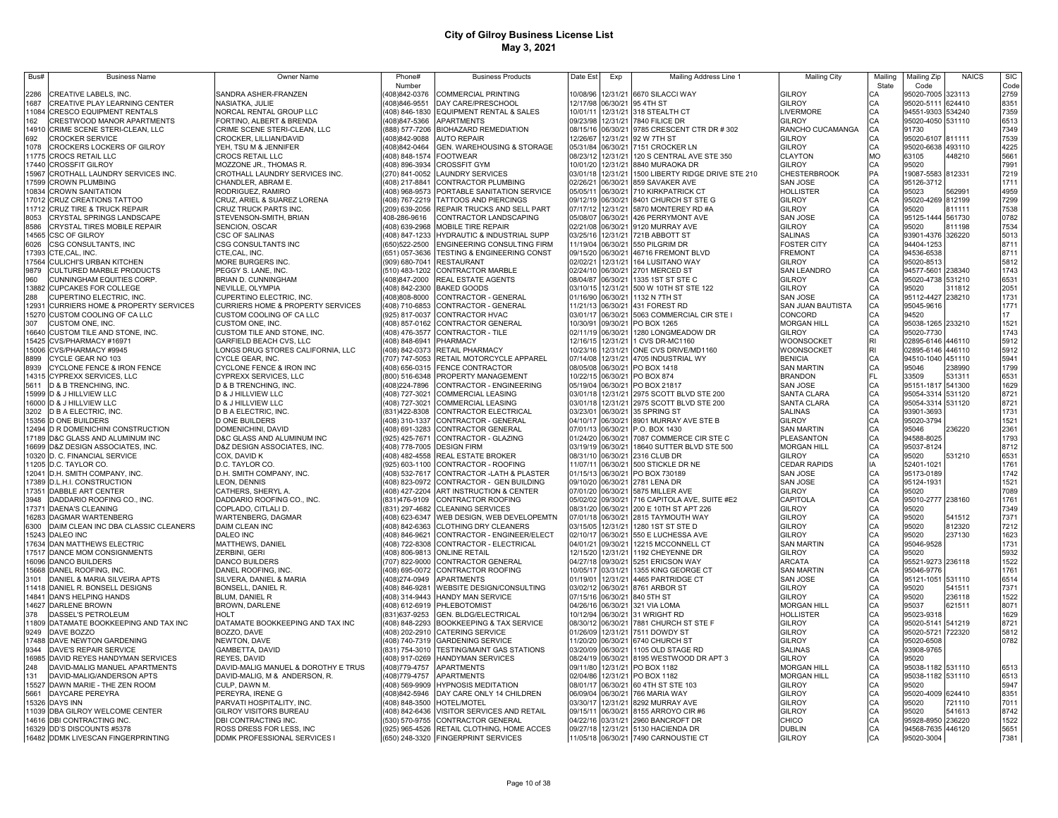| Bus#           | <b>Business Name</b>                                                  | Owner Name                                                           | Phone#                           | <b>Business Products</b>                                                        | Date Est                               | Exp                  | Mailing Address Line 1                                                    | <b>Mailing City</b>                    | Mailing   | Mailing Zip                            | <b>NAICS</b>     | <b>SIC</b>   |
|----------------|-----------------------------------------------------------------------|----------------------------------------------------------------------|----------------------------------|---------------------------------------------------------------------------------|----------------------------------------|----------------------|---------------------------------------------------------------------------|----------------------------------------|-----------|----------------------------------------|------------------|--------------|
| 2286           | CREATIVE LABELS, INC.                                                 | SANDRA ASHER-FRANZEN                                                 | Number<br>(408)842-0376          | <b>COMMERCIAL PRINTING</b>                                                      |                                        |                      | 10/08/96 12/31/21 6670 SILACCI WAY                                        | GILROY                                 | State     | Code<br>95020-7005                     | 323113           | Code<br>2759 |
| 1687           | CREATIVE PLAY LEARNING CENTER                                         | NASIATKA, JULIE                                                      | (408)846-9551                    | DAY CARE/PRESCHOOL                                                              |                                        |                      | 12/17/98 06/30/21 95 4TH ST                                               | GILROY                                 |           | 95020-5111 624410                      |                  | 8351         |
| 11084          | <b>CRESCO EQUIPMENT RENTALS</b>                                       | NORCAL RENTAL GROUP LLC                                              |                                  | (408) 846-1830 EQUIPMENT RENTAL & SALES                                         |                                        |                      | 10/01/11 12/31/21 318 STEALTH CT                                          | LIVERMORE                              | CA        | 94551-9303 534240                      |                  | 7359         |
| 162            | CRESTWOOD MANOR APARTMENTS                                            | FORTINO, ALBERT & BRENDA                                             | (408)847-5366                    | <b>APARTMENTS</b>                                                               | 09/23/98 12/31/21                      |                      | 7840 FILICE DR                                                            | GILROY                                 | CA        | 95020-4050 531110                      |                  | 6513         |
| 14910          | CRIME SCENE STERI-CLEAN, LLC                                          | CRIME SCENE STERI-CLEAN, LLC                                         | (888) 577-7206                   | <b>BIOHAZARD REMEDIATION</b>                                                    | 08/15/16 06/30/21                      |                      | 9785 CRESCENT CTR DR # 302                                                | RANCHO CUCAMANGA                       | CA        | 91730                                  |                  | 7349         |
| 692<br>1078    | <b>CROCKER SERVICE</b><br>CROCKERS LOCKERS OF GILROY                  | CROCKER, LILLIAN/DAVID<br>YEH, TSU M & JENNIFER                      | (408)842-9088<br>(408)842-0464   | <b>AUTO REPAIR</b><br>GEN. WAREHOUSING & STORAGE                                | 12/26/67 12/31/21<br>05/31/84 06/30/21 |                      | 92 W 7TH ST<br>7151 CROCKER LN                                            | <b>GILROY</b><br><b>GILROY</b>         | CA<br>CA  | 95020-6107 811111<br>95020-6638 493110 |                  | 7539<br>4225 |
| 11775          | <b>CROCS RETAIL LLC</b>                                               | CROCS RETAIL LLC                                                     | (408) 848-1574 FOOTWEAR          |                                                                                 | 08/23/12 12/31/21                      |                      | 120 S CENTRAL AVE STE 350                                                 | <b>CLAYTON</b>                         | <b>MO</b> | 63105                                  | 448210           | 5661         |
| 17440          | <b>CROSSFIT GILROY</b>                                                | MOZZONE JR., THOMAS R.                                               | (408) 896-3934                   | <b>CROSSFIT GYM</b>                                                             | 10/01/20 12/31/21                      |                      | 8840 MURAOKA DR                                                           | GILROY                                 | CA        | 95020                                  |                  | 7991         |
| 15967          | CROTHALL LAUNDRY SERVICES INC.                                        | CROTHALL LAUNDRY SERVICES INC.                                       | (270) 841-0052                   | <b>LAUNDRY SERVICES</b>                                                         | 03/01/18 12/31/21                      |                      | 1500 LIBERTY RIDGE DRIVE STE 210                                          | <b>CHESTERBROOK</b>                    | PA        | 19087-5583 812331                      |                  | 7219         |
| 17599          | <b>CROWN PLUMBING</b>                                                 | CHANDLER, ABRAM E.                                                   | (408) 217-8841                   | CONTRACTOR PLUMBING                                                             | 02/26/21                               | 06/30/21             | 859 SAVAKER AVE                                                           | SAN JOSE                               | CA        | 95126-3712                             |                  | 1711         |
| 10834          | <b>CROWN SANITATION</b>                                               | RODRIGUEZ, RAMIRO                                                    | (408) 968-9573                   | PORTABLE SANITATION SERVICE                                                     | 05/05/11                               | 06/30/21             | 710 KIRKPATRICK CT                                                        | <b>HOLLISTER</b>                       |           | 95023                                  | 562991           | 4959         |
| 17012<br>11712 | CRUZ CREATIONS TATTOO<br>CRUZ TIRE & TRUCK REPAIR                     | CRUZ, ARIEL & SUAREZ LORENA<br>CRUZ TRUCK PARTS INC.                 | (408) 767-2219<br>(209) 639-2056 | TATTOOS AND PIERCINGS<br>REPAIR TRUCKS AND SELL PART                            | 09/12/19 06/30/21<br>07/17/12 12/31/21 |                      | 8401 CHURCH ST STE G<br>5870 MONTEREY RD #A                               | <b>GILROY</b><br>GILROY                | CA<br>CA  | 95020-4269<br>95020                    | 812199<br>811111 | 7299<br>7538 |
| 8053           | CRYSTAL SPRINGS LANDSCAPE                                             | STEVENSON-SMITH, BRIAN                                               | 408-286-9616                     | CONTRACTOR LANDSCAPING                                                          | 05/08/07                               | 06/30/21             | 426 PERRYMONT AVE                                                         | SAN JOSE                               | CA        | 95125-1444                             | 561730           | 0782         |
| 8586           | CRYSTAL TIRES MOBILE REPAIR                                           | SENCION, OSCAR                                                       | (408) 639-2968                   | MOBILE TIRE REPAIR                                                              | 02/21/08 06/30/21                      |                      | 9120 MURRAY AVE                                                           | GILROY                                 |           | 95020                                  | 811198           | 7534         |
| 14565          | CSC OF GILROY                                                         | CSC OF SALINAS                                                       | (408) 847-1233                   | HYDRAUTIC & INDUSTRIAL SUPP                                                     | 03/25/16 12/31/21                      |                      | 721B ABBOTT ST                                                            | <b>SALINAS</b>                         | CA        | 93901-4376 326220                      |                  | 5013         |
| 6026           | CSG CONSULTANTS, INC                                                  | CSG CONSULTANTS INC                                                  | (650)522-2500                    | ENGINEERING CONSULTING FIRM                                                     | 11/19/04                               | 06/30/21             | 550 PILGRIM DR                                                            | FOSTER CITY                            | CA        | 94404-1253                             |                  | 8711         |
| 17393          | CTE,CAL, INC.                                                         | CTE,CAL, INC.                                                        | (651) 057-3636                   | TESTING & ENGINEERING CONST                                                     | 09/15/20 06/30/21<br>02/02/21          |                      | 46716 FREMONT BLVD                                                        | <b>FREMONT</b>                         | CA        | 94536-6538                             |                  | 8711<br>5812 |
| 17564<br>9879  | CULICHI'S URBAN KITCHEN<br>CULTURED MARBLE PRODUCTS                   | MORE BURGERS INC<br>PEGGY S. LANE, INC.                              | (909) 680-7041<br>(510) 483-1202 | <b>RESTAURANT</b><br>CONTRACTOR MARBLE                                          | 02/24/10 06/30/21                      | 12/31/21             | 164 LUSITANO WAY<br>2701 MERCED ST                                        | <b>GILROY</b><br>SAN LEANDRO           | CA<br>CA  | 95020-8513<br>94577-5601               | 238340           | 1743         |
| 960            | CUNNINGHAM EQUITIES CORP.                                             | BRIAN D. CUNNINGHAM                                                  | (408)847-2000                    | REAL ESTATE AGENTS                                                              | 08/04/87 06/30/21                      |                      | 1335 1ST ST STE C                                                         | <b>GILROY</b>                          | CA        | 95020-4738 531210                      |                  | 6531         |
| 13882          | <b>CUPCAKES FOR COLLEGE</b>                                           | NEVILLE, OLYMPIA                                                     | (408) 842-2300                   | <b>BAKED GOODS</b>                                                              | 03/10/15 12/31/21                      |                      | 500 W 10TH ST STE 122                                                     | GILROY                                 | CA        | 95020                                  | 311812           | 2051         |
| 288            | CUPERTINO ELECTRIC, INC                                               | CUPERTINO ELECTRIC. INC.                                             | (408)808-8000                    | CONTRACTOR - GENERAL                                                            | 01/16/90 06/30/21                      |                      | 1132 N 7TH ST                                                             | SAN JOSE                               | CA        | 95112-4427                             | 238210           | 1731         |
| 12931          | <b>CURRIERS HOME &amp; PROPERTY SERVICES</b>                          | <b>CURRIERS HOME &amp; PROPERTY SERVICES</b>                         | (408) 710-6853                   | CONTRACTOR - GENERAL                                                            | 11/21/13 06/30/21                      |                      | 431 FOREST RD                                                             | <b>SAN JUAN BAUTISTA</b>               | CA        | 95045-9616                             |                  | 1771         |
| 307            | 15270 CUSTOM COOLING OF CA LLC<br>CUSTOM ONE, INC.                    | CUSTOM COOLING OF CA LLC<br>CUSTOM ONE, INC.                         | (925) 817-0037<br>(408) 857-0162 | <b>CONTRACTOR HVAC</b><br><b>CONTRACTOR GENERAL</b>                             | 03/01/17 06/30/21<br>10/30/91 09/30/21 |                      | 5063 COMMERCIAL CIR STE I<br>PO BOX 1265                                  | CONCORD<br><b>MORGAN HILL</b>          | CA<br>CA  | 94520<br>95038-1265 233210             |                  | 17<br>1521   |
|                | 16640 CUSTOM TILE AND STONE, INC.                                     | CUSTOM TILE AND STONE, INC.                                          | (408) 476-3577                   | CONTRACTOR - TILE                                                               | 02/11/19 06/30/21                      |                      | 1280 LONGMEADOW DR                                                        | GILROY                                 | CA        | 95020-7730                             |                  | 1743         |
|                | 15425 CVS/PHARMACY #16971                                             | GARFIELD BEACH CVS, LLC                                              | (408) 848-6941                   | PHARMACY                                                                        | 12/16/15 12/31/21                      |                      | 1 CVS DR-MC1160                                                           | WOONSOCKET                             | RI        | 02895-6146 446110                      |                  | 5912         |
|                | 15006 CVS/PHARMACY #9945                                              | LONGS DRUG STORES CALIFORNIA, LLC                                    |                                  | (408) 842-0373 RETAIL PHARMACY                                                  | 10/23/16 12/31/21                      |                      | ONE CVS DRIVE/MD1160                                                      | <b>WOONSOCKET</b>                      | <b>RI</b> | 02895-6146 446110                      |                  | 5912         |
| 8899           | CYCLE GEAR NO 103                                                     | CYCLE GEAR, INC.                                                     | (707) 747-5053                   | RETAIL MOTORCYCLE APPAREL                                                       | 07/14/08 12/31/21                      |                      | 4705 INDUSTRIAL WY                                                        | <b>BENICIA</b>                         | CA        | 94510-1040 451110                      |                  | 5941         |
| 8939           | CYCLONE FENCE & IRON FENCE                                            | CYCLONE FENCE & IRON INC                                             |                                  | (408) 656-0315 FENCE CONTRACTOR                                                 |                                        |                      | 08/05/08 06/30/21 PO BOX 1418                                             | <b>SAN MARTIN</b>                      |           | 95046                                  | 238990           | 1799         |
| 5611           | 14315 CYPREXX SERVICES, LLC<br>D & B TRENCHING, INC.                  | CYPREXX SERVICES, LLC<br>D & B TRENCHING, INC.                       | (408)224-7896                    | (800) 516-6348 PROPERTY MANAGEMENT<br>CONTRACTOR - ENGINEERING                  |                                        |                      | 10/22/15 06/30/21 PO BOX 874<br>05/19/04 06/30/21 PO BOX 21817            | <b>BRANDON</b><br>SAN JOSE             | FL<br>CA  | 33509<br>95151-1817 541300             | 531311           | 6531<br>1629 |
|                | 15999 D & J HILLVIEW LLC                                              | D & J HILLVIEW LLC                                                   | (408) 727-3021                   | <b>COMMERCIAL LEASING</b>                                                       |                                        |                      | 03/01/18 12/31/21 2975 SCOTT BLVD STE 200                                 | SANTA CLARA                            | CA        | 95054-3314 531120                      |                  | 8721         |
|                | 16000 D & J HILLVIEW LLC                                              | D & J HILLVIEW LLC                                                   | (408) 727-3021                   | COMMERCIAL LEASING                                                              |                                        |                      | 03/01/18 12/31/21 2975 SCOTT BLVD STE 200                                 | SANTA CLARA                            |           | 95054-3314 531120                      |                  | 8721         |
|                | 3202 D B A ELECTRIC, INC                                              | D B A ELECTRIC, INC                                                  | (831)422-8308                    | CONTRACTOR ELECTRICAL                                                           |                                        |                      | 03/23/01 06/30/21 35 SPRING ST                                            | <b>SALINAS</b>                         |           | 93901-3693                             |                  | 1731         |
|                | 15356 D ONE BUILDERS                                                  | <b>D ONE BUILDERS</b>                                                | (408) 310-1337                   | CONTRACTOR - GENERAL                                                            | 04/10/17 06/30/21                      |                      | 8901 MURRAY AVE STE B                                                     | GILROY                                 |           | 95020-3794                             |                  | 1521         |
|                | 12494 D R DOMENICHINI CONSTRUCTION                                    | DOMENICHINI, DAVID                                                   | (408) 691-3283                   | CONTRACTOR GENERAL                                                              | 07/01/13 06/30/21                      |                      | P.O. BOX 1430                                                             | <b>SAN MARTIN</b>                      | CA        | 95046                                  | 236220           | 2361         |
|                | 17189 D&C GLASS AND ALUMINUM INC<br>16699 D&Z DESIGN ASSOCIATES, INC. | D&C GLASS AND ALUMINUM INC<br>D&Z DESIGN ASSOCIATES, INC.            | (925) 425-7671<br>(408) 778-7005 | CONTRACTOR - GLAZING<br><b>DESIGN FIRM</b>                                      | 01/24/20 06/30/21<br>03/19/19 06/30/21 |                      | 7087 COMMERCE CIR STE C<br>18640 SUTTER BLVD STE 500                      | PLEASANTON<br><b>MORGAN HILL</b>       | CA<br>CA  | 94588-8025<br>95037-8124               |                  | 1793<br>8712 |
|                | 10320 D. C. FINANCIAL SERVICE                                         | COX, DAVID K                                                         | (408) 482-4558                   | <b>REAL ESTATE BROKER</b>                                                       | 08/31/10 06/30/21                      |                      | 2316 CLUB DR                                                              | <b>GILROY</b>                          | CA        | 95020                                  | 531210           | 6531         |
|                | 11205 D.C. TAYLOR CO.                                                 | D.C. TAYLOR CO.                                                      | (925) 603-1100                   | CONTRACTOR - ROOFING                                                            | 11/07/11                               | 06/30/21             | 500 STICKLE DR NE                                                         | <b>CEDAR RAPIDS</b>                    | IA        | 52401-1021                             |                  | 1761         |
|                | 12041 D.H. SMITH COMPANY, INC.                                        | D.H. SMITH COMPANY, INC.                                             | (408) 532-7617                   | CONTRACTOR - LATH & PLASTER                                                     | 01/15/13 06/30/21                      |                      | PO BOX 730189                                                             | SAN JOSE                               | CA        | 95173-0189                             |                  | 1742         |
|                | 17389 D.L.H.I. CONSTRUCTION                                           | LEON, DENNIS                                                         | (408) 823-0972                   | CONTRACTOR - GEN BUILDING                                                       | 09/10/20 06/30/21                      |                      | 2781 LENA DR                                                              | SAN JOSE                               | CA        | 95124-1931                             |                  | 1521         |
| 17351<br>3948  | DABBLE ART CENTER<br>DADDARIO ROOFING CO., INC.                       | CATHERS, SHERYL A.<br>DADDARIO ROOFING CO., INC.                     | (408) 427-2204<br>(831)476-9109  | ART INSTRUCTION & CENTER<br>CONTRACTOR ROOFING                                  | 07/01/20<br>05/02/02                   | 06/30/21<br>09/30/21 | 5875 MILLER AVE<br>716 CAPITOLA AVE, SUITE #E2                            | GILROY<br>CAPITOLA                     | CA<br>CA  | 95020<br>95010-2777 238160             |                  | 7089<br>1761 |
| 17371          | <b>DAENA'S CLEANING</b>                                               | COPLADO, CITLALI D.                                                  | (831) 297-4682                   | <b>CLEANING SERVICES</b>                                                        | 08/31/20                               | 06/30/21             | 200 E 10TH ST APT 226                                                     | GILROY                                 | CA        | 95020                                  |                  | 7349         |
| 16283          | DAGMAR WARTENBERG                                                     | WARTENBERG, DAGMAR                                                   | (408) 623-6347                   | WEB DESIGN, WEB DEVELOPEMTN                                                     | 07/01/18                               | 06/30/21             | 2815 TAYMOUTH WAY                                                         | GILROY                                 | CA        | 95020                                  | 541512           | 7371         |
| 6300           | DAIM CLEAN INC DBA CLASSIC CLEANERS                                   | <b>DAIM CLEAN INC</b>                                                | (408) 842-6363                   | <b>CLOTHING DRY CLEANERS</b>                                                    | 03/15/05                               | 12/31/21             | 1280 1ST ST STE D                                                         | GILROY                                 | CA        | 95020                                  | 812320           | 7212         |
| 15243          | DALEO INC                                                             | DALEO INC                                                            | (408) 846-9621                   | CONTRACTOR - ENGINEER/ELECT                                                     | 02/10/17                               | 06/30/21             | 550 E LUCHESSA AVE                                                        | GILROY                                 |           | 95020                                  | 237130           | 1623         |
| 17634<br>17517 | DAN MATTHEWS ELECTRIC<br>DANCE MOM CONSIGNMENTS                       | MATTHEWS, DANIEL<br>ZERBINI, GERI                                    | (408) 722-8308                   | CONTRACTOR - ELECTRICAL                                                         | 04/01/21<br>12/15/20                   | 09/30/21<br>12/31/21 | 12215 MCCONNELL CT<br>1192 CHEYENNE DR                                    | <b>SAN MARTIN</b><br>GILROY            | CA<br>CA  | 95046-9528<br>95020                    |                  | 1731<br>5932 |
|                | 16096 DANCO BUILDERS                                                  | DANCO BUILDERS                                                       | (408) 806-9813<br>(707) 822-9000 | <b>ONLINE RETAIL</b><br>CONTRACTOR GENERAL                                      | 04/27/18                               | 09/30/21             | 5251 ERICSON WAY                                                          | ARCATA                                 | CA        | 95521-9273 236118                      |                  | 1522         |
|                | 15668 DANEL ROOFING, INC.                                             | DANEL ROOFING, INC.                                                  | (408) 695-0072                   | CONTRACTOR ROOFING                                                              | 10/05/17                               | 03/31/21             | 1355 KING GEORGE CT                                                       | <b>SAN MARTIN</b>                      | CA        | 95046-9776                             |                  | 1761         |
| 3101           | DANIEL & MARIA SILVEIRA APTS                                          | SILVERA, DANIEL & MARIA                                              | (408)274-0949                    | <b>APARTMENTS</b>                                                               | 01/19/01                               | 12/31/21             | 4465 PARTRIDGE CT                                                         | SAN JOSE                               | CA        | 95121-1051 531110                      |                  | 6514         |
|                | 11418 DANIEL R. BONSELL DESIGNS                                       | BONSELL, DANIEL R.                                                   | (408) 846-9281                   | WEBSITE DESIGN/CONSULTING                                                       | 03/02/12 06/30/21                      |                      | 8761 ARBOR ST                                                             | <b>GILROY</b>                          | CA        | 95020                                  | 541511           | 7371         |
| 14841          | <b>DAN'S HELPING HANDS</b>                                            | BLUM, DANIEL R                                                       |                                  | (408) 314-9443 HANDY MAN SERVICE                                                | 07/15/16 06/30/21                      |                      | 840 5TH ST                                                                | GILROY                                 | CA        | 95020                                  | 236118           | 1522         |
| 14627<br>378   | DARLENE BROWN<br>DASSEL'S PETROLEUM                                   | BROWN, DARLENE<br>HOI T                                              | (831)637-9253                    | (408) 612-6919 PHLEBOTOMIST<br>GEN. BLDG/ELECTRICAL                             | 04/26/16 06/30/21                      |                      | 321 VIA LOMA<br>10/12/94 06/30/21 31 WRIGHT RD                            | <b>MORGAN HILL</b><br><b>HOLLISTER</b> | CA<br>CA  | 95037<br>95023-9318                    | 621511           | 8071<br>1629 |
|                | 11809 DATAMATE BOOKKEEPING AND TAX INC                                | DATAMATE BOOKKEEPING AND TAX INC                                     | (408) 848-2293                   | <b>BOOKKEEPING &amp; TAX SERVICE</b>                                            | 08/30/12 06/30/21                      |                      | 7881 CHURCH ST STE F                                                      | GILROY                                 | CA        | 95020-5141 541219                      |                  | 8721         |
| 9249           | DAVE BOZZO                                                            | BOZZO, DAVE                                                          |                                  | (408) 202-2910 CATERING SERVICE                                                 |                                        |                      | 01/26/09 12/31/21 7511 DOWDY ST                                           | GILROY                                 | CA        | 95020-5721 722320                      |                  | 5812         |
|                | 17488 DAVE NEWTON GARDENING                                           | NEWTON, DAVE                                                         |                                  | (408) 740-7319 GARDENING SERVICE                                                |                                        |                      | 11/20/20 06/30/21 6740 CHURCH ST                                          | GILROY                                 | CA        | 95020-6508                             |                  | 0782         |
| 9344           | DAVE'S REPAIR SERVICE                                                 | GAMBETTA, DAVID                                                      |                                  | (831) 754-3010 TESTING/MAINT GAS STATIONS                                       |                                        |                      | 03/20/09 06/30/21 1105 OLD STAGE RD                                       | <b>SALINAS</b>                         | CA        | 93908-9765                             |                  |              |
| 248            | 16985 DAVID REYES HANDYMAN SERVICES                                   | REYES, DAVID                                                         | (408) 917-0269<br>(408) 779-4757 | <b>HANDYMAN SERVICES</b><br><b>APARTMENTS</b>                                   |                                        |                      | 08/24/19 06/30/21 8195 WESTWOOD DR APT 3<br>09/11/80 12/31/21 PO BOX 1182 | GILROY<br><b>MORGAN HILL</b>           | CA        | 95020                                  |                  |              |
| 131            | DAVID-MALIG MANUEL APARTMENTS<br>DAVID-MALIG/ANDERSON APTS            | DAVID-MALIG MANUEL & DOROTHY E TRUS<br>DAVID-MALIG, M & ANDERSON, R. | (408) 779-4757                   | <b>APARTMENTS</b>                                                               |                                        |                      | 02/04/86 12/31/21 PO BOX 1182                                             | <b>MORGAN HILL</b>                     | CA<br>CA  | 95038-1182 531110<br>95038-1182 531110 |                  | 6513<br>6513 |
| 15527          | DAWN MARIE - THE ZEN ROOM                                             | CULP, DAWN M.                                                        | (408) 569-9909                   | <b>HYPNOSIS MEDITATION</b>                                                      |                                        |                      | 08/01/17 06/30/21 60 4TH ST STE 103                                       | GILROY                                 |           | 95020                                  |                  | 5947         |
| 5661           | DAYCARE PEREYRA                                                       | PEREYRA, IRENE G                                                     | (408)842-5946                    | DAY CARE ONLY 14 CHILDREN                                                       |                                        |                      | 06/09/04 06/30/21 766 MARIA WAY                                           | GILROY                                 |           | 95020-4009 624410                      |                  | 8351         |
|                | 15326 DAYS INN                                                        | PARVATI HOSPITALITY, INC.                                            |                                  | (408) 848-3500 HOTEL/MOTEL                                                      |                                        |                      | 03/30/17 12/31/21 8292 MURRAY AVE                                         | GILROY                                 |           | 95020                                  | 721110           | 7011         |
|                | 11039 DBA GILROY WELCOME CENTER                                       | GILROY VISITORS BUREAU                                               |                                  | (408) 842-6436 VISITOR SERVICES AND RETAIL                                      | 09/15/11 06/30/21                      |                      | 8155 ARROYO CIR #6                                                        | GILROY<br>CHICO                        |           | 95020<br>95928-8950 236220             | 541613           | 8742         |
|                | 14616 DBI CONTRACTING INC.<br>16329 DD'S DISCOUNTS #5378              | DBI CONTRACTING INC.<br>ROSS DRESS FOR LESS, INC                     |                                  | (530) 570-9755 CONTRACTOR GENERAL<br>(925) 965-4526 RETAIL CLOTHING, HOME ACCES |                                        |                      | 04/22/16 03/31/21 2960 BANCROFT DR<br>09/27/18 12/31/21 5130 HACIENDA DR  | <b>DUBLIN</b>                          | CA        | 94568-7635 446120                      |                  | 1522<br>5651 |
|                | 16482 DDMK LIVESCAN FINGERPRINTING                                    | DDMK PROFESSIONAL SERVICES I                                         |                                  | (650) 248-3320 FINGERPRINT SERVICES                                             |                                        |                      | 11/05/18 06/30/21 7490 CARNOUSTIE CT                                      | <b>GILROY</b>                          | CA        | 95020-3004                             |                  | 7381         |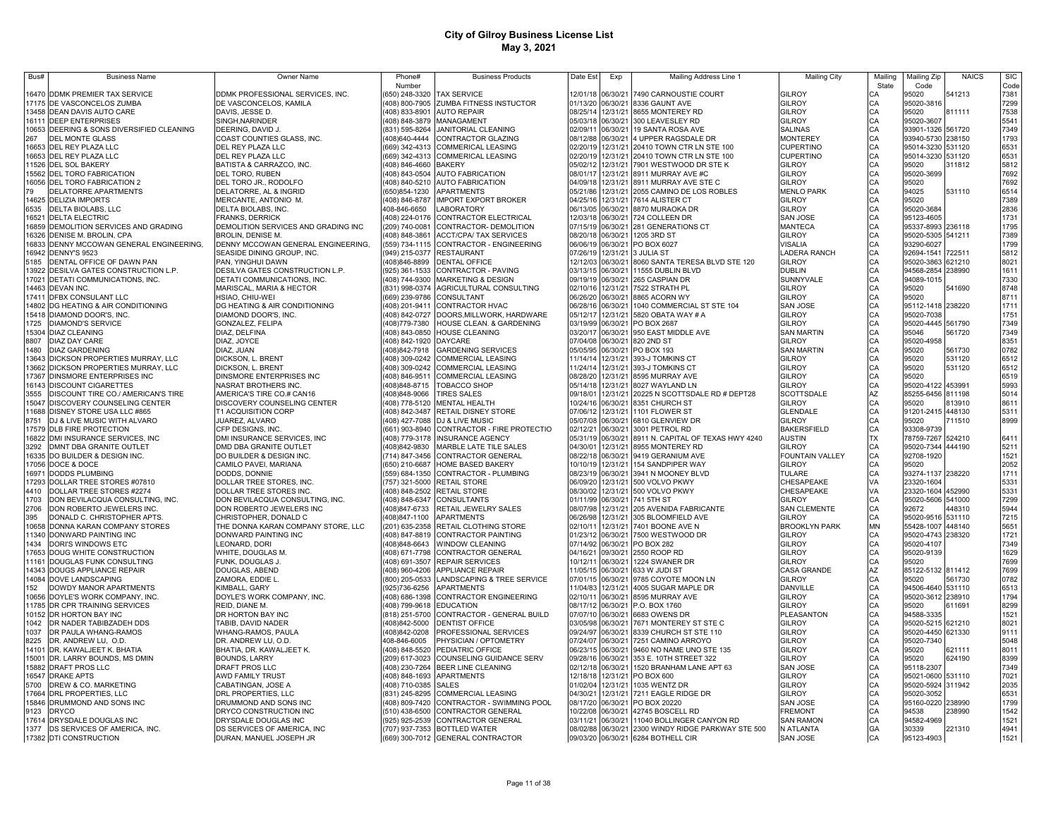| Bus#           | <b>Business Name</b>                                                         | <b>Owner Name</b>                                              | Phone#                           | <b>Business Products</b>                                                       | Date Est                               | Exp                  | Mailing Address Line 1                                               | Mailing City                            | Mailino         | Mailing Zip                            | <b>NAICS</b>     | <b>SIC</b>   |
|----------------|------------------------------------------------------------------------------|----------------------------------------------------------------|----------------------------------|--------------------------------------------------------------------------------|----------------------------------------|----------------------|----------------------------------------------------------------------|-----------------------------------------|-----------------|----------------------------------------|------------------|--------------|
|                |                                                                              |                                                                | Number                           |                                                                                |                                        |                      |                                                                      |                                         | State           | Code                                   |                  | Code         |
|                | 16470 DDMK PREMIER TAX SERVICE<br>17175 DE VASCONCELOS ZUMBA                 | DDMK PROFESSIONAL SERVICES, INC.<br>DE VASCONCELOS, KAMILA     |                                  | (650) 248-3320 TAX SERVICE<br>(408) 800-7905 ZUMBA FITNESS INSTUCTOR           | 01/13/20 06/30/21                      |                      | 12/01/18 06/30/21 7490 CARNOUSTIE COURT<br>8336 GAUNT AVE            | <b>GILROY</b><br><b>GILROY</b>          | CА<br>CA        | 95020<br>95020-3816                    | 541213           | 7381<br>7299 |
|                | 13458 DEAN DAVIS AUTO CARE                                                   | DAVIS, JESSE D.                                                | (408) 833-8901                   | <b>AUTO REPAIR</b>                                                             |                                        |                      | 08/25/14 12/31/21 8655 MONTEREY RD                                   | <b>GILROY</b>                           | CA              | 95020                                  | 311111           | 7538         |
| 16111          | <b>DEEP ENTERPRISES</b>                                                      | SINGH.NARINDER                                                 | 408) 848-3879                    | <b>MANAGAMENT</b>                                                              |                                        |                      | 05/03/18 06/30/21 300 LEAVESLEY RD                                   | <b>GILROY</b>                           | CA              | 95020-3607                             |                  | 5541         |
| 10653          | DEERING & SONS DIVERSIFIED CLEANING                                          | DEERING, DAVID J.                                              | (831) 595-8264                   | JANITORIAL CLEANING                                                            |                                        | 02/09/11 06/30/21    | 19 SANTA ROSA AVE                                                    | <b>SALINAS</b>                          | CA              | 93901-1326 561720                      |                  | 7349         |
| 267            | <b>DEL MONTE GLASS</b>                                                       | COAST COUNTIES GLASS, INC.                                     | (408)640-4444                    | CONTRACTOR GLAZING                                                             |                                        |                      | 08/12/88 06/30/21 4 UPPER RAGSDALE DR                                | <b>MONTEREY</b>                         | CA              | 93940-5730 238150                      |                  | 1793         |
| 16653          | DEL REY PLAZA LLC                                                            | DEL REY PLAZA LLC                                              | (669) 342-4313                   | COMMERICAL LEASING                                                             |                                        |                      | 02/20/19 12/31/21 20410 TOWN CTR LN STE 100                          | <b>CUPERTINO</b>                        | CA              | 95014-3230                             | 531120           | 6531         |
| 16653          | DEL REY PLAZA LLC                                                            | DEL REY PLAZA LLC                                              | 669) 342-4313                    | COMMERICAL LEASING                                                             | 02/20/19                               | 12/31/21             | 20410 TOWN CTR LN STE 100                                            | <b>CUPERTINO</b>                        | CA              | 95014-3230                             | 531120           | 6531         |
| 11526          | DEL SOL BAKERY                                                               | BATISTA & CARRAZCO, INC.                                       | 408) 846-4660                    | <b>BAKERY</b>                                                                  | 05/02/12                               | 12/31/21             | 7901 WESTWOOD DR STE K                                               | GILROY                                  | CA              | 95020                                  | 311812           | 5812         |
| 15562          | DEL TORO FABRICATION                                                         | DEL TORO, RUBEN                                                | (408) 843-0504                   | <b>AUTO FABRICATION</b>                                                        | 08/01/17                               | 12/31/21             | 8911 MURRAY AVE #C                                                   | <b>GILROY</b>                           | CA              | 95020-3699                             |                  | 7692         |
| 16056<br>79    | <b>DEL TORO FABRICATION 2</b>                                                | DEL TORO JR., RODOLFO                                          | (408) 840-5210                   | <b>AUTO FABRICATION</b><br><b>APARTMENTS</b>                                   | 04/09/18<br>05/21/86                   | 12/31/21<br>12/31/21 | 8911 MURRAY AVE STE C<br>2055 CAMINO DE LOS ROBLES                   | <b>GILROY</b><br><b>MENLO PARK</b>      | CA<br>CA        | 95020                                  | 531110           | 7692         |
| 14625          | DELATORRE APARTMENTS<br><b>DELIZIA IMPORTS</b>                               | DELATORRE, AL & INGRID<br>MERCANTE, ANTONIO M.                 | (650)854-1230<br>(408) 846-8787  | <b>IMPORT EXPORT BROKER</b>                                                    | 04/25/16                               | 12/31/21             | 7614 ALISTER CT                                                      | <b>GILROY</b>                           | CA              | 94025<br>95020                         |                  | 6514<br>7389 |
| 6535           | DELTA BIOLABS, LLC                                                           | DELTA BIOLABS, INC.                                            | 408-846-6650                     | LABORATORY                                                                     | 06/13/05 06/30/21                      |                      | 8870 MURAOKA DR                                                      | <b>GILROY</b>                           | CA              | 95020-3684                             |                  | 2836         |
| 16521          | DELTA ELECTRIC                                                               | FRANKS, DERRICK                                                | (408) 224-0176                   | CONTRACTOR ELECTRICAL                                                          |                                        | 12/03/18 06/30/21    | 724 COLLEEN DR                                                       | SAN JOSE                                | CA              | 95123-4605                             |                  | 1731         |
| 16859          | DEMOLITION SERVICES AND GRADING                                              | DEMOLITION SERVICES AND GRADING INC                            | (209) 740-0081                   | CONTRACTOR- DEMOLITION                                                         | 07/15/19 06/30/21                      |                      | 281 GENERATIONS CT                                                   | <b>MANTECA</b>                          | CA              | 95337-8993 236118                      |                  | 1795         |
| 16326          | DENISE M. BROLIN, CPA                                                        | BROLIN, DENISE M.                                              |                                  | (408) 848-3861 ACCT/CPA/ TAX SERVICES                                          | 08/20/18 06/30/21                      |                      | 1205 3RD ST                                                          | GILROY                                  | CA              | 95020-5305 541211                      |                  | 7389         |
| 16833          | DENNY MCCOWAN GENERAL ENGINEERING,                                           | DENNY MCCOWAN GENERAL ENGINEERING,                             |                                  | (559) 734-1115 CONTRACTOR - ENGINEERING                                        | 06/06/19 06/30/21                      |                      | PO BOX 6027                                                          | VISALIA                                 | CA              | 93290-6027                             |                  | 1799         |
| 16942          | DENNY'S 9523                                                                 | SEASIDE DINING GROUP, INC.                                     |                                  | (949) 215-0377 RESTAURANT                                                      | 07/26/19 12/31/21                      |                      | 3 JULIA ST                                                           | LADERA RANCH                            | CA              | 92694-1541                             | 722511           | 5812         |
| 5185           | DENTAL OFFICE OF DAWN PAN                                                    | PAN, YINGHUI DAWN                                              | (408)846-8899                    | DENTAL OFFICE                                                                  | 12/12/03 06/30/21                      |                      | 8060 SANTA TERESA BLVD STE 120                                       | <b>GILROY</b>                           | CA              | 95020-3863 621210                      |                  | 8021         |
| 13922<br>17021 | DESILVA GATES CONSTRUCTION L.P.<br>DETATI COMMUNICATIONS, INC.               | DESILVA GATES CONSTRUCTION L.P.<br>DETATI COMMUNICATIONS, INC. |                                  | (925) 361-1533 CONTRACTOR - PAVING<br>(408) 744-9300 MARKETING & DESIGN        | 03/13/15 06/30/21<br>09/19/19 06/30/21 |                      | 11555 DUBLIN BLVD<br>265 CASPIAN DR                                  | <b>DUBLIN</b><br><b>SUNNYVALE</b>       | C.A<br>CA       | 94568-2854 238990<br>94089-1015        |                  | 1611<br>7330 |
| 14463          | DEVAN INC.                                                                   | MARISCAL, MARIA & HECTOR                                       |                                  | (831) 998-0374 AGRICULTURAL CONSULTING                                         | 02/10/16 12/31/21                      |                      | 7522 STRATH PL                                                       | <b>GILROY</b>                           | CA              | 95020                                  | 541690           | 8748         |
| 17411          | DFBX CONSULANT LLC                                                           | HSIAO, CHIU-WEI                                                |                                  | (669) 239-9786 CONSULTANT                                                      | 06/26/20 06/30/21                      |                      | 8865 ACORN WY                                                        | <b>GILROY</b>                           | CA              | 95020                                  |                  | 8711         |
| 14802          | DG HEATING & AIR CONDITIONING                                                | DG HEATING & AIR CONDITIONING                                  |                                  | (408) 201-9411 CONTRACTOR HVAC                                                 | 06/28/16 06/30/21                      |                      | 1040 COMMERCIAL ST STE 104                                           | <b>SAN JOSE</b>                         | CA              | 95112-1418 238220                      |                  | 1711         |
| 15418          | DIAMOND DOOR'S, INC.                                                         | DIAMOND DOOR'S, INC.                                           |                                  | (408) 842-0727 DOORS, MILLWORK, HARDWARE                                       | 05/12/17 12/31/21                      |                      | 5820 OBATA WAY # A                                                   | <b>GILROY</b>                           | CA              | 95020-7038                             |                  | 1751         |
| 1725           | DIAMOND'S SERVICE                                                            | GONZALEZ, FELIPA                                               | (408)779-7380                    | HOUSE CLEAN. & GARDENING                                                       |                                        |                      | 03/19/99 06/30/21 PO BOX 2687                                        | <b>GILROY</b>                           | CA              | 95020-4445 561790                      |                  | 7349         |
|                | 15304 DIAZ CLEANING                                                          | DIAZ, DELFINA                                                  |                                  | (408) 843-0850 HOUSE CLEANING                                                  |                                        |                      | 03/20/17 06/30/21 950 EAST MIDDLE AVE                                | <b>SAN MARTIN</b>                       | CΑ              | 95046                                  | 561720           | 7349         |
| 8807           | <b>DIAZ DAY CARE</b>                                                         | DIAZ, JOYCE                                                    | (408) 842-1920 DAYCARE           |                                                                                | 07/04/08 06/30/21                      |                      | 820 2ND ST                                                           | GILROY                                  | СA              | 95020-4958                             |                  | 8351         |
| 1480           | <b>DIAZ GARDENING</b>                                                        | DIAZ, JUAN                                                     |                                  | 408)842-7918 GARDENING SERVICES                                                |                                        |                      | 05/05/95 06/30/21 PO BOX 193                                         | <b>SAN MARTIN</b>                       | CА              | 95020                                  | 561730           | 0782         |
|                | 13643 DICKSON PROPERTIES MURRAY, LLC<br>13662 DICKSON PROPERTIES MURRAY, LLC | DICKSON, L. BRENT<br>DICKSON, L. BRENT                         |                                  | 408) 309-0242 COMMERCIAL LEASING<br>408) 309-0242 COMMERCIAL LEASING           | 11/14/14                               |                      | 12/31/21 393-J TOMKINS CT<br>11/24/14 12/31/21 393-J TOMKINS CT      | <b>GILROY</b><br><b>GILROY</b>          | CА<br>СA        | 95020<br>95020                         | 531120<br>531120 | 6512<br>6512 |
|                | 17367 DINSMORE ENTERPRISES INC                                               | DINSMORE ENTERPRISES INC                                       |                                  | (408) 846-9511 COMMERCIAL LEASING                                              |                                        |                      | 08/28/20 12/31/21 8595 MURRAY AVE                                    | GILROY                                  | СA              | 95020                                  |                  | 6519         |
|                | 16143 DISCOUNT CIGARETTES                                                    | NASRAT BROTHERS INC.                                           |                                  | 408)848-8715   TOBACCO SHOP                                                    |                                        |                      | 05/14/18 12/31/21 8027 WAYLAND LN                                    | GILROY                                  | CA              | 95020-4122 453991                      |                  | 5993         |
| 3555           | DISCOUNT TIRE CO./ AMERICAN'S TIRE                                           | AMERICA'S TIRE CO.# CAN16                                      | (408)848-9066                    | <b>TIRES SALES</b>                                                             | 09/18/01                               |                      | 12/31/21 20225 N SCOTTSDALE RD # DEPT28                              | <b>SCOTTSDALE</b>                       | AZ              | 85255-6456 811198                      |                  | 5014         |
| 15047          | DISCOVERY COUNSELING CENTER                                                  | DISCOVERY COUNSELING CENTER                                    |                                  | (408) 778-5120 MENTAL HEALTH                                                   |                                        |                      | 10/24/16 06/30/21 8351 CHURCH ST                                     | <b>GILROY</b>                           | CA              | 95020                                  | 13910            | 8611         |
|                | 11688 DISNEY STORE USA LLC #865                                              | T1 ACQUISITION CORP                                            |                                  | 408) 842-3487 RETAIL DISNEY STORE                                              |                                        |                      | 07/06/12 12/31/21 1101 FLOWER ST                                     | <b>GLENDALE</b>                         | CA              | 91201-2415 448130                      |                  | 5311         |
| 8751           | DJ & LIVE MUSIC WITH ALVARO                                                  | JUAREZ, ALVARO                                                 |                                  | 408) 427-7088 DJ & LIVE MUSIC                                                  |                                        |                      | 05/07/08 06/30/21 6810 GLENVIEW DR                                   | GILROY                                  | CA              | 95020                                  | 11510            | 8999         |
| 17579          | DLB FIRE PROTECTION                                                          | CFP DESIGNS, INC.                                              | 661) 903-8940                    | CONTRACTOR - FIRE PROTECTIO                                                    | 02/12/21                               |                      | 06/30/21 3001 PETROL RD                                              | <b>BAKERSFIELD</b>                      | CA              | 93308-9739                             |                  |              |
| 16822          | DMI INSURANCE SERVICES, INC                                                  | DMI INSURANCE SERVICES, INC                                    | (408) 779-3178                   | <b>INSURANCE AGENCY</b>                                                        | 05/31/19<br>04/30/01                   | 06/30/21             | 8911 N. CAPITAL OF TEXAS HWY 4240                                    | <b>AUSTIN</b>                           | <b>TX</b>       | 78759-7267                             | 524210           | 6411         |
| 3292<br>16335  | <b>DMNT DBA GRANITE OUTLET</b><br>DO BUILDER & DESIGN INC.                   | DMD DBA GRANITE OUTLET<br>DO BUILDER & DESIGN INC.             | 408)842-9830<br>714) 847-3456    | MARBLE LATE TILE SALES<br>CONTRACTOR GENERAL                                   | 08/22/18                               | 12/31/21             | 8955 MONTEREY RD<br>06/30/21 9419 GERANIUM AVE                       | <b>GILROY</b><br><b>FOUNTAIN VALLEY</b> | CA<br>CA        | 95020-7344 444190<br>92708-1920        |                  | 5211<br>1521 |
| 17056          | DOCE & DOCE                                                                  | CAMILO PAVEI, MARIANA                                          | 650) 210-6687                    | HOME BASED BAKERY                                                              | 10/10/19                               | 12/31/21             | 154 SANDPIPER WAY                                                    | <b>GILROY</b>                           | CA              | 95020                                  |                  | 2052         |
| 16971          | <b>DODDS PLUMBING</b>                                                        | DODDS, DONNIE                                                  | (559) 684-1350                   | CONTRACTOR - PLUMBING                                                          | 08/23/19                               | 06/30/21             | 3941 N MOONEY BLVD                                                   | TULARE                                  | CA              | 93274-1137 238220                      |                  | 1711         |
| 17293          | DOLLAR TREE STORES #07810                                                    | DOLLAR TREE STORES, INC.                                       | 757) 321-5000                    | <b>RETAIL STORE</b>                                                            | 06/09/20                               |                      | 12/31/21 500 VOLVO PKWY                                              | CHESAPEAKE                              | VA              | 23320-1604                             |                  | 5331         |
| 4410           | DOLLAR TREE STORES #2274                                                     | DOLLAR TREE STORES INC.                                        | 408) 848-2502                    | <b>RETAIL STORE</b>                                                            | 08/30/02                               | 12/31/21             | 500 VOLVO PKWY                                                       | CHESAPEAKE                              | VA              | 23320-1604                             | 452990           | 5331         |
| 1703           | DON BEVILACQUA CONSULTING, INC.                                              | DON BEVILACQUA CONSULTING, INC.                                | (408) 848-6347                   | CONSULTANTS                                                                    | 01/11/99                               | 06/30/21             | 741 5TH ST                                                           | <b>GILROY</b>                           | CA              | 95020-5606 541000                      |                  | 7299         |
| 2706           | DON ROBERTO JEWELERS INC.                                                    | DON ROBERTO JEWELERS INC                                       | (408)847-6733                    | RETAIL JEWELRY SALES                                                           | 08/07/98                               | 12/31/21             | 205 AVENIDA FABRICANTE                                               | <b>SAN CLEMENTE</b>                     | CA              | 92672                                  | 148310           | 5944         |
| 395            | DONALD C. CHRISTOPHER APTS.                                                  | CHRISTOPHER, DONALD C                                          | (408) 847-1100                   | <b>APARTMENTS</b>                                                              | 06/26/98                               | 12/31/21             | 305 BLOOMFIELD AVE                                                   | <b>GILROY</b>                           | CA              | 95020-9516 531110                      |                  | 7215         |
| 10658<br>11340 | DONNA KARAN COMPANY STORES<br>DONWARD PAINTING INC                           | THE DONNA KARAN COMPANY STORE, LLC                             | (201) 635-2358<br>(408) 847-8819 | RETAIL CLOTHING STORE                                                          | 02/10/11<br>01/23/12                   | 12/31/21<br>06/30/21 | 7401 BOONE AVE N<br>7500 WESTWOOD DR                                 | <b>BROOKLYN PARK</b><br><b>GILROY</b>   | <b>MN</b><br>CA | 55428-1007 448140<br>95020-4743 238320 |                  | 5651<br>1721 |
| 1434           | DORI'S WINDOWS ETC                                                           | DONWARD PAINTING INC<br>LEONARD, DORI                          | (408)848-6643                    | <b>CONTRACTOR PAINTING</b><br><b>WINDOW CLEANING</b>                           | 07/14/92                               | 06/30/21             | PO BOX 282                                                           | <b>GILROY</b>                           | CA              | 95020-4107                             |                  | 7349         |
| 17653          | DOUG WHITE CONSTRUCTION                                                      | WHITE, DOUGLAS M                                               | (408) 671-7798                   | <b>CONTRACTOR GENERAL</b>                                                      | 04/16/21                               | 09/30/21             | 2550 ROOP RD                                                         | GILROY                                  | CA              | 95020-9139                             |                  | 1629         |
| 11161          | DOUGLAS FUNK CONSULTING                                                      | FUNK, DOUGLAS J                                                | (408) 691-3507                   | <b>REPAIR SERVICES</b>                                                         | 10/12/11                               | 06/30/21             | 1224 SWANER DR                                                       | <b>GILROY</b>                           | CA              | 95020                                  |                  | 7699         |
|                | 14343 DOUGS APPLIANCE REPAIR                                                 | DOUGLAS, ABEND                                                 | (408) 960-4206                   | <b>APPLIANCE REPAIR</b>                                                        | 11/05/15 06/30/21                      |                      | 633 W JUDI ST                                                        | CASA GRANDE                             | AZ              | 85122-5132 811412                      |                  | 7699         |
| 14084          | DOVE LANDSCAPING                                                             | ZAMORA, EDDIE L.                                               | (800) 205-0533                   | <b>LANDSCAPING &amp; TREE SERVICE</b>                                          | 07/01/15                               | 06/30/21             | 9785 COYOTE MOON LN                                                  | <b>GILROY</b>                           | CA              | 95020                                  | 561730           | 0782         |
| 152            | DOWDY MANOR APARTMENTS                                                       | KIMBALL, GARY                                                  | (925)736-6256                    | <b>APARTMENTS</b>                                                              | 11/04/83                               | 12/31/21             | 4005 SUGAR MAPLE DR                                                  | <b>DANVILLE</b>                         | CA              | 94506-4640 531110                      |                  | 6513         |
| 10656          | DOYLE'S WORK COMPANY, INC.                                                   | DOYLE'S WORK COMPANY, INC.                                     |                                  | (408) 686-1398 CONTRACTOR ENGINEERING                                          | 02/10/11                               | 06/30/21             | 8595 MURRAY AVE                                                      | <b>GILROY</b>                           | CA              | 95020-3612 238910                      |                  | 1794         |
| 11785          | DR CPR TRAINING SERVICES<br>DR HORTON BAY INC                                | REID, DIANE M.<br>DR HORTON BAY INC                            | (408) 799-9618 EDUCATION         | (818) 251-5700 CONTRACTOR - GENERAL BUILD                                      | 08/17/12 06/30/21<br>07/07/10 06/30/21 |                      | P.O. BOX 1760<br>6683 OWENS DR                                       | <b>GILROY</b><br>PLEASANTON             | CA<br>CA        | 95020<br>94588-3335                    | 311691           | 8299         |
| 10152<br>1042  | DR NADER TABIBZADEH DDS                                                      | TABIB, DAVID NADER                                             | (408)842-5000                    | <b>DENTIST OFFICE</b>                                                          | 03/05/98                               | 06/30/21             | 7671 MONTEREY ST STE C                                               | <b>GILROY</b>                           | CA              | 95020-5215 621210                      |                  | 1521<br>8021 |
| 1037           | DR PAULA WHANG-RAMOS                                                         | WHANG-RAMOS, PAULA                                             | (408)842-0208                    | PROFESSIONAL SERVICES                                                          | 09/24/97                               | 06/30/21             | 8339 CHURCH ST STE 110                                               | <b>GILROY</b>                           | CA              | 95020-4450 621330                      |                  | 9111         |
| 8225           | DR. ANDREW LU, O.D.                                                          | DR. ANDREW LU, O.D.                                            | 408-846-6005                     | PHYSICIAN / OPTOMETRY                                                          | 07/24/07                               |                      | 06/30/21 7251 CAMINO ARROYO                                          | <b>GILROY</b>                           | CA              | 95020-7340                             |                  | 5048         |
| 14101          | DR. KAWALJEET K. BHATIA                                                      | BHATIA, DR. KAWALJEET K.                                       | (408) 848-5520                   | <b>PEDIATRIC OFFICE</b>                                                        |                                        |                      | 06/23/15 06/30/21 9460 NO NAME UNO STE 135                           | <b>GILROY</b>                           | CA              | 95020                                  | 621111           | 8011         |
| 15001          | DR. LARRY BOUNDS, MS DMIN                                                    | <b>BOUNDS, LARRY</b>                                           |                                  | (209) 617-3023 COUNSELING GUIDANCE SERV                                        |                                        |                      | 09/28/16 06/30/21 353 E. 10TH STREET 322                             | <b>GILROY</b>                           | CA              | 95020                                  | 624190           | 8399         |
| 15882          | DRAFT PROS LLC                                                               | DRAFT PROS LLC                                                 |                                  | (408) 230-7264 BEER LINE CLEANING                                              | 02/12/18 06/30/21                      |                      | 1520 BRANHAM LANE APT 63                                             | <b>SAN JOSE</b>                         | СA              | 95118-2307                             |                  | 7349         |
| 16547          | <b>DRAKE APTS</b>                                                            | AWD FAMILY TRUST                                               |                                  | (408) 848-1693 APARTMENTS                                                      |                                        |                      | 12/18/18 12/31/21 PO BOX 600                                         | <b>GILROY</b>                           | CA              | 95021-0600 531110                      |                  | 7021         |
| 5700           | DREW & CO. MARKETING                                                         | CABATINGAN, JOSE A                                             | (408) 710-0385 SALES             |                                                                                |                                        |                      | 01/02/04 12/31/21 1035 WENTZ DR                                      | <b>GILROY</b>                           | CA              | 95020-5924 311942                      |                  | 2035         |
| 17664          | DRL PROPERTIES, LLC                                                          | DRL PROPERTIES, LLC                                            | (831) 245-8295                   | <b>COMMERCIAL LEASING</b>                                                      | 04/30/21                               |                      | 12/31/21 7211 EAGLE RIDGE DR                                         | GILROY                                  | CA              | 95020-3052                             |                  | 6531         |
| 15846<br>9123  | DRUMMOND AND SONS INC<br><b>DRYCO</b>                                        | DRUMMOND AND SONS INC<br>DRYCO CONSTRUCTION INC                |                                  | (408) 809-7420 CONTRACTOR - SWIMMING POOL<br>(510) 438-6500 CONTRACTOR GENERAL |                                        |                      | 08/17/20 06/30/21 PO BOX 20220<br>10/22/08 06/30/21 42745 BOSCELL RD | SAN JOSE<br><b>FREMONT</b>              | CA<br>CА        | 95160-0220 238990<br>94538             | 238990           | 1799<br>1542 |
|                | 17614 DRYSDALE DOUGLAS INC                                                   | DRYSDALE DOUGLAS INC                                           |                                  | (925) 925-2539 CONTRACTOR GENERAL                                              |                                        |                      | 03/11/21 06/30/21 11040 BOLLINGER CANYON RD                          | <b>SAN RAMON</b>                        | CA              | 94582-4969                             |                  | 1521         |
| 1377           | DS SERVICES OF AMERICA, INC.                                                 | DS SERVICES OF AMERICA, INC                                    |                                  | (707) 937-7353 BOTTLED WATER                                                   |                                        |                      | 08/02/88 06/30/21 2300 WINDY RIDGE PARKWAY STE 500                   | N ATLANTA                               | GA              | 30339                                  | 221310           | 4941         |
|                | 17382 DTI CONSTRUCTION                                                       | DURAN, MANUEL JOSEPH JR                                        |                                  | (669) 300-7012 GENERAL CONTRACTOR                                              |                                        |                      | 09/03/20 06/30/21 6284 BOTHELL CIR                                   | <b>SAN JOSE</b>                         | ICA             | 95123-4903                             |                  | 1521         |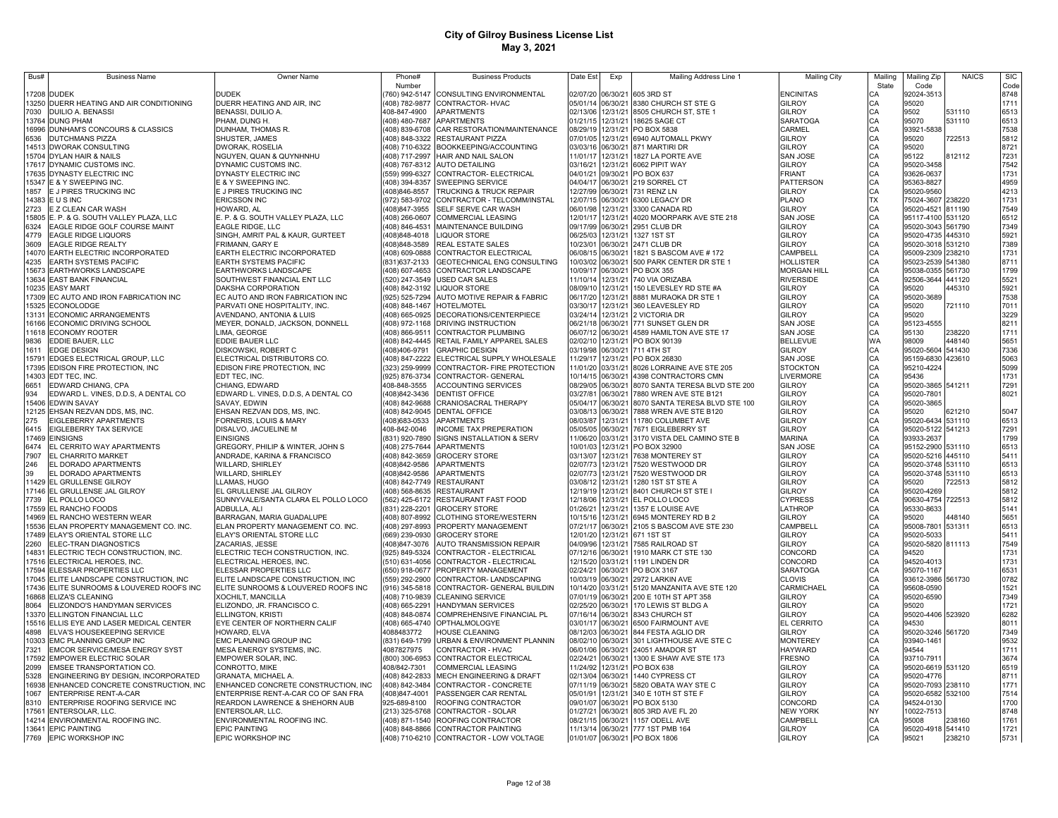| Bus#           | <b>Business Name</b>                                            | Owner Name                                           | Phone#<br>Number                | <b>Business Products</b>                                                | Date Est             | Exp                  | Mailing Address Line 1                                       | <b>Mailing City</b>                    | Mailing  | Mailing Zip                            | <b>NAICS</b>     | <b>SIC</b>   |
|----------------|-----------------------------------------------------------------|------------------------------------------------------|---------------------------------|-------------------------------------------------------------------------|----------------------|----------------------|--------------------------------------------------------------|----------------------------------------|----------|----------------------------------------|------------------|--------------|
| 17208          | <b>DUDEK</b>                                                    | DUDEK                                                | 760) 942-5147                   | CONSULTING ENVIRONMENTAL                                                | 2/07/20              | 06/30/21             | 605 3RD ST                                                   | <b>ENCINITAS</b>                       | State    | Code<br>92024-3513                     |                  | Code<br>8748 |
| 13250          | DUERR HEATING AND AIR CONDITIONING                              | DUERR HEATING AND AIR, INC                           |                                 | 408) 782-9877 CONTRACTOR- HVAC                                          | 05/01/14             | 06/30/21             | 8380 CHURCH ST STE G                                         | <b>GILROY</b>                          |          | 95020                                  |                  | 1711         |
| 7030           | DUILIO A. BENASSI                                               | BENASSI, DUILIO A.                                   | 408-847-4900                    | <b>APARTMENTS</b>                                                       | 02/13/06             | 12/31/21             | 8505 CHURCH ST, STE 1                                        | GILROY                                 | CА       | 9502                                   | 531110           | 6513         |
| 13764          | <b>DUNG PHAM</b>                                                | PHAM, DUNG H.                                        |                                 | (408) 480-7687 APARTMENTS                                               | 01/21/15             | 12/31/21             | 18625 SAGE CT                                                | SARATOGA                               | CA<br>CA | 95070                                  | 531110           | 6513         |
| 16996<br>6536  | DUNHAM'S CONCOURS & CLASSICS<br>DUTCHMANS PIZZA                 | DUNHAM, THOMAS R.<br>SHUSTER, JAMES                  | (408) 839-6708                  | CAR RESTORATION/MAINTENANCE<br>408) 848-3322 RESTAURANT PIZZA           | 08/29/19<br>07/01/05 | 12/31/21<br>12/31/21 | PO BOX 5838<br>6940 AUTOMALL PKWY                            | CARMEL<br>GILROY                       | CA       | 93921-5838<br>95020                    | 722513           | 7538<br>5812 |
|                | 14513 DWORAK CONSULTING                                         | DWORAK, ROSELIA                                      |                                 | 408) 710-6322 BOOKKEEPING/ACCOUNTING                                    | 03/03/16             | 06/30/21             | 871 MARTIRI DR                                               | GILROY                                 | CA       | 95020                                  |                  | 8721         |
|                | 15704 DYLAN HAIR & NAILS                                        | NGUYEN, QUAN & QUYNHNHU                              |                                 | 408) 717-2997 HAIR AND NAIL SALON                                       | 11/01/17             | 12/31/21             | 1827 LA PORTE AVE                                            | SAN JOSE                               | CA       | 95122                                  | 812112           | 7231         |
|                | 17617 DYNAMIC CUSTOMS INC                                       | DYNAMIC CUSTOMS INC.                                 |                                 | 408) 767-8312 AUTO DETAILING                                            | 03/16/21             | 12/31/21             | 6062 PIPIT WAY                                               | GILROY                                 | CA       | 95020-3458                             |                  | 7542         |
|                | 17635 DYNASTY ELECTRIC INC<br>15347 E & Y SWEEPING INC.         | DYNASTY ELECTRIC INC<br>E & Y SWEEPING INC.          |                                 | (559) 999-6327 CONTRACTOR- ELECTRICAL<br>408) 394-8357 SWEEPING SERVICE | 04/01/21<br>04/04/17 | 09/30/21<br>06/30/21 | <b>PO BOX 637</b><br>219 SORREL CT                           | FRIANT<br><b>PATTERSON</b>             | CA<br>CA | 93626-0637<br>95363-8827               |                  | 1731<br>4959 |
| 1857           | E J PIRES TRUCKING INC                                          | E J PIRES TRUCKING INC                               | 408)846-8557                    | <b>TRUCKING &amp; TRUCK REPAIR</b>                                      | 12/27/99             |                      | 06/30/21 731 RENZ LN                                         | <b>GILROY</b>                          | CA       | 95020-9560                             |                  | 4213         |
|                | 14383 E U S INC                                                 | <b>ERICSSON INC</b>                                  |                                 | 972) 583-9702 CONTRACTOR - TELCOMM/INSTAL                               | 12/07/15             |                      | 06/30/21 6300 LEGACY DR                                      | <b>PLANO</b>                           | TX       | 75024-3607                             | 238220           | 1731         |
| 2723           | E Z CLEAN CAR WASH                                              | HOWARD, AL                                           | 408)847-3955                    | SELF SERVE CAR WASH                                                     | 06/01/98             |                      | 12/31/21 3300 CANADA RD                                      | GILROY                                 | CA       | 95020-4521 811190                      |                  | 7549         |
|                | 15805 E. P. & G. SOUTH VALLEY PLAZA, LLC                        | E. P. & G. SOUTH VALLEY PLAZA, LLC                   |                                 | 408) 266-0607 COMMERCIAL LEASING                                        | 12/01/17             |                      | 12/31/21 4020 MOORPARK AVE STE 218                           | SAN JOSE                               | CA       | 95117-4100 531120                      |                  | 6512         |
| 6324<br>4779   | EAGLE RIDGE GOLF COURSE MAINT<br><b>EAGLE RIDGE LIQUORS</b>     | EAGLE RIDGE, LLC<br>SINGH, AMRIT PAL & KAUR, GURTEET |                                 | 408) 846-4531 MAINTENANCE BUILDING<br>408)848-4018 LIQUOR STORE         | 09/17/99<br>06/25/03 | 06/30/21             | 2951 CLUB DR<br>12/31/21 1327 1ST ST                         | <b>GILROY</b><br>GILROY                | CA<br>СA | 95020-3043 561790<br>95020-4735 445310 |                  | 7349<br>5921 |
| 3609           | <b>EAGLE RIDGE REALTY</b>                                       | FRIMANN, GARY E                                      | (408)848-3589                   | <b>REAL ESTATE SALES</b>                                                | 10/23/01             | 06/30/21             | 2471 CLUB DR                                                 | <b>GILROY</b>                          | СA       | 95020-3018 531210                      |                  | 7389         |
|                | 14070 EARTH ELECTRIC INCORPORATED                               | EARTH ELECTRIC INCORPORATED                          | 408) 609-0888                   | CONTRACTOR ELECTRICAL                                                   | 06/08/15             |                      | 06/30/21 1821 S BASCOM AVE # 172                             | CAMPBELL                               | CA       | 95009-2309 238210                      |                  | 1731         |
| 4235           | EARTH SYSTEMS PACIFIC                                           | EARTH SYSTEMS PACIFIC                                | (831) 637-2133                  | <b>GEOTECHNICAL ENG CONSULTING</b>                                      | 10/03/02             | 06/30/21             | 500 PARK CENTER DR STE 1                                     | HOLLISTER                              | CA       | 95023-2539                             | 541380           | 8711         |
| 13634          | 15673 EARTHWORKS LANDSCAPE<br><b>EAST BANK FINANCIAL</b>        | EARTHWORKS LANDSCAPE<br>SOUTHWEST FINANCIAL ENT LLC  | 408) 607-4653                   | CONTRACTOR LANDSCAPE<br>(520) 247-3549 USED CAR SALES                   | 10/09/17<br>11/10/14 | 06/30/21<br>12/31/21 | PO BOX 355<br>740 VIA ORIZABA                                | <b>MORGAN HILL</b><br><b>RIVERSIDE</b> | CA<br>CA | 95038-0355<br>92506-3644               | 561730<br>441120 | 1799<br>5521 |
|                | 10235 EASY MART                                                 | DAKSHA CORPORATION                                   |                                 | 408) 842-3192 LIQUOR STORE                                              | 08/09/10             | 12/31/21             | 150 LEVESLEY RD STE #A                                       | <b>GILROY</b>                          | CA       | 95020                                  | 45310            | 5921         |
| 17309          | EC AUTO AND IRON FABRICATION INC                                | EC AUTO AND IRON FABRICATION INC                     |                                 | 925) 525-7294 AUTO MOTIVE REPAIR & FABRIC                               | 06/17/20             | 12/31/21             | 8881 MURAOKA DR STE 1                                        | GILROY                                 | CА       | 95020-3689                             |                  | 7538         |
| 15325          | <b>ECONOLODGE</b>                                               | PARVATI ONE HOSPITALITY, INC.                        | 408) 848-1467                   | HOTEL/MOTEL                                                             | 03/30/17             | 12/31/21             | 360 LEAVESLEY RD                                             | GILROY                                 | CА       | 95020                                  | 721110           | 7011         |
| 13131          | ECONOMIC ARRANGEMENTS                                           | AVENDANO, ANTONIA & LUIS                             | 408) 665-0925                   | DECORATIONS/CENTERPIECE                                                 | 03/24/14             | 12/31/21             | 2 VICTORIA DR                                                | GILROY                                 | CA       | 95020                                  |                  | 3229         |
| 16166<br>11618 | ECONOMIC DRIVING SCHOOL<br><b>ECONOMY ROOTER</b>                | MEYER, DONALD, JACKSON, DONNELL<br>LIMA, GEORGE      | 408) 972-1168<br>408) 866-9511  | DRIVING INSTRUCTION<br><b>CONTRACTOR PLUMBING</b>                       | 06/21/18<br>06/07/12 | 06/30/21<br>06/30/21 | 771 SUNSET GLEN DR<br>4589 HAMILTON AVE STE 17               | <b>SAN JOSE</b><br><b>SAN JOSE</b>     | CA<br>CA | 95123-4555<br>95130                    | 238220           | 8211<br>1711 |
| 9836           | EDDIE BAUER, LLC                                                | EDDIE BAUER LLC                                      |                                 | (408) 842-4445 RETAIL FAMILY APPAREL SALES                              | 02/02/10             | 12/31/21             | PO BOX 90139                                                 | <b>BELLEVUE</b>                        | WA       | 98009                                  | 448140           | 5651         |
| 1611           | EDGE DESIGN                                                     | DISKOWSKI, ROBERT C                                  | 408)406-9791                    | <b>GRAPHIC DESIGN</b>                                                   | 03/19/98             | 06/30/21             | 711 4TH ST                                                   | GILROY                                 | CA       | 95020-5604 541430                      |                  | 7336         |
| 15791          | EDGES ELECTRICAL GROUP, LLC                                     | ELECTRICAL DISTRIBUTORS CO.                          | 408) 847-2222                   | ELECTRICAL SUPPLY WHOLESALE                                             | 11/29/17             | 12/31/21             | PO BOX 26830                                                 | SAN JOSE                               | CA       | 95159-6830                             | 423610           | 5063         |
| 17395<br>14303 | EDISON FIRE PROTECTION, INC<br>EDT TEC, INC.                    | EDISON FIRE PROTECTION, INC<br>EDT TEC, INC.         | 323) 259-9999<br>(925) 876-3734 | CONTRACTOR- FIRE PROTECTION<br>CONTRACTOR- GENERAL                      | 11/01/20<br>10/14/15 | 03/31/21<br>06/30/21 | 8026 LORRAINE AVE STE 205<br>4398 CONTRACTORS CMN            | <b>STOCKTON</b><br>LIVERMORE           | CA<br>CA | 95210-4224<br>95436                    |                  | 5099<br>1731 |
| 6651           | EDWARD CHIANG, CPA                                              | CHIANG, EDWARD                                       | 408-848-3555                    | ACCOUNTING SERVICES                                                     | 08/29/05             | 06/30/21             | 8070 SANTA TERESA BLVD STE 200                               | <b>GILROY</b>                          | CA       | 95020-3865 541211                      |                  | 7291         |
| 934            | EDWARD L. VINES, D.D.S, A DENTAL CO                             | EDWARD L. VINES, D.D.S, A DENTAL CO                  | 408)842-3436                    | <b>DENTIST OFFICE</b>                                                   | 03/27/81             | 06/30/21             | 7880 WREN AVE STE B121                                       | <b>GILROY</b>                          | CA       | 95020-780                              |                  | 8021         |
| 15406          | <b>EDWIN SAVAY</b>                                              | SAVAY, EDWIN                                         | 408) 842-9688                   | <b>CRANIOSACRAL THERAPY</b>                                             | 05/04/17             | 06/30/21             | 8070 SANTA TERESA BLVD STE 100                               | <b>GILROY</b>                          | CA       | 95020-3865                             |                  |              |
| 12125          | EHSAN REZVAN DDS, MS, INC.                                      | EHSAN REZVAN DDS, MS, INC.                           |                                 | (408) 842-9045 DENTAL OFFICE                                            | 03/08/13             | 06/30/21             | 7888 WREN AVE STE B120                                       | <b>GILROY</b>                          | CA       | 95020                                  | 621210           | 5047         |
| 275<br>6415    | EIGLEBERRY APARTMENTS<br>EIGLEBERRY TAX SERVICE                 | FORNERIS, LOUIS & MARY<br>DISALVO, JACUELINE M       | (408)683-0533<br>408-842-0046   | <b>APARTMENTS</b><br>INCOME TAX PREPERATION                             | 08/03/87<br>05/05/05 | 12/31/21<br>06/30/21 | 11780 COLUMBET AVE<br>7671 EIGLEBERRY ST                     | <b>GILROY</b><br><b>GILROY</b>         | CA<br>CA | 95020-6434 531110<br>95020-5122 541213 |                  | 6513<br>7291 |
| 17469          | <b>EINSIGNS</b>                                                 | <b>EINSIGNS</b>                                      | (831) 920-7890                  | SIGNS INSTALLATION & SERV                                               | 11/06/20             |                      | 03/31/21 3170 VISTA DEL CAMINO STE B                         | <b>MARINA</b>                          | CA       | 93933-2637                             |                  | 1799         |
| 6474           | EL CERRITO WAY APARTMENTS                                       | GREGORY, PHILIP & WINTER, JOHN S                     |                                 | (408) 275-7644 APARTMENTS                                               | 10/01/03             |                      | 12/31/21 PO BOX 32900                                        | <b>SAN JOSE</b>                        | CA       | 95152-2900                             | 531110           | 6513         |
| 7907           | EL CHARRITO MARKET                                              | ANDRADE, KARINA & FRANCISCO                          |                                 | (408) 842-3659 GROCERY STORE                                            | 03/13/07             |                      | 12/31/21 7638 MONTEREY ST                                    | <b>GILROY</b>                          | CA       | 95020-5216 445110                      |                  | 5411         |
| 246<br>39      | EL DORADO APARTMENTS<br>EL DORADO APARTMENTS                    | WILLARD, SHIRLEY<br>WILLARD, SHIRLEY                 | (408)842-9586<br>(408)842-9586  | <b>APARTMENTS</b><br>APARTMENTS                                         | 02/07/73<br>02/07/73 |                      | 12/31/21 7520 WESTWOOD DR<br>12/31/21 7520 WESTWOOD DR       | <b>GILROY</b><br>GILROY                | CA<br>CA | 95020-3748 531110<br>95020-3748 531110 |                  | 6513<br>6513 |
|                | 11429 EL GRULLENSE GILROY                                       | LLAMAS, HUGO                                         |                                 | (408) 842-7749 RESTAURANT                                               | 03/08/12             |                      | 12/31/21 1280 1ST ST STE A                                   | GILROY                                 | CA       | 95020                                  | 722513           | 5812         |
|                | 17146 EL GRULLENSE JAL GILROY                                   | EL GRULLENSE JAL GILROY                              |                                 | (408) 568-8635 RESTAURANT                                               | 12/19/19             |                      | 12/31/21 8401 CHURCH ST STE I                                | GILROY                                 | СA       | 95020-4269                             |                  | 5812         |
| 7739           | EL POLLO LOCO                                                   | SUNNYVALE/SANTA CLARA EL POLLO LOCO                  |                                 | (562) 425-6172 RESTAURANT FAST FOOD                                     | 12/18/06             |                      | 12/31/21 EL POLLO LOCO                                       | CYPRESS                                | CA       | 90630-4754                             | 722513           | 5812         |
| 14969          | 17559 EL RANCHO FOODS<br>EL RANCHO WESTERN WEAR                 | ADBULLA, ALI<br>BARRAGAN, MARIA GUADALUPE            | (408) 807-8992                  | (831) 228-2201 GROCERY STORE<br>CLOTHING STORE/WESTERN                  | 01/26/21<br>10/15/16 | 12/31/21<br>12/31/21 | 1357 E LOUISE AVE<br>6945 MONTEREY RD B 2                    | LATHROP<br>GILROY                      | CA<br>CA | 95330-8633<br>95020                    | 148140           | 5141<br>5651 |
| 15536          | ELAN PROPERTY MANAGEMENT CO. INC.                               | ELAN PROPERTY MANAGEMENT CO. INC.                    |                                 | (408) 297-8993 PROPERTY MANAGEMENT                                      | 07/21/17             | 06/30/21             | 2105 S BASCOM AVE STE 230                                    | CAMPBELL                               | CA       | 95008-780                              | 531311           | 6513         |
|                | 17489 ELAY'S ORIENTAL STORE LLC                                 | ELAY'S ORIENTAL STORE LLC                            | (669) 239-0930                  | <b>GROCERY STORE</b>                                                    | 12/01/20             | 12/31/21             | 671 1ST ST                                                   | GILROY                                 | CA       | 95020-5033                             |                  | 5411         |
| 2260           | ELEC-TRAN DIAGNOSTICS                                           | ZACARIAS, JESSE                                      | (408)847-3076                   | <b>AUTO TRANSMISSION REPAIR</b>                                         | 04/09/96             | 12/31/21             | 7585 RAILROAD ST                                             | GILROY                                 | CA       | 95020-5820 811113                      |                  | 7549         |
| 14831          | ELECTRIC TECH CONSTRUCTION, INC.                                | ELECTRIC TECH CONSTRUCTION, INC.                     | (925) 849-5324                  | CONTRACTOR - ELECTRICAL                                                 | 07/12/16             | 06/30/21             | 1910 MARK CT STE 130                                         | CONCORD                                | CA       | 94520                                  |                  | 1731<br>1731 |
| 17516<br>17594 | ELECTRICAL HEROES, INC<br>ELESSAR PROPERTIES LLC                | ELECTRICAL HEROES, INC.<br>ELESSAR PROPERTIES LLC    | (510) 631-4056                  | CONTRACTOR - ELECTRICAL<br>(650) 918-0677 PROPERTY MANAGEMENT           | 12/15/20<br>02/24/21 | 03/31/21<br>06/30/21 | 1191 LINDEN DR<br>PO BOX 3167                                | CONCORD<br>SARATOGA                    | CA<br>CA | 94520-4013<br>95070-1167               |                  | 6531         |
| 17045          | ELITE LANDSCAPE CONSTRUCTION, INC                               | ELITE LANDSCAPE CONSTRUCTION, INC                    | (559) 292-2900                  | CONTRACTOR-LANDSCAPING                                                  | 10/03/19             | 06/30/21             | 2972 LARKIN AVE                                              | CLOVIS                                 | CA       | 93612-3986 561730                      |                  | 0782         |
| 17436          | ELITE SUNROOMS & LOUVERED ROOFS INC                             | ELITE SUNROOMS & LOUVERED ROOFS INC                  | (916) 345-5818                  | CONTRACTOR- GENERAL BUILDIN                                             | 10/14/20             | 03/31/21             | 5120 MANZANITA AVE STE 120                                   | CARMICHAEL                             | CA       | 95608-0590                             |                  | 1521         |
| 16868          | ELIZA'S CLEANING                                                | XOCHILT, MANCILLA                                    |                                 | (408) 710-9839 CLEANING SERVICE                                         | 07/01/19             | 06/30/21             | 200 E 10TH ST APT 358                                        | <b>GILROY</b>                          | CA       | 95020-6590                             |                  | 7349         |
| 8064<br>13370  | ELIZONDO'S HANDYMAN SERVICES<br>ELLINGTON FINANCIAL LLC         | ELIZONDO, JR. FRANCISCO C.<br>ELLINGTON, KRISTI      | (408) 665-2291<br>408) 848-0874 | <b>HANDYMAN SERVICES</b><br>COMPREHENSIVE FINANCIAL PL                  | 02/25/20<br>07/16/14 | 06/30/21<br>06/30/21 | 170 LEWIS ST BLDG A<br>8343 CHURCH ST                        | <b>GILROY</b><br>GILROY                | CA<br>CA | 95020<br>95020-4406 523920             |                  | 1721<br>6282 |
| 15516          | ELLIS EYE AND LASER MEDICAL CENTER                              | EYE CENTER OF NORTHERN CALIF                         |                                 | 408) 665-4740 OPTHALMOLOGYE                                             | 03/01/17             | 06/30/21             | 6500 FAIRMOUNT AVE                                           | <b>EL CERRITO</b>                      | C.A      | 94530                                  |                  | 8011         |
| 4898           | ELVA'S HOUSEKEEPING SERVICE                                     | HOWARD, ELVA                                         | 4088483772                      | <b>HOUSE CLEANING</b>                                                   | 08/12/03             | 06/30/21             | 844 FESTA AGLIO DR                                           | <b>GILROY</b>                          | CA       | 95020-3246 561720                      |                  | 7349         |
| 10303          | <b>EMC PLANNING GROUP INC</b>                                   | <b>EMC PLANNING GROUP INC</b>                        |                                 | (831) 649-1799 URBAN & ENVIRONMENT PLANNIN                              | 08/02/10             | 06/30/21             | 301 LIGHTHOUSE AVE STE C                                     | <b>MONTEREY</b>                        | CA       | 93940-1461                             |                  | 9532         |
| 7321<br>17592  | EMCOR SERVICE/MESA ENERGY SYST<br><b>EMPOWER ELECTRIC SOLAR</b> | MESA ENERGY SYSTEMS, INC.<br>EMPOWER SOLAR, INC.     | 4087827975                      | CONTRACTOR - HVAC<br>(800) 306-6953 CONTRACTOR ELECTRICAL               | 06/01/06<br>02/24/21 |                      | 06/30/21 24051 AMADOR ST<br>06/30/21 1300 E SHAW AVE STE 173 | <b>HAYWARD</b><br>FRESNO               | CA<br>CA | 94544<br>93710-791                     |                  | 1711<br>3674 |
| 2099           | <b>EMSEE TRANSPORTATION CO</b>                                  | CONROTTO, MIKE                                       | 408/842-7301                    | COMMERCIAL LEASING                                                      | 11/24/92             | 12/31/21             | PO BOX 638                                                   | <b>GILROY</b>                          | CA       | 95020-6619                             | 531120           | 6519         |
| 5328           | ENGINEERING BY DESIGN, INCORPORATED                             | <b>GRANATA, MICHAEL A</b>                            |                                 | (408) 842-2833 MECH ENGINEERING & DRAFT                                 | 02/13/04             |                      | 06/30/21 1440 CYPRESS CT                                     | GILROY                                 | СA       | 95020-4776                             |                  | 8711         |
| 16938          | ENHANCED CONCRETE CONSTRUCTION, INC                             | ENHANCED CONCRETE CONSTRUCTION, INC                  |                                 | (408) 842-3484 CONTRACTOR - CONCRETE                                    | 07/11/19 06/30/21    |                      | 5820 OBATA WAY STE C                                         | GILROY                                 | СA       | 95020-7093 238110                      |                  | 1771         |
| 1067           | ENTERPRISE RENT-A-CAR                                           | ENTERPRISE RENT-A-CAR CO OF SAN FRA                  | (408)847-4001                   | PASSENGER CAR RENTAL                                                    | 05/01/91             |                      | 12/31/21 340 E 10TH ST STE F                                 | GILROY                                 |          | 95020-6582                             | 532100           | 7514         |
| 8310<br>17561  | ENTERPRISE ROOFING SERVICE INC<br>ENTERSOLAR, LLC.              | REARDON LAWRENCE & SHEHORN AUB<br>ENTERSOLAR, LLC.   | 925-689-8100                    | ROOFING CONTRACTOR<br>(213) 325-5768 CONTRACTOR - SOLAR                 | 09/01/07<br>01/27/21 |                      | 06/30/21 PO BOX 5130<br>06/30/21 805 3RD AVE FL 20           | CONCORD<br><b>NEW YORK</b>             | NY       | 94524-0130<br>10022-7513               |                  | 1700<br>8748 |
|                | 14214 ENVIRONMENTAL ROOFING INC.                                | ENVIRONMENTAL ROOFING INC.                           |                                 | (408) 871-1540 ROOFING CONTRACTOR                                       | 08/21/15             |                      | 06/30/21 1157 ODELL AVE                                      | CAMPBELL                               | СA       | 95008                                  | 238160           | 1761         |
|                | 13641 EPIC PAINTING                                             | <b>EPIC PAINTING</b>                                 |                                 | (408) 848-8866 CONTRACTOR PAINTING                                      |                      |                      | 11/13/14 06/30/21 777 1ST PMB 164                            | GILROY                                 | CA       | 95020-4918 541410                      |                  | 1721         |
|                | 7769 EPIC WORKSHOP INC                                          | EPIC WORKSHOP INC                                    |                                 | (408) 710-6210 CONTRACTOR - LOW VOLTAGE                                 |                      |                      | 01/01/07 06/30/21 PO BOX 1806                                | <b>GILROY</b>                          | CA       | 95021                                  | 238210           | 5731         |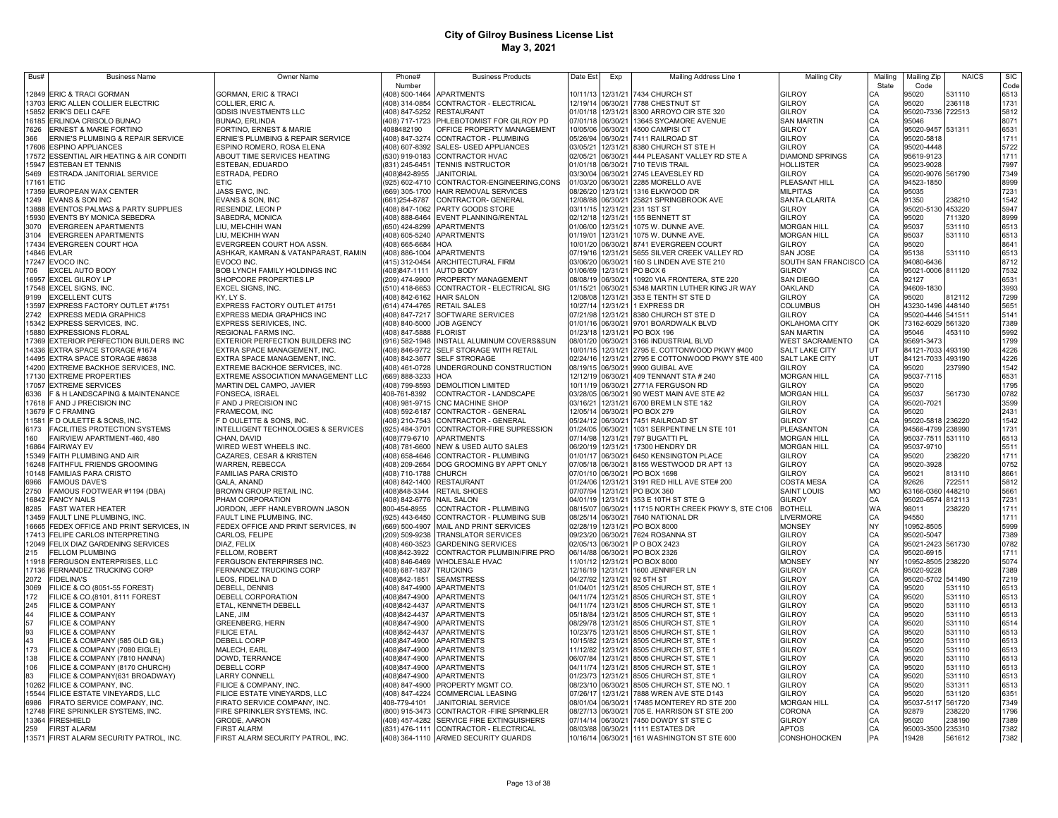| Bus#         | <b>Business Name</b>                                          | <b>Owner Name</b>                                 | Phone#                    | <b>Business Products</b>                                               | Date Est             | Exp                  | Mailing Address Line 1                                  | <b>Mailing City</b>                      | Mailing   | <b>Mailing Zip</b>         | <b>NAICS</b>     | <b>SIC</b>   |
|--------------|---------------------------------------------------------------|---------------------------------------------------|---------------------------|------------------------------------------------------------------------|----------------------|----------------------|---------------------------------------------------------|------------------------------------------|-----------|----------------------------|------------------|--------------|
|              |                                                               |                                                   | Number                    |                                                                        |                      |                      |                                                         |                                          | State     | Code                       |                  | Code         |
|              | 12849 ERIC & TRACI GORMAN                                     | <b>GORMAN, ERIC &amp; TRACI</b>                   |                           | 408) 500-1464 APARTMENTS                                               | 10/11/13             |                      | 12/31/21 7434 CHURCH ST                                 | GILROY                                   | CA        | 95020                      | 531110           | 6513         |
|              | 13703 ERIC ALLEN COLLIER ELECTRIC                             | COLLIER, ERIC A.                                  |                           | 408) 314-0854 CONTRACTOR - ELECTRICAL                                  | 12/19/14             |                      | 06/30/21 7788 CHESTNUT ST                               | <b>GILROY</b>                            | СA        | 95020                      | 236118           | 1731         |
|              | 15852 ERIK'S DELI CAFE                                        | GDSIS INVESTMENTS LLC                             |                           | (408) 847-5252 RESTAURANT                                              | 01/01/18             |                      | 12/31/21 8300 ARROYO CIR STE 320                        | <b>GILROY</b>                            | CA        | 95020-7336 722513          |                  | 5812         |
|              | 16185 ERLINDA CRISOLO BUNAO                                   | BUNAO, ERLINDA                                    |                           | (408) 717-1723 PHLEBOTOMIST FOR GILROY PD                              | 07/01/18             | 06/30/21             | 13645 SYCAMORE AVENUE                                   | <b>SAN MARTIN</b>                        | CA        | 95046                      |                  | 8071         |
| 7626         | <b>ERNEST &amp; MARIE FORTINO</b>                             | FORTINO, ERNEST & MARIE                           | 4088482190                | OFFICE PROPERTY MANAGEMENT                                             | 10/05/06             | 06/30/21             | 4500 CAMPISI CT                                         | GILROY                                   | CA        | 95020-9457 531311          |                  | 6531         |
| 366          | ERNIE'S PLUMBING & REPAIR SERVICE                             | ERNIE'S PLUMBING & REPAIR SERVICE                 |                           | (408) 847-3274 CONTRACTOR - PLUMBING                                   | 05/26/94             | 06/30/21             | 7411 RAILROAD ST                                        | GILROY                                   | CA        | 95020-5818                 |                  | 1711         |
|              | 17606 ESPINO APPLIANCES                                       | ESPINO ROMERO, ROSA ELENA                         |                           | (408) 607-8392 SALES- USED APPLIANCES                                  | 03/05/21             | 12/31/21             | 8380 CHURCH ST STE H                                    | GII ROY                                  | CA        | 95020-4448                 |                  | 5722         |
|              | 17572 ESSENTIAL AIR HEATING & AIR CONDITI                     | ABOUT TIME SERVICES HEATING                       |                           | (530) 919-0183 CONTRACTOR HVAC                                         | 02/05/21             | 06/30/21             | 444 PLEASANT VALLEY RD STE A                            | <b>DIAMOND SPRINGS</b>                   | CA        | 95619-9123                 |                  | 1711         |
|              | 15947 ESTEBAN ET TENNIS                                       | ESTEBAN, EDUARDO                                  |                           | (831) 245-6451 TENNIS INSTRUCTOR                                       | 01/01/18             | 06/30/21             | 710 TEVIS TRAIL                                         | <b>HOLLISTER</b>                         | CA        | 95023-9028                 |                  | 7997         |
| 5469         | ESTRADA JANITORIAL SERVICE                                    | ESTRADA, PEDRO                                    | (408)842-8955             | <b>JANITORIAL</b>                                                      | 03/30/04             | 06/30/21             | 2745 LEAVESLEY RD                                       | <b>GILROY</b>                            | CA        | 95020-9076 561790          |                  | 7349         |
|              | 17161 ETIC                                                    | ETIC                                              | (925) 602-4710            | CONTRACTOR-ENGINEERING,CONS                                            | 01/03/20             | 06/30/21             | 2285 MORELLO AVE                                        | PLEASANT HILL                            | CA        | 94523-1850                 |                  | 8999         |
|              | 17359 EUROPEAN WAX CENTER                                     | JASS EWC, INC.                                    |                           | (669) 305-1700 HAIR REMOVAL SERVICES                                   | 08/26/20             | 12/31/21             | 1316 ELKWOOD DR                                         | <b>MILPITAS</b>                          | CA        | 95035                      |                  | 7231         |
| 1249         | EVANS & SON INC                                               | EVANS & SON, INC                                  | (661) 254-8787            | CONTRACTOR- GENERAL                                                    | 12/08/88             | 06/30/21             | 25821 SPRINGBROOK AVE                                   | <b>SANTA CLARITA</b>                     | CA<br>C.A | 91350                      | 238210           | 1542         |
|              | 13888 EVENTOS PALMAS & PARTY SUPPLIES                         | RESENDIZ, LEON P                                  |                           | 408) 847-1062 PARTY GOODS STORE<br>408) 888-6464 EVENT PLANNING/RENTAL | 03/11/15<br>02/12/18 | 12/31/21<br>12/31/21 | 231 1ST ST<br>155 BENNETT ST                            | GILROY                                   | C.A       | 95020-5130<br>95020        | 453220           | 5947<br>8999 |
|              | 15930 EVENTS BY MONICA SEBEDRA<br><b>EVERGREEN APARTMENTS</b> | SABEDRA, MONICA                                   |                           | (650) 424-8299 APARTMENTS                                              | 01/06/00             | 12/31/21             | 1075 W. DUNNE AVE.                                      | <b>GILROY</b>                            | C.A       | 95037                      | 711320           |              |
| 3070<br>3104 | <b>EVERGREEN APARTMENTS</b>                                   | <b>IU. MEI-CHIH WAN</b><br><b>IU, MEICHIH WAN</b> |                           | 408) 605-5240 APARTMENTS                                               | 01/19/01             | 12/31/21             | 1075 W. DUNNE AVE.                                      | <b>MORGAN HILL</b><br><b>MORGAN HILL</b> | CА        | 95037                      | 531110<br>531110 | 6513<br>6513 |
| 17434        |                                                               |                                                   |                           | <b>AOH</b>                                                             |                      |                      |                                                         | GILROY                                   | CА        |                            |                  |              |
|              | EVERGREEN COURT HOA<br>14846 EVLAR                            | EVERGREEN COURT HOA ASSN.                         | 408) 665-6684             | (408) 886-1004 APARTMENTS                                              | 10/01/20<br>07/19/16 | 06/30/21<br>12/31/21 | 8741 EVERGREEN COURT                                    | SAN JOSE                                 | CA        | 95020<br>95138             | 531110           | 8641<br>6513 |
|              | 17247 EVOCO INC.                                              | ASHKAR, KAMRAN & VATANPARAST, RAMIN<br>EVOCO INC. | (415) 312-0454            | ARCHITECTURAL FIRM                                                     | 03/06/20             | 06/30/21             | 5655 SILVER CREEK VALLEY RD<br>160 S LINDEN AVE STE 210 | SOUTH SAN FRANCISCO CA                   |           | 94080-6436                 |                  | 8712         |
| 706          | EXCEL AUTO BODY                                               | 3OB LYNCH FAMILY HOLDINGS INC                     | (408)847-1111             | <b>AUTO BODY</b>                                                       | 01/06/69             | 12/31/21             | PO BOX 6                                                | <b>GILROY</b>                            | СA        | 95021-0006 811120          |                  | 7532         |
|              | 16957 EXCEL GILROY LP                                         | SHOPCORE PROPERTIES LP                            | (209) 474-9900            | PROPERTY MANAGEMENT                                                    | 08/08/19             | 06/30/21             | 10920 VIA FRONTERA, STE 220                             | SAN DIEGO                                | CA        | 92127                      |                  | 6531         |
|              | 17548 EXCEL SIGNS, INC                                        | EXCEL SIGNS, INC.                                 | (510) 418-6653            | CONTRACTOR - ELECTRICAL SIG                                            | 01/15/21             | 06/30/21             | 5348 MARTIN LUTHER KING JR WAY                          | OAKLAND                                  | CA        | 94609-1830                 |                  | 3993         |
| 9199         | <b>EXCELLENT CUTS</b>                                         | KY, LY S.                                         | (408) 842-6162            | <b>HAIR SALON</b>                                                      | 12/08/08             | 12/31/21             | 353 E TENTH ST STE D                                    | <b>GILROY</b>                            | CA        | 95020                      | 812112           | 7299         |
|              | 13597 EXPRESS FACTORY OUTLET #1751                            | EXPRESS FACTORY OUTLET #1751                      | (614) 474-4765            | <b>RETAIL SALES</b>                                                    | 10/27/14             | 12/31/21             | 1 EXPRESS DR                                            | <b>COLUMBUS</b>                          | OH        | 43230-1496 448140          |                  | 5651         |
| 2742         | <b>EXPRESS MEDIA GRAPHICS</b>                                 | EXPRESS MEDIA GRAPHICS INC                        |                           | (408) 847-7217 SOFTWARE SERVICES                                       | 07/21/98             | 12/31/21             | 8380 CHURCH ST STE D                                    | <b>GILROY</b>                            | CA        | 95020-4446 541511          |                  | 5141         |
|              | 15342 EXPRESS SERVICES, INC.                                  | EXPRESS SERIVICES, INC.                           | (408) 840-5000 JOB AGENCY |                                                                        | 01/01/16             | 06/30/21             | 9701 BOARDWALK BLVD                                     | OKLAHOMA CITY                            | OK        | 73162-6029 561320          |                  | 7389         |
|              | 15880 EXPRESSIONS FLORAL                                      | REGIONAL FARMS INC.                               | (408) 847-5888            | <b>FI ORIST</b>                                                        | 01/23/18             | 12/31/21             | <b>PO BOX 196</b>                                       | <b>SAN MARTIN</b>                        | CA        | 95046                      | 453110           | 5992         |
|              | 17369 EXTERIOR PERFECTION BUILDERS INC                        | EXTERIOR PERFECTION BUILDERS INC                  |                           | (916) 582-1948 INSTALL ALUMINUM COVERS&SUN                             | 08/01/20             | 06/30/21             | 3166 INDUSTRIAL BLVD                                    | <b>WEST SACRAMENTO</b>                   | CA        | 95691-3473                 |                  | 1799         |
|              | 14336 EXTRA SPACE STORAGE #1674                               | EXTRA SPACE MANAGEMENT. INC.                      |                           | (408) 846-9772 SELF STORAGE WITH RETAIL                                | 10/01/15             | 12/31/21             | 2795 E. COTTONWOOD PKWY #400                            | <b>SALT LAKE CITY</b>                    | UT        | 84121-7033 493190          |                  | 4226         |
|              | 14495 EXTRA SPACE STORAGE #8638                               | EXTRA SPACE MANAGEMENT. INC.                      | (408) 842-3677            | <b>SELF STRORAGE</b>                                                   | 02/24/16             | 12/31/21             | 2795 E COTTONWOOD PKWY STE 400                          | <b>SALT LAKE CITY</b>                    | UT        | 84121-7033 493190          |                  | 4226         |
|              | 14200 EXTREME BACKHOE SERVICES, INC.                          | EXTREME BACKHOE SERVICES, INC.                    | (408) 461-0728            | UNDERGROUND CONSTRUCTION                                               | 08/19/15             | 06/30/21             | 9900 GUIBAL AVE                                         | <b>GILROY</b>                            | CA        | 95020                      | 237990           | 1542         |
|              | 17130 EXTREME PROPERTIES                                      | EXTREME ASSOCIATION MANAGEMENT LLC                | (669) 888-3233            | HOA                                                                    | 12/12/19             | 06/30/21             | 409 TENNANT STA # 240                                   | <b>MORGAN HILL</b>                       | CA        | 95037-7115                 |                  | 6531         |
|              | 17057 EXTREME SERVICES                                        | MARTIN DEL CAMPO, JAVIER                          | (408) 799-8593            | DEMOLITION LIMITED                                                     | 10/11/19             | 06/30/21             | 2771A FERGUSON RD                                       | GILROY                                   | СA        | 95020                      |                  | 1795         |
| 6336         | F & H LANDSCAPING & MAINTENANCE                               | FONSECA, ISRAEL                                   | 408-761-8392              | CONTRACTOR - LANDSCAPE                                                 | 03/28/05             |                      | 06/30/21 90 WEST MAIN AVE STE #2                        | <b>MORGAN HILL</b>                       | CA        | 95037                      | 561730           | 0782         |
|              | 17618 F AND J PRECISION INC                                   | <b>AND J PRECISION INC</b>                        |                           | (408) 981-9715 CNC MACHINE SHOP                                        | 03/16/21             | 12/31/21             | 6700 BREM LN STE 1&2                                    | GILROY                                   | CA        | 95020-7021                 |                  | 3599         |
|              | 13679 F C FRAMING                                             | FRAMECOM, INC                                     |                           | (408) 592-6187 CONTRACTOR - GENERAL                                    | 12/05/14             | 06/30/21             | PO BOX 279                                              | <b>GILROY</b>                            | CA        | 95020                      |                  | 2431         |
|              | 11581 F D OULETTE & SONS, INC                                 | <b>DOULETTE &amp; SONS, INC.</b>                  |                           | (408) 210-7543 CONTRACTOR - GENERAL                                    | 05/24/12             | 06/30/21             | 7451 RAILROAD ST                                        | GILROY                                   | CA        | 95020-5818 236220          |                  | 1542         |
|              | 6173 FACILITIES PROTECTION SYSTEMS                            | INTELLIGENT TECHNOLOGIES & SERVICES               |                           | (925) 484-3701 CONTRACTOR-FIRE SUPRESSION                              | 01/24/05             | 06/30/21             | 1031 SERPENTINE LN STE 101                              | PLEASANTON                               | CA        | 94566-4799 238990          |                  | 1731         |
| 160          | FAIRVIEW APARTMENT-460, 480                                   | CHAN, DAVID                                       |                           | (408)779-6710 APARTMENTS                                               | 07/14/98             | 12/31/21             | 797 BUGATTI PL                                          | <b>MORGAN HILL</b>                       | CA        | 95037-7511 531110          |                  | 6513         |
|              | 16864 FAIRWAY EV                                              | WIRED WEST WHEELS INC.                            |                           | (408) 781-6600 NEW & USED AUTO SALES                                   | 06/20/19             | 12/31/21             | 17300 HENDRY DR                                         | <b>MORGAN HILL</b>                       | CА        | 95037-9710                 |                  | 5511         |
|              | 15349 FAITH PLUMBING AND AIR                                  | CAZARES, CESAR & KRISTEN                          |                           | 408) 658-4646 CONTRACTOR - PLUMBING                                    | 01/01/17             | 06/30/21             | 6450 KENSINGTON PLACE                                   | GILROY                                   | CA        | 95020                      | 238220           | 1711         |
|              | 16248 FAITHFUL FRIENDS GROOMING                               | WARREN, REBECCA                                   |                           | 408) 209-2654 DOG GROOMING BY APPT ONLY                                | 07/05/18             | 06/30/21             | 8155 WESTWOOD DR APT 13                                 | GILROY                                   | CA        | 95020-3928                 |                  | 0752         |
|              | 10148 FAMILIAS PARA CRISTO                                    | <b>AMILIAS PARA CRISTO</b>                        | 408) 710-1788             | <b>CHURCH</b>                                                          | 07/01/10             | 06/30/21             | PO BOX 1698                                             | GILROY                                   | CA        | 95021                      | 813110           | 8661         |
| 6966         | <b>FAMOUS DAVE'S</b>                                          | <b>GALA, ANAND</b>                                | 408) 842-1400             | <b>RESTAURANT</b>                                                      | 01/24/06             | 12/31/21             | 3191 RED HILL AVE STE# 200                              | <b>COSTA MESA</b>                        | CA        | 92626                      | 722511           | 5812         |
| 2750         | FAMOUS FOOTWEAR #1194 (DBA)                                   | BROWN GROUP RETAIL INC.                           | 408)848-3344              | <b>RETAIL SHOES</b>                                                    | 07/07/94             | 12/31/21             | PO BOX 360                                              | <b>SAINT LOUIS</b>                       | <b>MO</b> | 63166-0360                 | 448210           | 5661         |
|              | 16842 FANCY NAILS                                             | <b>PHAM CORPORATION</b>                           | 408) 842-6776             | <b>NAIL SALON</b>                                                      | 04/01/19             | 12/31/21             | 353 E 10TH ST STE G                                     | GILROY                                   | CA        | 95020-6574                 | 812113           | 7231         |
| 8285         | <b>FAST WATER HEATER</b>                                      | JORDON, JEFF HANLEYBROWN JASON                    | 800-454-8955              | CONTRACTOR - PLUMBING                                                  | 08/15/07             | 06/30/21             | 11715 NORTH CREEK PKWY S, STE C106                      | <b>BOTHELL</b>                           | <b>WA</b> | 98011                      | 238220           | 1711         |
|              | 13459 FAULT LINE PLUMBING, INC.                               | FAULT LINE PLUMBING, INC.                         | (925) 443-6450            | CONTRACTOR - PLUMBING SUB                                              | 08/25/14             | 06/30/21             | 7640 NATIONAL DR                                        | <b>IVERMORE</b>                          | CA        | 94550                      |                  | 1711         |
|              | 16665 FEDEX OFFICE AND PRINT SERVICES, IN                     | FEDEX OFFICE AND PRINT SERVICES, IN               | (669) 500-4907            | MAIL AND PRINT SERVICES                                                | 02/28/19             | 12/31/21             | PO BOX 8000                                             | <b>MONSEY</b>                            | NY        | 10952-8505                 |                  | 5999         |
|              | 17413 FELIPE CARLOS INTERPRETING                              | CARLOS, FELIPE                                    | (209) 509-9238            | <b>TRANSLATOR SERVICES</b>                                             | 09/23/20             | 06/30/21             | 7624 ROSANNA ST                                         | <b>GILROY</b>                            | CA        | 95020-5047                 |                  | 7389         |
|              | 12049 FELIX DIAZ GARDENING SERVICES                           | DIAZ, FELIX                                       | (408) 460-3523            | <b>GARDENING SERVICES</b>                                              | 02/05/13             | 06/30/21             | P O BOX 2423                                            | <b>GILROY</b>                            | CA        | 95021-2423 561730          |                  | 0782         |
| 215          | <b>FELLOM PLUMBING</b>                                        | FELLOM, ROBERT                                    | (408)842-3922             | CONTRACTOR PLUMBIN/FIRE PRO                                            | 06/14/88             | 06/30/21             | PO BOX 2326                                             | <b>GILROY</b>                            | CA        | 95020-6915                 |                  | 1711         |
|              | 11918 FERGUSON ENTERPRISES, LLC                               | FERGUSON ENTERPIRSES INC.                         |                           | (408) 846-6469 WHOLESALE HVAC                                          | 11/01/12<br>12/16/19 | 12/31/21             | PO BOX 8000                                             | <b>MONSEY</b>                            | NY<br>CA  | 10952-8505                 | 238220           | 5074<br>7389 |
|              | 17136 FERNANDEZ TRUCKING CORP                                 | FERNANDEZ TRUCKING CORP<br>LEOS, FIDELINA D       | (408) 687-1837 TRUCKING   | <b>SEAMSTRESS</b>                                                      | 04/27/92             | 2/31/21<br>12/31/21  | 1600 JENNIFER LN<br>92 5TH ST                           | GILROY<br><b>GILROY</b>                  | CA        | 95020-9228                 |                  |              |
| 2072<br>3069 | <b>FIDELINA'S</b><br>FILICE & CO (8051-55 FOREST)             | DEBELL, DENNIS                                    | (408) 842-1851            | (408) 847-4900 APARTMENTS                                              | 01/04/01             | 12/31/21             | 8505 CHURCH ST, STE 1                                   | <b>GILROY</b>                            | CA        | 95020-5702 541490<br>95020 | 531110           | 7219<br>6513 |
| 172          | FILICE & CO.(8101, 8111 FOREST                                | DEBELL CORPORATION                                | (408)847-4900             | <b>APARTMENTS</b>                                                      | 04/11/74             | 12/31/21             | 8505 CHURCH ST, STE 1                                   | <b>GILROY</b>                            | CA        | 95020                      | 531110           | 6513         |
| 245          | <b>FILICE &amp; COMPANY</b>                                   | ETAL. KENNETH DEBELL                              | 408)842-4437              | <b>APARTMENTS</b>                                                      | 04/11/74             | 12/31/21             | 8505 CHURCH ST, STE 1                                   | <b>GILROY</b>                            | CA        | 95020                      | 531110           | 6513         |
| 44           | <b>FILICE &amp; COMPANY</b>                                   | LANE, JIM                                         | (408) 842-4437            | <b>APARTMENTS</b>                                                      | 05/18/84             | 12/31/21             | 8505 CHURCH ST. STE 1                                   | <b>GILROY</b>                            | CA        | 95020                      | 531110           | 6513         |
| 57           | <b>FILICE &amp; COMPANY</b>                                   | GREENBERG, HERN                                   | (408) 847-4900            | <b>APARTMENTS</b>                                                      | 08/29/78             | 12/31/21             | 8505 CHURCH ST. STE 1                                   | <b>GILROY</b>                            | CA        | 95020                      | 531110           | 6514         |
| 93           | FILICE & COMPANY                                              | <b>FILICE ETAL</b>                                | (408)842-4437             | <b>APARTMENTS</b>                                                      | 10/23/75             |                      | 12/31/21 8505 CHURCH ST, STE 1                          | <b>GILROY</b>                            | CA        | 95020                      | 531110           | 6513         |
| 43           | FILICE & COMPANY (585 OLD GIL)                                | DEBELL CORP                                       | (408)847-4900             | <b>APARTMENTS</b>                                                      | 10/15/82             |                      | 12/31/21 8505 CHURCH ST, STE 1                          | <b>GILROY</b>                            | CA        | 95020                      | 531110           | 6513         |
| 173          | FILICE & COMPANY (7080 EIGLE)                                 | MALECH, EARL                                      | (408)847-4900             | <b>APARTMENTS</b>                                                      | 11/12/82             | 12/31/21             | 8505 CHURCH ST, STE 1                                   | GILROY                                   | CA        | 95020                      | 531110           | 6513         |
| 138          | FILICE & COMPANY (7810 HANNA)                                 | DOWD, TERRANCE                                    | (408) 847-4900            | <b>APARTMENTS</b>                                                      | 06/07/84             |                      | 12/31/21 8505 CHURCH ST, STE 1                          | GILROY                                   | CA        | 95020                      | 531110           | 6513         |
| 106          | FILICE & COMPANY (8170 CHURCH)                                | DEBELL CORP                                       | (408)847-4900             | <b>APARTMENTS</b>                                                      | 04/11/74             | 12/31/21             | 8505 CHURCH ST, STE                                     | GILROY                                   | CA        | 95020                      | 531110           | 6513         |
| 83           | FILICE & COMPANY(631 BROADWAY)                                | <b>LARRY CONNELL</b>                              | (408)847-4900             | <b>APARTMENTS</b>                                                      | 01/23/73             | 12/31/21             | 8505 CHURCH ST, STE 1                                   | <b>GILROY</b>                            | CA        | 95020                      | 531110           | 6513         |
|              | 10262 FILICE & COMPANY, INC                                   | FILICE & COMPANY, INC.                            | (408) 847-4900            | PROPERTY MGMT CO.                                                      | 08/23/10             | 06/30/21             | 8505 CHURCH ST, STE NO. 1                               | GILROY                                   | CA        | 95020                      | 531311           | 6513         |
|              | 15544 FILICE ESTATE VINEYARDS, LLC                            | FILICE ESTATE VINEYARDS, LLC                      |                           | (408) 847-4224 COMMERCIAL LEASING                                      | 07/26/17             | 12/31/21             | 7888 WREN AVE STE D143                                  | <b>GILROY</b>                            | CA        | 95020                      | 531120           | 6351         |
| 6986         | FIRATO SERVICE COMPANY, INC.                                  | FIRATO SERVICE COMPANY, INC.                      | 408-779-4101              | JANITORIAL SERVICE                                                     | 08/01/04             | 06/30/21             | 17485 MONTEREY RD STE 200                               | <b>MORGAN HILL</b>                       | CA        | 95037-5117                 | 561720           | 7349         |
|              | 12748 FIRE SPRINKLER SYSTEMS, INC.                            | FIRE SPRINKLER SYSTEMS, INC.                      |                           | (800) 915-3473 CONTRACTOR - FIRE SPRINKLER                             | 08/27/13             | 06/30/21             | 705 E. HARRISON ST STE 200                              | CORONA                                   | CА        | 92879                      | 238220           | 1796         |
|              | 13364 FIRESHIELD                                              | GRODE, AARON                                      |                           | (408) 457-4282 SERVICE FIRE EXTINGUISHERS                              | 07/14/14             | 06/30/21             | 7450 DOWDY ST STE C                                     | GILROY                                   | C.A       | 95020                      | 238190           | 7389         |
| 259          | <b>FIRST ALARM</b>                                            | <b>FIRST ALARM</b>                                |                           | (831) 476-1111 CONTRACTOR - ELECTRICAL                                 |                      |                      | 08/03/88 06/30/21 1111 ESTATES DR                       | <b>APTOS</b>                             | C.A       | 95003-3500 235310          |                  | 7382         |
|              | 13571 FIRST ALARM SECURITY PATROL, INC.                       | FIRST ALARM SECURITY PATROL, INC.                 |                           | (408) 364-1110 ARMED SECURITY GUARDS                                   |                      |                      | 10/16/14 06/30/21 161 WASHINGTON ST STE 600             | <b>CONSHOHOCKEN</b>                      | PA        | 19428                      | 561612           | 7382         |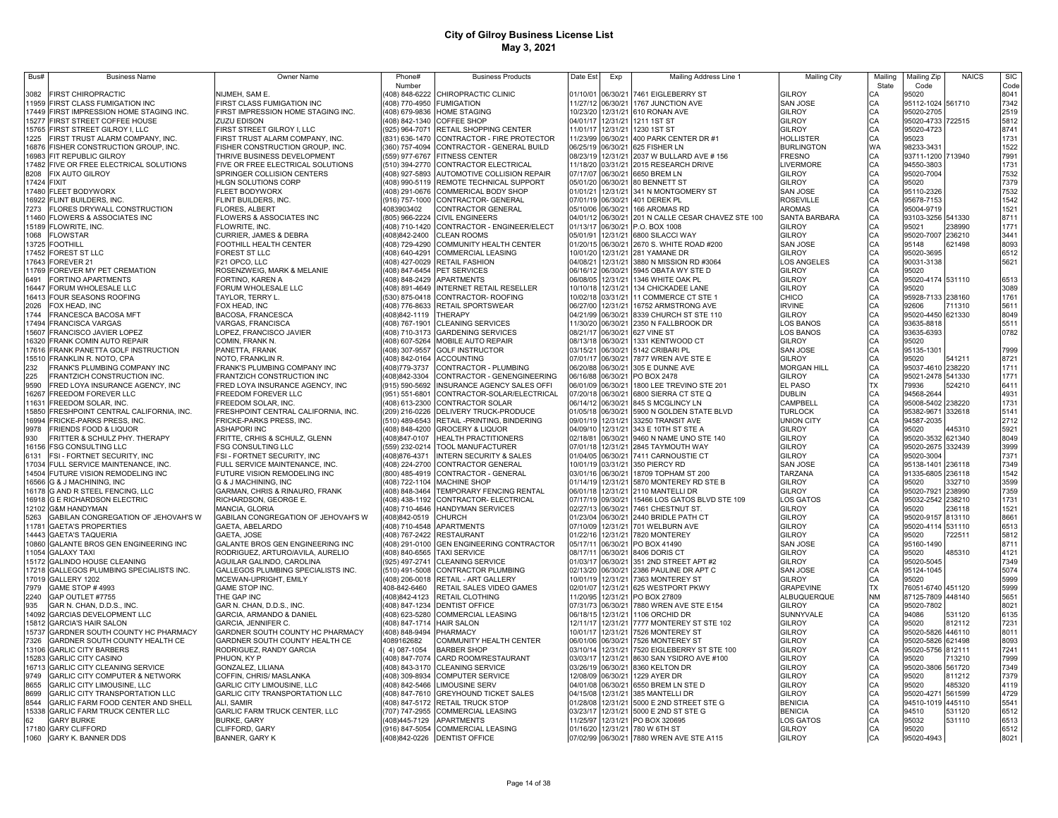| Bus#          | <b>Business Name</b>                                                | Owner Name                                                          | Phone#                           | <b>Business Products</b>                                       | Date Est                               | Exp                           | Mailing Address Line 1                            | <b>Mailing City</b>                   | Mailing                          | Mailing Zip                            | <b>NAICS</b>     | <b>SIC</b>   |
|---------------|---------------------------------------------------------------------|---------------------------------------------------------------------|----------------------------------|----------------------------------------------------------------|----------------------------------------|-------------------------------|---------------------------------------------------|---------------------------------------|----------------------------------|----------------------------------------|------------------|--------------|
|               |                                                                     |                                                                     | Number                           |                                                                |                                        |                               |                                                   |                                       | State                            | Code                                   |                  | Code         |
| 3082<br>11959 | FIRST CHIROPRACTIC<br>FIRST CLASS FUMIGATION INC                    | NIJMEH, SAM E.<br>FIRST CLASS FUMIGATION INC                        | 408) 848-6222<br>408) 770-4950   | CHIROPRACTIC CLINIC<br><b>FUMIGATION</b>                       | 01/10/01                               | 06/30/21<br>11/27/12 06/30/21 | 7461 EIGLEBERRY ST<br>1767 JUNCTION AVE           | <b>GILROY</b><br><b>SAN JOSE</b>      | СA<br>CA                         | 95020<br>95112-1024 561710             |                  | 8041<br>7342 |
| 17449         | FIRST IMPRESSION HOME STAGING INC.                                  | FIRST IMPRESSION HOME STAGING INC.                                  | 408) 679-9836                    | HOME STAGING                                                   |                                        | 10/23/20 12/31/21             | 610 RONAN AVE                                     | GILROY                                |                                  | 95020-2705                             |                  | 2519         |
| 15277         | FIRST STREET COFFEE HOUSE                                           | <b>ZUZU EDISON</b>                                                  |                                  | 408) 842-1340 COFFEE SHOP                                      | 04/01/17                               | 12/31/21                      | 1211 1ST ST                                       | GILROY                                | CA<br>CA                         | 95020-4733 722515                      |                  | 5812         |
| 15765         | FIRST STREET GILROY I, LLC                                          | FIRST STREET GILROY I, LLC                                          | 925) 964-7071                    | RETAIL SHOPPING CENTER                                         | 11/01/17                               | 12/31/21                      | 1230 1ST ST                                       | GILROY                                | CA                               | 95020-4723                             |                  | 8741         |
| 225           | FIRST TRUST ALARM COMPANY, INC.                                     | FIRST TRUST ALARM COMPANY, INC.                                     |                                  | (831) 636-1470 CONTRACTOR - FIRE PROTECTOR                     | 11/23/99                               | 06/30/21                      | 400 PARK CENTER DR #1                             | HOLLISTER                             | CA                               | 95023                                  |                  | 1731         |
| 16876         | FISHER CONSTRUCTION GROUP, INC.                                     | FISHER CONSTRUCTION GROUP, INC.                                     | (360) 757-4094                   | CONTRACTOR - GENERAL BUILD                                     | 06/25/19 06/30/21                      |                               | 625 FISHER LN                                     | <b>BURLINGTON</b>                     | <b>WA</b>                        | 98233-3431                             |                  | 1522         |
| 16983         | FIT REPUBLIC GILROY                                                 | THRIVE BUSINESS DEVELOPMENT                                         | 559) 977-6767                    | <b>FITNESS CENTER</b>                                          | 08/23/19                               | 12/31/21                      | 2037 W BULLARD AVE # 156                          | <b>FRESNO</b>                         | CA                               | 93711-1200 713940                      |                  | 7991         |
| 17482         | FIVE OR FREE ELECTRICAL SOLUTIONS                                   | FIVE OR FREE ELECTRICAL SOLUTIONS                                   |                                  | (510) 394-2770 CONTRACTOR ELECTRICAL                           |                                        | 11/18/20 03/31/21             | 2015 RESEARCH DRIVE                               | LIVERMORE                             | CA                               | 94550-3803                             |                  | 1731         |
| 8208          | FIX AUTO GILROY                                                     | SPRINGER COLLISION CENTERS                                          | (408) 927-5893                   | AUTOMOTIVE COLLISION REPAIR                                    | 07/17/07                               | 06/30/21                      | 6650 BREM LN                                      | GILROY                                | CA                               | 95020-7004                             |                  | 7532         |
|               | 17424 FIXIT                                                         | HLGN SOLUTIONS CORP                                                 |                                  | (408) 990-5119 REMOTE TECHNICAL SUPPORT                        | 05/01/20 06/30/21                      |                               | 80 BENNETT ST                                     | GILROY                                | CA<br>CA                         | 95020                                  |                  | 7379         |
|               | 17480 FLEET BODYWORX                                                | FLEET BODYWORX                                                      |                                  | (408) 291-0676 COMMERICAL BODY SHOP                            | 01/01/21                               | 12/31/21                      | 341 N MONTGOMERY ST                               | SAN JOSE                              |                                  | 95110-2326                             |                  | 7532         |
| 16922         | FLINT BUILDERS. INC                                                 | FLINT BUILDERS, INC.                                                |                                  | (916) 757-1000 CONTRACTOR- GENERAL                             | 07/01/19                               | 06/30/21                      | 401 DEREK PL                                      | <b>ROSEVILLE</b>                      | CA                               | 95678-7153                             |                  | 1542         |
| 7273          | FLORES DRYWALL CONSTRUCTION<br>11460 FLOWERS & ASSOCIATES INC       | FLORES, ALBERT<br>FLOWERS & ASSOCIATES INC                          | 4083903402                       | CONTRACTOR GENERAL<br>(805) 966-2224 CIVIL ENGINEERS           | 05/10/06 06/30/21<br>04/01/12 06/30/21 |                               | 166 AROMAS RD<br>201 N CALLE CESAR CHAVEZ STE 100 | <b>AROMAS</b><br><b>SANTA BARBARA</b> | CA<br>CA                         | 95004-9719<br>93103-3256 541330        |                  | 1521<br>8711 |
|               | 15189 FLOWRITE, INC.                                                | FLOWRITE, INC.                                                      |                                  | (408) 710-1420 CONTRACTOR - ENGINEER/ELECT                     | 01/13/17 06/30/21                      |                               | P.O. BOX 1008                                     | <b>GILROY</b>                         | CA                               | 95021                                  | 238990           | 1771         |
| 1068          | <b>FLOWSTAR</b>                                                     | CURRIER, JAMES & DEBRA                                              | 408)842-2400                     | <b>CLEAN ROOMS</b>                                             | 05/01/91 12/31/21                      |                               | 6800 SILACCI WAY                                  | <b>GILROY</b>                         | CA                               | 95020-7007 236210                      |                  | 3441         |
|               | 13725 FOOTHILL                                                      | FOOTHILL HEALTH CENTER                                              | 408) 729-4290                    | COMMUNITY HEALTH CENTER                                        | 01/20/15 06/30/21                      |                               | 2670 S. WHITE ROAD #200                           | <b>SAN JOSE</b>                       |                                  | 95148                                  | 621498           | 8093         |
|               | 17452 FOREST ST LLC                                                 | FOREST ST LLC                                                       |                                  | 408) 640-4291 COMMERCIAL LEASING                               |                                        | 10/01/20 12/31/21             | 281 YAMANE DR                                     | <b>GILROY</b>                         |                                  | 95020-3695                             |                  | 6512         |
|               | 7643 FOREVER 21                                                     | F21 OPCO, LLC                                                       | 408) 427-0029                    | <b>RETAIL FASHION</b>                                          | 04/08/21                               | 12/31/21                      | 3880 N MISSION RD #3064                           | LOS ANGELES                           | CA<br>CA<br>CA                   | 90031-3138                             |                  | 5621         |
|               | 11769 FOREVER MY PET CREMATION                                      | ROSENZWEIG, MARK & MELANIE                                          | (408) 847-6454                   | PET SERVICES                                                   | 06/16/12 06/30/21                      |                               | 5945 OBATA WY STE D                               | <b>GILROY</b>                         | CA<br>CA                         | 95020                                  |                  |              |
| 6491          | FORTINO APARTMENTS                                                  | FORTINO, KAREN A                                                    |                                  | 408) 848-2429 APARTMENTS                                       |                                        | 06/08/05 12/31/21             | 1346 WHITE OAK PL                                 | GILROY                                |                                  | 95020-4174 531110                      |                  | 6513         |
| 16447         | FORUM WHOLESALE LLC                                                 | FORUM WHOLESALE LLC                                                 | (408) 891-4649                   | INTERNET RETAIL RESELLER                                       |                                        | 10/10/18 12/31/21             | 134 CHICKADEE LANE                                | GILROY                                |                                  | 95020                                  |                  | 3089         |
|               | 16413 FOUR SEASONS ROOFING                                          | TAYLOR, TERRY L.                                                    |                                  | 530) 875-0418 CONTRACTOR- ROOFING                              |                                        |                               | 10/02/18 03/31/21 11 COMMERCE CT STE 1            | CHICO                                 |                                  | 95928-7133 238160                      |                  | 1761         |
| 2026<br>1744  | FOX HEAD, INC                                                       | FOX HEAD, INC                                                       |                                  | (408) 776-8633 RETAIL SPORTSWEAR                               |                                        |                               | 06/27/00 12/31/21 16752 ARMSTRONG AVE             | <b>IRVINE</b>                         |                                  | 92606                                  | 711310           | 5611         |
| 17494         | FRANCESCA BACOSA MFT<br>FRANCISCA VARGAS                            | BACOSA, FRANCESCA<br><b>/ARGAS, FRANCISCA</b>                       | 408)842-1119<br>(408) 767-1901   | THERAPY<br><b>CLEANING SERVICES</b>                            | 04/21/99 06/30/21                      | 11/30/20 06/30/21             | 8339 CHURCH ST STE 110<br>2350 N FALLBROOK DR     | GILROY<br>LOS BANOS                   |                                  | 95020-4450 621330<br>93635-8818        |                  | 8049<br>5511 |
| 5607          | FRANCISCO JAVIER LOPEZ                                              | OPEZ, FRANCISCO JAVIER                                              | 408) 710-3173                    | <b>GARDENING SERVICES</b>                                      | 08/21/17                               | 06/30/21                      | 627 VINE ST                                       | LOS BANOS                             |                                  | 93635-6393                             |                  | 0782         |
| 16320         | FRANK COMIN AUTO REPAIR                                             | COMIN, FRANK N.                                                     | 408) 607-5264                    | MOBILE AUTO REPAIR                                             |                                        | 08/13/18 06/30/21             | 1331 KENTWOOD CT                                  | <b>GILROY</b>                         |                                  | 95020                                  |                  |              |
| 17616         | FRANK PANETTA GOLF INSTRUCTION                                      | PANETTA, FRANK                                                      | (408) 307-9557                   | <b>GOLF INSTRUCTOR</b>                                         | 03/15/21                               | 06/30/21                      | 5142 CRIBARI PL                                   | <b>SAN JOSE</b>                       |                                  | 95135-1301                             |                  | 7999         |
| 15510         | FRANKLIN R. NOTO, CPA                                               | NOTO, FRANKLIN R.                                                   | (408) 842-0164                   | <b>ACCOUNTING</b>                                              | 07/01/17                               | 06/30/21                      | 7877 WREN AVE STE E                               | GILROY                                | CA CA CA CA CA CA CA CA CA CA CA | 95020                                  | 541211           | 8721         |
| 232           | FRANK'S PLUMBING COMPANY INC                                        | FRANK'S PLUMBING COMPANY INC                                        | 408)779-3737                     | CONTRACTOR - PLUMBING                                          | 06/20/88                               | 06/30/21                      | 305 E DUNNE AVE                                   | <b>MORGAN HILL</b>                    |                                  | 95037-4610 238220                      |                  | 1711         |
| 225           | FRANTZICH CONSTRUCTION INC.                                         | FRANTZICH CONSTRUCTION INC                                          | 408)842-3304                     | CONTRACTOR - GENENGINEERING                                    | 06/16/88                               | 06/30/21                      | PO BOX 2478                                       | <b>GILROY</b>                         |                                  | 95021-2478 541330                      |                  | 1771         |
| 9590          | FRED LOYA INSURANCE AGENCY, INC                                     | FRED LOYA INSURANCE AGENCY, INC                                     | (915) 590-5692                   | INSURANCE AGENCY SALES OFFI                                    | 06/01/09                               | 06/30/21                      | 1800 LEE TREVINO STE 201                          | <b>EL PASO</b>                        | TX                               | 79936                                  | 524210           | 6411         |
| 16267         | FREEDOM FOREVER LLC                                                 | FREEDOM FOREVER LLC                                                 | (951) 551-6801                   | CONTRACTOR-SOLAR/ELECTRICAL                                    | 07/20/18                               | 06/30/21                      | 6800 SIERRA CT STE Q                              | DUBLIN                                |                                  | 94568-2644                             |                  | 4931         |
| 1631          | REEDOM SOLAR, INC.                                                  | FREEDOM SOLAR, INC.                                                 | (408) 613-2300                   | <b>CONTRACTOR SOLAR</b>                                        | 06/14/12                               | 06/30/21                      | 845 S MCGLINCY LN                                 | CAMPBELL                              |                                  | 95008-5402 238220                      |                  | 1731         |
| 15850         | FRESHPOINT CENTRAL CALIFORNIA, INC                                  | FRESHPOINT CENTRAL CALIFORNIA, INC.                                 | (209) 216-0226                   | DELIVERY TRUCK-PRODUCE                                         | 01/05/18                               | 06/30/21                      | 5900 N GOLDEN STATE BLVD                          | <b>TURLOCK</b>                        |                                  | 95382-9671                             | 332618           | 5141         |
| 16994<br>9978 | FRICKE-PARKS PRESS, INC.<br>FRIENDS FOOD & LIQUOR                   | FRICKE-PARKS PRESS, INC.<br>ASHAPORI INC                            | (510) 489-6543                   | RETAIL -PRINTING, BINDERING<br>(408) 848-4200 GROCERY & LIQUOR | 09/01/19<br>04/09/10                   | 12/31/21<br>12/31/21          | 33250 TRANSIT AVE<br>343 E 10TH ST STE A          | UNION CITY<br><b>GILROY</b>           |                                  | 94587-2035<br>95020                    | 445310           | 2712<br>5921 |
| 930           | FRITTER & SCHULZ PHY. THERAPY                                       | FRITTE, CRHIS & SCHULZ, GLENN                                       | (408)847-0107                    | <b>HEALTH PRACTITIONERS</b>                                    | 02/18/81                               | 06/30/21                      | 9460 N NAME UNO STE 140                           | <b>GILROY</b>                         |                                  | 95020-3532 621340                      |                  | 8049         |
| 16156         | <b>FSG CONSULTING LLC</b>                                           | FSG CONSULTING LLC                                                  | (559) 232-0214                   | TOOL MANUFACTURER                                              | 07/01/18                               | 12/31/21                      | 2845 TAYMOUTH WAY                                 | <b>GILROY</b>                         |                                  | 95020-2675                             | 332439           | 3999         |
| 6131          | FSI - FORTNET SECURITY, INC                                         | FSI - FORTNET SECURITY, INC                                         | (408) 876-4371                   | INTERN SECURITY & SALES                                        | 01/04/05                               | 06/30/21                      | 7411 CARNOUSTIE CT                                | GILROY                                | CA CA CA CA CA CA CA CA CA CA    | 95020-3004                             |                  | 7371         |
|               | 17034 FULL SERVICE MAINTENANCE, INC                                 | FULL SERVICE MAINTENANCE, INC.                                      | (408) 224-2700                   | CONTRACTOR GENERAL                                             | 10/01/19                               | 03/31/21                      | 350 PIERCY RD                                     | <b>SAN JOSE</b>                       |                                  | 95138-1401 236118                      |                  | 7349         |
|               | 14504 FUTURE VISION REMODELING INC                                  | FUTURE VISION REMODELING INC                                        | (800) 485-4919                   | CONTRACTOR - GENERAL                                           | 03/01/16 06/30/21                      |                               | 18709 TOPHAM ST 200                               | TARZANA                               |                                  | 91335-6805 236118                      |                  | 1542         |
|               | 16566 G & J MACHINING, INC                                          | G & J MACHINING, INC                                                | (408) 722-1104                   | <b>MACHINE SHOP</b>                                            | 01/14/19                               | 12/31/21                      | 5870 MONTEREY RD STE B                            | <b>GILROY</b>                         |                                  | 95020                                  | 332710           | 3599         |
|               | 16178 G AND R STEEL FENCING, LLC                                    | GARMAN, CHRIS & RINAURO, FRANK                                      | (408) 848-3464                   | TEMPORARY FENCING RENTAL                                       | 06/01/18 12/31/21                      |                               | 2110 MANTELLI DR                                  | <b>GILROY</b>                         |                                  | 95020-7921 238990                      |                  | 7359         |
|               | 16918 G E RICHARDSON ELECTRIC<br>12102 G&M HANDYMAN                 | RICHARDSON, GEORGE E.<br>MANCIA, GLORIA                             | (408) 438-1192<br>(408) 710-4646 | CONTRACTOR- ELECTRICAL<br>HANDYMAN SERVICES                    | 07/17/19 09/30/21<br>02/27/13 06/30/21 |                               | 15466 LOS GATOS BLVD STE 109<br>7461 CHESTNUT ST. | <b>LOS GATOS</b><br><b>GILROY</b>     |                                  | 95032-2542 238210<br>95020             | 236118           | 1731<br>1521 |
| 5263          | GABILAN CONGREGATION OF JEHOVAH'S W                                 | GABILAN CONGREGATION OF JEHOVAH'S W                                 | (408)842-0519                    | CHURCH                                                         | 01/23/04                               | 06/30/21                      | 2440 BRIDLE PATH CT                               | <b>GILROY</b>                         |                                  | 95020-9157 813110                      |                  | 8661         |
| 11781         | <b>GAETA'S PROPERTIES</b>                                           | GAETA, ABELARDO                                                     | (408) 710-4548                   | <b>APARTMENTS</b>                                              | 07/10/09                               | 12/31/21                      | 701 WELBURN AVE                                   | <b>GILROY</b>                         |                                  | 95020-4114 531110                      |                  | 6513         |
| 14443         | <b>GAETA'S TAQUERIA</b>                                             | GAETA, JOSE                                                         | (408) 767-2422                   | RESTAURANT                                                     | 01/22/16                               | 12/31/21                      | 7820 MONTEREY                                     | <b>GILROY</b>                         |                                  | 95020                                  | 722511           | 5812         |
| 10860         | GALANTE BROS GEN ENGINEERING INC                                    | GALANTE BROS GEN ENGINEERING INC                                    | (408) 291-0100                   | GEN ENGINEERING CONTRACTOR                                     | 05/17/11                               | 06/30/21                      | PO BOX 41490                                      | <b>SAN JOSE</b>                       |                                  | 95160-1490                             |                  | 8711         |
| 11054         | <b>GALAXY TAXI</b>                                                  | RODRIGUEZ, ARTURO/AVILA, AURELIO                                    | (408) 840-6565                   | <b>TAXI SERVICE</b>                                            | 08/17/11                               | 06/30/21                      | 8406 DORIS CT                                     | <b>GILROY</b>                         |                                  | 95020                                  | 485310           | 4121         |
| 15172         | <b>GALINDO HOUSE CLEANING</b>                                       | AGUILAR GALINDO, CAROLINA                                           | (925) 497-2741                   | CLEANING SERVICE                                               |                                        | 01/03/17 06/30/21             | 351 2ND STREET APT #2                             | <b>GILROY</b>                         |                                  | 95020-5045                             |                  | 7349         |
|               | 17218 GALLEGOS PLUMBING SPECIALISTS INC.                            | GALLEGOS PLUMBING SPECIALISTS INC.                                  | (510) 491-5008                   | CONTRACTOR PLUMBING                                            |                                        | 02/13/20 06/30/21             | 2386 PAULINE DR APT C                             | SAN JOSE                              |                                  | 95124-1045                             |                  | 5074         |
| 7979          | 17019 GALLERY 1202                                                  | MCEWAN-UPRIGHT, EMILY                                               | (408) 206-0018                   | RETAIL - ART GALLERY                                           | 10/01/19                               | 12/31/21                      | 7363 MONTEREY ST                                  | <b>GILROY</b>                         |                                  | 95020                                  |                  | 5999         |
| 2240          | <b>GAME STOP #4993</b><br>GAP OUTLET #7755                          | <b>GAME STOP INC.</b><br>THE GAP INC                                | 408-842-6460<br>(408)842-4123    | RETAIL SALES VIDEO GAMES<br>RETAIL CLOTHING                    | 11/20/95                               | 02/01/07 12/31/21<br>12/31/21 | 625 WESTPORT PKWY<br>PO BOX 27809                 | <b>GRAPEVINE</b><br>ALBUQUERQUE       | <b>NM</b>                        | 76051-6740 451120<br>87125-7809 448140 |                  | 5999<br>5651 |
| 935           | GAR N. CHAN, D.D.S., INC.                                           | GAR N. CHAN, D.D.S., INC.                                           | 408) 847-1234                    | <b>DENTIST OFFICE</b>                                          | 07/31/73 06/30/21                      |                               | 7880 WREN AVE STE E154                            | <b>GILROY</b>                         | CA                               | 95020-7802                             |                  | 8021         |
| 14092         | GARCIAS DEVELOPMENT LLC                                             | GARCIA, ARMANDO & DANIEL                                            | (408) 623-5280                   | COMMERCIAL LEASING                                             | 06/18/15 12/31/21                      |                               | 1106 ORCHID DR                                    | SUNNYVALE                             | CA                               | 94086                                  | 531120           | 6135         |
| 5812          | <b>GARCIA'S HAIR SALON</b>                                          | GARCIA, JENNIFER C.                                                 | 408) 847-1714                    | <b>HAIR SALON</b>                                              | 12/11/17                               | 12/31/21                      | 7777 MONTEREY ST STE 102                          | <b>GILROY</b>                         |                                  | 95020                                  | 812112           | 7231         |
| 5737          | GARDNER SOUTH COUNTY HC PHARMACY                                    | GARDNER SOUTH COUNTY HC PHARMACY                                    | 408) 848-9494                    | PHARMACY                                                       | 10/01/17 12/31/21                      |                               | 7526 MONTEREY ST                                  | <b>GILROY</b>                         |                                  | 95020-5826 446110                      |                  | 8011         |
| 7326          | GARDNER SOUTH COUNTY HEALTH CE                                      | GARDNER SOUTH COUNTY HEALTH CE                                      | 4089162682                       | COMMUNITY HEALTH CENTER                                        | 06/01/06 06/30/21                      |                               | 7526 MONTEREY ST                                  | <b>GILROY</b>                         | CA<br>CA<br>CA<br>CA             | 95020-5826                             | 621498           | 8093         |
| 13106         | <b>GARLIC CITY BARBERS</b>                                          | RODRIGUEZ, RANDY GARCIA                                             | 4) 087-1054                      | <b>BARBER SHOP</b>                                             | 03/10/14                               | 12/31/21                      | 7520 EIGLEBERRY ST STE 100                        | GILROY                                |                                  | 95020-5756 812111                      |                  | 7241         |
| 15283         | <b>GARLIC CITY CASINO</b>                                           | PHUON, KY P                                                         | (408) 847-7074                   | CARD ROOM/RESTAURANT                                           | 03/03/17                               | 12/31/21                      | 8630 SAN YSIDRO AVE #100                          | GILROY                                | CA                               | 95020                                  | 713210           | 7999         |
| 16713         | GARLIC CITY CLEANING SERVICE                                        | GONZALEZ, LILIANA                                                   | (408) 843-3170                   | <b>CLEANING SERVICE</b>                                        | 03/26/19 06/30/21                      |                               | 8360 KELTON DR                                    | GILROY                                | CA                               | 95020-380                              | 6 561720         | 7349         |
| 9749          | GARLIC CITY COMPUTER & NETWORK                                      | COFFIN, CHRIS/ MASLANKA                                             | (408) 309-8934                   | <b>COMPUTER SERVICE</b>                                        | 12/08/09                               | 06/30/21                      | 1229 AYER DR                                      | GILROY                                | CA                               | 95020                                  | 811212           | 7379         |
| 8655<br>8699  | <b>GARLIC CITY LIMOUSINE, LLC</b><br>GARLIC CITY TRANSPORTATION LLC | <b>GARLIC CITY LIMOUSINE, LLC</b><br>GARLIC CITY TRANSPORTATION LLC | (408) 842-5466                   | <b>LIMOUSINE SERV</b><br>(408) 847-7610 GREYHOUND TICKET SALES | 04/01/08<br>04/15/08                   | 06/30/21<br>12/31/21          | 6550 BREM LN STE D<br>385 MANTELLI DR             | GILROY<br>GILROY                      | CA<br>CA                         | 95020<br>95020-427                     | 485320<br>561599 | 4119<br>4729 |
| 8544          | GARLIC FARM FOOD CENTER AND SHELL                                   | ALI, SAMIR                                                          |                                  | 408) 847-5172 RETAIL TRUCK STOP                                | 01/28/08                               | 12/31/21                      | 5000 E 2ND STREET STE G                           | <b>BENICIA</b>                        | CA                               | 94510-1019 445110                      |                  | 5541         |
| 15338         | GARLIC FARM TRUCK CENTER LLC                                        | GARLIC FARM TRUCK CENTER, LLC                                       | (707) 747-2955                   | <b>COMMERCIAL LEASING</b>                                      | 03/23/17                               | 12/31/21                      | 5000 E 2ND ST STE G                               | <b>BENICIA</b>                        | CA                               | 94510                                  | 531120           | 6512         |
| 62            | <b>GARY BURKE</b>                                                   | <b>BURKE, GARY</b>                                                  | (408)445-7129                    | APARTMENTS                                                     | 11/25/97                               | 12/31/21                      | PO BOX 320695                                     | LOS GATOS                             | CA                               | 95032                                  | 531110           | 6513         |
|               | 17180 GARY CLIFFORD                                                 | CLIFFORD, GARY                                                      |                                  | (916) 847-5054 COMMERCIAL LEASING                              |                                        | 01/16/20 12/31/21             | 780 W 6TH ST                                      | <b>GILROY</b>                         | CA                               | 95020                                  |                  | 6512         |
| 1060          | <b>GARY K. BANNER DDS</b>                                           | <b>BANNER, GARY K</b>                                               |                                  | (408)842-0226 DENTIST OFFICE                                   |                                        | 07/02/99 06/30/21             | 7880 WREN AVE STE A115                            | <b>GILROY</b>                         | CA                               | 95020-4943                             |                  | 8021         |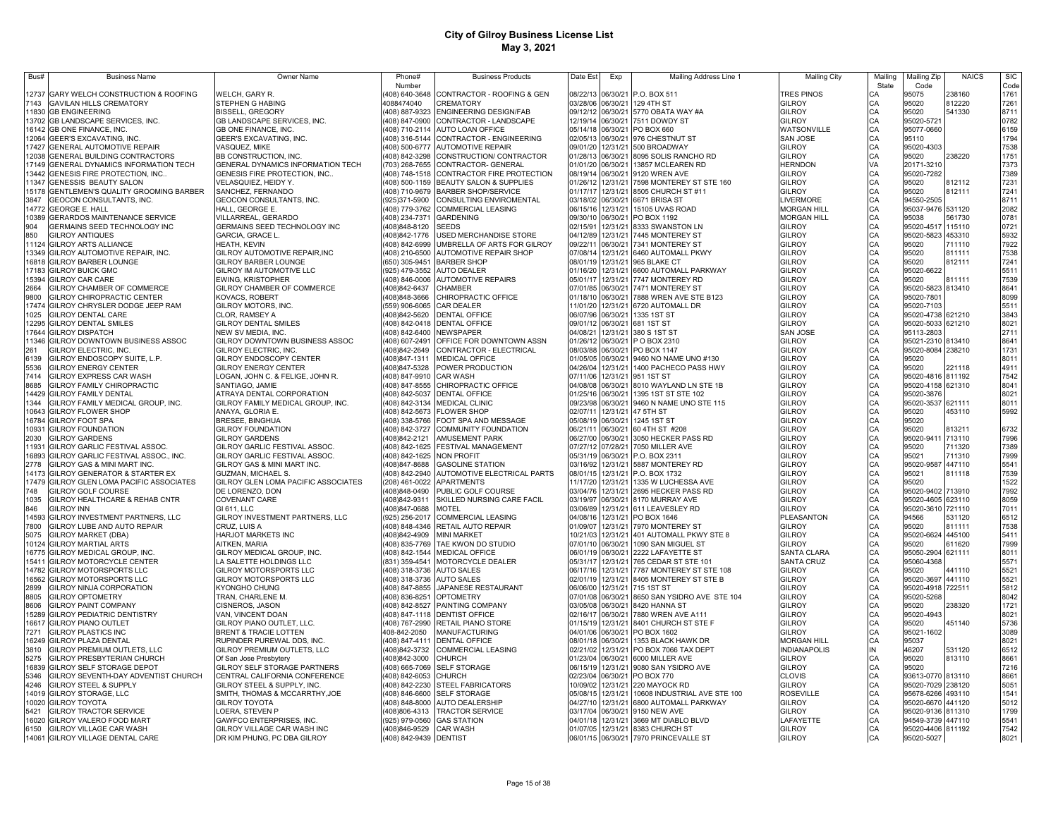| Bus#           | <b>Business Name</b>                                                          | <b>Owner Name</b>                                             | Phone#                          | <b>Business Products</b>                                   | Date Est             | Exp                  | Mailing Address Line 1                        | Mailing City                   | Mailing  | Mailing Zip                | <b>NAICS</b> | <b>SIC</b>   |
|----------------|-------------------------------------------------------------------------------|---------------------------------------------------------------|---------------------------------|------------------------------------------------------------|----------------------|----------------------|-----------------------------------------------|--------------------------------|----------|----------------------------|--------------|--------------|
|                |                                                                               |                                                               | Number                          |                                                            |                      |                      |                                               |                                | State    | Code                       |              | Code         |
| 12737          | GARY WELCH CONSTRUCTION & ROOFING                                             | WELCH, GARY R.                                                | (408) 640-3648                  | CONTRACTOR - ROOFING & GEN                                 | 08/22/13             |                      | 06/30/21 P.O. BOX 511                         | <b>TRES PINOS</b>              | СA       | 95075                      | 238160       | 1761         |
| 143            | <b>GAVILAN HILLS CREMATORY</b>                                                | <b>STEPHEN G HABING</b>                                       | 1088474040                      | <b>CREMATORY</b>                                           | 03/28/06             | 06/30/21             | 129 4TH ST                                    | <b>GILROY</b>                  | CA       | 95020                      | 812220       | 7261         |
| 1830           | <b>GB ENGINEERING</b>                                                         | <b>BISSELL, GREGORY</b>                                       | (408) 887-9323                  | ENGINEERING DESIGN/FAB                                     | 09/12/12             | 06/30/21             | 5770 OBATA WAY #A                             | <b>GILROY</b>                  | CA       | 95020                      | 541330       | 8711         |
| 13702          | GB LANDSCAPE SERVICES, INC.                                                   | GB LANDSCAPE SERVICES, INC.                                   | 408) 847-0900                   | CONTRACTOR - LANDSCAPE                                     |                      | 12/19/14 06/30/21    | 7511 DOWDY ST                                 | <b>GILROY</b>                  | CA       | 95020-5721                 |              | 0782         |
| 16142<br>12064 | GB ONE FINANCE, INC.<br><b>GEER'S EXCAVATING. INC</b>                         | GB ONE FINANCE, INC.<br><b>GEER'S EXCAVATING. INC.</b>        |                                 | 408) 710-2114 AUTO LOAN OFFICE<br>CONTRACTOR - ENGINEERING | 05/14/18<br>02/05/13 | 06/30/21             | 06/30/21 PO BOX 660<br>976 CHESTNUT ST        | WATSONVILLE<br><b>SAN JOSE</b> | CA       | 95077-0660<br>95110        |              | 6159         |
| 17427          | <b>GENERAL AUTOMOTIVE REPAIR</b>                                              | VASQUEZ, MIKE                                                 | 408) 316-5144                   | 408) 500-6777 AUTOMOTIVE REPAIR                            | 09/01/20             | 12/31/21             | 500 BROADWAY                                  | <b>GILROY</b>                  | CA<br>CA | 95020-4303                 |              | 1794<br>7538 |
| 12038          | <b>GENERAL BUILDING CONTRACTORS</b>                                           | BB CONSTRUCTION, INC                                          | (408) 842-3298                  | CONSTRUCTION/ CONTRACTOR                                   | 01/28/13             | 06/30/21             | 8095 SOLIS RANCHO RD                          | <b>GILROY</b>                  | CA       | 95020                      | 238220       | 1751         |
| 17149          | <b>GENERAL DYNAMICS INFORMATION TECH</b>                                      | GENERAL DYNAMICS INFORMATION TECH                             |                                 | (703) 268-7655 CONTRACTOR- GENERAL                         | 01/01/20             | 06/30/21             | 13857 MCLEAREN RD                             | HERNDON                        | VA       | 20171-3210                 |              | 7373         |
| 13442          | SENESIS FIRE PROTECTION, INC.                                                 | GENESIS FIRE PROTECTION, INC                                  | (408) 748-1518                  | CONTRACTOR FIRE PROTECTION                                 | 08/19/14             | 06/30/21             | 9120 WREN AVE                                 | <b>GILROY</b>                  | CA       | 95020-7282                 |              | 7389         |
| 11347          | GENESSIS BEAUTY SALON                                                         | VELASQUIEZ, HEIDY Y.                                          | (408) 500-1159                  | BEAUTY SALON & SUPPLIES                                    | 01/26/12             | 12/31/21             | 7598 MONTEREY ST STE 160                      | <b>GILROY</b>                  | CA       | 95020                      | 812112       | 7231         |
| 15178          | GENTLEMEN'S QUALITY GROOMING BARBER                                           | SANCHEZ, FERNANDO                                             | (408) 710-9679                  | <b>BARBER SHOP/SERVICE</b>                                 | 01/17/17             | 12/31/21             | 8505 CHURCH ST #11                            | <b>GILROY</b>                  | CA       | 95020                      | 812111       | 7241         |
| 3847           | GEOCON CONSULTANTS, INC.                                                      | GEOCON CONSULTANTS, INC.                                      | (925)371-5900                   | CONSULTING ENVIROMENTAL                                    | 03/18/02             | 06/30/21             | 6671 BRISA ST                                 | <b>LIVERMORE</b>               | CA       | 94550-2505                 |              | 8711         |
| 14772          | <b>GEORGE E. HALL</b>                                                         | HALL, GEORGE E.                                               | (408) 779-3762                  | <b>COMMERCIAL LEASING</b>                                  | 06/15/16             | 12/31/21             | 15105 UVAS ROAD                               | <b>MORGAN HILL</b>             | CA       | 95037-9476 531120          |              | 2082         |
| 10389          | <b>GERARDOS MAINTENANCE SERVICE</b>                                           | VILLARREAL, GERARDO                                           | (408) 234-7371                  | <b>GARDENING</b>                                           | 09/30/10             | 06/30/21             | PO BOX 1192                                   | <b>MORGAN HILL</b>             | CA       | 95038                      | 561730       | 0781         |
| 904            | <b>GERMAINS SEED TECHNOLOGY INC</b>                                           | GERMAINS SEED TECHNOLOGY INC                                  | (408)848-8120                   | <b>SEEDS</b>                                               | 02/15/91             | 12/31/21             | 8333 SWANSTON LN                              | <b>GILROY</b>                  | CA       | 95020-4517 115110          |              | 0721         |
| 850            | <b>GILROY ANTIQUES</b>                                                        | GARCIA, GRACE L.                                              | (408)842-1776                   | USED MERCHANDISE STORE                                     | 04/12/89             | 12/31/21             | 7445 MONTEREY ST                              | <b>GILROY</b>                  | CA       | 95020-5823 453310          |              | 5932         |
|                | 11124 GILROY ARTS ALLIANCE                                                    | HEATH, KEVIN                                                  | (408) 842-6999                  | UMBRELLA OF ARTS FOR GILROY                                | 09/22/11             | 06/30/21             | 7341 MONTEREY ST                              | <b>GILROY</b>                  | CA       | 95020                      | 711110       | 7922         |
| 13349          | GILROY AUTOMOTIVE REPAIR, INC.                                                | GILROY AUTOMOTIVE REPAIR, INC                                 | (408) 210-6500                  | AUTOMOTIVE REPAIR SHOP                                     | 07/08/14             |                      | 12/31/21 6460 AUTOMALL PKWY                   | <b>GILROY</b>                  | CA       | 95020                      | 811111       | 7538         |
|                | 16818 GILROY BARBER LOUNGE                                                    | GILROY BARBER LOUNGE                                          |                                 | (650) 305-9451 BARBER SHOP                                 | 08/01/19             |                      | 12/31/21 965 BLAKE CT                         | <b>GILROY</b>                  | CA       | 95020                      | 812111       | 7241         |
|                | 17183 GILROY BUICK GMC                                                        | GILROY IM AUTOMOTIVE LLC                                      |                                 | (925) 479-3552 AUTO DEALER                                 | 01/16/20             |                      | 12/31/21 6600 AUTOMALL PARKWAY                | <b>GILROY</b>                  | CA       | 95020-6622                 |              | 5511         |
|                | 15394 GILROY CAR CARE                                                         | <b>EWING, KRISTOPHER</b>                                      |                                 | (408) 846-0006 AUTOMOTIVE REPAIRS                          | 05/01/17             |                      | 12/31/21 7747 MONTEREY RD                     | <b>GILROY</b>                  | CA       | 95020                      | 811111       | 7539         |
| 2664           | GILROY CHAMBER OF COMMERCE                                                    | GILROY CHAMBER OF COMMERCE                                    | 408)842-6437                    | <b>CHAMBER</b>                                             | 07/01/85             |                      | 06/30/21 7471 MONTEREY ST                     | <b>GILROY</b>                  |          | 95020-5823 813410          |              | 8641         |
| 9800           | GILROY CHIROPRACTIC CENTER                                                    | KOVACS, ROBERT                                                | (408)848-3666                   | CHIROPRACTIC OFFICE                                        | 01/18/10             |                      | 06/30/21 7888 WREN AVE STE B123               | <b>GILROY</b>                  | CA<br>CA | 95020-7801                 |              | 8099         |
|                | 17474 GILROY CHRYSLER DODGE JEEP RAM                                          | GILROY MOTORS, INC.                                           | (559) 906-6065 CAR DEALER       |                                                            | 11/01/20             |                      | 12/31/21 6720 AUTOMALL DR                     | <b>GILROY</b>                  | CA       | 95020-7103                 |              | 5511         |
| 1025           | GILROY DENTAL CARE                                                            | CLOR, RAMSEY A                                                | 408)842-5620                    | <b>DENTAL OFFICE</b>                                       | 06/07/96             | 06/30/21             | 1335 1ST ST                                   | <b>GILROY</b>                  | CA       | 95020-4738 621210          |              | 3843         |
|                | 12295 GILROY DENTAL SMILES                                                    | GILROY DENTAL SMILES                                          |                                 | 408) 842-0418 DENTAL OFFICE                                | 09/01/12             |                      | 06/30/21 681 1ST ST                           | <b>GILROY</b>                  | CA       | 95020-5033 621210          |              | 8021         |
|                | 17644 GILROY DISPATCH                                                         | NEW SV MEDIA, INC.                                            | (408) 842-6400 NEWSPAPER        |                                                            | 04/08/21             |                      | 12/31/21 380 S 1ST ST                         | <b>SAN JOSE</b>                | CA       | 95113-2803                 |              | 2711         |
|                | 11346 GILROY DOWNTOWN BUSINESS ASSOC                                          | GILROY DOWNTOWN BUSINESS ASSOC                                |                                 | (408) 607-2491 OFFICE FOR DOWNTOWN ASSN                    | 01/26/12             |                      | 06/30/21 P O BOX 2310                         | <b>GILROY</b>                  | CA       | 95021-2310 813410          |              | 8641         |
| 261            | GILROY ELECTRIC. INC.                                                         | GILROY ELECTRIC, INC.                                         |                                 | (408)842-2649 CONTRACTOR - ELECTRICAL                      | 08/03/88             |                      | 06/30/21 PO BOX 1147                          | <b>GILROY</b>                  | CA       | 95020-8084 238210          |              | 1731         |
| 6139           | GILROY ENDOSCOPY SUITE, L.P.                                                  | GILROY ENDOSCOPY CENTER                                       | (408)847-1311                   | <b>MEDICAL OFFICE</b>                                      | 01/05/05             | 06/30/21             | 9460 NO NAME UNO #130                         | <b>GILROY</b>                  | CA       | 95020                      |              | 8011         |
| 5536           | GILROY ENERGY CENTER                                                          | <b>GILROY ENERGY CENTER</b>                                   | 408)847-5328                    | POWER PRODUCTION                                           | 04/26/04             |                      | 12/31/21 1400 PACHECO PASS HWY                | <b>GILROY</b>                  | CA       | 95020                      | 221118       | 4911         |
| 7414           | GILROY EXPRESS CAR WASH                                                       | LOGAN, JOHN C. & FELIGE, JOHN R.                              | 408) 847-9910                   | <b>CAR WASH</b>                                            | 07/11/06             | 12/31/21             | 951 1ST ST                                    | <b>GILROY</b>                  | CA<br>CA | 95020-4816 811192          |              | 7542         |
| 8685           | GILROY FAMILY CHIROPRACTIC                                                    | SANTIAGO, JAMIE                                               | (408) 847-8555                  | CHIROPRACTIC OFFICE                                        | 04/08/08             | 06/30/21             | 8010 WAYLAND LN STE 1B                        | <b>GILROY</b>                  |          | 95020-4158 621310          |              | 8041         |
| 14429          | <b>GILROY FAMILY DENTAL</b>                                                   | ATRAYA DENTAL CORPORATION                                     | (408) 842-5037                  | <b>DENTAL OFFICE</b>                                       | 01/25/16             | 06/30/21             | 1395 1ST ST STE 102                           | <b>GILROY</b>                  | CA       | 95020-3876                 |              | 8021         |
| 1344           | GILROY FAMILY MEDICAL GROUP, INC.                                             | GILROY FAMILY MEDICAL GROUP, INC.                             | 408) 842-3134                   | <b>MEDICAL CLINIC</b>                                      | 09/23/98             | 06/30/21             | 9460 N NAME UNO STE 115                       | <b>GILROY</b>                  | CA<br>CA | 95020-3537 621111          |              | 8011         |
| 10643          | GILROY FLOWER SHOP                                                            | ANAYA, GLORIA E.                                              | (408) 842-5673                  | <b>FLOWER SHOP</b>                                         | 02/07/11             | 12/31/21             | 47 5TH ST                                     | <b>GILROY</b>                  |          | 95020                      | 453110       | 5992         |
| 16784          | GILROY FOOT SPA                                                               | <b>BRESEE, BINGHUA</b>                                        | (408) 338-5766                  | FOOT SPA AND MESSAGE                                       | 05/08/19             | 06/30/21             | 1245 1ST ST                                   | <b>GILROY</b>                  | CA       | 95020                      |              |              |
| 10931          | GILROY FOUNDATION                                                             | <b>GILROY FOUNDATION</b>                                      | (408) 842-3727                  | COMMUNITY FOUNDATION                                       | 06/21/11             | 06/30/21             | 60 4TH ST #208                                | <b>GILROY</b>                  | CA       | 95020                      | 813211       | 6732         |
| 2030           | <b>GILROY GARDENS</b>                                                         | <b>GILROY GARDENS</b>                                         | (408) 842-2121                  | <b>AMUSEMENT PARK</b>                                      | 06/27/00             | 06/30/21             | 3050 HECKER PASS RD                           | <b>GILROY</b>                  | CA       | 95020-9411 713110          |              | 7996         |
| 11931          | <b>GILROY GARLIC FESTIVAL ASSOC</b>                                           | GILROY GARLIC FESTIVAL ASSOC                                  | (408) 842-1625                  | FESTIVAL MANAGEMENT                                        | 07/27/12<br>05/31/19 | 07/28/21             | 7050 MILLER AVE                               | GILROY<br><b>GILROY</b>        | CA<br>CA | 95020                      | 711320       | 7389         |
| 16893<br>2778  | SILROY GARLIC FESTIVAL ASSOC., INC.<br><b>GILROY GAS &amp; MINI MART INC.</b> | GILROY GARLIC FESTIVAL ASSOC.<br>GILROY GAS & MINI MART INC.  | (408) 842-1625<br>(408)847-8688 | <b>NON PROFIT</b>                                          | 03/16/92             | 06/30/21<br>12/31/21 | P.O. BOX 2311<br>5887 MONTEREY RD             | <b>GILROY</b>                  | CA       | 95021<br>95020-9587 447110 | 711310       | 7999         |
| 14173          | GILROY GENERATOR & STARTER EX                                                 | GUZMAN, MICHAEL S.                                            | (408) 842-2940                  | <b>GASOLINE STATION</b><br>AUTOMOTIVE ELECTRICAL PARTS     | 08/01/15             | 12/31/21             | P.O. BOX 1732                                 | <b>GILROY</b>                  | CA       | 95021                      | 811118       | 5541<br>7539 |
| 17479          | GILROY GLEN LOMA PACIFIC ASSOCIATES                                           | GILROY GLEN LOMA PACIFIC ASSOCIATES                           | (208) 461-0022                  | <b>APARTMENTS</b>                                          | 11/17/20             | 12/31/21             | 1335 W LUCHESSA AVE                           | <b>GILROY</b>                  | CA       | 95020                      |              | 1522         |
| 748            | GILROY GOLF COURSE                                                            | DE LORENZO, DON                                               | (408)848-0490                   | PUBLIC GOLF COURSE                                         | 03/04/76             | 12/31/21             | 2695 HECKER PASS RD                           | <b>GILROY</b>                  | CA       | 95020-9402 713910          |              | 7992         |
| 1035           | GILROY HEALTHCARE & REHAB CNTR                                                | <b>COVENANT CARE</b>                                          | (408)842-9311                   | SKILLED NURSING CARE FACIL                                 | 03/19/97             | 06/30/21             | 8170 MURRAY AVE                               | <b>GILROY</b>                  | CA       | 95020-4605 623110          |              | 8059         |
| 846            | GILROY INN                                                                    | GI 611, LLC                                                   | (408)847-0688                   | <b>MOTEL</b>                                               | 03/06/89             |                      | 12/31/21 611 LEAVESLEY RD                     | <b>GILROY</b>                  | CA       | 95020-3610 721110          |              | 7011         |
| 14593          | GILROY INVESTMENT PARTNERS, LLC                                               | GILROY INVESTMENT PARTNERS. LLC                               |                                 | (925) 256-2017 COMMERCIAL LEASING                          | 04/08/16             |                      | 12/31/21 PO BOX 1646                          | PLEASANTON                     | CA       | 94566                      | 531120       | 6512         |
| 7800           | <b>GILROY LUBE AND AUTO REPAIR</b>                                            | CRUZ. LUIS A                                                  |                                 | (408) 848-4346 RETAIL AUTO REPAIR                          | 01/09/07             |                      | 12/31/21 7970 MONTEREY ST                     | <b>GILROY</b>                  | CA       | 95020                      | 811111       | 7538         |
| 5075           | <b>GILROY MARKET (DBA)</b>                                                    | <b>HARJOT MARKETS INC</b>                                     | (408)842-4909                   | <b>MINI MARKET</b>                                         | 10/21/03             |                      | 12/31/21 401 AUTOMALL PKWY STE 8              | <b>GILROY</b>                  | CA       | 95020-6624 445100          |              | 5411         |
| 10124          | <b>GILROY MARTIAL ARTS</b>                                                    | AITKEN, MARIA                                                 |                                 | (408) 835-7769 TAE KWON DO STUDIO                          | 07/01/10             |                      | 06/30/21 1090 SAN MIGUEL ST                   | <b>GILROY</b>                  | CA       | 95020                      | 611620       | 7999         |
| 16775          | GILROY MEDICAL GROUP, INC.                                                    | GILROY MEDICAL GROUP, INC                                     |                                 | (408) 842-1544 MEDICAL OFFICE                              | 06/01/19             |                      | 06/30/21 2222 LAFAYETTE ST                    | <b>SANTA CLARA</b>             |          | 95050-2904 621111          |              | 8011         |
| 15411          | GILROY MOTORCYCLE CENTER                                                      | LA SALETTE HOLDINGS LLC                                       |                                 | (831) 359-4541 MOTORCYCLE DEALER                           | 05/31/17             | 12/31/21             | 765 CEDAR ST STE 101                          | <b>SANTA CRUZ</b>              | CA<br>CA | 95060-4368                 |              | 5571         |
| 14782          | GILROY MOTORSPORTS LLC                                                        | GILROY MOTORSPORTS LLC                                        | (408) 318-3736 AUTO SALES       |                                                            | 06/17/16             |                      | 12/31/21 7787 MONTEREY ST STE 108             | <b>GILROY</b>                  | CA       | 95020                      | 441110       | 5521         |
| 16562          | GILROY MOTORSPORTS LLC                                                        | GILROY MOTORSPORTS LLC                                        | (408) 318-3736 AUTO SALES       |                                                            | 02/01/19             | 12/31/21             | 8405 MONTEREY ST STE B                        | <b>GILROY</b>                  |          | 95020-3697 441110          |              | 5521         |
| 2899           | GILROY NINJA CORPORATION                                                      | KYONGHO CHUNG                                                 |                                 | (408) 847-8855 JAPANESE RESTAURANT                         | 06/06/00             |                      | 12/31/21 715 1ST ST                           | <b>GILROY</b>                  | CA<br>CA | 95020-4918 722511          |              | 5812         |
| 8805           | <b>GILROY OPTOMETRY</b>                                                       | TRAN, CHARLENE M                                              | (408) 836-8251 OPTOMETRY        |                                                            |                      |                      | 07/01/08 06/30/21 8650 SAN YSIDRO AVE STE 104 | <b>GILROY</b>                  | CA<br>CA | 95020-5268                 |              | 8042         |
| 8606           | <b>GILROY PAINT COMPANY</b>                                                   | CISNEROS, JASON                                               |                                 | (408) 842-8527 PAINTING COMPANY                            |                      |                      | 03/05/08 06/30/21 8420 HANNA ST               | <b>GILROY</b>                  |          | 95020                      | 238320       | 1721         |
| 15289          | GILROY PEDIATRIC DENTISTRY                                                    | VAN, VINCENT DOAN                                             |                                 | (408) 847-1118 DENTIST OFFICE                              | 02/16/17             |                      | 06/30/21 7880 WREN AVE A111                   | <b>GILROY</b>                  | CA       | 95020-4943                 |              | 8021         |
| 16617          | <b>GILROY PIANO OUTLET</b>                                                    | GILROY PIANO OUTLET, LLC.                                     |                                 | (408) 767-2990 RETAIL PIANO STORE                          | 01/15/19             |                      | 12/31/21 8401 CHURCH ST STE F                 | <b>GILROY</b>                  | CA       | 95020                      | 451140       | 5736         |
| 7271           | GILROY PLASTICS INC                                                           | BRENT & TRACIE LOTTEN                                         | 408-842-2050                    | MANUFACTURING                                              |                      |                      | 04/01/06 06/30/21 PO BOX 1602                 | <b>GILROY</b>                  | CA       | 95021-1602                 |              | 3089         |
| 16249          | <b>GILROY PLAZA DENTAL</b>                                                    | RUPINDER PUREWAL DDS, INC.                                    | (408) 847-4111                  | DENTAL OFFICE                                              | 08/01/18             | 06/30/21             | 1353 BLACK HAWK DR                            | <b>MORGAN HILL</b>             | CA       | 95037                      |              | 8021         |
| 3810           | GILROY PREMIUM OUTLETS, LLC                                                   | GILROY PREMIUM OUTLETS, LLC                                   | (408)842-3732                   | <b>COMMERCIAL LEASING</b>                                  | 02/21/02             | 12/31/21             | PO BOX 7066 TAX DEPT                          | <b>INDIANAPOLIS</b>            | IN       | 46207                      | 531120       | 6512         |
| 5275           | <b>GILROY PRESBYTERIAN CHURCH</b>                                             | Of San Jose Presbytery                                        | 408)842-3000                    | CHURCH                                                     | 01/23/04             | 06/30/21             | 6000 MILLER AVE                               | <b>GILROY</b>                  | CA       | 95020                      | 813110       | 8661         |
| 16839<br>5346  | <b>GILROY SELF STORAGE DEPOT</b><br>GILROY SEVENTH-DAY ADVENTIST CHURCH       | GILROY SELF STORAGE PARTNERS<br>CENTRAL CALIFORNIA CONFERENCE | (408) 665-7069                  | <b>SELF STORAGE</b>                                        | 06/15/19<br>02/23/04 | 12/31/21<br>06/30/21 | 9080 SAN YSIDRO AVE<br>PO BOX 770             | <b>GILROY</b><br><b>CLOVIS</b> | CA<br>CA | 95020<br>93613-0770 813110 |              | 7216<br>8661 |
| 4246           | <b>GILROY STEEL &amp; SUPPLY</b>                                              | GILROY STEEL & SUPPLY, INC.                                   | 408) 842-6053<br>(408) 842-2230 | CHURCH<br>STEEL FABRICATORS                                | 10/09/02             | 12/31/21             | 220 MAYOCK RD                                 | <b>GILROY</b>                  | CA       | 95020-7029 238120          |              | 5051         |
| 14019          | GILROY STORAGE, LLC                                                           | SMITH, THOMAS & MCCARRTHY, JOE                                | (408) 846-6600                  | <b>SELF STORAGE</b>                                        | 05/08/15             | 12/31/21             | 10608 INDUSTRIAL AVE STE 100                  | <b>ROSEVILLE</b>               | CA       | 95678-6266 493110          |              | 1541         |
| 10020          | <b>GILROY TOYOTA</b>                                                          | GILROY TOYOTA                                                 | (408) 848-8000                  | <b>AUTO DEALERSHIF</b>                                     | 04/27/10             | 12/31/21             | 6800 AUTOMALL PARKWAY                         | <b>GILROY</b>                  | CA       | 95020-6670 441120          |              | 5012         |
| 5421           | <b>GILROY TRACTOR SERVICE</b>                                                 | LOERA, STEVEN P                                               | (408)806-4313                   | <b>TRACTOR SERVICE</b>                                     | 03/17/04             | 06/30/21             | 9150 NEW AVE                                  | <b>GILROY</b>                  | CA       | 95020-9136 811310          |              | 1799         |
| 16020          | GILROY VALERO FOOD MART                                                       | GAWFCO ENTERPRISES, INC.                                      | (925) 979-0560                  | <b>GAS STATION</b>                                         | 04/01/18             | 12/31/21             | 3669 MT DIABLO BLVD                           | LAFAYETTE                      | CA       | 94549-3739 447110          |              | 5541         |
| 6150           | GILROY VILLAGE CAR WASH                                                       | GILROY VILLAGE CAR WASH INC                                   | (408)846-9529 CAR WASH          |                                                            | 01/07/05             |                      | 12/31/21 8383 CHURCH ST                       | <b>GILROY</b>                  | CA       | 95020-4406 811192          |              | 7542         |
|                | 14061 GILROY VILLAGE DENTAL CARE                                              | DR KIM PHUNG, PC DBA GILROY                                   | (408) 842-9439 DENTIST          |                                                            | 06/01/15             |                      | 06/30/21 7970 PRINCEVALLE ST                  | <b>GILROY</b>                  | CA       | 95020-5027                 |              | 8021         |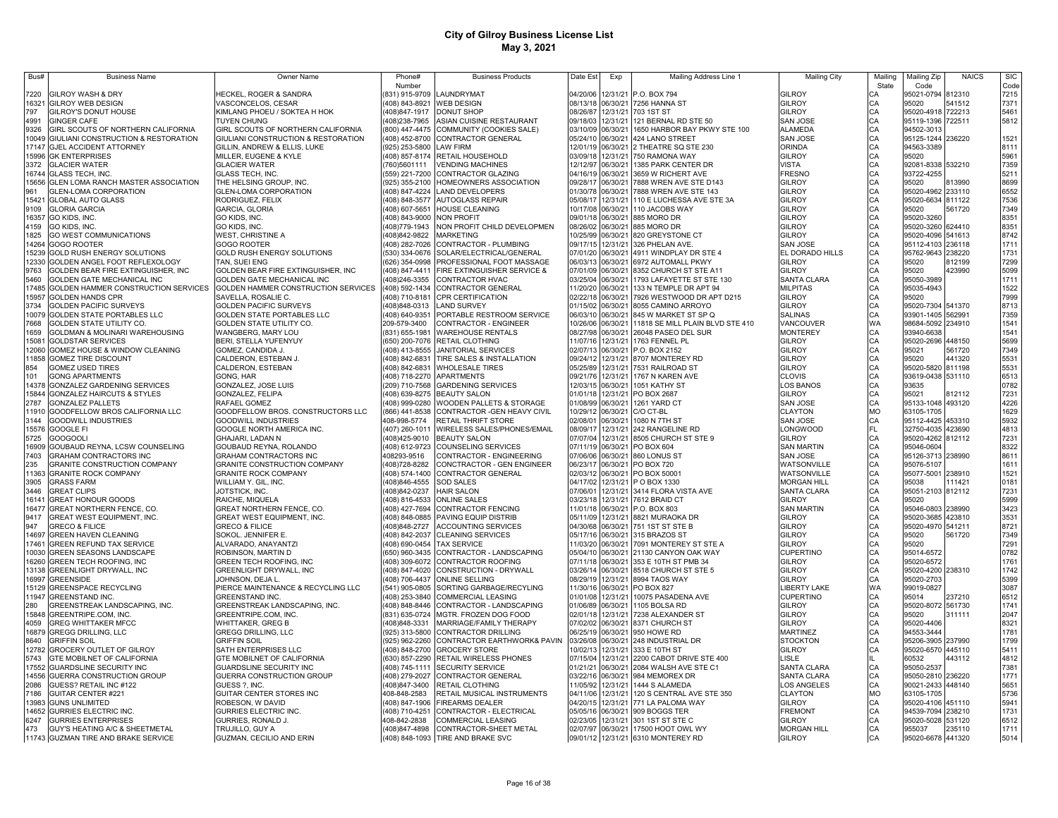| Bus#           | <b>Business Name</b>                                            | Owner Name                                            | Phone#                           | <b>Business Products</b>                                      | Date Est             | Exp                  | Mailing Address Line 1                                     | <b>Mailing City</b>                | Mailing   | Mailing Zip                            | <b>NAICS</b> | <b>SIC</b>   |
|----------------|-----------------------------------------------------------------|-------------------------------------------------------|----------------------------------|---------------------------------------------------------------|----------------------|----------------------|------------------------------------------------------------|------------------------------------|-----------|----------------------------------------|--------------|--------------|
|                |                                                                 |                                                       | Number                           |                                                               |                      |                      |                                                            |                                    | State     | Code                                   |              | Code         |
| 7220           | GILROY WASH & DRY                                               | HECKEL, ROGER & SANDRA                                | (831) 915-9709 LAUNDRYMAT        |                                                               | 04/20/06             |                      | 12/31/21 P.O. BOX 794                                      | <b>GILROY</b>                      | CA        | 95021-0794 812310                      |              | 7215         |
|                | 16321 GILROY WEB DESIGN                                         | VASCONCELOS, CESAR                                    | (408) 843-8921 WEB DESIGN        |                                                               |                      |                      | 08/13/18 06/30/21 7256 HANNA ST                            | GILROY<br>GILROY                   | CA        | 95020                                  | 541512       | 7371         |
| 797<br>4991    | GILROY'S DONUT HOUSE<br><b>GINGER CAFE</b>                      | KIMLANG PHOEU / SOKTEA H HOK<br>TUYEN CHUNG           | (408)847-1917<br>(408)238-7965   | <b>DONUT SHOP</b><br>ASIAN CUISINE RESTAURANT                 | 08/26/87<br>09/18/03 | 12/31/21             | 12/31/21 703 1ST ST<br>121 BERNAL RD STE 50                | <b>SAN JOSE</b>                    | CA<br>CA  | 95020-4918 722213<br>95119-1396 722511 |              | 5461<br>5812 |
| 9326           | GIRL SCOUTS OF NORTHERN CALIFORNIA                              | GIRL SCOUTS OF NORTHERN CALIFORNIA                    | (800) 447-4475                   | COMMUNITY (COOKIES SALE)                                      | 03/10/09             | 06/30/21             | 1650 HARBOR BAY PKWY STE 100                               | ALAMEDA                            | CA        | 94502-3013                             |              |              |
|                | 10049 GIULIANI CONSTRUCTION & RESTORATION                       | GIULIANI CONSTRUCTION & RESTORATION                   | (408) 452-8700                   | <b>CONTRACTOR GENERAL</b>                                     | 05/24/10             | 06/30/21             | 424 LANO STREET                                            | <b>SAN JOSE</b>                    | CA        | 95125-1244 236220                      |              | 1521         |
|                | 17147 GJEL ACCIDENT ATTORNEY                                    | GILLIN, ANDREW & ELLIS, LUKE                          | $(925)$ 253-5800                 | <b>LAW FIRM</b>                                               | 12/01/19             | 06/30/21             | 2 THEATRE SQ STE 230                                       | <b>ORINDA</b>                      | CA        | 94563-3389                             |              | 8111         |
|                | 15996 GK ENTERPRISES                                            | MILLER, EUGENE & KYLE                                 | (408) 857-8174                   | RETAIL HOUSEHOLD                                              | 03/09/18             | 12/31/21             | 750 RAMONA WAY                                             | <b>GILROY</b>                      | CA        | 95020                                  |              | 5961         |
| 3372           | <b>GLACIER WATER</b>                                            | <b>GLACIER WATER</b>                                  | (760)5601111                     | <b>VENDING MACHINES</b>                                       | 12/12/97             | 06/30/21             | 1385 PARK CENTER DR                                        | VISTA                              | CA        | 92081-8338 532210                      |              | 7359         |
|                | 16744 GLASS TECH, INC.                                          | GLASS TECH, INC.                                      | (559) 221-7200                   | CONTRACTOR GLAZING                                            | 04/16/19             | 06/30/21             | 3659 W RICHERT AVE                                         | FRESNO                             | CA        | 93722-4255                             |              | 5211         |
| 15656          | GLEN LOMA RANCH MASTER ASSOCIATION                              | THE HELSING GROUP, INC.                               | (925) 355-2100                   | HOMEOWNERS ASSOCIATION                                        | 09/28/17             | 06/30/21             | 7888 WREN AVE STE D143                                     | GILROY                             | CA        | 95020                                  | 313990       | 8699         |
| 961            | GLEN-LOMA CORPORATION                                           | <b>GLEN-LOMA CORPORATION</b>                          | (408) 847-4224                   | <b>LAND DEVELOPERS</b>                                        | 01/30/78             | 06/30/21             | 7888 WREN AVE STE 143                                      | GILROY                             | CA        | 95020-4962 233110                      |              | 6552         |
| 15421          | <b>GLOBAL AUTO GLASS</b>                                        | RODRIGUEZ, FELIX                                      | (408) 848-3577                   | <b>AUTOGLASS REPAIR</b>                                       | 05/08/17             | 12/31/21             | 110 E LUCHESSA AVE STE 3A                                  | GILROY                             | CA        | 95020-6634 811122                      |              | 7536         |
| 9109           | <b>GLORIA GARCIA</b>                                            | GARCIA, GLORIA                                        | (408) 607-5651                   | <b>HOUSE CLEANING</b>                                         | 10/17/08             | 06/30/21             | 110 JACOBS WAY                                             | GILROY                             | CA        | 95020                                  | 561720       | 7349         |
|                | 16357 GO KIDS, INC.                                             | GO KIDS, INC.                                         | (408) 843-9000                   | <b>NON PROFIT</b>                                             | 09/01/18             | 06/30/21             | 885 MORO DR                                                | GILROY                             | CA        | 95020-3260                             |              | 8351         |
| 4159           | GO KIDS, INC                                                    | GO KIDS, INC                                          | 408)779-1943                     | NON PROFIT CHILD DEVELOPMEN                                   | 08/26/02             | 06/30/21             | 885 MORO DR                                                | GILROY                             | CA        | 95020-3260 624410                      |              | 8351         |
| 1825           | GO WEST COMMUNICATIONS                                          | WEST, CHRISTINE A                                     | (408)842-9822                    | <b>MARKETING</b>                                              | 10/25/99             | 06/30/21             | 820 GREYSTONE CT                                           | <b>GILROY</b>                      | CA        | 95020-4096 541613                      |              | 8742         |
| 14264          | <b>GOGO ROOTER</b>                                              | GOGO ROOTER                                           | (408) 282-7026                   | CONTRACTOR - PLUMBING                                         | 09/17/15             | 12/31/21             | 326 PHELAN AVE.                                            | <b>SAN JOSE</b><br>EL DORADO HILLS | CA<br>CA  | 95112-4103 236118                      |              | 1711         |
| 15239<br>12330 | GOLD RUSH ENERGY SOLUTIONS<br>GOLDEN ANGEL FOOT REFLEXOLOGY     | GOLD RUSH ENERGY SOLUTIONS<br>TAN, SUEI ENG           | (530) 334-0676<br>(626) 354-0998 | SOLAR/ELECTRICAL/GENERAL<br>PROFESSIONAL FOOT MASSAGE         | 07/01/20<br>06/03/13 | 06/30/21<br>06/30/21 | 4911 WINDPLAY DR STE 4<br>6972 AUTOMALL PKWY               | <b>GILROY</b>                      | CA        | 95762-9643 238220<br>95020             | 812199       | 1731<br>7299 |
| 9763           | GOLDEN BEAR FIRE EXTINGUISHER, INC                              | GOLDEN BEAR FIRE EXTINGUISHER, INC                    | (408) 847-4411                   | FIRE EXTINGUISHER SERVICE &                                   | 07/01/09             | 06/30/21             | 8352 CHURCH ST STE A11                                     | GILROY                             | CA        | 95020                                  | 423990       | 5099         |
| 5460           | GOLDEN GATE MECHANICAL INC                                      | GOLDEN GATE MECHANICAL INC                            | (408)246-3355                    | CONTRACTOR HVAC                                               | 03/25/04             | 06/30/21             | 1793 LAFAYETTE ST STE 130                                  | <b>SANTA CLARA</b>                 | CA        | 95050-3989                             |              | 1711         |
|                | 17485 GOLDEN HAMMER CONSTRUCTION SERVICES                       | GOLDEN HAMMER CONSTRUCTION SERVICES                   | (408) 592-1434                   | <b>CONTRACTOR GENERAL</b>                                     | 11/20/20             | 06/30/21             | 133 N TEMPLE DR APT 94                                     | <b>MILPITAS</b>                    | CA        | 95035-4943                             |              | 1522         |
| 15957          | <b>GOLDEN HANDS CPR</b>                                         | SAVELLA, ROSALIE C.                                   |                                  | (408) 710-8181 CPR CERTIFICATION                              | 02/22/18             | 06/30/21             | 7926 WESTWOOD DR APT D215                                  | <b>GILROY</b>                      | CA        | 95020                                  |              | 7999         |
| 3734           | <b>GOLDEN PACIFIC SURVEYS</b>                                   | GOLDEN PACIFIC SURVEYS                                | (408)848-0313                    | <b>LAND SURVEY</b>                                            | 01/15/02             | 06/30/21             | 8055 CAMINO ARROYO                                         | <b>GILROY</b>                      | CA        | 95020-7304 541370                      |              | 8713         |
|                | 10079 GOLDEN STATE PORTABLES LLC                                | GOLDEN STATE PORTABLES LLC                            | (408) 640-9351                   | PORTABLE RESTROOM SERVICE                                     | 06/03/10             | 06/30/21             | 845 W MARKET ST SP Q                                       | <b>SALINAS</b>                     | CA        | 93901-1405 562991                      |              | 7359         |
| 7668           | GOLDEN STATE UTILITY CO.                                        | <b>GOLDEN STATE UTILITY CO.</b>                       | 209-579-3400                     | CONTRACTOR - ENGINEER                                         | 10/26/06             | 06/30/21             | 11818 SE MILL PLAIN BLVD STE 410                           | VANCOUVER                          | <b>WA</b> | 98684-5092 234910                      |              | 1541         |
| 1659           | GOLDMAN & MOLINARI WAREHOUSING                                  | WANGBERG, MARY LOU                                    |                                  | (831) 655-1981 WAREHOUSE RENTALS                              | 08/27/98             | 06/30/21             | 26048 PASEO DEL SUR                                        | <b>MONTEREY</b>                    | CA        | 93940-6638                             |              | 1541         |
|                | 15081 GOLDSTAR SERVICES                                         | BERI, STELLA YUFENYUY                                 |                                  | (650) 200-7076 RETAIL CLOTHING                                | 11/07/16             | 12/31/21             | 1763 FENNEL PL                                             | GILROY                             | CA        | 95020-2696 448150                      |              | 5699         |
|                | 12060 GOMEZ HOUSE & WINDOW CLEANING                             | GOMEZ, CANDIDA J.                                     |                                  | (408) 413-8555 JANITORIAL SERVICES                            | 02/07/13             |                      | 06/30/21 P.O. BOX 2152                                     | GILROY                             | CA        | 95021                                  | 561720       | 7349         |
|                | 11858 GOMEZ TIRE DISCOUNT                                       | CALDERON, ESTEBAN J                                   |                                  | (408) 842-6831 TIRE SALES & INSTALLATION                      | 09/24/12             | 12/31/21             | 8707 MONTEREY RD                                           | GILROY                             | CA        | 95020                                  | 441320       | 5531         |
| 854            | <b>GOMEZ USED TIRES</b>                                         | CALDERON, ESTEBAN                                     |                                  | (408) 842-6831 WHOLESALE TIRES                                | 05/25/89             |                      | 12/31/21 7531 RAILROAD ST                                  | GILROY                             | CA        | 95020-5820 811198                      |              | 5531         |
| 101            | <b>GONG APARTMENTS</b>                                          | GONG, HAR                                             |                                  | (408) 718-2270 APARTMENTS                                     | 09/21/76             |                      | 12/31/21 1767 N KAREN AVE                                  | <b>CLOVIS</b>                      | CA        | 93619-0438 531110                      |              | 6513         |
|                | 14378 GONZALEZ GARDENING SERVICES                               | GONZALEZ, JOSE LUIS                                   | (209) 710-7568                   | <b>GARDENING SERVICES</b>                                     | 12/03/15             | 06/30/21             | 1051 KATHY ST                                              | LOS BANOS                          | CA        | 93635                                  |              | 0782         |
| 2787           | 15844 GONZALEZ HAIRCUTS & STYLES                                | GONZALEZ, FELIPA<br>RAFAEL GOMEZ                      |                                  | (408) 639-8275 BEAUTY SALON                                   | 01/01/18<br>01/08/99 |                      | 12/31/21 PO BOX 2687<br>1261 YARD CT                       | GILROY                             | CA<br>CA  | 95021                                  | 812112       | 7231<br>4226 |
|                | <b>GONZALEZ PALLETS</b><br>11910 GOODFELLOW BROS CALIFORNIA LLC | GOODFELLOW BROS. CONSTRUCTORS LLC                     | (408) 999-0280<br>(866) 441-8538 | WOODEN PALLETS & STORAGE<br>CONTRACTOR - GEN HEAVY CIVIL      | 10/29/12             | 06/30/21<br>06/30/21 | C/O CT-BL                                                  | <b>SAN JOSE</b><br>CLAYTON         | <b>MO</b> | 95133-1048 493120<br>63105-1705        |              | 1629         |
| 3144           | <b>GOODWILL INDUSTRIES</b>                                      | <b>GOODWILL INDUSTRIES</b>                            | 408-998-5774                     | <b>RETAIL THRIFT STORE</b>                                    | 02/08/01             | 06/30/21             | 1080 N 7TH ST                                              | <b>SAN JOSE</b>                    | CA        | 95112-4425 453310                      |              | 5932         |
|                | 15576 GOOGLE FI                                                 | GOOGLE NORTH AMERICA INC.                             | (407) 260-1011                   | WIRELESS SALES/PHONES/EMAIL                                   | 08/09/17             | 12/31/21             | 242 RANGELINE RD                                           | LONGWOOD                           | FL        | 32750-4035 423690                      |              | 4813         |
| 5725           | <b>GOOGOOLI</b>                                                 | GHAJARI, LADAN N                                      | (408)425-9010                    | <b>BEAUTY SALON</b>                                           | 07/07/04             | 12/31/21             | 8505 CHURCH ST STE 9                                       | GILROY                             | CA        | 95020-4262 812112                      |              | 7231         |
| 16909          | GOUBAUD REYNA, LCSW COUNSELING                                  | GOUBAUD REYNA, ROLANDO                                | (408) 612-9723                   | COUNSELING SERVICES                                           | 07/11/19             | 06/30/21             | PO BOX 604                                                 | <b>SAN MARTIN</b>                  | CA        | 95046-0604                             |              | 8322         |
| 7403           | <b>GRAHAM CONTRACTORS INC</b>                                   | <b>GRAHAM CONTRACTORS INC</b>                         | 408293-9516                      | CONTRACTOR - ENGINEERING                                      | 07/06/06             | 06/30/21             | 860 LONUS ST                                               | SAN JOSE                           | CA        | 95126-3713 238990                      |              | 8611         |
| 235            | <b>GRANITE CONSTRUCTION COMPANY</b>                             | <b>GRANITE CONSTRUCTION COMPANY</b>                   | (408) 728-8282                   | CONCTRACTOR - GEN ENGINEER                                    | 06/23/17             | 06/30/21             | <b>PO BOX 720</b>                                          | WATSONVILLE                        | CA        | 95076-5107                             |              | 1611         |
|                | 11363 GRANITE ROCK COMPANY                                      | <b>GRANITE ROCK COMPANY</b>                           | (408) 574-1400                   | <b>CONTRACTOR GENERAL</b>                                     | 02/03/12             | 06/30/21             | PO BOX 50001                                               | WATSONVILLE                        | CA        | 95077-5001 238910                      |              | 1521         |
| 3905           | <b>GRASS FARM</b>                                               | WILLIAM Y. GIL, INC.                                  | (408)846-4555                    | <b>SOD SALES</b>                                              | 04/17/02             | 12/31/21             | P O BOX 1330                                               | <b>MORGAN HILL</b>                 | CA        | 95038                                  | 111421       | 0181         |
| 3446           | <b>GREAT CLIPS</b>                                              | JOTSTICK, INC.                                        | (408)842-0237                    | <b>HAIR SALON</b>                                             | 07/06/01             | 12/31/21             | 3414 FLORA VISTA AVE                                       | SANTA CLARA                        | CA        | 95051-2103 812112                      |              | 7231         |
| 16141          | <b>GREAT HONOUR GOODS</b>                                       | RAICHE, MIQUELA                                       | (408) 816-4533                   | <b>ONLINE SALES</b>                                           | 03/23/18             | 12/31/21             | 7612 BRAID CT                                              | GILROY                             | CA        | 95020                                  |              | 5999         |
| 16477          | GREAT NORTHERN FENCE, CO.                                       | GREAT NORTHERN FENCE, CO.                             | (408) 427-7694                   | CONTRACTOR FENCING                                            | 11/01/18             | 06/30/21             | P.O. BOX 803                                               | <b>SAN MARTIN</b>                  | CA<br>CA  | 95046-0803 238990                      |              | 3423         |
| 9417<br>947    | GREAT WEST EQUIPMENT, INC<br><b>GRECO &amp; FILICE</b>          | <b>GREAT WEST EQUIPMENT, INC.</b>                     | (408) 848-0885<br>(408)848-2727  | PAVING EQUIP DISTRIB                                          | 05/11/09<br>04/30/68 | 12/31/21             | 8821 MURAOKA DR<br>751 1ST ST STE B                        | GILROY<br><b>GILROY</b>            | CA        | 95020-3685 423810<br>95020-4970 541211 |              | 3531<br>8721 |
| 14697          | GREEN HAVEN CLEANING                                            | <b>GRECO &amp; FILICE</b><br>SOKOL. JENNIFER E.       | (408) 842-2037                   | <b>ACCOUNTING SERVICES</b><br><b>CLEANING SERVICES</b>        | 05/17/16             | 06/30/21<br>06/30/21 | 315 BRAZOS ST                                              | GILROY                             | CA        | 95020                                  | 561720       | 7349         |
| 17461          | GREEN REFUND TAX SERVICE                                        | ALVARADO, ANAYANTZI                                   | (408) 690-0454                   | <b>TAX SERVICE</b>                                            | 11/03/20             | 06/30/21             | 7091 MONTEREY ST STE A                                     | GILROY                             | CA        | 95020                                  |              | 7291         |
| 10030          | <b>GREEN SEASONS LANDSCAPE</b>                                  | ROBINSON, MARTIN D                                    | (650) 960-3435                   | CONTRACTOR - LANDSCAPING                                      | 05/04/10             | 06/30/21             | 21130 CANYON OAK WAY                                       | CUPERTINO                          | CA        | 95014-6572                             |              | 0782         |
| 16260          | GREEN TECH ROOFING, INC                                         | GREEN TECH ROOFING, INC                               | (408) 309-6072                   | CONTRACTOR ROOFING                                            | 07/11/18             | 06/30/21             | 353 E 10TH ST PMB 34                                       | <b>GILROY</b>                      | CA        | 95020-6572                             |              | 1761         |
|                | 13138 GREENLIGHT DRYWALL, INC                                   | GREENLIGHT DRYWALL, INC                               | (408) 847-4020                   | CONSTRUCTION - DRYWALL                                        | 03/26/14             | 06/30/21             | 8518 CHURCH ST STE 5                                       | <b>GILROY</b>                      | CA        | 95020-4200 238310                      |              | 1742         |
| 16997          | <b>GREENSIDE</b>                                                | JOHNSON, DEJA L.                                      | (408) 706-4437                   | <b>ONLINE SELLING</b>                                         | 08/29/19             | 12/31/21             | 8994 TAOS WAY                                              | <b>GILROY</b>                      | CA        | 95020-2703                             |              | 5399         |
|                | 15129 GREENSPACE RECYCLING                                      | PIERCE MAINTENANCE & RECYCLING LLC                    | (541) 905-0805                   | SORTING GARBAGE/RECYLING                                      | 11/30/16             | 06/30/21             | PO BOX 827                                                 | <b>LIBERTY LAKE</b>                | <b>WA</b> | 99019-0827                             |              | 3087         |
| 11947          | <b>GREENSTAND INC.</b>                                          | GREENSTAND INC.                                       | (408) 253-3840                   | <b>COMMERCIAL LEASING</b>                                     | 01/01/08             | 12/31/21             | 10075 PASADENA AVE                                         | <b>CUPERTINO</b>                   | CA        | 95014                                  | 237210       | 6512         |
| 280            | GREENSTREAK LANDSCAPING, INC                                    | GREENSTREAK LANDSCAPING, INC.                         |                                  | (408) 848-8446 CONTRACTOR - LANDSCAPING                       | 01/06/89             | 06/30/21             | 1105 BOLSA RD                                              | GILROY                             | CA        | 95020-8072 561730                      |              | 1741         |
|                | 15848 GREENTRIPE.COM, INC.                                      | GREENTRIPE.COM, INC.                                  | (831) 635-0724                   | MGTR. FROZEN DOG FOOD                                         | 02/01/18             | 12/31/21             | 7238 ALEXANDER ST                                          | GILROY                             | CA        | 95020                                  | 311111       | 2047         |
| 4059           | <b>GREG WHITTAKER MFCC</b>                                      | WHITTAKER, GREG B                                     | (408)848-3331                    | MARRIAGE/FAMILY THERAPY                                       | 07/02/02             | 06/30/21             | 8371 CHURCH ST                                             | <b>GILROY</b>                      | CA        | 95020-4406                             |              | 8321         |
|                | 16879 GREGG DRILLING, LLC                                       | GREGG DRILLING, LLC                                   | (925) 313-5800                   | <b>CONTRACTOR DRILLING</b>                                    | 06/25/19             | 06/30/21             | 950 HOWE RD                                                | <b>MARTINEZ</b>                    | CA        | 94553-3444                             |              | 1781         |
| 8640           | <b>GRIFFIN SOIL</b>                                             | <b>GRIFFIN SOIL</b>                                   | (925) 962-2260                   | CONTRACTOR EARTHWORK& PAVIN                                   | 03/26/08             |                      | 06/30/21 248 INDUSTRIAL DR                                 | <b>STOCKTON</b>                    | CA<br>CA  | 95206-3905 237990                      |              | 1799         |
| 5743           | 12782 GROCERY OUTLET OF GILROY                                  | SATH ENTERPRISES LLC                                  |                                  | (408) 848-2700 GROCERY STORE<br><b>RETAIL WIRELESS PHONES</b> | 10/02/13<br>07/15/04 |                      | 12/31/21 333 E 10TH ST                                     | <b>GILROY</b><br>LISLE             |           | 95020-6570 445110<br>60532             | 443112       | 5411<br>4812 |
|                | GTE MOBILNET OF CALIFORNIA<br>17552 GUARDSLINE SECURITY INC     | GTE MOBILNET OF CALIFORNIA<br>GUARDSLINE SECURITY INC | (630) 857-2290<br>(408) 745-1111 | <b>SECURITY SERVICE</b>                                       | 01/21/21             | 06/30/21             | 12/31/21 2200 CABOT DRIVE STE 400<br>2084 WALSH AVE STE C1 | <b>SANTA CLARA</b>                 | CA        | 95050-2537                             |              | 7381         |
|                | 14556 GUERRA CONSTRUCTION GROUP                                 | GUERRA CONSTRUCTION GROUP                             | (408) 279-2027                   | <b>CONTRACTOR GENERAL</b>                                     | 03/22/16             |                      | 06/30/21 984 MEMOREX DR                                    | SANTA CLARA                        | CA        | 95050-2810 236220                      |              | 1771         |
| 2086           | GUESS? RETAIL INC #122                                          | GUESS ?, INC.                                         | (408)847-3400                    | <b>RETAIL CLOTHING</b>                                        | 11/05/92             |                      | 12/31/21 1444 S ALAMEDA                                    | LOS ANGELES                        | CA        | 90021-2433 448140                      |              | 5651         |
| 7186           | GUITAR CENTER #221                                              | GUITAR CENTER STORES INC                              | 408-848-2583                     | RETAIL MUSICAL INSTRUMENTS                                    | 04/11/06             |                      | 12/31/21 120 S CENTRAL AVE STE 350                         | <b>CLAYTON</b>                     | <b>MO</b> | 63105-1705                             |              | 5736         |
|                | 13983 GUNS UNLIMITED                                            | ROBESON, W DAVID                                      | (408) 847-1906                   | <b>FIREARMS DEALER</b>                                        | 04/20/15             |                      | 12/31/21 771 LA PALOMA WAY                                 | GILROY                             | CA        | 95020-4106 451110                      |              | 5941         |
|                | 14652 GURRIES ELECTRIC INC.                                     | GURRIES ELECTRIC INC.                                 | (408) 710-4251                   | CONTRACTOR - ELECTRICAL                                       | 05/05/16             |                      | 06/30/21 909 BOGGS TER                                     | <b>FREMONT</b>                     | CA        | 94539-7094 238210                      |              | 1731         |
| 6247           | <b>GURRIES ENTERPRISES</b>                                      | GURRIES, RONALD J.                                    | 408-842-2838                     | <b>COMMERCIAL LEASING</b>                                     | 02/23/05             |                      | 12/31/21 301 1ST ST STE C                                  | GII ROY                            | CA        | 95020-5028 531120                      |              | 6512         |
| 473            | GUY'S HEATING A/C & SHEETMETAL                                  | TRUJILLO, GUY A                                       | (408)847-4898                    | CONTRACTOR-SHEET METAL                                        | 02/07/97             |                      | 06/30/21 17500 HOOT OWL WY                                 | <b>MORGAN HILL</b>                 | CA        | 955037                                 | 235110       | 1711         |
|                | 11743 GUZMAN TIRE AND BRAKE SERVICE                             | GUZMAN, CECILIO AND ERIN                              |                                  | (408) 848-1093 TIRE AND BRAKE SVC                             |                      |                      | 09/01/12 12/31/21 6310 MONTEREY RD                         | <b>GILROY</b>                      | C.A       | 95020-6678 441320                      |              | 5014         |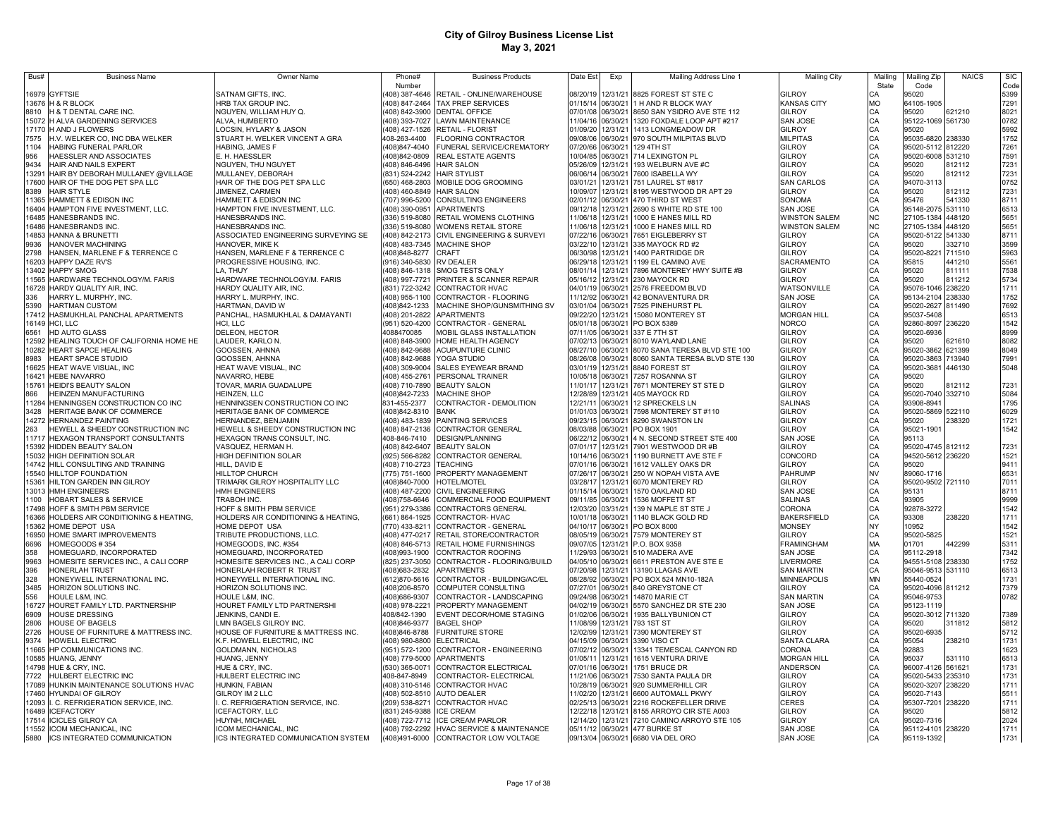| Bus#           | <b>Business Name</b>                                        | Owner Name                                                  | Phone#                                     | <b>Business Products</b>                                                         | Date Est             | Exp                  | Mailing Address Line 1                                                                        | <b>Mailing City</b>                 | Mailing              | Mailing Zip                            | <b>NAICS</b> | <b>SIC</b>   |
|----------------|-------------------------------------------------------------|-------------------------------------------------------------|--------------------------------------------|----------------------------------------------------------------------------------|----------------------|----------------------|-----------------------------------------------------------------------------------------------|-------------------------------------|----------------------|----------------------------------------|--------------|--------------|
|                |                                                             |                                                             | Number                                     |                                                                                  |                      |                      |                                                                                               |                                     | State                | Code                                   |              | Code         |
|                | 16979 GYFTSIE                                               | SATNAM GIFTS, INC.                                          |                                            | 408) 387-4646 RETAIL - ONLINE/WAREHOUSE                                          | 08/20/19             |                      | 12/31/21 8825 FOREST ST STE C                                                                 | <b>GILROY</b>                       | СA                   | 95020                                  |              | 5399         |
|                | 13676 H & R BLOCK                                           | HRB TAX GROUP INC                                           |                                            | (408) 847-2464 TAX PREP SERVICES                                                 |                      |                      | 01/15/14 06/30/21 1 H AND R BLOCK WAY                                                         | <b>KANSAS CITY</b><br><b>GILROY</b> | MO                   | 64105-1905                             |              | 7291         |
| 8810           | H & T DENTAL CARE INC.<br>15072 H ALVA GARDENING SERVICES   | NGUYEN, WILLIAM HUY Q.<br>ALVA, HUMBERTO                    |                                            | (408) 842-3900 DENTAL OFFICE<br>408) 393-7027 LAWN MAINTENANCE                   |                      |                      | 07/01/08 06/30/21 8650 SAN YSIDRO AVE STE 112<br>11/04/16 06/30/21 1320 FOXDALE LOOP APT #217 | <b>SAN JOSE</b>                     | CA<br>CA             | 95020<br>95122-1069 561730             | 621210       | 8021<br>0782 |
| 17170          | H AND J FLOWERS                                             | LOCSIN, HYLARY & JASON                                      |                                            | (408) 427-1526 RETAIL - FLORIST                                                  | 01/09/20             |                      | 12/31/21 1413 LONGMEADOW DR                                                                   | <b>GILROY</b>                       | CA                   | 95020                                  |              | 5992         |
| 7575           | H.V. WELKER CO, INC DBA WELKER                              | STUART H. WELKER VINCENT A GRA                              | 408-263-4400                               | <b>FLOORING CONTRACTOR</b>                                                       | 09/08/06             | 06/30/21             | 970 SOUTH MILPITAS BLVD                                                                       | <b>MILPITAS</b>                     |                      | 95035-6820 238330                      |              | 1752         |
| 1104           | HABING FUNERAL PARLOR                                       | HABING, JAMES F                                             | (408)847-4040                              | FUNERAL SERVICE/CREMATORY                                                        | 07/20/66             | 06/30/21             | 129 4TH ST                                                                                    | <b>GILROY</b>                       | CA<br>CA<br>CA<br>CA | 95020-5112 812220                      |              | 7261         |
| 956            | HAESSLER AND ASSOCIATES                                     | E. H. HAESSLER                                              | 408)842-0809                               | REAL ESTATE AGENTS                                                               | 10/04/85             | 06/30/21             | 714 LEXINGTON PL                                                                              | <b>GILROY</b>                       |                      | 95020-6008 531210                      |              | 7591         |
| 9434           | HAIR AND NAILS EXPERT                                       | NGUYEN, THU NGUYET                                          | 408) 846-6496 HAIR SALON                   |                                                                                  | 05/26/09             | 12/31/21             | 193 WELBURN AVE #C                                                                            | <b>GILROY</b>                       |                      | 95020                                  | 812112       | 7231         |
| 13291          | HAIR BY DEBORAH MULLANEY @VILLAGE                           | MULLANEY, DEBORAH                                           | (831) 524-2242 HAIR STYLIST                |                                                                                  | 06/06/14             | 06/30/21             | 7600 ISABELLA WY                                                                              | GILROY                              | CA                   | 95020                                  | 812112       | 7231         |
| 17600          | HAIR OF THE DOG PET SPA LLC                                 | HAIR OF THE DOG PET SPA LLC                                 | (650) 468-2803                             | MOBILE DOG GROOMING                                                              | 03/01/21             | 12/31/21             | 751 LAUREL ST #817                                                                            | <b>SAN CARLOS</b>                   | CA                   | 94070-311                              |              | 0752         |
| 8389           | <b>HAIR STYLE</b>                                           | JIMENEZ, CARMEN                                             | (408) 460-8849 HAIR SALON                  |                                                                                  | 10/09/07             | 12/31/21             | 8195 WESTWOOD DR APT 29                                                                       | <b>GILROY</b>                       | CA                   | 95020                                  | 812112       | 7231         |
| 11365          | HAMMETT & EDISON INC                                        | HAMMETT & EDISON INC                                        | (707) 996-5200                             | CONSULTING ENGINEERS                                                             | 02/01/12             | 06/30/21             | 470 THIRD ST WEST                                                                             | SONOMA                              | CA                   | 95476                                  | 541330       | 8711         |
| 16404          | HAMPTON FIVE INVESTMENT, LLC.                               | HAMPTON FIVE INVESTMENT, LLC.                               | (408) 390-0951                             | APARTMENTS                                                                       | 09/12/18             | 12/31/21             | 2690 S WHITE RD STE 100                                                                       | <b>SAN JOSE</b>                     | CA                   | 95148-2075 531110                      |              | 6513         |
| 16485          | HANESBRANDS INC.                                            | HANESBRANDS INC.                                            | (336) 519-8080                             | RETAIL WOMENS CLOTHING                                                           | 11/06/18             | 12/31/21             | 1000 E HANES MILL RD                                                                          | <b>WINSTON SALEM</b>                | <b>NC</b>            | 27105-1384 448120                      |              | 5651         |
| 16486          | HANESBRANDS INC.                                            | HANESBRANDS INC.                                            | (336) 519-8080                             | WOMENS RETAIL STORE                                                              | 11/06/18             | 12/31/21             | 1000 E HANES MILL RD                                                                          | <b>WINSTON SALEM</b>                | <b>NC</b>            | 27105-1384 448120                      |              | 5651         |
| 14853          | HANNA & BRUNETTI                                            | ASSOCIATED ENGINEERING SURVEYING SE                         |                                            | (408) 842-2173 CIVIL ENGINEERING & SURVEYI                                       | 07/22/16             | 06/30/21             | 7651 EIGLEBERRY ST                                                                            | <b>GILROY</b>                       | CA                   | 95020-5122 541330                      |              | 8711         |
| 9936<br>2798   | HANOVER MACHINING                                           | HANOVER, MIKE K                                             |                                            | (408) 483-7345 MACHINE SHOP<br><b>CRAFT</b>                                      | 03/22/10             | 12/31/21             | 335 MAYOCK RD #2                                                                              | <b>GILROY</b><br><b>GILROY</b>      | CA                   | 95020                                  | 332710       | 3599         |
| 16203          | HANSEN, MARLENE F & TERRENCE C<br>HAPPY DAZE RV'S           | HANSEN, MARLENE F & TERRENCE C<br>PROGRESSIVE HOUSING, INC. | (408) 848-8277<br>(916) 340-5830 RV DEALER |                                                                                  | 06/30/98<br>06/29/18 | 12/31/21<br>12/31/21 | 1400 PARTRIDGE DR<br>1199 EL CAMINO AVE                                                       | <b>SACRAMENTO</b>                   | CA<br>CA             | 95020-8221 711510<br>95815             | 441210       | 5963<br>5561 |
| 13402          | <b>HAPPY SMOG</b>                                           | LA. THUY                                                    |                                            | (408) 846-1318 SMOG TESTS ONLY                                                   | 08/01/14             | 12/31/21             | 7896 MONTEREY HWY SUITE #B                                                                    | <b>GILROY</b>                       | CA                   | 95020                                  | 811111       | 7538         |
| 11565          | HARDWARE TECHNOLOGY/M. FARIS                                | HARDWARE TECHNOLOGY/M. FARIS                                |                                            | (408) 997-7721 PRINTER & SCANNER REPAIR                                          | 05/16/12             |                      | 12/31/21 230 MAYOCK RD                                                                        | <b>GILROY</b>                       | CA                   | 95020                                  | 811212       | 5734         |
| 16728          | HARDY QUALITY AIR, INC.                                     | HARDY QUALITY AIR, INC.                                     |                                            | (831) 722-3242 CONTRACTOR HVAC                                                   | 04/01/19 06/30/21    |                      | 2576 FREEDOM BLVD                                                                             | WATSONVILLE                         |                      | 95076-1046 238220                      |              | 1711         |
| 336            | HARRY L. MURPHY, INC.                                       | HARRY L. MURPHY, INC.                                       |                                            | (408) 955-1100 CONTRACTOR - FLOORING                                             |                      |                      | 11/12/92 06/30/21 42 BONAVENTURA DR                                                           | <b>SAN JOSE</b>                     | CA<br>CA             | 95134-2104 238330                      |              | 1752         |
| 5390           | HARTMAN CUSTOM                                              | HARTMAN, DAVID W                                            | (408) 842-1233                             | MACHINE SHOP/GUNSMITHING SV                                                      |                      |                      | 03/01/04 06/30/21 7525 PINEHURST PL                                                           | <b>GILROY</b>                       |                      | 95020-2627 811490                      |              | 7692         |
| 17412          | HASMUKHLAL PANCHAL APARTMENTS                               | PANCHAL, HASMUKHLAL & DAMAYANTI                             |                                            | (408) 201-2822 APARTMENTS                                                        | 09/22/20             |                      | 12/31/21 15080 MONTEREY ST                                                                    | <b>MORGAN HILL</b>                  |                      | 95037-5408                             |              | 6513         |
|                | 16149 HCI, LLC                                              | HCI, LLC                                                    |                                            | (951) 520-4200 CONTRACTOR - GENERAL                                              |                      |                      | 05/01/18 06/30/21 PO BOX 5389                                                                 | <b>NORCO</b>                        |                      | 92860-8097 236220                      |              | 1542         |
| 6561           | <b>HD AUTO GLASS</b>                                        | DELEON, HECTOR                                              | 4088470085                                 | MOBIL GLASS INSTALLATION                                                         |                      |                      | 07/11/05 06/30/21 337 E 7TH ST                                                                | <b>GILROY</b>                       |                      | 95020-6936                             |              | 8999         |
| 12592          | HEALING TOUCH OF CALIFORNIA HOME HE                         | LAUDER, KARLO N.                                            |                                            | (408) 848-3900 HOME HEALTH AGENCY                                                |                      |                      | 07/02/13 06/30/21 8010 WAYLAND LANE                                                           | <b>GILROY</b>                       |                      | 95020                                  | 621610       | 8082         |
| 10282          | HEART SAPCE HEALING                                         | GOOSSEN, AHNNA                                              |                                            | (408) 842-9688 ACUPUNTURE CLINIC                                                 |                      |                      | 08/27/10 06/30/21 8070 SANA TERESA BLVD STE 100                                               | <b>GILROY</b>                       |                      | 95020-3862 621399                      |              | 8049         |
| 8983           | HEART SPACE STUDIO                                          | GOOSSEN, AHNNA                                              |                                            | (408) 842-9688 YOGA STUDIO                                                       | 08/26/08             |                      | 06/30/21 8060 SANTA TERESA BLVD STE 130                                                       | <b>GILROY</b>                       |                      | 95020-3863 713940                      |              | 7991         |
| 16625          | HEAT WAVE VISUAL, INC                                       | HEAT WAVE VISUAL, INC                                       |                                            | 408) 309-9004 SALES EYEWEAR BRAND                                                | 03/01/19             |                      | 12/31/21 8840 FOREST ST                                                                       | <b>GILROY</b>                       |                      | 95020-3681                             | 446130       | 5048         |
| 16421          | <b>HEBE NAVARRO</b>                                         | NAVARRO, HEBE                                               |                                            | 408) 455-2761 PERSONAL TRAINER                                                   | 10/05/18             |                      | 06/30/21 7257 ROSANNA ST                                                                      | <b>GILROY</b>                       |                      | 95020                                  |              |              |
| 15761          | HEIDI'S BEAUTY SALON                                        | TOVAR, MARIA GUADALUPE                                      | 408) 710-7890                              | <b>BEAUTY SALON</b>                                                              | 11/01/17             |                      | 12/31/21 7671 MONTEREY ST STE D                                                               | <b>GILROY</b>                       |                      | 95020                                  | 812112       | 7231         |
| 866            | HEINZEN MANUFACTURING                                       | HEINZEN, LLC                                                | 408)842-7233                               | <b>MACHINE SHOP</b>                                                              | 12/28/89             |                      | 12/31/21 405 MAYOCK RD                                                                        | <b>GILROY</b>                       |                      | 95020-7040 332710                      |              | 5084         |
| 11284<br>3428  | HENNINGSEN CONSTRUCTION CO INC<br>HERITAGE BANK OF COMMERCE | HENNINGSEN CONSTRUCTION CO INC<br>HERITAGE BANK OF COMMERCE | 831-455-2377<br>(408)842-8310              | CONTRACTOR - DEMOLITION<br><b>BANK</b>                                           | 12/21/11<br>01/01/03 | 06/30/21<br>06/30/21 | 12 SPRECKELS LN<br>7598 MONTEREY ST #110                                                      | <b>SALINAS</b><br><b>GILROY</b>     |                      | 93908-8941<br>95020-5869 522110        |              | 1795<br>6029 |
| 14272          | <b>HERNANDEZ PAINTING</b>                                   | HERNANDEZ, BENJAMIN                                         |                                            | (408) 483-1839 PAINTING SERVICES                                                 | 09/23/15             | 06/30/21             | 8290 SWANSTON LN                                                                              | GILROY                              |                      | 95020                                  | 238320       | 1721         |
| 263            | HEWELL & SHEEDY CONSTRUCTION INC                            | HEWELL & SHEEDY CONSTRUCTION INC                            |                                            | (408) 847-2136 CONTRACTOR GENERAL                                                | 08/03/88             | 06/30/21             | PO BOX 1901                                                                                   | <b>GILROY</b>                       |                      | 95021-1901                             |              | 1542         |
| 11717          | HEXAGON TRANSPORT CONSULTANTS                               | HEXAGON TRANS CONSULT, INC.                                 | 408-846-7410                               | DESIGN/PLANNING                                                                  | 06/22/12             | 06/30/21             | 4 N. SECOND STREET STE 400                                                                    | <b>SAN JOSE</b>                     |                      | 95113                                  |              |              |
| 15392          | HIDDEN BEAUTY SALON                                         | VASQUEZ, HERMAN H.                                          | (408) 842-6407                             | <b>BEAUTY SALON</b>                                                              | 07/01/17             | 12/31/21             | 7901 WESTWOOD DR #B                                                                           | <b>GILROY</b>                       | CA<br>CA<br>CA       | 95020-4745 812112                      |              | 7231         |
| 15032          | HIGH DEFINITION SOLAR                                       | HIGH DEFINITION SOLAR                                       | (925) 566-8282                             | CONTRACTOR GENERAL                                                               | 10/14/16             | 06/30/21             | 1190 BURNETT AVE STE F                                                                        | CONCORD                             |                      | 94520-5612 236220                      |              | 1521         |
| 14742          | HILL CONSULTING AND TRAINING                                | HILL, DAVID E                                               | (408) 710-2723 TEACHING                    |                                                                                  | 07/01/16             | 06/30/21             | 1612 VALLEY OAKS DR                                                                           | <b>GILROY</b>                       | CA                   | 95020                                  |              | 9411         |
| 15540          | <b>HILLTOP FOUNDATION</b>                                   | HILLTOP CHURCH                                              | (775) 751-1600                             | PROPERTY MANAGEMENT                                                              | 07/26/17             | 06/30/21             | 250 W NOPAH VISTA AVE                                                                         | <b>PAHRUMP</b>                      | <b>NV</b>            | 89060-1716                             |              | 6531         |
| 15361          | HILTON GARDEN INN GILROY                                    | TRIMARK GILROY HOSPITALITY LLC                              | (408)840-7000                              | HOTEL/MOTEL                                                                      | 03/28/17             | 12/31/21             | 6070 MONTEREY RD                                                                              | <b>GILROY</b>                       | CA                   | 95020-9502 721110                      |              | 7011         |
|                | 13013 HMH ENGINEERS                                         | HMH ENGINEERS                                               | (408) 487-2200                             | <b>CIVIL ENGINEERING</b>                                                         | 01/15/14             | 06/30/21             | 1570 OAKLAND RD                                                                               | <b>SAN JOSE</b>                     | CA                   | 95131                                  |              | 8711         |
| 1100           | <b>HOBART SALES &amp; SERVICE</b>                           | TRABOH INC                                                  | (408)758-6646                              | COMMERCIAL FOOD EQUIPMENT                                                        | 09/11/85             | 06/30/21             | 1536 MOFFETT ST                                                                               | <b>SALINAS</b>                      | CA                   | 93905                                  |              | 9999         |
| 17498          | HOFF & SMITH PBM SERVICE                                    | HOFF & SMITH PBM SERVICE                                    |                                            | (951) 279-3386 CONTRACTORS GENERAL                                               | 12/03/20             |                      | 03/31/21 139 N MAPLE ST STE J                                                                 | <b>CORONA</b>                       | CA                   | 92878-3272                             |              | 1542         |
| 16366          | HOLDERS AIR CONDITIONING & HEATING,                         | HOLDERS AIR CONDITIONING & HEATING,                         |                                            | (661) 864-1925 CONTRACTOR- HVAC                                                  | 10/01/18 06/30/21    |                      | 1140 BLACK GOLD RD                                                                            | <b>BAKERSFIELD</b>                  | CA                   | 93308                                  | 238220       | 1711         |
| 15362          | HOME DEPOT USA                                              | HOME DEPOT USA                                              |                                            | (770) 433-8211 CONTRACTOR - GENERAL                                              | 04/10/17             |                      | 06/30/21 PO BOX 8000                                                                          | <b>MONSEY</b>                       | NY                   | 10952                                  |              | 1542         |
| 16950<br>6696  | HOME SMART IMPROVEMENTS<br>HOMEGOODS #354                   | TRIBUTE PRODUCTIONS, LLC.<br>HOMEGOODS, INC. #354           |                                            | (408) 477-0217 RETAIL STORE/CONTRACTOR<br>(408) 846-5713 RETAIL HOME FURNISHINGS | 09/07/05             |                      | 08/05/19 06/30/21 7579 MONTEREY ST<br>12/31/21 P.O. BOX 9358                                  | <b>GILROY</b><br><b>FRAMINGHAM</b>  | CA<br>MA             | 95020-5825<br>01701                    | 442299       | 1521<br>5311 |
| 358            | HOMEGUARD, INCORPORATED                                     | HOMEGUARD, INCORPORATED                                     | (408)993-1900                              | CONTRACTOR ROOFING                                                               | 11/29/93             |                      | 06/30/21 510 MADERA AVE                                                                       | <b>SAN JOSE</b>                     |                      | 95112-2918                             |              | 7342         |
| 9963           | HOMESITE SERVICES INC., A CALI CORP                         | HOMESITE SERVICES INC., A CALI CORP                         |                                            | (825) 237-3050 CONTRACTOR - FLOORING/BUILD                                       |                      |                      | 04/05/10 06/30/21 6611 PRESTON AVE STE E                                                      | <b>LIVERMORE</b>                    | CA<br>CA             | 94551-5108 238330                      |              | 1752         |
| 396            | HONERLAH TRUST                                              | HONERLAH ROBERT R TRUST                                     | (408)683-2832                              | <b>APARTMENTS</b>                                                                | 07/20/98             |                      | 12/31/21 13190 LLAGAS AVE                                                                     | <b>SAN MARTIN</b>                   | CA                   | 95046-9513 531110                      |              | 6513         |
| 328            | HONEYWELL INTERNATIONAL INC.                                | HONEYWELL INTERNATIONAL INC                                 | (612)870-5616                              | CONTRACTOR - BUILDING/AC/EL                                                      | 08/28/92             |                      | 06/30/21 PO BOX 524 MN10-182A                                                                 | <b>MINNEAPOLIS</b>                  | MN                   | 55440-0524                             |              | 1731         |
| 3485           | HORIZON SOLUTIONS INC.                                      | HORIZON SOLUTIONS INC.                                      | (408) 206-8570                             | COMPUTER CONSULTING                                                              | 07/27/01             |                      | 06/30/21 840 GREYSTONE CT                                                                     | <b>GILROY</b>                       | CA                   | 95020-4096 811212                      |              | 7379         |
| 556            | HOULE L&M, INC.                                             | HOULE L&M, INC.                                             | (408) 686-9307                             | CONTRACTOR - LANDSCAPING                                                         |                      |                      | 09/24/98 06/30/21 14870 MARIE CT                                                              | <b>SAN MARTIN</b>                   | CA<br>CA             | 95046-9753                             |              | 0782         |
| 16727          | HOURET FAMILY LTD. PARTNERSHIP                              | HOURET FAMILY LTD PARTNERSHI                                | (408) 978-2221                             | PROPERTY MANAGEMENT                                                              |                      |                      | 04/02/19 06/30/21 5570 SANCHEZ DR STE 230                                                     | <b>SAN JOSE</b>                     |                      | 95123-1119                             |              |              |
| 6909           | <b>HOUSE DRESSING</b>                                       | JENKINS, CANDI E.                                           | 408/842-1390                               | EVENT DECOR/HOME STAGING                                                         |                      |                      | 01/02/06 06/30/21 1935 BALLYBUNION CT                                                         | GILROY                              | CA                   | 95020-3012 711320                      |              | 7389         |
| 2806           | HOUSE OF BAGELS                                             | LMN BAGELS GILROY INC.                                      | (408)846-9377                              | <b>BAGEL SHOP</b>                                                                | 11/08/99             |                      | 12/31/21 793 1ST ST                                                                           | GILROY                              | CA                   | 95020                                  | 311812       | 5812         |
| 2726           | HOUSE OF FURNITURE & MATTRESS INC.                          | HOUSE OF FURNITURE & MATTRESS INC.                          | 408)846-8788                               | <b>FURNITURE STORE</b>                                                           | 12/02/99             |                      | 12/31/21 7390 MONTEREY ST                                                                     | <b>GILROY</b>                       | CA                   | 95020-6935                             |              | 5712         |
| 9374           | HOWELL ELECTRIC                                             | <b>K.F. HOWELL ELECTRIC, INC</b>                            | (408) 980-8800 ELECTRICAL                  |                                                                                  | 04/15/09             | 06/30/21             | 3390 VISO CT                                                                                  | <b>SANTA CLARA</b>                  | CA                   | 95054                                  | 238210       | 1731         |
| 11665          | HP COMMUNICATIONS INC.                                      | GOLDMANN, NICHOLAS                                          |                                            | (951) 572-1200 CONTRACTOR - ENGINEERING                                          | 07/02/12             | 06/30/21             | 13341 TEMESCAL CANYON RD                                                                      | <b>CORONA</b>                       | CA                   | 92883                                  |              | 1623         |
| 10585<br>14798 | HUANG, JENNY                                                | HUANG, JENNY                                                | (408) 779-5000                             | <b>APARTMENTS</b>                                                                | 01/05/11             | 12/31/21             | 1615 VENTURA DRIVE                                                                            | <b>MORGAN HILL</b>                  | CA                   | 95037                                  | 531110       | 6513<br>1731 |
| 7722           | HUE & CRY, INC<br>HULBERT ELECTRIC INC                      | HUE & CRY, INC.<br>HULBERT ELECTRIC INC                     | 530) 365-0071<br>408-847-8949              | CONTRACTOR ELECTRICAL<br>CONTRACTOR- ELECTRICAL                                  | 07/01/16<br>11/21/06 | 06/30/21<br>06/30/21 | 1751 BRUCE DR<br>7530 SANTA PAULA DR                                                          | ANDERSON<br><b>GILROY</b>           | CA<br>CA             | 96007-4126 561621<br>95020-5433 235310 |              | 1731         |
| 17089          | HUNKIN MAINTENANCE SOLUTIONS HVAC                           | HUNKIN, FABIAN                                              |                                            | (408) 310-5146 CONTRACTOR HVAC                                                   | 10/28/19             | 06/30/21             | 920 SUMMERHILL CIR                                                                            | <b>GILROY</b>                       | CA                   | 95020-3207 238220                      |              | 1711         |
| 17460          | <b>HYUNDAI OF GILROY</b>                                    | GILROY IM 2 LLC                                             |                                            | (408) 502-8510 AUTO DEALER                                                       | 11/02/20             | 12/31/21             | 6600 AUTOMALL PKWY                                                                            | <b>GILROY</b>                       | CA                   | 95020-7143                             |              | 5511         |
| 12093          | I. C. REFRIGERATION SERVICE, INC.                           | . C. REFRIGERATION SERVICE, INC.                            | (209) 538-8271                             | CONTRACTOR HVAC                                                                  | 02/25/13             | 06/30/21             | 2216 ROCKEFELLER DRIVE                                                                        | <b>CERES</b>                        | CA                   | 95307-7201 238220                      |              | 1711         |
|                | 16489 ICEFACTORY                                            | ICEFACTORY, LLC                                             | (831) 245-9388 ICE CREAM                   |                                                                                  | 12/22/18             | 12/31/21             | 8155 ARROYO CIR STE A003                                                                      | <b>GILROY</b>                       | CA                   | 95020                                  |              | 5812         |
|                | 17514 ICICLES GILROY CA                                     | HUYNH, MICHAEL                                              |                                            | (408) 722-7712 ICE CREAM PARLOR                                                  | 12/14/20             | 12/31/21             | 7210 CAMINO ARROYO STE 105                                                                    | <b>GILROY</b>                       | CA                   | 95020-7316                             |              | 2024         |
|                | 11552 ICOM MECHANICAL, INC                                  | ICOM MECHANICAL, INC                                        |                                            | (408) 792-2292 HVAC SERVICE & MAINTENANCE                                        |                      |                      | 05/11/12 06/30/21 477 BURKE ST                                                                | <b>SAN JOSE</b>                     | CA                   | 95112-4101 238220                      |              | 1711         |
|                | 5880 ICS INTEGRATED COMMUNICATION                           | ICS INTEGRATED COMMUNICATION SYSTEM                         | (408)491-6000                              | CONTRACTOR LOW VOLTAGE                                                           |                      |                      | 09/13/04 06/30/21 6680 VIA DEL ORO                                                            | <b>SAN JOSE</b>                     | CA                   | 95119-1392                             |              | 1731         |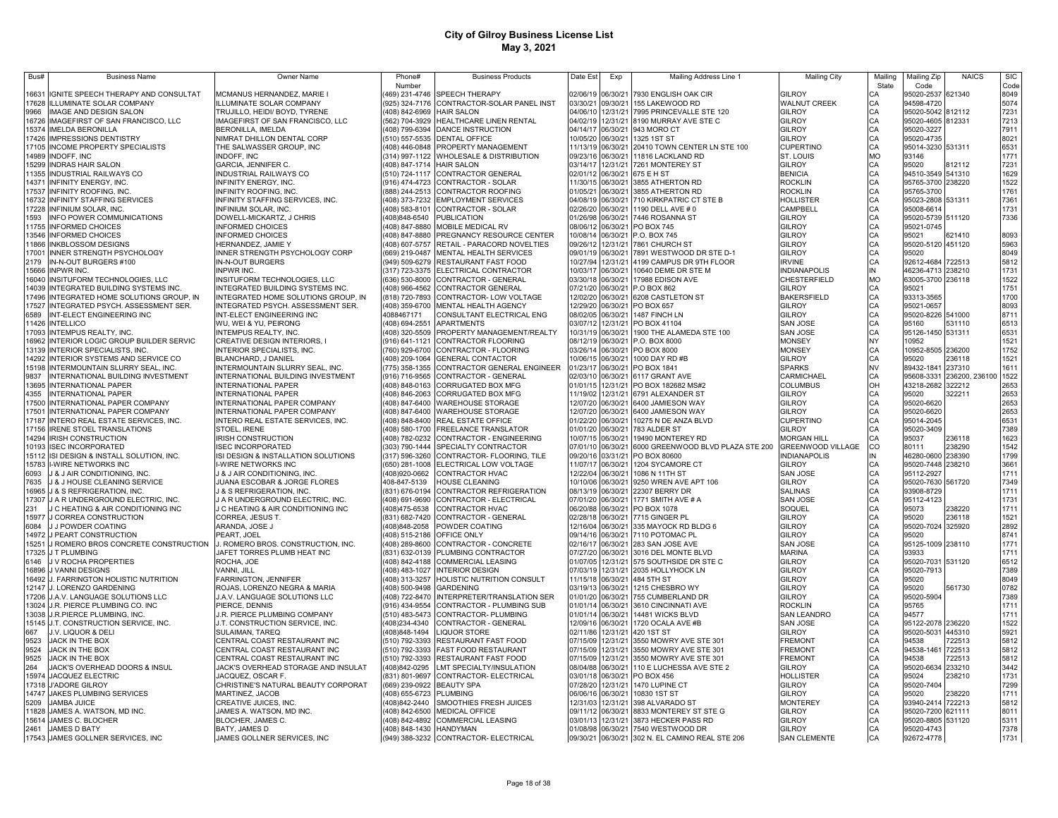| Bus#           | <b>Business Name</b>                                                     | <b>Owner Name</b>                                                        | Phone#                           | <b>Business Products</b>                                                          | Date Est             | Exp                  | Mailing Address Line 1                  | <b>Mailing City</b>            | Mailinc   | Mailing Zip                     | <b>NAICS</b>     | <b>SIC</b>   |
|----------------|--------------------------------------------------------------------------|--------------------------------------------------------------------------|----------------------------------|-----------------------------------------------------------------------------------|----------------------|----------------------|-----------------------------------------|--------------------------------|-----------|---------------------------------|------------------|--------------|
|                |                                                                          |                                                                          | Number                           |                                                                                   |                      |                      |                                         |                                | State     | Code                            |                  | Code         |
| 16631<br>17628 | IGNITE SPEECH THERAPY AND CONSULTAT                                      | MCMANUS HERNANDEZ, MARIE I<br><b>ILLUMINATE SOLAR COMPANY</b>            |                                  | (469) 231-4746 SPEECH THERAPY<br>(925) 324-7176 CONTRACTOR-SOLAR PANEL INST       | 02/06/19             | 06/30/21<br>09/30/21 | 7930 ENGLISH OAK CIR<br>155 LAKEWOOD RD | GII ROY<br><b>WALNUT CREEK</b> | CА<br>CA  | 95020-2537<br>94598-4720        | 621340           | 8049<br>5074 |
| 9966           | ILLUMINATE SOLAR COMPANY<br>IMAGE AND DESIGN SALON                       | TRUJILLO, HEIDI/ BOYD, TYRENE                                            | 408) 842-6969                    | <b>HAIR SALON</b>                                                                 | 03/30/21<br>04/06/10 | 12/31/21             | 7995 PRINCEVALLE STE 120                | <b>GILROY</b>                  | CA        | 95020-5042 812112               |                  | 7231         |
| 16726          | IMAGEFIRST OF SAN FRANCISCO, LLC                                         | IMAGEFIRST OF SAN FRANCISCO, LLC                                         | 562) 704-3929                    | HEALTHCARE LINEN RENTAL                                                           | 04/02/19             | 12/31/21             | 8190 MURRAY AVE STE C                   | GILROY                         | CA        | 95020-4605 812331               |                  | 7213         |
| 15374          | <b>IMELDA BERONILLA</b>                                                  | BERONILLA, IMELDA                                                        |                                  | (408) 799-6394 DANCE INSTRUCTION                                                  | 04/14/17             | 06/30/21             | 943 MORO CT                             | GILROY                         | CA        | 95020-3227                      |                  | 7911         |
| 17426          | <b>IMPRESSIONS DENTISTRY</b>                                             | NIMRAT DHILLON DENTAL CORP                                               | (510) 557-5535                   | DENTAL OFFICE                                                                     | 10/05/20             | 06/30/21             | 1325 1ST ST                             | GILROY                         | CA        | 95020-4735                      |                  | 8021         |
| 17105          | <b>INCOME PROPERTY SPECIALISTS</b>                                       | THE SALWASSER GROUP, INC                                                 |                                  | (408) 446-0848 PROPERTY MANAGEMENT                                                | 11/13/19             | 06/30/21             | 20410 TOWN CENTER LN STE 100            | <b>CUPERTINO</b>               | CA        | 95014-3230 531311               |                  | 6531         |
| 14989          | <b>INDOFF, INC</b>                                                       | <b>INDOFF, INC</b>                                                       |                                  | (314) 997-1122 WHOLESALE & DISTRIBUTION                                           | 09/23/16             | 06/30/21             | 11816 LACKLAND RD                       | ST. LOUIS                      | <b>MO</b> | 93146                           |                  | 1771         |
| 15299          | INDRAS HAIR SALON                                                        | GARCIA, JENNIFER C.                                                      | (408) 847-1714 HAIR SALON        |                                                                                   | 03/14/17             | 12/31/21             | 7261 MONTEREY ST                        | GILROY                         | CA        | 95020                           | 812112           | 7231         |
| 11355          | INDUSTRIAL RAILWAYS CO                                                   | INDUSTRIAL RAILWAYS CO                                                   |                                  | (510) 724-1117 CONTRACTOR GENERAL                                                 | 02/01/12             | 06/30/21             | 675 E H ST                              | <b>BENICIA</b>                 | CA        | 94510-3549 541310               |                  | 1629         |
| 14371          | INFINITY ENERGY, INC                                                     | INFINITY ENERGY, INC.                                                    |                                  | 916) 474-4723 CONTRACTOR - SOLAR                                                  | 11/30/15             | 06/30/21             | 3855 ATHERTON RD                        | <b>ROCKLIN</b>                 | CA        | 95765-3700 238220               |                  | 1522         |
| 17537          | INFINITY ROOFING, INC                                                    | INFINITY ROOFING, INC                                                    |                                  | (888) 244-2513 CONTRACTOR ROOFING                                                 | 01/05/21             | 06/30/21             | 3855 ATHERTON RD                        | <b>ROCKLIN</b>                 | CA        | 95765-3700                      |                  | 1761         |
| 16732          | INFINITY STAFFING SERVICES                                               | INFINITY STAFFING SERVICES, INC.                                         |                                  | (408) 373-7232 EMPLOYMENT SERVICES                                                | 04/08/19             | 06/30/21             | 710 KIRKPATRIC CT STE B                 | <b>HOLLISTER</b>               | CA<br>C.A | 95023-2808 531311               |                  | 7361         |
| 17228<br>1593  | INFINIUM SOLAR, INC.<br>INFO POWER COMMUNICATIONS                        | INFINIUM SOLAR, INC.<br>DOWELL-MICKARTZ, J CHRIS                         | (408)848-6540                    | (408) 583-8101 CONTRACTOR - SOLAR<br><b>PUBLICATION</b>                           | 02/26/20<br>01/26/98 | 06/30/21<br>06/30/21 | 1190 DELL AVE # 0<br>7446 ROSANNA ST    | CAMPBELL<br>GILROY             | C.A       | 95008-6614<br>95020-5739 511120 |                  | 1731<br>7336 |
| 11755          | <b>INFORMED CHOICES</b>                                                  | <b>INFORMED CHOICES</b>                                                  | (408) 847-8880                   | <b>MOBILE MEDICAL RV</b>                                                          | 08/06/12             | 06/30/21             | <b>PO BOX 745</b>                       | GILROY                         | C.A       | 95021-0745                      |                  |              |
| 13546          | <b>INFORMED CHOICES</b>                                                  | <b>INFORMED CHOICES</b>                                                  | (408) 847-8880                   | PREGNANCY RESOURCE CENTER                                                         | 10/08/14             | 06/30/21             | P.O. BOX 745                            | GILROY                         | CA        | 95021                           | 621410           | 8093         |
| 11866          | <b>INKBLOSSOM DESIGNS</b>                                                | HERNANDEZ, JAMIE Y                                                       |                                  | (408) 607-5757 RETAIL - PARACORD NOVELTIES                                        | 09/26/12             | 12/31/21             | 7861 CHURCH ST                          | GILROY                         | CA        | 95020-5120 451120               |                  | 5963         |
| 17001          | INNER STRENGTH PSYCHOLOGY                                                | NNER STRENGTH PSYCHOLOGY CORP                                            |                                  | (669) 219-0487 MENTAL HEALTH SERVICES                                             | 09/01/19             | 06/30/21             | 7891 WESTWOOD DR STE D-1                | GILROY                         | CA        | 95020                           |                  | 8049         |
| 2179           | IN-N-OUT BURGERS #100                                                    | IN-N-OUT BURGERS                                                         |                                  | (949) 509-6279 RESTAURANT FAST FOOD                                               | 10/27/94             | 12/31/21             | 4199 CAMPUS DR 9TH FLOOR                | <b>IRVINE</b>                  | CA        | 92612-4684 722513               |                  | 5812         |
| 15666          | INPWR INC.                                                               | <b>INPWR INC</b>                                                         |                                  | (317) 723-3375 ELECTRICAL CONTRACTOR                                              | 10/03/17             | 06/30/21             | 10640 DEME DR STE M                     | <b>INDIANAPOLIS</b>            | IN        | 46236-4713 238210               |                  | 1731         |
| 16040          | INSITUFORM TECHNOLOGIES, LLC                                             | INSITUFORM TECHNOLOGIES, LLC                                             |                                  | (636) 530-8000 CONTRACTOR - GENERAL                                               | 03/30/18             | 06/30/21             | 17988 EDISON AVE                        | CHESTERFIELD                   | <b>MO</b> | 63005-3700 236118               |                  | 1522         |
| 14039          | INTEGRATED BUILDING SYSTEMS INC.                                         | INTEGRATED BUILDING SYSTEMS INC.                                         |                                  | (408) 966-4562 CONTRACTOR GENERAL                                                 | 07/21/20             | 06/30/21             | P.O BOX 862                             | GILROY                         | CA        | 95021                           |                  | 1751         |
| 17496          | INTEGRATED HOME SOLUTIONS GROUP, IN                                      | INTEGRATED HOME SOLUTIONS GROUP, IN                                      |                                  | (818) 720-7893 CONTRACTOR- LOW VOLTAGE                                            | 12/02/20             | 06/30/21             | 6208 CASTLETON ST                       | <b>BAKERSFIELD</b>             | CA        | 93313-3565                      |                  | 1700         |
| 17527<br>6589  | INTEGRATED PSYCH. ASSESSMENT SER.<br>INT-ELECT ENGINEERING INC           | INTEGRATED PSYCH. ASSESSMENT SER.<br>INT-ELECT ENGINEERING INC           | 4088467171                       | (408) 359-6700 MENTAL HEALTH AGENCY<br>CONSULTANT ELECTRICAL ENG                  | 12/29/20<br>08/02/05 | 06/30/21<br>06/30/21 | PO BOX 657<br>1487 FINCH LN             | GILROY<br>GILROY               | CA        | 95021-0657<br>95020-8226 541000 |                  | 8093<br>8711 |
| 11426          | <b>INTELLICO</b>                                                         | WU, WEI & YU, PEIRONG                                                    | (408) 694-2551                   | APARTMENTS                                                                        | 03/07/12             | 12/31/21             | PO BOX 41104                            | <b>SAN JOSE</b>                | CA<br>CA  | 95160                           | 531110           | 6513         |
| 17093          | INTEMPUS REALTY, INC.                                                    | INTEMPUS REALTY, INC.                                                    |                                  | (408) 320-5509 PROPERTY MANAGEMENT/REALTY                                         | 10/31/19             | 06/30/21             | 1900 THE ALAMEDA STE 100                | <b>SAN JOSE</b>                | CA        | 95126-1450 531311               |                  | 6531         |
| 16962          | INTERIOR LOGIC GROUP BUILDER SERVIC                                      | CREATIVE DESIGN INTERIORS, I                                             |                                  | (916) 641-1121 CONTRACTOR FLOORING                                                | 08/12/19             | 06/30/21             | P.O. BOX 8000                           | <b>MONSEY</b>                  | NY        | 10952                           |                  | 1521         |
| 13139          | INTERIOR SPECIALISTS, INC.                                               | INTERIOR SPECIALISTS, INC.                                               | 760) 929-6700                    | CONTRACTOR - FLOORING                                                             | 03/26/14             | 06/30/21             | PO BOX 8000                             | <b>MONSEY</b>                  | CA        | 10952-8505 236200               |                  | 1752         |
| 14292          | INTERIOR SYSTEMS AND SERVICE CO                                          | BLANCHARD, J DANIEL                                                      | (408) 209-1064                   | <b>GENERAL CONTACTOR</b>                                                          | 10/06/15             | 06/30/21             | 1000 DAY RD #B                          | GILROY                         | CA        | 95020                           | 236118           | 1521         |
| 15198          | INTERMOUNTAIN SLURRY SEAL, INC.                                          | INTERMOUNTAIN SLURRY SEAL, INC.                                          | 775) 358-1355                    | CONTRACTOR GENERAL ENGINEER                                                       | 01/23/17             | 06/30/21             | PO BOX 1841                             | <b>SPARKS</b>                  | <b>NV</b> | 89432-1841                      | 237310           | 1611         |
| 9837           | INTERNATIONAL BUILDING INVESTMENT                                        | INTERNATIONAL BUILDING INVESTMENT                                        | (916) 716-9565                   | CONTRACTOR - GENERAL                                                              | 02/03/10             | 06/30/21             | 6117 GRANT AVE                          | CARMICHAEL                     | C.A       | 95608-3331                      | 236200, 236100   | 1522         |
| 13695          | <b>INTERNATIONAL PAPER</b>                                               | INTERNATIONAL PAPER                                                      | (408) 848-0163                   | CORRUGATED BOX MFG                                                                | 01/01/15             | 12/31/21             | PO BOX 182682 MS#2                      | COLUMBUS                       | OH        | 43218-2682                      | 322212           | 2653         |
| 4355           | <b>INTERNATIONAL PAPER</b>                                               | INTERNATIONAL PAPER                                                      | (408) 846-2063                   | CORRUGATED BOX MFG                                                                | 11/19/02             | 12/31/21             | 6791 ALEXANDER ST                       | GILROY                         | CA        | 95020                           | 322211           | 2653         |
| 17500<br>17501 | INTERNATIONAL PAPER COMPANY<br>INTERNATIONAL PAPER COMPANY               | INTERNATIONAL PAPER COMPANY<br>INTERNATIONAL PAPER COMPANY               | (408) 847-6400<br>(408) 847-6400 | <b>WAREHOUSE STORAGE</b><br><b>WAREHOUSE STORAGE</b>                              | 12/07/20<br>12/07/20 | 06/30/21<br>06/30/21 | 6400 JAMIESON WAY<br>6400 JAMIESON WAY  | GILROY<br>GILROY               | CA<br>CA  | 95020-6620<br>95020-6620        |                  | 2653<br>2653 |
| 17187          | INTERO REAL ESTATE SERVICES, INC.                                        | INTERO REAL ESTATE SERVICES, INC.                                        | (408) 848-8400                   | REAL ESTATE OFFICE                                                                | 01/22/20             | 06/30/21             | 10275 N DE ANZA BLVD                    | <b>CUPERTINO</b>               | CA        | 95014-2045                      |                  | 6531         |
| 17156          | <b>IRENE STOEL TRANSLATIONS</b>                                          | STOEL, IRENE                                                             | (408) 580-1700                   | FREELANCE TRANSLATOR                                                              | 01/01/20             | 06/30/21             | 783 ALDER ST                            | <b>GILROY</b>                  | CA        | 95020-3409                      |                  | 7389         |
| 14294          | IRISH CONSTRUCTION                                                       | <b>IRISH CONSTRUCTION</b>                                                | (408) 782-0232                   | CONTRACTOR - ENGINEERING                                                          | 10/07/15             | 06/30/21             | 19490 MONTEREY RD                       | <b>MORGAN HILL</b>             | CA        | 95037                           | 236118           | 1623         |
| 10193          | <b>ISEC INCORPORATED</b>                                                 | <b>ISEC INCORPORATED</b>                                                 | (303) 790-1444                   | SPECIALTY CONTRACTOR                                                              | 07/01/10             | 06/30/21             | 6000 GREENWOOD BLVD PLAZA STE 200       | GREENWOOD VILLAGE              | CO        | 80111                           | 238290           | 1542         |
| 15112          | ISI DESIGN & INSTALL SOLUTION, INC.                                      | ISI DESIGN & INSTALLATION SOLUTIONS                                      | (317) 596-3260                   | CONTRACTOR- FLOORING. TILE                                                        | 09/20/16             | 03/31/21             | PO BOX 80600                            | <b>INDIANAPOLIS</b>            | IN        | 46280-0600                      | 238390           | 1799         |
| 15783          | I-WIRE NETWORKS INC                                                      | I-WIRE NETWORKS INC                                                      | (650) 281-1008                   | ELECTRICAL LOW VOLTAGE                                                            | 11/07/17             | 06/30/21             | 1204 SYCAMORE CT                        | GILROY                         | CA        | 95020-7448                      | 238210           | 3661         |
| 6093           | <b>J &amp; J AIR CONDITIONING. INC.</b>                                  | <b>8 J AIR CONDITIONING, INC.</b>                                        | (408)920-0662                    | <b>CONTRACTOR HVAC</b>                                                            | 12/22/04             | 06/30/21             | 1086 N 11TH ST                          | <b>SAN JOSE</b>                | CA        | 95112-2927                      |                  | 1711         |
| 7635           | J & J HOUSE CLEANING SERVICE                                             | JUANA ESCOBAR & JORGE FLORES                                             | 408-847-5139                     | HOUSE CLEANING                                                                    | 10/10/06             | 06/30/21             | 9250 WREN AVE APT 106                   | GILROY                         | CA        | 95020-7630 561720               |                  | 7349         |
| 16965<br>17307 | <b>J &amp; S REFRIGERATION. INC.</b><br>J A R UNDERGROUND ELECTRIC, INC. | <b>J &amp; S REFRIGERATION. INC.</b><br>J A R UNDERGROUND ELECTRIC, INC. |                                  | (831) 676-0194 CONTRACTOR REFRIGERATION<br>(408) 691-9690 CONTRACTOR - ELECTRICAL | 08/13/19<br>07/01/20 | 06/30/21<br>06/30/21 | 22307 BERRY DR<br>1771 SMITH AVE # A    | <b>SALINAS</b><br>SAN JOSE     | CA<br>CA  | 93908-8729<br>95112-4123        |                  | 1711<br>1731 |
| 231            | J C HEATING & AIR CONDITIONING INC                                       | J C HEATING & AIR CONDITIONING INC                                       | (408)475-6538                    | <b>CONTRACTOR HVAC</b>                                                            | 06/20/88             | 06/30/21             | PO BOX 1078                             | SOQUEL                         | CA        | 95073                           | 238220           | 1711         |
| 15977          | J CORREA CONSTRUCTION                                                    | CORREA, JESUS T.                                                         |                                  | (831) 682-7420 CONTRACTOR - GENERAL                                               | 02/28/18             | 06/30/21             | 7715 GINGER PL                          | GILROY                         | CA        | 95020                           | 236118           | 1521         |
| 6084           | J J POWDER COATING                                                       | ARANDA, JOSE J                                                           | (408)848-2058                    | POWDER COATING                                                                    | 12/16/04             | 06/30/21             | 335 MAYOCK RD BLDG 6                    | <b>GILROY</b>                  | CA        | 95020-7024 325920               |                  | 2892         |
| 14972          | J PEART CONSTRUCTION                                                     | PEART, JOEL                                                              | (408) 515-2186 OFFICE ONLY       |                                                                                   | 09/14/16             | 06/30/21             | 7110 POTOMAC PL                         | <b>GILROY</b>                  | CA        | 95020                           |                  | 8741         |
| 15251          | J ROMERO BROS CONCRETE CONSTRUCTION                                      | J. ROMERO BROS. CONSTRUCTION, INC.                                       |                                  | (408) 289-8600 CONTRACTOR - CONCRETE                                              | 02/16/17             | 06/30/21             | 283 SAN JOSE AVE                        | <b>SAN JOSE</b>                | CA        | 95125-1009 238110               |                  | 1771         |
| 17325          | J T PLUMBING                                                             | JAFET TORRES PLUMB HEAT INC                                              |                                  | (831) 632-0139 PLUMBING CONTRACTOR                                                | 07/27/20             | 06/30/21             | 3016 DEL MONTE BLVD                     | <b>MARINA</b>                  | CA        | 93933                           |                  | 1711         |
| 6146           | J V ROCHA PROPERTIES                                                     | ROCHA, JOE                                                               |                                  | (408) 842-4188 COMMERCIAL LEASING                                                 | 01/07/05<br>07/03/19 | 12/31/21<br>12/31/21 | 575 SOUTHSIDE DR STE C                  | <b>GILROY</b>                  | CA<br>CA  | 95020-7031 531120               |                  | 6512         |
| 16896<br>16492 | J VANNI DESIGNS<br>J. FARRINGTON HOLISTIC NUTRITION                      | VANNI, JILL<br>FARRINGTON, JENNIFER                                      |                                  | (408) 483-1027 INTERIOR DESIGN<br>(408) 313-3257 HOLISTIC NUTRITION CONSULT       | 11/15/18             | 06/30/21             | 2035 HOLLYHOCK LN<br>484 5TH ST         | GILROY<br>GILROY               | CA        | 95020-7913<br>95020             |                  | 7389<br>8049 |
| 12147          | J. LORENZO GARDENING                                                     | ROJAS, LORENZO NEGRA & MARIA                                             | (408) 500-9498 GARDENING         |                                                                                   | 03/19/13             | 06/30/21             | 1215 CHESBRO WY                         | GILROY                         | CA        | 95020                           | 561730           | 0782         |
| 17206          | J.A.V. LANGUAGE SOLUTIONS LLC                                            | J.A.V. LANGUAGE SOLUTIONS LLC                                            | (408) 722-8470                   | INTERPRETER/TRANSLATION SER                                                       | 01/01/20             | 06/30/21             | 755 CUMBERLAND DR                       | <b>GILROY</b>                  | CA        | 95020-5904                      |                  | 7389         |
| 13024          | J.R. PIERCE PLUMBING CO. INC                                             | PIERCE, DENNIS                                                           | (916) 434-9554                   | CONTRACTOR - PLUMBING SUB                                                         | 01/01/14             | 06/30/21             | 3610 CINCINNATI AVE                     | ROCKLIN                        | CA        | 95765                           |                  | 1711         |
| 13038          | J.R.PIERCE PLUMBING. INC.                                                | J.R. PIERCE PLUMBING COMPANY                                             |                                  | (510) 483-5473 CONTRACTOR- PLUMBING                                               | 01/01/14             | 06/30/21             | 14481 WICKS BLVD                        | SAN LEANDRO                    | CA        | 94577                           |                  | 1711         |
| 15145          | J.T. CONSTRUCTION SERVICE. INC.                                          | J.T. CONSTRUCTION SERVICE. INC.                                          | (408)234-4340                    | CONTRACTOR - GENERAL                                                              | 12/09/16             | 06/30/21             | 1720 OCALA AVE #B                       | <b>SAN JOSE</b>                | CA        | 95122-2078                      | 236220           | 1522         |
| 667            | J.V. LIQUOR & DELI                                                       | SULAIMAN, TAREQ                                                          | (408)848-1494                    | <b>LIQUOR STORE</b>                                                               | 02/11/86             | 12/31/21             | 420 1ST ST                              | <b>GILROY</b>                  | CA        | 95020-5031                      | 445310           | 5921         |
| 9523           | <b>JACK IN THE BOX</b>                                                   | CENTRAL COAST RESTAURANT INC                                             | (510) 792-3393                   | RESTAURANT FAST FOOD                                                              | 07/15/09             | 12/31/21             | 3550 MOWRY AVE STE 301                  | <b>FREMONT</b>                 | CA        | 94538                           | 722513           | 5812         |
| 9524           | JACK IN THE BOX                                                          | CENTRAL COAST RESTAURANT INC                                             |                                  | (510) 792-3393 FAST FOOD RESTAURANT                                               | 07/15/09             | 12/31/21             | 3550 MOWRY AVE STE 301                  | FREMONT                        | CA        | 94538-1461                      | 722513           | 5812         |
| 9525           | JACK IN THE BOX                                                          | CENTRAL COAST RESTAURANT INC                                             | (510) 792-3393                   | RESTAURANT FAST FOOD                                                              | 07/15/09             | 12/31/21             | 3550 MOWRY AVE STE 301                  | <b>FREMONT</b>                 | CA        | 94538                           | 722513           | 5812         |
| 264<br>15974   | JACK'S OVERHEAD DOORS & INSUL<br><b>JACQUEZ ELECTRIC</b>                 | JACK'S OVERHEAD STORAGE AND INSULAT<br>JACQUEZ, OSCAR F.                 | (408)842-0295<br>(831) 801-9697  | LMT SPECIALTY/INSULATION<br>CONTRACTOR- ELECTRICAL                                | 08/04/88<br>03/01/18 | 06/30/21<br>06/30/21 | 110 E LUCHESSA AVE STE 2<br>PO BOX 456  | GILROY<br>HOLLISTER            | CA<br>CA  | 95020-6634<br>95024             | 233210<br>238210 | 3442<br>1731 |
| 17318          | <b>J'ADORE GILROY</b>                                                    | CHRISTINE'S NATURAL BEAUTY CORPORAT                                      | (669) 239-0922 BEAUTY SPA        |                                                                                   | 07/28/20             | 12/31/21             | 1470 LUPINE CT                          | <b>GILROY</b>                  | CA        | 95020-7404                      |                  | 7299         |
| 14747          | <b>JAKES PLUMBING SERVICES</b>                                           | MARTINEZ, JACOB                                                          | (408) 655-6723 PLUMBING          |                                                                                   | 06/06/16             | 06/30/21             | 10830 1ST ST                            | GILROY                         | C.A       | 95020                           | 238220           | 1711         |
| 5209           | JAMBA JUICE                                                              | CREATIVE JUICES, INC                                                     | (408)842-2440                    | SMOOTHIES FRESH JUICES                                                            | 12/31/03             | 12/31/21             | 398 ALVARADO ST                         | <b>MONTEREY</b>                | CA        | 93940-2414                      | 722213           | 5812         |
| 11828          | JAMES A. WATSON, MD INC.                                                 | JAMES A. WATSON, MD INC.                                                 | (408) 842-6500                   | <b>MEDICAL OFFICE</b>                                                             | 09/11/12             | 06/30/21             | 8833 MONTEREY ST STE G                  | <b>GILROY</b>                  | CA        | 95020-7200                      | 621111           | 8011         |
| 15614          | JAMES C. BLOCHER                                                         | BLOCHER, JAMES C.                                                        |                                  | (408) 842-4892 COMMERCIAL LEASING                                                 | 03/01/13             | 12/31/21             | 3873 HECKER PASS RD                     | <b>GILROY</b>                  | CA        | 95020-8805 531120               |                  | 5311         |
| 2461           | JAMES D BATY                                                             | BATY, JAMES D                                                            | (408) 848-1430 HANDYMAN          |                                                                                   | 01/08/98             | 06/30/21             | 7540 WESTWOOD DR                        | <b>GILROY</b>                  | CA        | 95020-4743                      |                  | 7378         |
|                | 17543 JAMES GOLLNER SERVICES, INC                                        | JAMES GOLLNER SERVICES, INC                                              |                                  | (949) 388-3232 CONTRACTOR- ELECTRICAL                                             | 09/30/21             | 06/30/21             | 302 N. EL CAMINO REAL STE 206           | <b>SAN CLEMENTE</b>            | CA        | 92672-4778                      |                  | 1731         |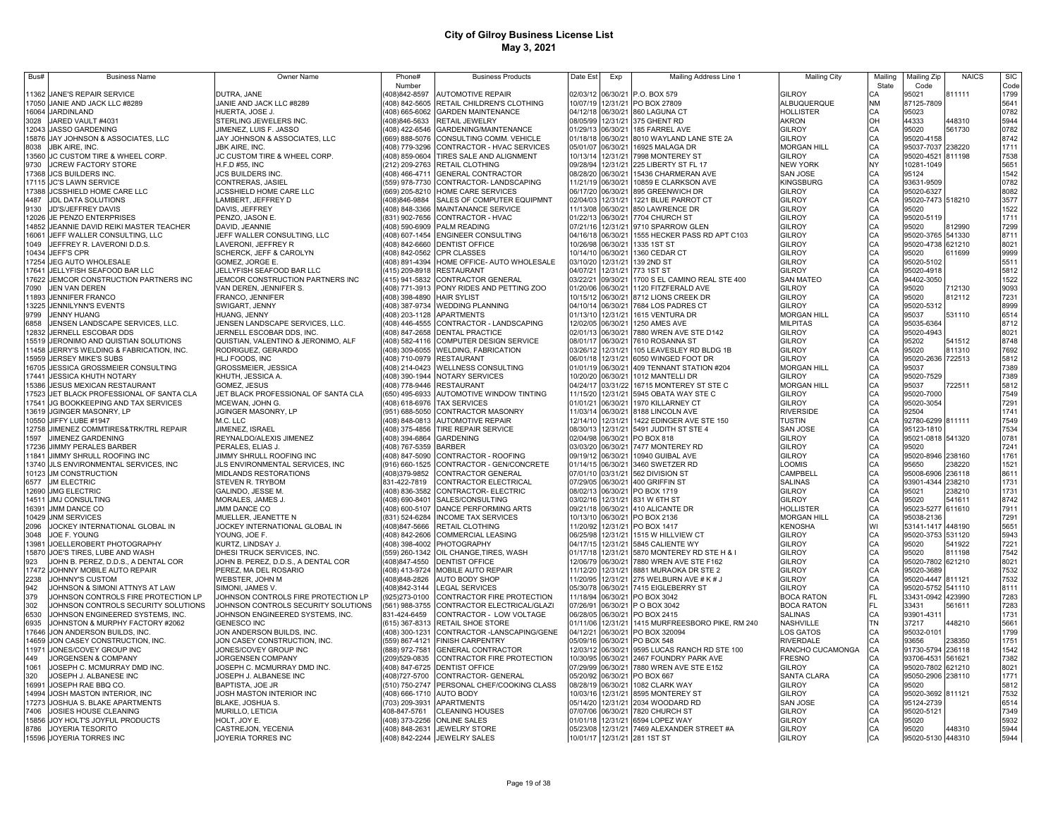| Bus#  | <b>Business Name</b>                                | Owner Name                              | Phone#         | <b>Business Products</b>               | Date Est          | Exp      | Mailing Address Line 1                     | <b>Mailing City</b>     | Mailing   | Mailing Zip                | <b>NAICS</b> | <b>SIC</b>   |
|-------|-----------------------------------------------------|-----------------------------------------|----------------|----------------------------------------|-------------------|----------|--------------------------------------------|-------------------------|-----------|----------------------------|--------------|--------------|
|       |                                                     |                                         | Number         |                                        |                   |          |                                            |                         | State     | Code                       |              | Code         |
| 11362 | JANE'S REPAIR SERVICE                               | DUTRA, JANE                             | 408)842-8597   | <b>AUTOMOTIVE REPAIR</b>               |                   |          | 02/03/12 06/30/21 P.O. BOX 579             | GILROY                  |           | 95021                      | 811111       | 1799         |
|       | 17050 JANIE AND JACK LLC #8289                      | JANIE AND JACK LLC #8289                | (408) 842-5605 | RETAIL CHILDREN'S CLOTHING             |                   |          | 10/07/19 12/31/21 PO BOX 27809             | ALBUQUERQUE             | <b>NM</b> | 87125-7809                 |              | 5641         |
| 16064 | <b>JARDINLAND</b>                                   | HUERTA, JOSE J.                         | (408) 665-6062 | <b>GARDEN MAINTENANCE</b>              |                   |          | 04/12/18 06/30/21 860 LAGUNA CT            | <b>HOLLISTER</b>        | CA        | 95023                      |              | 0782         |
| 3028  | JARED VAULT #4031                                   | STERLING JEWELERS INC.                  | 408)846-5633   | RETAIL JEWELRY                         | 08/05/99          |          | 12/31/21 375 GHENT RD                      | <b>AKRON</b>            | OH        | 44333                      | 448310       | 5944         |
| 12043 | <b>JASSO GARDENING</b>                              | JIMENEZ, LUIS F. JASSO                  | 408) 422-6546  | GARDENING/MAINTENANCE                  | 01/29/13 06/30/21 |          | 185 FARREL AVE                             | GILROY                  | CA        | 95020                      | 561730       | 0782         |
| 15876 | JAY JOHNSON & ASSOCIATES, LLC                       | JAY JOHNSON & ASSOCIATES, LLC           | (669) 888-5076 | CONSULTING COMM. VEHICLE               | 01/18/18          | 06/30/21 | 8010 WAYLAND LANE STE 2A                   | <b>GILROY</b>           | CA        | 95020-4158                 |              | 8742         |
| 8038  | <b>JBK AIRE, INC.</b>                               | <b>JBK AIRE, INC.</b>                   | (408) 779-3296 | CONTRACTOR - HVAC SERVICES             | 05/01/07          | 06/30/21 | 16925 MALAGA DR                            | <b>MORGAN HILL</b>      | CA        | 95037-7037                 | 238220       | 1711         |
| 13560 | JC CUSTOM TIRE & WHEEL CORP.                        | <b>JC CUSTOM TIRE &amp; WHEEL CORP.</b> | (408) 859-0604 | TIRES SALE AND ALIGNMENT               | 10/13/14          | 12/31/21 | 7998 MONTEREY ST                           | GILROY                  |           | 95020-4521                 | 811198       | 7538         |
| 9730  | JCREW FACTORY STORE                                 | H.F.D #55, INC                          | (212) 209-2763 | RETAIL CLOTHING                        | 09/28/94          | 12/31/21 | 225 LIBERTY ST FL 17                       | <b>NEW YORK</b>         | <b>NY</b> | 10281-1049                 |              | 5651         |
| 17368 | <b>JCS BUILDERS INC</b>                             | JCS BUILDERS INC.                       | (408) 466-4711 | <b>GENERAL CONTRACTOR</b>              | 08/28/20          | 06/30/21 | 15436 CHARMERAN AVE                        | SAN JOSE                |           | 95124                      |              | 1542         |
| 17115 | <b>JC'S LAWN SERVICE</b>                            | CONTRERAS, JASIEL                       | 559) 978-7730  | CONTRACTOR-LANDSCAPING                 | 11/21/19          | 06/30/21 | 10859 E CLARKSON AVE                       | KINGSBURG               |           | 93631-9509                 |              | 0782         |
| 17388 | JCSSHIELD HOME CARE LLC                             | JCSSHIELD HOME CARE LLC                 | (669) 205-8210 | HOME CARE SERVICES                     | 06/17/20          | 06/30/21 | 895 GREENWICH DR                           | GILROY                  | CA        | 95020-6327                 |              | 8082         |
| 4487  | JDL DATA SOLUTIONS                                  | LAMBERT, JEFFREY D                      | 408)846-9884   | SALES OF COMPUTER EQUIPMNT             | 02/04/03          | 12/31/21 | 1221 BLUE PARROT CT                        | GILROY                  | CA        | 95020-7473 518210          |              | 3577         |
| 9130  | JD'S/JEFFREY DAVIS                                  | DAVIS, JEFFREY                          | (408) 848-3366 | <b>MAINTANANCE SERVICE</b>             | 11/13/08 06/30/21 |          | 850 LAWRENCE DR                            | <b>GILROY</b>           | CA        | 95020                      |              | 1522         |
| 12026 | JE PENZO ENTERPRISES                                | PENZO, JASON E.                         | (831) 902-7656 | CONTRACTOR - HVAC                      | 01/22/13          | 06/30/21 | 7704 CHURCH ST                             | GILROY                  | CA        | 95020-5119                 |              | 1711         |
| 14852 | JEANNIE DAVID REIKI MASTER TEACHER                  | DAVID, JEANNIE                          | (408) 590-6909 | PALM READING                           | 07/21/16          | 12/31/21 | 9710 SPARROW GLEN                          | GILROY                  | CA        | 95020                      | 812990       | 7299         |
| 16061 | JEFF WALLER CONSULTING, LLC                         | JEFF WALLER CONSULTING, LLC             | (408) 607-1454 | ENGINEER CONSULTING                    | 04/16/18          | 06/30/21 | 1555 HECKER PASS RD APT C103               | GILROY                  | CA        | 95020-3765 541330          |              | 8711         |
| 1049  | JEFFREY R. LAVERONI D.D.S.                          | LAVERONI, JEFFREY R                     | (408) 842-6660 | DENTIST OFFICE                         | 10/26/98          | 06/30/21 | 1335 1ST ST                                | GILROY                  | CA        | 95020-4738 621210          |              | 8021         |
| 10434 | JEFF'S CPR                                          | SCHERCK, JEFF & CAROLYN                 | (408) 842-0562 | CPR CLASSES                            | 10/14/10          | 06/30/21 | 1360 CEDAR CT                              | GILROY                  | CA        | 95020                      | 611699       | 9999         |
| 17254 | JEG AUTO WHOLESALE                                  | GOMEZ, JORGE E.                         | (408) 891-4394 | HOME OFFICE- AUTO WHOLESALE            | 03/10/20          | 12/31/21 | 139 2ND ST                                 | <b>GILROY</b>           | CA        | 95020-5102                 |              | 5511         |
| 17641 | JELLYFISH SEAFOOD BAR LLC                           | JELLYFISH SEAFOOD BAR LLC               | (415) 209-8918 | RESTAURANT                             | 04/07/21          | 12/31/21 | 773 1ST ST                                 | GILROY                  | CA        | 95020-4918                 |              | 5812         |
| 17622 | JEMCOR CONSTRUCTION PARTNERS INC                    | JEMCOR CONSTRUCTION PARTNERS INC        | (415) 941-5832 | CONTRACTOR GENERAL                     | 03/22/21          | 09/30/21 | 1700 S EL CAMINO REAL STE 400              | SAN MATEO               | CA        | 94402-3050                 |              | 1522         |
| 7090  | <b>JEN VAN DEREN</b>                                | VAN DEREN, JENNIFER S.                  | (408) 771-3913 | PONY RIDES AND PETTING ZOO             | 01/20/06          | 06/30/21 | 1120 FITZFERALD AVE                        | GILROY                  | CA        | 95020                      | 712130       | 9093         |
|       | 11893 JENNIFER FRANCO                               | FRANCO, JENNIFER                        | (408) 398-4890 | <b>HAIR SYLIST</b>                     | 10/15/12          |          | 06/30/21 8712 LIONS CREEK DR               | GILROY                  | CA        | 95020                      | 812112       | 7231         |
| 13225 | JENNILYNN'S EVENTS                                  | SWIGART, JENNY                          | (408) 387-9734 | WEDDING PLANNING                       | 04/10/14          |          | 06/30/21 7684 LOS PADRES CT                | <b>GILROY</b>           | CA        | 95020-5312                 |              | 8999         |
| 9799  | <b>JENNY HUANG</b>                                  | HUANG, JENNY                            | (408) 203-1128 | <b>APARTMENTS</b>                      | 01/13/10          |          | 12/31/21 1615 VENTURA DR                   | <b>MORGAN HILL</b>      | CA        | 95037                      | 531110       | 6514         |
| 6858  | JENSEN LANDSCAPE SERVICES, LLC.                     | JENSEN LANDSCAPE SERVICES, LLC.         | (408) 446-4555 | CONTRACTOR - LANDSCAPING               | 12/02/05          | 06/30/21 | 1250 AMES AVE                              | <b>MILPITAS</b>         |           | 95035-6364                 |              | 8712         |
| 12832 | JERNELL ESCOBAR DDS                                 | JERNELL ESCOBAR DDS, INC.               | (408) 847-2658 | DENTAL PRACTICE                        |                   |          | 02/01/13 06/30/21 7880 WREN AVE STE D142   | <b>GILROY</b>           |           | 95020-4943                 |              | 8021         |
| 15519 | JERONIMO AND QUISTIAN SOLUTIONS                     | QUISTIAN, VALENTINO & JERONIMO, ALF     | (408) 582-4116 | COMPUTER DESIGN SERVICE                | 08/01/17          |          | 06/30/21 7610 ROSANNA ST                   | <b>GILROY</b>           |           | 95202                      | 541512       | 8748         |
| 11458 | JERRY'S WELDING & FABRICATION, INC.                 | RODRIGUEZ, GERARDO                      | (408) 309-6055 | <b>WELDING, FABRICATION</b>            | 03/26/12          |          | 12/31/21 105 LEAVESLEY RD BLDG 1B          | GILROY                  |           | 95020                      | 811310       | 7692         |
| 15959 | <b>JERSEY MIKE'S SUBS</b>                           |                                         |                | RESTAURANT                             | 06/01/18          |          | 12/31/21 6050 WINGED FOOT DR               | GILROY                  |           |                            |              |              |
| 16705 |                                                     | HLJ FOODS, INC                          | (408) 710-0979 |                                        |                   |          | 01/01/19 06/30/21 409 TENNANT STATION #204 | <b>MORGAN HILL</b>      |           | 95020-2636 722513<br>95037 |              | 5812<br>7389 |
| 17441 | JESSICA GROSSMEIER CONSULTING                       | GROSSMEIER, JESSICA                     | (408) 214-0423 | WELLNESS CONSULTING                    |                   |          |                                            | GILROY                  |           |                            |              |              |
|       | <b>JESSICA KHUTH NOTARY</b>                         | KHUTH, JESSICA A.                       | (408) 390-1944 | <b>NOTARY SERVICES</b>                 |                   |          | 10/20/20 06/30/21 1012 MANTELLI DR         |                         |           | 95020-7529                 |              | 7389         |
| 15386 | JESUS MEXICAN RESTAURANT                            | GOMEZ, JESUS                            | (408) 778-9446 | RESTAURANT                             | 04/24/17          |          | 03/31/22 16715 MONTEREY ST STE C           | <b>MORGAN HILL</b>      |           | 95037                      | 722511       | 5812         |
| 17523 | JET BLACK PROFESSIONAL OF SANTA CLA                 | JET BLACK PROFESSIONAL OF SANTA CLA     | (650) 495-6933 | <b>AUTOMOTIVE WINDOW TINTING</b>       | 11/15/20          |          | 12/31/21 5945 OBATA WAY STE C              | <b>GILROY</b>           |           | 95020-7000                 |              | 7549         |
| 17541 | JG BOOKKEEPING AND TAX SERVICES                     | MCEWAN, JOHN G.                         | (408) 618-6976 | <b>TAX SERVICES</b>                    | 01/01/21          | 06/30/21 | 1970 KILLARNEY CT                          | GILROY                  | CA        | 95020-3054                 |              | 7291         |
| 13619 | JGINGER MASONRY, LP                                 | JGINGER MASONRY, LP                     | 951) 688-5050  | CONTRACTOR MASONRY                     | 11/03/14          | 06/30/21 | 8188 LINCOLN AVE                           | RIVERSIDE               | CA        | 92504                      |              | 1741         |
| 10550 | JIFFY LUBE #1947                                    | M.C. LLC                                | (408) 848-0813 | <b>AUTOMOTIVE REPAIR</b>               | 12/14/10          | 12/31/21 | 1422 EDINGER AVE STE 150                   | <b>TUSTIN</b>           | CA        | 92780-6299 811111          |              | 7549         |
| 12758 | JIMENEZ COMMTIRES&TRK/TRL REPAIR                    | JIMENEZ, ISRAEL                         | (408) 375-4856 | <b>TIRE REPAIR SERVICE</b>             | 08/30/13          | 12/31/21 | 5491 JUDITH ST STE 4                       | SAN JOSE                | CA        | 95123-1810                 |              | 7534         |
| 1597  | JIMENEZ GARDENING                                   | REYNALDO/ALEXIS JIMENEZ                 | 408) 394-6864  | GARDENING                              | 02/04/98          | 06/30/21 | PO BOX 818                                 | GILROY                  | CA        | 95021-0818 541320          |              | 0781         |
| 17236 | <b>JIMMY PERALES BARBER</b>                         | PERALES, ELIAS J.                       | (408) 767-5359 | <b>BARBER</b>                          | 03/03/20          | 06/30/21 | 7477 MONTEREY RD                           | GILROY                  | CA        | 95020                      |              | 7241         |
| 11841 | JIMMY SHRULL ROOFING INC                            | JIMMY SHRULL ROOFING INC                | (408) 847-5090 | CONTRACTOR - ROOFING                   | 09/19/12          | 06/30/21 | 10940 GUIBAL AVE                           | GILROY                  | CA        | 95020-8946 238160          |              | 1761         |
| 13740 | JLS ENVIRONMENTAL SERVICES, INC                     | JLS ENVIRONMENTAL SERVICES, INC         | (916) 660-1525 | CONTRACTOR - GEN/CONCRETE              | 01/14/15          | 06/30/21 | 3460 SWETZER RD                            | <b>COMIS</b>            | CA        | 95650                      | 238220       | 1521         |
| 10123 | <b>JM CONSTRUCTION</b>                              | MIDLANDS RESTORATIONS                   | (408)379-9852  | CONTRACTOR GENERAL                     | 07/01/10          | 03/31/21 | 562 DIVISION ST                            | CAMPBEL                 | CA        | 95008-6906 236118          |              | 8611         |
| 6577  | <b>JM ELECTRIC</b>                                  | STEVEN R. TRYBOM                        | 831-422-7819   | CONTRACTOR ELECTRICAL                  | 07/29/05          | 06/30/21 | 400 GRIFFIN ST                             | <b>SALINAS</b>          | CA        | 93901-4344                 | 238210       | 1731         |
| 12690 | <b>JMG ELECTRIC</b>                                 | GALINDO, JESSE M.                       | (408) 836-3582 | CONTRACTOR- ELECTRIC                   | 08/02/13          | 06/30/21 | PO BOX 1719                                | <b>GILROY</b>           | CA        | 95021                      | 238210       | 1731         |
| 14511 | <b>JMJ CONSULTING</b>                               | MORALES, JAMES J.                       | (408) 690-8401 | SALES/CONSULTING                       | 03/02/16          | 12/31/21 | 831 W 6TH ST                               | <b>GILROY</b>           | CA        | 95020                      | 541611       | 8742         |
| 16391 | <b>JMM DANCE CO</b>                                 | <b>JMM DANCE CO</b>                     | (408) 600-5107 | DANCE PERFORMING ARTS                  | 09/21/18          | 06/30/21 | 410 ALICANTE DR                            | HOLLISTER               | CA        | 95023-5277                 | 611610       | 7911         |
| 10429 | <b>JNM SERVICES</b>                                 | MUELLER, JEANETTE N                     | (831) 524-6284 | <b>INCOME TAX SERVICES</b>             | 10/13/10          | 06/30/21 | PO BOX 2136                                | <b>MORGAN HILL</b>      | CA        | 95038-2136                 |              | 7291         |
| 2096  | JOCKEY INTERNATIONAL GLOBAL IN                      | JOCKEY INTERNATIONAL GLOBAL IN          | (408)847-5666  | RETAIL CLOTHING                        | 11/20/92          |          | 12/31/21 PO BOX 1417                       | <b>KENOSHA</b>          | WI        | 53141-1417                 | 448190       | 5651         |
| 3048  | JOE F. YOUNG                                        | YOUNG, JOE F.                           | (408) 842-2606 | COMMERCIAL LEASING                     | 06/25/98          |          | 12/31/21 1515 W HILLVIEW CT                | <b>GILROY</b>           | CA        | 95020-3753 531120          |              | 5943         |
| 13981 | JOELLEROBERT PHOTOGRAPHY                            | KURTZ, LINDSAY J.                       | (408) 398-4002 | PHOTOGRAPHY                            | 04/17/15          |          | 12/31/21 5845 CALIENTE WY                  | GILROY                  | CA        | 95020                      | 541922       | 7221         |
| 15870 | JOE'S TIRES, LUBE AND WASH                          | DHESI TRUCK SERVICES, INC.              | (559) 260-1342 | OIL CHANGE, TIRES, WASH                | 01/17/18          |          | 12/31/21 5870 MONTEREY RD STE H & I        | GILROY                  | CA        | 95020                      | 811198       | 7542         |
| 923   | JOHN B. PEREZ, D.D.S., A DENTAL COR                 | JOHN B. PEREZ, D.D.S., A DENTAL COR     | (408) 847-4550 | DENTIST OFFICE                         | 12/06/79          |          | 06/30/21 7880 WREN AVE STE F162            | GILROY                  | CA        | 95020-7802 621210          |              | 8021         |
| 17472 | JOHNNY MOBILE AUTO REPAIR                           | PEREZ, MA DEL ROSARIO                   | (408) 413-9724 | MOBILE AUTO REPAIR                     | 11/12/20          |          | 12/31/21 8881 MURAOKA DR STE 2             | GILROY                  | CA        | 95020-3689                 |              | 7532         |
| 2238  | JOHNNY'S CUSTOM                                     | WEBSTER, JOHN M                         | (408) 848-2826 | <b>AUTO BODY SHOP</b>                  | 11/20/95          |          | 12/31/21 275 WELBURN AVE # K # J           | GILROY                  | CA        | 95020-4447 811121          |              | 7532         |
| 942   | JOHNSON & SIMONI ATTNYS AT LAW                      | SIMONI, JAMES V.                        | 408)842-3144   | <b>LEGAL SERVICES</b>                  | 05/30/78          |          | 06/30/21 7415 EIGLEBERRY ST                | GILROY                  | CA        | 95020-5752 541110          |              | 8111         |
| 379   | JOHNSON CONTROLS FIRE PROTECTION LP                 | JOHNSON CONTROLS FIRE PROTECTION LP     | 925)273-0100   | CONTRACTOR FIRE PROTECTION             | 11/18/94          |          | 06/30/21 PO BOX 3042                       | <b>BOCA RATON</b>       | FL.       | 33431-0942 423990          |              | 7283         |
| 302   | JOHNSON CONTROLS SECURITY SOLUTIONS                 | JOHNSON CONTROLS SECURITY SOLUTIONS     | (561) 988-3755 | CONTRACTOR ELECTRICAL/GLAZI            | 07/26/91          |          | 06/30/21 P O BOX 3042                      | <b>BOCA RATON</b>       | FL        | 33431                      | 561611       | 7283         |
| 6530  | JOHNSON ENGINEERED SYSTEMS, INC.                    | JOHNSON ENGINEERED SYSTEMS, INC.        | 831-424-6459   | CONTRACTOR - LOW VOLTAGE               |                   |          | 06/28/05 06/30/21 PO BOX 2415              | <b>SALINAS</b>          |           | 93901-4311                 |              | 1731         |
| 6935  | JOHNSTON & MURPHY FACTORY #2062                     | GENESCO INC                             | (615) 367-8313 | RETAIL SHOE STORE                      | 01/11/06          |          | 12/31/21 1415 MURFREESBORO PIKE, RM 240    | NASHVILLE               | TN        | 37217                      | 448210       | 5661         |
| 17646 | JON ANDERSON BUILDS, INC.                           | JON ANDERSON BUILDS, INC.               | (408) 300-1231 | CONTRACTOR -LANSCAPING/GENE            | 04/12/21          | 06/30/21 | PO BOX 320094                              | LOS GATOS               | CA        | 95032-0101                 |              | 1799         |
| 14659 | JON CASEY CONSTRUCTION, INC.                        | JON CASEY CONSTRUCTION, INC.            | (559) 867-4121 | <b>FINISH CARPENTRY</b>                | 05/09/16 06/30/21 |          | <b>PO BOX 548</b>                          | RIVERDALE               | CA        | 93656                      | 238350       | 1751         |
| 11971 | JONES/COVEY GROUP INC                               | JONES/COVEY GROUP INC                   | 888) 972-7581  | <b>GENERAL CONTRACTOR</b>              | 12/03/12          | 06/30/21 | 9595 LUCAS RANCH RD STE 100                | RANCHO CUCAMONGA        | CA        | 91730-5794                 | 236118       | 1542         |
| 449   | JORGENSEN & COMPANY                                 | JORGENSEN COMPANY                       | (209)529-0835  | CONTRACTOR FIRE PROTECTION             | 10/30/95          | 06/30/21 | 2467 FOUNDRY PARK AVE                      | <b>FRESNO</b>           | CA        | 93706-4531                 | 561621       | 7382         |
| 1061  | JOSEPH C. MCMURRAY DMD INC.                         | JOSEPH C. MCMURRAY DMD INC.             | (408) 847-6725 | <b>DENTIST OFFICE</b>                  | 07/29/99          | 06/30/21 | 7880 WREN AVE STE E152                     | <b>GILROY</b>           | CA        | 95020-7802 621210          |              | 8021         |
| 320   | JOSEPH J. ALBANESE INC                              | JOSEPH J. ALBANESE INC                  | (408) 727-5700 | CONTRACTOR- GENERAL                    | 05/20/92          | 06/30/21 | PO BOX 667                                 | SANTA CLARA             | CA        | 95050-2906 238110          |              | 1771         |
| 16991 | JOSEPH RAE BBQ CO.                                  | BAPTISTA, JOE JR                        | (510) 750-2747 | PERSONAL CHEF/COOKING CLASS            | 08/28/19          | 06/30/21 | 1082 CLARK WAY                             | GILROY                  |           | 95020                      |              | 5812         |
| 14994 | JOSH MASTON INTERIOR, INC                           | JOSH MASTON INTERIOR INC                | (408) 666-1710 | AUTO BODY                              | 10/03/16          | 12/31/21 | 8595 MONTEREY ST                           | GILROY                  |           | 95020-3692 811121          |              | 7532         |
| 17273 | JOSHUA S. BLAKE APARTMENTS                          | BLAKE, JOSHUA S.                        | 703) 209-3931  | <b>APARTMENTS</b>                      | 05/14/20          | 12/31/21 | 2034 WOODARD RD                            | SAN JOSE                |           | 95124-2739                 |              | 6514         |
| 7406  |                                                     |                                         | 408-847-5761   |                                        | 07/07/06          | 06/30/21 |                                            | GILROY                  |           |                            |              | 7349         |
| 15856 | JOSIES HOUSE CLEANING<br>JOY HOLT'S JOYFUL PRODUCTS | MURILLO, LETICIA<br>HOLT, JOY E.        | (408) 373-2256 | CLEANING HOUSES<br><b>ONLINE SALES</b> | 01/01/18          | 12/31/21 | 7820 CHURCH ST<br>6594 LOPEZ WAY           | GILROY                  |           | 95020-5121<br>95020        |              | 5932         |
| 8786  | JOYERIA TESORITO                                    | CASTREJON, YECENIA                      | (408) 848-2631 | <b>JEWELRY STORE</b>                   |                   |          | 12/31/21 7469 ALEXANDER STREET #A          |                         |           | 95020                      | 448310       | 5944         |
|       |                                                     |                                         |                |                                        | 05/23/08          |          |                                            | GILROY<br><b>GILROY</b> | CA<br>CA  | 95020-5130 448310          |              | 5944         |
|       | 15596 JOYERIA TORRES INC                            | JOYERIA TORRES INC                      | (408) 842-2244 | JEWELRY SALES                          | 10/01/17          |          | 12/31/21 281 1ST ST                        |                         |           |                            |              |              |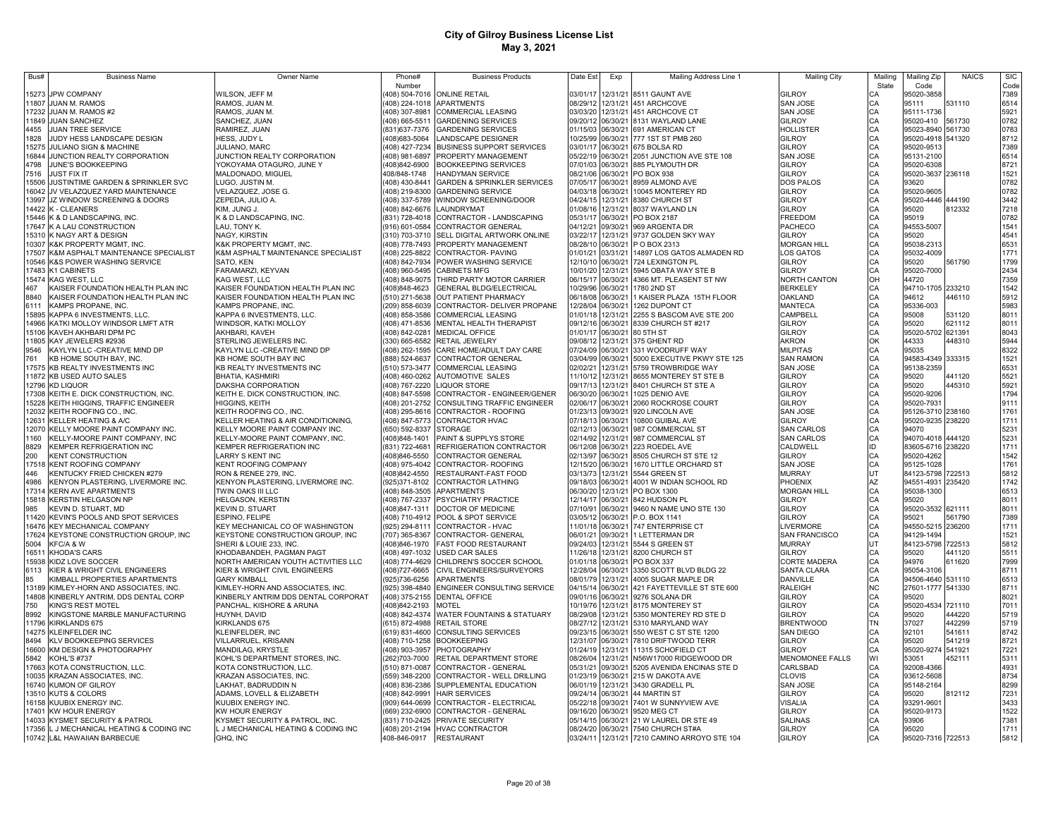| Bus#  | <b>Business Name</b>                         | Owner Name                          | Phone#         | <b>Business Products</b>                                          | Date Est<br>Exp      | Mailing Address Line 1                       | <b>Mailing City</b>    | Mailing   | Mailing Zip       | <b>NAICS</b>     | <b>SIC</b>   |
|-------|----------------------------------------------|-------------------------------------|----------------|-------------------------------------------------------------------|----------------------|----------------------------------------------|------------------------|-----------|-------------------|------------------|--------------|
|       |                                              |                                     | Number         |                                                                   |                      |                                              |                        | State     | Code              |                  | Code         |
| 15273 | <b>JPW COMPANY</b>                           | WILSON, JEFF M                      |                | 408) 504-7016 ONLINE RETAIL                                       | 03/01/17             | 12/31/21 8511 GAUNT AVE                      | <b>GILROY</b>          |           | 95020-3858        |                  | 7389         |
|       | 11807 JUAN M. RAMOS                          | RAMOS, JUAN M.                      |                | (408) 224-1018 APARTMENTS                                         | 08/29/12             | 12/31/21 451 ARCHCOVE                        | <b>SAN JOSE</b>        | CA        | 95111             | 531110           | 6514         |
|       | 17232 JUAN M. RAMOS #2                       | RAMOS, JUAN M.                      |                | (408) 307-8981 COMMERCIAL LEASING                                 | 03/03/20             | 12/31/21 451 ARCHCOVE CT                     | <b>SAN JOSE</b>        |           | 95111-1736        |                  | 5921         |
|       | 11849 JUAN SANCHEZ                           | SANCHEZ, JUAN                       |                | (408) 665-5511 GARDENING SERVICES                                 | 09/20/12             | 06/30/21 8131 WAYLAND LANE                   | <b>GILROY</b>          | CA<br>CA  | 95020-410         | 561730           | 0782         |
| 4455  | JUAN TREE SERVICE                            | RAMIREZ, JUAN                       | (831) 637-7376 | <b>GARDENING SERVICES</b>                                         | 01/15/03             | 06/30/21 691 AMERICAN CT                     | HOLLISTER              | CA        | 95023-8940 561730 |                  | 0783         |
| 1828  | JUDY HESS LANDSCAPE DESIGN                   | HESS, JUDY L                        | (408)683-5064  | LANDSCAPE DESIGNER                                                | 10/25/99<br>06/30/21 | 777 1ST ST PMB 260                           | <b>GILROY</b>          | CA        | 95020-4918 541320 |                  | 8712         |
| 15275 | JULIANO SIGN & MACHINE                       | JULIANO, MARC                       | (408) 427-7234 | <b>BUSINESS SUPPORT SERVICES</b>                                  | 03/01/17<br>06/30/21 | 675 BOLSA RD                                 | GILROY                 | CA        | 95020-9513        |                  | 7389         |
| 16844 | JUNCTION REALTY CORPORATION                  | JUNCTION REALTY CORPORATION         | (408) 981-6897 | PROPERTY MANAGEMENT                                               | 05/22/19<br>06/30/21 | 2051 JUNCTION AVE STE 108                    | <b>SAN JOSE</b>        |           | 95131-2100        |                  | 6514         |
| 4798  | JUNE'S BOOKKEEPING                           | YOKOYAMA OTAGURO, JUNE Y            | (408)842-6900  | <b>BOOKKEEPING SERVICES</b>                                       | 07/01/03<br>06/30/21 | 885 PLYMOUTH DR                              | <b>GILROY</b>          | CA        | 95020-6308        |                  | 8721         |
| 7516  | <b>JUST FIX IT</b>                           | MALDONADO, MIGUEL                   | 408/848-1748   | HANDYMAN SERVICE                                                  | 08/21/06<br>06/30/21 | PO BOX 938                                   | GILROY                 | CA        | 95020-3637 236118 |                  | 1521         |
| 15506 | JUSTINTIME GARDEN & SPRINKLER SVC            | LUGO, JUSTIN M.                     | (408) 430-8441 | <b>GARDEN &amp; SPRINKLER SERVICES</b>                            | 07/05/17<br>06/30/21 | 8959 ALMOND AVE                              | DOS PALOS              |           | 93620             |                  | 0782         |
| 16042 | JV VELAZQUEZ YARD MAINTENANCE                | VELAZQUEZ, JOSE G.                  | (408) 219-8300 | <b>GARDENING SERVICE</b>                                          | 04/03/18<br>06/30/21 | 10045 MONTEREY RD                            | GILROY                 | CA        | 95020-9605        |                  | 0782         |
| 13997 | JZ WINDOW SCREENING & DOORS                  | ZEPEDA. JULIO A.                    |                | 408) 337-5789 WINDOW SCREENING/DOOR                               | 04/24/15<br>12/31/21 | 8380 CHURCH ST                               | GILROY                 |           | 95020-4446 444190 |                  | 3442         |
| 14422 |                                              |                                     |                |                                                                   |                      |                                              |                        | CA        |                   |                  | 7218         |
|       | K - CLEANERS                                 | KIM, JUNG J.                        | 408) 842-6676  | LAUNDRYMAT                                                        | 01/08/16<br>12/31/21 | 8037 WAYLAND LN                              | GILROY                 |           | 95020             | 812332           |              |
| 15446 | K & D LANDSCAPING, INC.                      | K & D LANDSCAPING, INC.             | 831) 728-4018  | CONTRACTOR - LANDSCAPING                                          | 05/31/17<br>06/30/21 | PO BOX 2187                                  | FREEDOM                |           | 95019             |                  | 0782         |
| 17647 | K A LAU CONSTRUCTION                         | LAU, TONY K.                        | 916) 601-0584  | CONTRACTOR GENERAL                                                | 04/12/21<br>09/30/21 | 969 ARGENTA DR                               | PACHECO                |           | 94553-5007        |                  | 1541         |
| 15310 | K NAGY ART & DESIGN                          | NAGY, KIRSTIN                       | (310) 703-3710 | SELL DIGITAL ARTWORK ONLINE                                       | 03/22/17<br>12/31/21 | 9737 GOLDEN SKY WAY                          | GILROY                 |           | 95020             |                  | 4541         |
| 10307 | K&K PROPERTY MGMT, INC                       | K&K PROPERTY MGMT, INC              | (408) 778-7493 | PROPERTY MANAGEMENT                                               | 08/28/10<br>06/30/21 | P O BOX 2313                                 | <b>MORGAN HILL</b>     |           | 95038-2313        |                  | 6531         |
| 17507 | K&M ASPHALT MAINTENANCE SPECIALIST           | K&M ASPHALT MAINTENANCE SPECIALIST  | (408) 225-8822 | CONTRACTOR- PAVING                                                | 01/01/21<br>03/31/21 | 14897 LOS GATOS ALMADEN RD                   | LOS GATOS              | CA        | 95032-4009        |                  | 1771         |
| 10546 | K&S POWER WASHING SERVICE                    | SATO, KEN                           | (408) 842-7934 | POWER WASHING SERVICE                                             | 12/10/10<br>06/30/21 | 724 LEXINGTON PL                             | <b>GILROY</b>          | CА        | 95020             | 561790           | 1799         |
| 17483 | K1 CABINETS                                  | FARAMARZI, KEYVAN                   | (408) 960-5495 | CABINETS MFG                                                      | 10/01/20<br>12/31/21 | 5945 OBATA WAY STE B                         | <b>GILROY</b>          | CA        | 95020-7000        |                  | 2434         |
| 15474 | KAG WEST, LLC                                | KAG WEST, LLC                       | (408) 848-9075 | THIRD PARTY MOTOR CARRIER                                         | 06/15/17<br>06/30/21 | 4366 MT. PLEASENT ST NW                      | NORTH CANTON           | OH        | 44720             |                  | 7359         |
| 467   | KAISER FOUNDATION HEALTH PLAN INC            | KAISER FOUNDATION HEALTH PLAN INC   | (408)848-4623  | GENERAL BLDG/ELECTRICAL                                           | 10/29/96<br>06/30/21 | 1780 2ND ST                                  | <b>BERKELEY</b>        | CA        | 94710-1705 233210 |                  | 1542         |
| 8840  | KAISER FOUNDATION HEALTH PLAN INC            | KAISER FOUNDATION HEALTH PLAN INC   | (510) 271-5638 | OUT PATIENT PHARMACY                                              | 06/18/08<br>06/30/21 | 1 KAISER PLAZA 15TH FLOOR                    | OAKLAND                | CA        | 94612             | 446110           | 5912         |
| 6111  | KAMPS PROPANE, INC.                          | KAMPS PROPANE, INC.                 | (209) 858-6039 | CONTRACTOR- DELIVER PROPANE                                       | 12/28/04<br>06/30/21 | 1262 DUPONT CT                               | <b>MANTECA</b>         | CA        | 95336-003         |                  | 5983         |
| 15895 | KAPPA 6 INVESTMENTS, LLC.                    | KAPPA 6 INVESTMENTS, LLC            | (408) 858-3586 | COMMERCIAL LEASING                                                | 01/01/18<br>12/31/21 | 2255 S BASCOM AVE STE 200                    | CAMPBELL               | CA        | 95008             | 531120           | 8011         |
| 14966 | KATKI MOLLOY WINDSOR LMFT ATR                | WINDSOR, KATKI MOLLOY               |                | (408) 471-8536 MENTAL HEALTH THERAPIST                            | 09/12/16<br>06/30/21 | 8339 CHURCH ST #217                          | GILROY                 | CA        | 95020             | 621112           | 8011         |
|       | 15106 KAVEH AKHBARI DPM PC                   | AKHBARI, KAVEH                      | (408) 842-0281 | <b>MEDICAL OFFICE</b>                                             | 01/01/17<br>06/30/21 | 80 5TH ST                                    | <b>GILROY</b>          | CA        | 95020-5702 621391 |                  | 8043         |
|       | 11805 KAY JEWELERS #2936                     | STERLING JEWELERS INC.              |                | 330) 665-6582 RETAIL JEWELRY                                      | 09/08/12<br>12/31/21 | 375 GHENT RD                                 | <b>AKRON</b>           | OK        | 44333             | 448310           | 5944         |
| 9546  | KAYLYN LLC - CREATIVE MIND DP                | KAYLYN LLC -CREATIVE MIND DP        |                | (408) 262-1595 CARE HOME/ADULT DAY CARE                           | 07/24/09<br>06/30/21 | 331 WOODRUFF WAY                             | <b>MILPITAS</b>        | CA        | 95035             |                  | 8322         |
| 761   | KB HOME SOUTH BAY. INC.                      | KB HOME SOUTH BAY INC               |                | 888) 524-6637 CONTRACTOR GENERAL                                  | 03/04/99<br>06/30/21 | 5000 EXECUTIVE PKWY STE 125                  | <b>SAN RAMON</b>       | CA        | 94583-4349 333315 |                  | 1521         |
|       | 17575 KB REALTY INVESTMENTS INC              | KB REALTY INVESTMENTS INC           |                | 510) 573-3477 COMMERCIAL LEASING                                  | 02/02/21<br>12/31/21 | 5759 TROWBRIDGE WAY                          | <b>SAN JOSE</b>        | CA        | 95138-2359        |                  | 6531         |
|       | 11872 KB USED AUTO SALES                     | BHATIA, KASHMIRI                    | 408) 460-0262  | <b>AUTOMOTIVE SALES</b>                                           | 11/10/12<br>12/31/21 | 8655 MONTEREY ST STE B                       | GILROY                 | CA        | 95020             | 441120           | 5521         |
|       | 12796 KD LIQUOR                              | DAKSHA CORPORATION                  |                | 408) 767-2220 LIQUOR STORE                                        | 09/17/13<br>12/31/21 | 8401 CHURCH ST STE A                         | GILROY                 | CA        | 95020             | 445310           | 5921         |
|       | 17308 KEITH E. DICK CONSTRUCTION, INC        | KEITH E. DICK CONSTRUCTION, INC.    | (408) 847-5598 | CONTRACTOR - ENGINEER/GENER                                       | 06/30/20<br>06/30/21 | 1025 DENIO AVE                               | GILROY                 | CA        | 95020-9206        |                  | 1794         |
|       | <b>15228 KEITH HIGGINS, TRAFFIC ENGINEER</b> | HIGGINS, KEITH                      | (408) 201-2752 | CONSULTING TRAFFIC ENGINEER                                       | 02/06/17<br>06/30/21 | 2060 ROCKROSE COURT                          | GILROY                 | CA        | 95020-7931        |                  | 9111         |
|       | 12032 KEITH ROOFING CO., INC.                | KEITH ROOFING CO., INC.             |                | (408) 295-8616 CONTRACTOR - ROOFING                               | 01/23/13 09/30/21    | 920 LINCOLN AVE                              | <b>SAN JOSE</b>        |           | 95126-3710 238160 |                  | 1761         |
|       | 12631 KELLER HEATING & A/C                   | KELLER HEATING & AIR CONDITIONING,  |                | (408) 847-5773 CONTRACTOR HVAC                                    | 07/18/13<br>06/30/21 | 10800 GUIBAL AVE                             | <b>GILROY</b>          |           | 95020-9235 238220 |                  | 1711         |
| 12070 | KELLY MOORE PAINT COMPANY INC.               | KELLY MOORE PAINT COMPANY INC.      | (650) 592-8337 | <b>STORAGE</b>                                                    | 02/12/13<br>06/30/21 | 987 COMMERCIAL ST                            | <b>SAN CARLOS</b>      |           | 94070             |                  | 5231         |
| 1160  | KELLY-MOORE PAINT COMPANY, INC               | KELLY-MOORE PAINT COMPANY, INC.     | (408)848-1401  | PAINT & SUPPLYS STORE                                             | 02/14/92             | 12/31/21 987 COMMERCIAL ST                   | <b>SAN CARLOS</b>      |           | 94070-4018 444120 |                  | 5231         |
| 8829  | KEMPER REFRIGERATION INC                     | KEMPER REFRIGERATION INC            | (831) 722-4681 | REFRIGERATION CONTRACTOR                                          | 06/12/08<br>06/30/21 | 223 ROEDEL AVE                               | CALDWELL               | ID        | 83605-6716 238220 |                  | 1711         |
| 200   | <b>KENT CONSTRUCTION</b>                     | <b>LARRY S KENT INC</b>             | (408) 846-5550 | CONTRACTOR GENERAL                                                | 02/13/97<br>06/30/21 | 8505 CHURCH ST STE 12                        | GILROY                 | CA        | 95020-4262        |                  | 1542         |
|       | 17518 KENT ROOFING COMPANY                   | KENT ROOFING COMPANY                | (408) 975-4042 | CONTRACTOR-ROOFING                                                | 12/15/20<br>06/30/21 | 1670 LITTLE ORCHARD ST                       | <b>SAN JOSE</b>        |           | 95125-1028        |                  | 1761         |
| 446   | KENTUCKY FRIED CHICKEN #279                  | RON & RENEE 279, INC.               | 408)842-4550   | RESTAURANT-FAST FOOD                                              | 03/13/73<br>12/31/21 | 5544 GREEN ST                                | <b>MURRAY</b>          |           | 84123-5798        | 722513           | 5812         |
| 4986  | KENYON PLASTERING, LIVERMORE INC.            | KENYON PLASTERING, LIVERMORE INC.   | 925)371-8102   | CONTRACTOR LATHING                                                | 09/18/03<br>06/30/21 | 4001 W INDIAN SCHOOL RD                      | PHOENIX                | AZ        | 94551-4931        | 235420           | 1742         |
| 17314 | <b>KERN AVE APARTMENTS</b>                   | TWIN OAKS III LLC                   | (408) 848-3505 | <b>APARTMENTS</b>                                                 | 06/30/20<br>12/31/21 | PO BOX 1300                                  | <b>MORGAN HILL</b>     | CA        | 95038-1300        |                  | 6513         |
|       | 15818 KERSTIN HELGASON NP                    | HELGASON, KERSTIN                   | 408) 767-2337  | PSYCHIATRY PRACTICE                                               | 12/14/17<br>06/30/21 | 842 HUDSON PL                                | GILROY                 | CA        | 95020             |                  | 8011         |
| 985   | KEVIN D. STUART, MD                          | <b>KEVIN D. STUART</b>              | 408)847-1311   | DOCTOR OF MEDICINE                                                | 07/10/91<br>06/30/21 | 9460 N NAME UNO STE 130                      | GILROY                 | CA        | 95020-3532 621111 |                  | 8011         |
| 11420 | KEVIN'S POOLS AND SPOT SERVICES              | ESPINO, FELIPE                      | 408) 710-4912  | POOL & SPOT SERVICE                                               | 03/05/12<br>06/30/21 | P.O. BOX 1141                                | GILROY                 |           | 95021             | 561790           | 7389         |
| 16476 | KEY MECHANICAL COMPANY                       | KEY MECHANICAL CO OF WASHINGTON     | 925) 294-8111  | CONTRACTOR - HVAC                                                 | 11/01/18<br>06/30/21 | 747 ENTERPRISE CT                            | LIVERMORE              | CA        | 94550-5215        | 236200           | 1711         |
| 17624 | KEYSTONE CONSTRUCTION GROUP, INC             | KEYSTONE CONSTRUCTION GROUP, INC    | 707) 365-8367  | CONTRACTOR- GENERAL                                               | 06/01/21<br>09/30/21 | 1 LETTERMAN DR                               | <b>SAN FRANCISCO</b>   | CA        | 94129-1494        |                  | 1521         |
| 5004  | KFC/A & W                                    | SHERI & LOUIE 233, INC              | (408)846-1970  | FAST FOOD RESTAURANT                                              | 09/24/03<br>12/31/21 | 5544 S GREEN ST                              | MURRAY                 | UT        | 84123-5798        | 722513           | 5812         |
| 16511 | <b>KHODA'S CARS</b>                          | KHODABANDEH, PAGMAN PAGT            | (408) 497-1032 | USED CAR SALES                                                    | 11/26/18<br>12/31/21 | 8200 CHURCH ST                               | GILROY                 | CA        | 95020             | 441120           | 5511         |
| 15938 | KIDZ LOVE SOCCER                             | NORTH AMERICAN YOUTH ACTIVITIES LLC | (408) 774-4629 | CHILDREN'S SOCCER SCHOOL                                          | 01/01/18<br>06/30/21 | PO BOX 337                                   | CORTE MADERA           | CA        | 94976             | 611620           | 7999         |
| 6113  | KIER & WRIGHT CIVIL ENGINEERS                | KIER & WRIGHT CIVIL ENGINEERS       | (408) 727-6665 | CIVIL ENGINEERS/SURVEYORS                                         | 12/28/04<br>06/30/21 | 3350 SCOTT BLVD BLDG 22                      | SANTA CLARA            | CA        | 95054-3106        |                  | 8711         |
| 85    | KIMBALL PROPERTIES APARTMENTS                | <b>GARY KIMBALL</b>                 | (925)736-6256  | APARTMENTS                                                        | 08/01/79<br>12/31/21 | 4005 SUGAR MAPLE DR                          | DANVILLE               | CA        | 94506-4640 531110 |                  | 6513         |
| 13189 | KIMLEY-HORN AND ASSOCIATES, INC.             | KIMLEY-HORN AND ASSOCIATES, INC.    | (925) 398-4840 | <b>ENGINEER CONSULTING SERVICE</b>                                | 04/15/14<br>06/30/21 | 421 FAYETTEVILLE ST STE 600                  | RALEIGH                | <b>NC</b> | 27601-1777 541330 |                  | 8711         |
|       | 14808 KINBERLY ANTRIM, DDS DENTAL CORP       | KINBERLY ANTRIM DDS DENTAL CORPORAT |                | (408) 375-2155 DENTAL OFFICE                                      | 09/01/16<br>06/30/21 | 9276 SOLANA DR                               | <b>GILROY</b>          | CA        | 95020             |                  | 8021         |
| 750   | KING'S REST MOTEL                            | PANCHAL, KISHORE & ARUNA            | (408)842-2193  | <b>MOTEL</b>                                                      | 10/19/76<br>12/31/21 | 8175 MONTEREY ST                             | <b>GILROY</b>          | CA        | 95020-4534        | 721110           | 7011         |
| 8992  | KINGSTONE MARBLE MANUFACTURING               |                                     |                | (408) 842-4374 WATER FOUNTAINS & STATUARY                         | 08/29/08<br>12/31/21 | 5350 MONTEREY RD STE D                       | <b>GILROY</b>          | CA        | 95020             | 444220           | 5719         |
| 11796 | KIRKLANDS 675                                | HUYNH, DAVID                        |                |                                                                   | 08/27/12<br>12/31/21 | 5310 MARYLAND WAY                            | <b>BRENTWOOD</b>       | <b>TN</b> | 37027             |                  |              |
|       | 14275 KLEINFELDER INC                        | KIRKLANDS 675<br>KLEINFELDER, INC   |                | (615) 872-4988 RETAIL STORE<br>(619) 831-4600 CONSULTING SERVICES | 09/23/15<br>06/30/21 | 550 WEST C ST STE 1200                       | <b>SAN DIEGO</b>       | CA        | 92101             | 442299<br>541611 | 5719<br>8742 |
|       |                                              |                                     |                |                                                                   | 12/31/07             |                                              |                        |           |                   | 541219           |              |
| 8494  | <b>KLV BOOKKEEPING SERVICES</b>              | VILLARRUEL, KRISANN                 |                | (408) 710-1258 BOOKKEEPING                                        | 06/30/21             | 7810 DRIFTWOOD TERR                          | <b>GILROY</b>          | CA        | 95020             |                  | 8721         |
| 16600 | KM DESIGN & PHOTOGRAPHY                      | MANDILAG, KRYSTLE                   |                | (408) 903-3957 PHOTOGRAPHY                                        | 01/24/19<br>12/31/21 | 11315 SCHOFIELD CT                           | GILROY                 | CA        | 95020-9274 541921 |                  | 7221         |
| 5842  | <b>KOHL'S #737</b>                           | KOHL'S DEPARTMENT STORES, INC.      | (262)703-7000  | RETAIL DEPARTMENT STORE                                           | 08/26/04<br>12/31/21 | N56W17000 RIDGEWOOD DR                       | <b>MENOMONEE FALLS</b> | WI        | 53051             | 452111           | 5311         |
|       | 17663 KOTA CONSTRUCTION, LLC.                | KOTA CONSTRUCTION, LLC.             | (510) 871-0087 | CONTRACTOR - GENERAL                                              | 05/31/21<br>09/30/21 | 5205 AVENIDA ENCINAS STE D                   | CARLSBAD               | CA        | 92008-4366        |                  | 4931         |
|       | 10035 KRAZAN ASSOCIATES, INC.                | KRAZAN ASSOCIATES, INC.             | (559) 348-2200 | CONTRACTOR - WELL DRILLING                                        | 01/23/19<br>06/30/21 | 215 W DAKOTA AVE                             | CLOVIS                 | CA        | 93612-5608        |                  | 8734         |
|       | 16740 KUMON OF GILROY                        | LAKHAT, BADRUDDIN N                 | (408) 836-2386 | SUPPLEMENTAL EDUCATION                                            | 06/01/19<br>12/31/21 | 3430 GRADELL PL                              | <b>SAN JOSE</b>        | CA        | 95148-2164        |                  | 8299         |
|       | 13510 KUTS & COLORS                          | ADAMS, LOVELL & ELIZABETH           | (408) 842-9991 | <b>HAIR SERVICES</b>                                              | 09/24/14<br>06/30/21 | 44 MARTIN ST                                 | GILROY                 |           | 95020             | 812112           | 7231         |
|       | 16158 KUUBIX ENERGY INC.                     | KUUBIX ENERGY INC.                  | (909) 644-0699 | CONTRACTOR - ELECTRICAL                                           | 05/22/18<br>09/30/21 | 7401 W SUNNYVIEW AVE                         | VISALIA                |           | 93291-9601        |                  | 3433         |
|       | 17401 KW HOUR ENERGY                         | KW HOUR ENERGY                      | (669) 232-6900 | CONTRACTOR - GENERAL                                              | 09/16/20<br>06/30/21 | 9520 MEG CT                                  | GILROY                 | CA<br>CA  | 95020-9173        |                  | 1522         |
|       | 14033 KYSMET SECURITY & PATROL               | KYSMET SECURITY & PATROL, INC.      |                | (831) 710-2425 PRIVATE SECURITY                                   |                      | 05/14/15 06/30/21 21 W LAUREL DR STE 49      | <b>SALINAS</b>         |           | 93906             |                  | 7381         |
|       | 17356 L J MECHANICAL HEATING & CODING INC    | L J MECHANICAL HEATING & CODING INC |                | (408) 201-2194 HVAC CONTRACTOR                                    |                      | 08/24/20 06/30/21 7540 CHURCH ST#A           | <b>GILROY</b>          | CA        | 95020             |                  | 1711         |
|       | 10742 L&L HAWAIIAN BARBECUE                  | GHQ, INC                            |                | 408-846-0917 RESTAURANT                                           |                      | 03/24/11 12/31/21 7210 CAMINO ARROYO STE 104 | <b>GILROY</b>          | CA        | 95020-7316 722513 |                  | 5812         |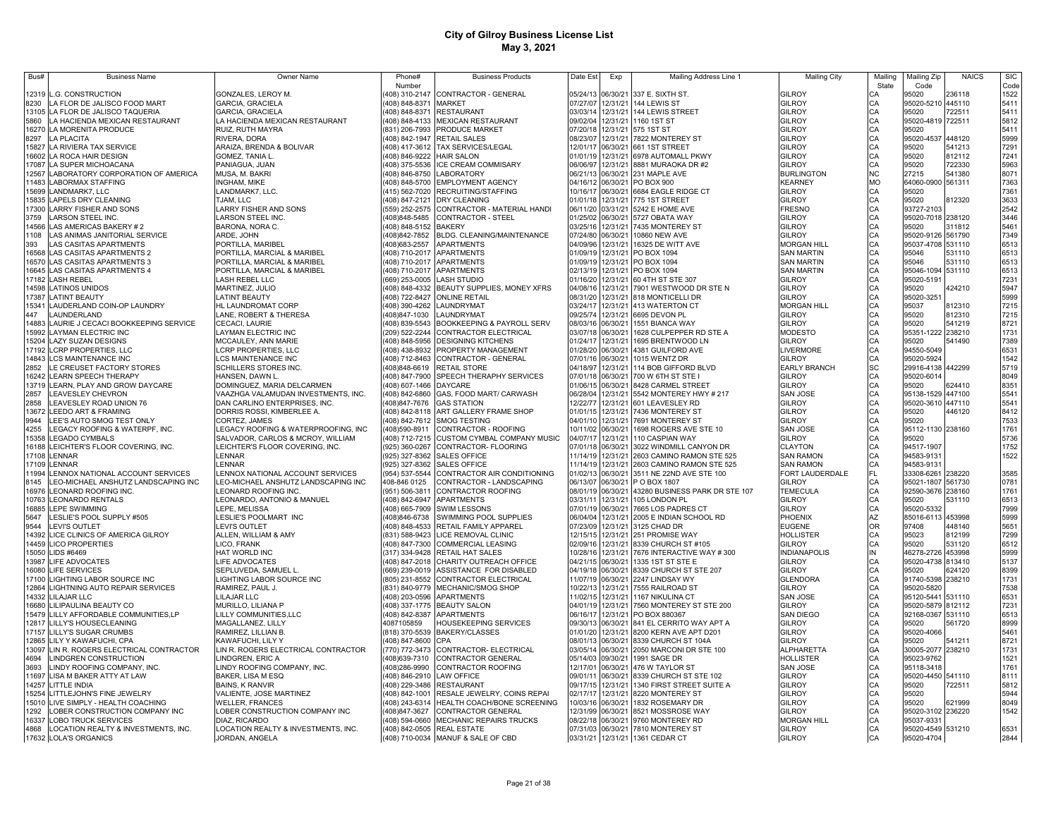| Bus#  | <b>Business Name</b>                                    | Owner Name                                     | Phone#                          | <b>Business Products</b>                                  | Date Est             | Exp                  | Mailing Address Line 1                            | <b>Mailing City</b>           | Mailing         | Mailing Zip                     | <b>NAICS</b>     | <b>SIC</b>   |
|-------|---------------------------------------------------------|------------------------------------------------|---------------------------------|-----------------------------------------------------------|----------------------|----------------------|---------------------------------------------------|-------------------------------|-----------------|---------------------------------|------------------|--------------|
|       |                                                         |                                                | Number                          |                                                           |                      |                      |                                                   |                               | State           | Code                            |                  | Code         |
|       | 12319 L.G. CONSTRUCTION                                 | GONZALES, LEROY M.                             |                                 | 408) 310-2147 CONTRACTOR - GENERAL                        | 05/24/13             |                      | 06/30/21 337 E. SIXTH ST.                         | <b>GILROY</b>                 |                 | 95020                           | 236118           | 1522         |
| 8230  | LA FLOR DE JALISCO FOOD MART                            | GARCIA, GRACIELA                               | (408) 848-8371 MARKET           |                                                           | 07/27/07             |                      | 12/31/21 144 LEWIS ST                             | GILROY                        | CA              | 95020-5210 445110               |                  | 5411         |
|       | 13105 LA FLOR DE JALISCO TAQUERIA                       | GARCIA, GRACIELA                               |                                 | (408) 848-8371 RESTAURANT                                 | 03/03/14             |                      | 12/31/21 144 LEWIS STREET                         | GILROY                        | CA              | 95020                           | 722511           | 5411         |
| 5860  | LA HACIENDA MEXICAN RESTAURANT                          | LA HACIENDA MEXICAN RESTAURANT                 |                                 | (408) 848-4133 MEXICAN RESTAURANT                         | 09/02/04             |                      | 12/31/21 1160 1ST ST                              | GILROY                        | CA              | 95020-4819 722511               |                  | 5812         |
|       | 16270 LA MORENITA PRODUCE                               | RUIZ, RUTH MAYRA                               |                                 | (831) 206-7993 PRODUCE MARKET                             | 07/20/18             |                      | 12/31/21 575 1ST ST                               | <b>GILROY</b>                 | CA              | 95020                           |                  | 5411         |
| 8297  | <b>LA PLACITA</b>                                       | RIVERA, DORA                                   |                                 | (408) 842-1947 RETAIL SALES                               | 08/23/07             |                      | 12/31/21 7822 MONTEREY ST                         | GILROY<br>GILROY              | CA<br>CA        | 95020-4537                      | 448120<br>541213 | 5999         |
|       | 15827 LA RIVIERA TAX SERVICE                            | ARAIZA, BRENDA & BOLIVAR                       |                                 | (408) 417-3612 TAX SERVICES/LEGAL                         | 12/01/17<br>01/01/19 |                      | 06/30/21 661 1ST STREET                           | GILROY                        | CA              | 95020                           | 812112           | 7291         |
| 7087  | 16602 LA ROCA HAIR DESIGN<br>LA SUPER MICHOACANA        | GOMEZ, TANIA L.<br>PANIAGUA, JUAN              | (408) 846-9222<br>408) 375-5536 | <b>HAIR SALON</b><br>ICE CREAM COMMISARY                  | 06/06/97             | 12/31/21             | 12/31/21 6978 AUTOMALL PKWY<br>8881 MURAOKA DR #2 | GILROY                        | CA              | 95020<br>95020                  | 722330           | 7241<br>5963 |
| 2567  | LABORATORY CORPORATION OF AMERICA                       | MUSA, M. BAKRI                                 | 408) 846-8750                   | <b>LABORATORY</b>                                         | 06/21/13             | 06/30/21             | 231 MAPLE AVE                                     | <b>BURLINGTON</b>             | N <sub>C</sub>  | 27215                           | 541380           | 8071         |
| 1483  | <b>LABORMAX STAFFING</b>                                | <b>INGHAM, MIKE</b>                            | 408) 848-5700                   | <b>EMPLOYMENT AGENCY</b>                                  | 04/16/12             | 06/30/21             | PO BOX 900                                        | KEARNEY                       | <b>MO</b>       | 64060-0900 561311               |                  | 7363         |
| 5699  | LANDMARK7, LLC                                          | LANDMARK7, LLC.                                |                                 | 415) 562-7020 RECRUITING/STAFFING                         | 10/16/17             | 06/30/21             | 6684 EAGLE RIDGE CT                               | GILROY                        | CA              | 95020                           |                  | 7361         |
| 5835  | <b>LAPELS DRY CLEANING</b>                              | TJAM, LLC                                      |                                 | 408) 847-2121 DRY CLEANING                                | 01/01/18             | 12/31/21             | 775 1ST STREET                                    | GILROY                        | CA              | 95020                           | 812320           | 3633         |
| 17300 | LARRY FISHER AND SONS                                   | LARRY FISHER AND SONS                          | 559) 252-2575                   | CONTRACTOR - MATERIAL HANDI                               | 06/11/20             | 03/31/21             | 5242 E HOME AVE                                   | FRESNO                        | CA              | 93727-2103                      |                  | 2542         |
| 3759  | <b>ARSON STEEL INC</b>                                  | LARSON STEEL INC.                              | 408)848-5485                    | <b>CONTRACTOR - STEEL</b>                                 | 01/25/02             | 06/30/21             | 5727 OBATA WAY                                    | GILROY                        | CA              | 95020-7018                      | 238120           | 3446         |
| 14566 | LAS AMERICAS BAKERY # 2                                 | BARONA, NORA C.                                | 408) 848-5152 BAKERY            |                                                           | 03/25/16             | 12/31/21             | 7435 MONTEREY ST                                  | GILROY                        | CA              | 95020                           | 311812           | 5461         |
| 1108  | LAS ANIMAS JANITORIAL SERVICE                           | ARDE, JOHN                                     | 408)842-7852                    | BLDG. CLEANING/MAINTENANCE                                | 07/24/80             | 06/30/21             | 10860 NEW AVE                                     | GILROY                        | CA              | 95020-9126                      | 561790           | 7349         |
| 393   | LAS CASITAS APARTMENTS                                  | PORTILLA, MARIBEL                              | 408)683-2557                    | <b>APARTMENTS</b>                                         | 04/09/96             | 12/31/21             | 16325 DE WITT AVE                                 | <b>MORGAN HILL</b>            | CA              | 95037-4708 531110               |                  | 6513         |
|       | 16568 LAS CASITAS APARTMENTS 2                          | PORTILLA, MARCIAL & MARIBEL                    |                                 | (408) 710-2017 APARTMENTS                                 | 01/09/19             | 12/31/21             | PO BOX 1094                                       | <b>SAN MARTIN</b>             | CA              | 95046                           | 531110           | 6513         |
| 16570 | LAS CASITAS APARTMENTS 3                                | PORTILLA, MARCIAL & MARIBEL                    |                                 | (408) 710-2017 APARTMENTS                                 | 01/09/19             | 12/31/21             | PO BOX 1094                                       | SAN MARTIN                    | CA              | 95046                           | 531110           | 6513         |
|       | 16645 LAS CASITAS APARTMENTS 4                          | PORTILLA, MARCIAL & MARIBEL                    |                                 | (408) 710-2017 APARTMENTS                                 | 02/13/19             | 12/31/21             | PO BOX 1094                                       | <b>SAN MARTIN</b>             | CA              | 95046-1094                      | 531110           | 6513         |
|       | 17182 LASH REBEL                                        | LASH REBEL LLC                                 | (669) 253-0005                  | <b>LASH STUDIO</b>                                        | 01/16/20             | 12/31/21             | 60 4TH ST STE 307                                 | GILROY                        | CA              | 95020-5191                      |                  | 7231         |
|       | 14598 LATINOS UNIDOS                                    | MARTINEZ, JULIO                                |                                 | (408) 848-4332 BEAUTY SUPPLIES, MONEY XFRS                | 04/08/16             | 12/31/21             | 7901 WESTWOOD DR STE N                            | GILROY                        | CA              | 95020                           | 424210           | 5947         |
|       | 17387 LATINT BEAUTY                                     | <b>LATINT BEAUTY</b>                           |                                 | 408) 722-8427 ONLINE RETAIL                               | 08/31/20             | 12/31/21             | 818 MONTICELLI DR                                 | <b>GILROY</b>                 | CA              | 95020-3251                      |                  | 5999         |
|       | 15341 LAUDERLAND COIN-OP LAUNDRY                        | HL LAUNDROMAT CORP                             | 408) 390-4262                   | LAUNDRYMAT                                                | 03/24/17             | 12/31/21             | 413 WATERTON CT                                   | <b>MORGAN HILL</b>            | CA              | 95037                           | 812310           | 7215         |
| 447   | LAUNDERLAND                                             | LANE, ROBERT & THERESA                         | 408)847-1030                    | LAUNDRYMAT                                                | 09/25/74             | 12/31/21             | 6695 DEVON PL                                     | <b>GILROY</b>                 | CA              | 95020                           | 812310           | 7215         |
|       | 14883 LAURIE J CECACI BOOKKEEPING SERVICE               | CECACI, LAURIE                                 |                                 | 408) 839-5543 BOOKKEEPING & PAYROLL SERV                  | 08/03/16             | 06/30/21             | 1551 BIANCA WAY                                   | GILROY                        | CA              | 95020                           | 541219           | 8721         |
|       | 5992 LAYMAN ELECTRIC INC                                | <b>LAYMAN ELECTRIC INC</b>                     |                                 | 209) 522-2244 CONTRACTOR ELECTRICAL                       | 03/07/18             | 06/30/21             | 1628 CULPEPPER RD STE A                           | <b>MODESTO</b>                | CA              | 95351-1222                      | 238210           | 1731         |
|       | 5204 LAZY SUZAN DESIGNS                                 | MCCAULEY, ANN MARIE                            |                                 | 408) 848-5956 DESIGNING KITCHENS                          | 01/24/17             | 12/31/21             | 1695 BRENTWOOD LN                                 | GILROY                        | CA              | 95020                           | 541490           | 7389         |
|       | 17192 LCRP PROPERTIES, LLC                              | LCRP PROPERTIES, LLC                           |                                 | 408) 438-8932 PROPERTY MANAGEMENT                         | 01/28/20             | 06/30/21             | 4381 GUILFORD AVE                                 | LIVERMORE                     | CA              | 94550-5049                      |                  | 6531         |
|       | 4843 LCS MAINTENANCE INC                                | <b>LCS MAINTENANCE INC</b>                     |                                 | 408) 712-8463 CONTRACTOR - GENERAL                        | 07/01/16             | 06/30/21             | 1015 WENTZ DR                                     | <b>GILROY</b>                 | CA              | 95020-5924                      |                  | 1542         |
| 2852  | LE CREUSET FACTORY STORES<br>16242 LEARN SPEECH THERAPY | <b>SCHILLERS STORES INC</b><br>HANSEN, DAWN L. |                                 | 408)848-6619 RETAIL STORE                                 | 04/18/97<br>07/01/18 | 06/30/21             | 12/31/21 114 BOB GIFFORD BLVD                     | EARLY BRANCH<br><b>GILROY</b> | <b>SC</b><br>CA | 29916-4138<br>95020-6014        | 442299           | 5719<br>8049 |
|       | 13719 LEARN, PLAY AND GROW DAYCARE                      | DOMINGUEZ, MARIA DELCARMEN                     | (408) 607-1466 DAYCARE          | (408) 847-7900 SPEECH THERAPHY SERVICES                   | 01/06/15             | 06/30/21             | 700 W 6TH ST STE I<br>8428 CARMEL STREET          | GILROY                        | CA              | 95020                           | 624410           | 8351         |
| 2857  | <b>LEAVESLEY CHEVRON</b>                                | VAAZHGA VALAMUDAN INVESTMENTS, INC.            |                                 | (408) 842-6860 GAS, FOOD MART/ CARWASH                    | 06/28/04             |                      | 12/31/21 5542 MONTEREY HWY # 217                  | <b>SAN JOSE</b>               | CA              | 95138-1529 447100               |                  | 5541         |
| 2858  | LEAVESLEY ROAD UNION 76                                 | DAN CARLINO ENTERPRISES, INC.                  |                                 | (408) 847-7676 GAS STATION                                | 12/22/77             |                      | 12/31/21 601 LEAVESLEY RD                         | <b>GILROY</b>                 | CA              | 95020-3610 447110               |                  | 5541         |
|       | 13672 LEEDO ART & FRAMING                               | DORRIS ROSSI, KIMBERLEE A.                     |                                 | (408) 842-8118 ART GALLERY FRAME SHOP                     | 01/01/15             |                      | 12/31/21 7436 MONTEREY ST                         | GILROY                        | CA              | 95020                           | 446120           | 8412         |
| QQAA  | LEE'S AUTO SMOG TEST ONLY                               | CORTEZ, JAMES                                  |                                 | (408) 842-7612 SMOG TESTING                               | 04/01/10             |                      | 12/31/21 7691 MONTEREY ST                         | <b>GILROY</b>                 |                 | 95020                           |                  | 7533         |
| 4255  | LEGACY ROOFING & WATERPF, INC.                          | LEGACY ROOFING & WATERPROOFING, INC            | (408) 590-8911                  | CONTRACTOR - ROOFING                                      | 10/11/02             | 06/30/21             | 1698 ROGERS AVE STE 10                            | <b>SAN JOSE</b>               | CA              | 95112-1130 238160               |                  | 1761         |
| 15358 | LEGADO CYMBALS                                          | SALVADOR, CARLOS & MCROY, WILLIAM              |                                 | (408) 712-7215 CUSTOM CYMBAL COMPANY MUSIC                | 04/07/17             | 12/31/21             | 110 CASPIAN WAY                                   | <b>GILROY</b>                 |                 | 95020                           |                  | 5736         |
| 16188 | LEICHTER'S FLOOR COVERING, INC                          | LEICHTER'S FLOOR COVERING, INC.                | (925) 360-0267                  | CONTRACTOR- FLOORING                                      | 07/01/18             | 06/30/21             | 3022 WINDMILL CANYON DR                           | CLAYTON                       |                 | 94517-1907                      |                  | 1752         |
| 17108 | <b>ENNAR</b>                                            | <b>LENNAR</b>                                  |                                 | 925) 327-8362 SALES OFFICE                                | 11/14/19             | 12/31/21             | 2603 CAMINO RAMON STE 525                         | <b>SAN RAMON</b>              | CA              | 94583-9131                      |                  | 1522         |
| 17109 | <b>ENNAR</b>                                            | <b>LENNAR</b>                                  | 925) 327-8362                   | <b>SALES OFFICE</b>                                       | 11/14/19             | 12/31/21             | 2603 CAMINO RAMON STE 525                         | <b>SAN RAMON</b>              | CA              | 94583-9131                      |                  |              |
| 1994  | LENNOX NATIONAL ACCOUNT SERVICES                        | LENNOX NATIONAL ACCOUNT SERVICES               | 954) 537-5544                   | CONTRACTOR AIR CONDITIONING                               | 01/02/13             | 06/30/21             | 3511 NE 22ND AVE STE 100                          | FORT LAUDERDALE               | FL              | 33308-6261                      | 238220           | 3585         |
| 8145  | LEO-MICHAEL ANSHUTZ LANDSCAPING INC                     | LEO-MICHAEL ANSHUTZ LANDSCAPING INC            | 408-846 0125                    | CONTRACTOR - LANDSCAPING                                  | 06/13/07             | 06/30/21             | P O BOX 1807                                      | <b>GILROY</b>                 | CA              | 95021-1807                      | 561730           | 0781         |
| 16976 | LEONARD ROOFING INC.                                    | LEONARD ROOFING INC.                           | (951) 506-3811                  | CONTRACTOR ROOFING                                        | 08/01/19             | 06/30/21             | 43280 BUSINESS PARK DR STE 107                    | <b>TEMECULA</b>               | CA              | 92590-3676                      | 238160           | 1761         |
| 10763 | <b>EONARDO RENTALS</b>                                  | LEONARDO, ANTONIO & MANUEL                     |                                 | (408) 842-6947 APARTMENTS                                 | 03/31/11             | 12/31/21             | 105 LONDON PL                                     | GILROY                        | CA              | 95020                           | 531110           | 6513         |
| 16885 | <b>LEPE SWIMMING</b>                                    | LEPE. MELISSA                                  | (408) 665-7909                  | <b>SWIM LESSONS</b>                                       | 07/01/19             | 06/30/21             | 7665 LOS PADRES CT                                | GILROY                        | CA              | 95020-5332                      |                  | 7999         |
| 5647  | LESLIE'S POOL SUPPLY #505                               | LESLIE'S POOLMART INC                          | (408)846-6738                   | SWIMMING POOL SUPPLIES                                    | 06/04/04             | 12/31/21             | 2005 E INDIAN SCHOOL RD                           | PHOENIX                       | AZ              | 85016-6113                      | 453998           | 5999         |
| 9544  | <b>LEVI'S OUTLET</b>                                    | <b>LEVI'S OUTLET</b>                           | (408) 848-4533                  | RETAIL FAMILY APPAREL                                     | 07/23/09             | 12/31/21             | 3125 CHAD DR                                      | EUGENE                        | <b>OR</b>       | 97408                           | 448140           | 5651         |
| 14392 | LICE CLINICS OF AMERICA GILROY                          | ALLEN, WILLIAM & AMY                           | 831) 588-9423                   | <b>ICE REMOVAL CLINIC</b>                                 | 12/15/15             | 12/31/21             | 251 PROMISE WAY                                   | HOLLISTER                     | CA              | 95023                           | 812199           | 7299         |
| 14459 | <b>LICO PROPERTIES</b>                                  | LICO, FRANK                                    | (408) 847-7300                  | COMMERCIAL LEASING                                        | 02/09/16             | 12/31/21             | 8339 CHURCH ST #105                               | GILROY                        | CA<br>IN        | 95020                           | 531120           | 6512         |
| 3987  | 15050 LIDS #6469<br>LIFE ADVOCATES                      | HAT WORLD INC<br>LIFE ADVOCATES                | (317) 334-9428                  | RETAIL HAT SALES<br>408) 847-2018 CHARITY OUTREACH OFFICE | 10/28/16<br>04/21/15 | 12/31/21<br>06/30/21 | 7676 INTERACTIVE WAY #300<br>1335 1ST ST STE E    | <b>INDIANAPOLIS</b><br>GILROY | CA              | 46278-2726<br>95020-4738 813410 | 453998           | 5999<br>5137 |
| 16080 | <b>LIFE SERVICES</b>                                    | SEPLUVEDA, SAMUEL L.                           | (669) 239-0019                  | ASSISTANCE FOR DISABLED                                   | 04/19/18             | 06/30/21             | 8339 CHURCH ST STE 207                            | <b>GILROY</b>                 | CA              | 95020                           | 624120           | 8399         |
|       | 17100 LIGHTING LABOR SOURCE INC                         | LIGHTING LABOR SOURCE INC                      | (805) 231-8552                  | CONTRACTOR ELECTRICAL                                     | 11/07/19             | 06/30/21             | 2247 LINDSAY WY                                   | <b>GLENDORA</b>               | CA              | 91740-5398                      | 238210           | 1731         |
|       | 12864 LIGHTNING AUTO REPAIR SERVICES                    | RAMIREZ, PAUL J.                               |                                 | (831) 840-9779 MECHANIC/SMOG SHOP                         | 10/22/13             | 12/31/21             | 7555 RAILROAD ST                                  | GILROY                        | CA              | 95020-5820                      |                  | 7538         |
|       | 4332 LILAJAR LLC                                        | <b>LILAJAR LLC</b>                             |                                 | (408) 203-0596 APARTMENTS                                 | 11/02/15             | 12/31/21             | 1167 NIKULINA CT                                  | SAN JOSE                      | CA              | 95120-5441                      | 531110           | 6531         |
|       | 16680 LILIPAULINA BEAUTY CO                             | MURILLO, LILIANA P                             |                                 | (408) 337-1775 BEAUTY SALON                               | 04/01/19             | 12/31/21             | 7560 MONTEREY ST STE 200                          | <b>GILROY</b>                 | CA              | 95020-5879 812112               |                  | 7231         |
|       | 15479 LILLY AFFORDABLE COMMUNITIES.LP                   | LILLY COMMUNITIES, LLC                         |                                 | (408) 842-8387 APARTMENTS                                 | 06/16/17             |                      | 12/31/21 PO BOX 880367                            | <b>SAN DIEGO</b>              | CA              | 92168-0367 531110               |                  | 6513         |
|       | 12817 LILLY'S HOUSECLEANING                             | MAGALLANEZ, LILLY                              | 4087105859                      | <b>HOUSEKEEPING SERVICES</b>                              | 09/30/13             | 06/30/21             | 841 EL CERRITO WAY APT A                          | <b>GILROY</b>                 | CA              | 95020                           | 561720           | 8999         |
|       | 17157 LILLY'S SUGAR CRUMBS                              | RAMIREZ, LILLIAN B.                            |                                 | (818) 370-5539 BAKERY/CLASSES                             | 01/01/20             | 12/31/21             | 8200 KERN AVE APT D201                            | <b>GILROY</b>                 | CA              | 95020-4066                      |                  | 5461         |
|       | 12865 LILY Y KAWAFUCHI, CPA                             | KAWAFUCHI, LILY Y                              | (408) 847-8600 CPA              |                                                           | 08/01/13             | 06/30/21             | 8339 CHURCH ST 104A                               | GILROY                        | CA              | 95020                           | 541211           | 8721         |
|       | 13097 LIN R. ROGERS ELECTRICAL CONTRACTOR               | LIN R. ROGERS ELECTRICAL CONTRACTOR            |                                 | (770) 772-3473 CONTRACTOR- ELECTRICAL                     | 03/05/14             | 06/30/21             | 2050 MARCONI DR STE 100                           | <b>ALPHARETTA</b>             | GA              | 30005-2077 238210               |                  | 1731         |
| 4694  | LINDGREN CONSTRUCTION                                   | LINDGREN, ERIC A                               | (408) 639-7310                  | <b>CONTRACTOR GENERAL</b>                                 | 05/14/03 09/30/21    |                      | 1991 SAGE DR                                      | <b>HOLLISTER</b>              | CA              | 95023-9762                      |                  | 1521         |
| 3693  | LINDY ROOFING COMPANY, INC.                             | LINDY ROOFING COMPANY, INC.                    | (408)286-9990                   | CONTRACTOR ROOFING                                        | 12/17/01             | 06/30/21             | 476 W TAYLOR ST                                   | <b>SAN JOSE</b>               | CA              | 95118-3418                      |                  | 1761         |
| 11697 | LISA M BAKER ATTY AT LAW                                | BAKER, LISA M ESQ                              | (408) 846-2910 LAW OFFICE       |                                                           | 09/01/11             | 06/30/21             | 8339 CHURCH ST STE 102                            | <b>GILROY</b>                 | CA              | 95020-4450 541110               |                  | 8111         |
| 14257 | LITTLE INDIA                                            | <b>BAINS, K RANVIR</b>                         | (408) 229-3486                  | <b>RESTAURANT</b>                                         | 09/17/15             |                      | 12/31/21 1340 FIRST STREET SUITE A                | GILROY                        |                 | 95020                           | 722511           | 5812         |
|       | 15254 LITTLEJOHN'S FINE JEWELRY                         | VALIENTE, JOSE MARTINEZ                        | (408) 842-1001                  | RESALE JEWELRY, COINS REPAI                               | 02/17/17             | 12/31/21             | 8220 MONTEREY ST                                  | GILROY                        |                 | 95020                           |                  | 5944         |
|       | 15010 LIVE SIMPLY - HEALTH COACHING                     | <b>WELLER, FRANCES</b>                         | (408) 243-6314                  | HEALTH COACH/BONE SCREENING                               | 10/03/16             |                      | 06/30/21 1832 ROSEMARY DR                         | GILROY                        |                 | 95020                           | 621999           | 8049         |
| 1292  | LOBER CONSTRUCTION COMPANY INC                          | LOBER CONSTRUCTION COMPANY INC                 | (408) 847-3627                  | CONTRACTOR GENERAL                                        | 12/31/99             | 06/30/21             | 8521 MOSSROSE WAY                                 | GILROY                        |                 | 95020-3102 236220               |                  | 1542         |
| 16337 | <b>LOBO TRUCK SERVICES</b>                              | DIAZ, RICARDO                                  |                                 | (408) 594-0660 MECHANIC REPAIRS TRUCKS                    | 08/22/18             |                      | 06/30/21 9760 MONTEREY RD                         | <b>MORGAN HILL</b>            |                 | 95037-9331                      |                  |              |
| 4868  | LOCATION REALTY & INVESTMENTS, INC.                     | LOCATION REALTY & INVESTMENTS, INC.            |                                 | (408) 842-0505 REAL ESTATE                                |                      |                      | 07/31/03 06/30/21 7810 MONTEREY ST                | <b>GILROY</b>                 | CA              | 95020-4549 531210               |                  | 6531         |
|       | 17632 LOLA'S ORGANICS                                   | JORDAN, ANGELA                                 |                                 | (408) 710-0034 MANUF & SALE OF CBD                        |                      |                      | 03/31/21 12/31/21 1361 CEDAR CT                   | <b>GILROY</b>                 | CA              | 95020-4704                      |                  | 2844         |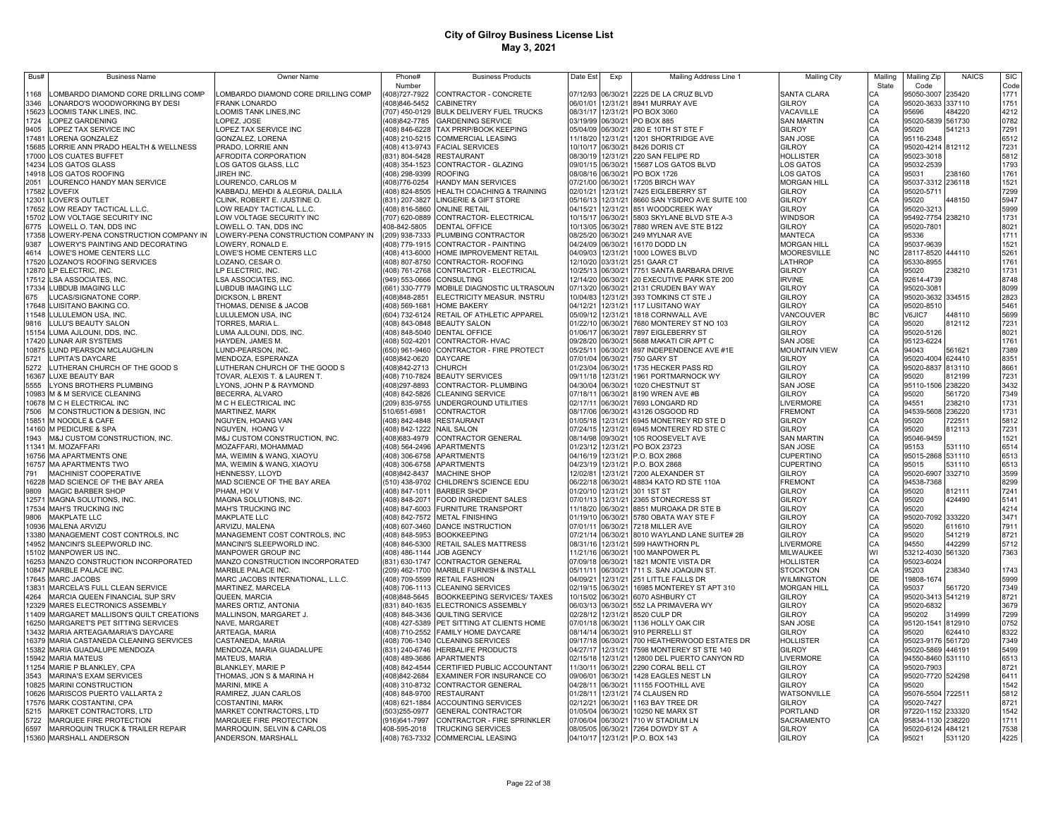| Bus#           | <b>Business Name</b>                                               | Owner Name                                                    | Phone#                          | <b>Business Products</b>                                                     | Date Est             | Exp                  | Mailing Address Line 1                                                            | <b>Mailing City</b>                 | Mailing                    | Mailing Zip                            | <b>NAICS</b>     | <b>SIC</b>   |
|----------------|--------------------------------------------------------------------|---------------------------------------------------------------|---------------------------------|------------------------------------------------------------------------------|----------------------|----------------------|-----------------------------------------------------------------------------------|-------------------------------------|----------------------------|----------------------------------------|------------------|--------------|
| 1168           | OMBARDO DIAMOND CORE DRILLING COMP                                 | LOMBARDO DIAMOND CORE DRILLING COMP                           | Number<br>408)727-7922          | CONTRACTOR - CONCRETE                                                        | 07/12/93             | 06/30/21             | 2225 DE LA CRUZ BLVD                                                              | <b>SANTA CLARA</b>                  | State<br>СA                | Code<br>95050-3007                     | 235420           | Code<br>1771 |
| 3346           | ONARDO'S WOODWORKING BY DESI                                       | <b>FRANK LONARDO</b>                                          | 408)846-5452                    | CABINETRY                                                                    | 06/01/01             | 12/31/21             | 8941 MURRAY AVE                                                                   | <b>GILROY</b>                       | CA                         | 95020-3633 337110                      |                  | 1751         |
| 15623          | <b>LOOMIS TANK LINES, INC.</b>                                     | LOOMIS TANK LINES, INC                                        |                                 | 707) 450-0129 BULK DELIVERY FUEL TRUCKS                                      | 08/31/17             | 12/31/21             | PO BOX 3060                                                                       | VACAVILLE                           | CA                         | 95696                                  | 484220           | 4212         |
| 1724           | LOPEZ GARDENING                                                    | LOPEZ, JOSE                                                   | (408) 842-7785                  | <b>GARDENING SERVICE</b>                                                     | 03/19/99             | 06/30/21             | PO BOX 885                                                                        | <b>SAN MARTIN</b>                   | CA                         | 95020-5839 561730                      |                  | 0782         |
| 9405<br>17481  | LOPEZ TAX SERVICE INC                                              | LOPEZ TAX SERVICE INC                                         |                                 | (408) 846-6228 TAX PRRP/BOOK KEEPING<br>408) 210-5215 COMMERCIAL LEASING     | 05/04/09<br>11/18/20 | 06/30/21<br>12/31/21 | 280 E 10TH ST STE F<br>1201 SHORTRIDGE AVE                                        | <b>GILROY</b>                       | CA<br>CA                   | 95020                                  | 541213           | 7291         |
| 15685          | LORENA GONZALEZ<br>LORRIE ANN PRADO HEALTH & WELLNESS              | GONZALEZ, LORENA<br>PRADO, LORRIE ANN                         |                                 | (408) 413-9743 FACIAL SERVICES                                               | 10/10/17             | 06/30/21             | 8426 DORIS CT                                                                     | <b>SAN JOSE</b><br><b>GILROY</b>    | CA                         | 95116-2348<br>95020-4214 812112        |                  | 6512<br>7231 |
| 17000          | LOS CUATES BUFFET                                                  | AFRODITA CORPORATION                                          | (831) 804-5428 RESTAURANT       |                                                                              | 08/30/19             | 12/31/21             | 220 SAN FELIPE RD                                                                 | HOLLISTER                           | CA                         | 95023-3018                             |                  | 5812         |
| 14234          | LOS GATOS GLASS                                                    | LOS GATOS GLASS, LLC                                          |                                 | (408) 354-1523 CONTRACTOR - GLAZING                                          | 09/01/15             | 06/30/21             | 15687 LOS GATOS BLVD                                                              | LOS GATOS                           | CA                         | 95032-2539                             |                  | 1793         |
| 14918          | LOS GATOS ROOFING                                                  | JIREH INC.                                                    | (408) 298-9399                  | <b>ROOFING</b>                                                               | 08/08/16             | 06/30/21             | PO BOX 1726                                                                       | LOS GATOS                           | CA                         | 95031                                  | 238160           | 1761         |
| 2051           | LOURENCO HANDY MAN SERVICE                                         | LOURENCO, CARLOS M                                            | (408)776-0254                   | HANDY MAN SERVICES                                                           | 07/21/00             | 06/30/21             | 17205 BIRCH WAY                                                                   | <b>MORGAN HILL</b>                  | CA                         | 95037-3312 236118                      |                  | 1521         |
| 17582<br>12301 | <b>LOVEFIX</b>                                                     | KABBADJ, MEHDI & ALEGRIA, DALILA                              |                                 | (408) 824-8505 HEALTH COACHING & TRAINING                                    | 02/01/21<br>05/16/13 | 12/31/21<br>12/31/21 | 7425 EIGLEBERRY ST<br>8660 SAN YSIDRO AVE SUITE 100                               | <b>GILROY</b><br><b>GILROY</b>      | CA                         | 95020-5711<br>95020                    | 448150           | 7299<br>5947 |
| 17652          | LOVER'S OUTLET<br>LOW READY TACTICAL L.L.C.                        | CLINK, ROBERT E. /JUSTINE O.<br>LOW READY TACTICAL L.L.C.     | (831) 207-3827                  | LINGERIE & GIFT STORE<br>(408) 816-5860 ONLINE RETAIL                        | 04/15/21             | 12/31/21             | 851 WOODCREEK WAY                                                                 | <b>GILROY</b>                       | CA<br>CA                   | 95020-3213                             |                  | 5999         |
| 15702          | LOW VOLTAGE SECURITY INC                                           | LOW VOLTAGE SECURITY INC                                      | (707) 620-0889                  | CONTRACTOR- ELECTRICAL                                                       | 10/15/17 06/30/21    |                      | 5803 SKYLANE BLVD STE A-3                                                         | <b>WINDSOR</b>                      | CA                         | 95492-7754 238210                      |                  | 1731         |
| 6775           | LOWELL O. TAN, DDS INC                                             | LOWELL O. TAN, DDS INC                                        | 408-842-5805                    | <b>DENTAL OFFICE</b>                                                         |                      |                      | 10/13/05 06/30/21 7880 WREN AVE STE B122                                          | <b>GILROY</b>                       | CA                         | 95020-7801                             |                  | 8021         |
| 17358          | LOWERY-PENA CONSTRUCTION COMPANY IN                                | LOWERY-PENA CONSTRUCTION COMPANY IN                           |                                 | (209) 938-7333 PLUMBING CONTRACTOR                                           |                      |                      | 08/25/20 06/30/21 249 MYLNAR AVE                                                  | <b>MANTECA</b>                      | CA                         | 95336                                  |                  | 1711         |
| 9387           | LOWERY'S PAINTING AND DECORATING                                   | LOWERY, RONALD E.                                             |                                 | (408) 779-1915 CONTRACTOR - PAINTING                                         |                      |                      | 04/24/09 06/30/21 16170 DODD LN                                                   | <b>MORGAN HILL</b>                  | CA                         | 95037-9639                             |                  | 1521         |
| 4614<br>17520  | LOWE'S HOME CENTERS LLC<br>LOZANO'S ROOFING SERVICES               | LOWE'S HOME CENTERS LLC<br>LOZANO, CESAR O                    |                                 | (408) 413-6000 HOME IMPROVEMENT RETAIL<br>(408) 807-8750 CONTRACTOR- ROOFING |                      |                      | 04/09/03 12/31/21 1000 LOWES BLVD<br>12/10/20 03/31/21 251 GAAR CT                | <b>MOORESVILLE</b><br>LATHROP       | <b>NC</b><br>CA            | 28117-8520 444110<br>95330-8955        |                  | 5261<br>1761 |
| 12870          | LP ELECTRIC, INC.                                                  | LP ELECTRIC, INC.                                             |                                 | 408) 761-2768 CONTRACTOR - ELECTRICAL                                        |                      |                      | 10/25/13 06/30/21 7751 SANTA BARBARA DRIVE                                        | <b>GILROY</b>                       |                            | 95020                                  | 238210           | 1731         |
| 17512          | <b>LSA ASSOCIATES, INC</b>                                         | LSA ASSOCIATES, INC.                                          | (949) 553-0666 CONSULTING       |                                                                              |                      |                      | 12/14/20 06/30/21 20 EXECUTIVE PARK STE 200                                       | <b>IRVINE</b>                       | CA<br>CA                   | 92614-4739                             |                  | 8748         |
| 17334          | LUBDUB IMAGING LLC                                                 | <b>LUBDUB IMAGING LLC</b>                                     |                                 | (661) 330-7779 MOBILE DIAGNOSTIC ULTRASOUN                                   |                      |                      | 07/13/20 06/30/21 2131 CRUDEN BAY WAY                                             | <b>GILROY</b>                       | CA<br>CA                   | 95020-3081                             |                  | 8099         |
| 675            | LUCAS/SIGNATONE CORP                                               | DICKSON, L BRENT                                              | 408)848-2851                    | ELECTRICITY MEASUR. INSTRU                                                   |                      |                      | 10/04/83 12/31/21 393 TOMKINS CT STE J                                            | <b>GILROY</b>                       |                            | 95020-3632 334515                      |                  | 2823         |
|                | 17648 LUISITANO BAKING CO.                                         | THOMAS, DENISE & JACOB                                        |                                 | 408) 569-1681 HOME BAKERY                                                    | 04/12/21             |                      | 12/31/21 117 LUSITANO WAY                                                         | <b>GILROY</b>                       | CA<br>ВC                   | 95020-8510                             |                  | 5461         |
|                | 11548 LULULEMON USA, INC.<br>9816 LULU'S BEAUTY SALON              | LULULEMON USA, INC<br>TORRES, MARIA L.                        |                                 | (604) 732-6124 RETAIL OF ATHLETIC APPAREL<br>(408) 843-0848 BEAUTY SALON     | 05/09/12             |                      | 12/31/21 1818 CORNWALL AVE<br>01/22/10 06/30/21 7680 MONTEREY ST NO 103           | VANCOUVER<br><b>GILROY</b>          | CA                         | V6JIC7<br>95020                        | 448110<br>812112 | 5699<br>7231 |
|                | 15154 LUMA AJLOUNI, DDS, INC                                       | LUMA AJLOUNI, DDS, INC                                        |                                 | (408) 848-5040 DENTAL OFFICE                                                 | 01/06/17             |                      | 06/30/21 7897 EIGLEBERRY ST                                                       | <b>GILROY</b>                       |                            | 95020-5126                             |                  | 8021         |
|                | 17420 LUNAR AIR SYSTEMS                                            | HAYDEN, JAMES M.                                              |                                 | 408) 502-4201 CONTRACTOR- HVAC                                               |                      |                      | 09/28/20 06/30/21 5688 MAKATI CIR APT C                                           | <b>SAN JOSE</b>                     | CA<br>CA                   | 95123-6224                             |                  | 1761         |
|                | 10875 LUND PEARSON MCLAUGHLIN                                      | LUND-PEARSON, INC                                             |                                 | (650) 961-9460 CONTRACTOR - FIRE PROTECT                                     | 05/25/11             |                      | 06/30/21 897 INDEPENDENCE AVE #1E                                                 | <b>MOUNTAIN VIEW</b>                | CA                         | 94043                                  | 561621           | 7389         |
| 5721           | LUPITA'S DAYCARE                                                   | MENDOZA, ESPERANZA                                            | (408)842-0620                   | <b>DAYCARE</b>                                                               |                      |                      | 07/01/04 06/30/21 750 GARY ST                                                     | <b>GILROY</b><br>GILROY             | CA                         | 95020-4004 624410                      |                  | 8351         |
| 5272<br>16367  | LUTHERAN CHURCH OF THE GOOD S<br>LUXE BEAUTY BAR                   | LUTHERAN CHURCH OF THE GOOD S<br>TOVAR, ALEXIS T. & LAUREN T. | (408)842-2713 CHURCH            | 408) 710-7824 BEAUTY SERVICES                                                | 09/11/18             |                      | 01/23/04 06/30/21 1735 HECKER PASS RD<br>12/31/21 1961 PORTMARNOCK WY             | <b>GILROY</b>                       | CA                         | 95020-8837 813110<br>95020             | 812199           | 8661<br>7231 |
| 5555           | LYONS BROTHERS PLUMBING                                            | LYONS, JOHN P & RAYMOND                                       | 408)297-8893                    | CONTRACTOR- PLUMBING                                                         | 04/30/04             |                      | 06/30/21 1020 CHESTNUT ST                                                         | <b>SAN JOSE</b>                     | CA<br>CA                   | 95110-1506 238220                      |                  | 3432         |
|                | 10983 M & M SERVICE CLEANING                                       | BECERRA, ALVARO                                               |                                 | 408) 842-5826 CLEANING SERVICE                                               | 07/18/11             |                      | 06/30/21 8190 WREN AVE #B                                                         | <b>GILROY</b>                       | CA                         | 95020                                  | 561720           | 7349         |
|                | 10678 M C H ELECTRICAL INC                                         | M C H ELECTRICAL INC                                          |                                 | 209) 835-9755 UNDERGROUND UTILITIES                                          | 02/17/11             | 06/30/21             | 7693 LONGARD RD                                                                   | <b>LIVERMORE</b>                    | CA                         | 94551                                  | 238210           | 1731         |
| 7506           | M CONSTRUCTION & DESIGN, INC                                       | MARTINEZ, MARK                                                | 510/651-6981                    | CONTRACTOR                                                                   | 08/17/06             | 06/30/21             | 43126 OSGOOD RD                                                                   | <b>FREMONT</b>                      | CA                         | 94539-5608 236220                      |                  | 1731         |
| 15851          | M NOODLE & CAFE<br>14160 M PEDICURE & SPA                          | <b>NGUYEN, HOANG VAN</b><br>NGUYEN, HOANG V                   | 408) 842-1222 NAIL SALON        | 408) 842-4848 RESTAURANT                                                     | 01/05/18<br>07/24/15 | 12/31/21<br>12/31/21 | 6945 MONETREY RD STE D<br>6945 MONTEREY RD STE C                                  | <b>GILROY</b><br><b>GILROY</b>      |                            | 95020<br>95020                         | 722511<br>812113 | 5812<br>7231 |
| 1943           | M&J CUSTOM CONSTRUCTION, INC.                                      | M&J CUSTOM CONSTRUCTION, INC.                                 | 408)683-4979                    | CONTRACTOR GENERAL                                                           | 08/14/98             | 09/30/21             | 105 ROOSEVELT AVE                                                                 | <b>SAN MARTIN</b>                   | CA<br>CA<br>CA             | 95046-9459                             |                  | 1521         |
| 11341          | M. MOZAFFARI                                                       | MOZAFFARI, MOHAMMAD                                           |                                 | 408) 564-2496 APARTMENTS                                                     | 01/23/12             | 12/31/21             | PO BOX 23723                                                                      | SAN JOSE                            | CA                         | 95153                                  | 531110           | 6514         |
| 16756          | <b>MA APARTMENTS ONE</b>                                           | MA, WEIMIN & WANG, XIAOYU                                     | (408) 306-6758 APARTMENTS       |                                                                              | 04/16/19             | 12/31/21             | P.O. BOX 2868                                                                     | <b>CUPERTINO</b>                    | CA                         | 95015-2868 531110                      |                  | 6513         |
| 16757          | <b>MA APARTMENTS TWO</b>                                           | MA, WEIMIN & WANG, XIAOYU                                     | (408) 306-6758 APARTMENTS       |                                                                              | 04/23/19             | 12/31/21             | P.O. BOX 2868                                                                     | <b>CUPERTINO</b>                    | CA<br>CA                   | 95015                                  | 531110           | 6513         |
| 791            | <b>MACHINIST COOPERATIVE</b>                                       | HENNESSY, LLOYD                                               | (408) 842-8437                  | <b>MACHINE SHOP</b><br>(510) 438-9702 CHILDREN'S SCIENCE EDU                 | 12/02/81<br>06/22/18 | 12/31/21             | 7200 ALEXANDER ST                                                                 | <b>GILROY</b>                       | CA                         | 95020-6907 332710                      |                  | 3599<br>8299 |
| 16228<br>9809  | MAD SCIENCE OF THE BAY AREA<br><b>MAGIC BARBER SHOP</b>            | MAD SCIENCE OF THE BAY AREA<br>PHAM, HOI V                    | (408) 847-1011                  | <b>BARBER SHOP</b>                                                           | 01/20/10             | 06/30/21<br>12/31/21 | 48834 KATO RD STE 110A<br>301 1ST ST                                              | <b>FREMONT</b><br><b>GILROY</b>     | CA                         | 94538-7368<br>95020                    | 812111           | 7241         |
| 12571          | MAGNA SOLUTIONS, INC                                               | MAGNA SOLUTIONS, INC.                                         | (408) 848-2071                  | <b>FOOD INGREDIENT SALES</b>                                                 | 07/01/13             | 12/31/21             | 2365 STONECRESS ST                                                                | <b>GILROY</b>                       | CA                         | 95020                                  | 424490           | 5141         |
| 17534          | MAH'S TRUCKING INC                                                 | MAH'S TRUCKING INC                                            |                                 | (408) 847-6003 FURNITURE TRANSPORT                                           | 11/18/20             | 06/30/21             | 8851 MUROAKA DR STE B                                                             | <b>GILROY</b>                       | CA<br>CA                   | 95020                                  |                  | 4214         |
| 9806           | <b>MAKPLATE LLC</b>                                                | MAKPLATE LLC                                                  |                                 | (408) 842-7572 METAL FINISHING                                               | 01/19/10             | 06/30/21             | 5780 OBATA WAY STE F                                                              | <b>GILROY</b>                       |                            | 95020-7092 333220                      |                  | 3471         |
| 10936          | <b>MALENA ARVIZU</b>                                               | ARVIZU, MALENA                                                |                                 | (408) 607-3460 DANCE INSTRUCTION                                             | 07/01/11             | 06/30/21             | 7218 MILLER AVE                                                                   | <b>GILROY</b>                       | CA                         | 95020                                  | 611610           | 7911         |
| 13380<br>14952 | MANAGEMENT COST CONTROLS, INC<br>MANCINI'S SLEEPWORLD INC.         | MANAGEMENT COST CONTROLS, INC<br>MANCINI'S SLEEPWORLD INC.    | (408) 848-5953                  | <b>BOOKKEEPING</b><br>(408) 846-5300 RETAIL SALES MATTRESS                   | 07/21/14<br>08/31/16 | 06/30/21             | 8010 WAYLAND LANE SUITE# 2B<br>12/31/21 599 HAWTHORN PL                           | <b>GILROY</b><br><b>I IVERMORE</b>  | CA<br>CA                   | 95020<br>94550                         | 541219<br>442299 | 8721<br>5712 |
| 15102          | MANPOWER US INC.                                                   | MANPOWER GROUP INC                                            | (408) 486-1144 JOB AGENCY       |                                                                              | 11/21/16             |                      | 06/30/21 100 MANPOWER PL                                                          | MILWAUKEE                           | WI                         | 53212-4030 561320                      |                  | 7363         |
| 16253          | MANZO CONSTRUCTION INCORPORATED                                    | MANZO CONSTRUCTION INCORPORATED                               |                                 | (831) 630-1747 CONTRACTOR GENERAL                                            |                      |                      | 07/09/18 06/30/21 1821 MONTE VISTA DR                                             | <b>HOLLISTER</b>                    | CA                         | 95023-6024                             |                  |              |
| 10847          | MARBLE PALACE INC.                                                 | MARBLE PALACE INC.                                            |                                 | (209) 462-1700 MARBLE FURNISH & INSTALL                                      | 05/11/11             |                      | 06/30/21 711 S. SAN JOAQUIN ST.                                                   | <b>STOCKTON</b>                     | CA                         | 95203                                  | 238340           | 1743         |
|                | 17645 MARC JACOBS                                                  | MARC JACOBS INTERNATIONAL, L.L.C.                             |                                 | (408) 709-5599 RETAIL FASHION                                                | 04/09/21             |                      | 12/31/21 251 LITTLE FALLS DR                                                      | <b>WILMINGTON</b>                   | DE                         | 19808-1674                             |                  | 5999         |
| 13831<br>4264  | MARCELA'S FULL CLEAN SERVICE<br>MARCIA QUEEN FINANCIAL SUP SRV     | MARTINEZ, MARCELA<br>QUEEN, MARCIA                            | (408)848-5645                   | (408) 706-1113 CLEANING SERVICES<br><b>BOOKKEEPING SERVICES/ TAXES</b>       | 02/19/15<br>10/15/02 |                      | 06/30/21 16985 MONTEREY ST APT 310<br>06/30/21 6070 ASHBURY CT                    | <b>MORGAN HILL</b><br><b>GILROY</b> | CA                         | 95037<br>95020-3413 541219             | 561720           | 7349<br>8721 |
| 12329          | MARES ELECTRONICS ASSEMBLY                                         | MARES ORTIZ, ANTONIA                                          |                                 | (831) 840-1635 ELECTRONICS ASSEMBLY                                          | 06/03/13             |                      | 06/30/21 552 LA PRIMAVERA WY                                                      | <b>GILROY</b>                       | CA<br>CA<br>CA<br>CA<br>CA | 95020-6832                             |                  | 3679         |
| 11409          | MARGARET MALLISON'S QUILT CREATIONS                                | MALLINSON, MARGARET J                                         |                                 | (408) 848-3436 QUILTING SERVICE                                              | 02/28/12             |                      | 12/31/21 8520 CULP DR                                                             | <b>GILROY</b>                       |                            | 950202                                 | 314999           | 7299         |
| 16250          | MARGARET'S PET SITTING SERVICES                                    | NAVE, MARGARET                                                |                                 | (408) 427-5389 PET SITTING AT CLIENTS HOME                                   |                      |                      | 07/01/18 06/30/21 1136 HOLLY OAK CIR                                              | <b>SAN JOSE</b>                     |                            | 95120-1541 812910                      |                  | 0752         |
| 13432          | MARIA ARTEAGA/MARIA'S DAYCARE                                      | ARTEAGA, MARIA                                                |                                 | (408) 710-2552 FAMILY HOME DAYCARE                                           |                      |                      | 08/14/14 06/30/21 910 PERRELLI ST                                                 | <b>GILROY</b>                       |                            | 95020                                  | 624410           | 8322         |
| 15382          | 16379 MARIA CASTANEDA CLEANING SERVICES<br>MARIA GUADALUPE MENDOZA | CASTANEDA, MARIA<br>MENDOZA, MARIA GUADALUPE                  |                                 | (408) 706-1340 CLEANING SERVICES<br>(831) 240-6746 HERBALIFE PRODUCTS        | 04/27/17             |                      | 09/17/18 06/30/21 700 HEATHERWOOD ESTATES DR<br>12/31/21 7598 MONTEREY ST STE 140 | <b>HOLLISTER</b><br><b>GILROY</b>   | CA<br>CA                   | 95023-9176 561720<br>95020-5869 446191 |                  | 7349<br>5499 |
|                | 15942 MARIA MATEUS                                                 | MATEUS, MARIA                                                 | (408) 489-3686 APARTMENTS       |                                                                              | 02/15/18             |                      | 12/31/21 12800 DEL PUERTO CANYON RD                                               | <b>LIVERMORE</b>                    | CA                         | 94550-8460 531110                      |                  | 6513         |
| 11254          | MARIE P BLANKLEY, CPA                                              | <b>BLANKLEY, MARIE P</b>                                      | (408) 842-4544                  | CERTIFIED PUBLIC ACCOUNTANT                                                  | 11/30/11             |                      | 06/30/21 2290 CORAL BELL CT                                                       | <b>GILROY</b>                       | CA                         | 95020-7903                             |                  | 8721         |
| 3543           | MARINA'S EXAM SERVICES                                             | THOMAS, JON S & MARINA H                                      | (408) 842-2684                  | EXAMINER FOR INSURANCE CO                                                    | 09/06/01             |                      | 06/30/21 1428 EAGLES NEST LN                                                      | <b>GILROY</b>                       | CA                         | 95020-7720 524298                      |                  | 6411         |
| 10825          | MARINI CONSTRUCTION                                                | MARINI, MIKE A                                                |                                 | (408) 310-8732 CONTRACTOR GENERAL                                            | 04/28/11             |                      | 06/30/21 11155 FOOTHILL AVE                                                       | <b>GILROY</b>                       | CA                         | 95020                                  |                  | 1542         |
| 10626<br>17576 | MARISCOS PUERTO VALLARTA 2                                         | RAMIREZ, JUAN CARLOS                                          | (408) 848-9700 RESTAURANT       |                                                                              | 01/28/11             |                      | 12/31/21 74 CLAUSEN RD<br>06/30/21 1163 BAY TREE DR                               | WATSONVILLE<br><b>GILROY</b>        | CA<br>CA                   | 95076-5504 722511                      |                  | 5812         |
| 5215           | MARK COSTANTINI, CPA<br>MARKET CONTRACTORS, LTD                    | COSTANTINI, MARK<br>MARKET CONTRACTORS, LTD                   | (408) 621-1884<br>(503)255-0977 | <b>ACCOUNTING SERVICES</b><br><b>GENERAL CONTRACTOR</b>                      | 02/12/21<br>01/05/04 |                      | 06/30/21 10250 NE MARX ST                                                         | PORTLAND                            | OR                         | 95020-7427<br>97220-1152 233320        |                  | 8721<br>1542 |
| 5722           | MARQUEE FIRE PROTECTION                                            | MARQUEE FIRE PROTECTION                                       | 916)641-7997                    | CONTRACTOR - FIRE SPRINKLER                                                  |                      |                      | 07/06/04 06/30/21 710 W STADIUM LN                                                | <b>SACRAMENTO</b>                   | CA                         | 95834-1130 238220                      |                  | 1711         |
| 6597           | MARROQUIN TRUCK & TRAILER REPAIR                                   | MARROQUIN, SELVIN & CARLOS                                    | 408-595-2018                    | <b>TRUCKING SERVICES</b>                                                     |                      |                      | 08/05/05 06/30/21 7264 DOWDY ST A                                                 | GILROY                              | CA                         | 95020-6124 484121                      |                  | 7538         |
|                | 15360 MARSHALL ANDERSON                                            | ANDERSON, MARSHALL                                            |                                 | (408) 763-7332 COMMERCIAL LEASING                                            |                      |                      | 04/10/17 12/31/21 P.O. BOX 143                                                    | <b>GILROY</b>                       | CA                         | 95021                                  | 531120           | 4225         |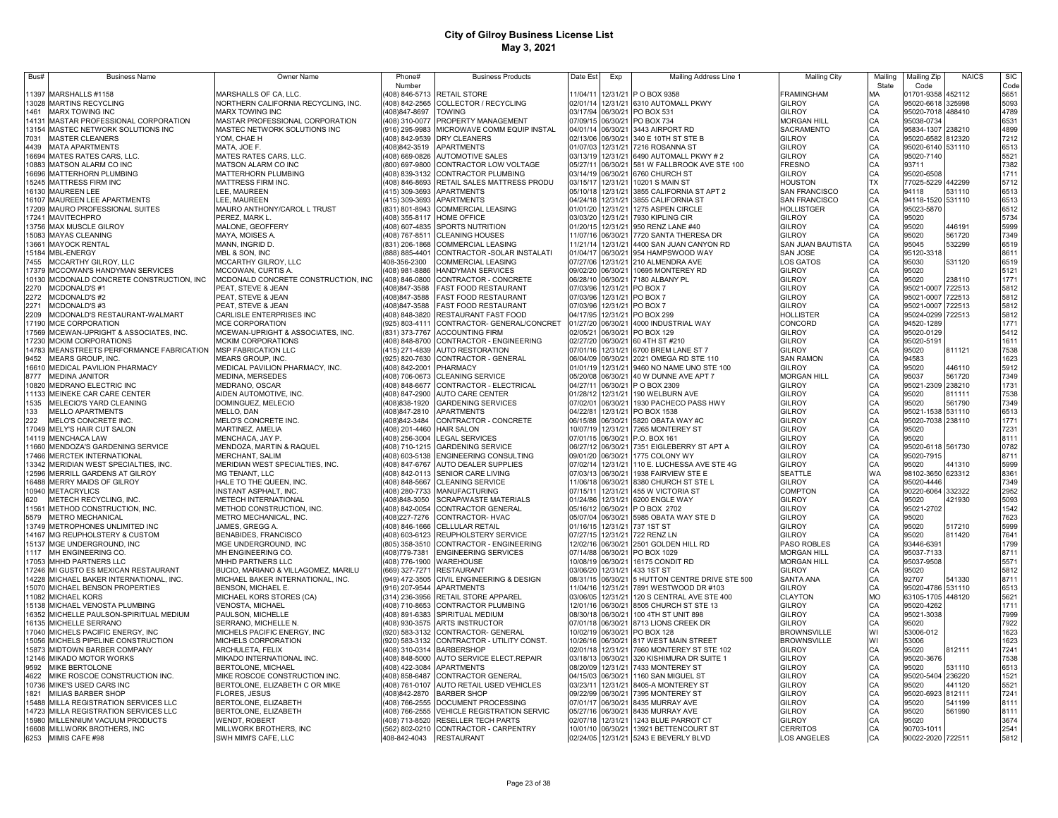| Bus# | <b>Business Name</b>                                                       | <b>Owner Name</b>                                       | Phone#                   | <b>Business Products</b>                                       | Date Est             | Exp                  | Mailing Address Line 1                                 | <b>Mailing City</b>             | Mailino   | Mailing Zip                | <b>NAICS</b> | <b>SIC</b>   |
|------|----------------------------------------------------------------------------|---------------------------------------------------------|--------------------------|----------------------------------------------------------------|----------------------|----------------------|--------------------------------------------------------|---------------------------------|-----------|----------------------------|--------------|--------------|
|      |                                                                            |                                                         | Number                   |                                                                |                      |                      |                                                        |                                 | State     | Code                       |              | Code         |
|      | 11397 MARSHALLS #1158                                                      | MARSHALLS OF CA, LLC.                                   |                          | 408) 846-5713 RETAIL STORE                                     | 11/04/11             |                      | 12/31/21 P O BOX 9358                                  | <b>FRAMINGHAM</b>               | MA        | 01701-9358                 | 452112       | 5651         |
|      | 13028 MARTINS RECYCLING                                                    | NORTHERN CALIFORNIA RECYCLING, INC.                     |                          | 408) 842-2565 COLLECTOR / RECYCLING                            | 02/01/14             |                      | 12/31/21 6310 AUTOMALL PKWY                            | <b>GILROY</b>                   | CA        | 95020-6618 325998          |              | 5093         |
| 1461 | <b>MARX TOWING INC</b>                                                     | <b>MARX TOWING INC</b>                                  | 408)847-8697             | <b>TOWING</b>                                                  | 03/17/94             | 06/30/21             | PO BOX 531                                             | GILROY                          | CA        | 95020-7018 488410          |              | 4789         |
|      | 14131 MASTAR PROFESSIONAL CORPORATION                                      | MASTAR PROFESSIONAL CORPORATION                         | (408) 310-0077           | PROPERTY MANAGEMENT                                            | 07/09/15             | 06/30/21             | <b>PO BOX 734</b>                                      | <b>MORGAN HILL</b>              | CA        | 95038-0734                 |              | 6531         |
|      | 13154 MASTEC NETWORK SOLUTIONS INC                                         | MASTEC NETWORK SOLUTIONS INC                            | (916) 295-9983           | MICROWAVE COMM EQUIP INSTAL                                    | 04/01/14             | 06/30/21             | 3443 AIRPORT RD                                        | SACRAMENTO                      | CA        | 95834-1307                 | 238210       | 4899         |
| 7031 | <b>MASTER CLEANERS</b>                                                     | YOM, CHAE H                                             | (408) 842-9539           | <b>DRY CLEANERS</b>                                            | 02/13/06             | 06/30/21             | 340 E 10TH ST STE B                                    | GILROY                          | CA        | 95020-6582 812320          |              | 7212         |
| 4439 | <b>MATA APARTMENTS</b>                                                     | MATA, JOE F.                                            | (408)842-3519            | <b>APARTMENTS</b>                                              | 01/07/03             | 12/31/21             | 7216 ROSANNA ST                                        | GILROY                          | CA        | 95020-6140 531110          |              | 6513         |
|      | 16694 MATES RATES CARS, LLC.                                               | MATES RATES CARS, LLC.                                  |                          | (408) 669-0826 AUTOMOTIVE SALES                                | 03/13/19             | 12/31/21             | 6490 AUTOMALL PKWY #2                                  | GILROY                          |           | 95020-7140                 |              | 5521         |
|      | 10883 MATSON ALARM CO INC                                                  | MATSON ALARM CO INC                                     |                          | (800) 697-9800 CONTRACTOR LOW VOLTAGE                          | 05/27/11             | 06/30/21             | 581 W FALLBROOK AVE STE 100                            | <b>FRESNO</b>                   | CA        | 93711                      |              | 7382         |
|      | 16696 MATTERHORN PLUMBING                                                  | MATTERHORN PLUMBING                                     | (408) 839-3132           | <b>CONTRACTOR PLUMBING</b>                                     | 03/14/19             | 06/30/21             | 6760 CHURCH ST                                         | GILROY                          | CA        | 95020-6508                 |              | 1711         |
|      | 15245 MATTRESS FIRM INC                                                    | MATTRESS FIRM INC.                                      | (408) 846-8693           | RETAIL SALES MATTRESS PRODU                                    | 03/15/17             | 12/31/21             | 10201 S MAIN ST                                        | HOUSTON                         | <b>TX</b> | 77025-5229                 | 442299       | 5712         |
|      | 16130 MAUREEN LEE                                                          | LEE, MAUREEN                                            | (415) 309-3693           | <b>APARTMENTS</b>                                              | 05/10/18             | 12/31/21             | 3855 CALIFORNIA ST APT 2                               | <b>SAN FRANCISCO</b>            | CA        | 94118                      | 531110       | 6513         |
|      | 16107 MAUREEN LEE APARTMENTS                                               | <b>LEE, MAUREEN</b>                                     | (415) 309-3693           | APARTMENTS                                                     | 04/24/18             | 12/31/21             | 3855 CALIFORNIA ST                                     | <b>SAN FRANCISCO</b>            | CA        | 94118-1520 531110          |              | 6513         |
|      | 17209 MAURO PROFESSIONAL SUITES                                            | MAURO ANTHONY/CAROL L TRUST                             |                          | (831) 801-8943 COMMERCIAL LEASING                              | 01/01/20             | 12/31/21             | 1275 ASPEN CIRCLE                                      | <b>HOLLISTGER</b>               | CA        | 95023-5870                 |              | 6512         |
|      | 17241 MAVITECHPRO                                                          | PEREZ, MARK L.                                          |                          | (408) 355-8117 HOME OFFICE                                     | 03/03/20             | 12/31/21             | 7930 KIPLING CIR                                       | <b>GILROY</b>                   | CA        | 95020                      |              | 5734         |
|      | 13756 MAX MUSCLE GILROY                                                    | MALONE, GEOFFERY                                        |                          | (408) 607-4835 SPORTS NUTRITION                                | 01/20/15             | 12/31/21             | 950 RENZ LANE #40                                      | GILROY                          | CA        | 95020                      | 446191       | 5999         |
|      | 15083 MAYAS CLEANING                                                       | MAYA, MOISES A.                                         | 408) 767-8511            | <b>CLEANING HOUSES</b>                                         | 11/07/16             | 06/30/21             | 7720 SANTA THERESA DR                                  | GILROY                          | CA        | 95020                      | 561720       | 7349         |
|      | 13661 MAYOCK RENTAL                                                        | MANN, INGRID D.                                         |                          | (831) 206-1868 COMMERCIAL LEASING                              | 11/21/14             | 12/31/21             | 4400 SAN JUAN CANYON RD                                | SAN JUAN BAUTISTA               | CA        | 95045                      | 532299       | 6519         |
|      | 15184 MBL-ENERGY                                                           | MBL & SON, INC                                          | 888) 885-4401            | CONTRACTOR - SOLAR INSTALATI                                   | 01/04/17             |                      | 06/30/21 954 HAMPSWOOD WAY                             | SAN JOSE                        | CA        | 95120-3318                 |              | 8611         |
| 7455 | MCCARTHY GILROY, LLC                                                       | MCCARTHY GILROY, LLC                                    | 408-356-2300             | <b>COMMERCIAL LEASING</b>                                      | 07/27/06             | 12/31/21             | 210 ALMENDRA AVE                                       | <b>LOS GATOS</b>                | CA        | 95030                      | 531120       | 6519         |
|      | 17379 MCCOWAN'S HANDYMAN SERVICES                                          | MCCOWAN, CURTIS A.                                      |                          | (408) 981-8886 HANDYMAN SERVICES                               | 09/02/20             | 06/30/21             | 10695 MONTEREY RD                                      | GILROY                          | CA        | 95020                      |              | 5121         |
|      | 10130 MCDONALD CONCRETE CONSTRUCTION, INC                                  | MCDONALD CONCRETE CONSTRUCTION, INC                     |                          | 408) 846-0800 CONTRACTOR - CONCRETE                            | 06/28/10             |                      | 06/30/21 7180 ALBANY PL                                | GILROY                          | CA        | 95020                      | 238110       | 1771         |
| 2270 | MCDONALD'S #1                                                              | PEAT, STEVE & JEAN                                      | 408)847-3588             | <b>FAST FOOD RESTAURANT</b>                                    | 07/03/96             |                      | 12/31/21 PO BOX 7                                      | GILROY                          | CA        | 95021-0007                 | 722513       | 5812         |
| 2272 | <b>MCDONALD'S #2</b>                                                       | PEAT, STEVE & JEAN                                      | 408)847-3588             | <b>FAST FOOD RESTAURANT</b>                                    | 07/03/96             |                      | 12/31/21 PO BOX 7                                      | GILROY                          |           | 95021-0007                 | 722513       | 5812         |
| 2271 | <b>MCDONALD'S#3</b>                                                        | PEAT, STEVE & JEAN                                      | 408)847-3588             | <b>FAST FOOD RESTAURANT</b>                                    | 07/03/96             |                      | 12/31/21 PO BOX 7                                      | GILROY                          |           | 95021-0007                 | 722513       | 5812         |
| 2209 | MCDONALD'S RESTAURANT-WALMART                                              | CARLISLE ENTERPRISES INC                                |                          | 408) 848-3820 RESTAURANT FAST FOOD                             | 04/17/95             |                      | 12/31/21 PO BOX 299                                    | HOLLISTER                       | CA        | 95024-0299 722513          |              | 5812         |
|      | 17190 MCE CORPORATION                                                      | MCE CORPORATION                                         |                          | 925) 803-4111 CONTRACTOR- GENERAL/CONCRET                      | 01/27/20             |                      | 06/30/21 4000 INDUSTRIAL WAY                           | CONCORD                         | CA        | 94520-1289                 |              | 1771         |
|      | 17569 MCEWAN-UPRIGHT & ASSOCIATES, INC.                                    | MCEWAN-UPRIGHT & ASSOCIATES, INC.                       |                          | (831) 373-7767 ACCOUNTING FIRM                                 | 02/05/21             |                      | 06/30/21 PO BOX 129                                    | GILROY                          | CA        | 95020-0129                 |              | 5412         |
|      | 17230 MCKIM CORPORATIONS                                                   | MCKIM CORPORATIONS                                      |                          | (408) 848-8700 CONTRACTOR - ENGINEERING                        | 02/27/20             |                      | 06/30/21 60 4TH ST #210                                | GILROY                          |           | 95020-5191                 |              | 1611         |
|      | 14783 MEANSTREETS PERFORMANCE FABRICATION                                  | <b>MSP FABRICATION LLC</b>                              |                          | (415) 271-4839 AUTO RESTORATION                                | 07/01/16             |                      | 12/31/21 6700 BREM LANE ST 7                           | GILROY                          |           | 95020                      | 811121       | 7538         |
| 9452 | MEARS GROUP, INC.                                                          | MEARS GROUP, INC.                                       |                          | (925) 820-7630 CONTRACTOR - GENERAL                            | 06/04/09             |                      | 06/30/21 2021 OMEGA RD STE 110                         | <b>SAN RAMON</b>                |           | 94583                      |              | 1623         |
|      | 16610 MEDICAL PAVILION PHARMACY                                            | MEDICAL PAVILION PHARMACY, INC.                         | 408) 842-2001            | PHARMACY                                                       | 01/01/19             |                      | 12/31/21 9460 NO NAME UNO STE 100                      | GILROY                          |           | 95020                      | 446110       | 5912         |
| 8777 | <b>MEDINA JANITOR</b>                                                      | MEDINA, MERSEDES                                        | (408) 706-0673           | CLEANING SERVICE                                               | 05/20/08             |                      | 06/30/21 40 W DUNNE AVE APT 7                          | <b>MORGAN HILL</b>              |           | 95037                      | 561720       | 7349         |
|      | 10820 MEDRANO ELECTRIC INC                                                 | MEDRANO, OSCAR                                          | (408) 848-6677           | CONTRACTOR - ELECTRICAL                                        | 04/27/11             | 06/30/21             | P O BOX 2309                                           | GILROY                          | CA        | 95021-2309                 | 238210       | 1731         |
|      | 11133 MEINEKE CAR CARE CENTER                                              | AIDEN AUTOMOTIVE, INC.                                  |                          | 408) 847-2900 AUTO CARE CENTER                                 | 01/28/12             | 12/31/21             | 190 WELBURN AVE                                        | GILROY                          |           | 95020                      | 811111       | 7538         |
| 1535 | MELECIO'S YARD CLEANING                                                    | <b>DOMINGUEZ, MELECIO</b>                               | 408)838-1920             | <b>GARDENING SERVICES</b>                                      | 07/02/01             | 06/30/21             | 1930 PACHECO PASS HWY                                  | GILROY                          | CA        | 95020                      | 561790       | 7349         |
| 133  | <b>MELLO APARTMENTS</b>                                                    | MELLO, DAN                                              | 408)847-2810             | <b>APARTMENTS</b>                                              | 04/22/81             | 12/31/21             | PO BOX 1538                                            | GILROY                          |           | 95021-1538 531110          |              | 6513         |
| 222  | MELO'S CONCRETE INC                                                        | MELO'S CONCRETE INC.                                    | 408)842-3484             | CONTRACTOR - CONCRETE                                          | 06/15/88             | 06/30/21             | 5820 OBATA WAY #C                                      | GILROY                          |           | 95020-7038 238110          |              | 1771         |
|      | 17049 MELY'S HAIR CUT SALON                                                | MARTINEZ, AMELIA                                        | (408) 201-4460           | <b>HAIR SALON</b>                                              | 10/07/19             | 12/31/21             | 7265 MONTEREY ST                                       | GILROY                          | CA        | 95020                      |              | 7231         |
|      | 14119 MENCHACA LAW                                                         | MENCHACA, JAY P.                                        | (408) 256-3004           | <b>LEGAL SERVICES</b>                                          | 07/01/15             | 06/30/21             | P.O. BOX 161                                           | <b>GILROY</b>                   | CA        | 95020                      |              | 8111         |
|      | 11660 MENDOZA'S GARDENING SERVICE                                          | MENDOZA, MARTIN & RAQUEL                                | (408) 710-1215           | <b>GARDENING SERVICE</b>                                       | 06/27/12             | 06/30/21             | 7351 EIGLEBERRY ST APT A                               | GILROY                          | CA        | 95020-6118 561730          |              | 0782         |
|      | 17466 MERCTEK INTERNATIONAL                                                | MERCHANT, SALIM                                         | (408) 603-5138           | <b>ENGINEERING CONSULTING</b>                                  | 09/01/20             | 06/30/21             | 1775 COLONY WY                                         | GILROY                          | CA        | 95020-7915                 |              | 8711         |
|      | 13342 MERIDIAN WEST SPECIALTIES, INC                                       | MERIDIAN WEST SPECIALTIES, INC.                         | (408) 847-6767           | <b>AUTO DEALER SUPPLIES</b>                                    | 07/02/14             | 12/31/21             | 110 E. LUCHESSA AVE STE 4G                             | <b>GILROY</b>                   | CA        | 95020                      | 441310       | 5999         |
|      | 12596 MERRILL GARDENS AT GILROY                                            | MG TENANT, LLC                                          |                          | (408) 842-0113 SENIOR CARE LIVING                              | 07/03/13             | 06/30/21             | 1938 FAIRVIEW STE E                                    | <b>SEATTLE</b>                  | <b>WA</b> | 98102-3650 623312          |              | 8361         |
|      | 16488 MERRY MAIDS OF GILROY                                                | HALE TO THE QUEEN, INC.                                 | (408) 848-5667           | <b>CLEANING SERVICE</b>                                        | 11/06/18             | 06/30/21             | 8380 CHURCH ST STE L                                   | <b>GILROY</b>                   | CA        | 95020-4446                 |              | 7349         |
|      | 10940 METACRYLICS                                                          | INSTANT ASPHALT, INC.                                   | (408) 280-7733           | <b>MANUFACTURING</b>                                           | 07/15/11             | 12/31/21             | 455 W VICTORIA ST                                      | COMPTON                         | CA        | 90220-6064                 | 332322       | 2952         |
| 620  | METECH RECYCLING, INC.                                                     | METECH INTERNATIONAL                                    | 408)848-3050             | <b>SCRAP/WASTE MATERIALS</b>                                   | 01/24/86             |                      | 12/31/21 6200 ENGLE WAY                                | GILROY                          | CA        | 95020                      | 421930       | 5093         |
|      | 11561 METHOD CONSTRUCTION, INC.                                            | METHOD CONSTRUCTION, INC.                               | (408) 842-0054           | <b>CONTRACTOR GENERAL</b>                                      | 05/16/12             |                      | 06/30/21 P O BOX 2702                                  | GILROY                          | CA        | 95021-2702                 |              | 1542         |
| 5579 | <b>METRO MECHANICAL</b>                                                    | METRO MECHANICAL. INC.                                  | 408)227-7276             | CONTRACTOR-HVAC                                                | 05/07/04             | 06/30/21             | 5985 OBATA WAY STE D                                   | GILROY                          | CA        | 95020                      |              | 7623         |
|      | 13749 METROPHONES UNLIMITED INC                                            | JAMES, GREGG A.                                         |                          | 408) 846-1666 CELLULAR RETAIL                                  | 01/16/15             | 12/31/21             | 737 1ST ST                                             | GILROY                          | CA        | 95020                      | 517210       | 5999         |
|      | 14167 MG REUPHOLSTERY & CUSTOM                                             | <b>BENABIDES, FRANCISCO</b>                             |                          | (408) 603-6123 REUPHOLSTERY SERVICE                            | 07/27/15             | 12/31/21             | 722 RENZ LN                                            | GILROY                          | CA        | 95020                      | 811420       | 7641         |
|      | 15137 MGE UNDERGROUND, INC                                                 | MGE UNDERGROUND, INC                                    |                          | (805) 358-3510 CONTRACTOR - ENGINEERING                        | 12/02/16             | 06/30/21             | 2501 GOLDEN HILL RD                                    | <b>PASO ROBLES</b>              | CA        | 93446-6391                 |              | 1799         |
|      | 1117 MH ENGINEERING CO.                                                    | MH ENGINEERING CO.                                      | 408)779-7381             | <b>ENGINEERING SERVICES</b>                                    | 07/14/88<br>10/08/19 |                      | 06/30/21 PO BOX 1029                                   | <b>MORGAN HILL</b>              | CA        | 95037-7133                 |              | 8711         |
|      | 17053 MHHD PARTNERS LLC                                                    | MHHD PARTNERS LLC                                       | (408) 776-1900 WAREHOUSE | <b>RESTAURANT</b>                                              | 03/06/20             | 06/30/21<br>12/31/21 | 16175 CONDIT RD<br>433 1ST ST                          | <b>MORGAN HILL</b>              | CA        | 95037-9508                 |              | 5571<br>5812 |
|      | 17246 MI GUSTO ES MEXICAN RESTAURANT                                       | BUCIO, MARIANO & VILLAGOMEZ, MARILU                     | (669) 327-7271           |                                                                |                      |                      |                                                        | GILROY                          | CA        | 95020                      |              |              |
|      | 14228 MICHAEL BAKER INTERNATIONAL, INC.<br>15070 MICHAEL BENSON PROPERTIES | MICHAEL BAKER INTERNATIONAL, INC.<br>BENSON, MICHAEL E. | (916) 207-9544           | (949) 472-3505 CIVIL ENGINEERING & DESIGN<br><b>APARTMENTS</b> | 08/31/15<br>11/04/16 | 06/30/21<br>12/31/21 | 5 HUTTON CENTRE DRIVE STE 500<br>7891 WESTWOOD DR #103 | SANTA ANA<br><b>GILROY</b>      | CA        | 92707<br>95020-4786 531110 | 541330       | 8711         |
|      | 11082 MICHAEL KORS                                                         |                                                         | (314) 236-3956           |                                                                | 03/06/05             | 12/31/21             | 120 S CENTRAL AVE STE 400                              |                                 |           | 63105-1705 448120          |              | 6513         |
|      | 15138 MICHAEL VENOSTA PLUMBING                                             | MICHAEL KORS STORES (CA)                                | (408) 710-8653           | RETAIL STORE APPAREL<br><b>CONTRACTOR PLUMBING</b>             |                      | 12/01/16 06/30/21    | 8505 CHURCH ST STE 13                                  | <b>CLAYTON</b><br><b>GILROY</b> | MO        | 95020-4262                 |              | 5621<br>1711 |
|      | 16352 MICHELLE PAULSON-SPIRITUAL MEDIUM                                    | VENOSTA, MICHAEL<br>PAULSON, MICHELLE                   |                          | (408) 891-6383 SPIRITUAL MEDIUM                                |                      | 08/30/18 06/30/21    | 100 4TH ST UNIT 898                                    | GILROY                          | CA<br>CA  | 95021-3038                 |              | 7999         |
|      | 16135 MICHELLE SERRANO                                                     |                                                         |                          | (408) 930-3575 ARTS INSTRUCTOR                                 | 07/01/18 06/30/21    |                      | 8713 LIONS CREEK DR                                    | <b>GILROY</b>                   |           |                            |              |              |
|      | 17040 MICHELS PACIFIC ENERGY, INC                                          | SERRANO, MICHELLE N<br>MICHELS PACIFIC ENERGY, INC      |                          | (920) 583-3132 CONTRACTOR- GENERAL                             | 10/02/19             |                      | 06/30/21 PO BOX 128                                    | <b>BROWNSVILLE</b>              | CA<br>WI  | 95020<br>53006-012         |              | 7922<br>1623 |
|      |                                                                            |                                                         |                          | (920) 583-3132 CONTRACTOR - UTILITY CONST.                     |                      | 10/26/16 06/30/21    | 817 WEST MAIN STREET                                   | <b>BROWNSVILLE</b>              |           | 53006                      |              |              |
|      | 15056 MICHELS PIPELINE CONSTRUCTION<br>15873 MIDTOWN BARBER COMPANY        | MICHELS CORPORATION<br>ARCHULETA, FELIX                 | 408) 310-0314            | <b>BARBERSHOP</b>                                              | 02/01/18             | 12/31/21             | 7660 MONTEREY ST STE 102                               | GILROY                          | WI<br>CA  | 95020                      | 812111       | 1623<br>7241 |
|      | 12146 MIKADO MOTOR WORKS                                                   | MIKADO INTERNATIONAL INC.                               |                          | (408) 848-5000 AUTO SERVICE ELECT.REPAIR                       | 03/18/13             | 06/30/21             | 320 KISHIMURA DR SUITE 1                               | GILROY                          | CA        | 95020-3676                 |              | 7538         |
| 9592 | MIKE BERTOLONE                                                             | BERTOLONE, MICHAEL                                      | 408) 422-3084            | <b>APARTMENTS</b>                                              | 08/20/09             | 12/31/21             | 7433 MONTEREY ST                                       | GILROY                          | CA        | 95020                      | 531110       | 6513         |
| 4622 | MIKE ROSCOE CONSTRUCTION INC.                                              | MIKE ROSCOE CONSTRUCTION INC.                           | (408) 858-6487           | <b>CONTRACTOR GENERAL</b>                                      | 04/15/03             | 06/30/21             | 1160 SAN MIGUEL ST                                     | GILROY                          |           | 95020-5404                 | 236220       | 1521         |
|      | 10736 MIKE'S USED CARS INC                                                 | BERTOLONE, ELIZABETH C OR MIKE                          | (408) 761-0107           | AUTO RETAIL USED VEHICLES                                      | 03/23/11             | 12/31/21             | 8405-A MONTEREY ST                                     | GILROY                          |           | 95020                      | 441120       | 5521         |
| 1821 | MILIAS BARBER SHOP                                                         | FLORES, JESUS                                           | (408) 842-2870           | <b>BARBER SHOP</b>                                             | 09/22/99             | 06/30/21             | 7395 MONTEREY ST                                       | GILROY                          |           | 95020-692                  | 812111       | 7241         |
|      | 15488 MILLA REGISTRATION SERVICES LLC                                      | BERTOLONE, ELIZABETH                                    | (408) 766-2555           | DOCUMENT PROCESSING                                            | 07/01/17             | 06/30/21             | 8435 MURRAY AVE                                        | GILROY                          |           | 95020                      | 541199       | 8111         |
|      | 14723 MILLA REGISTRATION SERVICES LLC                                      | BERTOLONE, ELIZABETH                                    | (408) 766-2555           | <b>VEHICLE REGISTRATION SERVIC</b>                             | 05/27/16             | 06/30/21             | 8435 MURRAY AVE                                        | GILROY                          |           | 95020                      | 561990       | 8111         |
|      | 15980 MILLENNIUM VACUUM PRODUCTS                                           | <b>WENDT, ROBERT</b>                                    |                          | 408) 713-8520 RESELLER TECH PARTS                              | 02/07/18             | 12/31/21             | 1243 BLUE PARROT CT                                    | GILROY                          |           | 95020                      |              | 3674         |
|      | 16608 MILLWORK BROTHERS, INC                                               | MILLWORK BROTHERS, INC                                  |                          | (562) 802-0210 CONTRACTOR - CARPENTRY                          | 10/01/10             | 06/30/21             | 13921 BETTENCOURT ST                                   | <b>CERRITOS</b>                 |           | 90703-1011                 |              | 2541         |
|      | 6253 MIMIS CAFE #98                                                        | SWH MIMI'S CAFE, LLC                                    | 408-842-4043             | <b>RESTAURANT</b>                                              | 02/24/05             |                      | 12/31/21 5243 E BEVERLY BLVD                           | <b>LOS ANGELES</b>              | CA        | 90022-2020 722511          |              | 5812         |
|      |                                                                            |                                                         |                          |                                                                |                      |                      |                                                        |                                 |           |                            |              |              |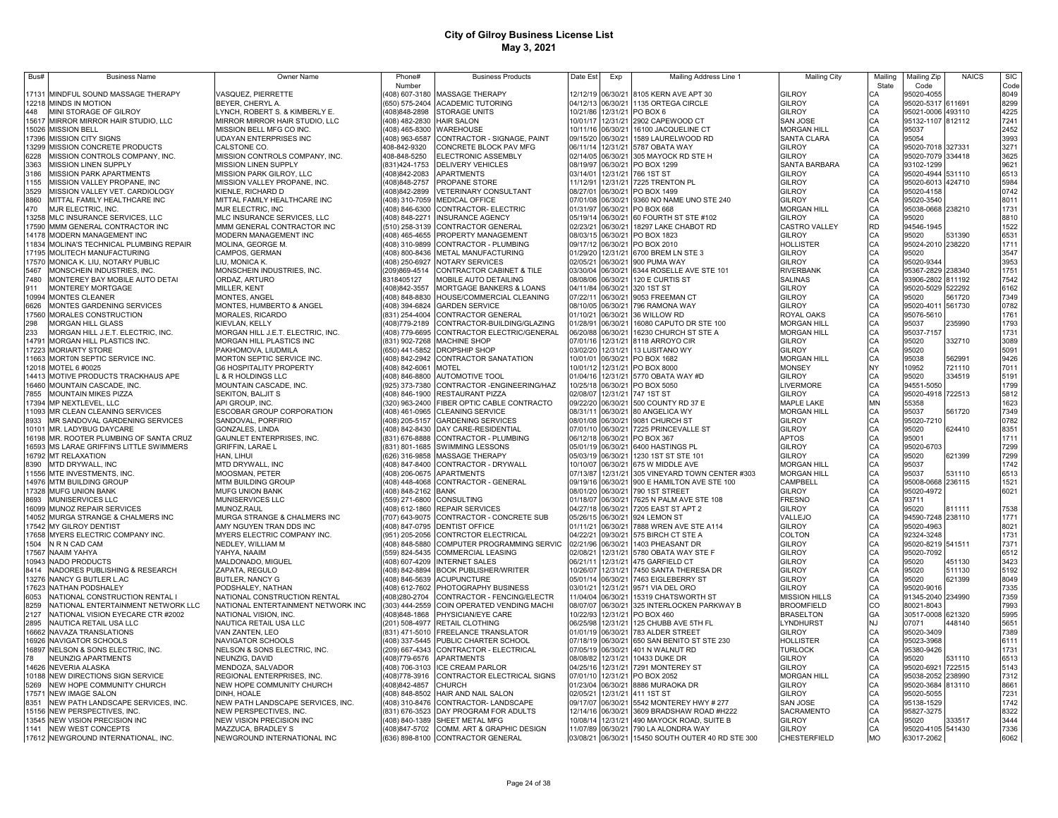| Bus#           | <b>Business Name</b>                                        | Owner Name                                              | Phone#                          | <b>Business Products</b>                                                  | Date Est             | Exp                  | Mailing Address Line 1                                                | <b>Mailing City</b>                 | Mailing   | Mailing Zip                     | <b>NAICS</b> | <b>SIC</b>   |
|----------------|-------------------------------------------------------------|---------------------------------------------------------|---------------------------------|---------------------------------------------------------------------------|----------------------|----------------------|-----------------------------------------------------------------------|-------------------------------------|-----------|---------------------------------|--------------|--------------|
|                |                                                             |                                                         | Number                          |                                                                           |                      |                      |                                                                       |                                     | State     | Code                            |              | Code         |
| 17131          | MINDFUL SOUND MASSAGE THERAPY<br>12218 MINDS IN MOTION      | VASQUEZ, PIERRETTE<br>BEYER, CHERYL A.                  |                                 | 408) 607-3180 MASSAGE THERAPY<br>(650) 575-2404 ACADEMIC TUTORING         | 12/12/19             |                      | 06/30/21 8105 KERN AVE APT 30<br>04/12/13 06/30/21 1135 ORTEGA CIRCLE | GILROY<br><b>GILROY</b>             | CА<br>СA  | 95020-4055<br>95020-5317 611691 |              | 8049<br>8299 |
| 448            | MINI STORAGE OF GILROY                                      | LYNCH, ROBERT S. & KIMBERLY E.                          | (408) 848-2898                  | STORAGE UNITS                                                             |                      |                      | 10/21/86 12/31/21 PO BOX 6                                            | <b>GILROY</b>                       | CA        | 95021-0006 493110               |              | 4225         |
| 15617          | MIRROR MIRROR HAIR STUDIO, LLC                              | MIRROR MIRROR HAIR STUDIO, LLC                          | (408) 482-2830                  | <b>HAIR SALON</b>                                                         | 10/01/17             |                      | 12/31/21 2902 CAPEWOOD CT                                             | <b>SAN JOSE</b>                     | CA        | 95132-1107 812112               |              | 7241         |
| 15026          | <b>MISSION BELL</b>                                         | MISSION BELL MFG CO INC.                                | (408) 465-8300 WAREHOUSE        |                                                                           | 10/11/16             |                      | 06/30/21 16100 JACQUELINE CT                                          | <b>MORGAN HILL</b>                  | CA        | 95037                           |              | 2452         |
| 17396          | <b>MISSION CITY SIGNS</b>                                   | <b>UDAYAN ENTERPRISES INC</b>                           | (408) 963-6587                  | CONTRACTOR - SIGNAGE, PAINT                                               | 09/15/20             | 06/30/21             | 1589 LAURELWOOD RD                                                    | <b>SANTA CLARA</b>                  | CA        | 95054                           |              | 3993         |
| 13299          | MISSION CONCRETE PRODUCTS                                   | CALSTONE CO.                                            | 408-842-9320                    | CONCRETE BLOCK PAV MFG                                                    | 06/11/14             | 12/31/21             | 5787 OBATA WAY                                                        | GILROY                              | CA        | 95020-7018 327331               |              | 3271         |
| 6228           | MISSION CONTROLS COMPANY, INC.                              | MISSION CONTROLS COMPANY, INC.                          | 408-848-5250                    | ELECTRONIC ASSEMBLY                                                       | 02/14/05             | 06/30/21             | 305 MAYOCK RD STE H                                                   | <b>GILROY</b>                       | CA        | 95020-7079 334418               |              | 3625         |
| 3363           | <b>MISSION LINEN SUPPLY</b>                                 | MISSION LINEN SUPPLY                                    | (831) 424-1753                  | DELIVERY VEHICLES                                                         | 08/19/97             | 06/30/21             | PO BOX 1299                                                           | SANTA BARBARA                       | CA        | 93102-1299                      |              | 9621         |
| 3186           | <b>MISSION PARK APARTMENTS</b>                              | MISSION PARK GILROY, LLC                                | (408) 842-2083                  | APARTMENTS                                                                | 03/14/01             | 12/31/21             | 766 1ST ST                                                            | <b>GILROY</b>                       | CA        | 95020-4944 531110               |              | 6513         |
| 155            | MISSION VALLEY PROPANE, INC                                 | MISSION VALLEY PROPANE, INC.                            | (408) 848-2757                  | PROPANE STORE                                                             | 11/12/91             | 12/31/21             | 7225 TRENTON PL                                                       | GILROY                              | CA        | 95020-6013 424710               |              | 5984         |
| 3529           | MISSION VALLEY VET. CARDIOLOGY                              | KIENLE, RICHARD D                                       | (408)842-2899                   | VETERINARY CONSULTANT                                                     | 08/27/01             | 06/30/21             | PO BOX 1499                                                           | GILROY                              | CA        | 95020-4158                      |              | 0742         |
| 8860           | MITTAL FAMILY HEALTHCARE INC                                | MITTAL FAMILY HEALTHCARE INC                            | (408) 310-7059                  | <b>MEDICAL OFFICE</b>                                                     | 07/01/08             | 06/30/21             | 9360 NO NAME UNO STE 240                                              | <b>GILROY</b>                       | CA        | 95020-3540                      |              | 8011         |
| 470            | MJR ELECTRIC, INC                                           | MJR ELECTRIC, INC                                       | (408) 846-6300                  | CONTRACTOR- ELECTRIC                                                      | 01/31/97             | 06/30/21             | PO BOX 668                                                            | <b>MORGAN HILL</b>                  | CA        | 95038-0668 238210               |              | 1731         |
| 13258          | MLC INSURANCE SERVICES, LLC                                 | MLC INSURANCE SERVICES, LLC                             | (408) 848-2271                  | INSURANCE AGENCY                                                          | 05/19/14             | 06/30/2              | 60 FOURTH ST STE #102                                                 | <b>GILROY</b>                       | CA        | 95020                           |              | 8810         |
| 17590          | <b>MMM GENERAL CONTRACTOR INC</b>                           | MMM GENERAL CONTRACTOR INC                              | (510) 258-3139                  | CONTRACTOR GENERAL                                                        | 02/23/21             | 06/30/2              | 18297 LAKE CHABOT RD                                                  | CASTRO VALLEY                       | <b>RD</b> | 94546-1945                      |              | 1522         |
| 14178          | <b><i>IODERN MANAGEMENT INC</i></b>                         | MODERN MANAGEMENT INC                                   | (408) 465-4655                  | PROPERTY MANAGEMENT                                                       | 08/03/15             | 06/30/2              | PO BOX 1823                                                           | GILROY                              | CA        | 95020                           | 531390       | 6531         |
| 11834          | MOLINA'S TECHNICAL PLUMBING REPAIR                          | MOLINA, GEORGE M.                                       | (408) 310-9899                  | CONTRACTOR - PLUMBING                                                     | 09/17/12             | 06/30/21             | PO BOX 2010                                                           | <b>HOLLISTER</b>                    | CA        | 95024-2010 238220               |              | 1711         |
| 17195          | MOLITECH MANUFACTURING                                      | CAMPOS, GERMAN                                          | 408) 800-8436                   | METAL MANUFACTURING                                                       | 01/29/20             | 12/31/21             | 6700 BREM LN STE 3                                                    | <b>GILROY</b>                       | CA        | 95020                           |              | 3547         |
| 17570          | MONICA K. LIU, NOTARY PUBLIC                                | LIU, MONICA K.                                          | (408) 250-6927                  | NOTARY SERVICES                                                           | 02/05/21             | 06/30/21             | 900 PUMA WAY                                                          | <b>GILROY</b>                       | CA        | 95020-9344                      |              | 3953         |
| 5467<br>7480   | MONSCHEIN INDUSTRIES, INC.                                  | MONSCHEIN INDUSTRIES, INC.                              | (209)869-4514                   | CONTRACTOR CABINET & TILE                                                 | 03/30/04             | 06/30/21             | 6344 ROSELLE AVE STE 101                                              | <b>RIVERBANK</b>                    | CA<br>CA  | 95367-2829 238340               |              | 1751         |
| 911            | MONTEREY BAY MOBILE AUTO DETAI                              | ORDAZ, ARTURO                                           | 8318405127                      | <b>MOBILE AUTO DETAILING</b>                                              | 08/08/06             | 06/30/21             | 120 E CURTIS ST                                                       | <b>SALINAS</b>                      |           | 93906-2802 811192               |              | 7542         |
| 10994          | MONTEREY MORTGAGE<br><b>MONTES CLEANER</b>                  | MILLER, KENT<br><b>MONTES, ANGEL</b>                    | 408)842-3557                    | <b>MORTGAGE BANKERS &amp; LOANS</b>                                       | 04/11/84<br>07/22/11 | 06/30/21<br>06/30/21 | 320 1ST ST<br>9053 FREEMAN CT                                         | <b>GILROY</b><br>GILROY             | CA<br>CA  | 95020-5029 522292<br>95020      | 561720       | 6162<br>7349 |
| 6626           |                                                             |                                                         | 408) 848-8830                   | HOUSE/COMMERCIAL CLEANING<br><b>GARDEN SERVICE</b>                        | 08/10/05             |                      | 06/30/21 796 RAMONA WAY                                               | <b>GILROY</b>                       | CA        | 95020-4011 561730               |              | 0782         |
| 17560          | MONTES GARDENING SERVICES<br>MORALES CONSTRUCTION           | MONTES, HUMBERTO & ANGEL<br>MORALES, RICARDO            | 408) 394-6824<br>(831) 254-4004 | CONTRACTOR GENERAL                                                        | 01/10/21             | 06/30/21             | 36 WILLOW RD                                                          | ROYAL OAKS                          | CA        | 95076-5610                      |              | 1761         |
| 298            | <b>MORGAN HILL GLASS</b>                                    | KIEVLAN, KELLY                                          | (408)779-2189                   | CONTRACTOR-BUILDING/GLAZING                                               | 01/28/91             |                      | 06/30/21 16080 CAPUTO DR STE 100                                      | <b>MORGAN HILL</b>                  | CA        | 95037                           | 235990       | 1793         |
| 233            | MORGAN HILL J.E.T. ELECTRIC, INC.                           | MORGAN HILL J.E.T. ELECTRIC, INC.                       | 408) 779-6695                   | CONTRACTOR ELECTRIC/GENERAL                                               | 06/20/88             |                      | 06/30/21 16230 CHURCH ST STE A                                        | <b>MORGAN HILL</b>                  | CA        |                                 |              | 1731         |
| 14791          | MORGAN HILL PLASTICS INC.                                   | MORGAN HILL PLASTICS INC                                | (831) 902-7268                  | MACHINE SHOP                                                              | 07/01/16             |                      | 12/31/21 8118 ARROYO CIR                                              | GILROY                              | CA        | 95037-7157<br>95020             | 332710       | 3089         |
| 17223          | <b>MORIARTY STORE</b>                                       | PAKHOMOVA, LIUDMILA                                     | (650) 441-5852                  | <b>DROPSHIP SHOP</b>                                                      | 03/02/20             |                      | 12/31/21 13 LUSITANO WY                                               | GILROY                              | CA        | 95020                           |              | 5091         |
| 11663          | MORTON SEPTIC SERVICE INC.                                  | MORTON SEPTIC SERVICE INC.                              | 408) 842-2942                   | CONTRACTOR SANATATION                                                     | 10/01/01             |                      | 06/30/21 PO BOX 1682                                                  | <b>MORGAN HILL</b>                  | CA        | 95038                           | 562991       | 9426         |
| 12018          | MOTEL 6 #0025                                               | <b>G6 HOSPITALITY PROPERTY</b>                          | 408) 842-6061                   | <b>MOTEL</b>                                                              | 10/01/12             |                      | 12/31/21 PO BOX 8000                                                  | MONSEY                              | NY        | 10952                           | 721110       | 7011         |
| 14413          | MOTIVE PRODUCTS TRACKHAUS APE                               | L & R HOLDINGS LLC                                      | 408) 846-8800                   | <b>AUTOMOTIVE TOOL</b>                                                    | 01/04/16             |                      | 12/31/21 5770 OBATA WAY #D                                            | GILROY                              | CA        | 95020                           | 334519       | 5191         |
| 16460          | MOUNTAIN CASCADE, INC.                                      | MOUNTAIN CASCADE, INC.                                  | (925) 373-7380                  | CONTRACTOR - ENGINEERING/HAZ                                              | 10/25/18             |                      | 06/30/21 PO BOX 5050                                                  | <b>LIVERMORE</b>                    | СA        | 94551-5050                      |              | 1799         |
| 7855           | MOUNTAIN MIKES PIZZA                                        | SEKITON, BALJIT S                                       |                                 | (408) 846-1900 RESTAURANT PIZZA                                           | 02/08/07             |                      | 12/31/21 747 1ST ST                                                   | <b>GILROY</b>                       | CA        | 95020-4918 722513               |              | 5812         |
| 17394          | MP NEXTLEVEL, LLC                                           | API GROUP, INC.                                         |                                 | (320) 963-2400 FIBER OPTIC CABLE CONTRACTO                                | 09/22/20             |                      | 06/30/21 500 COUNTY RD 37 E                                           | MAPLE LAKE                          | MN        | 55358                           |              | 1623         |
| 11093          | MR CLEAN CLEANING SERVICES                                  | ESCOBAR GROUP CORPORATION                               |                                 | (408) 461-0965 CLEANING SERVICE                                           | 08/31/11             |                      | 06/30/21 80 ANGELICA WY                                               | <b>MORGAN HILL</b>                  | CA        | 95037                           | 561720       | 7349         |
| 8933           | MR SANDOVAL GARDENING SERVICES                              | SANDOVAL, PORFIRIO                                      | (408) 205-5157                  | <b>GARDENING SERVICES</b>                                                 | 08/01/08             |                      | 06/30/21 9081 CHURCH ST                                               | <b>GILROY</b>                       | CA        | 95020-7210                      |              | 0782         |
| 10101          | MR. LADYBUG DAYCARE                                         | GONZALES, LINDA                                         | (408) 842-8430                  | DAY CARE-RESIDENTIAL                                                      | 07/01/10             | 06/30/21             | 7225 PRINCEVALLE ST                                                   | <b>GILROY</b>                       | СA        | 95020                           | 624410       | 8351         |
| 16198          | MR. ROOTER PLUMBING OF SANTA CRUZ                           | <b>GAUNLET ENTERPRISES, INC.</b>                        | (831) 676-8888                  | CONTRACTOR - PLUMBING                                                     | 06/12/18             | 06/30/21             | PO BOX 367                                                            | <b>APTOS</b>                        | CA        | 95001                           |              | 1711         |
| 16593          | MS LARAE GRIFFIN'S LITTLE SWIMMERS                          | <b>GRIFFIN, LARAE L</b>                                 | (831) 801-1685                  | SWIMMING LESSONS                                                          | 05/01/19             | 06/30/21             | 6400 HASTINGS PL                                                      | GILROY                              | CA        | 95020-6703                      |              | 7299         |
| 16792          | <b>MT RELAXATION</b>                                        | HAN. LIHUI                                              | 626) 316-9858                   | MASSAGE THERAPY                                                           | 05/03/19             | 06/30/21             | 1230 1ST ST STE 101                                                   | <b>GILROY</b>                       | CA        | 95020                           | 621399       | 7299         |
| 8390           | MTD DRYWALL. INC                                            | MTD DRYWALL. INC                                        | 408) 847-8400                   | CONTRACTOR - DRYWALL                                                      | 10/10/07             | 06/30/21             | 675 W MIDDLE AVE                                                      | <b>MORGAN HILL</b>                  | CA        | 95037                           |              | 1742         |
| 1556           | MTE INVESTMENTS, INC.                                       | MOOSMAN, PETER                                          | 408) 206-0675                   | <b>APARTMENTS</b>                                                         | 07/13/87             | 12/31/21             | 305 VINEYARD TOWN CENTER #303                                         | <b>MORGAN HILL</b>                  | CA        | 95037                           | 531110       | 6513         |
| 14976          | MTM BUILDING GROUP                                          | MTM BUILDING GROUP                                      | 408) 448-4068                   | CONTRACTOR - GENERAL                                                      | 09/19/16             | 06/30/21             | 900 E HAMILTON AVE STE 100                                            | CAMPBELL                            | CA        | 95008-0668 236115               |              | 1521         |
| 17328          | <b>MUFG UNION BANK</b>                                      | MUFG UNION BANK                                         | 408) 848-2162                   | BANK                                                                      | 08/01/20             | 06/30/21             | 790 1ST STREET                                                        | <b>GILROY</b>                       | CA        | 95020-4972                      |              | 6021         |
| 8693           | <b>MUNISERVICES LLC</b>                                     | MUNISERVICES LLC                                        | 559) 271-6800                   | CONSULTING                                                                | 01/18/07             | 06/30/21             | 7625 N PALM AVE STE 108                                               | <b>FRESNO</b>                       | CA        | 93711                           |              |              |
| 16099          | MUNOZ REPAIR SERVICES                                       | MUNOZ, RAUL                                             | 408) 612-1860                   | REPAIR SERVICES                                                           | 04/27/18             | 06/30/21             | 7205 EAST ST APT 2                                                    | <b>GILROY</b>                       | CA        | 95020                           | 811111       | 7538         |
| 14052          | MURGA STRANGE & CHALMERS INC                                | MURGA STRANGE & CHALMERS INC                            | 707) 643-9075                   | CONTRACTOR - CONCRETE SUB                                                 | 05/26/15             | 06/30/21             | 924 LEMON ST                                                          | VALLEJO                             | CA        | 94590-7248 238110               |              | 1771         |
| 17542          | MY GILROY DENTIST                                           | AMY NGUYEN TRAN DDS INC                                 | 408) 847-0795                   | DENTIST OFFICE                                                            | 01/11/21             | 06/30/21             | 7888 WREN AVE STE A114                                                | <b>GILROY</b>                       | CA        | 95020-4963                      |              | 8021         |
| 17658          | MYERS ELECTRIC COMPANY INC.                                 | MYERS ELECTRIC COMPANY INC.                             | (951) 205-2056                  | CONTRCTOR ELECTRICAL                                                      | 04/22/21             | 09/30/21             | 575 BIRCH CT STE A                                                    | COLTON                              | CA        | 92324-3248                      |              | 1731         |
| 1504           | N R N CAD CAM                                               | NEDLEY, WILLIAM M                                       | 408) 848-5880                   | COMPUTER PROGRAMMING SERVIC                                               | 02/21/96             | 06/30/21             | 1403 PHEASANT DR                                                      | <b>GILROY</b>                       | CA        | 95020-8219 541511               |              | 7371         |
| 17567          | NAAIM YAHYA                                                 | YAHYA, NAAIM                                            | (559) 824-5435                  | COMMERCIAL LEASING                                                        | 02/08/21             | 12/31/21             | 5780 OBATA WAY STE F                                                  | GILROY                              | CA        | 95020-7092                      |              | 6512         |
| 10943          | NADO PRODUCTS                                               | MALDONADO, MIGUEL                                       | 408) 607-4209                   | NTERNET SALES                                                             | 06/21/11             | 12/31/21             | 475 GARFIELD CT                                                       | <b>GILROY</b>                       | CA        | 95020                           | 451130       | 3423         |
| 8414           | <b>NADORES PUBLISHING &amp; RESEARCH</b>                    | ZAPATA, REGULO                                          | 408) 842-8894                   | <b>BOOK PUBLISHER/WRITER</b>                                              | 10/26/07             | 12/31/21             | 7450 SANTA THERESA DR                                                 | <b>GILROY</b>                       | CA        | 95020                           | 511130       | 5192         |
| 13276          | NANCY G BUTLER L.AC                                         | <b>BUTLER, NANCY G</b>                                  | 408) 846-5639                   | <b>ACUPUNCTURE</b>                                                        | 05/01/14             | 06/30/21             | 7463 EIGLEBERRY ST                                                    | <b>GILROY</b>                       | CA        | 95020                           | 621399       | 8049         |
| 17623          | NATHAN PODSHALEY                                            | PODSHALEY, NATHAN                                       | 408) 612-7602                   | PHOTOGRAPHY BUSINESS                                                      | 03/01/21             | 12/31/21             | 9571 VIA DEL ORO                                                      | <b>GILROY</b>                       | CA        | 95020-9016                      |              | 7335         |
| 6053           | NATIONAL CONSTRUCTION RENTAL I                              | NATIONAL CONSTRUCTION RENTAL                            | 408)280-2704                    | CONTRACTOR - FENCING/ELECTR                                               | 11/04/04             | 06/30/21             | 15319 CHATSWORTH ST                                                   | <b>MISSION HILLS</b>                | CA        | 91345-2040 234990               |              | 7359         |
| 8259           | NATIONAL ENTERTAINMENT NETWORK LLC                          | NATIONAL ENTERTAINMENT NETWORK INC                      | 303) 444-2559                   | COIN OPERATED VENDING MACHI                                               | 08/07/07             | 06/30/21             | 325 INTERLOCKEN PARKWAY B                                             | <b>BROOMFIELD</b>                   | CO        | 80021-8043                      |              | 7993         |
| 2127           | NATIONAL VISION EYECARE CTR #2002                           | NATIONAL VISION, INC.                                   | 408)848-1868                    | PHYSICIAN/EYE CARE                                                        | 10/22/93             |                      | 12/31/21 PO BOX 460                                                   | <b>BRASELTON</b>                    | GA        | 30517-0008 621320               |              | 5995         |
| 2895           | NAUTICA RETAIL USA LLC                                      | NAUTICA RETAIL USA LLC                                  | (201) 508-4977                  | RETAIL CLOTHING                                                           | 06/25/98             |                      | 2/31/21 125 CHUBB AVE 5TH FL                                          | <b>LYNDHURST</b>                    | <b>NJ</b> | 07071                           | 448140       | 5651         |
| 16662          | NAVAZA TRANSLATIONS                                         | VAN ZANTEN, LEO                                         | (831) 471-5010                  | FREELANCE TRANSLATOR                                                      | 01/01/19             |                      | 06/30/21 783 ALDER STREET                                             | <b>GILROY</b>                       | CA        | 95020-3409                      |              | 7389         |
| 16926          | NAVIGATOR SCHOOLS                                           | NAVIGATOR SCHOOLS                                       | (408) 337-5445                  | PUBLIC CHARTER SCHOOL                                                     | 07/18/19             |                      | 06/30/21 650 SAN BENITO ST STE 230                                    | <b>HOLLISTER</b>                    | CA        | 95023-3968                      |              | 6111         |
| 16897          | NELSON & SONS ELECTRIC, INC.                                | NELSON & SONS ELECTRIC, INC.                            | (209) 667-4343                  | CONTRACTOR - ELECTRICAL                                                   | 07/05/19             |                      | 06/30/21 401 N WALNUT RD<br>12/31/21 10433 DUKE DR                    | <b>TURLOCK</b>                      | CA        | 95380-9426                      |              | 1731         |
| 78             | NEUNZIG APARTMENTS                                          | NEUNZIG, DAVID                                          | (408)779-6576                   | APARTMENTS                                                                | 08/08/82             |                      |                                                                       | <b>GILROY</b>                       | CA        | 95020                           | 531110       | 6513         |
| 14626<br>10188 | NEVERIA ALASKA<br>NEW DIRECTIONS SIGN SERVICE               | MENDOZA, SALVADOR                                       | (408) 706-3103<br>(408)778-3916 | <b>ICE CREAM PARLOR</b><br>CONTRACTOR ELECTRICAL SIGNS                    | 04/25/16<br>07/01/10 |                      | 12/31/21 7291 MONTEREY ST<br>12/31/21 PO BOX 2052                     | <b>GILROY</b><br><b>MORGAN HILL</b> | CA<br>CA  | 95020-6921<br>95038-2052 238990 | 722515       | 5143<br>7312 |
| 5269           | NEW HOPE COMMUNITY CHURCH                                   | REGIONAL ENTERPRISES, INC.<br>NEW HOPE COMMUNITY CHURCH | (408)842-4857                   | <b>CHURCH</b>                                                             | 01/23/04             |                      | 06/30/21 8886 MURAOKA DR                                              | GILROY                              | CA        | 95020-3684 813110               |              | 8661         |
| 1757'          |                                                             | DINH, HOALE                                             |                                 |                                                                           | 02/05/21             |                      | 12/31/21 411 1ST ST                                                   | <b>GILROY</b>                       | CA        |                                 |              | 7231         |
| 8351           | <b>NEW IMAGE SALON</b><br>NEW PATH LANDSCAPE SERVICES, INC. | NEW PATH LANDSCAPE SERVICES, INC.                       |                                 | (408) 848-8502 HAIR AND NAIL SALON<br>(408) 310-8476 CONTRACTOR-LANDSCAPE | 09/17/07             |                      | 06/30/21 5542 MONTEREY HWY # 277                                      | <b>SAN JOSE</b>                     | CA        | 95020-5055<br>95138-1529        |              | 1742         |
| 15156          | NEW PERSPECTIVES, INC.                                      | NEW PERSPECTIVES, INC.                                  |                                 | (831) 676-3523 DAY PROGRAM FOR ADULTS                                     | 12/14/16             | 06/30/21             | 3609 BRADSHAW ROAD #H222                                              | <b>SACRAMENTO</b>                   | CA        | 95827-3275                      |              | 8322         |
| 13545          | NEW VISION PRECISION INC                                    | NEW VISION PRECISION INC                                |                                 | (408) 840-1389 SHEET METAL MFG                                            | 10/08/14             |                      | 12/31/21 490 MAYOCK ROAD, SUITE B                                     | GILROY                              | CA.       | 95020                           | 333517       | 3444         |
| 1141           | NEW WEST CONCEPTS                                           | MAZZUCA, BRADLEY S                                      |                                 | (408) 847-5702 COMM. ART & GRAPHIC DESIGN                                 |                      |                      | 11/07/89 06/30/21 790 LA ALONDRA WAY                                  | GII ROY                             | C.A       | 95020-4105 541430               |              | 7336         |
|                | 17612 NEWGROUND INTERNATIONAL, INC.                         | NEWGROUND INTERNATIONAL INC                             |                                 | (636) 898-8100 CONTRACTOR GENERAL                                         |                      |                      | 03/08/21 06/30/21 15450 SOUTH OUTER 40 RD STE 300                     | <b>CHESTERFIELD</b>                 | <b>MO</b> | 63017-2062                      |              | 6062         |
|                |                                                             |                                                         |                                 |                                                                           |                      |                      |                                                                       |                                     |           |                                 |              |              |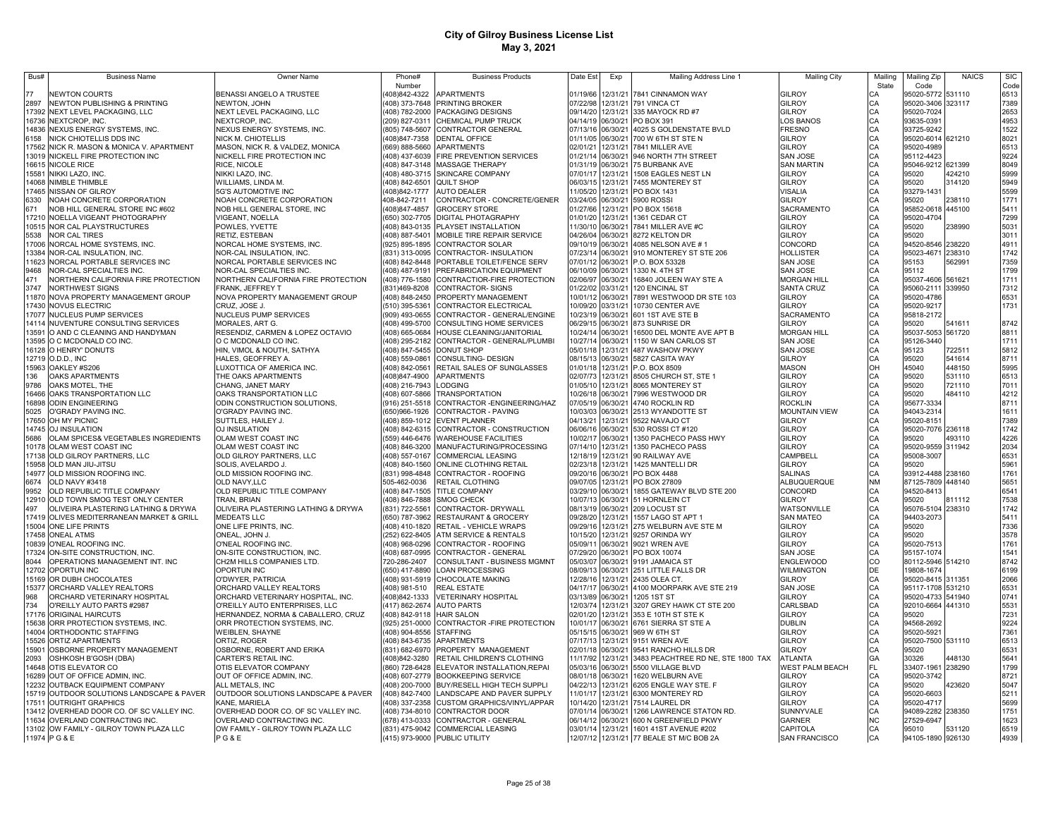| Bus#  | <b>Business Name</b>                      | Owner Name                          | Phone#                    | <b>Business Products</b>                    | Date Est          | Exp      | Mailing Address Line 1                   | <b>Mailing City</b>    | Mailing   | Mailing Zip       | <b>NAICS</b> | <b>SIC</b> |
|-------|-------------------------------------------|-------------------------------------|---------------------------|---------------------------------------------|-------------------|----------|------------------------------------------|------------------------|-----------|-------------------|--------------|------------|
|       |                                           |                                     | Number                    |                                             |                   |          |                                          |                        | State     | Code              |              | Code       |
|       | <b>NEWTON COURTS</b>                      | BENASSI ANGELO A TRUSTEE            |                           | 408)842-4322 APARTMENTS                     | 01/19/66          |          | 12/31/21 7841 CINNAMON WAY               | GILROY                 |           | 95020-5772        | 531110       | 6513       |
| 2897  | NEWTON PUBLISHING & PRINTING              | NEWTON, JOHN                        |                           | (408) 373-7648 PRINTING BROKER              | 07/22/98          |          | 12/31/21 791 VINCA CT                    | <b>GILROY</b>          | CA        | 95020-3406 323117 |              | 7389       |
|       | 17392 NEXT LEVEL PACKAGING, LLC           | NEXT LEVEL PACKAGING, LLC           |                           | (408) 782-2000 PACKAGING DESIGNS            |                   |          | 09/14/20 12/31/21 335 MAYOCK RD #7       | GILROY                 |           | 95020-7024        |              | 2653       |
|       | 16736 NEXTCROP, INC.                      | NEXTCROP, INC.                      |                           | (209) 827-0311 CHEMICAL PUMP TRUCK          | 04/14/19 06/30/21 |          | PO BOX 391                               | LOS BANOS              | CA<br>CA  | 93635-0391        |              | 4953       |
|       | 14836 NEXUS ENERGY SYSTEMS, INC.          | NEXUS ENERGY SYSTEMS, INC.          |                           | (805) 748-5607 CONTRACTOR GENERAL           | 07/13/16 06/30/21 |          | 4025 S GOLDENSTATE BVLD                  | <b>FRESNO</b>          | CA        | 93725-9242        |              | 1522       |
|       |                                           |                                     |                           |                                             |                   |          |                                          |                        |           |                   |              |            |
| 6158  | NICK CHIOTELLIS DDS INC                   | NICK M. CHIOTELLIS                  | (408)847-7358             | DENTAL OFFICE                               | 01/11/05          | 06/30/21 | 700 W 6TH ST STE N                       | GILROY                 | CA<br>CA  | 95020-6014 621210 |              | 8021       |
|       | 17562 NICK R. MASON & MONICA V. APARTMENT | MASON, NICK R. & VALDEZ, MONICA     | (669) 888-5660            | APARTMENTS                                  | 02/01/21          | 12/31/21 | 7841 MILLER AVE                          | GILROY                 |           | 95020-4989        |              | 6513       |
|       | 13019 NICKELL FIRE PROTECTION INC         | NICKELL FIRE PROTECTION INC         | (408) 437-6039            | FIRE PREVENTION SERVICES                    | 01/21/14          | 06/30/21 | 946 NORTH 7TH STREET                     | <b>SAN JOSE</b>        | CA        | 95112-4423        |              | 9224       |
|       | 16615 NICOLE RICE                         | RICE, NICOLE                        |                           | (408) 847-3148 MASSAGE THERAPY              | 01/31/19          | 06/30/21 | 75 BURBANK AVE                           | <b>SAN MARTIN</b>      |           | 95046-9212        | 621399       | 8049       |
| 15581 | NIKKI LAZO, INC.                          | NIKKI LAZO, INC                     |                           | (408) 480-3715 SKINCARE COMPANY             | 07/01/17          | 12/31/21 | 1508 EAGLES NEST LN                      | GILROY                 |           | 95020             | 424210       | 5999       |
| 14068 | NIMBLE THIMBLE                            | WILLIAMS, LINDA M.                  | 408) 842-6501 QUILT SHOP  |                                             | 06/03/15          | 12/31/21 | 7455 MONTEREY ST                         | GILROY                 |           | 95020             | 314120       | 5949       |
| 17465 | <b>NISSAN OF GILROY</b>                   | 5G'S AUTOMOTIVE INC                 | 408)842-1777              | <b>AUTO DEALER</b>                          | 11/05/20          | 12/31/21 | PO BOX 1431                              | <b>VISALIA</b>         |           | 93279-1431        |              | 5599       |
| 6330  | NOAH CONCRETE CORPORATION                 | NOAH CONCRETE CORPORATION           | 408-842-7211              | CONTRACTOR - CONCRETE/GENER                 | 03/24/05          | 06/30/21 | 5900 ROSSI                               | GILROY                 | CA        | 95020             | 238110       | 1771       |
| 671   | NOB HILL GENERAL STORE INC #602           | NOB HILL GENERAL STORE, INC         | (408) 847-4857            | <b>GROCERY STORE</b>                        | 01/27/66          | 12/31/21 | PO BOX 15618                             | SACRAMENTO             |           | 95852-0618        | 445100       | 5411       |
| 17210 | NOELLA VIGEANT PHOTOGRAPHY                | VIGEANT, NOELLA                     | (650) 302-7705            | DIGITAL PHOTAGRAPHY                         | 01/01/20          | 12/31/21 | 1361 CEDAR CT                            | GILROY                 |           | 95020-4704        |              | 7299       |
|       |                                           |                                     |                           |                                             |                   |          |                                          |                        |           |                   |              |            |
| 10515 | NOR CAL PLAYSTRUCTURES                    | POWLES, YVETTE                      |                           | 408) 843-0135 PLAYSET INSTALLATION          | 11/30/10          | 06/30/21 | 7841 MILLER AVE #C                       | GILROY                 |           | 95020             | 238990       | 5031       |
| 5538  | NOR CAL TIRES                             | RETIZ, ESTEBAN                      | (408) 887-5401            | MOBILE TIRE REPAIR SERVICE                  | 04/26/04          | 06/30/21 | 8272 KELTON DR                           | GILROY                 | CA        | 95020             |              | 3011       |
| 17006 | NORCAL HOME SYSTEMS, INC                  | NORCAL HOME SYSTEMS, INC.           | (925) 895-1895            | CONTRACTOR SOLAR                            | 09/10/19          | 06/30/21 | 4085 NELSON AVE #1                       | CONCORD                | CA        | 94520-8546        | 238220       | 4911       |
| 13384 | NOR-CAL INSULATION, INC.                  | NOR-CAL INSULATION, INC.            | (831) 313-0095            | CONTRACTOR- INSULATION                      | 07/23/14          | 06/30/21 | 910 MONTEREY ST STE 206                  | HOLLISTER              | CA        | 95023-4671        | 238310       | 1742       |
| 11623 | <b>NORCAL PORTABLE SERVICES INC</b>       | NORCAL PORTABLE SERVICES INC        | (408) 842-8448            | PORTABLE TOILET/FENCE SERV                  | 07/01/12          | 06/30/21 | P.O. BOX 53328                           | SAN JOSE               | CA        | 95153             | 562991       | 7359       |
| 9468  | NOR-CAL SPECIALTIES INC.                  | NOR-CAL SPECIALTIES INC.            | (408) 487-9191            | PREFABRICATION EQUIPMENT                    | 06/10/09          | 06/30/21 | 1330 N. 4TH ST                           | SAN JOSE               | CA        | 95112             |              | 1799       |
| 471   | NORTHERN CALIFORNIA FIRE PROTECTION       | NORTHERN CALIFORNIA FIRE PROTECTION | (408) 776-1580            | CONTRACTIOR-FIRE PROTECTION                 | 02/06/97          | 06/30/21 | 16840 JOLEEN WAY STE A                   | MORGAN HILL            | CA        | 95037-4606 561621 |              | 1711       |
| 3747  | NORTHWEST SIGNS                           | FRANK, JEFFREY T                    | (831)469-8208             | CONTRACTOR-SIGNS                            | 01/22/02          | 03/31/21 | 120 ENCINAL ST                           | <b>SANTA CRUZ</b>      | CA        | 95060-2111        | 339950       | 7312       |
| 11870 | NOVA PROPERTY MANAGEMENT GROUP            | NOVA PROPERTY MANAGEMENT GROUP      |                           | (408) 848-2450 PROPERTY MANAGEMENT          | 10/01/12          | 06/30/21 | 7891 WESTWOOD DR STE 103                 | <b>GILROY</b>          | CА        | 95020-4786        |              | 6531       |
| 17430 | <b>NOVUS ELECTRIC</b>                     | CRUZ, JOSE J.                       | (510) 395-5361            | CONTRACTOR ELECTRICAL                       | 10/09/20          | 03/31/21 | 10730 CENTER AVE                         | <b>GILROY</b>          | CA        | 95020-9217        |              | 1731       |
| 17077 | NUCLEUS PUMP SERVICES                     | NUCLEUS PUMP SERVICES               | (909) 493-0655            | CONTRACTOR - GENERAL/ENGINE                 | 10/23/19          | 06/30/21 | 601 1ST AVE STE B                        | SACRAMENTO             | CA        | 95818-2172        |              |            |
| 14114 | NUVENTURE CONSULTING SERVICES             | MORALES, ART G.                     |                           | (408) 499-5700 CONSULTING HOME SERVICES     | 06/29/15          | 06/30/21 | 873 SUNRISE DR                           | <b>GILROY</b>          | CA        | 95020             | 541611       | 8742       |
|       |                                           |                                     |                           |                                             |                   |          |                                          |                        |           |                   |              |            |
| 13591 | O AND C CLEANING AND HANDYMAN             | RESENDIZ, CARMEN & LOPEZ OCTAVIO    | (408) 665-0684            | HOUSE CLEANING/JANITORIAL                   | 10/24/14          | 06/30/21 | 16500 DEL MONTE AVE APT B                | <b>MORGAN HILL</b>     | CA        | 95037-5053 561720 |              | 8811       |
|       | 13595 O C MCDONALD CO INC.                | O C MCDONALD CO INC.                |                           | (408) 295-2182 CONTRACTOR - GENERAL/PLUMBI  | 10/27/14          | 06/30/21 | 1150 W SAN CARLOS ST                     | SAN JOSE               | CA        | 95126-3440        |              | 1711       |
|       | 16128 O HENRY' DONUTS                     | HIN, VIMOL & NOUTH, SATHYA          |                           | (408) 847-5455 DONUT SHOP                   | 05/01/18          |          | 12/31/21 487 WASHOW PKWY                 | SAN JOSE               | CA        | 95123             | 722511       | 5812       |
|       | 12719 O.D.D., INC                         | HALES, GEOFFREY A.                  |                           | (408) 559-0861 CONSULTING- DESIGN           | 08/15/13          | 06/30/21 | 5827 CASITA WAY                          | GILROY                 | CA        | 95020             | 541614       | 8711       |
|       | 15963 OAKLEY #S206                        | LUXOTTICA OF AMERICA INC.           |                           | (408) 842-0561 RETAIL SALES OF SUNGLASSES   | 01/01/18          |          | 12/31/21 P.O. BOX 8509                   | <b>MASON</b>           | OH        | 45040             | 448150       | 5995       |
| 136   | <b>OAKS APARTMENTS</b>                    | THE OAKS APARTMENTS                 | 408)847-4900              | <b>APARTMENTS</b>                           | 02/07/73          | 12/31/21 | 8505 CHURCH ST, STE 1                    | GILROY                 | CA        | 95020             | 531110       | 6513       |
| 9786  | OAKS MOTEL, THE                           | CHANG, JANET MARY                   | (408) 216-7943 LODGING    |                                             | 01/05/10          | 12/31/21 | 8065 MONTEREY ST                         | GILROY                 | CA        | 95020             | 721110       | 7011       |
| 16466 | OAKS TRANSPORTATION LLC                   | OAKS TRANSPORTATION LLC             | (408) 607-5866            | <b>TRANSPORTATION</b>                       | 10/26/18          | 06/30/21 | 7996 WESTWOOD DR                         | GILROY                 |           | 95020             | 484110       | 4212       |
|       | <b>16898 ODIN ENGINEERING</b>             | ODIN CONSTRUCTION SOLUTIONS,        | (916) 251-5518            | CONTRACTOR - ENGINEERING/HAZ                | 07/05/19          | 06/30/21 | 4740 ROCKLIN RD                          | <b>ROCKLIN</b>         | CA        | 95677-3334        |              | 8711       |
| 5025  | O'GRADY PAVING INC.                       | O'GRADY PAVING INC.                 | (650)966-1926             | CONTRACTOR - PAVING                         | 10/03/03          | 06/30/21 | 2513 WYANDOTTE ST                        | <b>MOUNTAIN VIEW</b>   | CA        | 94043-2314        |              | 1611       |
| 17650 | OH MY PICNIC                              | SUTTLES, HAILEY J.                  |                           | (408) 859-1012 EVENT PLANNER                | 04/13/21          | 12/31/21 | 9522 NAVAJO CT                           | <b>GILROY</b>          | CA        | 95020-8151        |              | 7389       |
| 14745 | OJ INSULATION                             | OJ INSULATION                       | (408) 842-6315            | CONTRACTOR - CONSTRUCTION                   | 06/06/16          | 06/30/21 | 530 ROSSI CT #120                        | GILROY                 |           | 95020-7076 236118 |              | 1742       |
|       |                                           |                                     |                           |                                             |                   |          |                                          |                        |           |                   |              |            |
| 5686  | OLAM SPICES& VEGETABLES INGREDIENTS       | OLAM WEST COAST INC                 |                           | 559) 446-6476 WAREHOUSE FACILITIES          | 10/02/17          | 06/30/21 | 1350 PACHECO PASS HWY                    | GILROY                 |           | 95020             | 493110       | 4226       |
| 10178 | OLAM WEST COAST INC                       | OLAM WEST COAST INC                 |                           | 408) 846-3200 MANUFACTURING/PROCESSING      | 07/14/10          | 12/31/21 | 1350 PACHECO PASS                        | GILROY                 | CA        | 95020-9559 311942 |              | 2034       |
| 17138 | OLD GILROY PARTNERS, LLC                  | OLD GILROY PARTNERS, LLC            |                           | 408) 557-0167 COMMERCIAL LEASING            | 12/18/19          | 12/31/21 | 90 RAILWAY AVE                           | CAMPBELL               | CA        | 95008-3007        |              | 6531       |
| 15958 | OLD MAN JIU-JITSU                         | SOLIS, AVELARDO J.                  |                           | 408) 840-1560 ONLINE CLOTHING RETAIL        | 02/23/18          | 12/31/21 | 1425 MANTELLI DR                         | GILROY                 | CA        | 95020             |              | 5961       |
| 14977 | OLD MISSION ROOFING INC.                  | OLD MISSION ROOFING INC.            |                           | 831) 998-4848 CONTRACTOR - ROOFING          | 09/20/16          | 06/30/21 | PO BOX 4488                              | <b>SALINAS</b>         | CA        | 93912-4488 238160 |              | 1761       |
| 6674  | OLD NAVY #3418                            | OLD NAVY, LLC                       | 505-462-0036              | RETAIL CLOTHING                             | 09/07/05          | 12/31/21 | PO BOX 27809                             | ALBUQUERQUE            | <b>NM</b> | 87125-7809        | 448140       | 5651       |
| 9952  | OLD REPUBLIC TITLE COMPANY                | OLD REPUBLIC TITLE COMPANY          |                           | 408) 847-1505 TITLE COMPANY                 | 03/29/10          | 06/30/21 | 1855 GATEWAY BLVD STE 200                | CONCORD                | CA        | 94520-8413        |              | 6541       |
| 12910 | OLD TOWN SMOG TEST ONLY CENTER            | TRAN, BRIAN                         | (408) 846-7888            | SMOG CHECK                                  | 10/07/13          | 06/30/21 | 51 HORNLEIN CT                           | <b>GILROY</b>          | CA        | 95020             | 811112       | 7538       |
| 497   | OLIVEIRA PLASTERING LATHING & DRYWA       | OLIVEIRA PLASTERING LATHING & DRYWA | 831) 722-5561             | CONTRACTOR-DRYWALL                          | 08/13/19          | 06/30/21 | 209 LOCUST ST                            | WATSONVILLE            | CA        | 95076-5104        | 238310       | 1742       |
| 17419 | OLIVES MEDITERRANEAN MARKET & GRILL       | <b>MEDEATS LLC</b>                  | (650) 787-3962            | <b>RESTAURANT &amp; GROCERY</b>             | 09/28/20          | 12/31/21 | 1557 LAGO ST APT 1                       | <b>SAN MATEO</b>       | CA        | 94403-2073        |              | 5411       |
| 15004 | ONE LIFE PRINTS                           | ONE LIFE PRINTS, INC.               | (408) 410-1820            | RETAIL - VEHICLE WRAPS                      | 09/29/16          | 12/31/21 | 275 WELBURN AVE STE M                    | GILROY                 | CA        | 95020             |              | 7336       |
| 17458 | ONEAL ATMS                                | ONEAL, JOHN J.                      | (252) 622-8405            | ATM SERVICE & RENTALS                       | 10/15/20          | 12/31/21 | 9257 ORINDA WY                           | GILROY                 | CA        | 95020             |              | 3578       |
| 10839 | O'NEAL ROOFING INC.                       | O'NEAL ROOFING INC.                 | (408) 968-0296            | CONTRACTOR - ROOFING                        | 05/09/11          | 06/30/21 | 9021 WREN AVE                            | GILROY                 | CA        | 95020-7513        |              | 1761       |
| 17324 | ON-SITE CONSTRUCTION, INC.                | ON-SITE CONSTRUCTION, INC.          | (408) 687-0995            | CONTRACTOR - GENERAL                        | 07/29/20          | 06/30/21 | PO BOX 10074                             | SAN JOSE               | CA        | 95157-1074        |              | 1541       |
| 8044  | OPERATIONS MANAGEMENT INT. INC            | CH2M HILLS COMPANIES LTD.           | 720-286-2407              | CONSULTANT - BUSINESS MGMNT                 | 05/03/07          | 06/30/21 | 9191 JAMAICA ST                          | <b>ENGLEWOOD</b>       | CO        | 80112-5946 514210 |              | 8742       |
| 12702 |                                           |                                     |                           |                                             |                   |          |                                          |                        |           |                   |              |            |
|       | <b>OPORTUN INC</b>                        | OPORTUN INC                         | (650) 417-8890            | <b>LOAN PROCESSING</b>                      | 08/09/13          | 06/30/21 | 251 LITTLE FALLS DR                      | <b>WILMINGTON</b>      | DE        | 19808-1674        |              | 6199       |
| 15169 | OR DUBH CHOCOLATES                        | O'DWYER, PATRICIA                   | (408) 931-5919            | <b>CHOCOLATE MAKING</b>                     | 12/28/16          | 12/31/21 | 2435 OLEA CT.                            | <b>GILROY</b>          | CA        | 95020-8415 311351 |              | 2066       |
| 15377 | ORCHARD VALLEY REALTORS                   | ORCHARD VALLEY REALTORS             | (408) 981-510             | <b>REAL ESTATE</b>                          | 04/17/17          | 06/30/21 | 4100 MOORPARK AVE STE 219                | <b>SAN JOSE</b>        | CA        | 95117-1708 531210 |              | 6531       |
| 968   | ORCHARD VETERINARY HOSPITAL               | ORCHARD VETERINARY HOSPITAL, INC.   | (408)842-1333             | <b>VETERINARY HOSPITAL</b>                  | 03/13/89          | 06/30/21 | 1205 1ST ST                              | GILROY                 | CA        | 95020-4733 541940 |              | 0741       |
| 734   | O'REILLY AUTO PARTS #2987                 | O'REILLY AUTO ENTERPRISES, LLC      |                           | (417) 862-2674 AUTO PARTS                   | 12/03/74          | 12/31/21 | 3207 GREY HAWK CT STE 200                | CARLSBAD               | CA        | 92010-6664 441310 |              | 5531       |
| 17176 | ORIGINAL HAIRCUTS                         | HERNANDEZ, NORMA & CABALLERO, CRUZ  | (408) 842-9118 HAIR SALON |                                             | 02/01/20          | 12/31/21 | 353 E 10TH ST STE K                      | GILROY                 | CA        | 95020             |              | 7231       |
| 15638 | ORR PROTECTION SYSTEMS, INC.              | ORR PROTECTION SYSTEMS, INC.        | (925) 251-0000            | CONTRACTOR - FIRE PROTECTION                | 10/01/17          | 06/30/21 | 6761 SIERRA ST STE A                     | <b>DUBLIN</b>          | CA        | 94568-2692        |              | 9224       |
| 14004 | ORTHODONTIC STAFFING                      | WEIBLEN, SHAYNE                     | (408) 904-8556            | <b>STAFFING</b>                             | 05/15/15          | 06/30/21 | 969 W 6TH ST                             | GILROY                 | CA        | 95020-5921        |              | 7361       |
| 15526 | <b>ORTIZ APARTMENTS</b>                   | ORTIZ, ROGER                        | (408) 843-6735            | <b>APARTMENTS</b>                           | 07/17/13          |          | 12/31/21 9151 WREN AVE                   | GILROY                 | CA        | 95020-7500 531110 |              | 6513       |
| 15901 | OSBORNE PROPERTY MANAGEMENT               | OSBORNE, ROBERT AND ERIKA           |                           | (831) 682-6970 PROPERTY MANAGEMENT          | 02/01/18          | 06/30/21 | 9541 RANCHO HILLS DR                     | GILROY                 | CA        | 95020             |              | 6531       |
| 2093  | OSHKOSH B'GOSH (DBA)                      | CARTER'S RETAIL INC.                | (408)842-3280             | RETAIL CHILDREN'S CLOTHING                  | 11/17/92          | 12/31/21 | 3483 PEACHTREE RD NE, STE 1800 TAX       | <b>ATLANTA</b>         | GA        | 30326             | 448130       | 5641       |
|       | 14648 OTIS ELEVATOR CO                    | OTIS ELEVATOR COMPANY               |                           | (860) 728-6428 ELEVATOR INSTALLATION, REPAI | 05/03/16          | 06/30/21 | 5500 VILLAGE BLVD                        | <b>WEST PALM BEACH</b> | FL        | 33407-1961        | 238290       | 1799       |
|       | 16289 OUT OF OFFICE ADMIN, INC.           | OUT OF OFFICE ADMIN, INC.           |                           | (408) 607-2779 BOOKKEEPING SERVICE          | 08/01/18          | 06/30/21 | 1620 WELBURN AVE                         | <b>GILROY</b>          |           | 95020-3742        |              |            |
|       |                                           |                                     |                           |                                             |                   |          |                                          |                        | CA        |                   |              | 8721       |
|       | 12232 OUTBACK EQUIPMENT COMPANY           | ALL METALS, INC                     |                           | (408) 200-7000 BUY/RESELL HIGH TECH SUPPLI  | 04/22/13          |          | 12/31/21 6205 ENGLE WAY STE. F           | <b>GILROY</b>          |           | 95020             | 423620       | 5047       |
|       | 15719 OUTDOOR SOLUTIONS LANDSCAPE & PAVER | OUTDOOR SOLUTIONS LANDSCAPE & PAVER | (408) 842-7400            | LANDSCAPE AND PAVER SUPPLY                  | 11/01/17          | 12/31/21 | 6300 MONTEREY RD                         | <b>GILROY</b>          |           | 95020-6603        |              | 5211       |
|       | 17511 OUTRIGHT GRAPHICS                   | KANE, MARIELA                       |                           | (408) 337-2358 CUSTOM GRAPHICS/VINYL/APPAR  | 10/14/20 12/31/21 |          | 7514 LAUREL DR                           | <b>GILROY</b>          |           | 95020-4717        |              | 5699       |
|       | 13412 OVERHEAD DOOR CO. OF SC VALLEY INC. | OVERHEAD DOOR CO. OF SC VALLEY INC  |                           | (408) 734-8010 CONTRACTOR DOOR              | 07/01/14          | 06/30/21 | 1266 LAWRENCE STATON RD.                 | SUNNYVALE              |           | 94089-2282        | 238350       | 1751       |
|       | 11634 OVERLAND CONTRACTING INC.           | OVERLAND CONTRACTING INC.           |                           | (678) 413-0333 CONTRACTOR - GENERAL         | 06/14/12          | 06/30/21 | 600 N GREENFIELD PKWY                    | GARNER                 | <b>NC</b> | 27529-6947        |              | 1623       |
|       | 13102 OW FAMILY - GILROY TOWN PLAZA LLC   | OW FAMILY - GILROY TOWN PLAZA LLC   |                           | (831) 475-9042 COMMERCIAL LEASING           | 03/01/14          |          | 12/31/21 1601 41ST AVENUE #202           | CAPITOLA               | CA        | 95010             | 531120       | 6519       |
|       | 11974 PG & E                              | P G & E                             |                           | (415) 973-9000 PUBLIC UTILITY               |                   |          | 12/07/12 12/31/21 77 BEALE ST M/C BOB 2A | <b>SAN FRANCISCO</b>   | CA        | 94105-1890 926130 |              | 4939       |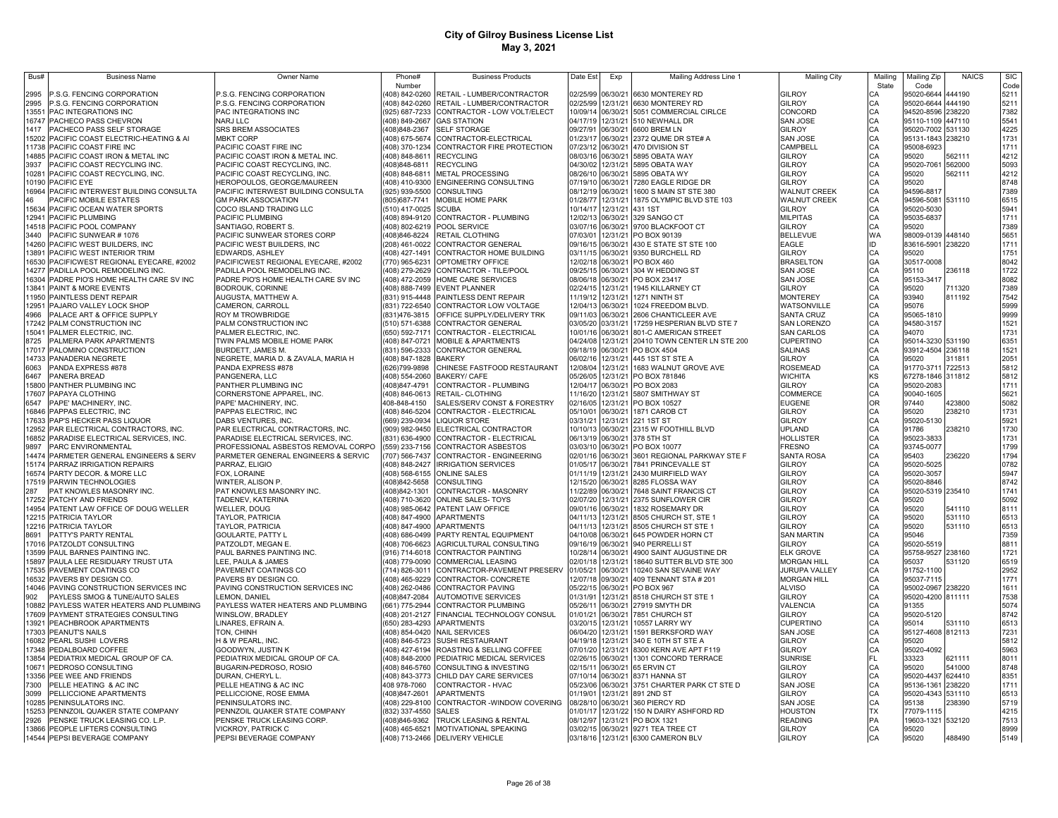| Bus#          | <b>Business Name</b>                          | <b>Owner Name</b>                                         | Phone#                                  | <b>Business Products</b>                    | Date Est                      | Exp                  | Mailing Address Line 1                                | <b>Mailing City</b>             | Mailinc   | Mailing Zip              | <b>NAICS</b>     | <b>SIC</b>   |
|---------------|-----------------------------------------------|-----------------------------------------------------------|-----------------------------------------|---------------------------------------------|-------------------------------|----------------------|-------------------------------------------------------|---------------------------------|-----------|--------------------------|------------------|--------------|
|               |                                               |                                                           | Number                                  |                                             |                               |                      |                                                       |                                 | State     | Code                     |                  | Code         |
| 2995          | P.S.G. FENCING CORPORATION                    | P.S.G. FENCING CORPORATION                                |                                         | (408) 842-0260 RETAIL - LUMBER/CONTRACTOR   | 02/25/99                      | 06/30/21             | 6630 MONTEREY RD                                      | <b>GILROY</b>                   |           | 95020-6644               | 444190           | 5211         |
| 2995          | P.S.G. FENCING CORPORATION                    | P.S.G. FENCING CORPORATION                                |                                         | (408) 842-0260 RETAIL - LUMBER/CONTRACTOR   | 02/25/99                      | 12/31/21             | 6630 MONTEREY RD                                      | GILROY                          | CA        | 95020-6644               | 444190           | 5211         |
| 13551         | PAC INTEGRATIONS INC                          | PAC INTEGRATIONS INC                                      |                                         | 925) 687-7233 CONTRACTOR - LOW VOLT/ELECT   | 10/09/14                      | 06/30/21             | 5051 COMMERCIAL CIRLCE                                | CONCORD                         | CA        | 94520-8596               | 238220           | 7382         |
| 16747         | PACHECO PASS CHEVRON                          | <b>NARJ LLC</b>                                           | 408) 849-2667                           | <b>GAS STATION</b>                          | 04/17/19                      | 12/31/21             | 510 NEWHALL DR                                        | SAN JOSE                        | CA        | 95110-1109 447110        |                  | 5541         |
| 1417          | PACHECO PASS SELF STORAGE                     | <b>SRS BREM ASSOCIATES</b>                                | (408)848-2367                           | <b>SELF STORAGE</b>                         | 09/27/91                      | 06/30/21             | 6600 BREM LN                                          | GILROY                          | CA        | 95020-7002 531130        |                  | 4225         |
| 15202         | PACIFIC COAST ELECTRIC-HEATING & AI           | <b>MBKT CORP</b>                                          | 408) 675-5674                           | CONTRACTOR-ELECTRICAL                       | 01/23/17                      | 06/30/21             | 2372 QUME DR STE# A                                   | SAN JOSE                        | CA        | 95131-1843 238210        |                  | 1731         |
| 11738         | PACIFIC COAST FIRE INC                        | PACIFIC COAST FIRE INC                                    | (408) 370-1234                          | CONTRACTOR FIRE PROTECTION                  | 07/23/12                      | 06/30/21             | 470 DIVISION ST                                       | CAMPBELL                        | CA        | 95008-6923               |                  | 1711         |
| 14885         | PACIFIC COAST IRON & METAL INC                | PACIFIC COAST IRON & METAL INC.                           | (408) 848-8611                          | <b>RECYCLING</b>                            | 08/03/16                      | 06/30/21             | 5895 OBATA WAY                                        | GILROY                          | СA        | 95020                    | 562111           | 4212         |
| 3937          | PACIFIC COAST RECYCLING INC.                  | PACIFIC COAST RECYCLING, INC.                             | (408)848-6811                           | <b>RECYCLING</b>                            | 04/30/02                      | 12/31/21             | 5895 OBATA WAY                                        | GILROY                          | CA        | 95020-7061               | 562000           | 5093         |
| 10281         | PACIFIC COAST RECYCLING, INC                  | PACIFIC COAST RECYCLING, INC                              | (408) 848-6811                          | METAL PROCESSING                            | 08/26/10                      | 06/30/21             | 5895 OBATA WY                                         | GILROY                          | CA        | 95020                    | 562111           | 4212         |
| 10190         | PACIFIC EYE                                   | HEROPOULOS, GEORGE/MAUREEN                                | (408) 410-9300                          | <b>ENGINEERING CONSULTING</b>               | 07/19/10                      | 06/30/21             | 7280 EAGLE RIDGE DR                                   | GILROY                          | CA        | 95020                    |                  | 8748         |
| 16964         | PACIFIC INTERWEST BUILDING CONSULTA           | PACIFIC INTERWEST BUILDING CONSULTA                       | (925) 939-5500                          | CONSULTING                                  | 08/12/19                      | 06/30/21             | 1600 S MAIN ST STE 380                                | <b>WALNUT CREEK</b>             | CA        | 94596-8817               |                  | 7389         |
| 46            | PACIFIC MOBILE ESTATES                        | <b>GM PARK ASSOCIATION</b>                                | (805) 687-7741                          | MOBILE HOME PARK                            | 01/28/77                      | 12/31/21             | 1875 OLYMPIC BLVD STE 103                             | <b>WALNUT CREEK</b>             | CA        | 94596-5081               | 531110           | 6515         |
| 15634         | PACIFIC OCEAN WATER SPORTS                    | COCO ISLAND TRADING LLC                                   | (510) 417-0025 SCUBA                    |                                             | 10/14/17                      | 12/31/21             | 431 1ST                                               | GILROY                          | CA        | 95020-5030               |                  | 5941         |
| 12941         | PACIFIC PLUMBING                              | PACIFIC PLUMBING                                          |                                         | (408) 894-9120 CONTRACTOR - PLUMBING        | 12/02/13                      | 06/30/21             | 329 SANGO CT                                          | <b>MILPITAS</b>                 | CA        | 95035-6837               |                  | 1711         |
| 14518         | PACIFIC POOL COMPANY                          | SANTIAGO, ROBERT S                                        |                                         | (408) 802-6219 POOL SERVICE                 | 03/07/16                      | 06/30/21             | 9700 BLACKFOOT CT                                     | GILROY                          | CA        | 95020                    |                  | 7389         |
| 3440          | PACIFIC SUNWEAR # 1076                        | PACIFIC SUNWEAR STORES CORP                               | (408)846-8224                           | RETAIL CLOTHING                             | 07/03/01                      | 12/31/21             | PO BOX 90139                                          | <b>BELLEVUE</b>                 | <b>WA</b> | 98009-0139 448140        |                  | 5651         |
| 14260         | PACIFIC WEST BUILDERS, INC                    | PACIFIC WEST BUILDERS, INC                                |                                         | (208) 461-0022 CONTRACTOR GENERAL           | 09/16/15                      | 06/30/21             | 430 E STATE ST STE 100                                | EAGLE                           | lın.      | 83616-5901               | 238220           | 1711         |
| 13891         | PACIFIC WEST INTERIOR TRIM                    | EDWARDS, ASHLEY                                           | (408) 427-1491                          | CONTRACTOR HOME BUILDING                    | 03/11/15                      | 06/30/21             | 9350 BURCHELL RD                                      | GILROY                          | CA        | 95020                    |                  | 1751         |
| 16530         | PACIFICWEST REGIONAL EYECARE, #2002           | PACIFICWEST REGIONAL EYECARE, #2002                       | (770) 965-6231                          | OPTOMETRY OFFICE                            | 12/02/18                      | 06/30/21             | PO BOX 460                                            | <b>BRASELTON</b>                | GA        | 30517-0008               |                  | 8042         |
| 14277         | PADILLA POOL REMODELING INC.                  | PADILLA POOL REMODELING INC.                              | (408) 279-2629                          | CONTRACTOR - TILE/POOL                      | 09/25/15                      | 06/30/21             | 304 W HEDDING ST                                      | SAN JOSE                        | C.A       | 95110                    | 236118           | 1722         |
| 16304         | PADRE PIO'S HOME HEALTH CARE SV INC           | PADRE PIO'S HOME HEALTH CARE SV INC                       |                                         | (408) 472-2059 HOME CARE SERVICES           | 08/06/18                      | 06/30/21             | PO BOX 23417                                          | SAN JOSE                        | CA        | 95153-3417               |                  | 8082         |
| 13841         | PAINT & MORE EVENTS                           | BODROUK, CORINNE                                          |                                         | (408) 888-7499 EVENT PLANNER                | 02/24/15                      | 12/31/21             | 1945 KILLARNEY CT                                     | <b>GILROY</b>                   | CA        | 95020                    | 711320           | 7389         |
| 11950         | PAINTLESS DENT REPAIR                         | AUGUSTA, MATTHEW A.                                       |                                         | (831) 915-4448 PAINTLESS DENT REPAIR        | 11/19/12                      | 12/31/21             | 1271 NINTH ST                                         | <b>MONTEREY</b>                 | CA        | 93940                    | 811192           | 7542         |
| 12951         | PAJARO VALLEY LOCK SHOP                       | CAMERON, CARROLL                                          |                                         | (831) 722-6540 CONTRACTOR LOW VOLTAGE       | 12/04/13                      | 06/30/21             | 1024 FREEDOM BLVD.                                    | WATSONVILLE                     | CA        | 95076                    |                  | 5999         |
| 4966<br>17242 | PALACE ART & OFFICE SUPPLY                    | ROY M TROWBRIDGE                                          |                                         | (831)476-3815 OFFICE SUPPLY/DELIVERY TRK    | 09/11/03                      | 06/30/21<br>03/31/21 | 2606 CHANTICLEER AVE                                  | <b>SANTA CRUZ</b>               | CA<br>CA  | 95065-1810<br>94580-3157 |                  | 9999<br>1521 |
|               | PALM CONSTRUCTION INC                         | PALM CONSTRUCTION INC                                     |                                         | (510) 571-6388 CONTRACTOR GENERAL           | 03/05/20<br>10/01/16 06/30/21 |                      | 17259 HESPERIAN BLVD STE 7                            | SAN LORENZO                     |           |                          |                  |              |
| 15041         | PALMER ELECTRIC, INC.                         | PALMER ELECTRIC, INC.                                     |                                         | (650) 592-7171 CONTRACTOR - ELECTRICAL      | 04/24/08 12/31/21             |                      | 801-C AMERICAN STREET<br>20410 TOWN CENTER LN STE 200 | <b>SAN CARLOS</b>               | CA        | 94070                    |                  | 1731         |
| 8725          | PALMERA PARK APARTMENTS                       | TWIN PALMS MOBILE HOME PARK                               |                                         | (408) 847-0721 MOBILE & APARTMENTS          | 09/18/19 06/30/21             |                      |                                                       | CUPERTINO                       | CA        | 95014-3230 531190        |                  | 6351<br>1521 |
| 17017         | PALOMINO CONSTRUCTION                         | BURDETT, JAMES M.                                         |                                         | (831) 596-2333 CONTRACTOR GENERAL           | 06/02/16                      | 12/31/21             | PO BOX 4504<br>445 1ST ST STE A                       | <b>SALINAS</b><br><b>GILROY</b> | CA        | 93912-4504 236118        |                  | 2051         |
| 6063          | 14733 PANADERIA NEGRETE<br>PANDA EXPRESS #878 | NEGRETE, MARIA D. & ZAVALA, MARIA H<br>PANDA EXPRESS #878 | (408) 847-1828 BAKERY<br>(626) 799-9898 | CHINESE FASTFOOD RESTAURANT                 | 12/08/04                      | 12/31/21             | 1683 WALNUT GROVE AVE                                 | ROSEMEAD                        | CA<br>CA  | 95020<br>91770-3711      | 311811<br>722513 | 5812         |
| 6467          | PANERA BREAD                                  | PANGENERA, LLC                                            |                                         | (408) 554-2060 BAKERY/ CAFE                 | 05/26/05 12/31/21             |                      | PO BOX 781846                                         | <b>WICHITA</b>                  | KS        | 67278-1846 311812        |                  | 5812         |
| 15800         | PANTHER PLUMBING INC                          | PANTHER PLUMBING INC                                      | 408)847-4791                            | CONTRACTOR - PLUMBING                       | 12/04/17                      | 06/30/21             | PO BOX 2083                                           | GILROY                          | CA        | 95020-2083               |                  | 1711         |
| 17607         | PAPAYA CLOTHING                               | CORNERSTONE APPAREL, INC.                                 |                                         | (408) 846-0613 RETAIL- CLOTHING             | 11/16/20 12/31/21             |                      | 5807 SMITHWAY ST                                      | COMMERCE                        | CA        | 90040-1605               |                  | 5621         |
| 6547          | PAPE' MACHINERY, INC                          | PAPE' MACHINERY, INC                                      | 408-848-4150                            | SALES/SERV CONST & FORESTRY                 | 02/16/05                      | 12/31/21             | PO BOX 10527                                          | <b>EUGENE</b>                   | <b>OR</b> | 97440                    | 423800           | 5082         |
| 16846         | PAPPAS ELECTRIC, INC                          | PAPPAS ELECTRIC, INC                                      | (408) 846-5204                          | CONTRACTOR - ELECTRICAL                     | 05/10/01                      | 06/30/21             | 1871 CAROB CT                                         | GILROY                          | CA        | 95020                    | 238210           | 1731         |
| 17633         | PAP'S HECKER PASS LIQUOR                      | DABS VENTURES, INC.                                       | 669) 239-0934                           | <b>LIQUOR STORE</b>                         | 03/31/21                      | 12/31/21             | 221 1ST ST                                            | GILROY                          | CA        | 95020-5130               |                  | 5921         |
| 12952         | PAR ELECTRICAL CONTRACTORS, INC.              | PAR ELECTRICAL CONTRACTORS, INC.                          | (909) 982-9450                          | ELECTRICAL CONTRACTOR                       | 10/10/13                      | 06/30/21             | 2315 W FOOTHILL BLVD                                  | <b>JPLAND</b>                   | C.A       | 91786                    | 238210           | 1730         |
| 16852         | PARADISE ELECTRICAL SERVICES, INC.            | PARADISE ELECTRICAL SERVICES. INC.                        | (831) 636-4900                          | CONTRACTOR - ELECTRICAL                     | 06/13/19                      | 06/30/21             | 378 5TH ST                                            | HOLLISTER                       | CA        | 95023-3833               |                  | 1731         |
| 9897          | PARC ENVIRONMENTAL                            | PROFESSIONAL ASBESTOS REMOVAL CORPO                       | (559) 233-7156                          | <b>CONTRACTOR ASBESTOS</b>                  | 03/03/10                      | 06/30/21             | PO BOX 10077                                          | FRESNO                          | CA        | 93745-0077               |                  | 1799         |
| 14474         | PARMETER GENERAL ENGINEERS & SERV             | PARMETER GENERAL ENGINEERS & SERVIC                       | 707) 566-7437                           | CONTRACTOR - ENGINEERING                    | 02/01/16                      | 06/30/21             | 3601 REGIONAL PARKWAY STE F                           | SANTA ROSA                      | CA        | 95403                    | 236220           | 1794         |
| 15174         | PARRAZ IRRIGATION REPAIRS                     | PARRAZ, ELIGIO                                            | 408) 848-2427                           | <b>IRRIGATION SERVICES</b>                  | 01/05/17                      | 06/30/21             | 7841 PRINCEVALLE ST                                   | <b>GILROY</b>                   | CA        | 95020-5025               |                  | 0782         |
| 16574         | PARTY DECOR. & MORE LLC                       | FOX, LORAINE                                              |                                         | (408) 568-6155 ONLINE SALES                 | 01/11/19                      | 12/31/21             | 2430 MUIRFIELD WAY                                    | GILROY                          | CA        | 95020-3057               |                  | 5947         |
| 17519         | PARWIN TECHNOLOGIES                           | WINTER, ALISON P.                                         | (408)842-5658                           | <b>CONSULTING</b>                           | 12/15/20                      | 06/30/21             | 8285 FLOSSA WAY                                       | GILROY                          | CA        | 95020-8846               |                  | 8742         |
| 287           | PAT KNOWLES MASONRY INC                       | PAT KNOWLES MASONRY INC.                                  | 408)842-1301                            | CONTRACTOR - MASONRY                        | 11/22/89                      | 06/30/21             | 7648 SAINT FRANCIS CT                                 | GILROY                          | CA        | 95020-5319 235410        |                  | 1741         |
| 17252         | PATCHY AND FRIENDS                            | TADENEV, KATERINA                                         | (408) 710-3620                          | <b>ONLINE SALES-TOYS</b>                    | 02/07/20                      | 12/31/21             | 2375 SUNFLOWER CIR                                    | GILROY                          | CA        | 95020                    |                  | 5092         |
| 14954         | PATENT LAW OFFICE OF DOUG WELLER              | <b>WELLER, DOUG</b>                                       |                                         | 408) 985-0642 PATENT LAW OFFICE             | 09/01/16                      | 06/30/21             | 1832 ROSEMARY DR                                      | GILROY                          | CA        | 95020                    | 541110           | 8111         |
| 12215         | PATRICIA TAYLOR                               | TAYLOR, PATRICIA                                          |                                         | (408) 847-4900 APARTMENTS                   | 04/11/13                      | 12/31/21             | 8505 CHURCH ST, STE 1                                 | GILROY                          | CA        | 95020                    | 531110           | 6513         |
| 12216         | PATRICIA TAYLOR                               | TAYLOR, PATRICIA                                          |                                         | (408) 847-4900 APARTMENTS                   | 04/11/13                      | 12/31/21             | 8505 CHURCH ST STE 1                                  | GILROY                          | CA        | 95020                    | 531110           | 6513         |
| 8691          | PATTY'S PARTY RENTAL                          | <b>GOULARTE, PATTY L</b>                                  |                                         | (408) 686-0499 PARTY RENTAL EQUIPMENT       | 04/10/08                      | 06/30/21             | 645 POWDER HORN CT                                    | <b>SAN MARTIN</b>               | CA        | 95046                    |                  | 7359         |
| 17016         | PATZOLDT CONSULTING                           | PATZOLDT, MEGAN E.                                        | (408) 706-6623                          | AGRICULTURAL CONSULTING                     | 09/16/19                      | 06/30/21             | 940 PERRELLI ST                                       | <b>GILROY</b>                   | CA        | 95020-5519               |                  | 8811         |
| 13599         | PAUL BARNES PAINTING INC.                     | PAUL BARNES PAINTING INC.                                 |                                         | (916) 714-6018 CONTRACTOR PAINTING          | 10/28/14                      | 06/30/21             | 4900 SAINT AUGUSTINE DR                               | <b>ELK GROVE</b>                | CA        | 95758-9527 238160        |                  | 1721         |
| 15897         | PAULA LEE RESIDUARY TRUST UTA                 | LEE, PAULA & JAMES                                        | (408) 779-0090                          | <b>COMMERCIAL LEASING</b>                   | 02/01/18                      | 12/31/21             | 18640 SUTTER BLVD STE 300                             | <b>MORGAN HILL</b>              | CA        | 95037                    | 531120           | 6519         |
|               | 17535 PAVEMENT COATINGS CO                    | PAVEMENT COATINGS CO                                      | (714) 826-3011                          | CONTRACTOR-PAVEMENT PRESER\                 | 01/05/2                       | 06/30/21             | 10240 SAN SEVAINE WAY                                 | <b>JURUPA VALLEY</b>            | CA        | 91752-1100               |                  | 2952         |
| 16532         | PAVERS BY DESIGN CO.                          | PAVERS BY DESIGN CO.                                      | (408) 465-9229                          | CONTRACTOR-CONCRETE                         | 12/07/18                      | 09/30/21             | 409 TENNANT STA # 201                                 | <b>MORGAN HILL</b>              | CA        | 95037-7115               |                  | 1771         |
|               | 14046 PAVING CONSTRUCTION SERVICES INC        | PAVING CONSTRUCTION SERVICES INC                          |                                         | (408) 262-0486 CONTRACTOR PAVING            | 05/22/15                      | 06/30/21             | PO BOX 967                                            | <b>ALVISO</b>                   | CA        | 95002-0967               | 238220           | 1611         |
| 902           | PAYLESS SMOG & TUNE/AUTO SALES                | LEMON, DANIEL                                             | (408)847-2084                           | <b>AUTOMOTIVE SERVICES</b>                  | 01/31/91                      | 12/31/21             | 8518 CHURCH ST STE 1                                  | <b>GILROY</b>                   | CA        | 95020-4200 811111        |                  | 7538         |
| 10882         | PAYLESS WATER HEATERS AND PLUMBING            | PAYLESS WATER HEATERS AND PLUMBING                        |                                         | (661) 775-2944 CONTRACTOR PLUMBING          | 05/26/1                       | 06/30/21             | 27919 SMYTH DR                                        | VALENCIA                        | CA        | 91355                    |                  | 5074         |
|               | 17609 PAYMENT STRATEGIES CONSULTING           | WINSLOW, BRADLEY                                          |                                         | (408) 201-2127 FINANCIAL TECHNOLOGY CONSUL  | 01/01/21                      | 06/30/21             | 7851 CHURCH ST                                        | <b>GILROY</b>                   | CA        | 95020-5120               |                  | 8742         |
| 13921         | PEACHBROOK APARTMENTS                         | LINARES, EFRAIN A.                                        |                                         | (650) 283-4293 APARTMENTS                   | 03/20/15                      | 12/31/21             | 10557 LARRY WY                                        | <b>CUPERTINO</b>                | CA        | 95014                    | 531110           | 6513         |
|               | 17303 PEANUT'S NAILS                          | TON, CHINH                                                |                                         | (408) 854-0420 NAIL SERVICES                | 06/04/20                      | 12/31/21             | 1591 BERKSFORD WAY                                    | <b>SAN JOSE</b>                 | CA        | 95127-4608 812113        |                  | 7231         |
|               | 16082 PEARL SUSHI LOVERS                      | H & W PEARL, INC.                                         |                                         | (408) 846-5723 SUSHI RESTAURANT             | 04/19/18                      |                      | 12/31/21 340 E 10TH ST STE A                          | <b>GILROY</b>                   | CA        | 95020                    |                  | 5812         |
|               | 17348 PEDALBOARD COFFEE                       | GOODWYN, JUSTIN K                                         |                                         | (408) 427-6194 ROASTING & SELLING COFFEE    | 07/01/20                      | 12/31/21             | 8300 KERN AVE APT F119                                | GILROY                          | CA        | 95020-4092               |                  | 5963         |
|               | 13854 PEDIATRIX MEDICAL GROUP OF CA.          | PEDIATRIX MEDICAL GROUP OF CA.                            |                                         | (408) 848-2000 PEDIATRIC MEDICAL SERVICES   | 02/26/15                      | 06/30/21             | 1301 CONCORD TERRACE                                  | <b>SUNRISE</b>                  | FL        | 33323                    | 621111           | 8011         |
|               | 10671 PEDROSO CONSULTING                      | BUGARIN-PEDROSO, ROSIO                                    |                                         | (408) 846-5760 CONSULTING & INVESTING       | 02/15/11                      | 06/30/21             | 65 ERVIN CT                                           | GILROY                          | CA        | 95020                    | 541000           | 8748         |
|               | 13356 PEE WEE AND FRIENDS                     | DURAN, CHERYL L                                           |                                         | (408) 843-3773 CHILD DAY CARE SERVICES      | 07/10/14                      | 06/30/21             | 8371 HANNA ST                                         | <b>GILROY</b>                   | CA        | 95020-4437 624410        |                  | 8351         |
| 7300          | PELLE HEATING & AC INC                        | PELLE HEATING & AC INC                                    | 408 978-7060                            | CONTRACTOR - HVAC                           | 05/23/06                      | 06/30/21             | 3751 CHARTER PARK CT STE D                            | <b>SAN JOSE</b>                 | CA        | 95136-1361               | 238220           | 1711         |
| 3099          | PELLICCIONE APARTMENTS                        | PELLICCIONE, ROSE EMMA                                    | (408)847-2601                           | <b>APARTMENTS</b>                           | 01/19/01                      | 12/31/21             | 891 2ND ST                                            | GILROY                          |           | 95020-4343 531110        |                  | 6513         |
| 10285         | PENINSULATORS INC.                            | PENINSULATORS INC.                                        |                                         | (408) 229-8100 CONTRACTOR - WINDOW COVERING | 08/28/10                      | 06/30/21             | 360 PIERCY RD                                         | <b>SAN JOSE</b>                 |           | 95138                    | 238390           | 5719         |
| 15253         | PENNZOIL QUAKER STATE COMPANY                 | PENNZOIL QUAKER STATE COMPANY                             | (832) 337-4550 SALES                    |                                             | 01/01/17                      | 12/31/22             | 150 N DAIRY ASHFORD RD                                | <b>HOUSTON</b>                  | <b>TX</b> | 77079-1115               |                  | 4215         |
| 2926          | PENSKE TRUCK LEASING CO. L.P.                 | PENSKE TRUCK LEASING CORP.                                | (408)846-9362                           | TRUCK LEASING & RENTAL                      | 08/12/97                      | 12/31/21             | PO BOX 1321                                           | READING                         | PA        | 19603-1321 532120        |                  | 7513         |
|               | 13866 PEOPLE LIFTERS CONSULTING               | VICKROY, PATRICK C                                        |                                         | (408) 465-6521 MOTIVATIONAL SPEAKING        | 03/02/15                      |                      | 06/30/21 9271 TEA TREE CT                             | <b>GILROY</b>                   | C.A       | 95020                    |                  | 8999         |
|               | 14544 PEPSI BEVERAGE COMPANY                  | PEPSI BEVERAGE COMPANY                                    |                                         | (408) 713-2466 DELIVERY VEHICLE             |                               |                      | 03/18/16 12/31/21 6300 CAMERON BLV                    | <b>GILROY</b>                   |           | 95020                    | 488490           | 5149         |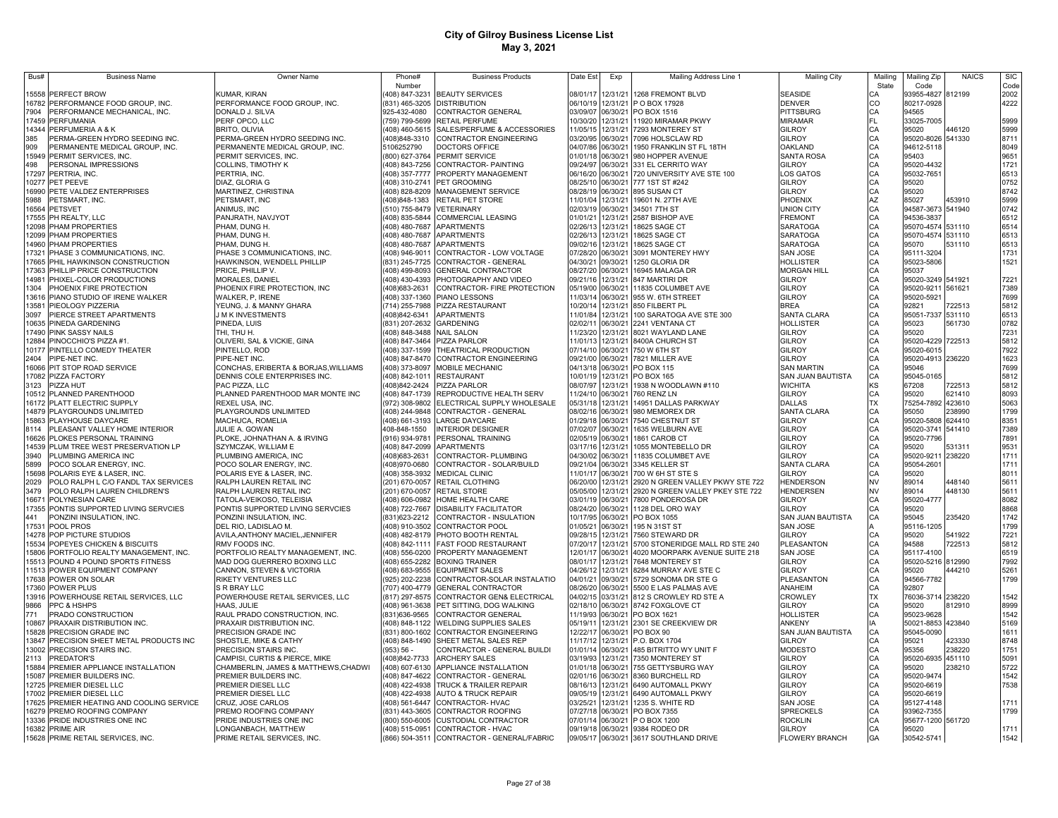| Bus#         | <b>Business Name</b>                                         | Owner Name                                                   | Phone#                           | <b>Business Products</b>                                 | Date Est             | Exp                  | Mailing Address Line 1                       | <b>Mailing City</b>      | Mailing        | Mailing Zip       | <b>NAICS</b> | <b>SIC</b>   |
|--------------|--------------------------------------------------------------|--------------------------------------------------------------|----------------------------------|----------------------------------------------------------|----------------------|----------------------|----------------------------------------------|--------------------------|----------------|-------------------|--------------|--------------|
|              |                                                              |                                                              | Number                           |                                                          |                      |                      |                                              |                          | State          | Code              |              | Code         |
| 15558        | PERFECT BROW                                                 | KUMAR, KIRAN                                                 | (408) 847-3231                   | <b>BEAUTY SERVICES</b>                                   |                      |                      | 08/01/17 12/31/21 1268 FREMONT BLVD          | <b>SEASIDE</b>           |                | 93955-4827        | 812199       | 2002         |
|              | 16782 PERFORMANCE FOOD GROUP, INC.                           | PERFORMANCE FOOD GROUP, INC.                                 |                                  | (831) 465-3205 DISTRIBUTION                              |                      |                      | 06/10/19 12/31/21 P O BOX 17928              | <b>DENVER</b>            | CO             | 80217-0928        |              | 4222         |
| 7904         | PERFORMANCE MECHANICAL, INC.                                 | DONALD J. SILVA                                              | 925-432-4080                     | CONTRACTOR GENERAL                                       |                      |                      | 03/09/07 06/30/21 PO BOX 1516                | PITTSBURG                | CA<br>FL       | 94565             |              |              |
| 17459        | PERFUMANIA                                                   | PERF OPCO, LLC                                               | (759) 799-5699                   | RETAIL PERFUME                                           |                      |                      | 10/30/20 12/31/21 11920 MIRAMAR PKWY         | <b>MIRAMAR</b>           |                | 33025-7005        |              | 5999         |
| 14344        | PERFUMERIA A & K                                             | BRITO, OLIVIA                                                |                                  | (408) 460-5615 SALES/PERFUME & ACCESSORIES               |                      |                      | 11/05/15 12/31/21 7293 MONTEREY ST           | <b>GILROY</b>            | CA<br>CA<br>CA | 95020             | 446120       | 5999         |
| 385          | PERMA-GREEN HYDRO SEEDING INC.                               | PERMA-GREEN HYDRO SEEDING INC.                               | (408)848-3310                    | CONTRACTOR ENGINEERING                                   |                      |                      | 03/20/95 06/30/21 7096 HOLSCLAW RD           | <b>GILROY</b>            |                | 95020-8026 541330 |              | 8711         |
| 909          | PERMANENTE MEDICAL GROUP, INC.                               | PERMANENTE MEDICAL GROUP, INC.                               | 5106252790                       | <b>DOCTORS OFFICE</b>                                    |                      |                      | 04/07/86 06/30/21 1950 FRANKLIN ST FL 18TH   | <b>OAKLAND</b>           |                | 94612-5118        |              | 8049         |
| 15949        | PERMIT SERVICES, INC.                                        | PERMIT SERVICES, INC.                                        |                                  | (800) 627-3764 PERMIT SERVICE                            |                      |                      | 01/01/18 06/30/21 980 HOPPER AVENUE          | <b>SANTA ROSA</b>        | CA<br>CA       | 95403             |              | 9651         |
| 498          | PERSONAL IMPRESSIONS                                         | COLLINS, TIMOTHY K                                           | (408) 843-7256                   | CONTRACTOR- PAINTING                                     |                      |                      | 09/24/97 06/30/21 331 EL CERRITO WAY         | <b>GILROY</b>            |                | 95020-4432        |              | 1721         |
| 17297        | PERTRIA, INC.                                                | PERTRIA, INC.                                                |                                  | (408) 357-7777 PROPERTY MANAGEMENT                       |                      |                      | 06/16/20 06/30/21 720 UNIVERSITY AVE STE 100 | LOS GATOS                | CA             | 95032-7651        |              | 6513         |
| 10277        | PET PEEVE                                                    | DIAZ, GLORIA G                                               | (408) 310-2741                   | PET GROOMING                                             | 08/25/10 06/30/21    |                      | 777 1ST ST #242                              | GILROY                   | CA<br>CA       | 95020             |              | 0752         |
| 16990        | PETE VALDEZ ENTERPRISES                                      | MARTINEZ, CHRISTINA                                          |                                  | (408) 828-8209 MANAGEMENT SERVICE                        | 08/28/19 06/30/21    |                      | 895 SUSAN CT                                 | <b>GILROY</b>            |                | 95020             |              | 8742         |
| 5988         | PETSMART, INC.                                               | PETSMART. INC                                                | (408)848-1383                    | <b>RETAIL PET STORE</b>                                  | 11/01/04 12/31/21    |                      | 19601 N. 27TH AVE                            | PHOENIX                  | AZ<br>CA       | 85027             | 453910       | 5999         |
| 16564        | PETSVET                                                      | ANIMUS, INC                                                  | (510) 755-8479                   | <b>VETERINARY</b>                                        | 02/03/19 06/30/21    |                      | 34501 7TH ST                                 | <b>JNION CITY</b>        |                | 94587-3673 541940 |              | 0742         |
| 17555        | PH REALTY, LLC                                               | PANJRATH, NAVJYOT                                            | (408) 835-5844                   | <b>COMMERCIAL LEASING</b>                                | 01/01/21             | 12/31/21             | 2587 BISHOP AVE                              | <b>FREMONT</b>           | CA             | 94536-3837        |              | 6512         |
| 12098        | <b>PHAM PROPERTIES</b>                                       | PHAM, DUNG H.                                                | (408) 480-7687                   | <b>APARTMENTS</b>                                        | 02/26/13             | 12/31/21             | 18625 SAGE CT                                | <b>SARATOGA</b>          | CA             | 95070-4574        | 531110       | 6514         |
| 12099        | <b>PHAM PROPERTIES</b>                                       | PHAM, DUNG H                                                 | (408) 480-7687                   | <b>APARTMENTS</b>                                        | 02/26/13             | 12/31/21             | 18625 SAGE CT                                | SARATOGA                 | CA             | 95070-4574        | 531110       | 6513         |
| 14960        | PHAM PROPERTIES                                              | PHAM, DUNG H                                                 | (408) 480-7687                   | <b>APARTMENTS</b>                                        | 09/02/16             | 12/31/21             | 18625 SAGE CT                                | <b>SARATOGA</b>          | CA             | 95070             | 531110       | 6513         |
| 17321        | PHASE 3 COMMUNICATIONS, INC.                                 | PHASE 3 COMMUNICATIONS, INC.                                 | (408) 946-9011                   | CONTRACTOR - LOW VOLTAGE                                 | 07/28/20 06/30/21    |                      | 3091 MONTEREY HWY                            | SAN JOSE                 | CA             | 95111-3204        |              | 1731         |
| 17665        | PHIL HAWKINSON CONSTRUCTION                                  | HAWKINSON, WENDELL PHILLIP                                   | (831) 245-7725                   | CONTRACTOR - GENERAL                                     | 04/30/21             | 09/30/21             | 1250 GLORIA DR                               | HOLLISTER                | CA             | 95023-5806        |              | 1521         |
| 17363        | PHILLIP PRICE CONSTRUCTION                                   | PRICE, PHILLIP V.                                            | (408) 499-8093                   | GENERAL CONTRACTOR                                       | 08/27/20 06/30/21    |                      | 16945 MALAGA DR                              | <b>MORGAN HILL</b>       | CA             | 95037             |              |              |
| 14981        | PHIXEL-COLOR PRODUCTIONS                                     | MORALES, DANIEL                                              | (408) 430-4393                   | PHOTOGRAPHY AND VIDEO                                    | 09/21/16             | 12/31/21             | 847 MARTIRI DR                               | <b>GILROY</b>            | CA             | 95020-3249 541921 |              | 7221         |
| 1304         | PHOENIX FIRE PROTECTION                                      | PHOENIX FIRE PROTECTION, INC                                 | (408) 683-2631                   | CONTRACTOR- FIRE PROTECTION                              | 05/19/00             | 06/30/21             | 11835 COLUMBET AVE                           | GILROY                   | CA             | 95020-9211        | 561621       | 7389         |
| 13616        | PIANO STUDIO OF IRENE WALKER                                 | WALKER, P, IRENE                                             |                                  | (408) 337-1360 PIANO LESSONS                             | 11/03/14             | 06/30/21             | 955 W. 6TH STREET                            | <b>GILROY</b>            | CA             | 95020-5921        |              | 7699         |
| 13581        | PIEOLOGY PIZZERIA                                            | YEUNG, J. & MANNY GHARA                                      | (714) 255-7988                   | PIZZA RESTAURANT                                         | 10/20/14             | 12/31/21             | 850 FILBERT PL                               | <b>BREA</b>              | CA             | 92821             | 722513       | 5812         |
| 3097         | PIERCE STREET APARTMENTS                                     | <b>JMK INVESTMENTS</b>                                       | (408)842-6341                    | <b>APARTMENTS</b>                                        | 11/01/84             | 12/31/21             | 100 SARATOGA AVE STE 300                     | SANTA CLARA              | CA             | 95051-7337        | 531110       | 6513         |
| 10635        | PINEDA GARDENING                                             | PINEDA, LUIS                                                 | (831) 207-2632                   | <b>GARDENING</b>                                         | 02/02/11             | 06/30/21             | 2241 VENTANA CT                              | <b>HOLLISTER</b>         | CA             | 95023             | 561730       | 0782         |
| 17490        | PINK SASSY NAILS                                             | THI. THU H.                                                  | (408) 848-3488 NAIL SALON        |                                                          | 11/23/20             |                      | 12/31/21 8021 WAYLAND LANE                   | GILROY                   | CA             | 95020             |              | 7231         |
| 12884        | PINOCCHIO'S PIZZA #1.                                        | OLIVERI, SAL & VICKIE, GINA                                  | (408) 847-3464                   | <b>PIZZA PARLOR</b>                                      | 11/01/13             |                      | 12/31/21 8400A CHURCH ST                     | GILROY                   | CA             | 95020-4229        | 722513       | 5812         |
| 10177        | PINTELLO COMEDY THEATER                                      | PINTELLO, ROD                                                | (408) 337-1599                   | THEATRICAL PRODUCTION                                    |                      |                      | 07/14/10 06/30/21 750 W 6TH ST               | GILROY                   | CA             | 95020-6015        |              | 7922         |
| 2404         | PIPE-NET INC.                                                | PIPE-NET INC.                                                |                                  | (408) 847-8470 CONTRACTOR ENGINEERING                    |                      |                      | 09/21/00 06/30/21 7821 MILLER AVE            | GILROY                   | CA             | 95020-4913 236220 |              | 1623         |
| 16066        | PIT STOP ROAD SERVICE                                        | CONCHAS, ERIBERTA & BORJAS, WILLIAMS                         |                                  | (408) 373-8097 MOBILE MECHANIC                           |                      |                      | 04/13/18 06/30/21 PO BOX 115                 | <b>SAN MARTIN</b>        | CA             | 95046             |              | 7699         |
| 17082        | PIZZA FACTORY                                                | DENNIS COLE ENTERPRISES INC.                                 | (408) 842-1011                   | <b>RESTAURANT</b>                                        |                      |                      | 10/01/19 12/31/21 PO BOX 165                 | <b>SAN JUAN BAUTISTA</b> | CA             | 95045-0165        |              | 5812         |
| 3123         | PIZZA HUT                                                    | PAC PIZZA, LLC                                               | (408)842-2424                    | <b>PIZZA PARLOR</b>                                      |                      |                      | 08/07/97 12/31/21 1938 N WOODLAWN #110       | <b>WICHITA</b>           | KS             | 67208             | 722513       | 5812         |
| 10512        | PLANNED PARENTHOOD                                           | PLANNED PARENTHOOD MAR MONTE INC                             | (408) 847-1739                   | REPRODUCTIVE HEALTH SERV                                 |                      |                      | 11/24/10 06/30/21 760 RENZ LN                | <b>GILROY</b>            | CA             | 95020             | 621410       | 8093         |
|              | 16172 PLATT ELECTRIC SUPPLY                                  | REXEL USA, INC.                                              | (972) 308-9802                   | ELECTRICAL SUPPLY WHOLESALE                              |                      |                      | 05/31/18 12/31/21 14951 DALLAS PARKWAY       | DALLAS                   | <b>TX</b>      | 75254-7892        | 423610       | 5063         |
|              | 14879 PLAYGROUNDS UNLIMITED                                  | PLAYGROUNDS UNLIMITED                                        | (408) 244-9848                   | CONTRACTOR - GENERAL                                     |                      |                      | 08/02/16 06/30/21 980 MEMOREX DR             | SANTA CLARA              | CA             | 95050             | 238990       | 1799         |
| 15863        | PLAYHOUSE DAYCARE                                            | MACHUCA, ROMELIA                                             | (408) 661-3193                   | <b>LARGE DAYCARE</b>                                     |                      |                      | 01/29/18 06/30/21 7540 CHESTNUT ST           | <b>GILROY</b>            | CA             | 95020-5808        | 624410       | 8351         |
| 8114         | PLEASANT VALLEY HOME INTERIOR                                | JULIE A. GOWAN                                               | 408-848-1550                     | <b>INTERIOR DESIGNER</b>                                 | 07/02/07             | 06/30/21             | 1635 WELBURN AVE                             | GILROY                   | CA             | 95020-3741        | 541410       | 7389         |
| 16626        | PLOKES PERSONAL TRAINING                                     | PLOKE, JOHNATHAN A. & IRVING                                 | (916) 934-9781                   | PERSONAL TRAINING                                        |                      |                      | 02/05/19 06/30/21 1861 CAROB CT              | GILROY                   | CA             | 95020-7796        |              | 7891         |
| 14539        | PLUM TREE WEST PRESERVATION LP                               | SZYMCZAK. WILLIAM E                                          | (408) 847-2099                   | <b>APARTMENTS</b>                                        | 03/17/16             | 12/31/21             | 1055 MONTEBELLO DR                           | GILROY                   | CA             | 95020             | 531311       | 9531         |
| 3940         | PLUMBING AMERICA INC                                         | PLUMBING AMERICA, INC                                        | (408)683-2631                    | CONTRACTOR- PLUMBING                                     | 04/30/02 06/30/21    |                      | 11835 COLUMBET AVE                           | GILROY                   | CA             | 95020-9211        | 238220       | 1711         |
| 5899         | POCO SOLAR ENERGY, INC                                       | POCO SOLAR ENERGY, INC.                                      | (408)970-0680                    | CONTRACTOR - SOLAR/BUILD                                 | 09/21/04             | 06/30/21             | 3345 KELLER ST                               | <b>SANTA CLARA</b>       | CA<br>CA       | 95054-2601        |              | 1711         |
| 15698        | POLARIS EYE & LASER, INC.                                    | POLARIS EYE & LASER, INC.                                    | (408) 358-3932                   | MEDICAL CLINIC                                           | 11/01/17             | 06/30/21             | 700 W 6H ST STE S                            | GILROY                   |                | 95020             |              | 8011         |
| 2029         | POLO RALPH L C/O FANDL TAX SERVICES                          | RALPH LAUREN RETAIL INC                                      | (201) 670-0057                   | <b>RETAIL CLOTHING</b>                                   | 06/20/00             | 12/31/21             | 2920 N GREEN VALLEY PKWY STE 722             | <b>HENDERSON</b>         | <b>NV</b>      | 89014             | 448140       | 5611         |
| 3479         | OLO RALPH LAUREN CHILDREN'S                                  | RALPH LAUREN RETAIL INC                                      | (201) 670-0057                   | <b>RETAIL STORE</b>                                      | 05/05/00             | 12/31/21             | 2920 N GREEN VALLEY PKEY STE 722             | <b>HENDERSEN</b>         | <b>NV</b>      | 89014             | 448130       | 5611         |
| 16671        | POLYNESIAN CARE                                              | TATOLA-VEIKOSO, TELEISIA                                     | (408) 606-0982                   | HOME HEALTH CARE                                         | 03/01/19<br>08/24/20 | 06/30/21<br>06/30/21 | 7800 PONDEROSA DR                            | GILROY<br>GILROY         | CA<br>CA       | 95020-4777        |              | 8082<br>8868 |
| 17355<br>441 | PONTIS SUPPORTED LIVING SERVCIES<br>PONZINI INSULATION, INC. | PONTIS SUPPORTED LIVING SERVCIES<br>PONZINI INSULATION, INC. | (408) 722-7667<br>(831) 623-2212 | <b>DISABILITY FACILITATOR</b><br>CONTRACTOR - INSULATION | 10/17/95             | 06/30/21             | 1128 DEL ORO WAY<br>PO BOX 1055              | SAN JUAN BAUTISTA        | CA             | 95020<br>95045    | 235420       | 1742         |
| 17531        | POOL PROS                                                    | DEL RIO, LADISLAO M.                                         | (408) 910-3502                   | <b>CONTRACTOR POOL</b>                                   | 01/05/21             | 06/30/21             | 195 N 31ST ST                                | SAN JOSE                 |                | 95116-1205        |              | 1799         |
| 14278        | OP PICTURE STUDIOS                                           | AVILA, ANTHONY MACIEL, JENNIFER                              | (408) 482-8179                   | PHOTO BOOTH RENTAL                                       | 09/28/15             | 12/31/21             | 7560 STEWARD DR                              | <b>GILROY</b>            | CA             | 95020             | 541922       | 7221         |
| 15534        | POPEYES CHICKEN & BISCUITS                                   | RMV FOODS INC.                                               | (408) 842-1111                   | FAST FOOD RESTAURANT                                     | 07/20/17             | 12/31/21             | 5700 STONERIDGE MALL RD STE 240              | PLEASANTON               | CA             | 94588             | 722513       | 5812         |
| 15806        | PORTFOLIO REALTY MANAGEMENT, INC.                            | PORTFOLIO REALTY MANAGEMENT, INC.                            | (408) 556-0200                   | PROPERTY MANAGEMENT                                      | 12/01/17             | 06/30/21             | 4020 MOORPARK AVENUE SUITE 218               | <b>SAN JOSE</b>          | CA             | 95117-4100        |              | 6519         |
| 15513        | POUND 4 POUND SPORTS FITNESS                                 | MAD DOG GUERRERO BOXING LLC                                  | (408) 655-2282                   | <b>BOXING TRAINER</b>                                    | 08/01/17             | 12/31/21             | 7648 MONTEREY ST                             | <b>GILROY</b>            | CA             | 95020-5216 812990 |              | 7992         |
| 11513        | POWER EQUIPMENT COMPANY                                      | CANNON, STEVEN & VICTORIA                                    | (408) 683-9555                   | <b>EQUIPMENT SALES</b>                                   | 04/26/12             | 12/31/21             | 8284 MURRAY AVE STE C                        | GILROY                   | CA             | 95020             | 144210       | 5261         |
| 17638        | POWER ON SOLAR                                               | RIKETY VENTURES LLC                                          | (925) 202-2238                   | CONTRACTOR-SOLAR INSTALATIO                              | 04/01/21             | 09/30/21             | 5729 SONOMA DR STE G                         | PLEASANTON               | CA             | 94566-7782        |              | 1799         |
| 17360        | POWER PLUS                                                   | S R BRAY LLC                                                 | (707) 400-4779                   | <b>GENERAL CONTRACTOR</b>                                | 08/26/20             | 06/30/21             | 5500 E LAS PALMAS AVE                        | ANAHEIM                  | CA             | 92807             |              |              |
| 13916        | POWERHOUSE RETAIL SERVICES, LLC                              | POWERHOUSE RETAIL SERVICES, LLC                              | (817) 297-8575                   | CONTRACTOR GEN& ELECTRICAL                               | 04/02/15             | 03/31/21             | 812 S CROWLEY RD STE A                       | CROWLEY                  | TX             | 76036-3714        | 238220       | 1542         |
| 9866         | PPC & HSHPS                                                  | HAAS, JULIE                                                  | (408) 961-3638                   | PET SITTING, DOG WALKING                                 | 02/18/10 06/30/21    |                      | 8742 FOXGLOVE CT                             | GILROY                   | CA             | 95020             | 812910       | 8999         |
| 771          | PRADO CONSTRUCTION                                           | RAUL PRADO CONSTRUCTION. INC.                                | (831)636-9565                    | <b>CONTRACTOR GENERAL</b>                                | 11/19/93 06/30/21    |                      | PO BOX 1621                                  | <b>HOLLISTER</b>         | CA             | 95023-9628        |              | 1542         |
| 10867        | PRAXAIR DISTRIBUTION INC.                                    | PRAXAIR DISTRIBUTION INC.                                    |                                  | (408) 848-1122 WELDING SUPPLIES SALES                    | 05/19/11             | 12/31/21             | 2301 SE CREEKVIEW DR                         | ANKENY                   | IA             | 50021-8853        | 423840       | 5169         |
| 15828        | PRECISION GRADE INC                                          | PRECISION GRADE INC                                          |                                  | (831) 800-1602 CONTRACTOR ENGINEERING                    | 12/22/17             | 06/30/21             | PO BOX 90                                    | SAN JUAN BAUTISTA        | CA             | 95045-0090        |              | 1611         |
| 13847        | PRECISION SHEET METAL PRODUCTS INC                           | SHOSTLE, MIKE & CATHY                                        |                                  | (408) 848-1490 SHEET METAL SALES REP                     | 11/17/12             |                      | 12/31/21 P.O. BOX 1704                       | <b>GILROY</b>            | CA             | 95021             | 423330       | 8748         |
| 13002        | PRECISION STAIRS INC.                                        | PRECISION STAIRS INC.                                        | (953) 56                         | CONTRACTOR - GENERAL BUILDI                              |                      |                      | 01/01/14 06/30/21 485 BITRITTO WY UNIT F     | <b>MODESTO</b>           | CA             | 95356             | 238220       | 1751         |
| 2113         | PREDATOR'S                                                   | CAMPISI, CURTIS & PIERCE, MIKE                               | (408)842-7733                    | <b>ARCHERY SALES</b>                                     |                      |                      | 03/19/93 12/31/21 7350 MONTEREY ST           | <b>GILROY</b>            | CA             | 95020-6935        | 451110       | 5091         |
| 15884        | PREMIER APPLIANCE INSTALLATION                               | CHAMBERLIN, JAMES & MATTHEWS, CHADWI                         |                                  | (408) 607-6130 APPLIANCE INSTALLATION                    |                      |                      | 01/01/18 06/30/21 755 GETTYSBURG WAY         | <b>GILROY</b>            |                | 95020             | 238210       | 5722         |
| 15087        | PREMIER BUILDERS INC.                                        | PREMIER BUILDERS INC.                                        |                                  | (408) 847-4622 CONTRACTOR - GENERAL                      |                      |                      | 02/01/16 06/30/21 8360 BURCHELL RD           | <b>GILROY</b>            | CA<br>CA       | 95020-9474        |              | 1542         |
| 12725        | PREMIER DIESEL LLC                                           | PREMIER DIESEL LLC                                           |                                  | (408) 422-4938 TRUCK & TRAILER REPAIR                    |                      |                      | 08/16/13 12/31/21 6490 AUTOMALL PKWY         | <b>GILROY</b>            | CA<br>CA       | 95020-6619        |              | 7538         |
| 17002        | PREMIER DIESEL LLC                                           | PREMIER DIESEL LLC                                           |                                  | (408) 422-4938 AUTO & TRUCK REPAIR                       |                      |                      | 09/05/19 12/31/21 6490 AUTOMALL PKWY         | GILROY                   |                | 95020-6619        |              |              |
| 17625        | PREMIER HEATING AND COOLING SERVICE                          | CRUZ, JOSE CARLOS                                            |                                  | (408) 561-6447 CONTRACTOR- HVAC                          | 03/25/21             |                      | 12/31/21 1235 S. WHITE RD                    | SAN JOSE                 |                | 95127-4148        |              | 1711         |
| 16279        | PREMO ROOFING COMPANY                                        | PREMO ROOFING COMPANY                                        | (831) 443-3605                   | CONTRACTOR ROOFING                                       | 07/27/18 06/30/21    |                      | PO BOX 7355                                  | <b>SPRECKELS</b>         |                | 93962-7355        |              | 1799         |
|              | 13336 PRIDE INDUSTRIES ONE INC                               | PRIDE INDUSTRIES ONE INC                                     |                                  | (800) 550-6005 CUSTODIAL CONTRACTOR                      |                      |                      | 07/01/14 06/30/21 P O BOX 1200               | <b>ROCKLIN</b>           | CA             | 95677-1200 561720 |              |              |
|              | 16382 PRIME AIR                                              | LONGANBACH, MATTHEW                                          |                                  | (408) 515-0951 CONTRACTOR - HVAC                         |                      |                      | 09/19/18 06/30/21 9384 RODEO DR              | GILROY                   | CA             | 95020             |              | 1711         |
|              | 15628 PRIME RETAIL SERVICES, INC.                            | PRIME RETAIL SERVICES, INC                                   |                                  | (866) 504-3511 CONTRACTOR - GENERAL/FABRIC               |                      |                      | 09/05/17 06/30/21 3617 SOUTHLAND DRIVE       | <b>FLOWERY BRANCH</b>    | GA             | 30542-5741        |              | 1542         |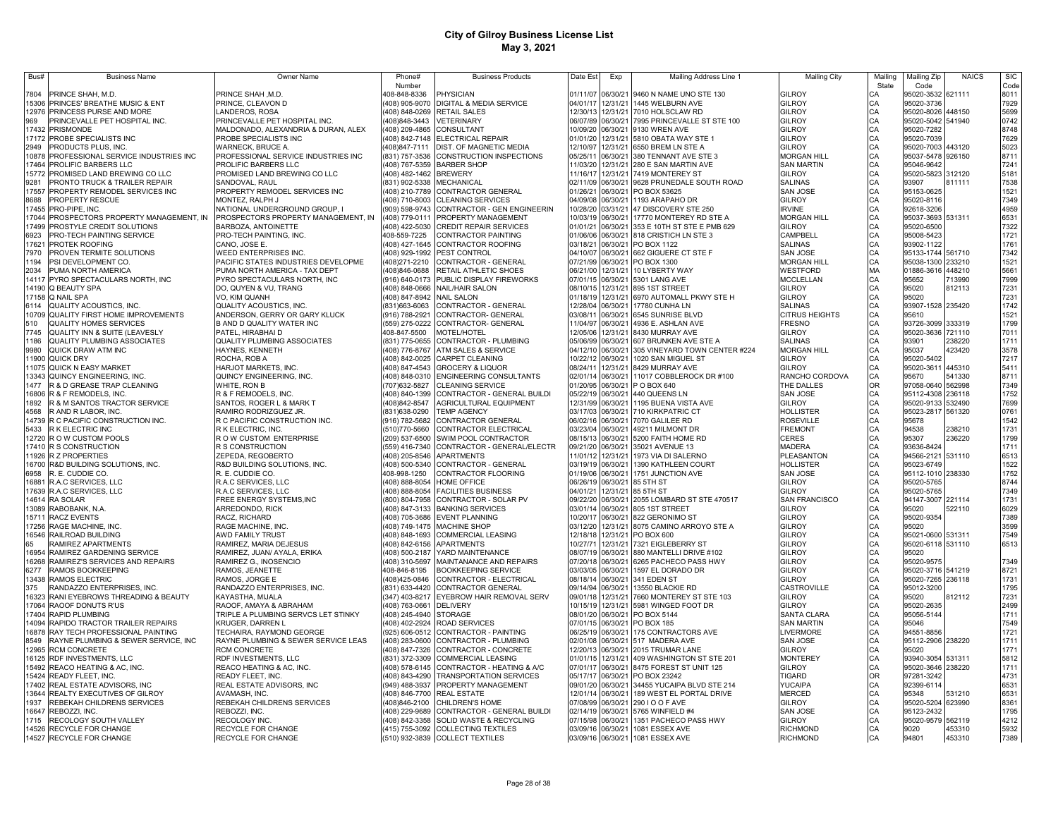| Bus#           | <b>Business Name</b>                                             | Owner Name                                                    | Phone#                                      | <b>Business Products</b>                                              | Date Est             | Exp                  | Mailing Address Line 1                                               | <b>Mailing City</b>                     | Mailing  | Mailing Zip                | <b>NAICS</b>     | <b>SIC</b>   |
|----------------|------------------------------------------------------------------|---------------------------------------------------------------|---------------------------------------------|-----------------------------------------------------------------------|----------------------|----------------------|----------------------------------------------------------------------|-----------------------------------------|----------|----------------------------|------------------|--------------|
| 7804           |                                                                  |                                                               | Number                                      |                                                                       |                      |                      |                                                                      |                                         | State    | Code                       |                  | Code         |
|                | PRINCE SHAH, M.D.<br>5306 PRINCES' BREATHE MUSIC & ENT           | PRINCE SHAH, M.D.<br>PRINCE, CLEAVON D                        | 408-848-8336                                | <b>PHYSICIAN</b><br>(408) 905-9070 DIGITAL & MEDIA SERVICE            | 01/11/07<br>04/01/17 | 06/30/21<br>12/31/21 | 9460 N NAME UNO STE 130<br>1445 WELBURN AVE                          | <b>GILROY</b><br><b>GILROY</b>          | CA       | 95020-3532<br>95020-3736   | 621111           | 8011<br>7929 |
| 12976          | PRINCESS PURSE AND MORE                                          | LANDEROS, ROSA                                                |                                             | 408) 848-0269 RETAIL SALES                                            | 12/30/13             | 12/31/21             | 7010 HOLSCLAW RD                                                     | <b>GILROY</b>                           | CA       | 95020-8026 448150          |                  | 5699         |
| 969            | PRINCEVALLE PET HOSPITAL INC.                                    | PRINCEVALLE PET HOSPITAL INC.                                 | 408)848-3443                                | <b>VETERINARY</b>                                                     | 06/07/89             | 06/30/21             | 7995 PRINCEVALLE ST STE 100                                          | <b>GILROY</b>                           | CA       | 95020-5042 541940          |                  | 0742         |
| 17432          | PRISMONDE                                                        | MALDONADO, ALEXANDRIA & DURAN, ALEX                           | 408) 209-4865                               | CONSULTANT                                                            | 10/09/20             | 06/30/21             | 9130 WREN AVE                                                        | <b>GILROY</b>                           | CA       | 95020-7282                 |                  | 8748         |
| 17172          | PROBE SPECIALISTS INC                                            | PROBE SPECIALISTS INC                                         | (408) 842-7148                              | <b>ELECTRICAL REPAIR</b>                                              | 01/01/20             | 12/31/21             | 5810 OBATA WAY STE 1                                                 | <b>GILROY</b>                           | CA       | 95020-7039                 |                  | 7629         |
| 2949           | PRODUCTS PLUS, INC.                                              | <b>NARNECK, BRUCE A.</b>                                      | (408)847-7111                               | DIST. OF MAGNETIC MEDIA                                               | 12/10/97             | 12/31/21             | 6550 BREM LN STE A                                                   | <b>GILROY</b>                           | CA       | 95020-7003                 | 443120           | 5023         |
| 10878<br>17464 | PROFESSIONAL SERVICE INDUSTRIES INC<br>PROLIFIC BARBERS LLC      | PROFESSIONAL SERVICE INDUSTRIES INC<br>PROLIFIC BARBERS LLC   | (831) 757-3536<br>(408) 767-5359            | CONSTRUCTION INSPECTIONS<br><b>BARBER SHOP</b>                        | 05/25/11<br>11/03/20 | 06/30/21<br>12/31/21 | 380 TENNANT AVE STE 3<br>280 E SAN MARTIN AVE                        | <b>MORGAN HILL</b><br><b>SAN MARTIN</b> | CA<br>CA | 95037-5478<br>95046-9642   | 926150           | 8711<br>7241 |
| 5772           | PROMISED LAND BREWING CO LLC                                     | PROMISED LAND BREWING CO LLC                                  | (408) 482-1462                              | <b>BREWERY</b>                                                        | 11/16/17             | 12/31/21             | 7419 MONTEREY ST                                                     | <b>GILROY</b>                           | CA       | 95020-5823                 | 312120           | 5181         |
| 9281           | PRONTO TRUCK & TRAILER REPAIR                                    | SANDOVAL, RAUL                                                | (831) 902-5338                              | MECHANICAL                                                            | 02/11/09             | 06/30/21             | 9628 PRUNEDALE SOUTH ROAD                                            | <b>SALINAS</b>                          | CA       | 93907                      | 811111           | 7538         |
| 17557          | PROPERTY REMODEL SERVICES INC                                    | PROPERTY REMODEL SERVICES INC                                 | (408) 210-7789                              | CONTRACTOR GENERAL                                                    | 01/26/21             | 06/30/21             | PO BOX 53625                                                         | SAN JOSE                                | CA       | 95153-0625                 |                  | 1521         |
| 8688           | PROPERTY RESCUE                                                  | MONTEZ, RALPH J                                               | (408) 710-8003                              | <b>CLEANING SERVICES</b>                                              | 04/09/08             | 06/30/21             | 1193 ARAPAHO DR                                                      | <b>GILROY</b>                           | CA       | 95020-8116                 |                  | 7349         |
| 17455          | PRO-PIPE, INC.                                                   | <b>NATIONAL UNDERGROUND GROUP, I</b>                          | (909) 598-9743                              | CONTRACTOR - GEN ENGINEERIN                                           | 10/28/20             | 03/31/21             | 47 DISCOVERY STE 250                                                 | <b>IRVINE</b>                           | CA       | 92618-3206                 |                  | 4959         |
| 17044<br>17499 | PROSPECTORS PROPERTY MANAGEMENT, IN<br>PROSTYLE CREDIT SOLUTIONS | PROSPECTORS PROPERTY MANAGEMENT, IN<br>BARBOZA, ANTOINETTE    | (408) 779-0111<br>(408) 422-5030            | PROPERTY MANAGEMENT                                                   | 10/03/19<br>01/01/21 | 06/30/21<br>06/30/21 | 17770 MONTEREY RD STE A<br>353 E 10TH ST STE E PMB 629               | <b>MORGAN HILL</b><br><b>GILROY</b>     | CA       | 95037-3693 531311          |                  | 6531         |
| 6923           | PRO-TECH PAINTING SERVICE                                        | PRO-TECH PAINTING, INC                                        | 408-559-7225                                | <b>CREDIT REPAIR SERVICES</b><br><b>CONTRACTOR PAINTING</b>           | 01/06/06             | 06/30/21             | <b>818 CRISTICH LN STE 3</b>                                         | CAMPBELL                                | CA<br>CA | 95020-6500<br>95008-5423   |                  | 7322<br>1721 |
| 17621          | PROTEK ROOFING                                                   | CANO. JOSE E.                                                 |                                             | (408) 427-1645 CONTRACTOR ROOFING                                     | 03/18/21             | 06/30/21             | PO BOX 1122                                                          | <b>SALINAS</b>                          | CA       | 93902-1122                 |                  | 1761         |
| 7970           | PROVEN TERMITE SOLUTIONS                                         | <b><i>NEED ENTERPRISES INC.</i></b>                           |                                             | (408) 929-1992 PEST CONTROL                                           | 04/10/07             | 06/30/21             | 662 GIGUERE CT STE F                                                 | <b>SAN JOSE</b>                         | CA       | 95133-1744 561710          |                  | 7342         |
| 1194           | PSI DEVELOPMENT CO.                                              | PACIFIC STATES INDUSTRIES DEVELOPME                           | (408) 271-2210                              | CONTRACTOR - GENERAL                                                  |                      | 07/21/99 06/30/21    | PO BOX 1300                                                          | <b>MORGAN HILL</b>                      | CA       | 95038-1300 233210          |                  | 1521         |
| 2034           | PUMA NORTH AMERICA                                               | PUMA NORTH AMERICA - TAX DEPT                                 | (408)846-0688                               | RETAIL ATHLETIC SHOES                                                 | 06/21/00             | 12/31/21             | 10 LYBERTY WAY                                                       | WESTFORD                                | MA       | 01886-3616 448210          |                  | 5661         |
| 14117          | PYRO SPECTACULARS NORTH, INC                                     | <b>PYRO SPECTACULARS NORTH, INC</b>                           |                                             | (916) 640-0173 PUBLIC DISPLAY FIREWORKS                               | 07/01/15 06/30/21    |                      | 5301 LANG AVE                                                        | <b>MCCLELLAN</b>                        | CA       | 95652                      | 713990           | 7999         |
|                | 14190 Q BEAUTY SPA<br>17158 Q NAIL SPA                           | DO, QUYEN & VU, TRANG<br>VO, KIM QUANH                        | (408) 848-0666<br>(408) 847-8942 NAIL SALON | <b>NAIL/HAIR SALON</b>                                                | 08/10/15<br>01/18/19 | 12/31/21<br>12/31/21 | 895 1ST STREET<br>6970 AUTOMALL PKWY STE H                           | <b>GILROY</b><br><b>GILROY</b>          | CA<br>CA | 95020<br>95020             | 812113           | 7231<br>7231 |
| 6114           | QUALITY ACOUSTICS, INC.                                          | QUALITY ACOUSTICS, INC.                                       | (831)663-6063                               | CONTRACTOR - GENERAL                                                  | 12/28/04             | 06/30/21             | 17780 CUNHA LN                                                       | <b>SALINAS</b>                          | CA       | 93907-1528 235420          |                  | 1742         |
|                | 10709 QUALITY FIRST HOME IMPROVEMENTS                            | ANDERSON, GERRY OR GARY KLUCK                                 | (916) 788-2921                              | CONTRACTOR- GENERAL                                                   | 03/08/11             | 06/30/21             | 6545 SUNRISE BLVD                                                    | <b>CITRUS HEIGHTS</b>                   | CA       | 95610                      |                  | 1521         |
| 510            | <b>QUALITY HOMES SERVICES</b>                                    | B AND D QUALITY WATER INC                                     | (559) 275-0222                              | CONTRACTOR- GENERAL                                                   | 11/04/97             | 06/30/21             | 4936 E. ASHLAN AVE                                                   | <b>FRESNO</b>                           | CA       | 93726-3099 333319          |                  | 1799         |
| 7745           | QUALITY INN & SUITE (LEAVESLY                                    | PATEL, HIRABHAI D                                             | 408-847-5500                                | MOTEL/HOTEL                                                           | 12/05/06             | 12/31/21             | 8430 MURRAY AVE                                                      | GILROY                                  | CA       | 95020-3636 721110          |                  | 7011         |
| 1186           | <b>QUALITY PLUMBING ASSOCIATES</b>                               | QUALITY PLUMBING ASSOCIATES                                   | (831) 775-0655                              | CONTRACTOR - PLUMBING                                                 | 05/06/99             | 06/30/21             | 607 BRUNKEN AVE STE A                                                | <b>SALINAS</b>                          | CA       | 93901                      | 238220           | 1711         |
| 9980           | QUICK DRAW ATM INC                                               | <b>HAYNES, KENNETH</b>                                        | 408) 776-8767                               | ATM SALES & SERVICE                                                   | 04/12/10             | 06/30/21             | 305 VINEYARD TOWN CENTER #224                                        | <b>MORGAN HILL</b>                      | CA<br>CA | 95037                      | 423420           | 3578<br>7217 |
| 1900<br>11075  | QUICK DRY<br><b>QUICK N EASY MARKET</b>                          | ROCHA, ROB A<br><b>HARJOT MARKETS, INC.</b>                   | 408) 842-0025<br>408) 847-4543              | <b>CARPET CLEANING</b><br><b>GROCERY &amp; LIQUOR</b>                 | 10/22/12<br>08/24/11 | 06/30/21<br>12/31/21 | 1020 SAN MIGUEL ST<br><b>8429 MURRAY AVE</b>                         | <b>GILROY</b><br><b>GILROY</b>          | CA       | 95020-5402<br>95020-3611   | 445310           | 5411         |
| 3343           | QUINCY ENGINEERING, INC.                                         | QUINCY ENGINEERING, INC.                                      | (408) 848-0310                              | <b>ENGINEERING CONSULTANTS</b>                                        | 02/01/14             | 06/30/21             | 11017 COBBLEROCK DR #100                                             | RANCHO CORDOVA                          | CA       | 95670                      | 541330           | 8711         |
| 1477           | R & D GREASE TRAP CLEANING                                       | WHITE, RON B                                                  | 707) 632-5827                               | <b>CLEANING SERVICE</b>                                               | 01/20/95             | 06/30/21             | PO BOX 640                                                           | THE DALLES                              | OR       | 97058-0640                 | 562998           | 7349         |
| 16806          | R & F REMODELS, INC.                                             | R & F REMODELS, INC                                           | (408) 840-1399                              | CONTRACTOR - GENERAL BUILDI                                           | 05/22/19             | 06/30/21             | 440 QUEENS LN                                                        | <b>SAN JOSE</b>                         | CA       | 95112-4308                 | 236118           | 1752         |
| 1892           | <b>R &amp; M SANTOS TRACTOR SERVICE</b>                          | SANTOS, ROGER L & MARK T                                      | 408)842-8547                                | AGRICULTURAL EQUIPMENT                                                | 12/31/99             | 06/30/21             | 1195 BUENA VISTA AVE                                                 | <b>GILROY</b>                           | CA       | 95020-9133                 | 532490           | 7699         |
| 4568           | R AND R LABOR, INC.                                              | RAMIRO RODRIZGUEZ JR.                                         | (831) 638-0290                              | <b>TEMP AGENCY</b>                                                    | 03/17/03             | 06/30/21             | 710 KIRKPATRIC CT                                                    | <b>HOLLISTER</b>                        | CA       | 95023-2817                 | 561320           | 0761         |
| 5433           | 14739 R C PACIFIC CONSTRUCTION INC.<br>R K ELECTRIC INC          | R C PACIFIC CONSTRUCTION INC.<br>R K ELECTRIC, INC.           | (916) 782-5682<br>(510)770-5660             | CONTRACTOR GENERAL<br>CONTRACTOR ELECTRICAL                           | 06/02/16<br>03/23/04 | 06/30/21<br>06/30/21 | 7070 GALILEE RD<br>49211 MILMONT DR                                  | <b>ROSEVILLE</b><br><b>FREMONT</b>      | CA<br>CA | 95678<br>94538             | 238210           | 1542<br>1731 |
|                | 12720 R O W CUSTOM POOLS                                         | R O W CUSTOM ENTERPRISE                                       | (209) 537-6500                              | SWIM POOL CONTRACTOR                                                  | 08/15/13             | 06/30/21             | 5200 FAITH HOME RD                                                   | <b>CERES</b>                            | CA       | 95307                      | 236220           | 1799         |
|                | 17410 R S CONSTRUCTION                                           | R S CONSTRUCTION                                              | (559) 416-7340                              | CONTRACTOR - GENERAL/ELECTR                                           | 09/21/20             | 06/30/21             | 35021 AVENUE 13                                                      | <b>MADERA</b>                           | CA       | 93636-8424                 |                  | 1711         |
|                | 11926 R Z PROPERTIES                                             | ZEPEDA, REGOBERTO                                             | (408) 205-8546                              | <b>APARTMENTS</b>                                                     | 11/01/12             | 12/31/21             | 1973 VIA DI SALERNO                                                  | <b>PLEASANTON</b>                       | CA       | 94566-2121                 | 531110           | 6513         |
|                | 16700 R&D BUILDING SOLUTIONS, INC.                               | R&D BUILDING SOLUTIONS, INC.                                  | (408) 500-5340                              | CONTRACTOR - GENERAL                                                  | 03/19/19             | 06/30/21             | 1390 KATHLEEN COURT                                                  | <b>HOLLISTER</b>                        | CA       | 95023-6749                 |                  | 1522         |
| 6958           | R. E. CUDDIE CO.                                                 | r. e. cuddie co.                                              | 408-998-1250                                | CONTRACTOR FLOORING                                                   | 01/19/06             | 06/30/21             | 1751 JUNCTION AVE                                                    | <b>SAN JOSE</b>                         | CA       | 95112-1010 238330          |                  | 1752         |
|                | 16881 R.A.C SERVICES, LLC<br>17639 R.A.C SERVICES, LLC           | R.A.C SERVICES, LLC<br>R.A.C SERVICES, LLC                    | (408) 888-8054<br>(408) 888-8054            | <b>HOME OFFICE</b><br><b>FACILITIES BUSINESS</b>                      | 06/26/19<br>04/01/21 | 06/30/21<br>12/31/21 | 85 5TH ST<br>85 5TH ST                                               | <b>GILROY</b><br><b>GILROY</b>          | CA<br>CA | 95020-5765<br>95020-5765   |                  | 8744<br>7349 |
|                | 14614 RA SOLAR                                                   | FREE ENERGY SYSTEMS, INC                                      | (800) 804-7958                              | CONTRACTOR - SOLAR PV                                                 | 09/22/20             | 06/30/21             | 2055 LOMBARD ST STE 470517                                           | <b>SAN FRANCISCO</b>                    | CA       | 94147-3007                 | 221114           | 1731         |
|                | 13089 RABOBANK, N.A                                              | ARREDONDO, RICK                                               |                                             | 408) 847-3133 BANKING SERVICES                                        | 03/01/14             | 06/30/21             | 805 1ST STREET                                                       | <b>GILROY</b>                           | CA       | 95020                      | 522110           | 6029         |
|                | 15711 RACZ EVENTS                                                | RACZ, RICHARD                                                 |                                             | 408) 705-3686 EVENT PLANNING                                          | 10/20/17             | 06/30/21             | 822 GERONIMO ST                                                      | <b>GILROY</b>                           | CA       | 95020-9354                 |                  | 7389         |
|                | 7256 RAGE MACHINE, INC.                                          | RAGE MACHINE, INC.                                            |                                             | (408) 749-1475 MACHINE SHOP                                           | 03/12/20             | 12/31/21             | 8075 CAMINO ARROYO STE A                                             | <b>GILROY</b>                           | CA       | 95020                      |                  | 3599         |
|                | 16546 RAILROAD BUILDING                                          | AWD FAMILY TRUST                                              | (408) 848-1693                              | COMMERCIAL LEASING                                                    | 12/18/18             | 12/31/21             | PO BOX 600                                                           | <b>GILROY</b>                           | CA       | 95021-0600 531311          |                  | 7549         |
| ุรร<br>16954   | RAMIREZ APARTMENTS<br>RAMIREZ GARDENING SERVICE                  | RAMIREZ, MARIA DEJESUS<br>RAMIREZ, JUAN/ AYALA, ERIKA         | (408) 500-2187                              | (408) 842-6156 APARTMENTS<br>YARD MAINTENANCE                         | 10/27/71<br>08/07/19 | 12/31/21<br>06/30/21 | 7321 EIGLEBERRY ST<br>880 MANTELLI DRIVE #102                        | <b>GILROY</b><br>GILROY                 | CA<br>CA | 95020-6118 531110<br>95020 |                  | 6513         |
| 16268          | RAMIREZ'S SERVICES AND REPAIRS                                   | RAMIREZ G., INOSENCIO                                         | (408) 310-5697                              | MAINTANANCE AND REPAIRS                                               | 07/20/18             | 06/30/21             | 6265 PACHECO PASS HWY                                                | <b>GILROY</b>                           | CA       | 95020-9575                 |                  | 7349         |
| 6277           | RAMOS BOOKKEEPING                                                | RAMOS, JEANETTE                                               | 408-846-8195                                | <b>BOOKKEEPING SERVICE</b>                                            | 03/03/05             | 06/30/21             | 1597 EL DORADO DR                                                    | <b>GILROY</b>                           | CA       | 95020-3716 541219          |                  | 8721         |
| 13438          | RAMOS ELECTRIC                                                   | RAMOS, JORGE E                                                | 408)425-0846                                | CONTRACTOR - ELECTRICAL                                               | 08/18/14             | 06/30/21             | 341 EDEN ST                                                          | <b>GILROY</b>                           | CA       | 95020-7265 236118          |                  | 1731         |
| 375            | RANDAZZO ENTERPRISES, INC.                                       | RANDAZZO ENTERPRISES, INC.                                    | (831) 633-4420                              | <b>CONTRACTOR GENERAL</b>                                             | 09/14/94             | 06/30/21             | 13550 BLACKIE RD                                                     | CASTROVILLE                             | CA       | 95012-3200                 |                  | 1795         |
| 16323          | RANI EYEBROWS THREADING & BEAUTY                                 | <b>KAYASTHA, MIJALA</b>                                       | 347) 403-8217                               | EYEBROW HAIR REMOVAL SERV                                             | 09/01/18             | 12/31/21             | 7660 MONTEREY ST STE 103                                             | <b>GILROY</b>                           | CA       | 95020                      | 812112           | 7231         |
| 17064<br>17404 | RAOOF DONUTS R'US<br>RAPID PLUMBING                              | RAOOF, AMAYA & ABRAHAM<br>TRIPLE A PLUMBING SERVCS LET STINKY | 408) 763-0661<br>(408) 245-4940             | <b>DELIVERY</b><br><b>STORAGE</b>                                     | 10/15/19<br>08/01/20 | 12/31/21<br>06/30/21 | 5981 WINGED FOOT DR<br>PO BOX 5144                                   | <b>GILROY</b><br><b>SANTA CLARA</b>     | CA<br>CA | 95020-2635<br>95056-5144   |                  | 2499<br>1711 |
| 14094          | RAPIDO TRACTOR TRAILER REPAIRS                                   | KRUGER, DARREN L                                              | (408) 402-2924                              | <b>ROAD SERVICES</b>                                                  | 07/01/15             | 06/30/21             | PO BOX 185                                                           | <b>SAN MARTIN</b>                       | CA       | 95046                      |                  | 7549         |
| 16878          | RAY TECH PROFESSIONAL PAINTING                                   | TECHAIRA, RAYMOND GEORGE                                      | (925) 606-0512                              | CONTRACTOR - PAINTING                                                 | 06/25/19             | 06/30/21             | 175 CONTRACTORS AVE                                                  | LIVERMORE                               | CA       | 94551-8856                 |                  | 1721         |
| 8549           | RAYNE PLUMBING & SEWER SERVICE, INC                              | RAYNE PLUMBING & SEWER SERVICE LEAS                           | (408) 283-0600                              | CONTRACTOR - PLUMBING                                                 | 02/01/08             | 06/30/21             | 517 MADERA AVE                                                       | SAN JOSE                                | CA       | 95112-2906 238220          |                  | 1711         |
|                | 12965 RCM CONCRETE                                               | RCM CONCRETE                                                  | (408) 847-7326                              | CONTRACTOR - CONCRETE                                                 | 12/20/13             | 06/30/21             | 2015 TRUMAR LANE                                                     | <b>GILROY</b>                           | CA       | 95020                      |                  | 1771         |
|                | 16125 RDF INVESTMENTS, LLC                                       | RDF INVESTMENTS, LLC                                          | (831) 372-3309                              | COMMERCIAL LEASING                                                    | 01/01/15             | 12/31/21             | 409 WASHINGTON ST STE 201                                            | <b>MONTEREY</b>                         | CA       | 93940-3054 531311          |                  | 5812         |
| 15492          | REACO HEATING & AC, INC.<br>5424 READY FLEET, INC.               | REACO HEATING & AC, INC.<br>READY FLEET, INC.                 | (408) 578-6145<br>(408) 843-4290            | CONTRACTOR - HEATING & A/C<br>TRANSPORTATION SERVICES                 | 07/01/17<br>05/17/17 | 06/30/21<br>06/30/21 | 8475 FOREST ST UNIT 125<br>PO BOX 23242                              | <b>GILROY</b><br><b>TIGARD</b>          | CA<br>OR | 95020-3646<br>97281-3242   | 238220           | 1711<br>4731 |
| 7402           | REAL ESTATE ADVISORS, INC                                        | REAL ESTATE ADVISORS, INC                                     |                                             | (949) 488-3937 PROPERTY MANAGEMENT                                    | 09/01/20             | 06/30/21             | 34455 YUCAIPA BLVD STE 214                                           | <b>YUCAIPA</b>                          | CA       | 92399-6114                 |                  | 6531         |
| 3644           | REALTY EXECUTIVES OF GILROY                                      | <b>AVAMASH, INC.</b>                                          |                                             | 408) 846-7700 REAL ESTATE                                             | 12/01/14             | 06/30/21             | 189 WEST EL PORTAL DRIVE                                             | <b>MERCED</b>                           | CA       | 95348                      | 531210           | 6531         |
| 1937           | REBEKAH CHILDRENS SERVICES                                       | REBEKAH CHILDRENS SERVICES                                    | 408)846-2100                                | CHILDREN'S HOME                                                       | 07/08/99             | 06/30/21             | 290 I O O F AVE                                                      | <b>GILROY</b>                           | CA       | 95020-5204                 | 623990           | 8361         |
| 16647          | REBOZZI, INC.                                                    | REBOZZI, INC.                                                 |                                             | 408) 229-9689 CONTRACTOR - GENERAL BUILDI                             | 02/14/19             | 06/30/21             | 5765 WINFIELD #4                                                     | <b>SAN JOSE</b>                         | CA       | 95123-2432                 |                  | 1795         |
| 1715           | RECOLOGY SOUTH VALLEY                                            | RECOLOGY INC.                                                 |                                             | 408) 842-3358 SOLID WASTE & RECYCLING                                 | 07/15/98             | 06/30/21             | 1351 PACHECO PASS HWY                                                | <b>GILROY</b>                           | CA       | 95020-9579 562119          |                  | 4212         |
|                | 14526 RECYCLE FOR CHANGE<br>14527 RECYCLE FOR CHANGE             | RECYCLE FOR CHANGE<br>RECYCLE FOR CHANGE                      |                                             | (415) 755-3092 COLLECTING TEXTILES<br>(510) 932-3839 COLLECT TEXTILES |                      |                      | 03/09/16 06/30/21 1081 ESSEX AVE<br>03/09/16 06/30/21 1081 ESSEX AVE | <b>RICHMOND</b><br><b>RICHMOND</b>      | CA<br>CA | 9020<br>94801              | 453310<br>453310 | 5932<br>7389 |
|                |                                                                  |                                                               |                                             |                                                                       |                      |                      |                                                                      |                                         |          |                            |                  |              |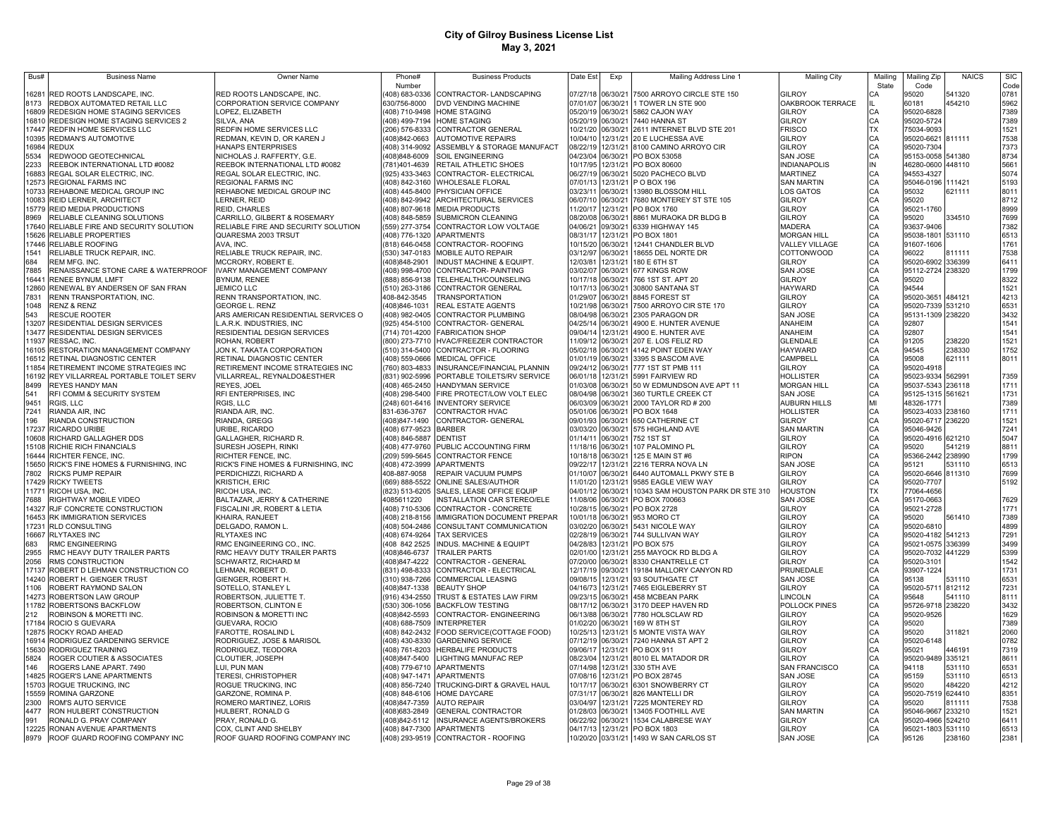| Bus#           | <b>Business Name</b>                                                    | Owner Name                                               | Phone#                                        | <b>Business Products</b>                                                | Date Est             | Exp                  | Mailing Address Line 1                                    | <b>Mailing City</b>                  | Mailing   | Mailing Zip                     | <b>NAICS</b>     | <b>SIC</b>   |
|----------------|-------------------------------------------------------------------------|----------------------------------------------------------|-----------------------------------------------|-------------------------------------------------------------------------|----------------------|----------------------|-----------------------------------------------------------|--------------------------------------|-----------|---------------------------------|------------------|--------------|
|                |                                                                         |                                                          | Number                                        |                                                                         |                      |                      |                                                           |                                      | State     | Code                            |                  | Code         |
| 16281<br>8173  | RED ROOTS LANDSCAPE, INC.<br>REDBOX AUTOMATED RETAIL LLC                | RED ROOTS LANDSCAPE, INC.<br>CORPORATION SERVICE COMPANY | 408) 683-0336<br>630/756-8000                 | CONTRACTOR-LANDSCAPING<br>DVD VENDING MACHINE                           | 07/27/18<br>07/01/07 | 06/30/21             | 7500 ARROYO CIRCLE STE 150<br>06/30/21 1 TOWER LN STE 900 | GILROY<br>OAKBROOK TERRACE           | CА        | 95020<br>60181                  | 541320<br>454210 | 0781<br>5962 |
|                | 16809 REDESIGN HOME STAGING SERVICES                                    | LOPEZ, ELIZABETH                                         | (408) 710-9498                                | HOME STAGING                                                            | 05/20/19             |                      | 06/30/21 5862 CAJON WAY                                   | GILROY                               | CA        | 95020-6828                      |                  | 7389         |
| 16810          | REDESIGN HOME STAGING SERVICES 2                                        | SILVA, ANA                                               |                                               | (408) 499-7194 HOME STAGING                                             | 05/20/19             | 06/30/21             | 7440 HANNA ST                                             | GILROY                               | CA        | 95020-5724                      |                  | 7389         |
| 17447          | REDFIN HOME SERVICES LLC                                                | REDFIN HOME SERVICES LLC                                 |                                               | (206) 576-8333 CONTRACTOR GENERAL                                       | 10/21/20             | 06/30/21             | 2611 INTERNET BLVD STE 201                                | <b>FRISCO</b>                        | <b>TX</b> | 75034-9093                      |                  | 1521         |
|                | 10395 REDMAN'S AUTOMOTIVE                                               | REDMAN, KEVIN D, OR KAREN J                              | (408)842-0663                                 | <b>AUTOMOTIVE REPAIRS</b>                                               | 10/04/10             | 12/31/21             | 20 E LUCHESSA AVE                                         | GILROY                               | CA<br>CA  | 95020-6621 811111               |                  | 7538         |
|                | 16984 REDUX                                                             | <b>HANAPS ENTERPRISES</b>                                |                                               | 408) 314-9092 ASSEMBLY & STORAGE MANUFACT                               | 08/22/19             | 12/31/21             | 8100 CAMINO ARROYO CIR                                    | GILROY                               |           | 95020-7304                      |                  | 7373         |
| 5534           | REDWOOD GEOTECHNICAL                                                    | NICHOLAS J. RAFFERTY, G.E.                               | 408)848-6009                                  | <b>SOIL ENGINEERING</b>                                                 | 04/23/04             | 06/30/21             | PO BOX 53058                                              | SAN JOSE                             | CA        | 95153-0058                      | 541380           | 8734         |
| 2233           | REEBOK INTERNATIONAL LTD #0082                                          | REEBOK INTERNATIONAL LTD #0082                           | 781)401-4639                                  | RETAIL ATHLETIC SHOES                                                   | 10/17/95             | 12/31/21             | PO BOX 80600                                              | <b>INDIANAPOLIS</b>                  | IN        | 46280-0600                      | 448110           | 5661         |
| 16883<br>12573 | REGAL SOLAR ELECTRIC, INC.<br><b>REGIONAL FARMS INC</b>                 | REGAL SOLAR ELECTRIC, INC.<br><b>REGIONAL FARMS INC</b>  |                                               | (925) 433-3463 CONTRACTOR- ELECTRICAL<br>408) 842-3160 WHOLESALE FLORAL | 06/27/19<br>07/01/13 | 06/30/21<br>12/31/21 | 5020 PACHECO BLVD<br>P O BOX 196                          | <b>MARTINEZ</b><br><b>SAN MARTIN</b> | CA<br>CA  | 94553-4327<br>95046-0196 111421 |                  | 5074         |
| 10733          | REHABONE MEDICAL GROUP INC                                              | REHABONE MEDICAL GROUP INC                               |                                               | (408) 445-8400 PHYSICIAN OFFICE                                         | 03/23/11             | 06/30/21             | 13980 BLOSSOM HILL                                        | <b>OS GATOS</b>                      | CA        | 95032                           | 621111           | 5193<br>8011 |
| 10083          | REID LERNER, ARCHITECT                                                  | LERNER, REID                                             |                                               | 408) 842-9942 ARCHITECTURAL SERVICES                                    | 06/07/10             | 06/30/21             | 7680 MONTEREY ST STE 105                                  | GILROY                               | CA        | 95020                           |                  | 8712         |
| 15779          | <b>REID MEDIA PRODUCTIONS</b>                                           | <b>REID, CHARLES</b>                                     |                                               | (408) 807-9618 MEDIA PRODUCTS                                           | 11/20/17             | 12/31/21             | PO BOX 1760                                               | GILROY                               | CA        | 95021-1760                      |                  | 8999         |
| 8969           | RELIABLE CLEANING SOLUTIONS                                             | CARRILLO, GILBERT & ROSEMARY                             |                                               | (408) 848-5859 SUBMICRON CLEANING                                       | 08/20/08             | 06/30/21             | 8861 MURAOKA DR BLDG B                                    | <b>GILROY</b>                        | CA        | 95020                           | 334510           | 7699         |
| 17640          | RELIABLE FIRE AND SECURITY SOLUTION                                     | RELIABLE FIRE AND SECURITY SOLUTION                      | (559) 277-3754                                | CONTRACTOR LOW VOLTAGE                                                  | 04/06/21             | 09/30/21             | 6339 HIGHWAY 145                                          | MADERA                               | CA        | 93637-9406                      |                  | 7382         |
|                | 15626 RELIABLE PROPERTIES                                               | QUARESMA 2003 TRSUT                                      |                                               | (408) 776-1320 APARTMENTS                                               | 08/31/17             | 12/31/21             | PO BOX 1801                                               | <b>MORGAN HILL</b>                   | CA        | 95038-1801                      | 531110           | 6513         |
|                | 17446 RELIABLE ROOFING                                                  | AVA, INC.                                                | (818) 646-0458                                | CONTRACTOR- ROOFING                                                     | 10/15/20             | 06/30/21             | 12441 CHANDLER BLVD                                       | VALLEY VILLAGE                       | CA        | 91607-1606                      |                  | 1761         |
| 1541<br>684    | RELIABLE TRUCK REPAIR, INC.<br>REM MFG. INC.                            | RELIABLE TRUCK REPAIR, INC.<br>MCCRORY, ROBERT E.        |                                               | (530) 347-0183 MOBILE AUTO REPAIR<br>INDUST MACHINE & EQUIPT.           | 03/12/97<br>12/03/81 | 06/30/21<br>12/31/21 | 18655 DEL NORTE DR<br>180 E 6TH ST                        | COTTONWOOD<br><b>GILROY</b>          | CA<br>CA  | 96022<br>95020-6902 336399      | 811111           | 7538<br>6411 |
| 7885           | RENAISSANCE STONE CARE & WATERPROOF                                     | IVARY MANAGEMENT COMPANY                                 | (408) 848-2901<br>(408) 998-4700              | CONTRACTOR- PAINTING                                                    | 03/02/07             | 06/30/21             | 677 KINGS ROW                                             | SAN JOSE                             | CA        | 95112-2724                      | 238320           | 1799         |
| 16441          | RENEE BYNUM, LMFT                                                       | BYNUM, RENEE                                             |                                               | (888) 856-9138 TELEHEALTH/COUNSELING                                    | 10/17/18             | 06/30/21             | 766 1ST ST. APT 20                                        | GILROY                               | CA        | 95020                           |                  | 8322         |
| 12860          | RENEWAL BY ANDERSEN OF SAN FRAN                                         | <b>JEMICO LLC</b>                                        |                                               | (510) 263-3186 CONTRACTOR GENERAL                                       | 10/17/13             | 06/30/21             | 30800 SANTANA ST                                          | HAYWARD                              | CA        | 94544                           |                  | 1521         |
| 7831           | RENN TRANSPORTATION, INC.                                               | RENN TRANSPORTATION, INC.                                | 408-842-3545                                  | <b>TRANSPORTATION</b>                                                   | 01/29/07             | 06/30/21             | 8845 FOREST ST                                            | <b>GILROY</b>                        | CA        | 95020-3651 484121               |                  | 4213         |
| 1048           | <b>RENZ &amp; RENZ</b>                                                  | <b>GEORGE L. RENZ</b>                                    | (408)846-1031                                 | <b>REAL ESTATE AGENTS</b>                                               | 10/21/98             | 06/30/21             | 7500 ARROYO CIR STE 170                                   | <b>GILROY</b>                        | CA        | 95020-7339 531210               |                  | 6531         |
| 543            | RESCUE ROOTER                                                           | ARS AMERICAN RESIDENTIAL SERVICES O                      |                                               | (408) 982-0405 CONTRACTOR PLUMBING                                      | 08/04/98             | 06/30/21             | 2305 PARAGON DR                                           | <b>SAN JOSE</b>                      | CA        | 95131-1309 238220               |                  | 3432         |
| 13207          | RESIDENTIAL DESIGN SERVICES                                             | L.A.R.K. INDUSTRIES, INC                                 |                                               | (925) 454-5100 CONTRACTOR- GENERAL                                      | 04/25/14             | 06/30/21             | 4900 E. HUNTER AVENUE                                     | ANAHEIM                              | CA        | 92807                           |                  | 1541         |
|                | 13477 RESIDENTIAL DESIGN SERVICES                                       | RESIDENTIAL DESIGN SERVICES                              |                                               | (714) 701-4200 FABRICATION SHOP                                         | 09/04/14             |                      | 12/31/21 4900 E. HUNTER AVE                               | ANAHEIM                              | CA        | 92807                           |                  | 1541         |
|                | 11937 RESSAC, INC.                                                      | ROHAN, ROBERT                                            |                                               | (800) 273-7710 HVAC/FREEZER CONTRACTOR                                  | 11/09/12<br>05/02/18 | 06/30/21<br>06/30/21 | 207 E. LOS FELIZ RD                                       | <b>GLENDALE</b><br><b>HAYWARD</b>    | CA<br>CA  | 91205                           | 238220<br>238330 | 1521<br>1752 |
|                | 16105 RESTORATION MANAGEMENT COMPANY<br>16512 RETINAL DIAGNOSTIC CENTER | JON K. TAKATA CORPORATION<br>RETINAL DIAGNOSTIC CENTER   | (408) 559-0666                                | (510) 314-5400 CONTRACTOR - FLOORING<br>MEDICAL OFFICE                  | 01/01/19             | 06/30/21             | 4142 POINT EDEN WAY<br>3395 S BASCOM AVE                  | CAMPBELL                             | CA        | 94545<br>95008                  | 621111           | 8011         |
|                | 1854 RETIREMENT INCOME STRATEGIES INC                                   | RETIREMENT INCOME STRATEGIES INC                         |                                               | (760) 803-4833 INSURANCE/FINANCIAL PLANNIN                              | 09/24/12             | 06/30/21             | 777 1ST ST PMB 111                                        | GILROY                               | CA        | 95020-4918                      |                  |              |
|                | 16192 REY VILLARREAL PORTABLE TOILET SERV                               | VILLARREAL, REYNALDO&ESTHER                              | (831) 902-5996                                | PORTABLE TOILETS/RV SERVICE                                             | 06/01/18             |                      | 12/31/21 5991 FAIRVIEW RD                                 | HOLLISTER                            | CA        | 95023-9334                      | 562991           | 7359         |
| 8499           | <b>REYES HANDY MAN</b>                                                  | REYES, JOEL                                              |                                               | (408) 465-2450 HANDYMAN SERVICE                                         | 01/03/08             |                      | 06/30/21 50 W EDMUNDSON AVE APT 11                        | <b>MORGAN HILL</b>                   | CA        | 95037-5343 236118               |                  | 1711         |
| 541            | RFI COMM & SECURITY SYSTEM                                              | RFI ENTERPRISES, INC                                     |                                               | (408) 298-5400 FIRE PROTECT/LOW VOLT ELEC                               | 08/04/98             |                      | 06/30/21 360 TURTLE CREEK CT                              | SAN JOSE                             | CA        | 95125-1315 561621               |                  | 1731         |
| 9451           | RGIS, LLC                                                               | RGIS, LLC                                                |                                               | (248) 601-6416 INVENTORY SERVICE                                        |                      | 06/03/09 06/30/21    | 2000 TAYLOR RD # 200                                      | <b>AUBURN HILLS</b>                  | MI        | 48326-1771                      |                  | 7389         |
| 7241           | RIANDA AIR, INC                                                         | RIANDA AIR, INC.                                         | 331-636-3767                                  | CONTRACTOR HVAC                                                         | 05/01/06             | 06/30/21             | PO BOX 1648                                               | <b>HOLLISTER</b>                     | CA        | 95023-4033                      | 238160           | 1711         |
| 196            | RIANDA CONSTRUCTION                                                     | RIANDA, GREGG                                            | 408)847-1490                                  | CONTRACTOR- GENERAL                                                     | 09/01/93             | 06/30/21             | 650 CATHERINE CT                                          | GILROY                               | CA<br>CA  | 95020-6717                      | 236220           | 1521         |
| 17237<br>10608 | RICARDO URIBE<br>RICHARD GALLAGHER DDS                                  | URIBE, RICARDO<br>GALLAGHER, RICHARD R.                  | 408) 677-9523 BARBER<br>408) 846-5887 DENTIST |                                                                         | 03/03/20<br>01/14/11 | 06/30/21<br>06/30/21 | 575 HIGHLAND AVE<br>752 1ST ST                            | <b>SAN MARTIN</b><br>GILROY          | CA        | 95046-9426<br>95020-4916 621210 |                  | 7241<br>5047 |
| 15108          | RICHIE RICH FINANCIALS                                                  | SURESH JOSEPH, RINKI                                     | 408) 477-9760                                 | PUBLIC ACCOUNTING FIRM                                                  | 11/18/16             | 06/30/21             | 107 PALOMINO PL                                           | GILROY                               | CA        | 95020                           | 541219           | 8811         |
|                | 16444 RICHTER FENCE. INC.                                               | RICHTER FENCE. INC.                                      | 209) 599-5645                                 | <b>CONTRACTOR FENCE</b>                                                 | 10/18/18             | 06/30/21             | 125 E MAIN ST #6                                          | RIPON                                | CA        | 95366-2442 238990               |                  | 1799         |
| 5650           | RICK'S FINE HOMES & FURNISHING, INC.                                    | RICK'S FINE HOMES & FURNISHING, INC.                     | 408) 472-3999                                 | <b>APARTMENTS</b>                                                       | 09/22/17             | 12/31/21             | 2216 TERRA NOVA LN                                        | SAN JOSE                             | CA        | 95121                           | 531110           | 6513         |
| 7802           | RICKS PUMP REPAIR                                                       | PERDICHIZZI, RICHARD A                                   | 408-887-9058                                  | REPAIR VACUUM PUMPS                                                     | 01/10/07             | 06/30/21             | 6440 AUTOMALL PKWY STE B                                  | <b>GILROY</b>                        | CA        | 95020-6646 811310               |                  | 7699         |
| 17429          | <b>RICKY TWEETS</b>                                                     | <b>KRISTICH, ERIC</b>                                    | (669) 888-5522                                | ONLINE SALES/AUTHOR                                                     | 11/01/20             | 12/31/21             | 9585 EAGLE VIEW WAY                                       | GILROY                               | CA        | 95020-7707                      |                  | 5192         |
| 11771          | RICOH USA, INC.                                                         | RICOH USA, INC.                                          | (823) 513-6205                                | SALES, LEASE OFFICE EQUIP                                               | 04/01/12             | 06/30/21             | 10343 SAM HOUSTON PARK DR STE 310                         | <b>HOUSTON</b>                       | <b>TX</b> | 77064-4656                      |                  |              |
| 7688           | RIGHTWAY MOBILE VIDEO                                                   | BALTAZAR, JERRY & CATHERINE                              | 4085611220                                    | INSTALLATION CAR STEREO/ELE                                             | 11/08/06             | 06/30/21             | PO BOX 700663                                             | SAN JOSE                             | CA        | 95170-0663                      |                  | 7629         |
| 14327          | RJF CONCRETE CONSTRUCTION<br>16453 RK IMMIGRATION SERVICES              | FISCALINI JR, ROBERT & LETIA<br>KHAIRA, RANJEET          | (408) 218-8156                                | (408) 710-5306 CONTRACTOR - CONCRETE<br>IMMIGRATION DOCUMENT PREPAR     | 10/28/15<br>10/01/18 | 06/30/21<br>06/30/21 | PO BOX 2728<br>953 MORO CT                                | GILROY<br><b>GILROY</b>              | CA<br>CA  | 95021-2728<br>95020             | 561410           | 1771<br>7389 |
| 17231          | <b>RLD CONSULTING</b>                                                   | DELGADO, RAMON L                                         | (408) 504-2486                                | CONSULTANT COMMUNICATION                                                | 03/02/20             | 06/30/21             | 5431 NICOLE WAY                                           | GILROY                               | CA        | 95020-6810                      |                  | 4899         |
| 16667          | <b>RLYTAXES INC</b>                                                     | <b>RLYTAXES INC</b>                                      | (408) 674-9264                                | <b>TAX SERVICES</b>                                                     | 02/28/19             | 06/30/21             | 744 SULLIVAN WAY                                          | GILROY                               | CA        | 95020-4182 541213               |                  | 7291         |
| 683            | RMC ENGINEERING                                                         | RMC ENGINEERING CO., INC.                                | (408 842 2525                                 | INDUS. MACHINE & EQUIPT                                                 | 04/28/83             | 12/31/21             | PO BOX 575                                                | GILROY                               | CA        | 95021-0575                      | 336399           | 3499         |
| 2955           | RMC HEAVY DUTY TRAILER PARTS                                            | RMC HEAVY DUTY TRAILER PARTS                             | (408)846-6737                                 | <b>TRAILER PARTS</b>                                                    | 02/01/00             | 12/31/21             | 255 MAYOCK RD BLDG A                                      | <b>GILROY</b>                        | CA        | 95020-7032                      | 441229           | 5399         |
| 2056           | RMS CONSTRUCTION                                                        | SCHWARTZ, RICHARD M                                      | (408) 847-4222                                | CONTRACTOR - GENERAL                                                    | 07/20/00             | 06/30/21             | 8330 CHANTRELLE CT                                        | GILROY                               | CA        | 95020-3101                      |                  | 1542         |
| 17137          | ROBERT D LEHMAN CONSTRUCTION CO                                         | LEHMAN, ROBERT D.                                        | (831) 498-8333                                | CONTRACTOR - ELECTRICAL                                                 | 12/17/19             | 09/30/21             | 19184 MALLORY CANYON RD                                   | PRUNEDALE                            | CA        | 93907-1224                      |                  | 1731         |
| 14240          | ROBERT H. GIENGER TRUST                                                 | GIENGER, ROBERT H.                                       | (310) 938-7266                                | <b>COMMERCIAL LEASING</b>                                               | 09/08/15             | 12/31/21             | 93 SOUTHGATE CT                                           | <b>SAN JOSE</b>                      | CA<br>CA  | 95138                           | 531110           | 6531         |
| 1106           | ROBERT RAYMOND SALON<br>14273 ROBERTSON LAW GROUP                       | SOTELLO, STANLEY L<br>ROBERTSON, JULIETTE T              | (408) 847-1338                                | <b>BEAUTY SHOP</b><br>(916) 434-2550 TRUST & ESTATES LAW FIRM           | 04/16/73<br>09/23/15 | 12/31/21<br>06/30/21 | 7465 EIGLEBERRY ST<br>458 MCBEAN PARK                     | <b>GILROY</b><br>LINCOLN             | CA        | 95020-5711 812112<br>95648      | 541110           | 7231<br>8111 |
|                | 11782 ROBERTSONS BACKFLOW                                               | ROBERTSON, CLINTON E                                     |                                               | 530) 306-1056 BACKFLOW TESTING                                          | 08/17/12             | 06/30/21             | 3170 DEEP HAVEN RD                                        | POLLOCK PINES                        | CA        | 95726-9718 238220               |                  | 3432         |
| 212            | ROBINSON & MORETTI INC                                                  | ROBINSON & MORETTI INC                                   | (408)842-5593                                 | CONTRACTOR- ENGINEERING                                                 | 06/13/88             | 06/30/21             | 7780 HOLSCLAW RD                                          | <b>GILROY</b>                        | CA        | 95020-9526                      |                  | 1629         |
|                | 17184 ROCIO S GUEVARA                                                   | GUEVARA, ROCIO                                           |                                               | (408) 688-7509 INTERPRETER                                              | 01/02/20             |                      | 06/30/21 169 W 8TH ST                                     | GILROY                               | CA        | 95020                           |                  | 7389         |
|                | 12875 ROCKY ROAD AHEAD                                                  | <b>FAROTTE, ROSALIND L</b>                               |                                               | (408) 842-2432 FOOD SERVICE(COTTAGE FOOD)                               | 10/25/13             |                      | 12/31/21 5 MONTE VISTA WAY                                | <b>GILROY</b>                        | CA        | 95020                           | 311821           | 2060         |
|                | 16914 RODRIGUEZ GARDENING SERVICE                                       | RODRIGUEZ, JOSE & MARISOL                                |                                               | (408) 430-8330 GARDENING SERVICE                                        | 07/12/19             |                      | 06/30/21 7240 HANNA ST APT 2                              | <b>GILROY</b>                        | CA        | 95020-6148                      |                  | 0782         |
|                | 15630 RODRIGUEZ TRAINING                                                | RODRIGUEZ, TEODORA                                       | (408) 761-8203                                | <b>HERBALIFE PRODUCTS</b>                                               | 09/06/17             |                      | 12/31/21 PO BOX 911                                       | <b>GILROY</b>                        | CA        | 95021                           | 446191           | 7319         |
| 5824           | ROGER COUTIER & ASSOCIATES                                              | CLOUTIER, JOSEPH                                         | (408)847-5400                                 | LIGHTING MANUFAC REP                                                    | 08/23/04             |                      | 12/31/21 8010 EL MATADOR DR                               | GILROY                               | CA        | 95020-9489 335121               |                  | 8611         |
| 146            | ROGERS LANE APART. 7490                                                 | LUI, PUN MAN                                             |                                               | (408) 779-6710 APARTMENTS                                               | 07/14/98             | 12/31/21             | 330 5TH AVE                                               | <b>SAN FRANCISCO</b>                 | CA        | 94118                           | 531110           | 6531         |
|                | 14825 ROGER'S LANE APARTMENTS                                           | TERESI, CHRISTOPHER<br>ROGUE TRUCKING, INC               |                                               | (408) 947-1471 APARTMENTS<br>(408) 856-7240 TRUCKING-DIRT & GRAVEL HAUL | 07/08/16<br>10/17/17 |                      | 12/31/21 PO BOX 28745<br>06/30/21 6301 SNOWBERRY CT       | SAN JOSE<br><b>GILROY</b>            | CA<br>CA  | 95159<br>95020                  | 531110<br>484220 | 6513<br>4212 |
|                | 15703 ROGUE TRUCKING, INC<br>15559 ROMINA GARZONE                       | GARZONE, ROMINA P.                                       |                                               | (408) 848-6106 HOME DAYCARE                                             | 07/31/17             |                      | 06/30/21 826 MANTELLI DR                                  | GILROY                               |           | 95020-7519 624410               |                  | 8351         |
| 2300           | ROM'S AUTO SERVICE                                                      | ROMERO MARTINEZ, LORIS                                   | (408)847-7359                                 | <b>AUTO REPAIR</b>                                                      | 03/04/97             |                      | 12/31/21 7225 MONTEREY RD                                 | GILROY                               |           | 95020                           | 811111           | 7538         |
| 4477           | RON HULBERT CONSTRUCTION                                                | HULBERT, RONALD G                                        | 408)683-2849                                  | <b>GENERAL CONTRACTOR</b>                                               | 01/28/03             | 06/30/21             | 13405 FOOTHILL AVE                                        | <b>SAN MARTIN</b>                    |           | 95046-9667                      | 233210           | 1521         |
| 991            | RONALD G. PRAY COMPANY                                                  | PRAY, RONALD G.                                          |                                               | (408)842-5112 INSURANCE AGENTS/BROKERS                                  | 06/22/92             | 06/30/21             | 1534 CALABRESE WAY                                        | <b>GILROY</b>                        | CA        | 95020-4966 524210               |                  | 6411         |
|                | 12225 RONAN AVENUE APARTMENTS                                           | COX, CLINT AND SHELBY                                    |                                               | (408) 847-7300 APARTMENTS                                               |                      |                      | 04/17/13 12/31/21 PO BOX 1803                             | GILROY                               | CA        | 95021-1803 531110               |                  | 6513         |
|                | 8979 ROOF GUARD ROOFING COMPANY INC                                     | ROOF GUARD ROOFING COMPANY INC                           |                                               | (408) 293-9519 CONTRACTOR - ROOFING                                     |                      |                      | 10/20/20 03/31/21 1493 W SAN CARLOS ST                    | <b>SAN JOSE</b>                      | CA        | 95126                           | 238160           | 2381         |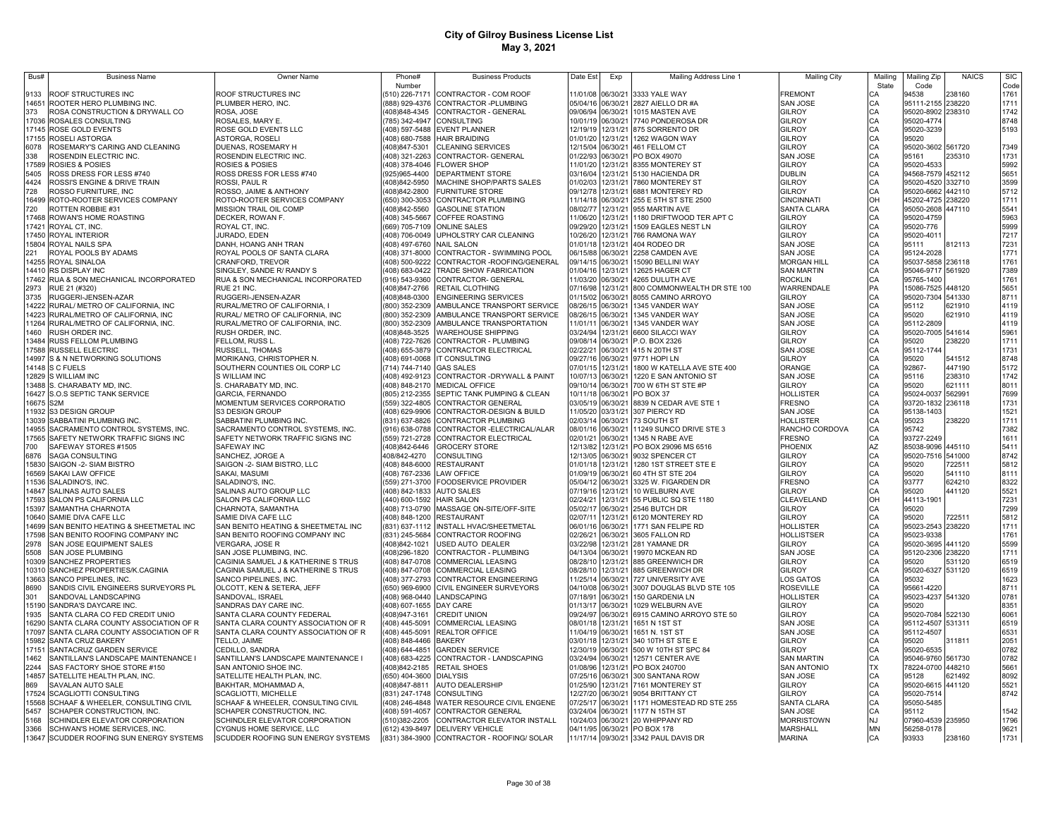| Bus#           | <b>Business Name</b>                                                  | <b>Owner Name</b>                                                     | Phone#                           | <b>Business Products</b>                                    | Date Est                               | Exp                  | Mailing Address Line 1                                          | <b>Mailing City</b>              | Mailing        | Mailing Zip                            | <b>NAICS</b>     | <b>SIC</b>   |
|----------------|-----------------------------------------------------------------------|-----------------------------------------------------------------------|----------------------------------|-------------------------------------------------------------|----------------------------------------|----------------------|-----------------------------------------------------------------|----------------------------------|----------------|----------------------------------------|------------------|--------------|
|                |                                                                       |                                                                       | Number                           |                                                             |                                        |                      |                                                                 |                                  | State          | Code                                   |                  | Code         |
| 9133           | ROOF STRUCTURES INC                                                   | ROOF STRUCTURES INC                                                   | (510) 226-7171                   | CONTRACTOR - COM ROOF                                       |                                        |                      | 11/01/08 06/30/21 3333 YALE WAY                                 | <b>FREMONT</b>                   | CA             | 94538                                  | 238160           | 1761         |
| 14651<br>373   | ROOTER HERO PLUMBING INC.<br>ROSA CONSTRUCTION & DRYWALL CO           | PLUMBER HERO, INC.<br>ROSA, JOSE                                      | (408)848-4345                    | (888) 929-4376 CONTRACTOR -PLUMBING<br>CONTRACTOR - GENERAL | 09/06/94                               |                      | 05/04/16 06/30/21 2827 AIELLO DR #A<br>06/30/21 1015 MASTEN AVE | <b>SAN JOSE</b><br><b>GILROY</b> | CA             | 95111-2155 238220<br>95020-8902 238310 |                  | 1711<br>1742 |
| 17036          | <b>ROSALES CONSULTING</b>                                             | ROSALES, MARY E.                                                      | (785) 342-4947                   | <b>CONSULTING</b>                                           | 10/01/19 06/30/21                      |                      | 7740 PONDEROSA DR                                               | GILROY                           |                | 95020-4774                             |                  | 8748         |
|                | 17145 ROSE GOLD EVENTS                                                | ROSE GOLD EVENTS LLC                                                  |                                  | (408) 597-5488 EVENT PLANNER                                |                                        |                      | 12/19/19 12/31/21 875 SORRENTO DR                               | <b>GILROY</b>                    |                | 95020-3239                             |                  | 5193         |
|                | 17155 ROSELI ASTORGA                                                  | ASTORGA, ROSELI                                                       | (408) 680-7588                   | <b>HAIR BRAIDING</b>                                        | 01/01/20 12/31/21                      |                      | 1262 WAGON WAY                                                  | GILROY                           |                | 95020                                  |                  |              |
| 6078           | ROSEMARY'S CARING AND CLEANING                                        | DUENAS, ROSEMARY H                                                    | (408)847-5301                    | CLEANING SERVICES                                           | 12/15/04 06/30/21                      |                      | 461 FELLOM CT                                                   | GILROY                           |                | 95020-3602 561720                      |                  | 7349         |
| 338            | ROSENDIN ELECTRIC INC.                                                | ROSENDIN ELECTRIC INC.                                                | (408) 321-2263                   | CONTRACTOR- GENERAL                                         | 01/22/93 06/30/21                      |                      | PO BOX 49070                                                    | <b>SAN JOSE</b>                  |                | 95161                                  | 235310           | 1731         |
|                | 17589 ROSIES & POSIES                                                 | ROSIES & POSIES                                                       | (408) 378-4046                   | <b>FLOWER SHOP</b>                                          | 11/01/20 12/31/21                      |                      | 8355 MONTEREY ST                                                | <b>GILROY</b>                    |                | 95020-4533                             |                  | 5992         |
| 5405           | ROSS DRESS FOR LESS #740                                              | ROSS DRESS FOR LESS #740                                              | (925)965-4400                    | DEPARTMENT STORE                                            | 03/16/04 12/31/21                      |                      | 5130 HACIENDA DR                                                | DUBLIN                           |                | 94568-7579                             | 452112           | 5651         |
| 4424<br>728    | ROSSI'S ENGINE & DRIVE TRAIN<br>ROSSO FURNITURE, INC                  | ROSSI, PAUL R<br>ROSSO, JAIME & ANTHONY                               | (408)842-5950<br>(408)842-2800   | MACHINE SHOP/PARTS SALES<br><b>FURNITURE STORE</b>          | 01/02/03 12/31/21<br>09/12/78 12/31/21 |                      | 7860 MONTEREY ST<br>6881 MONTEREY RD                            | GILROY<br>GILROY                 |                | 95020-4520<br>95020-6662               | 332710<br>442110 | 3599<br>5712 |
| 16499          | ROTO-ROOTER SERVICES COMPANY                                          | ROTO-ROOTER SERVICES COMPANY                                          | (650) 300-3053                   | CONTRACTOR PLUMBING                                         | 11/14/18                               | 06/30/21             | 255 E 5TH ST STE 2500                                           | <b>CINCINNATI</b>                | OH             | 45202-4725                             | 238220           | 1711         |
| 720            | ROTTEN ROBBIE #31                                                     | MISSION TRAIL OIL COMP                                                | (408)842-5560                    | <b>GASOLINE STATION</b>                                     | 08/02/77                               | 12/31/21             | 955 MARTIN AVE                                                  | SANTA CLARA                      | CA             | 95050-2608                             | 447110           | 5541         |
| 17468          | ROWAN'S HOME ROASTING                                                 | DECKER, ROWAN F.                                                      | (408) 345-5667                   | <b>COFFEE ROASTING</b>                                      | 11/06/20 12/31/21                      |                      | 1180 DRIFTWOOD TER APT C                                        | GILROY                           | CA             | 95020-4759                             |                  | 5963         |
| 17421          | ROYAL CT. INC.                                                        | ROYAL CT. INC.                                                        | (669) 705-7109                   | <b>ONLINE SALES</b>                                         | 09/29/20                               | 12/31/21             | 1509 EAGLES NEST LN                                             | <b>GILROY</b>                    | CA<br>CA       | 95020-776                              |                  | 5999         |
| 17450          | <b>ROYAL INTERIOR</b>                                                 | JURADO, EDEN                                                          | (408) 706-0049                   | UPHOLSTRY CAR CLEANING                                      | 10/26/20 12/31/21                      |                      | 766 RAMONA WAY                                                  | GILROY                           |                | 95020-4011                             |                  | 7217         |
| 15804          | ROYAL NAILS SPA                                                       | DANH, HOANG ANH TRAN                                                  | (408) 497-6760                   | <b>NAIL SALON</b>                                           | 01/01/18                               | 12/31/21             | 404 RODEO DR                                                    | SAN JOSE                         | CA             | 95111                                  | 812113           | 7231         |
| 221            | ROYAL POOLS BY ADAMS                                                  | ROYAL POOLS OF SANTA CLARA                                            | (408) 371-8000                   | CONTRACTOR - SWIMMING POOL                                  | 06/15/88 06/30/21                      |                      | 2258 CAMDEN AVE                                                 | SAN JOSE                         | CA             | 95124-2028                             |                  | 1771         |
| 14255          | ROYAL SINALOA                                                         | CRANFORD, TREVOR                                                      | (408) 500-9222                   | CONTRACTOR - ROOFING/GENERAL                                | 09/14/15                               | 06/30/21             | 15090 BELLINI WAY                                               | <b>MORGAN HILL</b>               | CA             | 95037-5858                             | 236118           | 1761         |
| 14410<br>17462 | RS DISPLAY INC                                                        | SINGLEY, SANDE R/ RANDY S                                             | (408) 683-0422                   | TRADE SHOW FABRICATION                                      | 01/04/16 12/31/21                      |                      | 12625 HAGER CT                                                  | <b>SAN MARTIN</b>                | CA<br>CA       | 95046-9717                             | 561920           | 7389<br>1761 |
| 2973           | RUA & SON MECHANICAL INCORPORATED<br>RUE 21 (#320)                    | RUA & SON MECHANICAL INCORPORATED<br>RUE 21 INC.                      | (916) 543-9360<br>(408)847-2766  | CONTRACTOR- GENERAL<br>RETAIL CLOTHING                      | 11/03/20 06/30/21<br>07/16/98 12/31/21 |                      | 4265 DULUTH AVE<br>800 COMMONWEALTH DR STE 100                  | <b>ROCKLIN</b><br>WARRENDALE     | PA             | 95765-1400<br>15086-7525               | 448120           | 5651         |
| 3735           | RUGGERI-JENSEN-AZAR                                                   | RUGGERI-JENSEN-AZAR                                                   | (408)848-0300                    | <b>ENGINEERING SERVICES</b>                                 | 01/15/02                               | 06/30/21             | 8055 CAMINO ARROYO                                              | <b>GILROY</b>                    | CA             | 95020-7304                             | 541330           | 8711         |
| 14222          | RURAL/ METRO OF CALIFORNIA, INC                                       | RURAL/METRO OF CALIFORNIA, I                                          | (800) 352-2309                   | AMBULANCE TRANSPORT SERVICE                                 | 08/26/15                               | 06/30/21             | 1345 VANDER WAY                                                 | SAN JOSE                         | CA             | 95112                                  | 621910           | 4119         |
| 14223          | RURAL/METRO OF CALIFORNIA, INC                                        | RURAL/ METRO OF CALIFORNIA, INC                                       | (800) 352-2309                   | AMBULANCE TRANSPORT SERVICE                                 | 08/26/15                               | 06/30/21             | 1345 VANDER WAY                                                 | SAN JOSE                         | CA             | 95020                                  | 621910           | 4119         |
| 11264          | RURAL/METRO OF CALIFORNIA, INC.                                       | RURAL/METRO OF CALIFORNIA, INC.                                       | (800) 352-2309                   | AMBULANCE TRANSPORTATION                                    | 11/01/11                               | 06/30/21             | 1345 VANDER WAY                                                 | SAN JOSE                         | CA             | 95112-2809                             |                  | 4119         |
| 1460           | RUSH ORDER INC.                                                       | RUSH ORDER, INC.                                                      | (408)848-3525                    | WAREHOUSE SHIPPING                                          | 03/24/94                               | 12/31/21             | 6600 SILACCI WAY                                                | GILROY                           | CA             | 95020-7005                             | 541614           | 5961         |
|                | 13484 RUSS FELLOM PLUMBING                                            | FELLOM, RUSS L.                                                       | (408) 722-7626                   | CONTRACTOR - PLUMBING                                       | 09/08/14                               | 06/30/21             | P.O. BOX 2326                                                   | GILROY                           | CA             | 95020                                  | 238220           | 1711         |
|                | 17588 RUSSELL ELECTRIC                                                | RUSSELL, THOMAS                                                       |                                  | (408) 655-3879 CONTRACTOR ELECTRICAL                        | 02/22/21                               | 06/30/21             | 415 N 20TH ST                                                   | <b>SAN JOSE</b>                  | CA             | 95112-1744                             |                  | 1731         |
| 14997          | S & N NETWORKING SOLUTIONS                                            | MORIKANG, CHRISTOPHER N.                                              | (408) 691-0068                   | <b>IT CONSULTING</b>                                        | 09/27/16                               | 06/30/21             | 9771 HOPI LN                                                    | <b>GILROY</b>                    | CA<br>CA       | 95020                                  | 541512           | 8748         |
|                | 14148 S C FUELS                                                       | SOUTHERN COUNTIES OIL CORP LC                                         | (714) 744-7140                   | <b>GAS SALES</b>                                            | 07/01/15 12/31/21                      |                      | 1800 W KATELLA AVE STE 400                                      | ORANGE                           |                | 92867-                                 | 447190           | 5172         |
|                | 12829 S WILLIAM INC                                                   | S WILLIAM INC                                                         | (408) 492-9123                   | CONTRACTOR -DRYWALL & PAINT                                 | 10/07/13 06/30/21                      |                      | 1220 E SAN ANTONIO ST                                           | <b>SAN JOSE</b>                  | CA<br>CA       | 95116                                  | 238310           | 1742         |
|                | 13488 S. CHARABATY MD, INC.                                           | S. CHARABATY MD, INC.                                                 | (408) 848-2170                   | <b>MEDICAL OFFICE</b>                                       | 09/10/14 06/30/21                      |                      | 700 W 6TH ST STE #P                                             | <b>GILROY</b>                    |                | 95020                                  | 621111           | 8011         |
|                | 16427 S.O.S SEPTIC TANK SERVICE                                       | GARCIA, FERNANDO                                                      | (805) 212-2355                   | SEPTIC TANK PUMPING & CLEAN                                 | 10/11/18 06/30/21                      |                      | PO BOX 37                                                       | <b>HOLLISTER</b>                 | CA             | 95024-0037                             | 562991           | 7699         |
|                | 16675 S2M<br>11932 S3 DESIGN GROUP                                    | MOMENTUM SERVICES CORPORATIO                                          | (559) 322-4805<br>(408) 629-9906 | <b>CONTRACTOR GENERAL</b><br>CONTRACTOR-DESIGN & BUILD      | 03/05/19 06/30/21<br>11/05/20 03/31/21 |                      | 8839 N CEDAR AVE STE 1<br>307 PIERCY RD                         | FRESNO<br>SAN JOSE               | CA<br>CA       | 93720-1832<br>95138-1403               | 236118           | 1731<br>1521 |
|                | 13039 SABBATINI PLUMBING INC                                          | S3 DESIGN GROUP<br>SABBATINI PLUMBING INC.                            | (831) 637-8826                   | <b>CONTRACTOR PLUMBING</b>                                  | 02/03/14 06/30/21                      |                      | 73 SOUTH ST                                                     | <b>HOLLISTER</b>                 | CA             | 95023                                  | 238220           | 1711         |
| 14955          | SACRAMENTO CONTROL SYSTEMS, INC.                                      | SACRAMENTO CONTROL SYSTEMS, INC.                                      | (916) 638-0788                   | CONTRACTOR - ELECTRICAL/ALAR                                | 08/01/16 06/30/21                      |                      | 11249 SUNCO DRIVE STE 3                                         | RANCHO CORDOVA                   | CA             | 95742                                  |                  | 7382         |
|                | 17565 SAFETY NETWORK TRAFFIC SIGNS INC                                | SAFETY NETWORK TRAFFIC SIGNS INC                                      | (559) 721-2728                   | CONTRACTOR ELECTRICAL                                       | 02/01/21 06/30/21                      |                      | 1345 N RABE AVE                                                 | <b>FRESNO</b>                    |                | 93727-2249                             |                  | 1611         |
| 700            | SAFEWAY STORES #1505                                                  | SAFEWAY INC                                                           | (408)842-6446                    | <b>GROCERY STORE</b>                                        | 12/13/82 12/31/21                      |                      | PO BOX 29096 MS 6516                                            | PHOENIX                          | CA<br>AZ       | 85038-9096                             | 445110           | 5411         |
| 6876           | <b>SAGA CONSULTING</b>                                                | SANCHEZ, JORGE A                                                      | 408/842-4270                     | <b>CONSULTING</b>                                           | 12/13/05 06/30/21                      |                      | 9032 SPENCER CT                                                 | <b>GILROY</b>                    | CA             | 95020-7516 541000                      |                  | 8742         |
| 15830          | SAIGON -2- SIAM BISTRO                                                | SAIGON -2- SIAM BISTRO, LLC                                           | (408) 848-6000                   | <b>RESTAURANT</b>                                           | 01/01/18 12/31/21                      |                      | 1280 1ST STREET STE E                                           | GILROY                           | CA<br>CA       | 95020                                  | 722511           | 5812         |
| 16569          | SAKAI LAW OFFICE                                                      | SAKAI, MASUMI                                                         | (408) 767-2336                   | <b>LAW OFFICE</b>                                           | 01/09/19                               | 06/30/21             | 60 4TH ST STE 204                                               | GILROY                           |                | 95020                                  | 541110           | 8111         |
| 11536          | SALADINO'S, INC.                                                      | SALADINO'S, INC.                                                      | 559) 271-3700                    | <b>FOODSERVICE PROVIDER</b>                                 | 05/04/12                               | 06/30/21             | 3325 W. FIGARDEN DR                                             | <b>FRESNO</b>                    | CA             | 93777                                  | 624210           | 8322         |
| 14847          | <b>SALINAS AUTO SALES</b>                                             | SALINAS AUTO GROUP LLC                                                | (408) 842-1833                   | <b>AUTO SALES</b>                                           | 07/19/16                               | 12/31/21             | 10 WELBURN AVE                                                  | GILROY                           | CA             | 95020                                  | 441120           | 5521         |
| 17593          | SALON PS CALIFORNIA LLC                                               | SALON PS CALIFORNIA LLC                                               | 440) 600-1592                    | <b>HAIR SALON</b>                                           | 02/24/21                               | 12/31/21             | 55 PUBLIC SQ STE 1180                                           | CLEAVELAND                       | OH             | 44113-1901                             |                  | 7231         |
| 15397          | SAMANTHA CHARNOTA                                                     | CHARNOTA, SAMANTHA                                                    | (408) 713-0790                   | MASSAGE ON-SITE/OFF-SITE                                    | 05/02/17                               | 06/30/21             | 2546 BUTCH DR                                                   | GILROY                           | CA<br>CA       | 95020                                  |                  | 7299         |
| 10640<br>14699 | SAMIE DIVA CAFE LLC                                                   | SAMIE DIVA CAFE LLC                                                   | (408) 848-1200                   | <b>RESTAURANT</b><br>INSTALL HVAC/SHEETMETAL                | 02/07/11<br>06/01/16                   | 12/31/21<br>06/30/21 | 6120 MONTEREY RD<br>1771 SAN FELIPE RD                          | GILROY<br>HOLLISTER              | CA             | 95020                                  | 22511<br>238220  | 5812<br>1711 |
| 17598          | SAN BENITO HEATING & SHEETMETAL INC<br>SAN BENITO ROOFING COMPANY INC | SAN BENITO HEATING & SHEETMETAL INC<br>SAN BENITO ROOFING COMPANY INC | (831) 637-1112<br>(831) 245-5684 | CONTRACTOR ROOFING                                          | 02/26/21                               | 06/30/21             | 3605 FALLON RD                                                  | <b>HOLLISTSER</b>                | CA             | 95023-2543<br>95023-9338               |                  | 1761         |
| 2978           | SAN JOSE EQUIPMENT SALES                                              | VERGARA, JOSE R                                                       | (408)842-1021                    | USED AUTO DEALER                                            | 03/22/98                               | 12/31/21             | 281 YAMANE DR                                                   | GILROY                           | CA             | 95020-3695                             | 441120           | 5599         |
| 5508           | SAN JOSE PLUMBING                                                     | SAN JOSE PLUMBING, INC.                                               | (408)296-1820                    | CONTRACTOR - PLUMBING                                       | 04/13/04                               | 06/30/21             | 19970 MCKEAN RD                                                 | <b>SAN JOSE</b>                  | CA             | 95120-2306                             | 238220           | 1711         |
| 10309          | SANCHEZ PROPERTIES                                                    | CAGINIA SAMUEL J & KATHERINE S TRUS                                   | (408) 847-0708                   | COMMERCIAL LEASING                                          | 08/28/10                               | 12/31/21             | 885 GREENWICH DR                                                | <b>GILROY</b>                    | CA             | 95020                                  | 531120           | 6519         |
| 10310          | SANCHEZ PROPERTIES/K.CAGINIA                                          | CAGINIA SAMUEL J & KATHERINE S TRUS                                   | (408) 847-0708                   | <b>COMMERCIAL LEASING</b>                                   | 08/28/10                               | 12/31/21             | 885 GREENWICH DR                                                | <b>GILROY</b>                    | CA             | 95020-6327                             | 531120           | 6519         |
| 13663          | SANCO PIPELINES, INC.                                                 | SANCO PIPELINES, INC.                                                 | (408) 377-2793                   | CONTRACTOR ENGINEERING                                      | 11/25/14                               | 06/30/21             | 727 UNIVERSITY AVE                                              | LOS GATOS                        | CA             | 95032                                  |                  | 1623         |
| 8690           | SANDIS CIVIL ENGINEERS SURVEYORS PL                                   | OLCOTT, KEN & SETERA, JEFF                                            | (650) 969-6900                   | CIVIL ENGINEER SURVEYORS                                    | 04/10/08 06/30/21                      |                      | 3007 DOUGLAS BLVD STE 105                                       | <b>ROSEVILLE</b>                 | CA             | 95661-4220                             |                  | 8711         |
| 301            | SANDOVAL LANDSCAPING                                                  | SANDOVAL, ISRAEL                                                      |                                  | (408) 968-0440 LANDSCAPING                                  | 07/18/91                               | 06/30/21             | 150 GARDENIA LN                                                 | <b>HOLLISTER</b>                 | CA<br>CA       | 95023-4237                             | 541320           | 0781         |
| 15190          | SANDRA'S DAYCARE INC.                                                 | SANDRAS DAY CARE INC.                                                 | (408) 607-1655                   | DAY CARE                                                    | 01/13/17                               | 06/30/21             | 1029 WELBURN AVE                                                | GILROY                           |                | 95020                                  |                  | 8351         |
| 1935           | SANTA CLARA CO FED CREDIT UNIO                                        | SANTA CLARA COUNTY FEDERAL                                            | 408)947-3161                     | <b>CREDIT UNION</b>                                         | 09/24/97                               | 06/30/21             | 6915 CAMINO ARROYO STE 50                                       | GILROY                           | CA             | 95020-7084                             | 522130           | 6061         |
| 16290          | SANTA CLARA COUNTY ASSOCIATION OF R                                   | SANTA CLARA COUNTY ASSOCIATION OF R                                   | 408) 445-5091                    | <b>COMMERCIAL LEASING</b>                                   | 08/01/18                               | 12/31/21             | 1651 N 1ST ST                                                   | <b>SAN JOSE</b>                  | CA<br>CA       | 95112-4507                             | 531311           | 6519         |
| 17097<br>15982 | SANTA CLARA COUNTY ASSOCIATION OF R                                   | SANTA CLARA COUNTY ASSOCIATION OF R                                   | (408) 445-5091                   | REALTOR OFFICE                                              | 11/04/19                               | 06/30/21             | 1651 N. 1ST ST                                                  | <b>SAN JOSE</b>                  |                | 95112-4507                             |                  | 6531         |
| 17151          | SANTA CRUZ BAKERY<br>SANTACRUZ GARDEN SERVICE                         | TELLO, JAIME<br>CEDILLO, SANDRA                                       | (408) 848-4466<br>(408) 644-4851 | <b>BAKERY</b><br>GARDEN SERVICE                             | 03/01/18 12/31/21<br>12/30/19          | 06/30/21             | 340 10TH ST STE E<br>500 W 10TH ST SPC 84                       | <b>GILROY</b><br>GILROY          | CA<br>CA<br>CA | 95020<br>95020-6535                    | 311811           | 2051<br>0782 |
| 1462           | SANTILLAN'S LANDSCAPE MAINTENANCE I                                   | SANTILLAN'S LANDSCAPE MAINTENANCE I                                   | (408) 683-4225                   | CONTRACTOR - LANDSCAPING                                    | 03/24/94                               | 06/30/21             | 12571 CENTER AVE                                                | <b>SAN MARTIN</b>                |                | 95046-9760 561730                      |                  | 0782         |
| 2244           | SAS FACTORY SHOE STORE #150                                           | SAN ANTONIO SHOE INC.                                                 | (408)842-2185                    | <b>RETAIL SHOES</b>                                         | 01/08/96                               | 12/31/21             | PO BOX 240700                                                   | <b>SAN ANTONIO</b>               | <b>TX</b>      | 78224-0700 448210                      |                  | 5661         |
| 14857          | SATELLITE HEALTH PLAN, INC.                                           | SATELLITE HEALTH PLAN, INC                                            | (650) 404-3600 DIALYSIS          |                                                             | 07/25/16 06/30/21                      |                      | 300 SANTANA ROW                                                 | SAN JOSE                         | CA             | 95128                                  | 621492           | 8092         |
| 869            | SAVALAN AUTO SALE                                                     | BAKHTAR, MOHAMMAD A                                                   | (408)847-8811                    | <b>AUTO DEALERSHIP</b>                                      | 01/25/90 12/31/21                      |                      | 7161 MONTEREY ST                                                | <b>GILROY</b>                    |                | 95020-6615 441120                      |                  | 5521         |
| 17524          | SCAGLIOTTI CONSULTING                                                 | SCAGLIOTTI, MICHELLE                                                  | (831) 247-1748                   | <b>CONSULTING</b>                                           | 12/27/20 06/30/21                      |                      | 9054 BRITTANY CT                                                | GILROY                           | CA<br>CA       | 95020-7514                             |                  | 8742         |
| 15568          | SCHAAF & WHEELER, CONSULTING CIVIL                                    | SCHAAF & WHEELER, CONSULTING CIVIL                                    | (408) 246-4848                   | WATER RESOURCE CIVIL ENGENE                                 | 07/25/17 06/30/21                      |                      | 1171 HOMESTEAD RD STE 255                                       | SANTA CLARA                      |                | 95050-5485                             |                  |              |
| 5457           | SCHAPER CONSTRUCTION, INC.                                            | SCHAPER CONSTRUCTION, INC.                                            | (408) 591-4057                   | CONTRACTOR GENERAL                                          | 03/24/04 06/30/21                      |                      | 1177 N 15TH ST                                                  | SAN JOSE                         |                | 95112                                  |                  | 1542         |
| 5168           | SCHINDLER ELEVATOR CORPORATION                                        | SCHINDLER ELEVATOR CORPORATION                                        | (510)382-2205                    | CONTRACTOR ELEVATOR INSTALL                                 | 10/24/03 06/30/21                      |                      | 20 WHIPPANY RD                                                  | <b>MORRISTOWN</b>                | NJ.            | 07960-4539                             | 235950           | 1796         |
| 3366           | SCHWAN'S HOME SERVICES, INC.                                          | CYGNUS HOME SERVICE, LLC                                              |                                  | (612) 439-8497 DELIVERY VEHICLE                             |                                        |                      | 04/11/95 06/30/21 PO BOX 178                                    | <b>MARSHALL</b>                  | <b>MN</b>      | 56258-0178                             |                  | 9621         |
|                | 13647 SCUDDER ROOFING SUN ENERGY SYSTEMS                              | SCUDDER ROOFING SUN ENERGY SYSTEMS                                    |                                  | (831) 384-3900 CONTRACTOR - ROOFING/ SOLAR                  |                                        |                      | 11/17/14 09/30/21 3342 PAUL DAVIS DR                            | <b>MARINA</b>                    | CA             | 93933                                  | 238160           | 1731         |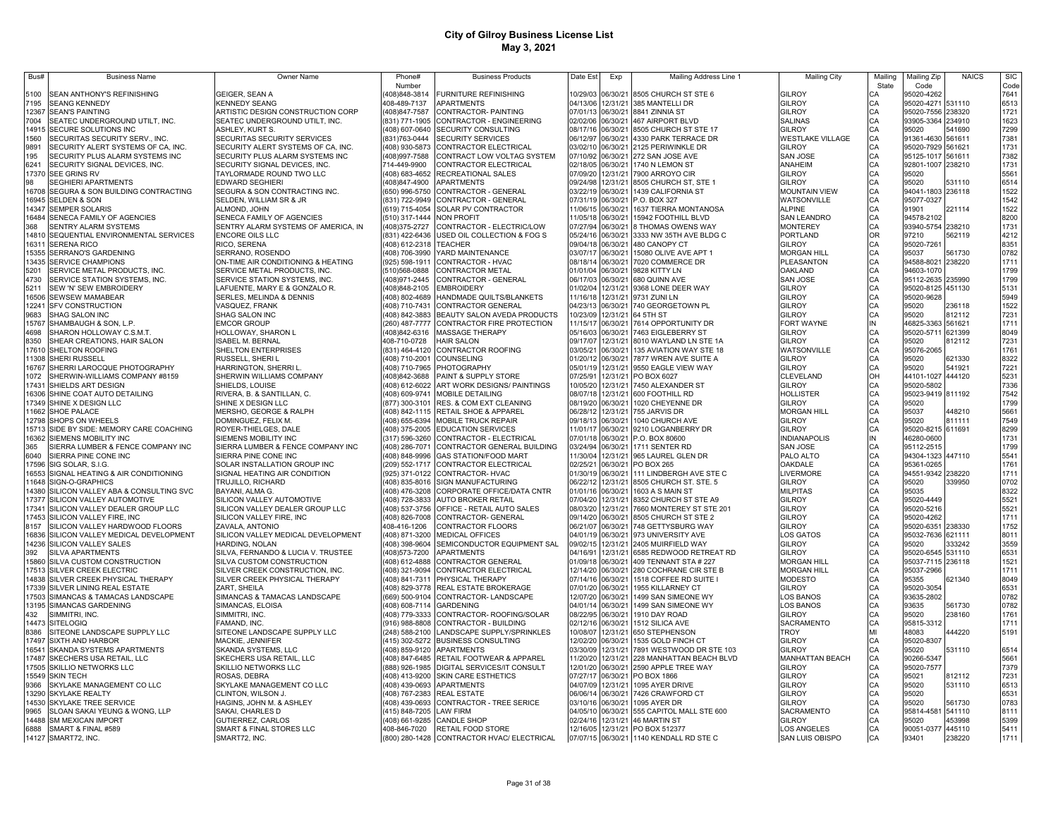| Bus#          | <b>Business Name</b>                                    | <b>Owner Name</b>                                         | Phone#                           | <b>Business Products</b>                              | Date Est                      | Exp                  | Mailing Address Line 1                               | <b>Mailing City</b>                | Mailino  | Mailing Zip                            | <b>NAICS</b> | <b>SIC</b>   |
|---------------|---------------------------------------------------------|-----------------------------------------------------------|----------------------------------|-------------------------------------------------------|-------------------------------|----------------------|------------------------------------------------------|------------------------------------|----------|----------------------------------------|--------------|--------------|
|               |                                                         |                                                           | Number                           |                                                       |                               |                      |                                                      |                                    | State    | Code                                   |              | Code         |
| 5100          | SEAN ANTHONY'S REFINISHING                              | GEIGER, SEAN A                                            | 408)848-3814                     | <b>FURNITURE REFINISHING</b>                          |                               |                      | 10/29/03 06/30/21 8505 CHURCH ST STE 6               | <b>GILROY</b>                      | CА       | 95020-4262                             |              | 7641         |
| 7195          | <b>SEANG KENNEDY</b>                                    | <b>KENNEDY SEANG</b>                                      | 408-489-7137                     | <b>APARTMENTS</b>                                     |                               |                      | 04/13/06 12/31/21 385 MANTELLI DR                    | <b>GILROY</b>                      | CA       | 95020-4271 531110                      |              | 6513         |
| 12367<br>7004 | <b>SEAN'S PAINTING</b>                                  | ARTISTIC DESIGN CONSTRUCTION CORP                         | (408) 847-7587<br>(831) 771-1905 | CONTRACTOR- PAINTING<br>CONTRACTOR - ENGINEERING      | 02/02/06 06/30/21             |                      | 07/01/13 06/30/21 8841 ZINNIA ST<br>467 AIRPORT BLVD | <b>GILROY</b><br><b>SALINAS</b>    | CA<br>CA | 95020-7556 238320<br>93905-3364 234910 |              | 1721         |
| 14915         | SEATEC UNDERGROUND UTILT, INC.<br>SECURE SOLUTIONS INC  | SEATEC UNDERGROUND UTILT, INC.<br>ASHLEY, KURT S.         | (408) 607-0640                   | <b>SECURITY CONSULTING</b>                            | 08/17/16 06/30/21             |                      | 8505 CHURCH ST STE 17                                | <b>GILROY</b>                      | CA       | 95020                                  | 541690       | 1623<br>7299 |
| 1560          | SECURITAS SECURITY SERV., INC.                          | SECURITAS SECURITY SERVICES                               | (831)763-0444                    | <b>SECURITY SERVICES</b>                              | 06/12/97                      | 06/30/21             | 4330 PARK TERRACE DR                                 | <b>WESTLAKE VILLAGE</b>            | CA       | 91361-4630 561611                      |              | 7381         |
| 9891          | SECURITY ALERT SYSTEMS OF CA, INC.                      | SECURITY ALERT SYSTEMS OF CA, INC.                        | (408) 930-5873                   | CONTRACTOR ELECTRICAL                                 | 03/02/10 06/30/21             |                      | 2125 PERIWINKLE DR                                   | <b>GILROY</b>                      | CA       | 95020-7929 561621                      |              | 1731         |
| 195           | SECURITY PLUS ALARM SYSTEMS INC                         | SECURITY PLUS ALARM SYSTEMS INC                           | (408)997-7588                    | CONTRACT LOW VOLTAG SYSTEM                            | 07/10/92                      | 06/30/21             | 272 SAN JOSE AVE                                     | <b>SAN JOSE</b>                    | CA       | 95125-1017 561611                      |              | 7382         |
| 6241          | SECURITY SIGNAL DEVICES, INC                            | SECURITY SIGNAL DEVICES, INC.                             | 714-449-9900                     | CONTRACTOR ELECTRICAL                                 | 02/18/05 06/30/21             |                      | 1740 N LEMON ST                                      | ANAHEIM                            | CA       | 92801-1007 238210                      |              | 1731         |
| 17370         | SEE GRINS RV                                            | TAYLORMADE ROUND TWO LLC                                  | (408) 683-4652                   | RECREATIONAL SALES                                    | 07/09/20                      | 12/31/21             | 7900 ARROYO CIR                                      | <b>GILROY</b>                      | CA       | 95020                                  |              | 5561         |
| 98            | SEGHIERI APARTMENTS                                     | <b>EDWARD SEGHIERI</b>                                    | (408)847-4900                    | <b>APARTMENTS</b>                                     | 09/24/98                      | 12/31/21             | 8505 CHURCH ST, STE 1                                | <b>GILROY</b>                      | CA       | 95020                                  | 531110       | 6514         |
| 16708         | SEGURA & SON BUILDING CONTRACTING                       | SEGURA & SON CONTRACTING INC.                             | (650) 996-5750                   | CONTRACTOR - GENERAL                                  | 03/22/19 06/30/21             |                      | 1439 CALIFORNIA ST                                   | <b>MOUNTAIN VIEW</b>               | CA       | 94041-1803 236118                      |              | 1522         |
| 16945         | SELDEN & SON                                            | SELDEN, WILLIAM SR & JR                                   | (831) 722-9949                   | CONTRACTOR - GENERAL                                  | 07/31/19                      | 06/30/21             | P.O. BOX 327                                         | WATSONVILLE                        | CA       | 95077-0327                             |              | 1542         |
| 14347         | SEMPER SOLARIS                                          | ALMOND, JOHN                                              | (619) 715-4054                   | SOLAR PV CONTRACTOR                                   | 11/06/15                      | 06/30/21             | 1637 TIERRA MONTANOSA                                | <b>ALPINE</b>                      | CA       | 91901                                  | 221114       | 1522         |
| 16484         | SENECA FAMILY OF AGENCIES                               | SENECA FAMILY OF AGENCIES                                 | (510) 317-1444                   | <b>NON PROFIT</b>                                     | 11/05/18                      | 06/30/21             | 15942 FOOTHILL BLVD                                  | <b>SAN LEANDRO</b>                 | CA       | 94578-2102                             |              | 8200         |
| 368           | SENTRY ALARM SYSTEMS                                    | SENTRY ALARM SYSTEMS OF AMERICA, IN                       | (408)375-2727                    | CONTRACTOR - ELECTRIC/LOW                             | 07/27/94                      | 06/30/21             | <b>8 THOMAS OWENS WAY</b>                            | <b>MONTEREY</b>                    | CA       | 93940-5754 238210                      |              | 1731         |
| 14810         | SEQUENTIAL ENVIRONMENTAL SERVICES                       | <b>ENCORE OILS LLC</b>                                    | (831) 422-6436                   | USED OIL COLLECTION & FOG S                           | 05/24/16                      | 06/30/21             | 3333 NW 35TH AVE BLDG C                              | PORTLAND                           | OR.      | 97210                                  | 562119       | 4212         |
| 16311         | <b>SERENA RICO</b>                                      | RICO, SERENA                                              | (408) 612-2318                   | <b>TEACHER</b>                                        | 09/04/18                      | 06/30/21             | 480 CANOPY CT                                        | <b>GILROY</b>                      | CA       | 95020-7261                             |              | 8351         |
| 15355         | SERRANO'S GARDENING                                     | SERRANO, ROSENDO                                          | (408) 706-3990                   | YARD MAINTENANCE                                      | 03/07/17                      | 06/30/21             | 15080 OLIVE AVE APT 1                                | <b>MORGAN HILL</b>                 | CA       | 95037                                  | 561730       | 0782         |
| 13435         | SERVICE CHAMPIONS                                       | ON-TIME AIR CONDITIONING & HEATING                        | (925) 598-1911                   | CONTRACTOR - HVAC                                     | 08/18/14                      | 06/30/21             | 7020 COMMERCE DR                                     | <b>PLEASANTON</b>                  | CA       | 94588-8021                             | 238220       | 1711         |
| 5201          | SERVICE METAL PRODUCTS, INC.                            | SERVICE METAL PRODUCTS, INC.                              | (510) 568-0888                   | CONTRACTOR METAL                                      | 01/01/04                      | 06/30/21             | 9828 KITTY LN                                        | <b>OAKLAND</b>                     | CA       | 94603-1070                             |              | 1799         |
| 4730<br>5211  | SERVICE STATION SYSTEMS, INC.<br>SEW 'N' SEW EMBROIDERY | SERVICE STATION SYSTEMS, INC.                             | (408) 971-2445<br>(408)848-2105  | CONTRACTOR - GENERAL<br><b>EMBROIDERY</b>             | 06/17/03 06/30/21<br>01/02/04 |                      | 680 QUINN AVE<br>12/31/21 9368 LONE DEER WAY         | <b>SAN JOSE</b><br><b>GILROY</b>   | CA<br>CA | 95112-2635 235990<br>95020-8125 451130 |              | 1799<br>5131 |
| 16506         | <b>SEWSEW MAMABEAR</b>                                  | LAFUENTE, MARY E & GONZALO R.<br>SERLES, MELINDA & DENNIS | (408) 802-4689                   | HANDMADE QUILTS/BLANKETS                              | 11/16/18                      |                      | 12/31/21 9731 ZUNI LN                                | <b>GILROY</b>                      | CA       | 95020-9628                             |              | 5949         |
| 12241         | <b>SFV CONSTRUCTION</b>                                 | VASQUEZ, FRANK                                            | (408) 710-7431                   | <b>CONTRACTOR GENERAL</b>                             |                               |                      | 04/23/13 06/30/21 740 GEORGETOWN PL                  | <b>GILROY</b>                      | CA       | 95020                                  | 236118       | 1522         |
| 9683          | SHAG SALON INC                                          | SHAG SALON INC                                            | (408) 842-3883                   | BEAUTY SALON AVEDA PRODUCTS                           | 10/23/09                      |                      | 12/31/21 64 5TH ST                                   | <b>GILROY</b>                      | CA       | 95020                                  | 812112       | 7231         |
| 15767         | SHAMBAUGH & SON, L.P.                                   | <b>EMCOR GROUP</b>                                        | (260) 487-7777                   | CONTRACTOR FIRE PROTECTION                            | 11/15/17                      |                      | 06/30/21 7614 OPPORTUNITY DR                         | <b>FORT WAYNE</b>                  | IN       | 46825-3363 561621                      |              | 1711         |
| 4698          | SHARON HOLLOWAY C.S.M.T                                 | HOLLOWAY, SHARON L                                        | (408)842-6316                    | MASSAGE THERAPY                                       | 05/16/03                      |                      | 06/30/21 7463 EIGLEBERRY ST                          | <b>GILROY</b>                      | CA       | 95020-5711 621399                      |              | 8049         |
| 8350          | SHEAR CREATIONS, HAIR SALON                             | <b>ISABEL M. BERNAL</b>                                   | 408-710-0728                     | <b>HAIR SALON</b>                                     | 09/17/07                      |                      | 12/31/21 8010 WAYLAND LN STE 1A                      | <b>GILROY</b>                      | СA       | 95020                                  | 812112       | 7231         |
|               | 17610 SHELTON ROOFING                                   | SHELTON ENTERPRISES                                       | (831) 464-4120                   | <b>CONTRACTOR ROOFING</b>                             | 03/05/21                      |                      | 06/30/21 135 AVIATION WAY STE 18                     | WATSONVILLE                        | CA       | 95076-2065                             |              | 1761         |
|               | 11308 SHERI RUSSELL                                     | RUSSELL, SHERI L                                          | (408) 710-2001                   | <b>COUNSELING</b>                                     | 01/20/12                      |                      | 06/30/21 7877 WREN AVE SUITE A                       | <b>GILROY</b>                      | СA       | 95020                                  | 621330       | 8322         |
| 16767         | SHERRI LAROCQUE PHOTOGRAPHY                             | HARRINGTON, SHERRI L                                      |                                  | (408) 710-7965 PHOTOGRAPHY                            | 05/01/19                      |                      | 12/31/21 9550 EAGLE VIEW WAY                         | <b>GILROY</b>                      | CA       | 95020                                  | 541921       | 7221         |
| 1072          | SHERWIN-WILLIAMS COMPANY #8159                          | SHERWIN WILLIAMS COMPANY                                  | (408)842-3688                    | PAINT & SUPPLY STORE                                  | 07/25/91                      |                      | 12/31/21 PO BOX 6027                                 | <b>CLEVELAND</b>                   | OH       | 44101-1027                             | 444120       | 5231         |
| 17431         | SHIELDS ART DESIGN                                      | SHIELDS, LOUISE                                           | (408) 612-6022                   | ART WORK DESIGNS/ PAINTINGS                           | 10/05/20                      |                      | 12/31/21 7450 ALEXANDER ST                           | <b>GILROY</b>                      | CA       | 95020-5802                             |              | 7336         |
|               | 16306 SHINE COAT AUTO DETAILING                         | RIVERA, B. & SANTILLAN, C.                                | (408) 609-9741                   | MOBILE DETAILING                                      | 08/07/18                      |                      | 12/31/21 600 FOOTHILL RD                             | <b>HOLLISTER</b>                   | CA       | 95023-9419 811192                      |              | 7542         |
|               | 17349 SHINE X DESIGN LLC                                | SHINE X DESIGN LLC                                        | (877) 300-3101                   | RES. & COM EXT CLEANING                               |                               |                      | 08/19/20 06/30/21 1020 CHEYENNE DR                   | <b>GILROY</b>                      | CA       | 95020                                  |              | 1799         |
|               | 11662 SHOE PALACE                                       | MERSHO, GEORGE & RALPH                                    |                                  | (408) 842-1115 RETAIL SHOE & APPAREL                  | 06/28/12                      |                      | 12/31/21 755 JARVIS DR                               | <b>MORGAN HILL</b>                 | CA       | 95037                                  | 448210       | 5661         |
|               | 12798 SHOPS ON WHEELS                                   | DOMINGUEZ, FELIX M.                                       | (408) 655-6394                   | <b>MOBILE TRUCK REPAIR</b>                            |                               |                      | 09/18/13 06/30/21 1040 CHURCH AVE                    | GILROY                             | C.A      | 95020                                  | 811111       | 7549         |
| 15713         | SIDE BY SIDE: MEMORY CARE COACHING                      | ROYER-THIELGES, DALE                                      | (408) 375-2005                   | <b>EDUCATION SERVICES</b>                             | 11/01/17                      | 06/30/21             | 9210 LOGANBERRY DR                                   | <b>GILROY</b>                      | CA       | 95020-8215 611691                      |              | 8299         |
| 16362         | SIEMENS MOBILITY INC                                    | SIEMENS MOBILITY INC                                      | (317) 596-3260                   | CONTRACTOR - ELECTRICAL                               | 07/01/18                      |                      | 06/30/21 P.O. BOX 80600                              | <b>INDIANAPOLIS</b>                |          | 46280-0600                             |              | 1731         |
| 365<br>6040   | SIERRA LUMBER & FENCE COMPANY INC                       | SIERRA LUMBER & FENCE COMPANY INC                         | (408) 286-7071<br>(408) 848-9996 | CONTRACTOR GENERAL BUILDING                           | 03/24/94<br>11/30/04          | 06/30/21             | 1711 SENTER RD<br>965 LAUREL GLEN DR                 | <b>SAN JOSE</b><br>PALO ALTO       | CA<br>CA | 95112-2515<br>94304-1323 447110        |              | 1799<br>5541 |
| 17596         | SIERRA PINE CONE INC<br>SIG SOLAR, S.I.G.               | SIERRA PINE CONE INC<br>SOLAR INSTALLATION GROUP INC      | (209) 552-1717                   | <b>GAS STATION/FOOD MART</b><br>CONTRACTOR ELECTRICAL | 02/25/21                      | 12/31/21<br>06/30/21 | <b>PO BOX 265</b>                                    | <b>OAKDALE</b>                     | CA       | 95361-0265                             |              | 1761         |
| 16553         | SIGNAL HEATING & AIR CONDITIONING                       | SIGNAL HEATING AIR CONDITION                              | (925) 371-0122                   | CONTRACTOR- HVAC                                      | 01/30/19                      | 06/30/21             | 111 LINDBERGH AVE STE C                              | LIVERMORE                          | CA       | 94551-9342 238220                      |              | 1711         |
| 11648         | SIGN-O-GRAPHICS                                         | TRUJILLO, RICHARD                                         | (408) 835-8016                   | SIGN MANUFACTURING                                    | 06/22/12                      | 12/31/21             | 8505 CHURCH ST. STE. 5                               | <b>GILROY</b>                      | CA       | 95020                                  | 339950       | 0702         |
| 14380         | SILICON VALLEY ABA & CONSULTING SVC                     | BAYANI, ALMA G.                                           | (408) 476-3208                   | CORPORATE OFFICE/DATA CNTR                            | 01/01/16                      | 06/30/21             | 1603 A S MAIN ST                                     | <b>MILPITAS</b>                    | CA       | 95035                                  |              | 8322         |
| 17377         | SILICON VALLEY AUTOMOTIVE                               | SILICON VALLEY AUTOMOTIVE                                 | (408) 728-3833                   | <b>AUTO BROKER RETAIL</b>                             | 07/04/20                      | 12/31/21             | 8352 CHURCH ST STE A9                                | <b>GILROY</b>                      | CA       | 95020-4449                             |              | 5521         |
| 17341         | SILICON VALLEY DEALER GROUP LLC                         | SILICON VALLEY DEALER GROUP LLC                           | (408) 537-3756                   | OFFICE - RETAIL AUTO SALES                            | 08/03/20                      | 12/31/21             | 7660 MONTEREY ST STE 201                             | <b>GILROY</b>                      | CA       | 95020-5216                             |              | 5521         |
| 17453         | SILICON VALLEY FIRE, INC                                | SILICON VALLEY FIRE, INC                                  | (408) 826-7008                   | CONTRACTOR- GENERAL                                   | 09/14/20                      | 06/30/21             | 8505 CHURCH ST STE 2                                 | <b>GILROY</b>                      | CA       | 95020-4262                             |              | 1711         |
| 8157          | SILICON VALLEY HARDWOOD FLOORS                          | ZAVALA, ANTONIO                                           | 408-416-1206                     | CONTRACTOR FLOORS                                     | 06/21/07                      | 06/30/21             | 748 GETTYSBURG WAY                                   | <b>GILROY</b>                      | CA       | 95020-6351                             | 238330       | 1752         |
| 16836         | SILICON VALLEY MEDICAL DEVELOPMENT                      | SILICON VALLEY MEDICAL DEVELOPMENT                        | (408) 871-3200                   | <b>MEDICAL OFFICES</b>                                | 04/01/19                      | 06/30/21             | 973 UNIVERSITY AVE                                   | <b>LOS GATOS</b>                   | CA       | 95032-7636 621111                      |              | 8011         |
| 14236         | SILICON VALLEY SALES                                    | HARDING, NOLAN                                            | (408) 398-9604                   | SEMICONDUCTOR EQUIPMENT SAL                           | 09/02/15                      | 12/31/21             | 2405 MUIRFIELD WAY                                   | <b>GILROY</b>                      | CA       | 95020                                  | 333242       | 3559         |
| 392           | <b>SILVA APARTMENTS</b>                                 | SILVA, FERNANDO & LUCIA V. TRUSTEE                        | (408) 573-7200                   | APARTMENTS                                            | 04/16/91                      | 12/31/21             | 6585 REDWOOD RETREAT RD                              | <b>GILROY</b>                      | CA       | 95020-6545 531110                      |              | 6531         |
|               | 15860 SILVA CUSTOM CONSTRUCTION                         | SILVA CUSTOM CONSTRUCTION                                 | (408) 612-4888                   | <b>CONTRACTOR GENERAL</b>                             | 01/09/18                      | 06/30/21             | 409 TENNANT STA # 227                                | <b>MORGAN HILL</b>                 | CA       | 95037-7115 236118                      |              | 1521         |
|               | 17513 SILVER CREEK ELECTRIC                             | SILVER CREEK CONSTRUCTION, INC.                           | (408) 321-9094                   | CONTRACTOR ELECTRICAL                                 | 12/14/20                      | 06/30/21             | 280 COCHRANE CIR STE B                               | <b>MORGAN HILL</b>                 | CA       | 95037-2966                             |              | 1711         |
| 14838         | SILVER CREEK PHYSICAL THERAPY                           | SILVER CREEK PHYSICAL THERAPY                             | (408) 841-7311                   | PHYSICAL THERAPY                                      | 07/14/16                      | 06/30/21             | 1518 COFFEE RD SUITE I                               | <b>MODESTO</b>                     | C.A      | 95355                                  | 621340       | 8049         |
|               | 17339 SILVER LINING REAL ESTATE                         | ZART. SHEILA                                              |                                  | (408) 829-3778 REAL ESTATE BROKERAGE                  | 07/01/20                      | 06/30/21             | 1955 KILLARNEY CT                                    | <b>GILROY</b>                      | CA       | 95020-3054                             |              | 6531         |
| 17503         | SIMANCAS & TAMACAS LANDSCAPE                            | SIMANCAS & TAMACAS LANDSCAPE                              | (669) 500-9104                   | CONTRACTOR-LANDSCAPE                                  | 12/07/20                      | 06/30/21             | 1499 SAN SIMEONE WY                                  | <b>LOS BANOS</b>                   | CA       | 93635-2802                             |              | 0782         |
|               | 13195 SIMANCAS GARDENING                                | SIMANCAS, ELOISA                                          | (408) 608-7114                   | <b>GARDENING</b>                                      | 04/01/14                      | 06/30/21             | 1499 SAN SIMEONE WY                                  | <b>LOS BANOS</b>                   | CA<br>CA | 93635                                  | 561730       | 0782         |
| 432           | SIMMITRI, INC.<br>14473 SITELOGIQ                       | SIMMITRI, INC.                                            | (408) 779-3333<br>(916) 988-8808 | CONTRACTOR- ROOFING/SOLAR<br>CONTRACTOR - BUILDING    | 08/22/95<br>02/12/16          | 06/30/21<br>06/30/21 | 1910 DAY ROAD<br>1512 SILICA AVE                     | <b>GILROY</b><br><b>SACRAMENTO</b> | CA       | 95020<br>95815-3312                    | 238160       | 1761<br>1711 |
| 8386          | SITEONE LANDSCAPE SUPPLY LLC                            | FAMAND, INC.<br>SITEONE LANDSCAPE SUPPLY LLC              |                                  | (248) 588-2100 LANDSCAPE SUPPLY/SPRINKLES             | 10/08/07                      |                      | 12/31/21 650 STEPHENSON                              | <b>TROY</b>                        | MI       | 48083                                  | 444220       | 5191         |
| 17497         | SIXTH AND HARBOR                                        | MACKIE, JENNIFER                                          | (415) 302-5272                   | <b>BUSINESS CONSULTING</b>                            | 12/02/20                      |                      | 06/30/21 1535 GOLD FINCH CT                          | <b>GILROY</b>                      | CA       | 95020-8307                             |              |              |
| 16541         | SKANDA SYSTEMS APARTMENTS                               | SKANDA SYSTEMS, LLC                                       |                                  | (408) 859-9120 APARTMENTS                             | 03/30/09                      |                      | 12/31/21 7891 WESTWOOD DR STE 103                    | <b>GILROY</b>                      | CA       | 95020                                  | 531110       | 6514         |
| 17487         | SKECHERS USA RETAIL, LLC                                | SKECHERS USA RETAIL, LLC                                  |                                  | (408) 847-6485 RETAIL FOOTWEAR & APPAREL              | 11/20/20                      |                      | 12/31/21 228 MANHATTAN BEACH BLVD                    | <b>MANHATTAN BEACH</b>             | CA       | 90266-5347                             |              | 5661         |
| 17505         | SKILLIO NETWORKS LLC                                    | SKILLIO NETWORKS LLC                                      | (888) 926-1985                   | DIGITAL SERVICES/IT CONSULT                           | 12/01/20                      |                      | 06/30/21 2590 APPLE TREE WAY                         | <b>GILROY</b>                      | CA       | 95020-7577                             |              | 7379         |
|               | 15549 SKIN TECH                                         | ROSAS, DEBRA                                              |                                  | (408) 413-9200 SKIN CARE ESTHETICS                    | 07/27/17                      |                      | 06/30/21 PO BOX 1866                                 | <b>GILROY</b>                      | CA       | 95021                                  | 812112       | 7231         |
| 9366          | SKYLAKE MANAGEMENT CO LLC                               | SKYLAKE MANAGEMENT CO LLC                                 | (408) 439-0693                   | <b>APARTMENTS</b>                                     | 04/07/09                      |                      | 12/31/21 1095 AYER DRIVE                             | <b>GILROY</b>                      | CA       | 95020                                  | 531110       | 6513         |
| 13290         | <b>SKYLAKE REALTY</b>                                   | CLINTON, WILSON J.                                        | (408) 767-2383                   | <b>REAL ESTATE</b>                                    | 06/06/14                      |                      | 06/30/21 7426 CRAWFORD CT                            | <b>GILROY</b>                      | C.A      | 95020                                  |              | 6531         |
|               | 14530 SKYLAKE TREE SERVICE                              | HAGINS, JOHN M. & ASHLEY                                  |                                  | (408) 439-0693 CONTRACTOR - TREE SERICE               |                               |                      | 03/10/16 06/30/21 1095 AYER DR                       | <b>GILROY</b>                      | C.A      | 95020                                  | 561730       | 0783         |
| 9965          | SLOAN SAKAI YEUNG & WONG, LLP                           | SAKAI, CHARLES D                                          | (415) 848-7205 LAW FIRM          |                                                       | 04/05/10 06/30/21             |                      | 555 CAPITOL MALL STE 600                             | SACRAMENTO                         | CА       | 95814-4581                             | 541110       | 8111         |
|               | 14488 SM MEXICAN IMPORT                                 | GUTIERREZ, CARLOS                                         |                                  | (408) 661-9285 CANDLE SHOP                            |                               |                      | 02/24/16 12/31/21 46 MARTIN ST                       | GIL ROY                            | CΑ       | 95020                                  | 453998       | 5399         |
| 6888          | SMART & FINAL #589                                      | SMART & FINAL STORES LLC                                  | 408-846-7020                     | RETAIL FOOD STORE                                     |                               |                      | 12/16/05 12/31/21 PO BOX 512377                      | <b>LOS ANGELES</b>                 | C.A      | 90051-0377 445110                      |              | 5411         |
|               | 14127 SMART72, INC.                                     | SMART72, INC.                                             |                                  | (800) 280-1428 CONTRACTOR HVAC/ ELECTRICAL            |                               |                      | 07/07/15 06/30/21 1140 KENDALL RD STE C              | <b>SAN LUIS OBISPO</b>             | C.A      | 93401                                  | 238220       | 1711         |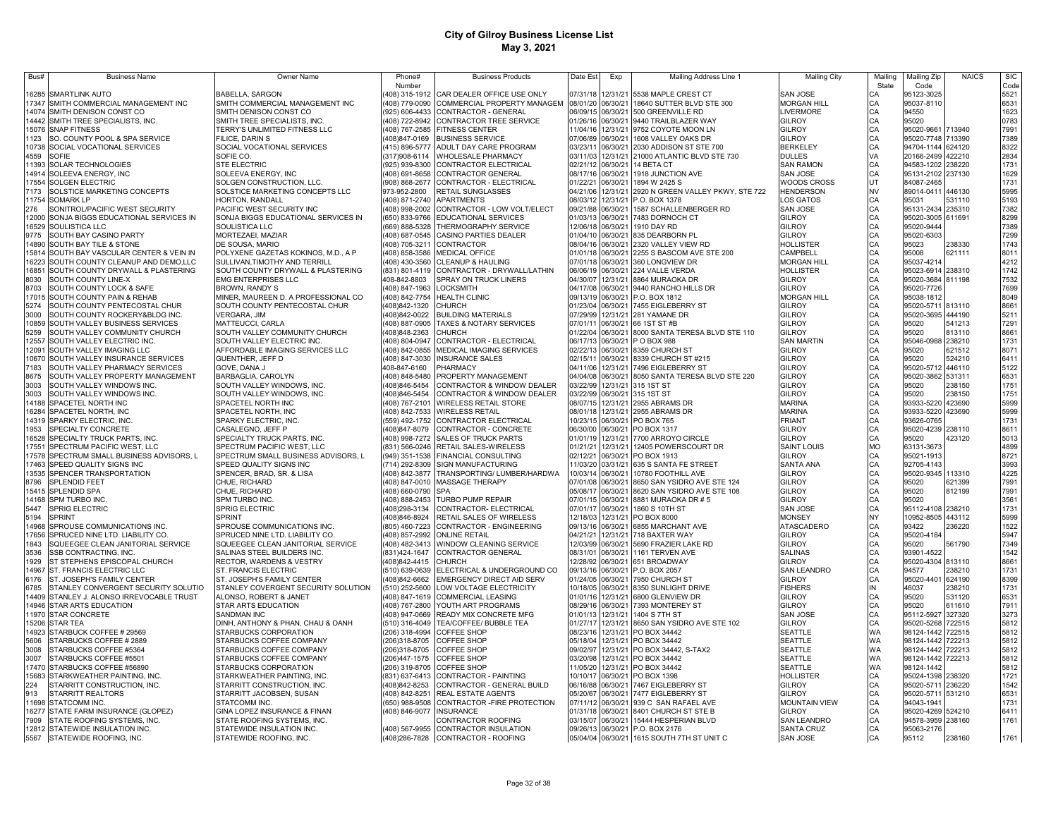| Bus#         | <b>Business Name</b>                                                    | Owner Name                                                  | Phone#                         | <b>Business Products</b>                 | Date Est             | Exp                  | Mailing Address Line 1                                          | <b>Mailing City</b>          | Mailinc   | Mailing Zip                | <b>NAICS</b>     | <b>SIC</b>   |
|--------------|-------------------------------------------------------------------------|-------------------------------------------------------------|--------------------------------|------------------------------------------|----------------------|----------------------|-----------------------------------------------------------------|------------------------------|-----------|----------------------------|------------------|--------------|
|              |                                                                         |                                                             | Number                         |                                          |                      |                      |                                                                 |                              | State     | Code                       |                  | Code         |
|              | 16285 SMARTLINK AUTO                                                    | <b>BABELLA, SARGON</b>                                      | 408) 315-1912                  | CAR DEALER OFFICE USE ONLY               | 07/31/18             |                      | 12/31/21 5538 MAPLE CREST CT                                    | SAN JOSE                     |           | 95123-3025                 |                  | 5521         |
|              | 17347 SMITH COMMERCIAL MANAGEMENT INC                                   | SMITH COMMERCIAL MANAGEMENT INC                             | 408) 779-0090                  | COMMERCIAL PROPERTY MANAGEM              | 08/01/20 06/30/21    |                      | 18640 SUTTER BLVD STE 300                                       | MORGAN HILL                  |           | 95037-8110                 |                  | 6531         |
|              | 14074 SMITH DENISON CONST CO                                            | SMITH DENISON CONST CO                                      | (925) 606-4433                 | CONTRACTOR - GENERAL                     |                      | 06/09/15 06/30/21    | 500 GREENVILLE RD                                               | <b>LIVERMORE</b>             | CA        | 94550                      |                  | 1623         |
|              | 14442 SMITH TREE SPECIALISTS, INC.                                      | SMITH TREE SPECIALISTS, INC                                 | 408) 722-8942                  | CONTRACTOR TREE SERVICE                  |                      | 01/26/16 06/30/21    | 9440 TRAILBLAZER WAY                                            | GILROY                       | CA        | 95020                      |                  | 0783         |
|              | 15076 SNAP FITNESS                                                      | TERRY'S UNLIMITED FITNESS LLC                               | (408) 767-2585                 | <b>FITNESS CENTER</b>                    | 1/04/16              | 12/31/21             | 9752 COYOTE MOON LN                                             | GILROY                       | CA        | 95020-9661                 | 713940           | 7991         |
| 1123         | SO. COUNTY POOL & SPA SERVICE                                           | FILICE, DARIN S                                             | 408)847-0169                   | <b>BUSINESS SERVICE</b>                  | 07/06/89             | 06/30/21             | 1608 VALLEY OAKS DR                                             | GILROY                       | CA        | 95020-7748 713390          |                  | 7389         |
|              | 10738 SOCIAL VOCATIONAL SERVICES                                        | SOCIAL VOCATIONAL SERVICES                                  | (415) 896-5777                 | ADULT DAY CARE PROGRAM                   | 03/23/11             | 06/30/21             | 2030 ADDISON ST STE 700                                         | BERKELEY                     | CA        | 94704-1144 624120          |                  | 8322         |
| 4559         | SOFIE                                                                   | SOFIE CO.                                                   | 317)908-6114                   | <b>WHOLESALE PHARMACY</b>                | 03/11/03             | 12/31/21             | 21000 ATLANTIC BLVD STE 730                                     | <b>DULLES</b>                | VA        | 20166-2499 422210          |                  | 2834         |
|              | 11393 SOLAR TECHNOLOGIES                                                | <b>STE ELECTRIC</b>                                         | (925) 939-8300                 | CONTRACTOR ELECTRICAL                    | 02/21/12             | 06/30/21             | 14 BETA CT                                                      | SAN RAMON                    | CA        | 94583-1202 238220          |                  | 1731         |
|              | 14914 SOLEEVA ENERGY, INC                                               | SOLEEVA ENERGY, INC                                         | (408) 691-8658                 | CONTRACTOR GENERAL                       | 08/17/16             | 06/30/21             | 1918 JUNCTION AVE                                               | SAN JOSE                     | CA        | 95131-2102 237130          |                  | 1629         |
| 17554        | <b>SOLGEN ELECTRIC</b>                                                  | SOLGEN CONSTRUCTION, LLC.                                   | 908) 868-2677                  | CONTRACTOR - ELECTRICAL                  | 01/22/21             | 06/30/21             | 1894 W 2425 S                                                   | <b>NOODS CROSS</b>           | UT        | 84087-2465                 |                  | 1731         |
| 7173         | SOLSTICE MARKETING CONCEPTS                                             | SOLSTICE MARKETING CONCEPTS LLC                             | 973-952-2800                   | RETAIL SUNGLASSES                        | 04/21/06             | 12/31/21             | 2920 N GREEN VALLEY PKWY, STE 722                               | HENDERSON                    | <b>NV</b> | 89014-0411                 | 446130           | 5995         |
|              | 11754 SOMARK LP                                                         | <b>HORTON, RANDALL</b>                                      | (408) 871-2740                 | <b>APARTMENTS</b>                        | 08/03/12             | 12/31/21             | P.O. BOX 1378                                                   | LOS GATOS                    |           | 95031                      | 531110           | 5193         |
| 276          | SONITROL/PACIFIC WEST SECURITY                                          | PACIFIC WEST SECURITY INC                                   | (408) 998-2002                 | CONTRACTOR - LOW VOLT/ELECT              | 09/21/88             | 06/30/21             | 1587 SCHALLENBERGER RD                                          | SAN JOSE                     | CA        | 95131-2434                 | 235310           | 7382         |
|              | 12000 SONJA BIGGS EDUCATIONAL SERVICES IN                               | SONJA BIGGS EDUCATIONAL SERVICES IN                         | (650) 833-9766                 | <b>EDUCATIONAL SERVICES</b>              | 01/03/13             | 06/30/21             | 7483 DORNOCH CT                                                 | <b>GILROY</b>                | CA        | 95020-3005 611691          |                  | 8299         |
|              | 16529 SOULISTICA LLC                                                    | SOULISTICA LLC                                              | (669) 888-5328                 | THERMOGRAPHY SERVICE                     | 12/06/18             | 06/30/21             | 1910 DAY RD                                                     | GILROY                       | CA        | 95020-9444                 |                  | 7389         |
| 9775         | SOUTH BAY CASINO PARTY                                                  | MORTEZAEI, MAZIAR                                           | (408) 687-0545                 | CASINO PARTIES DEALER                    | 01/04/10             | 06/30/21             | 835 DEARBORN PL                                                 | <b>GILROY</b>                | CA        | 95020-6303                 |                  | 7299         |
|              | 14890 SOUTH BAY TILE & STONE                                            | DE SOUSA, MARIO                                             | (408) 705-3211                 | <b>CONTRACTOR</b>                        | 08/04/16<br>01/01/18 | 06/30/21<br>06/30/21 | 2320 VALLEY VIEW RD                                             | <b>HOLLISTER</b><br>CAMPBELL | CA        | 95023                      | 238330           | 1743         |
|              | 15814 SOUTH BAY VASCULAR CENTER & VEIN IN                               | POLYXENE GAZETAS KOKINOS, M.D., A P                         | (408) 858-3586                 | <b>MEDICAL OFFICE</b>                    | 07/01/18             | 06/30/21             | 2255 S BASCOM AVE STE 200                                       | <b>MORGAN HILL</b>           | CA        | 95008                      | 621111           | 8011         |
|              | 16223 SOUTH COUNTY CLEANUP AND DEMO,LLC                                 | SULLIVAN, TIMOTHY AND TERRILL                               | (408) 430-3560                 | <b>CLEANUP &amp; HAULING</b>             |                      | 06/30/21             | 360 LONGVIEW DR                                                 |                              | CA        | 95037-4214                 |                  | 4212         |
|              | 16851 SOUTH COUNTY DRYWALL & PLASTERING                                 | SOUTH COUNTY DRYWALL & PLASTERING                           | (831) 801-4119                 | CONTRACTOR - DRYWALL/LATHIN              | 06/06/19             |                      | 224 VALLE VERDA<br>8864 MURAOKA DR                              | <b>HOLLISTER</b>             | CA        | 95023-6914                 | 238310           | 1742<br>7532 |
| 8030         | SOUTH COUNTY LINE-X<br>SOUTH COUNTY LOCK & SAFE                         | <b>EMG ENTERPRISES LLC</b>                                  | 408-842-8803<br>(408) 847-1963 | SPRAY ON TRUCK LINERS                    | 04/30/07<br>04/17/08 | 12/31/21             | 9440 RANCHO HILLS DR                                            | GILROY                       | CA        | 95020-3684 811198          |                  | 7699         |
| 8703         |                                                                         | <b>BROWN, RANDY S</b>                                       |                                | LOCKSMITH                                | 09/13/19             | 06/30/21             |                                                                 | GILROY                       | CA        | 95020-7726                 |                  |              |
|              | 17015 SOUTH COUNTY PAIN & REHAB                                         | MINER, MAUREEN D. A PROFESSIONAL CO                         | (408) 842-7754                 | <b>HEALTH CLINIC</b>                     | 01/23/04             |                      | 06/30/21 P.O. BOX 1812                                          | <b>MORGAN HILL</b>           | CA        | 95038-1812                 |                  | 8049         |
| 5274         | SOUTH COUNTY PENTECOSTAL CHUR                                           | SOUTH COUNTY PENTECOSTAL CHUR                               | 408)842-1320                   | <b>CHURCH</b>                            |                      |                      | 06/30/21 7455 EIGLEBERRY ST                                     | GILROY                       | CA        | 95020-5711 813110          |                  | 8661         |
| 3000         | SOUTH COUNTY ROCKERY&BLDG INC.                                          | VERGARA, JIM                                                | 408)842-0022                   | <b>BUILDING MATERIALS</b>                | 07/29/99             |                      | 12/31/21 281 YAMANE DR                                          | GILROY                       | CA        | 95020-3695 444190          |                  | 5211         |
|              | 10859 SOUTH VALLEY BUSINESS SERVICES                                    | MATTEUCCI, CARLA                                            | (408) 887-0905<br>408)848-2363 | <b>TAXES &amp; NOTARY SERVICES</b>       | 07/01/11             |                      | 06/30/21 66 1ST ST #B                                           | GILROY                       | CA        | 95020                      | 541213<br>813110 | 7291         |
| 5259         | SOUTH VALLEY COMMUNITY CHURCH<br>12557 SOUTH VALLEY ELECTRIC INC.       | SOUTH VALLEY COMMUNITY CHURCH<br>SOUTH VALLEY ELECTRIC INC. | (408) 804-0947                 | <b>CHURCH</b><br>CONTRACTOR - ELECTRICAL | 01/22/04<br>06/17/13 |                      | 06/30/21 8000 SANTA TERESA BLVD STE 110<br>06/30/21 P O BOX 988 | GILROY<br><b>SAN MARTIN</b>  | CA        | 95020<br>95046-0988 238210 |                  | 8661<br>1731 |
|              |                                                                         |                                                             | (408) 842-0855                 |                                          |                      |                      | 06/30/21 8359 CHURCH ST                                         |                              |           |                            | 621512           | 8071         |
|              | 12091 SOUTH VALLEY IMAGING LLC                                          | AFFORDABLE IMAGING SERVICES LLC                             |                                | MEDICAL IMAGING SERVICES                 | 02/22/13<br>02/15/11 |                      | 06/30/21 8339 CHURCH ST #215                                    | GILROY<br>GILROY             |           | 95020<br>95020             | 524210           |              |
| 7183         | 10670 SOUTH VALLEY INSURANCE SERVICES<br>SOUTH VALLEY PHARMACY SERVICES | GUENTHER, JEFF D<br>GOVE, DANA J                            | (408) 847-3030<br>408-847-6160 | <b>INSURANCE SALES</b><br>PHARMACY       | 04/11/06             |                      | 12/31/21 7496 EIGLEBERRY ST                                     | GILROY                       |           | 95020-5712                 | 446110           | 6411<br>5122 |
|              | SOUTH VALLEY PROPERTY MANAGEMENT                                        | BARBAGLIA, CAROLYN                                          | (408) 848-5480                 | PROPERTY MANAGEMENT                      | 04/04/08             |                      | 06/30/21 8050 SANTA TERESA BLVD STE 220                         | GILROY                       |           | 95020-3862 531311          |                  |              |
| 8675<br>3003 | SOUTH VALLEY WINDOWS INC.                                               | SOUTH VALLEY WINDOWS, INC.                                  | 408)846-5454                   | CONTRACTOR & WINDOW DEALER               | 03/22/99             |                      | 12/31/21 315 1ST ST                                             | GILROY                       |           | 95020                      | 238150           | 6531<br>1751 |
| 3003         | SOUTH VALLEY WINDOWS INC.                                               | SOUTH VALLEY WINDOWS, INC.                                  | 408)846-5454                   | CONTRACTOR & WINDOW DEALER               | 03/22/99             |                      | 06/30/21 315 1ST ST                                             | GILROY                       |           | 95020                      | 238150           | 1751         |
|              | 14188 SPACETEL NORTH INC                                                | SPACETEL NORTH INC                                          | (408) 767-2101                 | <b>WIRELESS RETAIL STORE</b>             | 08/07/15             | 12/31/21             | 2955 ABRAMS DR                                                  | <b>MARINA</b>                | CA        | 93933-5220                 | 423690           | 5999         |
|              | 16284 SPACETEL NORTH, INC                                               | SPACETEL NORTH, INC                                         | (408) 842-7533                 | <b>WIRELESS RETAIL</b>                   | 08/01/18             | 12/31/21             | 2955 ABRAMS DR                                                  | <b>MARINA</b>                | CA        | 93933-5220                 | 423690           | 5999         |
|              | 14319 SPARKY ELECTRIC, INC                                              | SPARKY ELECTRIC, INC                                        | 559) 492-1752                  | CONTRACTOR ELECTRICAL                    | 10/23/15             | 06/30/21             | PO BOX 765                                                      | <b>FRIANT</b>                |           | 93626-0765                 |                  | 1731         |
| 1953         | SPECIALTY CONCRETE                                                      | CASALEGNO, JEFF P                                           | 408)847-8079                   | CONTRACTOR - CONCRETE                    | 06/30/00             | 06/30/21             | PO BOX 1317                                                     | GILROY                       | CA        | 95020-4239                 | 238110           | 8611         |
| 16528        | SPECIALTY TRUCK PARTS, INC                                              | SPECIALTY TRUCK PARTS, INC.                                 | 408) 998-7272                  | SALES OF TRUCK PARTS                     | 01/01/19             | 2/31/21              | 7700 ARROYO CIRCLE                                              | GILROY                       |           | 95020                      | 423120           | 5013         |
| 17551        | SPECTRUM PACIFIC WEST, LLC                                              | SPECTRUM PACIFIC WEST, LLC                                  | 831) 566-0246                  | RETAIL SALES-WIRELESS                    | 01/21/21             | 2/31/21              | 12405 POWERSCOURT DR                                            | <b>SAINT LOUIS</b>           | MO        | 63131-3673                 |                  | 4899         |
|              | 17578 SPECTRUM SMALL BUSINESS ADVISORS, L                               | SPECTRUM SMALL BUSINESS ADVISORS, L                         | (949) 351-1538                 | <b>FINANCIAL CONSULTING</b>              | 02/12/21             | 06/30/21             | PO BOX 1913                                                     | GILROY                       | CA        | 95021-1913                 |                  | 8721         |
|              | 17463 SPEED QUALITY SIGNS INC                                           | SPEED QUALITY SIGNS INC                                     | (714) 292-8309                 | SIGN MANUFACTURING                       | 11/03/20             | 03/31/21             | 635 S SANTA FE STREET                                           | SANTA ANA                    | CA        | 92705-4143                 |                  | 3993         |
|              | 13535 SPENCER TRANSPORTATION                                            | SPENCER, BRAD, SR. & LISA                                   | (408) 842-3877                 | TRANSPORTING/ LUMBER/HARDWA              | 10/03/14             | 06/30/21             | 10780 FOOTHILL AVE                                              | GILROY                       | CA        | 95020-9345 113310          |                  | 4225         |
| 8796         | SPLENDID FEET                                                           | CHUE, RICHARD                                               |                                | (408) 847-0010 MASSAGE THERAPY           | 07/01/08             | 06/30/21             | 8650 SAN YSIDRO AVE STE 124                                     | <b>GILROY</b>                | CA        | 95020                      | 621399           | 7991         |
|              | 15415 SPLENDID SPA                                                      | CHUE, RICHARD                                               | (408) 660-0790 SPA             |                                          | 05/08/17             | 06/30/21             | 8620 SAN YSIDRO AVE STE 108                                     | <b>GILROY</b>                | CA        | 95020                      | 812199           | 7991         |
|              | 14168 SPM TURBO INC.                                                    | SPM TURBO INC.                                              | (408) 888-2453                 | <b>TURBO PUMP REPAIR</b>                 | 07/01/15             | 06/30/21             | 8881 MURAOKA DR #5                                              | GILROY                       | CA        | 95020                      |                  | 3561         |
| 5447         | <b>SPRIG ELECTRIC</b>                                                   | SPRIG ELECTRIC                                              | (408) 298-3134                 | CONTRACTOR- ELECTRICAL                   | 07/01/17             | 06/30/21             | 1860 S 10TH ST                                                  | SAN JOSE                     | CA        | 95112-4108 238210          |                  | 1731         |
| 5194         | <b>SPRINT</b>                                                           | <b>SPRINT</b>                                               | 408)846-8924                   | RETAIL SALES OF WIRELESS                 | 12/18/03             |                      | 12/31/21 PO BOX 8000                                            | <b>MONSEY</b>                | NY        | 10952-8505 443112          |                  | 5999         |
| 14968        | SPROUSE COMMUNICATIONS INC.                                             | SPROUSE COMMUNICATIONS INC.                                 | (805) 460-7223                 | CONTRACTOR - ENGINEERING                 | 09/13/16             | 06/30/21             | 6855 MARCHANT AVE                                               | <b>ATASCADERO</b>            | CA        | 93422                      | 236220           | 1522         |
| 17656        | SPRUCED NINE LTD. LIABILITY CO.                                         | SPRUCED NINE LTD. LIABILITY CO.                             | (408) 857-2992                 | <b>ONLINE RETAIL</b>                     | 04/21/21             | 12/31/21             | 718 BAXTER WAY                                                  | GILROY                       | CA        | 95020-4184                 |                  | 5947         |
| 1843         | SQUEEGEE CLEAN JANITORIAL SERVICE                                       | SQUEEGEE CLEAN JANITORIAL SERVICE                           |                                | (408) 482-3413 WINDOW CLEANING SERVICE   | 12/03/99             | 06/30/21             | 5690 FRAZIER LAKE RD                                            | GILROY                       | CA        | 95020                      | 561790           | 7349         |
| 3536         | SSB CONTRACTING, INC.                                                   | SALINAS STEEL BUILDERS INC                                  | (831)424-1647                  | CONTRACTOR GENERAL                       | 08/31/01             | 06/30/21             | 1161 TERVEN AVE                                                 | <b>SALINAS</b>               | CA        | 93901-4522                 |                  | 1542         |
| 1929         | ST STEPHENS EPISCOPAL CHURCH                                            | RECTOR, WARDENS & VESTRY                                    | (408) 842-4415                 | <b>CHURCH</b>                            | 12/28/92             | 06/30/21             | 651 BROADWAY                                                    | GILROY                       | CA        | 95020-4304                 | 813110           | 8661         |
|              | 14967 ST. FRANCIS ELECTRIC LLC                                          | ST. FRANCIS ELECTRIC                                        | (510) 639-0639                 | ELECTRICAL & UNDERGROUND CO              | 09/13/16             |                      | 06/30/21 P.O. BOX 2057                                          | <b>SAN LEANDRO</b>           | CA        | 94577                      | 238210           | 1731         |
| 6176         | ST. JOSEPH'S FAMILY CENTER                                              | ST. JOSEPH'S FAMILY CENTER                                  | 408)842-6662                   | EMERGENCY DIRECT AID SERV                | 01/24/05             | 06/30/21             | 7950 CHURCH ST                                                  | <b>GILROY</b>                | CA        | 95020-4401                 | 624190           | 8399         |
| 6785         | STANLEY CONVERGENT SECURITY SOLUTIO                                     | STANLEY COVERGENT SECURITY SOLUTION                         | (510) 252-5600                 | LOW VOLTAGE ELECTRICITY                  | 10/18/05             | 06/30/21             | 8350 SUNLIGHT DRIVE                                             | <b>FISHERS</b>               | IN        | 46037                      | 238210           | 1731         |
|              | 14409 STANLEY J. ALONSO IRREVOCABLE TRUST                               | ALONSO, ROBERT & JANET                                      |                                | (408) 847-1619 COMMERCIAL LEASING        | 01/01/16             |                      | 12/31/21 6800 GLENVIEW DR                                       | GILROY                       | CA        | 95020                      | 531120           | 6531         |
|              | 14946 STAR ARTS EDUCATION                                               | STAR ARTS EDUCATION                                         |                                | (408) 767-2800 YOUTH ART PROGRAMS        |                      |                      | 08/29/16 06/30/21 7393 MONTEREY ST                              | GILROY                       | CA        | 95020                      | 611610           | 7911         |
|              | 11970 STAR CONCRETE                                                     | SANDMAN INC                                                 |                                | (408) 947-0669 READY MIX CONCRETE MFG    | 01/01/13             | 12/31/21             | 1404 S 7TH ST                                                   | <b>SAN JOSE</b>              | CA        | 95112-5927                 | 327320           | 3273         |
|              | 15206 STAR TEA                                                          | DINH, ANTHONY & PHAN, CHAU & OANH                           |                                | (510) 316-4049 TEA/COFFEE/ BUBBLE TEA    | 01/27/17             |                      | 12/31/21 8650 SAN YSIDRO AVE STE 102                            | GILROY                       | CA        | 95020-5268                 | 722515           | 5812         |
|              | 14923 STARBUCK COFFEE # 29569                                           | STARBUCKS CORPORATION                                       | (206) 318-4994                 | <b>COFFEE SHOP</b>                       | 08/23/16             |                      | 12/31/21 PO BOX 34442                                           | <b>SEATTLE</b>               | <b>WA</b> | 98124-1442 722515          |                  | 5812         |
| 5606         | STARBUCKS COFFEE # 2889                                                 | STARBUCKS COFFEE COMPANY                                    | (206)318-8705                  | COFFEE SHOP                              | 05/18/04             |                      | 12/31/21 PO BOX 34442                                           | <b>SEATTLE</b>               | <b>WA</b> | 98124-1442 722213          |                  | 5812         |
| 3008         | STARBUCKS COFFEE #5364                                                  | STARBUCKS COFFEE COMPANY                                    | (206)318-8705                  | <b>COFFEE SHOP</b>                       | 09/02/97             |                      | 12/31/21 PO BOX 34442, S-TAX2                                   | <b>SEATTLE</b>               | <b>WA</b> | 98124-1442 722213          |                  | 5812         |
| 3007         | STARBUCKS COFFEE #5501                                                  | STARBUCKS COFFEE COMPANY                                    | (206)447-1575                  | <b>COFFEE SHOP</b>                       | 03/20/98             |                      | 12/31/21 PO BOX 34442                                           | <b>SEATTLE</b>               | <b>WA</b> | 98124-1442 722213          |                  | 5812         |
|              | 17470 STARBUCKS COFFEE #56890                                           | STARBUCKS CORPORATION                                       |                                | (206) 319-8705 COFFEE SHOP               | 11/05/20             | 12/31/21             | PO BOX 34442                                                    | <b>SEATTLE</b>               | WA        | 98124-1442                 |                  | 5812         |
|              | 15683 STARKWEATHER PAINTING, INC                                        | STARKWEATHER PAINTING, INC                                  | (831) 637-6413                 | CONTRACTOR - PAINTING                    | 10/10/17             | 06/30/21             | PO BOX 1398                                                     | <b>HOLLISTER</b>             | CA        | 95024-1398                 | 238320           | 1721         |
| 224          | STARRITT CONSTRUCTION, INC.                                             | STARRITT CONSTRUCTION, INC.                                 | (408)842-8253                  | CONTRACTOR - GENERAL BUILD               | 06/16/88             | 06/30/21             | 7467 EIGLEBERRY ST                                              | GILROY                       | CA        | 95020-5711                 | 236220           | 1542         |
| 913          | STARRITT REALTORS                                                       | STARRITT JACOBSEN, SUSAN                                    | 408) 842-8251                  | REAL ESTATE AGENTS                       | 05/20/67             | 06/30/21             | 7477 EIGLEBERRY ST                                              | GILROY                       |           | 95020-5711                 | 531210           | 6531         |
| 11698        | STATCOMM INC.                                                           | STATCOMM INC                                                | (650) 988-9508                 | CONTRACTOR - FIRE PROTECTION             | 07/11/12             | 06/30/21             | 939 C SAN RAFAEL AVE                                            | <b>MOUNTAIN VIEW</b>         |           | 94043-194                  |                  | 1731         |
| 16277        | STATE FARM INSURANCE (GLOPEZ)                                           | GINA LOPEZ INSURANCE & FINAN                                | (408) 846-9077                 | <b>INSURANCE</b>                         | 01/31/18             | 06/30/21             | 8401 CHURCH ST STE B                                            | <b>GILROY</b>                |           | 95020-4269                 | 524210           | 6411         |
| 7909         | STATE ROOFING SYSTEMS, INC.                                             | STATE ROOFING SYSTEMS, INC.                                 |                                | CONTRACTOR ROOFING                       | 03/15/07             | 06/30/21             | 15444 HESPERIAN BLVD                                            | SAN LEANDRO                  | CA        | 94578-3959 238160          |                  | 1761         |
|              | 12812 STATEWIDE INSULATION INC.                                         | STATEWIDE INSULATION INC.                                   |                                | (408) 567-9955 CONTRACTOR INSULATION     | 09/26/13             | 06/30/21             | P.O. BOX 2176                                                   | <b>SANTA CRUZ</b>            | CA        | 95063-2176                 |                  |              |
|              | 5567 STATEWIDE ROOFING, INC.                                            | STATEWIDE ROOFING, INC.                                     | (408) 286-7828                 | CONTRACTOR - ROOFING                     | 05/04/04             | 06/30/21             | 1615 SOUTH 7TH ST UNIT C                                        | SAN JOSE                     | CA        | 95112                      | 238160           | 1761         |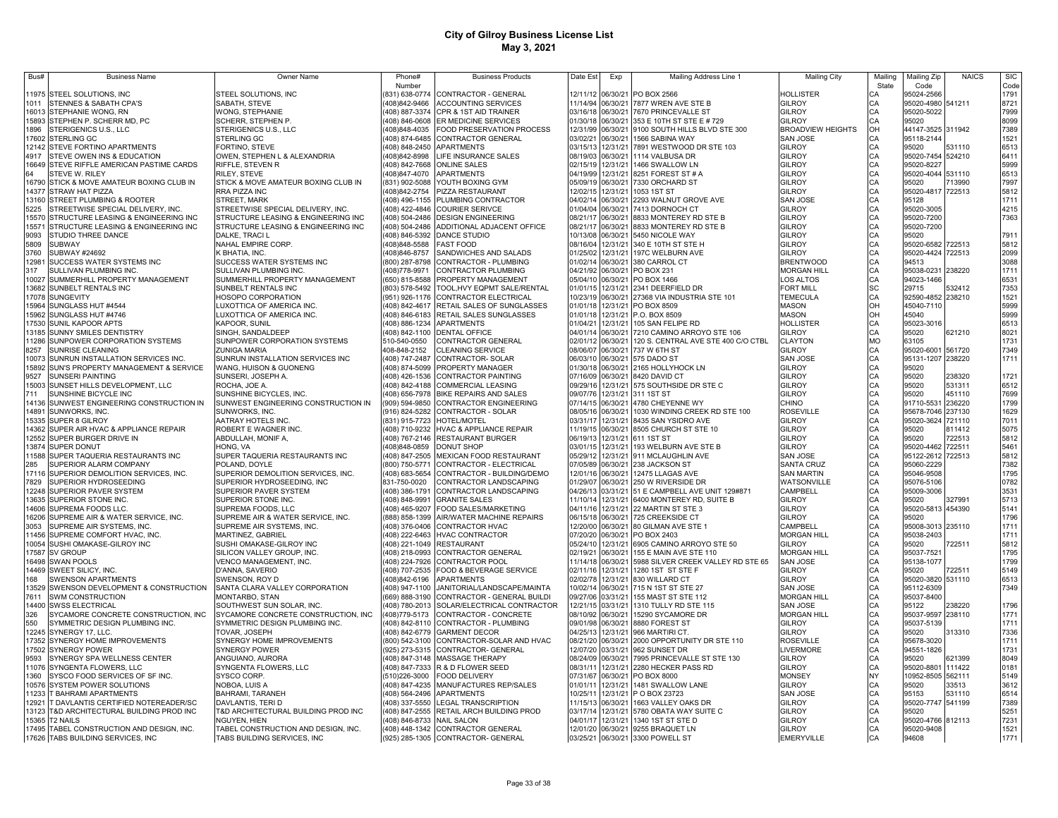| Bus#           | <b>Business Name</b>                                   | Owner Name                                    | Phone#                    | <b>Business Products</b>                                    | Date Est             | Exp               | Mailing Address Line 1                                             | <b>Mailing City</b>                 | Mailing   | Mailing Zip         | <b>NAICS</b> | <b>SIC</b>   |
|----------------|--------------------------------------------------------|-----------------------------------------------|---------------------------|-------------------------------------------------------------|----------------------|-------------------|--------------------------------------------------------------------|-------------------------------------|-----------|---------------------|--------------|--------------|
|                |                                                        |                                               | Number                    |                                                             |                      |                   |                                                                    |                                     | State     | Code                |              | Code         |
| 11975          | STEEL SOLUTIONS, INC                                   | STEEL SOLUTIONS, INC                          |                           | 831) 638-0774 CONTRACTOR - GENERAL                          | 12/11/12             | 06/30/21          | PO BOX 2566                                                        | HOLLISTER                           |           | 95024-2566          |              | 1791         |
| 1011           | STENNES & SABATH CPA'S                                 | SABATH, STEVE                                 |                           | 408)842-9466 ACCOUNTING SERVICES                            |                      | 11/14/94 06/30/21 | 7877 WREN AVE STE B                                                | GILROY                              | CА        | 95020-4980 541211   |              | 8721         |
| 16013          | STEPHANIE WONG, RN                                     | <b>WONG, STEPHANIE</b>                        |                           | 408) 887-3374 CPR & 1ST AID TRAINER                         | 03/16/18             | 06/30/21          | 7670 PRINCEVALLE ST                                                | <b>GILROY</b>                       | CA        | 95020-5022          |              | 7999         |
| 15893          | STEPHEN P. SCHERR MD, PC                               | SCHERR, STEPHEN P.                            |                           | (408) 846-0608 ER MEDICINE SERVICES                         | 01/30/18             | 06/30/21          | 353 E 10TH ST STE E # 729                                          | GILROY                              | CA        | 95020               |              | 8099         |
| 1896           | STERIGENICS U.S., LLC                                  | STERIGENICS U.S., LLC                         | (408)848-4035             | FOOD PRESERVATION PROCESS                                   | 12/31/99             | 06/30/21          | 9100 SOUTH HILLS BLVD STE 300                                      | <b>BROADVIEW HEIGHTS</b>            | OH        | 44147-3525 311942   |              | 7389         |
| 17602          | <b>STERLING GC</b>                                     | STERLING GC                                   | 408) 874-6485             | CONTRACTOR GENERAL                                          | 03/02/21             | 06/30/21          | 1566 SABINA WAY                                                    | <b>SAN JOSE</b>                     | CA        | 95118-2144          |              | 1521         |
| 12142          | STEVE FORTINO APARTMENTS                               | FORTINO, STEVE                                |                           | (408) 848-2450 APARTMENTS                                   | 03/15/13             | 12/31/21          | 7891 WESTWOOD DR STE 103                                           | <b>GILROY</b>                       | CA        | 95020               | 531110       | 6513         |
| 4917           | STEVE OWEN INS & EDUCATION                             | OWEN, STEPHEN L & ALEXANDRIA                  | (408)842-8998             | LIFE INSURANCE SALES                                        | 08/19/03             | 06/30/21          | 1114 VALBUSA DR                                                    | <b>GILROY</b>                       | CA        | 95020-7454 524210   |              | 6411         |
| 16649          | STEVE RIFFLE AMERICAN PASTIME CARDS                    | RIFFLE, STEVEN R                              |                           | (408) 842-7668 ONLINE SALES                                 | 02/15/19             | 12/31/21          | 1466 SWALLOW LN                                                    | <b>GILROY</b>                       | CA        | 95020-8227          |              | 5999         |
| 64             | STEVE W. RILEY                                         | RILEY, STEVE                                  | (408) 847-4070            | <b>APARTMENTS</b>                                           | 04/19/99             | 12/31/21          | 8251 FOREST ST # A                                                 | GILROY                              | CA        | 95020-4044 531110   |              | 6513         |
| 16790          | STICK & MOVE AMATEUR BOXING CLUB IN                    | STICK & MOVE AMATEUR BOXING CLUB IN           |                           | (831) 902-5088 YOUTH BOXING GYM                             | 05/09/19             | 06/30/21          | 7330 ORCHARD ST                                                    | <b>GILROY</b>                       | CA        | 95020               | 713990       | 7997         |
| 14377          | STRAW HAT PIZZA                                        | RRA PIZZA INC                                 | (408)842-2754             | PIZZA RESTAURANT                                            |                      | 12/02/15 12/31/21 | 1053 1ST ST                                                        | GILROY                              | CA        | 95020-4817 722513   |              | 5812         |
| 13160          | STREET PLUMBING & ROOTER                               | STREET, MARK                                  |                           | (408) 496-1155 PLUMBING CONTRACTOR                          | 04/02/14             | 06/30/21          | 2293 WALNUT GROVE AVE                                              | SAN JOSE                            | CA        | 95128               |              | 1711         |
| 5225           | STREETWISE SPECIAL DELIVERY, INC.                      | STREETWISE SPECIAL DELIVERY, INC.             |                           | (408) 422-4846 COURIER SERIVCE                              | 01/04/04             | 06/30/21          | 7413 DORNOCH CT                                                    | GILROY                              | CA        | 95020-3005          |              | 4215         |
| 15570          | STRUCTURE LEASING & ENGINEERING INC                    | STRUCTURE LEASING & ENGINEERING INC           |                           | (408) 504-2486 DESIGN ENGINEERING                           | 08/21/17             | 06/30/21          | 8833 MONTEREY RD STE B                                             | GILROY                              | CA        | 95020-7200          |              | 7363         |
| 15571          | STRUCTURE LEASING & ENGINEERING INC                    | STRUCTURE LEASING & ENGINEERING INC           |                           | (408) 504-2486 ADDITIONAL ADJACENT OFFICE                   | 08/21/17             | 06/30/21          | 8833 MONTEREY RD STE B                                             | GILROY                              | CA        | 95020-7200          |              |              |
| 9093           | <b>STUDIO THREE DANCE</b>                              | DALKE, TRACI L                                |                           | (408) 846-5392 DANCE STUDIO                                 |                      |                   | 10/13/08 06/30/21 5450 NICOLE WAY                                  | GILROY                              | CA        | 95020               |              | 7911         |
| 5809           | SUBWAY                                                 | NAHAL EMPIRE CORP.                            | (408)848-5588             | <b>FAST FOOD</b>                                            | 08/16/04             |                   | 12/31/21 340 E 10TH ST STE H                                       | GILROY                              | CA        | 95020-6582 722513   |              | 5812         |
| 3760           | SUBWAY #24692                                          | K BHATIA, INC.                                | (408)846-8757             | SANDWICHES AND SALADS                                       | 01/25/02             |                   | 12/31/21 197C WELBURN AVE                                          | GILROY                              | CA        | 95020-4424 722513   |              | 2099         |
| 12981          | SUCCESS WATER SYSTEMS INC                              | SUCCESS WATER SYSTEMS INC                     |                           | (800) 287-8798 CONTRACTOR - PLUMBING                        | 01/02/14             |                   | 06/30/21 380 CARROL CT                                             | <b>BRENTWOOD</b>                    | CA        | 94513               |              | 3088         |
| 317            | SULLIVAN PLUMBING INC.                                 | SULLIVAN PLUMBING INC.                        | 408)778-9971              | <b>CONTRACTOR PLUMBING</b>                                  |                      |                   | 04/21/92 06/30/21 PO BOX 231                                       | <b>MORGAN HILL</b>                  | CA        | 95038-0231 238220   |              | 1711         |
| 10027          | SUMMERHILL PROPERTY MANAGEMENT                         | SUMMERHILL PROPERTY MANAGEMENT                |                           | (650) 815-8588 PROPERTY MANAGEMENT                          |                      |                   | 05/04/10 06/30/21 PO BOX 1466                                      | LOS ALTOS                           | CA        | 94023-1466          |              | 6531         |
|                | 13682 SUNBELT RENTALS INC                              | SUNBELT RENTALS INC                           |                           | (803) 578-5492 TOOL, HVY EQPMT SALE/RENTAL                  | 01/01/15             |                   | 12/31/21 2341 DEERFIELD DR                                         | FORT MILL                           | SC        | 29715               | 532412       | 7353         |
|                | 17078 SUNGEVITY                                        | HOSOPO CORPORATION                            |                           | (951) 926-1176 CONTRACTOR ELECTRICAL                        |                      |                   | 10/23/19 06/30/21 27368 VIA INDUSTRIA STE 101                      | <b>TEMECULA</b>                     | CA        | 92590-4852 238210   |              | 1521         |
| 15964          | SUNGLASS HUT #4544                                     | LUXOTTICA OF AMERICA INC.                     |                           | (408) 842-4617 RETAIL SALES OF SUNGLASSES                   |                      |                   | 01/01/18 12/31/21 PO BOX 8509                                      | MASON                               | OH        | 45040-7110          |              | 5999         |
| 15962          | SUNGLASS HUT #4746                                     | LUXOTTICA OF AMERICA INC.                     |                           | (408) 846-6183 RETAIL SALES SUNGLASSES                      | 01/01/18             |                   | 12/31/21 P.O. BOX 8509                                             | MASON                               | OH        | 45040               |              | 5999         |
| 17530          | SUNIL KAPOOR APTS                                      | KAPOOR, SUNIL                                 |                           | (408) 886-1234 APARTMENTS                                   | 01/04/21             | 12/31/21          | 105 SAN FELIPE RD                                                  | HOLLISTER                           | CA        | 95023-3016          |              | 6513         |
| 13185          | SUNNY SMILES DENTISTRY                                 | SINGH, SANDALDEEP                             |                           | (408) 842-1100 DENTAL OFFICE                                | 04/01/14             | 06/30/21          | 7210 CAMINO ARROYO STE 106                                         | GILROY                              | CA        | 95020               | 621210       | 8021         |
| 11286          | SUNPOWER CORPORATION SYSTEMS                           | SUNPOWER CORPORATION SYSTEMS                  | 510-540-0550              | <b>CONTRACTOR GENERAL</b>                                   | 02/01/12             | 06/30/21          | 120 S. CENTRAL AVE STE 400 C/O CTBL                                | <b>CLAYTON</b>                      | <b>MO</b> | 63105               |              | 1731         |
| 8257           | SUNRISE CLEANING                                       | <b>ZUNIGA MARIA</b>                           | 408-848-2152              | <b>CLEANING SERVICE</b>                                     | 08/06/07             | 06/30/21          | 737 W 6TH ST                                                       | GILROY                              | CA        | 95020-6001 561720   |              | 7349         |
| 10073          | SUNRUN INSTALLATION SERVICES INC.                      | SUNRUN INSTALLATION SERVICES INC              | (408) 747-2487            | CONTRACTOR-SOLAR                                            | 06/03/10             | 06/30/21          | 575 DADO ST                                                        | SAN JOSE                            | CA        | 95131-1207 238220   |              | 1711         |
| 15892          | SUN'S PROPERTY MANAGEMENT & SERVICE                    | WANG, HUISON & GUONENG                        | (408) 874-5099            | PROPERTY MANAGER                                            | 01/30/18             | 06/30/21          | 2165 HOLLYHOCK LN                                                  | GILROY                              | CA        | 95020               |              |              |
| 9527           | SUNSERI PAINTING                                       | SUNSERI, JOSEPH A.                            | (408) 426-1536            | <b>CONTRACTOR PAINTING</b>                                  | 07/16/09             | 06/30/21          | 8420 DAVID CT                                                      | GILROY                              | CA        | 95020               | 238320       | 1721         |
| 15003          | SUNSET HILLS DEVELOPMENT, LLC                          | ROCHA, JOE A.                                 | (408) 842-4188            | COMMERCIAL LEASING                                          | 09/29/16             | 12/31/21          | 575 SOUTHSIDE DR STE C                                             | <b>GILROY</b>                       | CA        | 95020               | 531311       | 6512         |
| 711            | SUNSHINE BICYCLE INC                                   | SUNSHINE BICYCLES, INC.                       |                           | (408) 656-7978 BIKE REPAIRS AND SALES                       | 09/07/76             | 12/31/21          | 311 1ST ST                                                         | <b>GILROY</b>                       | CA        | 95020               | 451110       | 7699         |
| 14136          | SUNWEST ENGINEERING CONSTRUCTION IN                    | SUNWEST ENGINEERING CONSTRUCTION IN           | (909) 594-9850            | CONTRACTOR ENGINEERING                                      | 07/14/15             | 06/30/21          | 4780 CHEYENNE WY                                                   | CHINO                               | CA        | 91710-5531          | 236220       | 1799         |
| 14891          | SUNWORKS, INC.                                         | SUNWORKS, INC.                                | (916) 824-5282            | CONTRACTOR - SOLAR                                          | 08/05/16             | 06/30/21          | 1030 WINDING CREEK RD STE 100                                      | ROSEVILLE                           | CA        | 95678-7046 237130   |              | 1629         |
| 15335          | SUPER 8 GILROY                                         | AATRAY HOTELS INC                             | (831) 915-7723            | HOTEL/MOTEL                                                 | 03/31/17             | 12/31/21          | 8435 SAN YSIDRO AVE                                                | <b>GILROY</b>                       | CA        | 95020-3624 721110   |              | 7011         |
| 14362          | SUPER AIR HVAC & APPLIANCE REPAIR                      | ROBERT E WAGNER INC                           |                           | (408) 710-9232 HVAC & APPLIANCE REPAIR                      | 11/19/15             | 06/30/21          | 8505 CHURCH ST STE 10                                              | <b>GILROY</b>                       | CA        | 95020               | 811412       | 5075         |
| 12552          | SUPER BURGER DRIVE IN                                  | ABDULLAH, MONIF A,                            |                           | (408) 767-2146 RESTAURANT BURGER                            | 06/19/13             | 12/31/21          | 611 1ST ST                                                         | <b>GILROY</b>                       | CA        | 95020               | 722513       | 5812         |
| 13874          | SUPER DONUT                                            | HONG, VA                                      | (408)848-0859             | <b>DONUT SHOP</b>                                           | 03/01/15             | 12/31/21          | 193 WELBURN AVE STE B                                              | <b>GILROY</b>                       | CA        | 95020-4462 722511   |              | 5461         |
| 11588          | SUPER TAQUERIA RESTAURANTS INC                         | SUPER TAQUERIA RESTAURANTS INC                | (408) 847-2505            | MEXICAN FOOD RESTAURANT                                     | 05/29/12             | 12/31/21          | 911 MCLAUGHLIN AVE                                                 | SAN JOSE                            | CA        | 95122-2612 722513   |              | 5812         |
| 285            | SUPERIOR ALARM COMPANY                                 | POLAND, DOYLE                                 | (800) 750-5771            | CONTRACTOR - ELECTRICAL                                     | 07/05/89             | 06/30/21          | 238 JACKSON ST                                                     | <b>SANTA CRUZ</b>                   | CA        | 95060-2229          |              | 7382         |
| 17116          | SUPERIOR DEMOLITION SERVICES, INC.                     | SUPERIOR DEMOLITION SERVICES, INC.            | (408) 683-5654            | CONTRACTOR - BUILDING/DEMO                                  | 12/01/16             | 06/30/21          | 12475 LLAGAS AVE                                                   | <b>SAN MARTIN</b>                   | CA        | 95046-9508          |              | 1795         |
| 7829           | SUPERIOR HYDROSEEDING                                  | SUPERIOR HYDROSEEDING, INC                    | 831-750-0020              | CONTRACTOR LANDSCAPING                                      | 01/29/07             | 06/30/21          | 250 W RIVERSIDE DR                                                 | WATSONVILLE                         | CA        | 95076-5106          |              | 0782         |
|                | 12248 SUPERIOR PAVER SYSTEM                            | SUPERIOR PAVER SYSTEM                         |                           | (408) 386-1791 CONTRACTOR LANDSCAPING                       | 04/26/13             | 03/31/21          | 51 E CAMPBELL AVE UNIT 129#871                                     | CAMPBELL                            | CA        | 95009-3006          |              | 3531         |
| 13635          | SUPERIOR STONE INC.                                    | SUPERIOR STONE INC.                           |                           | (408) 848-9991 GRANITE SALES                                | 11/10/14             |                   | 12/31/21 6400 MONTEREY RD, SUITE B                                 | GILROY                              | CA        | 95020               | 327991       | 5713         |
| 14606          | SUPREMA FOODS LLC.                                     | SUPREMA FOODS, LLC                            |                           | (408) 465-9207 FOOD SALES/MARKETING                         | 04/11/16             |                   | 12/31/21 22 MARTIN ST STE 3                                        | GILROY                              | CA        | 95020-5813 454390   |              | 5141         |
| 16206<br>3053  | SUPREME AIR & WATER SERVICE, INC.                      | SUPREME AIR & WATER SERVICE, INC.             |                           | (888) 858-1399 AIR/WATER MACHINE REPAIRS                    | 06/15/18             |                   | 06/30/21 725 CREEKSIDE CT<br>12/20/00 06/30/21 80 GILMAN AVE STE 1 | GILROY<br>CAMPBELL                  | CA<br>CA  | 95020               |              | 1796<br>1711 |
|                | SUPREME AIR SYSTEMS, INC.                              | SUPREME AIR SYSTEMS, INC.                     |                           | (408) 376-0406 CONTRACTOR HVAC                              |                      |                   |                                                                    |                                     |           | 95008-3013 235110   |              |              |
| 11456<br>10054 | SUPREME COMFORT HVAC, INC.<br>SUSHI OMAKASE-GILROY INC | MARTINEZ, GABRIEL<br>SUSHI OMAKASE-GILROY INC |                           | (408) 222-6463 HVAC CONTRACTOR<br>(408) 221-1049 RESTAURANT | 07/20/20<br>05/24/10 |                   | 06/30/21 PO BOX 2403<br>12/31/21 6905 CAMINO ARROYO STE 50         | <b>MORGAN HILL</b><br><b>GILROY</b> | CA<br>CA  | 95038-2403<br>95020 | 722511       | 1711<br>5812 |
|                | 17587 SV GROUP                                         | SILICON VALLEY GROUP, INC.                    |                           | (408) 218-0993 CONTRACTOR GENERAL                           | 02/19/21             | 06/30/21          | 155 E MAIN AVE STE 110                                             | <b>MORGAN HILL</b>                  | CA        | 95037-7521          |              | 1795         |
|                | 16498 SWAN POOLS                                       | VENCO MANAGEMENT, INC.                        |                           | (408) 224-7926 CONTRACTOR POOL                              |                      | 11/14/18 06/30/21 | 5988 SILVER CREEK VALLEY RD STE 65                                 | <b>SAN JOSE</b>                     | CA        | 95138-1077          |              | 1799         |
|                | 14469 SWEET SILICY, INC.                               | D'ANNA, SAVERIO                               |                           | (408) 707-2535 FOOD & BEVERAGE SERVICE                      | 02/11/16             | 12/31/21          | 1280 1ST ST STE F                                                  | GILROY                              | CA        | 95020               | 722511       | 5149         |
| 168            | SWENSON APARTMENTS                                     | SWENSON, ROY D                                |                           | (408)842-6196 APARTMENTS                                    | 02/02/78             | 12/31/21          | 830 WILLARD CT                                                     | GILROY                              | CA        | 95020-3820 531110   |              | 6513         |
| 13529          | SWENSON DEVELOPMENT & CONSTRUCTION                     | SANTA CLARA VALLEY CORPORATION                |                           | (408) 947-1100 JANITORIAL/LANDSCAPE/MAINTA                  | 10/02/14             | 06/30/21          | 715 N 1ST ST STE 27                                                | SAN JOSE                            | CA        | 95112-6309          |              | 7349         |
| 7611           | SWM CONSTRUCTION                                       | MONTARBO, STAN                                |                           | (669) 888-3190 CONTRACTOR - GENERAL BUILDI                  |                      | 09/27/06 03/31/21 | 155 MAST ST STE 112                                                | <b>MORGAN HILL</b>                  | CA        | 95037-8400          |              |              |
| 14400          | <b>SWSS ELECTRICAL</b>                                 | SOUTHWEST SUN SOLAR, INC.                     |                           | (408) 780-2013 SOLAR/ELECTRICAL CONTRACTOR                  | 12/21/15             | 03/31/21          | 1310 TULLY RD STE 115                                              | SAN JOSE                            | CA        | 95122               | 238220       | 1796         |
| 326            | SYCAMORE CONCRETE CONSTRUCTION, INC                    | SYCAMORE CONCRETE CONSTRUCTION, INC           |                           | (408)779-5173 CONTRACTOR - CONCRETE                         | 08/10/92             | 06/30/21          | 15290 SYCAMORE DR                                                  | <b>MORGAN HILL</b>                  | CA        | 95037-9597 238110   |              | 1771         |
| 550            | SYMMETRIC DESIGN PLUMBING INC.                         | SYMMETRIC DESIGN PLUMBING INC.                |                           | (408) 842-8110 CONTRACTOR - PLUMBING                        | 09/01/98             | 06/30/21          | 8880 FOREST ST                                                     | GILROY                              | CA        | 95037-5139          |              | 1711         |
| 12245          | SYNERGY 17, LLC.                                       | TOVAR, JOSEPH                                 |                           | (408) 842-6779 GARMENT DECOR                                | 04/25/13             | 12/31/21          | 966 MARTIRI CT.                                                    | <b>GILROY</b>                       | CA        | 95020               | 313310       | 7336         |
| 17352          | SYNERGY HOME IMPROVEMENTS                              | SYNERGY HOME IMPROVEMENTS                     |                           | (800) 542-3100 CONTRACTOR-SOLAR AND HVAC                    | 08/21/20             | 06/30/21          | 2000 OPPORTUNITY DR STE 110                                        | ROSEVILLE                           | CA        | 95678-3020          |              | 1711         |
| 17502          | SYNERGY POWER                                          | <b>SYNERGY POWER</b>                          |                           | (925) 273-5315 CONTRACTOR- GENERAL                          | 12/07/20             | 03/31/21          | 962 SUNSET DR                                                      | LIVERMORE                           | CA        | 94551-1826          |              | 1731         |
| 9593           | SYNERGY SPA WELLNESS CENTER                            | ANGUIANO, AURORA                              |                           | (408) 847-3148 MASSAGE THERAPY                              | 08/24/09             | 06/30/21          | 7995 PRINCEVALLE ST STE 130                                        | <b>GILROY</b>                       | CA        | 95020               | 621399       | 8049         |
| 11076          | SYNGENTA FLOWERS, LLC                                  | SYNGENTA FLOWERS, LLC                         |                           | (408) 847-7333 R & D FLOWER SEED                            | 08/31/11             | 12/31/21          | 2280 HECKER PASS RD                                                | <b>GILROY</b>                       | CA        | 95020-8801 111422   |              | 0181         |
| 1360           | SYSCO FOOD SERVICES OF SF INC.                         | SYSCO CORP.                                   | (510)226-3000             | FOOD DELIVERY                                               | 07/31/67             | 06/30/21          | PO BOX 8000                                                        | <b>MONSEY</b>                       | NY        | 10952-8505 562111   |              | 5149         |
| 10576          | SYSTEM POWER SOLUTIONS                                 | NOBOA, LUIS A                                 |                           | (408) 847-4235 MANUFACTURES REP/SALES                       | 01/01/11             | 12/31/21          | 1481 SWALLOW LANE                                                  | GILROY                              | CA        | 95020               | 33513        | 3612         |
| 11233          | <b>BAHRAMI APARTMENTS</b>                              | BAHRAMI, TARANEH                              |                           | (408) 564-2496 APARTMENTS                                   | 10/25/11             | 12/31/21          | P O BOX 23723                                                      | SAN JOSE                            | C.A       | 95153               | 531110       | 6514         |
| 12921          | <b>FDAVLANTIS CERTIFIED NOTEREADER/SC</b>              | DAVLANTIS, TERI D                             | (408) 337-5550            | <b>LEGAL TRANSCRIPTION</b>                                  | 11/15/13             | 06/30/21          | 1663 VALLEY OAKS DR                                                | GILROY                              | CA        | 95020-7747 541199   |              | 7389         |
| 13123          | T&D ARCHITECTURAL BUILDING PROD INC                    | T&D ARCHITECTURAL BUILDING PROD INC           |                           | (408) 847-2555 RETAIL ARCH BUILDING PROD                    | 03/17/14             | 12/31/21          | 5780 OBATA WAY SUITE C                                             | GILROY                              |           | 95020               |              | 5251         |
| 15365          | <b>T2 NAILS</b>                                        | NGUYEN, HIEN                                  | (408) 846-8733 NAIL SALON |                                                             | 04/01/17             | 12/31/21          | 1340 1ST ST STE D                                                  | GILROY                              | CA        | 95020-4766 812113   |              | 7231         |
|                | 17495 TABEL CONSTRUCTION AND DESIGN, INC.              | TABEL CONSTRUCTION AND DESIGN, INC.           |                           | (408) 448-1342 CONTRACTOR GENERAL                           |                      | 12/01/20 06/30/21 | 9255 BRAQUET LN                                                    | <b>GILROY</b>                       | CA        | 95020-9408          |              | 1521         |
|                | 17626 TABS BUILDING SERVICES, INC                      | TABS BUILDING SERVICES, INC                   |                           | (925) 285-1305 CONTRACTOR- GENERAL                          |                      |                   | 03/25/21 06/30/21 3300 POWELL ST                                   | <b>EMERYVILLE</b>                   | CA        | 94608               |              | 1771         |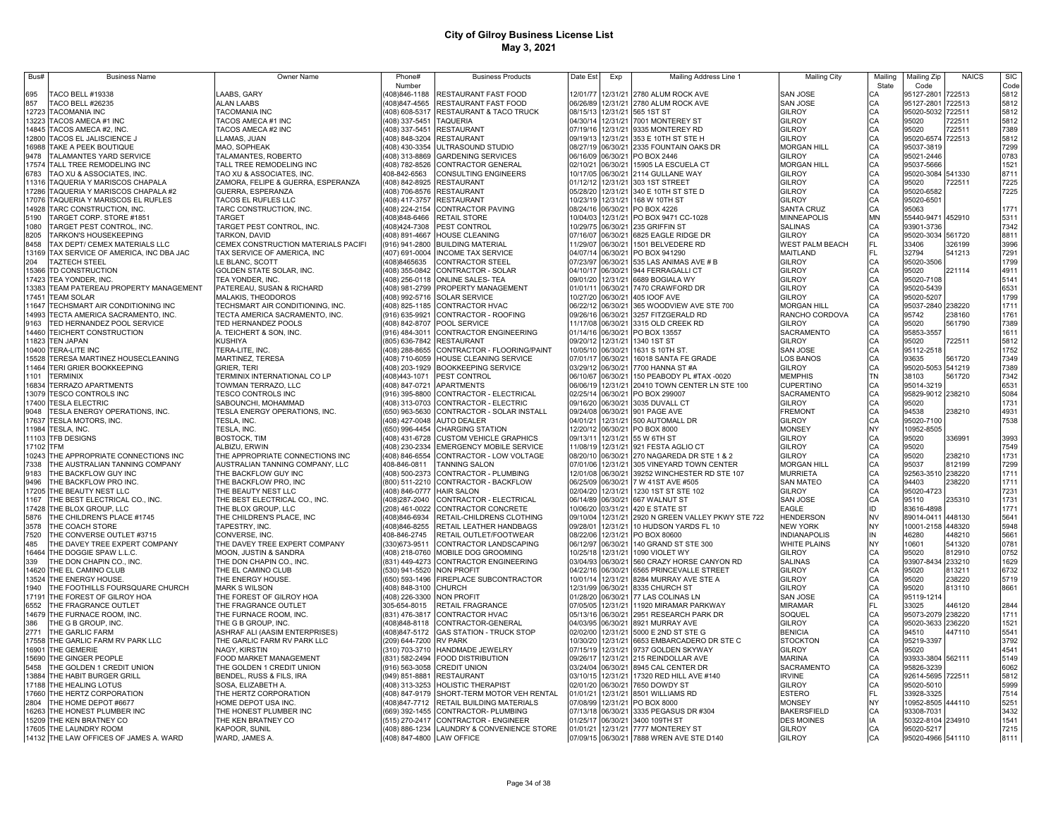| Bus#          | <b>Business Name</b>                                    | Owner Nam                                                         | Phone#                           | <b>Business Products</b>                                     | Date Est             | Exp                           | Mailing Address Line 1                      | <b>Mailing City</b>                 | Mailing   | Mailing Zip              | <b>NAICS</b>     | <b>SIC</b>   |
|---------------|---------------------------------------------------------|-------------------------------------------------------------------|----------------------------------|--------------------------------------------------------------|----------------------|-------------------------------|---------------------------------------------|-------------------------------------|-----------|--------------------------|------------------|--------------|
|               |                                                         |                                                                   | Number                           |                                                              |                      |                               |                                             |                                     | State     | Code                     |                  | Code         |
| 695           | TACO BELL #19338                                        | LAABS, GARY                                                       | 408)846-1188                     | RESTAURANT FAST FOOD                                         | 12/01/77             |                               | 12/31/21 2780 ALUM ROCK AVE                 | SAN JOSE                            | CА        | 95127-2801               | 722513           | 5812         |
| 857           | TACO BELL #26235                                        | <b>ALAN LAABS</b>                                                 | 408)847-4565                     | RESTAURANT FAST FOOD                                         | 06/26/89             |                               | 12/31/21 2780 ALUM ROCK AVE                 | SAN JOSE                            | СA        | 95127-2801               | 722513           | 5812         |
| 12723         | TACOMANIA INC                                           | TACOMANIA INC                                                     | (408) 608-5317                   | RESTAURANT & TACO TRUCK                                      | 08/15/13             |                               | 12/31/21 565 1ST ST                         | GILROY                              | CA        | 95020-5032               | 722511           | 5812         |
| 13223         | TACOS AMECA #1 INC                                      | TACOS AMECA #1 INC                                                | (408) 337-5451                   | <b>TAQUERIA</b>                                              | 04/30/14             |                               | 12/31/21 7001 MONTEREY ST                   | GILROY                              | CA        | 95020                    | 722511           | 5812         |
| 14845         | TACOS AMECA #2, INC                                     | TACOS AMECA #2 INC                                                | (408) 337-5451                   | <b>RESTAURANT</b>                                            | 07/19/16             |                               | 12/31/21 9335 MONTEREY RD                   | GILROY                              | CA        | 95020                    | 722511           | 7389         |
| 12800         | TACOS EL JALISCIENCE J                                  | LLAMAS, JUAN                                                      | (408) 848-3204                   | <b>RESTAURANT</b>                                            | 09/19/13             |                               | 12/31/21 353 E 10TH ST STE H                | <b>GILROY</b>                       | CA        | 95020-6574               | 722513           | 5812         |
| 16988<br>9478 | TAKE A PEEK BOUTIQUE<br><b>TALAMANTES YARD SERVICE</b>  | MAO, SOPHEAK<br>TALAMANTES, ROBERTO                               | (408) 430-3354<br>(408) 313-8869 | ULTRASOUND STUDIO<br><b>GARDENING SERVICES</b>               | 06/16/09             | 08/27/19 06/30/21<br>06/30/21 | 2335 FOUNTAIN OAKS DR<br>PO BOX 2446        | <b>MORGAN HILL</b><br><b>GILROY</b> | CA<br>CA  | 95037-3819<br>95021-2446 |                  | 7299<br>0783 |
| 17574         | TALL TREE REMODELING INC                                | TALL TREE REMODELING INC                                          | 408) 782-8526                    | CONTRACTOR GENERAL                                           | 02/10/21             | 06/30/21                      | 15905 LA ESCUELA CT                         | <b>MORGAN HILL</b>                  | CA        | 95037-5666               |                  | 1521         |
| 6783          | TAO XU & ASSOCIATES, INC.                               | TAO XU & ASSOCIATES, INC.                                         | 408-842-6563                     | <b>CONSULTING ENGINEERS</b>                                  | 10/17/05             |                               | 06/30/21 2114 GULLANE WAY                   | GILROY                              | CA        | 95020-3084               | 541330           | 8711         |
| 11316         | AQUERIA Y MARISCOS CHAPALA                              | ZAMORA, FELIPE & GUERRA, ESPERANZA                                |                                  | 408) 842-8925 RESTAURANT                                     | 01/12/12             | 12/31/21                      | 303 1ST STREET                              | <b>GILROY</b>                       | CA        | 95020                    | 722511           | 7225         |
| 17286         | AQUERIA Y MARISCOS CHAPALA #2                           | GUERRA, ESPERANZA                                                 | (408) 706-8576 RESTAURANT        |                                                              | 05/28/20             |                               | 12/31/21 340 E 10TH ST STE D                | GILROY                              | CA        | 95020-6582               |                  | 7225         |
| 17076         | AQUERIA Y MARISCOS EL RUFLES                            | TACOS EL RUFLES LLC                                               | (408) 417-3757                   | <b>RESTAURANT</b>                                            | 10/23/19             | 12/31/21                      | 168 W 10TH ST                               | GILROY                              | CA        | 95020-6501               |                  |              |
| 14928         | ARC CONSTRUCTION, INC.                                  | TARC CONSTRUCTION, INC.                                           | (408) 224-2154                   | <b>CONTRACTOR PAVING</b>                                     |                      | 08/24/16 06/30/21             | PO BOX 4226                                 | <b>SANTA CRUZ</b>                   | CA        | 95063                    |                  | 1771         |
| 5190          | FARGET CORP. STORE #1851                                | <b>TARGET</b>                                                     | 408)848-6466                     | <b>RETAIL STORE</b>                                          | 10/04/03             | 12/31/21                      | PO BOX 9471 CC-1028                         | <b>MINNEAPOLIS</b>                  | MN        | 55440-9471               | 452910           | 5311         |
| 1080          | <b>FARGET PEST CONTROL, INC.</b>                        | TARGET PEST CONTROL, INC                                          | (408)424-7308                    | PEST CONTROL                                                 | 10/29/75             | 06/30/21                      | 235 GRIFFIN ST                              | SALINAS                             | CA        | 93901-3736               |                  | 7342         |
| 8205          | <b><i>FARKON'S HOUSEKEEPING</i></b>                     | TARKON, DAVID                                                     | (408) 891-4667                   | HOUSE CLEANING                                               | 07/16/07             | 06/30/21                      | 6825 EAGLE RIDGE DR                         | <b>GILROY</b>                       | CA        | 95020-3034 561720        |                  | 8811         |
| 8458          | TAX DEPT/ CEMEX MATERIALS LLC                           | CEMEX CONSTRUCTION MATERIALS PACIFI                               |                                  | (916) 941-2800 BUILDING MATERIAL                             | 11/29/07             | 06/30/21                      | 1501 BELVEDERE RD                           | <b>WEST PALM BEACH</b>              | FL.       | 33406                    | 326199           | 3996         |
| 13169         | TAX SERVICE OF AMERICA, INC DBA JAC                     | TAX SERVICE OF AMERICA, INC                                       |                                  | (407) 691-0004 INCOME TAX SERVICE                            |                      |                               | 04/07/14 06/30/21 PO BOX 941290             | MAITLAND                            | FL.       | 32794                    | 541213           | 7291         |
| 204           | <b>TAZTECH STEEL</b>                                    | LE BLANC, SCOTT                                                   | 408)8465635                      | <b>CONTRACTOR STEEL</b>                                      | 07/23/97             |                               | 06/30/21 535 LAS ANIMAS AVE # B             | GILROY                              | CA        | 95020-3506               |                  | 1799         |
| 15366         | TD CONSTRUCTION                                         | GOLDEN STATE SOLAR, INC.                                          |                                  | 408) 355-0842 CONTRACTOR - SOLAR                             |                      |                               | 04/10/17 06/30/21 944 FERRAGALLI CT         | <b>GILROY</b>                       | CA        | 95020                    | 221114           | 4911         |
| 17423         | TEA YONDER, INC.                                        | TEA YONDER, INC.                                                  |                                  | 408) 256-0118 ONLINE SALES- TEA                              | 09/01/20             |                               | 12/31/21 6689 BOGIALA WY                    | <b>GILROY</b>                       | CA        | 95020-7108               |                  | 5141         |
| 13383         | TEAM PATEREAU PROPERTY MANAGEMENT                       | PATEREAU, SUSAN & RICHARD                                         |                                  | 408) 981-2799 PROPERTY MANAGEMENT                            | 01/01/11             |                               | 06/30/21 7470 CRAWFORD DR                   | GILROY                              | CA        | 95020-5439               |                  | 6531         |
| 17451         | TEAM SOLAR                                              | MALAKIS, THEODOROS                                                |                                  | 408) 992-5716 SOLAR SERVICE                                  |                      |                               | 10/27/20 06/30/21 405 IOOF AVE              | GILROY                              | CA        | 95020-5207               |                  | 1799         |
| 11647         | <b>FECHSMART AIR CONDITIONING INC</b>                   | TECHSMART AIR CONDITIONING, INC.                                  |                                  | 408) 825-1185 CONTRACTOR HVAC                                |                      |                               | 06/22/12 06/30/21 365 WOODVIEW AVE STE 700  | <b>MORGAN HILL</b>                  | CA        | 95037-2840 238220        |                  | 1711         |
| 14993         | <b>FECTA AMERICA SACRAMENTO, INC.</b>                   | TECTA AMERICA SACRAMENTO, INC.                                    | (916) 635-9921                   | CONTRACTOR - ROOFING                                         |                      |                               | 09/26/16 06/30/21 3257 FITZGERALD RD        | RANCHO CORDOVA                      | CA        | 95742                    | 238160           | 1761         |
| 9163          | TED HERNANDEZ POOL SERVICE                              | TED HERNANDEZ POOLS                                               | 408) 842-8707                    | POOL SERVICE                                                 |                      |                               | 11/17/08 06/30/21 3315 OLD CREEK RD         | GILROY                              | CA        | 95020                    | 561790           | 7389         |
| 14460         | TEICHERT CONSTRUCTION                                   | A. TEICHERT & SON, INC.                                           | (916) 484-3011                   | <b>CONTRACTOR ENGINEERING</b>                                |                      |                               | 01/14/16 06/30/21 PO BOX 13557              | SACRAMENTO                          | CA        | 95853-3557               |                  | 1611         |
| 11823         | <b>TEN JAPAN</b>                                        | <b>KUSHIYA</b>                                                    |                                  | (805) 636-7842 RESTAURANT                                    | 09/20/12             | 12/31/21                      | 1340 1ST ST                                 | <b>GILROY</b>                       | CA        | 95020                    | 722511           | 5812         |
| 10400         | <b>TERA-LITE INC</b>                                    | TERA-LITE, INC.                                                   | (408) 288-8655                   | CONTRACTOR - FLOORING/PAINT                                  |                      | 10/05/10 06/30/21             | 1631 S 10TH ST.                             | SAN JOSE                            | CA        | 95112-2518               |                  | 1752         |
| 15528         | ERESA MARTINEZ HOUSECLEANING                            | MARTINEZ, TERESA                                                  | (408) 710-6059                   | <b>HOUSE CLEANING SERVICE</b>                                | 07/01/17             | 06/30/21                      | 16018 SANTA FE GRADE                        | OS BANOS                            | CA        | 93635                    | 561720           | 7349         |
| 11464         | <b>ERI GRIER BOOKKEEPING</b>                            | GRIER, TERI                                                       |                                  | 408) 203-1929 BOOKKEEPING SERVICE                            | 03/29/12             | 06/30/21                      | 7700 HANNA ST #A                            | <b>GILROY</b>                       | CA        | 95020-5053 541219        |                  | 7389         |
| 1101          | <b><i>ERMINIX</i></b>                                   | TERMINIX INTERNATIONAL CO LP                                      | (408)443-1071                    | PEST CONTROL                                                 | 06/10/67             | 06/30/21                      | 150 PEABODY PL #TAX -0020                   | <b>MEMPHIS</b>                      | TN        | 38103                    | 561720           | 7342         |
| 16834         | <b><i>ERRAZO APARTMENTS</i></b>                         | TOWMAN TERRAZO, LLC                                               | (408) 847-0721                   | <b>APARTMENTS</b>                                            | 06/06/19             | 12/31/21                      | 20410 TOWN CENTER LN STE 100                | CUPERTINO                           | CA        | 95014-3219               |                  | 6531         |
| 13079         | ESCO CONTROLS INC                                       | TESCO CONTROLS INC                                                | (916) 395-8800                   | CONTRACTOR - ELECTRICAL                                      | 02/25/14             | 06/30/21                      | PO BOX 299007                               | SACRAMENTO                          | CA        | 95829-9012 238210        |                  | 5084         |
| 17400         | <b>TESLA ELECTRIC</b>                                   | SABOUNCHI, MOHAMMAD                                               | (408) 313-0703                   | CONTRACTOR - ELECTRIC                                        | 09/16/20             | 06/30/21                      | 3035 DUVALL CT                              | GILROY                              | CA        | 95020                    |                  | 1731         |
| 9048          | TESLA ENERGY OPERATIONS, INC                            | TESLA ENERGY OPERATIONS, INC.                                     |                                  | (650) 963-5630 CONTRACTOR - SOLAR INSTALL                    | 09/24/08             | 06/30/21                      | 901 PAGE AVE                                | <b>FREMONT</b>                      | CA        | 94538                    | 238210           | 4931         |
| 17637         | TESLA MOTORS, INC.                                      | TESLA, INC.                                                       |                                  | (408) 427-0048 AUTO DEALER                                   | 04/01/21             | 12/31/21                      | 500 AUTOMALL DR                             | GILROY                              | CA        | 95020-7100               |                  | 7538         |
| 11984         | TESLA, INC.                                             | TESLA, INC.                                                       | (650) 996-4454                   | <b>CHARGING STATION</b>                                      | 12/20/12             | 06/30/21                      | PO BOX 8000                                 | <b>MONSEY</b>                       | NY        | 10952-8505               |                  |              |
| 11103         | <b>TFB DESIGNS</b>                                      | <b>BOSTOCK, TIM</b>                                               |                                  | (408) 431-6728 CUSTOM VEHICLE GRAPHICS                       | 09/13/11             |                               | 12/31/21 55 W 6TH ST                        | GILROY                              | CA        | 95020                    | 336991           | 3993         |
| 17102         | TFM                                                     | ALBIZU, ERWIN                                                     | (408) 230-2334                   | <b>EMERGENCY MOBILE SERVICE</b>                              | 11/08/19             |                               | 12/31/21 921 FESTA AGLIO CT                 | <b>GILROY</b>                       | CA        | 95020                    |                  | 7549         |
| 10243         | THE APPROPRIATE CONNECTIONS INC                         | THE APPROPRIATE CONNECTIONS INC                                   | (408) 846-6554                   | CONTRACTOR - LOW VOLTAGE                                     |                      |                               | 08/20/10 06/30/21 270 NAGAREDA DR STE 1 & 2 | <b>GILROY</b>                       | CA        | 95020                    | 238210           | 1731         |
| 7338          | THE AUSTRALIAN TANNING COMPANY                          | AUSTRALIAN TANNING COMPANY, LLC                                   | 408-846-0811                     | TANNING SALON                                                | 07/01/06             |                               | 12/31/21 305 VINEYARD TOWN CENTER           | <b>MORGAN HILL</b>                  | CA        | 95037                    | 812199           | 7299         |
| 9183          | THE BACKFLOW GUY INC                                    | THE BACKFLOW GUY INC                                              |                                  | (408) 500-2373 CONTRACTOR - PLUMBING                         | 12/01/08             |                               | 06/30/21 39252 WINCHESTER RD STE 107        | <b>MURRIETA</b>                     | CA        | 92563-3510 238220        |                  | 1711         |
| 9496          | THE BACKFLOW PRO INC                                    | THE BACKFLOW PRO, INC                                             |                                  | (800) 511-2210 CONTRACTOR - BACKFLOW                         | 06/25/09             |                               | 06/30/21 7 W 41ST AVE #505                  | SAN MATEC                           | CA        | 94403                    | 238220           | 1711         |
| 17205         | THE BEAUTY NEST LLC                                     | THE BEAUTY NEST LLC                                               | (408) 846-0777                   | <b>HAIR SALON</b>                                            | 02/04/20             |                               | 12/31/21 1230 1ST ST STE 102                | GILROY                              | CA        | 95020-4723               |                  | 7231         |
| 1167          | THE BEST ELECTRICAL CO., INC.                           | THE BEST ELECTRICAL CO., INC                                      | (408)287-2040                    | CONTRACTOR - ELECTRICAL                                      |                      |                               | 06/14/89 06/30/21 667 WALNUT ST             | SAN JOSE                            | CA        | 95110                    | 235310           | 1731         |
| 17428         | THE BLOX GROUP, LLC                                     | THE BLOX GROUP, LLC                                               | (208) 461-0022                   | CONTRACTOR CONCRETE                                          |                      |                               | 10/06/20 03/31/21 420 E STATE ST            | EAGLE                               | ID        | 83616-4898               |                  | 1771         |
| 5876          | THE CHILDREN'S PLACE #1745                              | THE CHILDREN'S PLACE, INC                                         | (408)846-6934                    | RETAIL-CHILDRENS CLOTHING                                    | 09/10/04             |                               | 12/31/21 2920 N GREEN VALLEY PKWY STE 722   | <b>HENDERSON</b>                    | NV        | 89014-0411               | 448130           | 5641         |
| 3578          | THE COACH STORE                                         | TAPESTRY, INC.                                                    | (408)846-8255                    | RETAIL LEATHER HANDBAGS                                      | 09/28/01             |                               | 12/31/21 10 HUDSON YARDS FL 10              | NFW YORK                            | <b>NY</b> | 10001-2158 448320        |                  | 5948         |
| 7520          | THE CONVERSE OUTLET #3715                               | CONVERSE. INC.                                                    | 408-846-2745                     | RETAIL OUTLET/FOOTWEAR                                       | 08/22/06             |                               | 12/31/21 PO BOX 80600                       | <b>INDIANAPOLIS</b>                 | IN        | 46280                    | 448210           | 5661         |
| 485<br>16464  | THE DAVEY TREE EXPERT COMPANY<br>THE DOGGIE SPAW L.L.C. | THE DAVEY TREE EXPERT COMPANY<br><b>MOON. JUSTIN &amp; SANDRA</b> | (330) 673-9511                   | CONTRACTOR LANDSCAPING<br>(408) 218-0760 MOBILE DOG GROOMING | 06/12/97<br>10/25/18 | 06/30/21<br>12/31/21          | 140 GRAND ST STE 300<br>1090 VIOLET WY      | <b>WHITE PLAINS</b><br>GILROY       | NY<br>CA  | 10601<br>95020           | 541320<br>812910 | 0781<br>0752 |
| 339           | THE DON CHAPIN CO., INC.                                | THE DON CHAPIN CO., INC.                                          |                                  | (831) 449-4273 CONTRACTOR ENGINEERING                        |                      | 03/04/93 06/30/21             | 560 CRAZY HORSE CANYON RD                   | SALINAS                             | CA        | 93907-8434               | 233210           | 1629         |
| 14620         | THE EL CAMINO CLUB                                      | THE EL CAMINO CLUB                                                | (530) 941-5520 NON PROFIT        |                                                              | 04/22/16             | 06/30/21                      | 6565 PRINCEVALLE STREET                     | GILROY                              | CA        | 95020                    | 813211           | 6732         |
| 13524         | THE ENERGY HOUSE.                                       | THE ENERGY HOUSE.                                                 | (650) 593-1496                   | <b>FIREPLACE SUBCONTRACTOR</b>                               | 10/01/14             | 12/31/21                      | 8284 MURRAY AVE STE A                       | GILROY                              | CA        | 95020                    | 238220           | 5719         |
| 1940          | THE FOOTHILLS FOURSQUARE CHURCH                         | <b>MARK S WILSON</b>                                              | (408) 848-3100                   | <b>CHURCH</b>                                                |                      | 12/31/99 06/30/21             | 8335 CHURCH ST                              | GILROY                              | CA        | 95020                    | 813110           | 8661         |
| 17191         | THE FOREST OF GILROY HOA                                | THE FOREST OF GILROY HOA                                          | (408) 226-3300                   | <b>NON PROFIT</b>                                            | 01/28/20             | 06/30/21                      | 77 LAS COLINAS LN                           | <b>SAN JOSE</b>                     | CA        | 95119-1214               |                  |              |
| 6552          | THE FRAGRANCE OUTLET                                    | THE FRAGRANCE OUTLET                                              | 305-654-8015                     | RETAIL FRAGRANCE                                             | 07/05/05             | 12/31/21                      | 11920 MIRAMAR PARKWAY                       | <b>MIRAMAR</b>                      | FL.       | 33025                    | 446120           | 2844         |
| 14679         | THE FURNACE ROOM, INC.                                  | THE FURNACE ROOM, INC.                                            | (831) 476-3817                   | <b>CONTRACTOR HVAC</b>                                       |                      | 05/13/16 06/30/21             | 2951 RESEARCH PARK DR                       | SOQUEL                              | CA        | 95073-2079               | 238220           | 1711         |
| 386           | THE G B GROUP, INC                                      | THE G B GROUP, INC.                                               | (408) 848-8118                   | CONTRACTOR-GENERAL                                           | 04/03/95             |                               | 06/30/21 8921 MURRAY AVE                    | GILROY                              | CA        | 95020-3633               | 236220           | 1521         |
| 2771          | THE GARLIC FARM                                         | ASHRAF ALI (AASIM ENTERPRISES)                                    | (408) 847-5172                   | <b>GAS STATION - TRUCK STOP</b>                              | 02/02/00             |                               | 12/31/21 5000 E 2ND ST STE G                | <b>BENICIA</b>                      | CA        | 94510                    | 447110           | 5541         |
| 17558         | THE GARLIC FARM RV PARK LLC                             | THE GARLIC FARM RV PARK LLC                                       | (209) 644-7200 RV PARK           |                                                              | 10/30/20             | 12/31/21                      | 6653 EMBARCADERO DR STE C                   | <b>STOCKTON</b>                     | CA        | 95219-3397               |                  | 3792         |
| 16901         | THE GEMERIE                                             | NAGY, KIRSTIN                                                     |                                  | (310) 703-3710 HANDMADE JEWELRY                              | 07/15/19             |                               | 12/31/21 9737 GOLDEN SKYWAY                 | GILROY                              | CA        | 95020                    |                  | 4541         |
| 15690         | THE GINGER PEOPLE                                       | FOOD MARKET MANAGEMENT                                            |                                  | (831) 582-2494 FOOD DISTRIBUTION                             | 09/26/17             |                               | 12/31/21 215 REINDOLLAR AVE                 | <b>MARINA</b>                       | CA        | 93933-3804 562111        |                  | 5149         |
| 5458          | THE GOLDEN 1 CREDIT UNION                               | THE GOLDEN 1 CREDIT UNION                                         |                                  | (916) 563-3058 CREDIT UNION                                  |                      |                               | 03/24/04 06/30/21 8945 CAL CENTER DR        | SACRAMENTO                          | CA        | 95826-3239               |                  | 6062         |
| 13884         | THE HABIT BURGER GRILL                                  | BENDEL, RUSS & FILS, IRA                                          | 949) 851-8881                    | <b>RESTAURANT</b>                                            |                      |                               | 03/10/15 12/31/21 17320 RED HILL AVE #140   | <b>RVINE</b>                        | CA        | 92614-5695 722511        |                  | 5812         |
| 17188         | THE HEALING LOTUS                                       | SOSA, ELIZABETH A.                                                |                                  | 408) 313-3253 HOLISTIC THERAPIST                             |                      |                               | 02/01/20 06/30/21 7650 DOWDY ST             | <b>GILROY</b>                       | CA        | 95020-5010               |                  | 5999         |
| 17660         | THE HERTZ CORPORATION                                   | THE HERTZ CORPORATION                                             |                                  | 408) 847-9179 SHORT-TERM MOTOR VEH RENTAL                    | 01/01/21             |                               | 12/31/21 8501 WILLIAMS RD                   | <b>ESTERO</b>                       | FL        | 33928-3325               |                  | 7514         |
| 2804          | THE HOME DEPOT #6677                                    | HOME DEPOT USA INC.                                               |                                  | 408)847-7712 RETAIL BUILDING MATERIALS                       | 07/08/99             |                               | 12/31/21 PO BOX 8000                        | <b>MONSEY</b>                       | NY        | 10952-8505               | 444110           | 5251         |
| 16263         | THE HONEST PLUMBER INC                                  | THE HONEST PLUMBER INC                                            |                                  | 669) 392-1455 CONTRACTOR- PLUMBING                           |                      |                               | 07/13/18 06/30/21 3335 PEGASUS DR #304      | BAKERSFIELD                         | CA        | 93308-7031               |                  | 3432         |
|               | 15209 THE KEN BRATNEY CO                                | THE KEN BRATNEY CO                                                |                                  | 515) 270-2417 CONTRACTOR - ENGINEER                          |                      |                               | 01/25/17 06/30/21 3400 109TH ST             | <b>DES MOINES</b>                   | IA        | 50322-8104               | 234910           | 1541         |
|               | 17605 THE LAUNDRY ROOM                                  | KAPOOR, SUNIL                                                     |                                  | (408) 886-1234 LAUNDRY & CONVENIENCE STORE                   |                      |                               | 01/01/21 12/31/21 7777 MONTEREY ST          | GILROY                              | CA        | 95020-5217               |                  | 7215         |
|               | 14132 THE LAW OFFICES OF JAMES A. WARD                  | WARD, JAMES A.                                                    | (408) 847-4800 LAW OFFICE        |                                                              |                      |                               | 07/09/15 06/30/21 7888 WREN AVE STE D140    | <b>GILROY</b>                       | CA        | 95020-4966 541110        |                  | 8111         |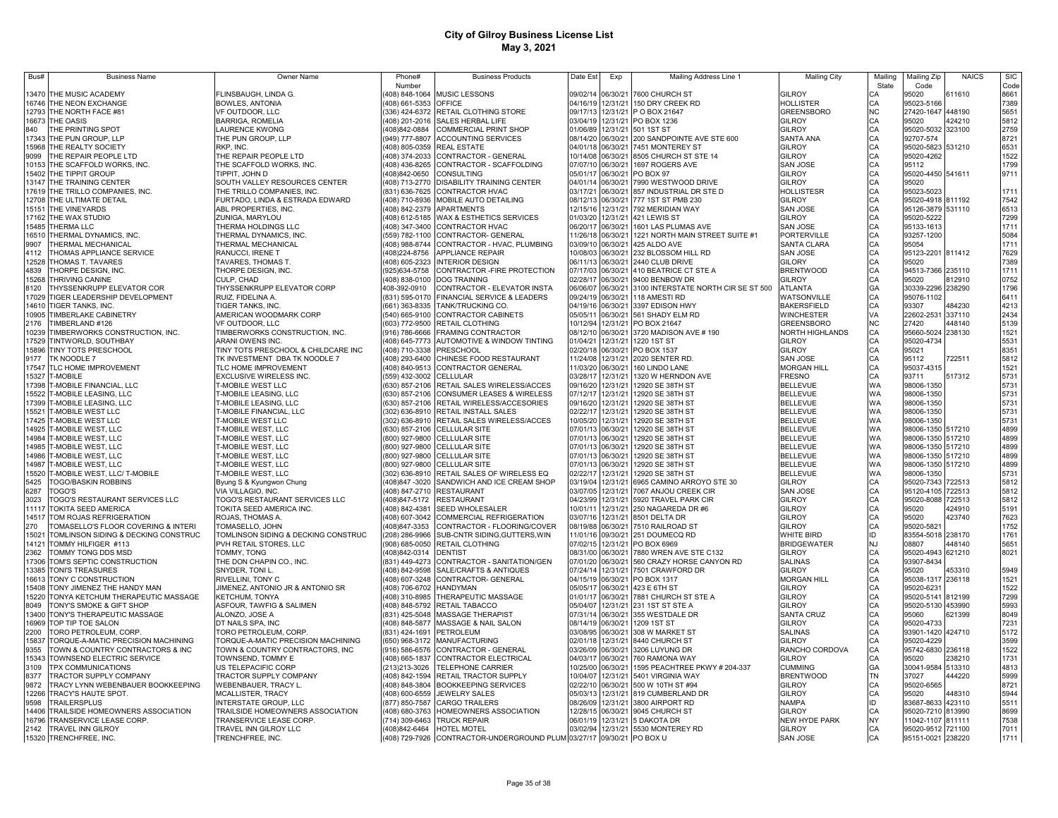| Bus#           | <b>Business Name</b>                                   | <b>Owner Name</b>                                    | Phone#                           | <b>Business Products</b>                                                        | Date Est             | Exp                  | Mailing Address Line 1                                  | <b>Mailing City</b>              | Mailing   | Mailing Zip                    | <b>NAICS</b>     | <b>SIC</b>   |
|----------------|--------------------------------------------------------|------------------------------------------------------|----------------------------------|---------------------------------------------------------------------------------|----------------------|----------------------|---------------------------------------------------------|----------------------------------|-----------|--------------------------------|------------------|--------------|
|                |                                                        |                                                      | Number                           |                                                                                 |                      |                      |                                                         |                                  | State     | Code                           |                  | Code         |
|                | 13470 THE MUSIC ACADEMY                                | FLINSBAUGH, LINDA G.                                 |                                  | 408) 848-1064 MUSIC LESSONS                                                     | 09/02/14             |                      | 06/30/21 7600 CHURCH ST                                 | <b>GILROY</b>                    | CA        | 95020                          | 611610           | 8661         |
|                | 16746 THE NEON EXCHANGE                                | <b>BOWLES, ANTONIA</b>                               | 408) 661-5353 OFFICE             |                                                                                 | 04/16/19             |                      | 12/31/21 150 DRY CREEK RD                               | <b>HOLLISTER</b>                 | CA        | 95023-5166                     |                  | 7389         |
|                | 12793 THE NORTH FACE #81                               | VF OUTDOOR, LLC                                      |                                  | (336) 424-6372 RETAIL CLOTHING STORE                                            | 09/17/13             |                      | 12/31/21 PO BOX 21647                                   | <b>GREENSBORO</b>                | <b>NC</b> | 27420-1647                     | 448190           | 5651         |
|                | 16673 THE OASIS                                        | <b>BARRIGA, ROMELIA</b>                              |                                  | (408) 201-2016 SALES HERBAL LIFE                                                | 03/04/19             |                      | 12/31/21 PO BOX 1236                                    | GILROY                           | CA        | 95020                          | 424210           | 5812         |
| 840            | THE PRINTING SPOT                                      | <b>LAURENCE KWONG</b>                                | (408)842-0884                    | <b>COMMERCIAL PRINT SHOP</b>                                                    | 01/06/89             |                      | 12/31/21 501 1ST ST                                     | GILROY                           | CA        | 95020-5032                     | 323100           | 2759         |
| 17343<br>15968 | THE PUN GROUP, LLP<br>THE REALTY SOCIETY               | THE PUN GROUP, LLP<br>RKP. INC                       |                                  | (949) 777-8807 ACCOUNTING SERVICES<br>(408) 805-0359 REAL ESTATE                | 08/14/20<br>04/01/18 | 06/30/21             | 06/30/21 200 SANDPOINTE AVE STE 600<br>7451 MONTEREY ST | SANTA ANA<br><b>GILROY</b>       | CA<br>CA  | 92707-574<br>95020-5823 531210 |                  | 8721<br>6531 |
| 9099           | THE REPAIR PEOPLE LTD                                  | THE REPAIR PEOPLE LTD                                |                                  | (408) 374-2033 CONTRACTOR - GENERAL                                             | 10/14/08             | 06/30/21             | 8505 CHURCH ST STE 14                                   | GILROY                           | CA        | 95020-4262                     |                  | 1522         |
| 10153          | THE SCAFFOLD WORKS, INC.                               | THE SCAFFOLD WORKS, INC.                             | (408) 436-8265                   | CONTRACTOR - SCAFFOLDING                                                        | 07/07/10             | 06/30/21             | 1697 ROGERS AVE                                         | <b>SAN JOSE</b>                  | CA        | 95112                          |                  | 1799         |
| 15402          | THE TIPPIT GROUP                                       | TIPPIT, JOHN D                                       | 408)842-0650                     | <b>CONSULTING</b>                                                               | 05/01/17             | 06/30/21             | PO BOX 97                                               | GILROY                           | CA        | 95020-4450 541611              |                  | 9711         |
| 3147           | THE TRAINING CENTER                                    | SOUTH VALLEY RESOURCES CENTER                        |                                  | (408) 713-2770 DISABILITY TRAINING CENTER                                       | 04/01/14             | 06/30/21             | 7990 WESTWOOD DRIVE                                     | GILROY                           | CA        | 95020                          |                  |              |
| 17619          | THE TRILLO COMPANIES, INC.                             | THE TRILLO COMPANIES, INC.                           |                                  | (831) 636-7625 CONTRACTOR HVAC                                                  | 03/17/21             | 06/30/21             | 857 INDUSTRIAL DR STE D                                 | HOLLISTESR                       | CA        | 95023-5023                     |                  | 1711         |
| 12708          | THE ULTIMATE DETAIL                                    | FURTADO, LINDA & ESTRADA EDWARD                      |                                  | 408) 710-8936 MOBILE AUTO DETAILING                                             | 08/12/13             | 06/30/21             | 777 1ST ST PMB 230                                      | GILROY                           | CA        | 95020-4918 811192              |                  | 7542         |
| 15151          | THE VINEYARDS                                          | ABL PROPERTIES, INC.                                 |                                  | 408) 842-2379 APARTMENTS                                                        | 12/15/16             | 12/31/21             | 792 MERIDIAN WAY                                        | <b>SAN JOSE</b>                  | CA        | 95126-3879 531110              |                  | 6513         |
| 17162          | THE WAX STUDIO                                         | ZUNIGA, MARYLOU                                      |                                  | (408) 612-5185 WAX & ESTHETICS SERVICES                                         | 01/03/20             | 12/31/21             | 421 LEWIS ST                                            | <b>GILROY</b>                    | CA        | 95020-5222                     |                  | 7299         |
| 5485           | THERMA LLC                                             | THERMA HOLDINGS LLC                                  |                                  | (408) 347-3400 CONTRACTOR HVAC                                                  | 06/20/17             | 06/30/21             | 1601 LAS PLUMAS AVE                                     | SAN JOSE                         | CA        | 95133-1613                     |                  | 1711         |
| 16510          | THERMAL DYNAMICS, INC.                                 | THERMAL DYNAMICS, INC.                               | (559) 782-1100                   | CONTRACTOR- GENERAL                                                             | 11/26/18             | 06/30/21             | 1221 NORTH MAIN STREET SUITE #1                         | PORTERVILLE                      | CA        | 93257-1200                     |                  | 5084         |
| 9907           | THERMAL MECHANICAL                                     | THERMAL MECHANICAL                                   |                                  | (408) 988-8744 CONTRACTOR - HVAC, PLUMBING                                      | 03/09/10             | 06/30/21             | 425 ALDO AVE                                            | SANTA CLARA                      | CA        | 95054                          |                  | 1711         |
| 4112           | THOMAS APPLIANCE SERVICE                               | RANUCCI, IRENE T                                     | (408) 224-8756                   | APPLIANCE REPAIR                                                                | 10/08/03             | 06/30/21             | 232 BLOSSOM HILL RD                                     | SAN JOSE                         | CA        | 95123-2201 811412              |                  | 7629         |
| 12528          | THOMAS T. TAVARES                                      | TAVARES, THOMAS T                                    | (408) 605-2323                   | <b>INTERIOR DESIGN</b>                                                          | 06/11/13             | 06/30/21             | 2440 CLUB DRIVE                                         | GILORY                           | CA        | 95020                          |                  | 7389         |
| 4839           | THORPE DESIGN, INC.                                    | THORPE DESIGN, INC.                                  | (925)634-5758                    | CONTRACTOR - FIRE PROTECTION                                                    | 07/17/03             | 06/30/21             | 410 BEATRICE CT STE A                                   | <b>BRENTWOOD</b>                 | CA        | 94513-7366 235110              |                  | 1711         |
| 15268          | THRIVING CANINE                                        | CULP, CHAD                                           |                                  | (408) 838-0100 DOG TRAINING                                                     | 02/28/17             | 06/30/21             | 9400 BENBOW DR                                          | GILROY                           | C.A       | 95020                          | 812910           | 0752         |
| 8120           | THYSSENKRUPP ELEVATOR COR                              | THYSSENKRUPP ELEVATOR CORP                           | 408-392-0910                     | CONTRACTOR - ELEVATOR INSTA                                                     | 06/06/07             | 06/30/21             | 3100 INTERSTATE NORTH CIR SE ST 500                     | <b>ATLANTA</b>                   | GA        | 30339-2296                     | 238290           | 1796         |
| 17029          | TIGER LEADERSHIP DEVELOPMENT                           | RUIZ, FIDELINA A.                                    |                                  | (831) 595-0170 FINANCIAL SERVICE & LEADERS                                      | 09/24/19             | 06/30/21             | 118 AMESTI RD                                           | WATSONVILLE                      | CA        | 95076-1102                     |                  | 6411         |
| 14610          | <b>TIGER TANKS, INC.</b>                               | <b>TIGER TANKS, INC.</b>                             |                                  | (661) 363-8335 TANK/TRUCKING CO.                                                | 04/19/16             | 06/30/21             | 3397 EDISON HWY                                         | <b>BAKERSFIELD</b>               | CA        | 93307                          | 484230           | 4213         |
| 10905          | <b>TIMBERLAKE CABINETRY</b>                            | AMERICAN WOODMARK CORP                               |                                  | (540) 665-9100 CONTRACTOR CABINETS                                              | 05/05/11             | 06/30/21             | 561 SHADY ELM RD                                        | <b>WINCHESTER</b>                | VA        | 22602-2531                     | 337110           | 2434         |
| 2176<br>10239  | TIMBERLAND #126                                        | VF OUTDOOR, LLC                                      |                                  | (603) 772-9500 RETAIL CLOTHING                                                  | 10/12/94<br>08/12/10 | 12/31/21<br>06/30/21 | PO BOX 21647                                            | <b>GREENSBORO</b>                | <b>NC</b> | 27420                          | 448140           | 5139         |
| 17529          | TIMBERWORKS CONSTRUCTION, INC.<br>TINTWORLD, SOUTHBAY  | TIMBERWORKS CONSTRUCTION, INC.<br>ARANI OWENS INC.   |                                  | (916) 786-6666 FRAMING CONTRACTOR<br>(408) 645-7773 AUTOMOTIVE & WINDOW TINTING | 01/04/21             |                      | 3720 MADISON AVE #190<br>12/31/21 1220 1ST ST           | <b>NORTH HIGHLANDS</b><br>GILROY | CA<br>CA  | 95660-5024<br>95020-4734       | 238130           | 1521<br>5531 |
| 5896           | TINY TOTS PRESCHOOL                                    | TINY TOTS PRESCHOOL & CHILDCARE INC                  | (408) 710-3338                   | <b>PRESCHOOL</b>                                                                | 02/20/18             |                      | 06/30/21 PO BOX 1537                                    | GILROY                           | CA        | 95021                          |                  | 8351         |
| 9177           | TK NOODLE 7                                            | TK INVESTMENT DBA TK NOODLE 7                        |                                  | (408) 293-6400 CHINESE FOOD RESTAURANT                                          | 11/24/08             | 12/31/21             | 2020 SENTER RD                                          | SAN JOSE                         | CA        | 95112                          | 722511           | 5812         |
| 17547          | TLC HOME IMPROVEMENT                                   | TLC HOME IMPROVEMENT                                 |                                  | (408) 840-9513 CONTRACTOR GENERAL                                               | 11/03/20             | 06/30/21             | 160 LINDO LANE                                          | <b>MORGAN HILL</b>               | CA        | 95037-4315                     |                  | 1521         |
| 15327          | <b>T-MORIL F</b>                                       | <b>EXCLUSIVE WIRELESS INC</b>                        | (559) 432-3002 CELLULAR          |                                                                                 | 03/28/17             |                      | 12/31/21 1320 W HERNDON AVE                             | <b>FRESNO</b>                    | CA        | 93711                          | 517312           | 5731         |
| 7398           | T-MOBILE FINANCIAL, LLC                                | T-MOBILE WEST LLC                                    |                                  | (630) 857-2106 RETAIL SALES WIRELESS/ACCES                                      | 09/16/20             | 12/31/21             | 12920 SE 38TH ST                                        | BELLEVUE                         | <b>WA</b> | 98006-1350                     |                  | 5731         |
| 5522           | <b>T-MOBILE LEASING, LLC</b>                           | T-MOBILE LEASING, LLC                                |                                  | 630) 857-2106 CONSUMER LEASES & WIRELESS                                        | 07/12/17             | 12/31/21             | 12920 SE 38TH ST                                        | <b>BELLEVUE</b>                  | <b>WA</b> | 98006-1350                     |                  | 5731         |
| 7399           | <b>T-MOBILE LEASING, LLC</b>                           | T-MOBILE LEASING, LLC                                |                                  | 630) 857-2106 RETAIL WIRELESS/ACCESORIES                                        | 09/16/20             | 12/31/21             | 12920 SE 38TH ST                                        | <b>BELLEVUE</b>                  | <b>WA</b> | 98006-1350                     |                  | 5731         |
| 5521           | <b>MOBILE WEST LLC</b>                                 | T-MOBILE FINANCIAL, LLC                              |                                  | 302) 636-8910 RETAIL INSTALL SALES                                              | 02/22/17             | 12/31/21             | 12920 SE 38TH ST                                        | <b>BELLEVUE</b>                  | <b>WA</b> | 98006-1350                     |                  | 5731         |
| 17425          | <b>T-MOBILE WEST LLC</b>                               | T-MOBILE WEST LLC                                    |                                  | 302) 636-8910 RETAIL SALES WIRELESS/ACCES                                       | 10/05/20             | 12/31/21             | 12920 SE 38TH ST                                        | <b>BELLEVUE</b>                  | <b>WA</b> | 98006-1350                     |                  | 5731         |
| 14925          | <b>MOBILE WEST, LLC</b>                                | <b>F-MOBILE WEST, LLC</b>                            |                                  | 630) 857-2106 CELLULAR SITE                                                     | 07/01/13             | 06/30/21             | 12920 SE 38TH ST                                        | <b>BELLEVUE</b>                  | <b>WA</b> | 98006-1350 517210              |                  | 4899         |
| 14984          | -MOBILE WEST, LLC                                      | T-MOBILE WEST, LLC                                   | 800) 927-9800                    | <b>CELLULAR SITE</b>                                                            | 07/01/13             | 06/30/21             | 12920 SE 38TH ST                                        | <b>BELLEVUE</b>                  | <b>WA</b> | 98006-1350                     | 517210           | 4899         |
| 14985          | -MOBILE WEST, LLC                                      | <b>F-MOBILE WEST, LLC</b>                            | 800) 927-9800                    | CELLULAR SITE                                                                   | 07/01/13             | 06/30/21             | 12920 SE 38TH ST                                        | BELLEVUE                         | <b>WA</b> | 98006-1350                     | 517210           | 4899         |
| 14986          | -MOBILE WEST, LLC                                      | T-MOBILE WEST, LLC                                   | 800) 927-9800                    | CELLULAR SITE                                                                   | 07/01/13             | 06/30/21             | 12920 SE 38TH ST                                        | <b>BELLEVUE</b>                  | <b>WA</b> | 98006-1350                     | 517210           | 4899         |
| 14987          | -MOBILE WEST, LLC                                      | T-MOBILE WEST, LLC                                   | 800) 927-9800                    | CELLULAR SITE                                                                   | 07/01/13             | 06/30/21             | 12920 SE 38TH ST                                        | <b>BELLEVUE</b>                  | <b>WA</b> | 98006-1350                     | 517210           | 4899         |
| 15520          | -MOBILE WEST, LLC/ T-MOBILE                            | T-MOBILE WEST, LLC                                   | (302) 636-8910                   | RETAIL SALES OF WIRELESS EQ                                                     | 02/22/17             | 12/31/21             | 12920 SE 38TH ST                                        | <b>BELLEVUE</b>                  | WA        | 98006-1350                     |                  | 5731         |
| 5425           | TOGO/BASKIN ROBBINS                                    | Byung S & Kyungwon Chung                             |                                  | (408)847 -3020 SANDWICH AND ICE CREAM SHOP                                      | 03/19/04             | 12/31/21             | 6965 CAMINO ARROYO STE 30                               | GILROY                           | CA        | 95020-7343                     | 722513           | 5812         |
| 6287<br>3023   | TOGO'S<br>TOGO'S RESTAURANT SERVICES LLC               | VIA VILLAGIO, INC.<br>TOGO'S RESTAURANT SERVICES LLC | 408) 847-2710<br>(408) 847-5172  | <b>RESTAURANT</b><br><b>RESTAURANT</b>                                          | 03/07/05<br>04/23/99 | 12/31/21<br>12/31/21 | 7067 ANJOU CREEK CIR<br>5920 TRAVEL PARK CIR            | SAN JOSE<br>GILROY               | CA<br>CA  | 95120-4105<br>95020-8088       | 722513<br>722513 | 5812<br>5812 |
| 11117          | TOKITA SEED AMERICA                                    | TOKITA SEED AMERICA INC.                             | (408) 842-4381                   | <b>SEED WHOLESALER</b>                                                          | 10/01/11             | 12/31/21             | 250 NAGAREDA DR #6                                      | <b>GILROY</b>                    | CA        | 95020                          | 424910           | 5191         |
| 14517          | TOM ROJAS REFRIGERATION                                | ROJAS, THOMAS A.                                     | (408) 607-3042                   | COMMERCIAL REFRIGERATION                                                        | 03/07/16             | 12/31/21             | 8501 DELTA DR                                           | GILROY                           | CA        | 95020                          | 423740           | 7623         |
| 270            | <b>TOMASELLO'S FLOOR COVERING &amp; INTERI</b>         | TOMASELLO, JOHN                                      | (408)847-3353                    | CONTRACTOR - FLOORING/COVER                                                     | 08/19/88             | 06/30/21             | 7510 RAILROAD ST                                        | GILROY                           | CA        | 95020-5821                     |                  | 1752         |
| 15021          | TOMLINSON SIDING & DECKING CONSTRUC                    | TOMLINSON SIDING & DECKING CONSTRUC                  | (208) 286-9966                   | SUB-CNTR SIDING.GUTTERS.WIN                                                     | 11/01/16             | 09/30/21             | 251 DOUMECQ RD                                          | WHITE BIRD                       | ID        | 83554-5018 238170              |                  | 1761         |
| 14121          | TOMMY HILFIGER #113                                    | PVH RETAIL STORES, LLC                               |                                  | (908) 685-0050 RETAIL CLOTHING                                                  | 07/02/15             | 12/31/21             | PO BOX 6969                                             | BRIDGEWATER                      | <b>NJ</b> | 08807                          | 448140           | 5651         |
| 2362           | TOMMY TONG DDS MSD                                     | TOMMY, TONG                                          | (408)842-0314 DENTIST            |                                                                                 | 08/31/00             |                      | 06/30/21 7880 WREN AVE STE C132                         | <b>GILROY</b>                    | CA        | 95020-4943                     | 621210           | 8021         |
| 17306          | TOM'S SEPTIC CONSTRUCTION                              | THE DON CHAPIN CO., INC.                             | (831) 449-4273                   | CONTRACTOR - SANITATION/GEN                                                     | 07/01/20             | 06/30/21             | 560 CRAZY HORSE CANYON RD                               | <b>SALINAS</b>                   | CA        | 93907-8434                     |                  |              |
| 13385          | <b>TONI'S TREASURES</b>                                | SNYDER, TONI L.                                      | (408) 842-9598                   | SALE/CRAFTS & ANTIQUES                                                          | 07/24/14             |                      | 12/31/21 7501 CRAWFORD DR                               | <b>GILROY</b>                    | CA        | 95020                          | 453310           | 5949         |
| 16613          | TONY C CONSTRUCTION                                    | RIVELLINI, TONY C                                    |                                  | (408) 607-3248 CONTRACTOR- GENERAL                                              | 04/15/19             |                      | 06/30/21 PO BOX 1317                                    | <b>MORGAN HILL</b>               | CA        | 95038-1317 236118              |                  | 1521         |
| 15408          | TONY JIMENEZ THE HANDY MAN                             | JIMENEZ, ANTONIO JR & ANTONIO SR                     | (408) 706-6702 HANDYMAN          |                                                                                 | 05/05/17             | 06/30/21             | 423 E 6TH ST                                            | GILROY                           | CA        | 95020-6231                     |                  | 1522         |
| 15220          | TONYA KETCHUM THERAPEUTIC MASSAGE                      | KETCHUM, TONYA                                       | (408) 310-8985                   | THERAPEUTIC MASSAGE                                                             | 01/01/17             |                      | 06/30/21 7881 CHURCH ST STE A                           | GILROY                           | CA        | 95020-5141                     | 812199           | 7299         |
| 8049           | TONY'S SMOKE & GIFT SHOP                               | ASFOUR, TAWFIG & SALIMEN                             |                                  | (408) 848-5792 RETAIL TABACCO                                                   | 05/04/07             |                      | 12/31/21 231 1ST ST STE A                               | GILROY                           | CA        | 95020-5130 453990              |                  | 5993         |
| 13400          | TONY'S THERAPEUTIC MASSAGE                             | ALONZO, JOSE A                                       |                                  | (831) 425-5048 MASSAGE THERAPIST                                                | 07/31/14             | 06/30/21             | 355 WESTDALE DR                                         | <b>SANTA CRUZ</b>                | CA        | 95060                          | 621399           | 8049         |
| 16969          | TOP TIP TOE SALON                                      | DT NAILS SPA, INC                                    |                                  | (408) 848-5877 MASSAGE & NAIL SALON                                             | 08/14/19             | 06/30/21             | 1209 1ST ST                                             | GILROY                           | CA        | 95020-4733                     |                  | 7231         |
| 2200           | TORO PETROLEUM, CORP                                   | TORO PETROLEUM, CORP.                                | (831) 424-1691 PETROLEUM         |                                                                                 | 03/08/95             | 06/30/21             | 308 W MARKET ST                                         | <b>SALINAS</b>                   | CA        | 93901-1420 424710              |                  | 5172         |
| 15837          | TORQUE-A-MATIC PRECISION MACHINING                     | TORQUE-A-MATIC PRECISION MACHINING                   |                                  | (650) 968-3172 MANUFACTURING                                                    | 02/01/18             | 12/31/21             | 8440 CHURCH ST                                          | GILROY                           | CA        | 95020-4229                     |                  | 3599         |
| 9355           | <b>TOWN &amp; COUNTRY CONTRACTORS &amp; INC</b>        | TOWN & COUNTRY CONTRACTORS, INC                      | (916) 586-6576                   | CONTRACTOR - GENERAL                                                            | 03/26/09             | 06/30/21             | 3206 LUYUNG DR                                          | RANCHO CORDOVA                   | CA        | 95742-6830                     | 236118           | 1522         |
| 15343<br>3109  | TOWNSEND ELECTRIC SERVICE<br><b>TPX COMMUNICATIONS</b> | TOWNSEND, TOMMY E<br>US TELEPACIFIC CORP             | (408) 665-1837<br>(213) 213-3026 | CONTRACTOR ELECTRICAL<br>TELEPHONE CARRIER                                      | 04/03/17<br>10/25/00 | 06/30/21<br>06/30/21 | 760 RAMONA WAY<br>1595 PEACHTREE PKWY # 204-337         | <b>GILROY</b><br><b>CUMMING</b>  | CA<br>GA  | 95020<br>30041-9584            | 238210<br>513310 | 1731<br>4813 |
| 8377           | <b>TRACTOR SUPPLY COMPANY</b>                          | TRACTOR SUPPLY COMPANY                               | (408) 842-1594                   | RETAIL TRACTOR SUPPLY                                                           | 10/04/07             | 12/31/21             | 5401 VIRGINIA WAY                                       | <b>BRENTWOOD</b>                 | TN        | 37027                          | 444220           | 5999         |
| 9872           | TRACY LYNN WEBENBAUER BOOKKEEPING                      | WEBENBAUER, TRACY L.                                 | 408) 848-3804                    | <b>BOOKKEEPING SERVICES</b>                                                     | 02/22/10             | 06/30/21             | 500 W 10TH ST #94                                       | GILROY                           | СA        | 95020-6565                     |                  | 8721         |
| 12266          | TRACY'S HAUTE SPOT.                                    | MCALLISTER, TRACY                                    | (408) 600-6559                   | <b>JEWELRY SALES</b>                                                            | 05/03/13             | 12/31/21             | 819 CUMBERLAND DR                                       | GILROY                           | CA        | 95020                          | 448310           | 5944         |
| 9598           | <b>TRAILERSPLUS</b>                                    | <b>INTERSTATE GROUP, LLC</b>                         | (877) 850-7587                   | <b>CARGO TRAILERS</b>                                                           | 08/26/09             | 12/31/21             | 3800 AIRPORT RD                                         | NAMPA                            | ID        | 83687-8633                     | 423110           | 5511         |
| 14406          | TRAILSIDE HOMEOWNERS ASSOCIATION                       | TRAILSIDE HOMEOWNERS ASSOCIATION                     | (408) 680-3763                   | HOMEOWNERS ASSOCIATION                                                          | 12/28/15             | 06/30/21             | 9045 CHURCH ST                                          | <b>GILROY</b>                    | CA        | 95020-7210                     | 813990           | 8699         |
| 16796          | TRANSERVICE LEASE CORP.                                | TRANSERVICE LEASE CORP.                              |                                  | (714) 309-6463 TRUCK REPAIR                                                     | 06/01/19             | 12/31/21             | <b>5 DAKOTA DR</b>                                      | NEW HYDE PARK                    | <b>NY</b> | 11042-1107 811111              |                  | 7538         |
| 2142           | TRAVEL INN GILROY                                      | TRAVEL INN GILROY LLC                                |                                  | (408)842-6464 HOTEL MOTEL                                                       | 03/02/94             | 12/31/21             | 5530 MONTEREY RD                                        | GILROY                           | CA        | 95020-9512 721100              |                  | 7011         |
|                | 15320 TRENCHFREE, INC                                  | TRENCHFREE, INC.                                     |                                  | (408) 729-7926 CONTRACTOR-UNDERGROUND PLUM 03/27/17 09/30/21                    |                      |                      | PO BOX U                                                | <b>SAN JOSE</b>                  | CA        | 95151-0021                     | 238220           | 1711         |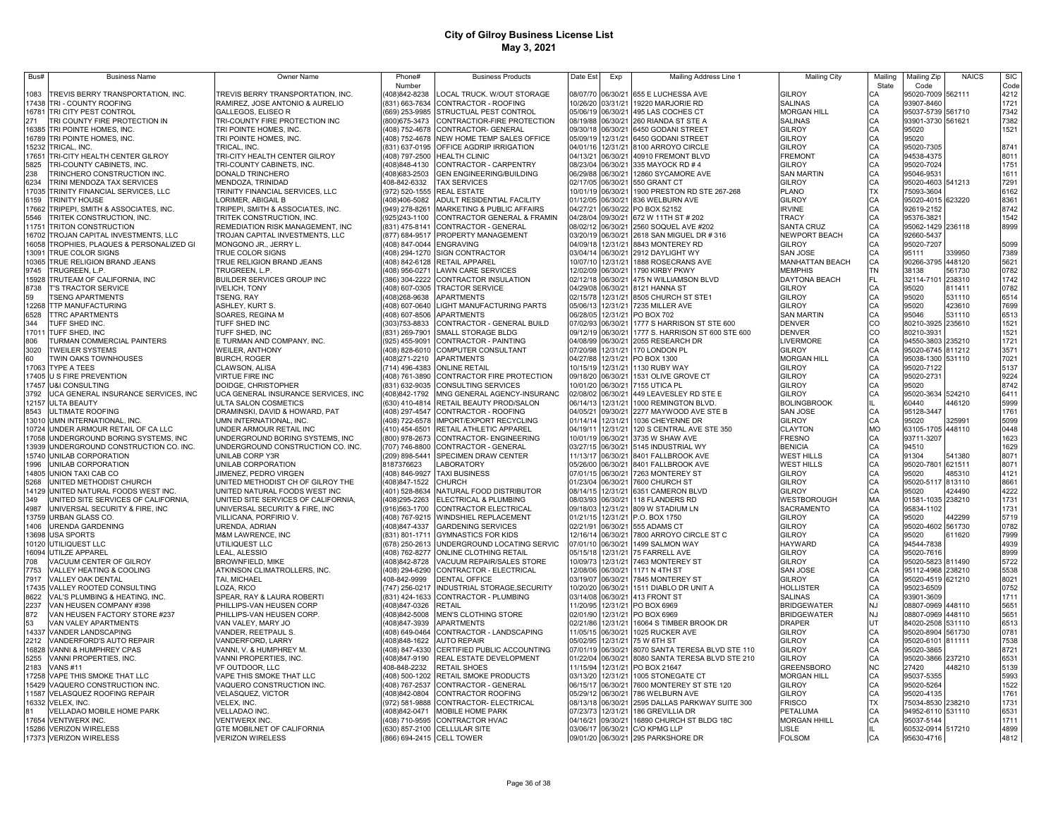| Bus#  | <b>Business Name</b>                                        | Owner Name                          | Phone#                    | <b>Business Products</b>                     | Date Est | Exp               | Mailing Address Line 1                | <b>Mailing City</b>    | Mailing   | Mailing Zip       | <b>NAICS</b> | <b>SIC</b> |
|-------|-------------------------------------------------------------|-------------------------------------|---------------------------|----------------------------------------------|----------|-------------------|---------------------------------------|------------------------|-----------|-------------------|--------------|------------|
|       |                                                             |                                     | Number                    |                                              |          |                   |                                       |                        | State     | Code              |              | Code       |
| 1083  | <b>FREVIS BERRY TRANSPORTATION, INC.</b>                    | TREVIS BERRY TRANSPORTATION, INC.   | (408)842-8238             | LOCAL TRUCK. W/OUT STORAGE                   |          |                   | 08/07/70 06/30/21 655 E LUCHESSA AVE  | GILROY                 | CА        | 95020-7009 562111 |              | 4212       |
|       | 17438 TRI - COUNTY ROOFING                                  | RAMIREZ, JOSE ANTONIO & AURELIO     | (831) 663-7634            | CONTRACTOR - ROOFING                         |          | 10/26/20 03/31/21 | 19220 MARJORIE RD                     | <b>SALINAS</b>         | CA        | 93907-8460        |              | 1721       |
| 16781 | TRI CITY PEST CONTROL                                       | GALLEGOS, ELISEO R                  | (669) 253-9985            | STRUCTUAL PEST CONTROL                       |          |                   | 05/06/19 06/30/21 495 LAS COCHES CT   | <b>MORGAN HILL</b>     | CA        | 95037-5739 561710 |              | 7342       |
| 271   | TRI COUNTY FIRE PROTECTION IN                               | TRI-COUNTY FIRE PROTECTION INC      | (800) 675-3473            | CONTRACTIOR-FIRE PROTECTION                  | 08/19/88 |                   | 06/30/21 260 RIANDA ST STE A          | <b>SALINAS</b>         | CA        | 93901-3730 561621 |              | 7382       |
| 16385 | TRI POINTE HOMES, INC.                                      | TRI POINTE HOMES, INC.              |                           | (408) 752-4678 CONTRACTOR- GENERAL           | 09/30/18 |                   | 06/30/21 6450 GODANI STREET           | GILROY                 | CA        | 95020             |              | 1521       |
| 16789 | TRI POINTE HOMES, INC                                       | TRI POINTE HOMES, INC.              |                           | (408) 752-4678 NEW HOME TEMP SALES OFFICE    | 05/09/19 | 12/31/21          | 6450 GODANI STREET                    | GILROY                 | CA<br>CA  | 95020             |              |            |
| 15232 | TRICAL, INC.                                                | TRICAL. INC.                        |                           | (831) 637-0195 OFFICE AGDRIP IRRIGATION      | 04/01/16 | 12/31/21          | 8100 ARROYO CIRCLE                    | GILROY                 |           | 95020-7305        |              | 8741       |
| 17651 | <b>FRI-CITY HEALTH CENTER GILROY</b>                        | TRI-CITY HEALTH CENTER GILROY       | (408) 797-2500            | <b>HEALTH CLINIC</b>                         | 04/13/21 | 06/30/21          | 40910 FREMONT BLVD                    | <b>FREMONT</b>         | CA<br>CA  | 94538-4375        |              | 8011       |
| 5825  | <b>FRI-COUNTY CABINETS, INC.</b>                            | TRI-COUNTY CABINETS, INC.           | 408)848-4130              | CONTRACTOR - CARPENTRY                       | 08/23/04 | 06/30/21          | 335 MAYOCK RD # 4                     | GILROY                 |           | 95020-7024        |              | 1751       |
| 238   | <b>FRINCHERO CONSTRUCTION INC.</b>                          | DONALD TRINCHERO                    | 408)683-2503              | <b>GEN ENGINEERING/BUILDING</b>              | 06/29/88 | 06/30/21          | 12860 SYCAMORE AVE                    | <b>SAN MARTIN</b>      | CA        | 95046-9531        |              | 1611       |
| 6234  | <b>TRINI MENDOZA TAX SERVICES</b>                           | MENDOZA, TRINIDAD                   | 408-842-6332              | <b>TAX SERVICES</b>                          | 02/17/05 | 06/30/21          | 550 GRANT CT                          | GILROY                 | CA        | 95020-4603 541213 |              | 7291       |
| 17035 | <b>FRINITY FINANCIAL SERVICES, LLC</b>                      | TRINITY FINANCIAL SERVICES, LLC     | (972) 520-1555            | <b>REAL ESTATE</b>                           | 10/01/19 | 06/30/21          | 1900 PRESTON RD STE 267-268           | PLANO                  | <b>TX</b> | 75093-3604        |              | 6162       |
| 6159  | <b>TRINITY HOUSE</b>                                        | LORIMER, ABIGAIL B                  | 408)406-5082              | ADULT RESIDENTIAL FACILITY                   | 01/12/05 | 06/30/21          | 836 WELBURN AVE                       | GILROY                 | CA        | 95020-4015        | 623220       | 8361       |
| 17662 | TRIPEPI, SMITH & ASSOCIATES, INC.                           | TRIPEPI, SMITH & ASSOCIATES, INC.   | (949) 278-8261            | MARKETING & PUBLIC AFFAIRS                   | 04/27/21 | 06/30/22          | PO BOX 52152                          | <b>IRVINE</b>          | CA        | 92619-2152        |              | 8742       |
| 5546  | FRITEK CONSTRUCTION, INC.                                   | TRITEK CONSTRUCTION, INC.           | (925)243-1100             | CONTRACTOR GENERAL & FRAMIN                  | 04/28/04 | 09/30/21          | 672 W 11TH ST # 202                   | TRACY                  | CA        | 95376-3821        |              | 1542       |
| 11751 | <b>FRITON CONSTRUCTION</b>                                  | REMEDIATION RISK MANAGEMENT, INC    | (831) 475-8141            | CONTRACTOR - GENERAL                         | 08/02/12 | 06/30/21          | 2560 SOQUEL AVE #202                  | <b>SANTA CRUZ</b>      | CA        | 95062-1429 236118 |              | 8999       |
| 16702 | <b>FROJAN CAPITAL INVESTMENTS, LLC</b>                      | TROJAN CAPITAL INVESTMENTS, LLC     | (877) 684-9517            | PROPERTY MANAGEMENT                          | 03/20/19 | 06/30/21          | 2618 SAN MIGUEL DR # 316              | NEWPORT BEACH          | CA        | 92660-5437        |              |            |
| 16058 | <b>FROPHIES, PLAQUES &amp; PERSONALIZED GI</b>              | MONGONO JR., JERRY L.               | (408) 847-0044 ENGRAVING  |                                              | 04/09/18 | 12/31/21          | 8843 MONTEREY RD                      | GILROY                 | CA        | 95020-7207        |              | 5099       |
| 13091 | TRUE COLOR SIGNS                                            | TRUE COLOR SIGNS                    |                           | (408) 294-1270 SIGN CONTRACTOR               | 03/04/14 | 06/30/21          | 2912 DAYLIGHT WY                      | SAN JOSE               | CA        | 95111             | 339950       | 7389       |
| 10365 | TRUE RELIGION BRAND JEANS                                   | TRUE RELIGION BRAND JEANS           |                           | (408) 842-6128 RETAIL APPAREL                | 10/07/10 | 12/31/21          | 1888 ROSECRANS AVE                    | <b>MANHATTAN BEACH</b> | CA        | 90266-3795 448120 |              | 5621       |
| 9745  | TRUGREEN, L.P.                                              | TRUGREEN, L.P.                      | (408) 956-0271            | <b>LAWN CARE SERVICES</b>                    | 12/02/09 | 06/30/21          | 1790 KIRBY PKWY                       | <b>MEMPHIS</b>         | <b>TN</b> | 38138             | 561730       | 0782       |
| 15928 | <b>FRUTEAM OF CALIFORNIA, INC</b>                           | BUILDER SERVICES GROUP INC          | 386) 304-2222             | CONTRACTOR INSULATION                        | 02/12/18 | 06/30/21          | 475 N WILLIAMSON BLVD                 | DAYTONA BEACH          | FL        | 32114-7101 238310 |              | 1742       |
| 8738  | <b>T'S TRACTOR SERVICE</b>                                  | <b>IVELICH, TONY</b>                |                           | (408) 607-0305 TRACTOR SERVICE               | 04/29/08 | 06/30/21          | 8121 HANNA ST                         | <b>GILROY</b>          | CA        | 95020             | 811411       | 0782       |
| 59    | <b>SENG APARTMENTS</b>                                      | TSENG, RAY                          | 408)268-9638              | <b>APARTMENTS</b>                            | 02/15/78 | 12/31/21          | 8505 CHURCH ST STE1                   | GILROY                 | CA        | 95020             | 531110       | 6514       |
| 12268 | <b>TTP MANUFACTURING</b>                                    | ASHLEY, KURT S.                     |                           | 408) 607-0640 LIGHT MANUFACTURING PARTS      | 05/06/13 | 12/31/21          | 7235 MILLER AVE                       | GILROY                 | CA        | 95020             | 423610       | 7699       |
| 6528  | <b>TTRC APARTMENTS</b>                                      | SOARES, REGINA M                    |                           | 408) 607-8506 APARTMENTS                     | 06/28/05 | 12/31/21          | PO BOX 702                            | <b>SAN MARTIN</b>      | CA        | 95046             | 531110       | 6513       |
| 344   | <b>TUFF SHED INC.</b>                                       | TUFF SHED INC                       | 303)753-8833              | CONTRACTOR - GENERAL BUILD                   | 07/02/93 | 06/30/21          | 1777 S HARRISON ST STE 600            | <b>DENVER</b>          | CO        | 80210-3925 235610 |              | 1521       |
| 17011 | TUFF SHED, INC                                              | TUFF SHED, INC                      |                           | 831) 269-7901 SMALL STORAGE BLDG             | 09/12/19 | 06/30/21          | 1777 S. HARRISON ST 600 STE 600       | DENVER                 |           | 80210-3931        |              | 1521       |
|       |                                                             |                                     |                           |                                              | 04/08/99 | 06/30/21          |                                       | LIVERMORE              | $\rm{co}$ |                   | 235210       | 1721       |
| 806   | <b>FURMAN COMMERCIAL PAINTERS</b><br><b>TWEILER SYSTEMS</b> | E TURMAN AND COMPANY, INC           |                           | 925) 455-9091 CONTRACTOR - PAINTING          | 07/20/98 |                   | 2055 RESEARCH DR                      | GILROY                 | CA        | 94550-3803        |              |            |
| 3020  |                                                             | WEILER, ANTHONY                     |                           | 408) 828-6010 COMPUTER CONSULTANT            |          |                   | 12/31/21 170 LONDON PL                |                        | CA        | 95020-6745 811212 |              | 3571       |
| 60    | TWIN OAKS TOWNHOUSES                                        | <b>BURCH, ROGER</b>                 |                           | 408)271-2210 APARTMENTS                      | 04/27/88 |                   | 12/31/21 PO BOX 1300                  | <b>MORGAN HILL</b>     | CA        | 95038-1300 531110 |              | 7021       |
| 17063 | TYPE A TEES                                                 | CLAWSON, ALISA                      |                           | (714) 496-4383 ONLINE RETAIL                 | 10/15/19 |                   | 12/31/21 1130 RUBY WAY                | GILROY                 | CA        | 95020-7122        |              | 5137       |
| 17405 | U S FIRE PREVENTION                                         | <b>VIRTUE FIRE INC</b>              |                           | (408) 761-3890 CONTRACTOR FIRE PROTECTION    |          |                   | 09/18/20 06/30/21 1531 OLIVE GROVE CT | GILROY                 | CA        | 95020-2731        |              | 9224       |
| 17457 | <b>U&amp;I CONSULTING</b>                                   | DOIDGE, CHRISTOPHER                 |                           | (831) 632-9035 CONSULTING SERVICES           |          |                   | 10/01/20 06/30/21 7155 UTICA PL       | GILROY                 | CA        | 95020             |              | 8742       |
| 3792  | UCA GENERAL INSURANCE SERVICES, INC                         | UCA GENERAL INSURANCE SERVICES, INC | (408)842-1792             | MNG GENERAL AGENCY-INSURANC                  | 02/08/02 |                   | 06/30/21 449 LEAVESLEY RD STE E       | GILROY                 | CA        | 95020-3634 524210 |              | 6411       |
| 12157 | <b>ULTA BEAUTY</b>                                          | ULTA SALON COSMETICS                |                           | (630) 410-4814 RETAIL BEAUTY PROD/SALON      | 06/14/13 |                   | 12/31/21 1000 REMINGTON BLVD.         | <b>BOLINGBROOK</b>     |           | 60440             | 446120       | 5999       |
| 8543  | <b>ULTIMATE ROOFING</b>                                     | DRAMINSKI, DAVID & HOWARD, PAT      |                           | (408) 297-4547 CONTRACTOR - ROOFING          | 04/05/21 |                   | 09/30/21 2277 MAYWOOD AVE STE B       | SAN JOSE               | CA        | 95128-3447        |              | 1761       |
| 13010 | UMN INTERNATIONAL, INC.                                     | UMN INTERNATIONAL, INC.             |                           | (408) 722-6578 IMPORT/EXPORT RECYCLING       | 01/14/14 | 12/31/21          | 1036 CHEYENNE DR                      | <b>GILROY</b>          | CA        | 95020             | 325991       | 5099       |
| 10724 | UNDER ARMOUR RETAIL OF CA LLC                               | UNDER ARMOUR RETAIL INC             | 410) 454-6501             | RETAIL ATHLETIC APPAREL                      | 04/19/11 | 12/31/21          | 120 S CENTRAL AVE STE 350             | <b>CLAYTON</b>         | <b>MO</b> | 63105-1705 448110 |              | 0448       |
| 17058 | UNDERGROUND BORING SYSTEMS, INC                             | UNDERGROUND BORING SYSTEMS, INC     |                           | (800) 978-2673 CONTRACTOR- ENGINEERING       | 10/01/19 | 06/30/21          | 3735 W SHAW AVE                       | <b>FRESNO</b>          | CA        | 93711-3207        |              | 1623       |
| 13939 | UNDERGROUND CONSTRUCTION CO. INC.                           | UNDERGROUND CONSTRUCTION CO. INC.   | 707) 746-8800             | CONTRACTOR - GENERAL                         | 03/27/15 | 06/30/21          | 5145 INDUSTRIAL WY                    | <b>BENICIA</b>         | CA        | 94510             |              | 1629       |
| 15740 | UNILAB CORPORATION                                          | UNILAB CORP Y3R                     | 209) 898-5441             | SPECIMEN DRAW CENTER                         | 11/13/17 | 06/30/21          | 8401 FALLBROOK AVE                    | <b>WEST HILLS</b>      | CA        | 91304             | 541380       | 8071       |
| 1996  | UNILAB CORPORATION                                          | UNILAB CORPORATION                  | 8187376623                | LABORATORY                                   | 05/26/00 | 06/30/21          | 8401 FALLBROOK AVE                    | <b>WEST HILLS</b>      | CA        | 95020-7801        | 621511       | 8071       |
| 14805 | UNION TAXI CAB CO                                           | JIMENEZ, PEDRO VIRGEN               | 408) 846-9927             | <b>TAXI BUSINESS</b>                         | 07/01/15 | 06/30/21          | 7263 MONTEREY ST                      | GILROY                 | CA        | 95020             | 185310       | 4121       |
| 5268  | JNITED METHODIST CHURCH                                     | UNITED METHODIST CH OF GILROY THE   | 408)847-1522              | CHURCH                                       | 01/23/04 | 06/30/21          | 7600 CHURCH ST                        | GILROY                 | CA        | 95020-5117        | 813110       | 8661       |
| 14129 | UNITED NATURAL FOODS WEST INC.                              | UNITED NATURAL FOODS WEST INC       | 401) 528-8634             | <b>NATURAL FOOD DISTRIBUTOR</b>              | 08/14/15 | 12/31/21          | 6351 CAMERON BLVD                     | GILROY                 | CA        | 95020             | 424490       | 4222       |
| 349   | UNITED SITE SERVICES OF CALIFORNIA,                         | UNITED SITE SERVICES OF CALIFORNIA, | (408) 295-2263            | ELECTRICAL & PLUMBING                        | 08/03/93 | 06/30/21          | 118 FLANDERS RD                       | WESTBOROUGH            | MA        | 01581-1035        | 238210       | 1731       |
| 4987  | UNIVERSAL SECURITY & FIRE, INC                              | UNIVERSAL SECURITY & FIRE, INC      | (916) 563-1700            | CONTRACTOR ELECTRICAL                        | 09/18/03 | 12/31/21          | 809 W STADIUM LN                      | SACRAMENTO             | CA        | 95834-1102        |              | 1731       |
| 13759 | URBAN GLASS CO.                                             | VILLICANA, PORFIRIO V.              | (408) 767-9215            | WINDSHIEL REPLACEMENT                        | 01/21/15 | 12/31/21          | P.O. BOX 1750                         | GILROY                 | CA        | 95020             | 142299       | 5719       |
| 1406  | URENDA GARDENING                                            | URENDA, ADRIAN                      | (408) 847-4337            | <b>GARDENING SERVICES</b>                    | 02/21/91 | 06/30/21          | 555 ADAMS CT                          | GILROY                 | CA        | 95020-4602 561730 |              | 0782       |
| 13698 | USA SPORTS                                                  | M&M LAWRENCE, INC                   | (831) 801-1711            | <b>GYMNASTICS FOR KIDS</b>                   | 12/16/14 | 06/30/21          | 7800 ARROYO CIRCLE ST C               | GILROY                 | CA        | 95020             | 611620       | 7999       |
| 10120 | UTILIQUEST LLC                                              | UTILIQUEST LLC                      | (678) 250-2613            | UNDERGROUND LOCATING SERVIC                  | 07/01/10 | 06/30/21          | 1499 SALMON WAY                       | HAYWARD                | CA        | 94544-7838        |              | 4939       |
| 16094 | UTILZE APPAREL                                              | LEAL, ALESSIO                       | (408) 762-8277            | ONLINE CLOTHING RETAIL                       | 05/15/18 | 12/31/21          | 75 FARRELL AVE                        | <b>GILROY</b>          | CA        | 95020-7616        |              | 8999       |
| 708   | VACUUM CENTER OF GILROY                                     | BROWNFIELD, MIKE                    | (408) 842-8728            | VACUUM REPAIR/SALES STORE                    | 10/09/73 | 12/31/21          | 7463 MONTEREY ST                      | GILROY                 | CA        | 95020-5823 811490 |              | 5722       |
| 7753  | VALLEY HEATING & COOLING                                    | ATKINSON CLIMATROLLERS, INC.        | (408) 294-6290            | CONTRACTOR - ELECTRICAL                      | 12/08/06 | 06/30/21          | 1171 N 4TH ST                         | SAN JOSE               | CA        | 95112-4968 238210 |              | 5538       |
| 7917  | VALLEY OAK DENTAL                                           | TAI, MICHAEL                        | 408-842-9999              | <b>DENTAL OFFICE</b>                         | 03/19/07 | 06/30/21          | 7845 MONTEREY ST                      | GILROY                 | CA        | 95020-4519 621210 |              | 8021       |
| 17435 | VALLEY ROOTED CONSULTING                                    | LOZA, RICO                          |                           | (747) 256-0217  INDUSTRIAL STORAGE, SECURITY | 10/20/20 | 06/30/21          | 1511 DIABLO DR UNIT A                 | HOLLISTER              | CA        | 95023-6509        |              | 0752       |
| 8622  | VAL'S PLUMBING & HEATING, INC.                              | SPEAR, RAY & LAURA ROBERTI          |                           | (831) 424-1633 CONTRACTOR - PLUMBING         | 03/14/08 | 06/30/21          | 413 FRONT ST                          | <b>SALINAS</b>         | CA        | 93901-3609        |              | 1711       |
| 2237  | VAN HEUSEN COMPANY #398                                     | PHILLIPS-VAN HEUSEN CORP            | (408)847-0326             | <b>RETAIL</b>                                | 11/20/95 |                   | 12/31/21 PO BOX 6969                  | <b>BRIDGEWATER</b>     | <b>NJ</b> | 08807-0969        | 448110       | 5651       |
| 872   | VAN HEUSEN FACTORY STORE #237                               | PHILLIPS-VAN HEUSEN CORP.           | (408)842-5008             | MEN'S CLOTHING STORE                         | 02/01/90 |                   | 12/31/21 PO BOX 6969                  | <b>BRIDGEWATER</b>     | <b>NJ</b> | 08807-0969 448110 |              | 5651       |
| 53    | VAN VALEY APARTMENTS                                        | VAN VALEY, MARY JO                  | (408)847-3939             | <b>APARTMENTS</b>                            | 02/21/86 | 12/31/21          | 16064 S TIMBER BROOK DR               | <b>DRAPER</b>          | UT        | 84020-2508 531110 |              | 6513       |
| 14337 | VANDER LANDSCAPING                                          | VANDER, REETPAUL S                  |                           | (408) 649-0464 CONTRACTOR - LANDSCAPING      | 11/05/15 | 06/30/21          | 1025 RUCKER AVE                       | GILROY                 | CA        | 95020-8904 561730 |              | 0781       |
| 2212  | VANDERFORD'S AUTO REPAIR                                    | VANDERFORD, LARRY                   | (408) 848-1622            | <b>AUTO REPAIR</b>                           | 05/02/95 | 12/31/21          | 75 W 6TH ST                           | GILROY                 | CA        | 95020-6101 811111 |              | 7538       |
| 16828 | VANNI & HUMPHREY CPAS                                       | VANNI, V. & HUMPHREY M.             |                           | (408) 847-4330 CERTIFIED PUBLIC ACCOUNTING   | 07/01/19 | 06/30/21          | 8070 SANTA TERESA BLVD STE 110        | GILROY                 | CA        | 95020-3865        |              | 8721       |
| 5255  | VANNI PROPERTIES, INC.                                      | VANNI PROPERTIES, INC               | (408)847-9190             | REAL ESTATE DEVELOPMENT                      | 01/22/04 | 06/30/21          | 8080 SANTA TERESA BLVD STE 210        | GILROY                 | CA        | 95020-3866        | 237210       | 6531       |
| 2183  | <b>VANS #11</b>                                             | VF OUTDOOR, LLC                     | 408-848-2232              | <b>RETAIL SHOES</b>                          | 11/15/94 | 12/31/21          | PO BOX 21647                          | <b>GREENSBORO</b>      | <b>NC</b> | 27420             | 448210       | 5139       |
| 17258 | VAPE THIS SMOKE THAT LLC                                    | VAPE THIS SMOKE THAT LLC            | (408) 500-1202            | RETAIL SMOKE PRODUCTS                        | 03/13/20 | 12/31/21          | 1005 STONEGATE CT                     | <b>MORGAN HILL</b>     | CA        | 95037-5355        |              | 5993       |
| 15429 | VAQUERO CONSTRUCTION INC.                                   | VAQUERO CONSTRUCTION INC.           | (408) 767-2537            | CONTRACTOR - GENERAL                         | 06/15/17 | 06/30/21          | 7600 MONTEREY ST STE 120              | <b>GILROY</b>          | CA        | 95020-5264        |              | 1522       |
| 11587 | VELASQUEZ ROOFING REPAIR                                    | VELASQUEZ, VICTOR                   | (408)842-0804             | CONTRACTOR ROOFING                           | 05/29/12 | 06/30/21          | 786 WELBURN AVE                       | <b>GILROY</b>          | CA        | 95020-4135        |              | 1761       |
|       | 16332 VELEX, INC.                                           | VELEX, INC.                         |                           | (972) 581-9888 CONTRACTOR- ELECTRICAL        |          | 08/13/18 06/30/21 | 2595 DALLAS PARKWAY SUITE 300         | <b>FRISCO</b>          | <b>TX</b> | 75034-8530 238210 |              | 1731       |
|       | VELLADAO MOBILE HOME PARK                                   | <b>VELLADAO INC</b>                 | (408) 842-0471            | MOBILE HOME PARK                             | 07/23/73 | 12/31/21          | 186 GREVILLIA DR                      | PETALUMA               | CA        | 94952-6110 531110 |              | 6531       |
|       | 17654 VENTWERX INC.                                         | VENTWERX INC.                       |                           | 408) 710-9595 CONTRACTOR HVAC                | 04/16/21 | 09/30/21          | 16890 CHURCH ST BLDG 18C              | <b>MORGAN HHILL</b>    | CA        | 95037-5144        |              | 1711       |
|       | 15286 VERIZON WIRELESS                                      | GTE MOBILNET OF CALIFORNIA          |                           | (630) 857-2100 CELLULAR SITE                 | 03/06/17 |                   | 06/30/21 C/O KPMG LLP                 | <b>LISLE</b>           |           | 60532-0914 517210 |              | 4899       |
|       | 17373 VERIZON WIRELESS                                      | <b>VERIZON WIRELESS</b>             | (866) 694-2415 CELL TOWER |                                              |          |                   | 09/01/20 06/30/21 295 PARKSHORE DR    | <b>FOLSOM</b>          | CA        | 95630-4716        |              | 4812       |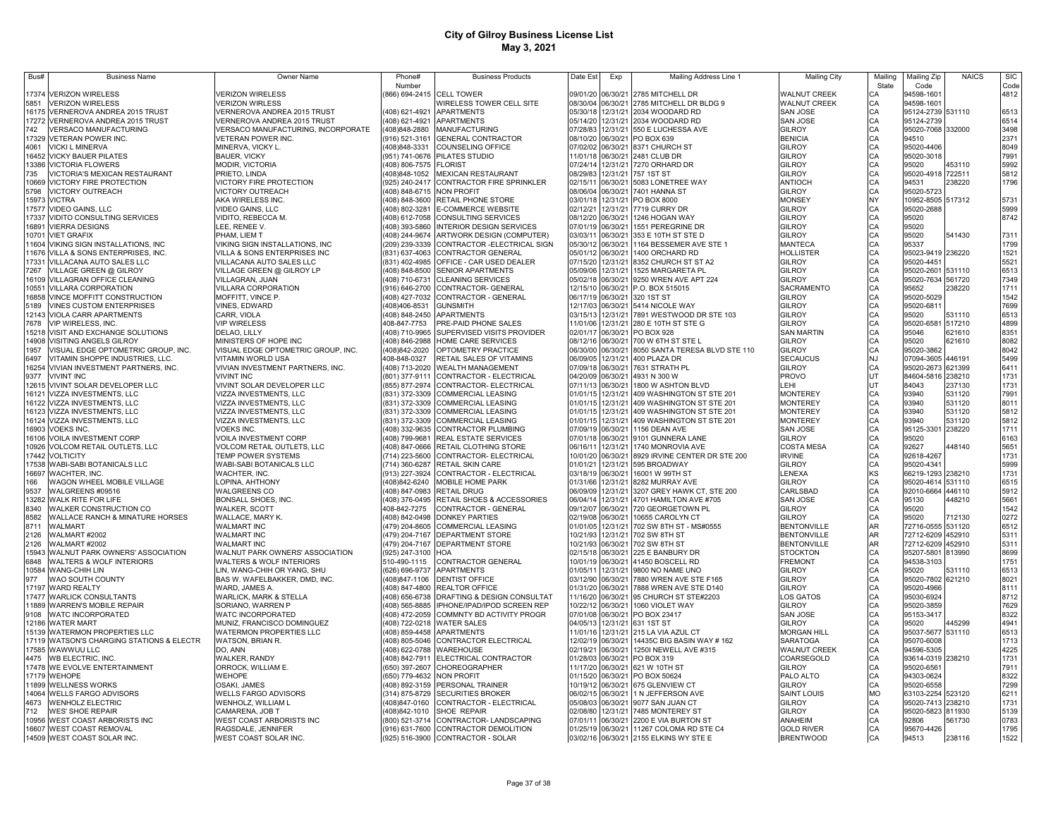| Bus#           | <b>Business Name</b>                                                | Owner Name                                             | Phone#                    | <b>Business Products</b>                                                    | Date Est             | Exp                  | Mailing Address Line 1                               | <b>Mailing City</b>                        | Mailing         | Mailing Zip                            | <b>NAICS</b> | <b>SIC</b>   |
|----------------|---------------------------------------------------------------------|--------------------------------------------------------|---------------------------|-----------------------------------------------------------------------------|----------------------|----------------------|------------------------------------------------------|--------------------------------------------|-----------------|----------------------------------------|--------------|--------------|
|                |                                                                     |                                                        | Number                    |                                                                             |                      |                      |                                                      |                                            | State           | Code                                   |              | Code         |
| 17374<br>5851  | <b>VERIZON WIRELESS</b><br><b>VERIZON WIRELESS</b>                  | <b>VERIZON WIRELESS</b><br><b>VERIZON WIRLESS</b>      |                           | 866) 694-2415 CELL TOWER<br>WIRELESS TOWER CELL SITE                        | 09/01/20<br>08/30/04 | 06/30/21<br>06/30/21 | 2785 MITCHELL DR<br>2785 MITCHELL DR BLDG 9          | <b>WALNUT CREEK</b><br><b>WALNUT CREEK</b> | CA<br>CA        | 94598-1601<br>94598-1601               |              | 4812         |
| 16175          | VERNEROVA ANDREA 2015 TRUST                                         | <b>VERNEROVA ANDREA 2015 TRUST</b>                     |                           | 408) 621-4921 APARTMENTS                                                    | 05/30/18             | 12/31/21             | 2034 WOODARD RD                                      | SAN JOSE                                   | CA              | 95124-2739 531110                      |              | 6513         |
| 17272          | VERNEROVA ANDREA 2015 TRUST                                         | <b>/ERNEROVA ANDREA 2015 TRUST</b>                     |                           | 408) 621-4921 APARTMENTS                                                    | 05/14/20             | 12/31/21             | 2034 WOODARD RD                                      | SAN JOSE                                   | CA              | 95124-2739                             |              | 6514         |
| 742            | VERSACO MANUFACTURING                                               | /ERSACO MANUFACTURING, INCORPORATE                     |                           | 408)848-2880 MANUFACTURING                                                  | 07/28/83             | 12/31/21             | 550 E LUCHESSA AVE                                   | GILROY                                     | CA              | 95020-7068 332000                      |              | 3498         |
| 17329          | VETERAN POWER INC.                                                  | <b>VETERAN POWER INC.</b>                              |                           | (916) 521-3161 GENERAL CONTRACTOR                                           | 08/10/20             | 06/30/21             | PO BOX 639                                           | <b>BENICIA</b>                             | CA              | 94510                                  |              | 2371         |
| 4061           | <b>VICKI L MINERVA</b>                                              | MINERVA, VICKY L.                                      | (408) 848-3331            | COUNSELING OFFICE                                                           | 07/02/02             | 06/30/21             | 8371 CHURCH ST                                       | GILROY                                     | CA              | 95020-4406                             |              | 8049         |
| 16452          | <b>VICKY BAUER PILATES</b>                                          | <b>BAUER, VICKY</b>                                    |                           | (951) 741-0676 PILATES STUDIO                                               | 11/01/18             | 06/30/21             | 2481 CLUB DR                                         | GILROY                                     | CA              | 95020-3018                             |              | 7991         |
| 13386          | <b>VICTORIA FLOWERS</b>                                             | MODIR, VICTORIA                                        | (408) 806-7575 FLORIST    |                                                                             | 07/24/14             | 12/31/21             | 7270 ORHARD DR                                       | GILROY                                     | CA              | 95020                                  | 453110       | 5992         |
| 735            | VICTORIA'S MEXICAN RESTAURANT                                       | PRIETO, LINDA                                          |                           | (408)848-1052 MEXICAN RESTAURANT                                            | 08/29/83             | 12/31/21             | 757 1ST ST                                           | GILROY                                     | CA              | 95020-4918 722511                      |              | 5812         |
| 10669          | VICTORY FIRE PROTECTION                                             | VICTORY FIRE PROTECTION                                |                           | (925) 240-2417 CONTRACTOR FIRE SPRINKLER                                    | 02/15/11             | 06/30/21             | 5083 LONETREE WAY                                    | ANTIOCH                                    | CA              | 94531                                  | 238220       | 1796         |
| 5798           | VICTORY OUTREACH                                                    | VICTORY OUTREACH                                       | (408) 848-6715 NON PROFIT |                                                                             | 08/06/04             | 06/30/21             | 7401 HANNA ST                                        | <b>GILROY</b>                              | CA              | 95020-5723                             |              |              |
|                | 15973 VICTRA                                                        | AKA WIRELESS INC.                                      |                           | (408) 848-3600 RETAIL PHONE STORE                                           | 03/01/18             | 12/31/21             | PO BOX 8000                                          | <b>MONSEY</b>                              | NY              | 10952-8505 517312                      |              | 5731         |
| 17577          | <b>VIDEO GAINS, LLC</b>                                             | VIDEO GAINS, LLC                                       |                           | (408) 802-3281 E-COMMERCE WEBSITE                                           | 02/12/21             | 12/31/21             | 7719 CURRY DR                                        | GILROY                                     | CA              | 95020-2688                             |              | 5999         |
| 17337          | VIDITO CONSULTING SERVICES                                          | VIDITO, REBECCA M.                                     |                           | (408) 612-7058 CONSULTING SERVICES                                          | 08/12/20             | 06/30/21             | 1246 HOGAN WAY                                       | GILROY<br>GILROY                           | CA              | 95020                                  |              | 8742         |
| 16891<br>10701 | <b>VIERRA DESIGNS</b><br><b>VIET GRAFIX</b>                         | LEE, RENEE V.<br>PHAM, LIEM T                          | (408) 393-5860            | <b>INTERIOR DESIGN SERVICES</b><br>(408) 244-9674 ARTWORK DESIGN (COMPUTER) | 07/01/19<br>03/03/11 | 06/30/21<br>06/30/21 | 1551 PEREGRINE DR<br>353 E 10TH ST STE D             | GILROY                                     | CA<br>CA        | 95020<br>95020                         | 541430       | 7311         |
| 11604          | VIKING SIGN INSTALLATIONS, INC                                      | VIKING SIGN INSTALLATIONS, INC                         |                           | (209) 239-3339 CONTRACTOR - ELECTRICAL SIGN                                 | 05/30/12             | 06/30/21             | 1164 BESSEMER AVE STE 1                              | <b>MANTECA</b>                             | CA              | 95337                                  |              | 1799         |
|                | 11676 VILLA & SONS ENTERPRISES, INC.                                | VILLA & SONS ENTERPRISES INC                           |                           | (831) 637-4063 CONTRACTOR GENERAL                                           | 05/01/12             | 06/30/21             | 1400 ORCHARD RD                                      | HOLLISTER                                  | CA              | 95023-9419 236220                      |              | 1521         |
| 17331          | VILLACANA AUTO SALES LLC                                            | VILLACANA AUTO SALES LLC                               |                           | (831) 402-4985 OFFICE - CAR USED DEALER                                     | 07/15/20             | 12/31/21             | 8352 CHURCH ST ST A2                                 | GILROY                                     | CA              | 95020-4451                             |              | 5521         |
| 7267           | VILLAGE GREEN @ GILROY                                              | VILLAGE GREEN @ GILROY LP                              |                           | (408) 848-8500 SENIOR APARTMENTS                                            | 05/09/06             | 12/31/21             | 1525 MARGARETA PL                                    | GILROY                                     | CA              | 95020-2601 531110                      |              | 6513         |
|                | 16109 VILLAGRAN OFFICE CLEANING                                     | VILLAGRAN, JUAN                                        |                           | (408) 710-6731 CLEANING SERVICES                                            | 05/02/18             | 06/30/21             | 9250 WREN AVE APT 224                                | GILROY                                     | CA              | 95020-7634 561720                      |              | 7349         |
| 10551          | VILLARA CORPORATION                                                 | <b>VILLARA CORPORATION</b>                             |                           | (916) 646-2700 CONTRACTOR- GENERAL                                          | 12/15/10             | 06/30/21             | P.O. BOX 515015                                      | SACRAMENTO                                 | CA              | 95652                                  | 238220       | 1711         |
| 16858          | VINCE MOFFITT CONSTRUCTION                                          | MOFFITT, VINCE P.                                      |                           | 408) 427-7032 CONTRACTOR - GENERAL                                          | 06/17/19             | 06/30/21             | 320 1ST ST                                           | <b>GILROY</b>                              | CA              | 95020-5029                             |              | 1542         |
| 5189           | <b>VINES CUSTOM ENTERPRISES</b>                                     | VINES, EDWARD                                          | 408)406-8531              | <b>GUNSMITH</b>                                                             | 12/17/03             | 06/30/21             | 5414 NICOLE WAY                                      | GILROY                                     | CA              | 95020-6811                             |              | 7699         |
|                | 12143 VIOLA CARR APARTMENTS                                         | CARR, VIOLA                                            |                           | 408) 848-2450 APARTMENTS                                                    | 03/15/13             |                      | 12/31/21 7891 WESTWOOD DR STE 103                    | GILROY                                     | CA              | 95020                                  | 531110       | 6513         |
| 7678           | VIP WIRELESS, INC.                                                  | <b>VIP WIRELESS</b>                                    | 408-847-7753              | PRE-PAID PHONE SALES                                                        | 11/01/06             | 12/31/21             | 280 E 10TH ST STE G                                  | <b>GILROY</b>                              | CA              | 95020-6581 517210                      |              | 4899         |
|                | 15218 VISIT AND EXCHANGE SOLUTIONS                                  | DELAO, LILLY                                           |                           | 408) 710-9965 SUPERVISED VISITS PROVIDER                                    | 02/01/17             |                      | 06/30/21 PO BOX 928                                  | SAN MARTIN                                 | CA              | 95046                                  | 621610       | 8351         |
|                | 14908 VISITING ANGELS GILROY                                        | MINISTERS OF HOPE INC                                  |                           | 408) 846-2988 HOME CARE SERVICES                                            | 08/12/16             | 06/30/21             | 700 W 6TH ST STE L                                   | GILROY                                     | CA              | 95020                                  | 621610       | 8082         |
| 1957           | VISUAL EDGE OPTOMETRIC GROUP, INC.                                  | VISUAL EDGE OPTOMETRIC GROUP, INC.                     |                           | (408)842-2020 OPTOMETRY PRACTICE                                            | 06/30/00 06/30/21    |                      | 8050 SANTA TERESA BLVD STE 110                       | GILROY                                     | CA              | 95020-3862                             |              | 8042         |
| 6497<br>16254  | VITAMIN SHOPPE INDUSTRIES, LLC.<br>VIVIAN INVESTMENT PARTNERS, INC. | VITAMIN WORLD USA<br>VIVIAN INVESTMENT PARTNERS, INC.  | 408-848-0327              | RETAIL SALES OF VITAMINS                                                    | 06/09/05<br>07/09/18 | 12/31/21<br>06/30/21 | 400 PLAZA DR<br>7631 STRATH PL                       | SECAUCUS<br>GILROY                         | <b>NJ</b><br>CA | 07094-3605 446191<br>95020-2673 621399 |              | 5499<br>6411 |
| 9377           | <b>VIVINT INC</b>                                                   | <b>VIVINT INC</b>                                      |                           | (408) 713-2020 WEALTH MANAGEMENT<br>(801) 377-9111 CONTRACTOR - ELECTRICAL  | 04/20/09             | 06/30/21             | 4931 N 300 W                                         | PROVO                                      | UT              | 84604-5816 238210                      |              | 1731         |
|                | 12615 VIVINT SOLAR DEVELOPER LLC                                    | VIVINT SOLAR DEVELOPER LLC                             |                           | (855) 877-2974 CONTRACTOR- ELECTRICAL                                       | 07/11/13             | 06/30/21             | 1800 W ASHTON BLVD                                   | <b>LEHI</b>                                | UT              | 84043                                  | 237130       | 1731         |
| 16121          | VIZZA INVESTMENTS, LLC                                              | VIZZA INVESTMENTS, LLC                                 |                           | (831) 372-3309 COMMERCIAL LEASING                                           | 01/01/15             | 12/31/21             | 409 WASHINGTON ST STE 201                            | <b>MONTEREY</b>                            | CA              | 93940                                  | 531120       | 7991         |
| 16122          | VIZZA INVESTMENTS, LLC                                              | VIZZA INVESTMENTS, LLC                                 |                           | (831) 372-3309 COMMERCIAL LEASING                                           | 01/01/15             | 12/31/21             | 409 WASHINGTON ST STE 201                            | <b>MONTEREY</b>                            | CA              | 93940                                  | 531120       | 8011         |
| 16123          | VIZZA INVESTMENTS, LLC                                              | /IZZA INVESTMENTS, LLC                                 | (831) 372-3309            | <b>COMMERCIAL LEASING</b>                                                   | 01/01/15             | 12/31/21             | 409 WASHINGTON ST STE 201                            | <b>MONTEREY</b>                            | CA              | 93940                                  | 531120       | 5812         |
| 16124          | VIZZA INVESTMENTS, LLC                                              | <b>VIZZA INVESTMENTS, LLC</b>                          | (831) 372-3309            | <b>COMMERCIAL LEASING</b>                                                   | 01/01/15             | 12/31/21             | 409 WASHINGTON ST STE 201                            | <b>MONTEREY</b>                            | CA              | 93940                                  | 531120       | 5812         |
| 16903          | <b>VOEKS INC.</b>                                                   | /OEKS INC.                                             | 408) 332-9635             | <b>CONTRACTOR PLUMBING</b>                                                  | 07/09/19             | 06/30/21             | 1156 DEAN AVE                                        | SAN JOSE                                   | CA              | 95125-3301 238220                      |              | 1711         |
| 16106          | VOILA INVESTMENT CORP                                               | <b>VOILA INVESTMENT CORP</b>                           |                           | 408) 799-9681 REAL ESTATE SERVICES                                          | 07/01/18             | 06/30/21             | 9101 GUNNERA LANE                                    | GILROY                                     | CA              | 95020                                  |              | 6163         |
| 10926          | VOLCOM RETAIL OUTLETS, LLC                                          | <b>VOLCOM RETAIL OUTLETS, LLC</b>                      |                           | 408) 847-0666 RETAIL CLOTHING STORE                                         | 06/16/11             | 12/31/21             | 1740 MONROVIA AVE                                    | <b>COSTA MESA</b>                          | CA              | 92627                                  | 448140       | 5651         |
| 17442          | <b>VOLTICITY</b>                                                    | TEMP POWER SYSTEMS                                     | (714) 223-5600            | CONTRACTOR- ELECTRICAL                                                      | 10/01/20             | 06/30/21             | 8929 IRVINE CENTER DR STE 200                        | <b>IRVINE</b>                              | CA              | 92618-4267                             |              | 1731         |
| 17538          | WABI-SABI BOTANICALS LLC                                            | WABI-SABI BOTANICALS LLC                               |                           | (714) 360-6287 RETAIL SKIN CARE                                             | 01/01/21             | 12/31/21             | 595 BROADWAY                                         | GILROY                                     | CA              | 95020-4341                             |              | 5999         |
| 16697          | WACHTER, INC.                                                       | WACHTER, INC.                                          |                           | (913) 227-3924 CONTRACTOR - ELECTRICAL                                      | 03/18/19             | 06/30/21             | 16001 W 99TH ST                                      | LENEXA                                     | KS              | 66219-1293 238210                      |              | 1731         |
| 166            | WAGON WHEEL MOBILE VILLAGE                                          | OPINA, AHTHONY                                         |                           | 408)842-6240 MOBILE HOME PARK                                               | 01/31/66             | 12/31/21             | 8282 MURRAY AVE                                      | GILROY                                     | CA              | 95020-4614 531110                      |              | 6515         |
| 9537<br>13282  | WALGREENS #09516<br>WALK RITE FOR LIFE                              | WALGREENS CO<br>BONSALL SHOES, INC.                    | 408) 847-0983             | <b>RETAIL DRUG</b><br>(408) 376-0495 RETAIL SHOES & ACCESSORIES             | 06/09/09<br>06/04/14 | 12/31/21<br>12/31/21 | 3207 GREY HAWK CT, STE 200<br>4701 HAMILTON AVE #705 | CARLSBAD<br><b>SAN JOSE</b>                | CA<br>CA        | 92010-6664 446110<br>95130             | 448210       | 5912<br>5661 |
| 8340           | WALKER CONSTRUCTION CO                                              | <b>WALKER, SCOTT</b>                                   | 408-842-7275              | CONTRACTOR - GENERAL                                                        | 09/12/07             | 06/30/21             | 720 GEORGETOWN PL                                    | <b>GILROY</b>                              | CA              | 95020                                  |              | 1542         |
| 8582           | WALLACE RANCH & MINATURE HORSES                                     | WALLACE, MARY K.                                       |                           | (408) 842-0498 DONKEY PARTIES                                               | 02/19/08             | 06/30/21             | 10655 CAROLYN CT                                     | GILROY                                     | CA              | 95020                                  | 712130       | 0272         |
| 8711           | <b>WALMART</b>                                                      | <b>WALMART INC</b>                                     |                           | (479) 204-8605 COMMERCIAL LEASING                                           | 01/01/05             | 12/31/21             | 702 SW 8TH ST - MS#0555                              | <b>BENTONVILLE</b>                         | AR              | 72716-0555 531120                      |              | 6512         |
| 2126           | WALMART #2002                                                       | <b>WALMART INC</b>                                     |                           | (479) 204-7167 DEPARTMENT STORE                                             | 10/21/93             | 12/31/21             | 702 SW 8TH ST                                        | <b>BENTONVILLE</b>                         | AR              | 72712-6209 452910                      |              | 5311         |
| 2126           | <b>WALMART #2002</b>                                                | <b>WALMART INC</b>                                     |                           | (479) 204-7167 DEPARTMENT STORE                                             | 10/21/93             | 06/30/21             | 702 SW 8TH ST                                        | <b>BENTONVILLE</b>                         | <b>AR</b>       | 72712-6209 452910                      |              | 5311         |
| 15943          | WALNUT PARK OWNERS' ASSOCIATION                                     | WALNUT PARK OWNERS' ASSOCIATION                        | (925) 247-3100 HOA        |                                                                             | 02/15/18             | 06/30/21             | 225 E BANBURY DR                                     | <b>STOCKTON</b>                            | CA              | 95207-5801 813990                      |              | 8699         |
| 6848           | WALTERS & WOLF INTERIORS                                            | WALTERS & WOLF INTERIORS                               | 510-490-1115              | <b>CONTRACTOR GENERAL</b>                                                   | 10/01/19             | 06/30/21             | 41450 BOSCELL RD                                     | <b>FREMONT</b>                             | CA              | 94538-3103                             |              | 1751         |
|                | 10584 WANG-CHIH LIN                                                 | LIN, WANG-CHIH OR YANG, SHU                            |                           | (626) 696-9737 APARTMENTS                                                   | 01/05/11             | 12/31/21             | 9800 NO NAME UNO                                     | GILROY                                     | CA              | 95020                                  | 531110       | 6513         |
| 977            | WAO SOUTH COUNTY                                                    | BAS W. WAFELBAKKER, DMD, INC.                          |                           | (408)847-1106 DENTIST OFFICE                                                | 03/12/90             | 06/30/21             | 7880 WREN AVE STE F165                               | GILROY                                     | CA              | 95020-7802 621210                      |              | 8021         |
| 17197          | <b>WARD REALTY</b>                                                  | WARD, JAMES A.                                         |                           | (408) 847-4800 REALTOR OFFICE                                               | 01/31/20             | 06/30/21             | 7888 WREN AVE STE D140                               | GILROY                                     | CA              | 95020-4966                             |              | 8111         |
|                | 17477 WARLICK CONSULTANTS                                           | WARLICK, MARK & STELLA                                 |                           | (408) 656-6738 DRAFTING & DESIGN CONSULTAT                                  | 11/16/20             | 06/30/21             | 95 CHURCH ST STE#2203                                | LOS GATOS                                  | CA              | 95030-6924                             |              | 8712         |
|                | 11889 WARREN'S MOBILE REPAIR                                        | SORIANO, WARREN P                                      |                           | (408) 565-8885 IPHONE/IPAD/IPOD SCREEN REP                                  | 10/22/12             | 06/30/21             | 1060 VIOLET WAY                                      | GILROY                                     | CA              | 95020-3859                             |              | 7629         |
| 9108           | WATC INCORPORATED<br>12186 WATER MART                               | <b>NATC INCORPORATED</b><br>MUNIZ, FRANCISCO DOMINGUEZ |                           | (408) 472-2059 COMMNTY BD ACTIVITY PROGR<br>(408) 722-0218 WATER SALES      | 07/01/08<br>04/05/13 |                      | 06/30/21 PO BOX 23417<br>12/31/21 631 1ST ST         | SAN JOSE<br>GILROY                         | CA<br>CA        | 95153-3417<br>95020                    | 445299       | 8322<br>4941 |
|                | 15139 WATERMON PROPERTIES LLC                                       | WATERMON PROPERTIES LLC                                |                           | (408) 859-4458 APARTMENTS                                                   | 11/01/16             |                      | 12/31/21 215 LA VIA AZUL CT                          | <b>MORGAN HILL</b>                         | CA              | 95037-5677 531110                      |              | 6513         |
|                | 17119 WATSON'S CHARGING STATIONS & ELECTR                           | WATSON, BRIAN R.                                       |                           | (408) 805-5046 CONTRACTOR ELECTRICAL                                        | 12/02/19             | 06/30/21             | 14435C BIG BASIN WAY #162                            | <b>SARATOGA</b>                            | CA              | 95070-6008                             |              | 1713         |
|                | 17585 WAWWUU LLC                                                    | DO, ANN                                                |                           | (408) 622-0788 WAREHOUSE                                                    | 02/19/21             | 06/30/21             | 1250I NEWELL AVE #315                                | WALNUT CREEK                               | CA              | 94596-5305                             |              | 4225         |
| 4475           | WB ELECTRIC, INC.                                                   | WALKER, RANDY                                          |                           | (408) 842-7911 ELECTRICAL CONTRACTOR                                        | 01/28/03             |                      | 06/30/21 PO BOX 319                                  | COARSEGOLD                                 | CA              | 93614-0319 238210                      |              | 1731         |
|                | 17478 WE EVOLVE ENTERTAINMENT                                       | ORROCK, WILLIAM E.                                     |                           | (650) 397-2607 CHOREOGRAPHER                                                | 11/17/20             |                      | 06/30/21 621 W 10TH ST                               | GILROY                                     | CA              | 95020-6561                             |              | 7911         |
|                | 17179 WEHOPE                                                        | <b>NEHOPE</b>                                          | (650) 779-4632 NON PROFIT |                                                                             | 01/15/20             | 06/30/21             | PO BOX 50624                                         | PALO ALTO                                  | CA              | 94303-0624                             |              | 8322         |
|                | 11899 WELLNESS WORKS                                                | <b>OSAKI, JAMES</b>                                    |                           | (408) 892-3159 PERSONAL TRAINER                                             | 10/19/12             |                      | 06/30/21 675 GLENVIEW CT                             | GILROY                                     | CA              | 95020-6558                             |              | 7299         |
|                | 14064 WELLS FARGO ADVISORS                                          | <b>NELLS FARGO ADVISORS</b>                            |                           | (314) 875-8729 SECURITIES BROKER                                            | 06/02/15             | 06/30/21             | 1 N JEFFERSON AVE                                    | <b>SAINT LOUIS</b>                         | <b>MO</b>       | 63103-2254 523120                      |              | 6211         |
| 4673           | <b>WENHOLZ ELECTRIC</b>                                             | <b>WENHOLZ, WILLIAM L</b>                              |                           | (408)847-0160 CONTRACTOR - ELECTRICAL                                       | 05/08/03             |                      | 06/30/21 9077 SAN JUAN CT                            | GILROY                                     | CA              | 95020-7413 238210                      |              | 1731         |
| 712            | <b>WES' SHOE REPAIR</b>                                             | CAMARENA, JOB T                                        |                           | (408)842-1010 SHOE REPAIR                                                   |                      | 02/08/80 12/31/21    | 7485 MONTEREY ST                                     | <b>GILROY</b>                              | CA              | 95020-5823 811930                      |              | 5139         |
|                | 10956 WEST COAST ARBORISTS INC                                      | WEST COAST ARBORISTS INC                               |                           | (800) 521-3714 CONTRACTOR-LANDSCAPING                                       | 07/01/11             | 06/30/21             | 2200 E VIA BURTON ST                                 | ANAHEIM                                    | CA              | 92806                                  | 561730       | 0783         |
|                | 16607 WEST COAST REMOVAL                                            | RAGSDALE, JENNIFER                                     |                           | (916) 631-7600 CONTRACTOR DEMOLITION                                        |                      |                      | 01/25/19 06/30/21 11267 COLOMA RD STE C4             | <b>GOLD RIVER</b>                          | CA<br>C.A       | 95670-4426                             |              | 1795         |
|                | 14509 WEST COAST SOLAR INC.                                         | WEST COAST SOLAR INC.                                  |                           | (925) 516-3900 CONTRACTOR - SOLAR                                           |                      |                      | 03/02/16 06/30/21 2155 ELKINS WY STE E               | <b>BRENTWOOD</b>                           |                 | 94513                                  | 238116       | 1522         |